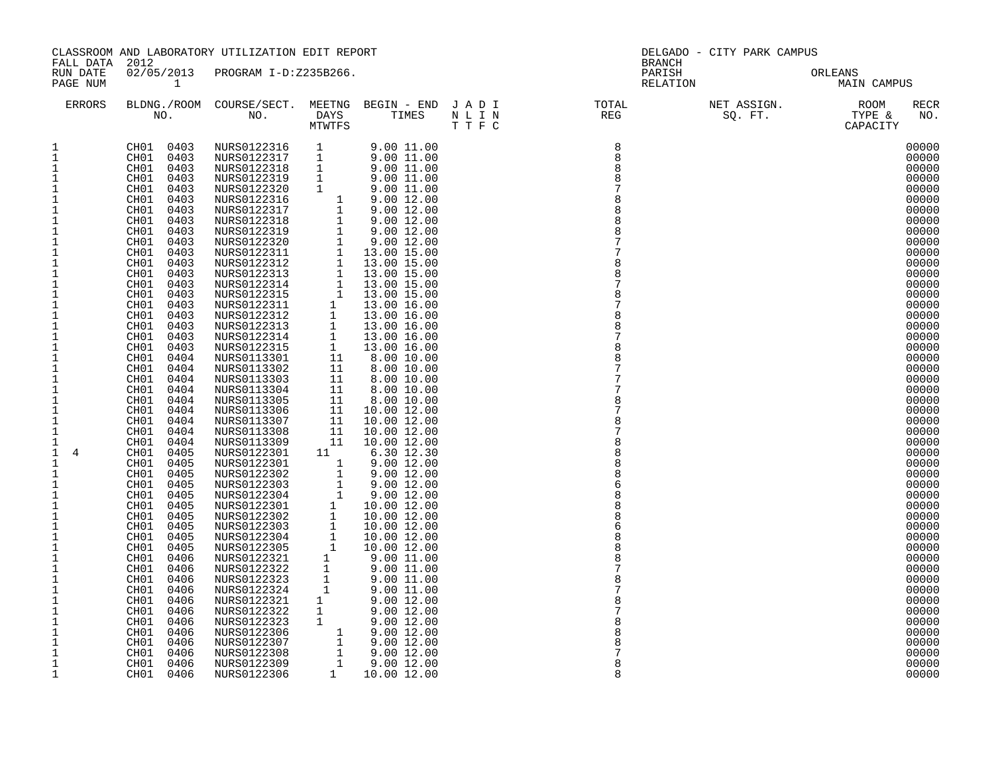| FALL DATA 2012                                                                                                                                                                                                                                                                                                                                                                                                                                                                                                              |                                                                                                                                                                                                                                                                                                                                                                                                                                                                                                                                                                                                                                                                                                                                                                                                                                           | CLASSROOM AND LABORATORY UTILIZATION EDIT REPORT                                                                                                                                                                                                                                                                                                                                                                                                                                                                                                                                                                                                                                                                                                                                              |                                                                                                                                                                                |                                                                                                                                                                                                                                                                                                                                                                                                                                                                                                                                                                                                                                                                                |                                                                                               | DELGADO - CITY PARK CAMPUS<br><b>BRANCH</b>                                                                            |  |                                                                                                                                                                                                                                                                                                                                                                                                                                                                         |  |  |
|-----------------------------------------------------------------------------------------------------------------------------------------------------------------------------------------------------------------------------------------------------------------------------------------------------------------------------------------------------------------------------------------------------------------------------------------------------------------------------------------------------------------------------|-------------------------------------------------------------------------------------------------------------------------------------------------------------------------------------------------------------------------------------------------------------------------------------------------------------------------------------------------------------------------------------------------------------------------------------------------------------------------------------------------------------------------------------------------------------------------------------------------------------------------------------------------------------------------------------------------------------------------------------------------------------------------------------------------------------------------------------------|-----------------------------------------------------------------------------------------------------------------------------------------------------------------------------------------------------------------------------------------------------------------------------------------------------------------------------------------------------------------------------------------------------------------------------------------------------------------------------------------------------------------------------------------------------------------------------------------------------------------------------------------------------------------------------------------------------------------------------------------------------------------------------------------------|--------------------------------------------------------------------------------------------------------------------------------------------------------------------------------|--------------------------------------------------------------------------------------------------------------------------------------------------------------------------------------------------------------------------------------------------------------------------------------------------------------------------------------------------------------------------------------------------------------------------------------------------------------------------------------------------------------------------------------------------------------------------------------------------------------------------------------------------------------------------------|-----------------------------------------------------------------------------------------------|------------------------------------------------------------------------------------------------------------------------|--|-------------------------------------------------------------------------------------------------------------------------------------------------------------------------------------------------------------------------------------------------------------------------------------------------------------------------------------------------------------------------------------------------------------------------------------------------------------------------|--|--|
| RUN DATE<br>PAGE NUM                                                                                                                                                                                                                                                                                                                                                                                                                                                                                                        | $\mathbf{1}$                                                                                                                                                                                                                                                                                                                                                                                                                                                                                                                                                                                                                                                                                                                                                                                                                              | 02/05/2013 PROGRAM I-D:Z235B266.                                                                                                                                                                                                                                                                                                                                                                                                                                                                                                                                                                                                                                                                                                                                                              |                                                                                                                                                                                |                                                                                                                                                                                                                                                                                                                                                                                                                                                                                                                                                                                                                                                                                |                                                                                               | PARISH<br>RELATION                                                                                                     |  | ORLEANS<br>MAIN CAMPUS                                                                                                                                                                                                                                                                                                                                                                                                                                                  |  |  |
| ERRORS                                                                                                                                                                                                                                                                                                                                                                                                                                                                                                                      |                                                                                                                                                                                                                                                                                                                                                                                                                                                                                                                                                                                                                                                                                                                                                                                                                                           |                                                                                                                                                                                                                                                                                                                                                                                                                                                                                                                                                                                                                                                                                                                                                                                               |                                                                                                                                                                                |                                                                                                                                                                                                                                                                                                                                                                                                                                                                                                                                                                                                                                                                                | BLDNG./ROOM COURSE/SECT. MEETNG BEGIN – END JADI TOTAL TOTAL NO. DAYS TIMES NLIN REG REG TTFC |                                                                                                                        |  | RECR<br>NO.                                                                                                                                                                                                                                                                                                                                                                                                                                                             |  |  |
| $\mathbf{1}$<br>$\mathbf 1$<br>1<br>1<br>$\mathbf{1}$<br>$\mathbf 1$<br>$\mathbf{1}$<br>1<br>$\mathbf 1$<br>1<br>1<br>1<br>1<br>$\mathbf{1}$<br>1<br>1<br>$\mathbf{1}$<br>1<br>1<br>$\mathbf{1}$<br>1<br>$1\,$<br>$\mathbf{1}$<br>$\mathbf 1$<br>1<br>$\mathbf{1}$<br>$\mathbf{1}$<br>1<br>1<br>$\mathbf{1}$<br>$\overline{4}$<br>$\mathbf{1}$<br>1<br>1<br>1<br>$\mathbf{1}$<br>$\mathbf{1}$<br>$\mathbf{1}$<br>1<br>$1\,$<br>$1\,$<br>1<br>1<br>$\mathbf 1$<br>1<br>1<br>1<br>1<br>1<br>1<br>$\mathbf{1}$<br>$\mathbf{1}$ | CH01 0403<br>CH01<br>0403<br>0403<br>CH01<br>CH01<br>0403<br>CH01<br>0403<br>CH01<br>0403<br>CH01<br>0403<br>CH01<br>0403<br>CH01<br>0403<br>0403<br>CH01<br>CH01<br>0403<br>CH01<br>0403<br>CH01<br>0403<br>CH01<br>0403<br>CH01<br>0403<br>0403<br>CH01<br>CH01<br>0403<br>CH01<br>0403<br>CH01<br>0403<br>CH01<br>0403<br>CH01<br>0404<br>CH01<br>0404<br>CH01<br>0404<br>CH01<br>0404<br>CH01<br>0404<br>CH01<br>0404<br>0404<br>CH01<br>CH01<br>0404<br>0404<br>CH01<br>CH01<br>0405<br>CH01<br>0405<br>CH01<br>0405<br>0405<br>CH01<br>CH01<br>0405<br>CH01<br>0405<br>CH01<br>0405<br>CH01<br>0405<br>CH01<br>0405<br>CH01<br>0405<br>CH01<br>0406<br>CH01<br>0406<br>0406<br>CH01<br>CH01<br>0406<br>CH01<br>0406<br>CH01<br>0406<br>CH01<br>0406<br>CH01<br>0406<br>CH01<br>0406<br>CH01<br>0406<br>CH01<br>0406<br>CH01<br>0406 | NURS0122316 1<br>NURS0122317 1<br>NURS0122318<br>NURS0122319<br>NURS0122320<br>NURS0122316<br>NURS0122317<br>NURS0122318<br>NURS0122319<br>NURS0122320<br>NURS0122311<br>NURS0122312<br>NURS0122313<br>NURS0122314<br>NURS0122315<br>NURS0122311<br>NURS0122312<br>NURS0122313<br>NURS0122314<br>NURS0122315<br>NURS0113301<br>NURS0113302<br>NURS0113303<br>NURS0113304<br>NURS0113305<br>NURS0113306<br>NURS0113307<br>NURS0113308<br>NURS0113309<br>NURS0122301<br>NURS0122301<br>NURS0122302<br>NURS0122303<br>NURS0122304<br>NURS0122301<br>NURS0122302<br>NURS0122303<br>NURS0122304<br>NURS0122305<br>NURS0122321<br>NURS0122322<br>NURS0122323<br>NURS0122324<br>NURS0122321<br>NURS0122322<br>NURS0122323<br>NURS0122306<br>NURS0122307<br>NURS0122308<br>NURS0122309<br>NURS0122306 | $\mathbf{1}$<br>$\mathbf{1}$<br>$\mathbf{1}$<br>11<br>$\mathbf{1}$<br>$\frac{1}{1}$<br>$\mathbf{1}$<br>$\mathbf{1}$<br>1<br>$\begin{array}{c} 1\\ 1\\ 1\\ 1\\ 1\\ \end{array}$ | 9.00 11.00<br>9.00 11.00<br>9.0011.00<br>9.00 11.00<br>9.00 11.00<br>$\begin{array}{cccc} 1 & 9.00 & 11.00 & 11.00 & 11.00 & 11.00 & 11.00 & 11.00 & 12.00 & 1 & 9.00 & 12.00 & 1 & 9.00 & 12.00 & 1 & 9.00 & 12.00 & 1 & 9.00 & 12.00 & 1 & 13.00 & 15.00 & 1 & 13.00 & 15.00 & 1 & 13.00 & 15.00 & 1 & 13.00 & 15.00 & 1 & 13.00 & 15.00 & 1 & 13$<br>6.30 12.30<br>9.00 12.00<br>9.00 12.00<br>9.00 12.00<br>9.00 12.00<br>10.00 12.00<br>10.00 12.00<br>10.00 12.00<br>10.00 12.00<br>10.00 12.00<br>9.00 11.00<br>9.00 11.00<br>9.00 11.00<br>9.00 11.00<br>9.00 12.00<br>9.00 12.00<br>9.00 12.00<br>9.00 12.00<br>9.00 12.00<br>9.00 12.00<br>9.00 12.00<br>10.00 12.00 |                                                                                               | 8<br>$\,8\,$<br>8<br>8<br>7<br>8<br>8<br>8<br>8<br>8<br>8<br>$\mathsf{R}$<br>8<br>8<br>8<br>6<br>8<br>8<br>8<br>8<br>8 |  | 00000<br>00000<br>00000<br>00000<br>00000<br>00000<br>00000<br>00000<br>00000<br>00000<br>00000<br>00000<br>00000<br>00000<br>00000<br>00000<br>00000<br>00000<br>00000<br>00000<br>00000<br>00000<br>00000<br>00000<br>00000<br>00000<br>00000<br>00000<br>00000<br>00000<br>00000<br>00000<br>00000<br>00000<br>00000<br>00000<br>00000<br>00000<br>00000<br>00000<br>00000<br>00000<br>00000<br>00000<br>00000<br>00000<br>00000<br>00000<br>00000<br>00000<br>00000 |  |  |
|                                                                                                                                                                                                                                                                                                                                                                                                                                                                                                                             |                                                                                                                                                                                                                                                                                                                                                                                                                                                                                                                                                                                                                                                                                                                                                                                                                                           |                                                                                                                                                                                                                                                                                                                                                                                                                                                                                                                                                                                                                                                                                                                                                                                               |                                                                                                                                                                                |                                                                                                                                                                                                                                                                                                                                                                                                                                                                                                                                                                                                                                                                                |                                                                                               |                                                                                                                        |  |                                                                                                                                                                                                                                                                                                                                                                                                                                                                         |  |  |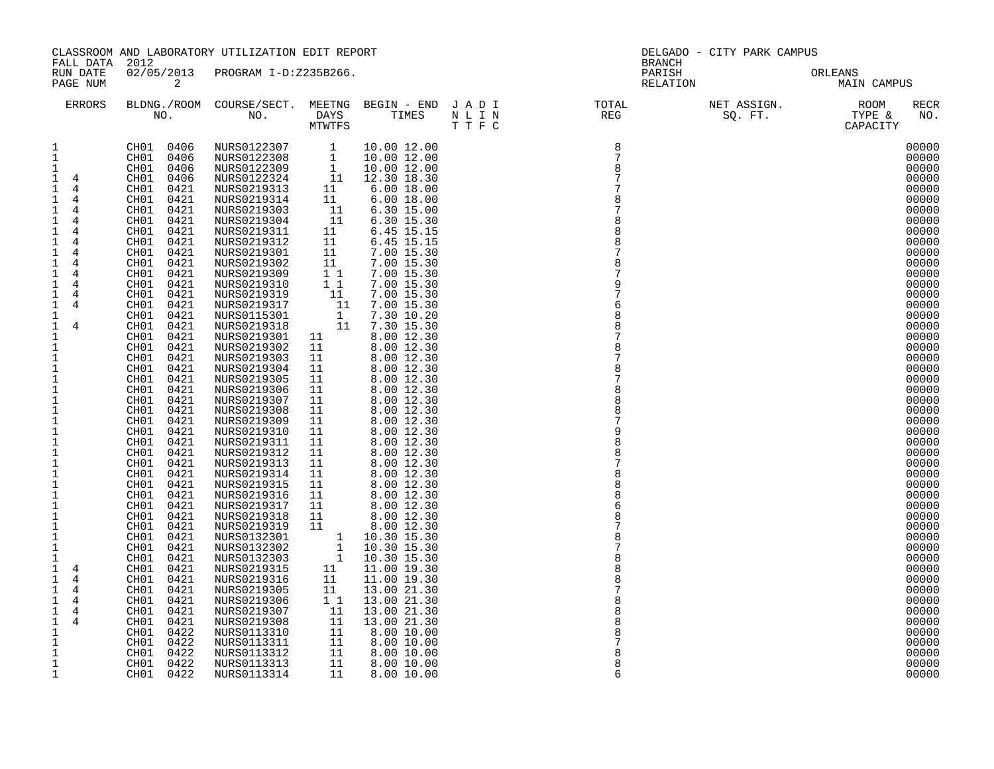|                                                                                                                                                                                                                                                                                                                                                                                                                                                                                                                                                                                                                                                                                                                                                                      |                                                                                                                                                                                                                                                                                                                                                                                                                                                                                                                                                                                                                                                                                                                                                                                                                                        | CLASSROOM AND LABORATORY UTILIZATION EDIT REPORT                                                                                                                                                                                                                                                                                                                                                                                                                                                                                                                                                                                                                                                                                                                                          |                                                                                                                                                                                                                                                                                                                                                                                                    |                                                                                                                                                                                                                                                                                                                                                                                                                                                                                                                                                                                                                                                                                                                                                         |                                                                                                        |                                                                                                                                                                                                  | DELGADO - CITY PARK CAMPUS |                                                                                                                                                                                                                                                                                                                                                                                                                                                                         |
|----------------------------------------------------------------------------------------------------------------------------------------------------------------------------------------------------------------------------------------------------------------------------------------------------------------------------------------------------------------------------------------------------------------------------------------------------------------------------------------------------------------------------------------------------------------------------------------------------------------------------------------------------------------------------------------------------------------------------------------------------------------------|----------------------------------------------------------------------------------------------------------------------------------------------------------------------------------------------------------------------------------------------------------------------------------------------------------------------------------------------------------------------------------------------------------------------------------------------------------------------------------------------------------------------------------------------------------------------------------------------------------------------------------------------------------------------------------------------------------------------------------------------------------------------------------------------------------------------------------------|-------------------------------------------------------------------------------------------------------------------------------------------------------------------------------------------------------------------------------------------------------------------------------------------------------------------------------------------------------------------------------------------------------------------------------------------------------------------------------------------------------------------------------------------------------------------------------------------------------------------------------------------------------------------------------------------------------------------------------------------------------------------------------------------|----------------------------------------------------------------------------------------------------------------------------------------------------------------------------------------------------------------------------------------------------------------------------------------------------------------------------------------------------------------------------------------------------|---------------------------------------------------------------------------------------------------------------------------------------------------------------------------------------------------------------------------------------------------------------------------------------------------------------------------------------------------------------------------------------------------------------------------------------------------------------------------------------------------------------------------------------------------------------------------------------------------------------------------------------------------------------------------------------------------------------------------------------------------------|--------------------------------------------------------------------------------------------------------|--------------------------------------------------------------------------------------------------------------------------------------------------------------------------------------------------|----------------------------|-------------------------------------------------------------------------------------------------------------------------------------------------------------------------------------------------------------------------------------------------------------------------------------------------------------------------------------------------------------------------------------------------------------------------------------------------------------------------|
| FALL DATA<br>RUN DATE<br>PAGE NUM                                                                                                                                                                                                                                                                                                                                                                                                                                                                                                                                                                                                                                                                                                                                    | 2012<br>2                                                                                                                                                                                                                                                                                                                                                                                                                                                                                                                                                                                                                                                                                                                                                                                                                              | 02/05/2013 PROGRAM I-D:Z235B266.                                                                                                                                                                                                                                                                                                                                                                                                                                                                                                                                                                                                                                                                                                                                                          |                                                                                                                                                                                                                                                                                                                                                                                                    |                                                                                                                                                                                                                                                                                                                                                                                                                                                                                                                                                                                                                                                                                                                                                         |                                                                                                        | <b>BRANCH</b><br>PARISH<br>RELATION                                                                                                                                                              |                            | ORLEANS<br><b>MAIN CAMPUS</b>                                                                                                                                                                                                                                                                                                                                                                                                                                           |
| <b>ERRORS</b>                                                                                                                                                                                                                                                                                                                                                                                                                                                                                                                                                                                                                                                                                                                                                        |                                                                                                                                                                                                                                                                                                                                                                                                                                                                                                                                                                                                                                                                                                                                                                                                                                        |                                                                                                                                                                                                                                                                                                                                                                                                                                                                                                                                                                                                                                                                                                                                                                                           |                                                                                                                                                                                                                                                                                                                                                                                                    |                                                                                                                                                                                                                                                                                                                                                                                                                                                                                                                                                                                                                                                                                                                                                         | BLDNG./ROOM COURSE/SECT. MEETNG BEGIN - END J A D I TOTAL TOTAL DAYS TIMES N L I N REG REG NO.<br>TTFC |                                                                                                                                                                                                  | NET ASSIGN.<br>SQ. FT.     | <b>RECR</b><br>ROOM<br>KUUM<br>TYPE &<br>CAPACITY<br>NO.                                                                                                                                                                                                                                                                                                                                                                                                                |
| $\mathbf{1}$<br>$\mathbf{1}$<br>1<br>$1 \quad 4$<br>$1 \quad 4$<br>$\mathbf{1}$<br>4<br>$\mathbf{1}$<br>$\overline{4}$<br>$\overline{4}$<br>1<br>$\mathbf{1}$<br>4<br>$\overline{4}$<br>1<br>1<br>4<br>$\mathbf 1$<br>$\overline{4}$<br>$\mathbf{1}$<br>4<br>$\mathbf{1}$<br>$\overline{4}$<br>1<br>4<br>$\mathbf 1$<br>4<br>$\mathbf{1}$<br>$\mathbf{1}$<br>4<br>$\mathbf{1}$<br>1<br>1<br>$\mathbf{1}$<br>$\mathbf 1$<br>$\mathbf{1}$<br>1<br>$\mathbf{1}$<br>$\mathbf{1}$<br>1<br>$\mathbf{1}$<br>$\frac{1}{1}$<br>$\mathbf{1}$<br>$1\,$<br>$1\,$<br>$\frac{1}{1}$<br>$1\,$<br>$1\,$<br>$\mathbf{1}$<br>1<br>$\mathbf{1}$<br>4<br>1<br>4<br>$\mathbf{1}$<br>4<br>1<br>4<br>$\mathbf{1}$<br>4<br>$\mathbf 1$<br>$\overline{4}$<br>1<br>1<br>1<br>$\mathbf{1}$<br>1 | CH01 0406<br>CH01<br>0406<br>CH01<br>0406<br>CH01<br>0406<br>CH01<br>0421<br>CH01<br>0421<br>CH01<br>0421<br>0421<br>CH01<br>CH01<br>0421<br>CH01<br>0421<br>CH01<br>0421<br>CH01<br>0421<br>CH01<br>0421<br>CH01<br>0421<br>CH01<br>0421<br>CH01<br>0421<br>CH01<br>0421<br>CH01<br>0421<br>CH01<br>0421<br>CH01<br>0421<br>CH01<br>0421<br>CH01<br>0421<br>CH01<br>0421<br>CH01<br>0421<br>0421<br>CH01<br>CH01<br>0421<br>0421<br>CH01<br>CH01<br>0421<br>CH01<br>0421<br>CH01<br>0421<br>CH01<br>0421<br>CH01<br>0421<br>CH01<br>0421<br>CH01<br>0421<br>CH01<br>0421<br>CH01<br>0421<br>CH01<br>0421<br>CH01<br>0421<br>CH01<br>0421<br>CH01<br>0421<br>CH01<br>0421<br>CH01<br>0421<br>CH01<br>0421<br>CH01<br>0421<br>CH01<br>0421<br>0421<br>CH01<br>CH01<br>0422<br>0422<br>CH01<br>CH01<br>0422<br>0422<br>CH01<br>CH01 0422 | NURS0122307<br>NURS0122308<br>NURS0122309<br>NURS0122324<br>NURS0219313<br>NURS0219314<br>NURS0219303<br>NURS0219304<br>NURS0219311<br>NURS0219312<br>NURS0219301<br>NURS0219302<br>NURS0219309<br>NURS0219310<br>NURS0219319<br>NURS0219317<br>NURS0115301<br>NURS0219318<br>NURS0219301<br>NURS0219302<br>NURS0219303<br>NURS0219304<br>NURS0219305<br>NURS0219306<br>NURS0219307<br>NURS0219308<br>NURS0219309<br>NURS0219310<br>NURS0219311<br>NURS0219312<br>NURS0219313<br>NURS0219314<br>NURS0219315<br>NURS0219316<br>NURS0219317<br>NURS0219318<br>NURS0219319<br>NURS0132301<br>NURS0132302<br>NURS0132303<br>NURS0219315<br>NURS0219316<br>NURS0219305<br>NURS0219306<br>NURS0219307<br>NURS0219308<br>NURS0113310<br>NURS0113311<br>NURS0113312<br>NURS0113313<br>NURS0113314 | $\begin{array}{c}\n1 \\ 1 \\ 1\n\end{array}$<br>11<br>11<br>-11<br>11<br>11<br>11<br>11<br>11<br>11<br>$1\quad1$<br>$1\quad1$<br>11<br>$\begin{bmatrix} 1 \\ 1 \\ 1 \\ 1 \end{bmatrix}$<br>11<br>11<br>11<br>11<br>11<br>11<br>11<br>11<br>11<br>11<br>11<br>11<br>11<br>11<br>11<br>11<br>11<br>11<br>11<br>11<br>1<br>1<br>1<br>11<br>11<br>11<br>11<br>11<br>- 11<br>11<br>11<br>11<br>11<br>11 | 10.00 12.00<br>10.00 12.00<br>10.00 12.00<br>12.30 18.30<br>$6.00$ 18.00<br>$6.00$ 18.00<br>6.30 15.00<br>6.30 15.30<br>6.45 15.15<br>6.45 15.15<br>7.00 15.30<br>7.00 15.30<br>7.00 15.30<br>7.00 15.30<br>7.00 15.30<br>7.00 15.30<br>7.30 10.20<br>7.30 15.30<br>8.00 12.30<br>8.00 12.30<br>8.00 12.30<br>8.00 12.30<br>8.00 12.30<br>8.00 12.30<br>8.00 12.30<br>8.00 12.30<br>8.00 12.30<br>8.00 12.30<br>8.00 12.30<br>8.00 12.30<br>8.00 12.30<br>8.00 12.30<br>8.00 12.30<br>8.00 12.30<br>8.00 12.30<br>8.00 12.30<br>8.00 12.30<br>10.30 15.30<br>10.30 15.30<br>10.30 15.30<br>11.00 19.30<br>11.00 19.30<br>13.00 21.30<br>13.00 21.30<br>13.00 21.30<br>13.00 21.30<br>8.00 10.00<br>8.00 10.00<br>8.00 10.00<br>8.00 10.00<br>8.00 10.00 |                                                                                                        | 8<br>$7\phantom{.0}$<br>8<br>7<br>7<br>8<br>8<br>8<br>8<br>9<br>7<br>6<br>8<br>8<br>$\mathsf{R}$<br>8<br>8<br>8<br>9<br>8<br>8<br>8<br>6<br>8<br>8<br>7<br>8<br>$\mathsf{R}$<br>8<br>8<br>8<br>6 |                            | 00000<br>00000<br>00000<br>00000<br>00000<br>00000<br>00000<br>00000<br>00000<br>00000<br>00000<br>00000<br>00000<br>00000<br>00000<br>00000<br>00000<br>00000<br>00000<br>00000<br>00000<br>00000<br>00000<br>00000<br>00000<br>00000<br>00000<br>00000<br>00000<br>00000<br>00000<br>00000<br>00000<br>00000<br>00000<br>00000<br>00000<br>00000<br>00000<br>00000<br>00000<br>00000<br>00000<br>00000<br>00000<br>00000<br>00000<br>00000<br>00000<br>00000<br>00000 |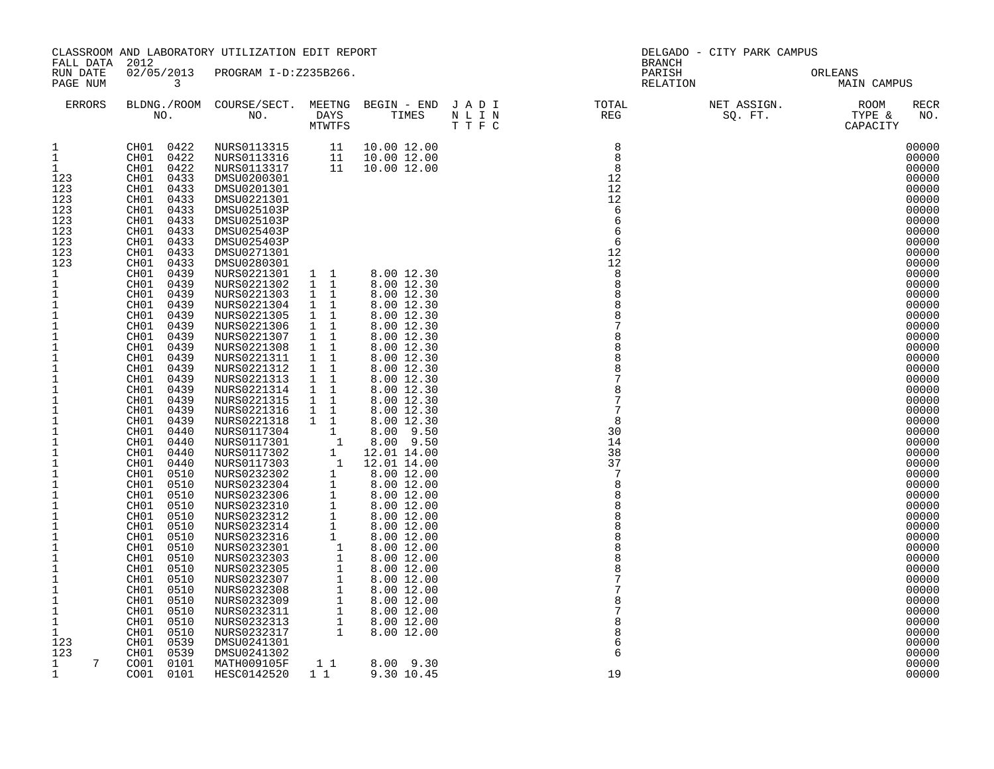| ORLEANS<br>02/05/2013 PROGRAM I-D:Z235B266.<br>RUN DATE<br>PARISH<br>PAGE NUM<br>$\overline{\mathbf{3}}$<br>RELATION<br>MAIN CAMPUS<br>BLDNG./ROOM COURSE/SECT. MEETNG BEGIN – END JADI TOTAL TOTAL NET ASSIGN. NO ROOM NO. DAYS TIMES NLIN REG REG SQ.FT. TYPE &<br>ERRORS<br>$\begin{array}{c} 8 \\ 8 \\ 8 \\ 12 \end{array}$<br>CH01 0422 NURS0113315 11 10.0012.00<br>CH01 0422 NURS0113316 11 10.0012.00<br>CH01 0422 NURS0113317 11 10.0012.00<br>CH01 0433 DMSU0200301<br>1<br>$\mathbf{1}$<br>1<br>CH01 0433<br>123<br>DMSU0200301<br>CH01 0433<br>12<br>123<br>DMSU0201301<br>123<br>CH01 0433<br>DMSU0221301<br>12<br>123<br>0433<br>CH01<br>6<br>DMSU025103P<br>123<br>CH01<br>0433<br>DMSU025103P<br>6<br>123<br>CH01<br>0433<br>DMSU025403P<br>6<br>123<br>CH01<br>0433<br>DMSU025403P<br>6<br>123<br>CH01<br>0433<br>DMSU0271301<br>12<br>123<br>CH01<br>0433<br>12<br>DMSU0280301<br>1 1 8.00 12.30<br>0439<br>8<br>1<br>CH01<br>NURS0221301<br>$\mathbf 1$<br>CH01<br>0439<br>NURS0221302<br>$1\quad1$<br>8.00 12.30<br>8<br>$\mathbf 1$<br>0439<br>NURS0221303 1 1<br>8.00 12.30<br>CH01<br>$\mathbf{1}$<br>CH01<br>0439<br>NURS0221304<br>1 1<br>8.00 12.30<br>8<br>$1\,$<br>CH01<br>0439<br>NURS0221305<br>1 1<br>8<br>8.00 12.30<br>$\mathbf 1$<br>CH01<br>0439<br>$1\quad1$<br>NURS0221306<br>8.00 12.30<br>$\mathbf{1}$<br>$1\quad1$<br>CH01<br>0439<br>NURS0221307<br>8.00 12.30<br>$\mathbf{1}$<br>CH01<br>0439<br>1 1<br>NURS0221308<br>8.00 12.30<br>$\ensuremath{\mathsf{1}}$<br>0439<br>CH01<br>NURS0221311<br>$1\quad1$<br>8.00 12.30<br>8<br>$\mathbf{1}$<br>$1\quad1$<br>CH01<br>0439<br>8.00 12.30<br>NURS0221312<br>0439<br>$1\quad1$<br>$\mathbf 1$<br>CH01<br>NURS0221313<br>8.00 12.30<br>$\mathbf{1}$<br>0439<br>$1\quad1$<br>CH01<br>NURS0221314<br>8.00 12.30<br>CH01 0439<br>$1\quad1$<br>7<br>$\mathbf{1}$<br>NURS0221315<br>8.00 12.30<br>$\mathbf{1}$<br>0439<br>NURS0221316<br>1 1<br>CH01<br>8.00 12.30<br>0439<br>$1\quad1$<br>$\mathbf{1}$<br>CH01<br>NURS0221318<br>8.00 12.30<br>8<br>$\mathbf{1}$<br>0440<br>NURS0221318 1 8.00 12.30<br>NURS0117304 1 8.00 12.30<br>NURS0117304 1 8.00 9.50<br>NURS0117302 1 12.01 14.00<br>NURS0117302 1 12.01 14.00<br>NURS0117302 1 12.01 14.00<br>NURS0232302 1 8.00 12.00<br>NURS0232304 1 8.00 12.00<br>NURS0232310<br>30<br>CH01<br>0440<br>$\mathbf 1$<br>CH01<br>14<br>$\mathbf{1}$<br>38<br>CH01<br>0440<br>$\mathbf{1}$<br>CH01<br>0440<br>37<br>$\mathbf 1$<br>CH01<br>0510<br>$\mathbf{1}$<br>CH01<br>0510<br>8<br>$\mathbf{1}$<br>CH01<br>0510<br>8<br>$\mathbf{1}$<br>CH01<br>0510<br>$1\,$<br>CH01<br>0510<br>$\,1\,$<br>CH01<br>0510<br>$\mathbf{1}$<br>CH01<br>0510<br>8<br>$1\,$<br>CH01<br>0510<br>$\mathbf{1}$<br>CH01<br>0510<br>$\mathbf{1}$<br>CH01<br>0510<br>$\mathbf 1$<br>CH01<br>0510<br>$\mathbf{1}$<br>0510<br>CH01<br>$\mathbf 1$<br>CH01<br>0510<br>$\mathbf 1$<br>0510<br>CH01<br>0510<br>8<br>1<br>CH01<br>$\mathbf{1}$<br>CH01<br>0510<br>8<br>CH01<br>0539<br>123<br>DMSU0241301<br>6<br>123<br>CH01<br>0539<br>DMSU0241302<br>6<br>$\begin{smallmatrix}1&1\\1&1\end{smallmatrix}$<br>7<br>$\mathbf{1}$<br>CO01 0101<br>MATH009105F<br>8.00 9.30 | FALL DATA 2012 | CLASSROOM AND LABORATORY UTILIZATION EDIT REPORT |  | BRANCH | DELGADO - CITY PARK CAMPUS |                                                                                                                                                                                                                                                                                                                                                                                                                            |
|--------------------------------------------------------------------------------------------------------------------------------------------------------------------------------------------------------------------------------------------------------------------------------------------------------------------------------------------------------------------------------------------------------------------------------------------------------------------------------------------------------------------------------------------------------------------------------------------------------------------------------------------------------------------------------------------------------------------------------------------------------------------------------------------------------------------------------------------------------------------------------------------------------------------------------------------------------------------------------------------------------------------------------------------------------------------------------------------------------------------------------------------------------------------------------------------------------------------------------------------------------------------------------------------------------------------------------------------------------------------------------------------------------------------------------------------------------------------------------------------------------------------------------------------------------------------------------------------------------------------------------------------------------------------------------------------------------------------------------------------------------------------------------------------------------------------------------------------------------------------------------------------------------------------------------------------------------------------------------------------------------------------------------------------------------------------------------------------------------------------------------------------------------------------------------------------------------------------------------------------------------------------------------------------------------------------------------------------------------------------------------------------------------------------------------------------------------------------------------------------------------------------------------------------------------------------------------------------------------------------------------------------------------------------------------------------------------------------------------------------------------------------------------------------------------------------------------------------------------------------------------------------------------------------------------------------------------------------------------------------------------------------------------------------------------------------------------------------------------------------------------------------------------------------------|----------------|--------------------------------------------------|--|--------|----------------------------|----------------------------------------------------------------------------------------------------------------------------------------------------------------------------------------------------------------------------------------------------------------------------------------------------------------------------------------------------------------------------------------------------------------------------|
|                                                                                                                                                                                                                                                                                                                                                                                                                                                                                                                                                                                                                                                                                                                                                                                                                                                                                                                                                                                                                                                                                                                                                                                                                                                                                                                                                                                                                                                                                                                                                                                                                                                                                                                                                                                                                                                                                                                                                                                                                                                                                                                                                                                                                                                                                                                                                                                                                                                                                                                                                                                                                                                                                                                                                                                                                                                                                                                                                                                                                                                                                                                                                                          |                |                                                  |  |        |                            |                                                                                                                                                                                                                                                                                                                                                                                                                            |
|                                                                                                                                                                                                                                                                                                                                                                                                                                                                                                                                                                                                                                                                                                                                                                                                                                                                                                                                                                                                                                                                                                                                                                                                                                                                                                                                                                                                                                                                                                                                                                                                                                                                                                                                                                                                                                                                                                                                                                                                                                                                                                                                                                                                                                                                                                                                                                                                                                                                                                                                                                                                                                                                                                                                                                                                                                                                                                                                                                                                                                                                                                                                                                          |                |                                                  |  |        |                            | RECR<br>NO.                                                                                                                                                                                                                                                                                                                                                                                                                |
|                                                                                                                                                                                                                                                                                                                                                                                                                                                                                                                                                                                                                                                                                                                                                                                                                                                                                                                                                                                                                                                                                                                                                                                                                                                                                                                                                                                                                                                                                                                                                                                                                                                                                                                                                                                                                                                                                                                                                                                                                                                                                                                                                                                                                                                                                                                                                                                                                                                                                                                                                                                                                                                                                                                                                                                                                                                                                                                                                                                                                                                                                                                                                                          |                |                                                  |  |        |                            | 00000<br>00000<br>00000<br>00000<br>00000<br>00000<br>00000<br>00000<br>00000<br>00000<br>00000<br>00000<br>00000<br>00000<br>00000<br>00000<br>00000<br>00000<br>00000<br>00000<br>00000<br>00000<br>00000<br>00000<br>00000<br>00000<br>00000<br>00000<br>00000<br>00000<br>00000<br>00000<br>00000<br>00000<br>00000<br>00000<br>00000<br>00000<br>00000<br>00000<br>00000<br>00000<br>00000<br>00000<br>00000<br>00000 |
| CO01 0101<br>HESC0142520<br>9.30 10.45                                                                                                                                                                                                                                                                                                                                                                                                                                                                                                                                                                                                                                                                                                                                                                                                                                                                                                                                                                                                                                                                                                                                                                                                                                                                                                                                                                                                                                                                                                                                                                                                                                                                                                                                                                                                                                                                                                                                                                                                                                                                                                                                                                                                                                                                                                                                                                                                                                                                                                                                                                                                                                                                                                                                                                                                                                                                                                                                                                                                                                                                                                                                   | $\mathbf{1}$   |                                                  |  | 19     |                            | 00000<br>00000<br>00000<br>00000<br>00000                                                                                                                                                                                                                                                                                                                                                                                  |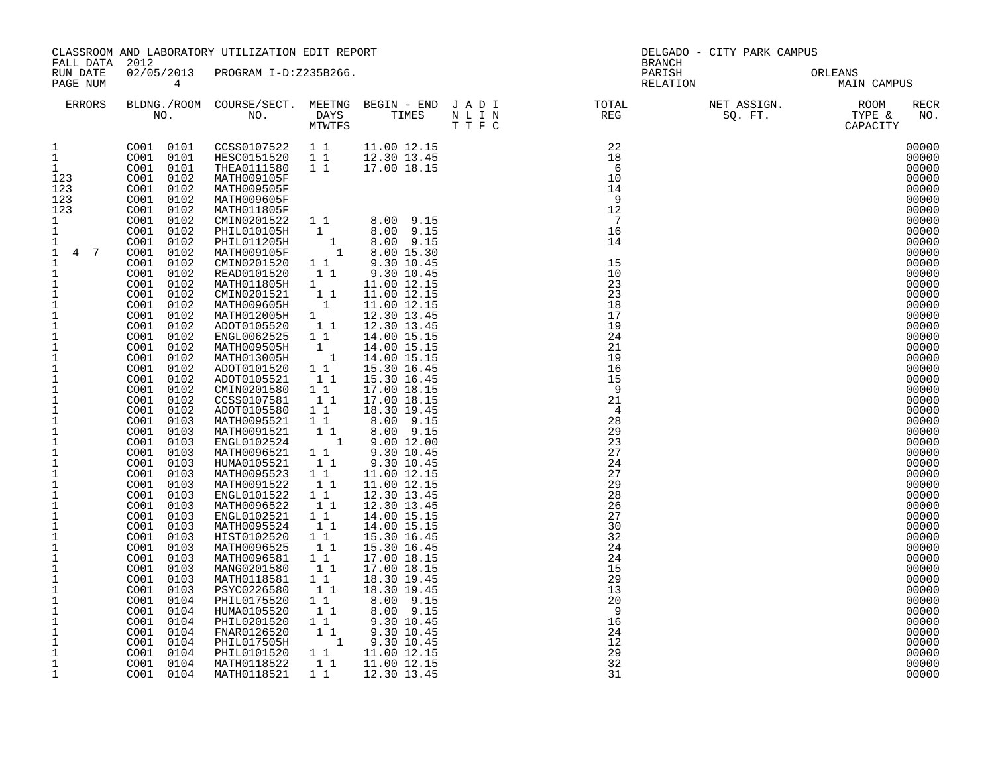| FALL DATA 2012                                                                                                                                                                                                                                                                                                                                                                                                                                                                                                                                                                                                                                                                                               |                                                                                                                                                                                                                                                                                                                                                                                                                                                                                                                                                                                                                                                                                                                                                                                                                                          | CLASSROOM AND LABORATORY UTILIZATION EDIT REPORT                                                                        |  | <b>BRANCH</b> | DELGADO - CITY PARK CAMPUS          |                                                                                                                                                                                                                                                                                                                                                                                                                                                                         |
|--------------------------------------------------------------------------------------------------------------------------------------------------------------------------------------------------------------------------------------------------------------------------------------------------------------------------------------------------------------------------------------------------------------------------------------------------------------------------------------------------------------------------------------------------------------------------------------------------------------------------------------------------------------------------------------------------------------|------------------------------------------------------------------------------------------------------------------------------------------------------------------------------------------------------------------------------------------------------------------------------------------------------------------------------------------------------------------------------------------------------------------------------------------------------------------------------------------------------------------------------------------------------------------------------------------------------------------------------------------------------------------------------------------------------------------------------------------------------------------------------------------------------------------------------------------|-------------------------------------------------------------------------------------------------------------------------|--|---------------|-------------------------------------|-------------------------------------------------------------------------------------------------------------------------------------------------------------------------------------------------------------------------------------------------------------------------------------------------------------------------------------------------------------------------------------------------------------------------------------------------------------------------|
| RUN DATE<br>PAGE NUM                                                                                                                                                                                                                                                                                                                                                                                                                                                                                                                                                                                                                                                                                         | $\overline{4}$                                                                                                                                                                                                                                                                                                                                                                                                                                                                                                                                                                                                                                                                                                                                                                                                                           | 02/05/2013 PROGRAM I-D:Z235B266.                                                                                        |  |               | PARISH ORLEANS NELATION MAIN CAMPUS |                                                                                                                                                                                                                                                                                                                                                                                                                                                                         |
| ERRORS                                                                                                                                                                                                                                                                                                                                                                                                                                                                                                                                                                                                                                                                                                       |                                                                                                                                                                                                                                                                                                                                                                                                                                                                                                                                                                                                                                                                                                                                                                                                                                          |                                                                                                                         |  |               |                                     | <b>RECR</b><br>NO.                                                                                                                                                                                                                                                                                                                                                                                                                                                      |
| $\mathbf{1}$<br>$\mathbf{1}$<br>1<br>123<br>123<br>123<br>123<br>1<br>$\mathbf{1}$<br>1<br>$1 \quad 4 \quad 7$<br>$\mathbf{1}$<br>$\mathbf{1}$<br>$\mathbf{1}$<br>1<br>$\mathbf{1}$<br>$\overline{1}$<br>$1$<br>$1\,$<br>$\mathbf{1}$<br>$\overline{\frac{1}{1}}$<br>$\mathbf{1}$<br>$\mathbf{1}$<br>$\mathbf{1}$<br>$\mathbf{1}$<br>$\mathbf{1}$<br>$\mathbf{1}$<br>$\mathbf{1}$<br>$\,1\,$<br>$\mathbf{1}$<br>$\mathbf{1}$<br>$\mathbf{1}$<br>$\frac{1}{1}$<br>$1\,$<br>$\mathbf 1$<br>$\mathbf{1}$<br>$\mathbf 1$<br>$\mathbf{1}$<br>$\mathbf{1}$<br>$\mathbf{1}$<br>$\mathbf{1}$<br>$\mathbf{1}$<br>$\mathbf{1}$<br>$\mathbf{1}$<br>$\mathbf 1$<br>$\mathbf{1}$<br>$1\,$<br>$\mathbf{1}$<br>$\mathbf{1}$ | CO01 0101<br>CO01 0102<br>CO01 0102<br>CO01 0102<br>CO01 0102<br>CO01 0102<br>CO01 0102<br>CO01 0102<br>CO01 0102<br>CO01 0102<br>CO01 0102<br>$\begin{array}{r} 0.01 & 0.102 \ 0.001 & 0.102 \ 0.001 & 0.102 \ 0.001 & 0.102 \ 0.001 & 0.102 \ 0.001 & 0.102 \ 0.001 & 0.102 \ 0.001 & 0.102 \ 0.001 & 0.102 \ 0.001 & 0.102 \ 0.001 & 0.102 \ 0.001 & 0.102 \ 0.001 & 0.102 \ 0.001 & 0.102 \ 0.001 & 0.102 \end{array}$<br>$\begin{array}{rr} 0.001 & 0.103 \ 0.001 & 0.103 \ 0.001 & 0.103 \ 0.001 & 0.103 \ \end{array}$<br>CO01 0103<br>CO01 0103<br>CO01 0103<br>CO01 0103<br>CO01 0103<br>CO01 0103<br>CO01 0103<br>CO01 0103<br>CO01 0103<br>CO01 0103<br>CO01 0103<br>CO01 0103<br>CO01 0103<br>CO01 0103<br>CO01 0103<br>CO01 0104<br>CO01 0104<br>CO01 0104<br>CO01 0104<br>CO01 0104<br>CO01 0104<br>CO01 0104<br>CO01 0104 | CO01 0101 CCSS0107522 1 1 11.00 12.15<br>CO01 0101 HESC0151520 1 1 12.30 13.45<br>CO01 0101 THEA0111580 1 1 17.00 18.15 |  |               |                                     | 00000<br>00000<br>00000<br>00000<br>00000<br>00000<br>00000<br>00000<br>00000<br>00000<br>00000<br>00000<br>00000<br>00000<br>00000<br>00000<br>00000<br>00000<br>00000<br>00000<br>00000<br>00000<br>00000<br>00000<br>00000<br>00000<br>00000<br>00000<br>00000<br>00000<br>00000<br>00000<br>00000<br>00000<br>00000<br>00000<br>00000<br>00000<br>00000<br>00000<br>00000<br>00000<br>00000<br>00000<br>00000<br>00000<br>00000<br>00000<br>00000<br>00000<br>00000 |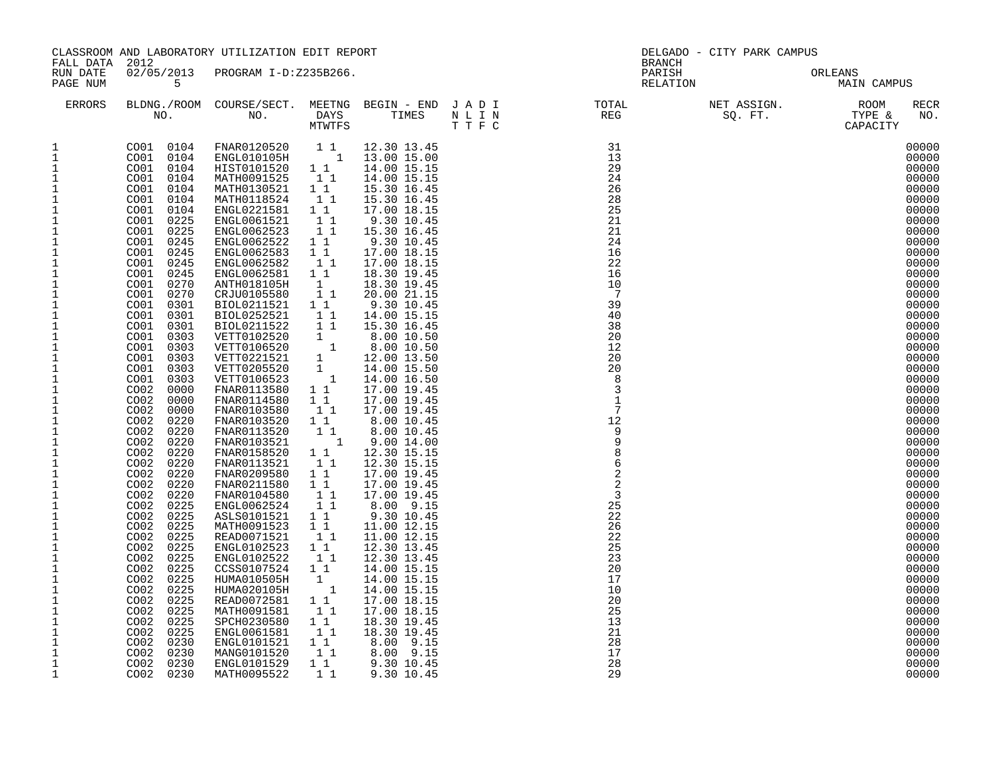| FALL DATA 2012                                                                                                                                                                                                                                                                                                                                                                                                                                                                                                                                                                                                                                                                                                          |                                                                                                                                                                                                                                                                                                                                                                                                                                                                                                                                                                                                                                                                                                                         | CLASSROOM AND LABORATORY UTILIZATION EDIT REPORT                                                                                                                                                                                                                                                                                                                                                                                                                                                                                                                                                                                                                                                                                                                                                                                                                                                                                                |                                                                                                                                                                                                                                                                                                                                                                                                                           |                                                                                                                                             |                                                                                                                                                                                                                                                                                                                                                                       | BRANCH                                                                                                                                                                                                                                                                                                                                                                                                                                    | DELGADO - CITY PARK CAMPUS            |                                                                                                                                                                                                                                                                                                                                                                                                                                                                         |
|-------------------------------------------------------------------------------------------------------------------------------------------------------------------------------------------------------------------------------------------------------------------------------------------------------------------------------------------------------------------------------------------------------------------------------------------------------------------------------------------------------------------------------------------------------------------------------------------------------------------------------------------------------------------------------------------------------------------------|-------------------------------------------------------------------------------------------------------------------------------------------------------------------------------------------------------------------------------------------------------------------------------------------------------------------------------------------------------------------------------------------------------------------------------------------------------------------------------------------------------------------------------------------------------------------------------------------------------------------------------------------------------------------------------------------------------------------------|-------------------------------------------------------------------------------------------------------------------------------------------------------------------------------------------------------------------------------------------------------------------------------------------------------------------------------------------------------------------------------------------------------------------------------------------------------------------------------------------------------------------------------------------------------------------------------------------------------------------------------------------------------------------------------------------------------------------------------------------------------------------------------------------------------------------------------------------------------------------------------------------------------------------------------------------------|---------------------------------------------------------------------------------------------------------------------------------------------------------------------------------------------------------------------------------------------------------------------------------------------------------------------------------------------------------------------------------------------------------------------------|---------------------------------------------------------------------------------------------------------------------------------------------|-----------------------------------------------------------------------------------------------------------------------------------------------------------------------------------------------------------------------------------------------------------------------------------------------------------------------------------------------------------------------|-------------------------------------------------------------------------------------------------------------------------------------------------------------------------------------------------------------------------------------------------------------------------------------------------------------------------------------------------------------------------------------------------------------------------------------------|---------------------------------------|-------------------------------------------------------------------------------------------------------------------------------------------------------------------------------------------------------------------------------------------------------------------------------------------------------------------------------------------------------------------------------------------------------------------------------------------------------------------------|
| RUN DATE<br>PAGE NUM                                                                                                                                                                                                                                                                                                                                                                                                                                                                                                                                                                                                                                                                                                    | $\overline{5}$                                                                                                                                                                                                                                                                                                                                                                                                                                                                                                                                                                                                                                                                                                          | 02/05/2013 PROGRAM I-D:Z235B266.                                                                                                                                                                                                                                                                                                                                                                                                                                                                                                                                                                                                                                                                                                                                                                                                                                                                                                                |                                                                                                                                                                                                                                                                                                                                                                                                                           |                                                                                                                                             |                                                                                                                                                                                                                                                                                                                                                                       |                                                                                                                                                                                                                                                                                                                                                                                                                                           | PARISH ORLEANS<br>RELATION MAIN CAMPU | MAIN CAMPUS                                                                                                                                                                                                                                                                                                                                                                                                                                                             |
| ERRORS                                                                                                                                                                                                                                                                                                                                                                                                                                                                                                                                                                                                                                                                                                                  |                                                                                                                                                                                                                                                                                                                                                                                                                                                                                                                                                                                                                                                                                                                         |                                                                                                                                                                                                                                                                                                                                                                                                                                                                                                                                                                                                                                                                                                                                                                                                                                                                                                                                                 |                                                                                                                                                                                                                                                                                                                                                                                                                           | T T F C                                                                                                                                     |                                                                                                                                                                                                                                                                                                                                                                       | $\begin{tabular}{lllllllllllllllllllll} \textsc{BLDNG.} \textsc{ROOM} & \textsc{CUIRSE/SECT.} & \textsc{METNG} & \textsc{BEGIN} & - & \textsc{END} & \textsc{J} & \textsc{A} & \textsc{D} & \textsc{I} & & & \textsc{TOTIL} & & \textsc{NET} & \textsc{ASIGN.} & \textsc{ROOM} \\ \textsc{NO.} & \textsc{NO.} & \textsc{DAYS} & \textsc{TIMES} & \textsc{N} & \textsc{L} & \textsc{I} & \textsc{N} & & \textsc{FEG} & & & \textsc{SQ. FT$ |                                       | RECR<br>NO.                                                                                                                                                                                                                                                                                                                                                                                                                                                             |
| $\mathbf{1}$<br>$\mathbf{1}$<br>$\mathbf 1$<br>$\mathbf{1}$<br>$1\,$<br>$\mathbf{1}$<br>$1\,$<br>$\mathbf 1$<br>$\mathbf{1}$<br>$\mathbf{1}$<br>$1\,$<br>$\mathbf 1$<br>$\frac{1}{1}$<br>$\mathbf{1}$<br>$\mathbf 1$<br>$\mathbf{1}$<br>$\mathbf 1$<br>$\mathbf{1}$<br>$\mathbf{1}$<br>$\mathbf{1}$<br>$1\,$<br>$\mathbf{1}$<br>$\mathbf{1}$<br>$\mathbf{1}$<br>$1\,$<br>$\mathbf{1}$<br>$\mathbf{1}$<br>$\mathbf{1}$<br>$1\,$<br>$\frac{1}{1}$<br>$\mathbf 1$<br>$\frac{1}{1}$<br>$\mathbf 1$<br>$\mathbf{1}$<br>$\mathbf{1}$<br>$\mathbf 1$<br>$\mathbf{1}$<br>$1\,$<br>$\mathbf{1}$<br>$1\,$<br>$\mathbf{1}$<br>$\mathbf{1}$<br>$\mathbf 1$<br>$1\,$<br>$\mathbf{1}$<br>$\mathbf{1}$<br>$\mathbf{1}$<br>$\mathbf{1}$ | CO01 0104<br>CO01 0104<br>CO01 0104<br>CO01 0104<br>CO01 0104<br>CO01 0225<br>0225<br>CO01<br>CO01 0245<br>CO01 0245<br>CO01 0245<br>CO01 0245<br>CO01 0270<br>CO01 0270<br>CO01 0301<br>CO01 0301<br>CO01<br>0301<br>CO01<br>CO01<br>0303<br>CO01<br>0303<br>CO01<br>0303<br>CO01 0303<br>CO01 0303<br>COO2<br>0000<br>CO <sub>02</sub><br>0000<br>COO2<br>0000<br>CO02 0220<br>CO02 0220<br>CO02 0220<br>CO02 0220<br>CO02 0220<br>CO02 0220<br>CO02 0220<br>COO2<br>0220<br>CO02 0225<br>CO02 0225<br>CO02 0225<br>CO02 0225<br>CO02 0225<br>CO02 0225<br>0225<br>CO02<br>CO02 0225<br>CO02 0225<br>CO02 0225<br>CO02 0225<br>COO2<br>0225<br>CO02<br>0225<br>0230<br>COO2<br>0230<br>CO02<br>CO02 0230<br>CO02 0230 | CO01 0104 FNAR0120520 1 1 12.30 13.45<br>CO01 0104 ENGL010105H 1 13.00 15.00<br>HIST0101520 1 1<br>MATH0091525<br>MATH0130521<br>MATH0118524<br>ENGL0221581<br>ENGL0061521<br>ENGL0062523<br>ENGL0062522<br>ENGL0062583<br>ENGL0062582<br>ENGL0062581<br>ANTH018105H<br>CRJU0105580<br>BIOL0211521 1 1<br>BIOL0252521<br>$\begin{tabular}{lcl} \bf BIOL0211522 & 1 & 1 \\ \bf BIOL0211522 & 1 & 1 \\ \bf VETT0102520 & 1 \\ \bf VETT0221521 & 1 \\ \bf VETT0205520 & 1 \\ \end{tabular}$<br>VETT0106523<br>FNAR0113580<br>FNAR0114580<br>FNAR0103580<br>FNAR0103520<br>FNAR0113520<br>FNAR0103521<br>FNAR0158520<br>FNAR0113521<br>FNAR0209580<br>FNAR0211580<br>FNAR0104580<br>ENGL0062524<br>ASLS0101521<br>MATH0091523 1 1<br>READ0071521<br>ENGL0102523<br>ENGL0102522<br>CCSS0107524<br>HUMA010505H<br>HUMA020105H<br>READ0072581<br>MATH0091581<br>SPCH0230580<br>ENGL0061581<br>ENGL0101521<br>MANG0101520<br>ENGL0101529<br>MATH0095522 | $1\quad1$<br>1 1<br>$1\quad1$<br>$1\quad1$<br>11<br>11<br>1 1<br>$1\quad1$<br>11<br>1 1<br>$\mathbf{1}$<br>11<br>11<br>$\overline{1}$<br>1 1<br>1 1<br>11<br>$1\quad1$<br>11<br>$\overline{1}$<br>1 1<br>11<br>1 1<br>11<br>11<br>11<br>$1\quad1$<br>$1\quad1$<br>$1\quad1$<br>11<br>$1\quad1$<br>$\mathbf{1}$<br>$\overline{\phantom{a}}$ 1<br>11<br>11<br>1 1<br>$1\quad1$<br>$1\quad1$<br>$1\quad1$<br>$1\quad1$<br>11 | 14.00 15.15<br>15.30 16.45<br>17.00 18.15<br>8.00 10.50<br>8.00 10.50<br>14.00 16.50<br>11.00 12.15<br>8.00 9.15<br>8.00 9.15<br>9.30 10.45 | $\begin{tabular}{@{}c@{}}\hline \mbox{TIMES}&\mbox{ $N$ $\Gamma$ $\Gamma$ $\Gamma$ }&\mbox{REG}\\ \hline \mbox{ $1$ 2, 30 13, 45 $}\\ \hline \mbox{ $14, 00 15, 15 $}\\ \hline \mbox{ $14, 00 15, 15 $}\\ \hline \mbox{ $14, 00 15, 15 $}\\ \hline \mbox{ $14, 00 15, 15 $}\\ \hline \mbox{ $15, 30 16, 45 $}\\ \hline \mbox{ $15, 30 16, 45 $}\\ \hline \mbox{ $15,$ |                                                                                                                                                                                                                                                                                                                                                                                                                                           |                                       | 00000<br>00000<br>00000<br>00000<br>00000<br>00000<br>00000<br>00000<br>00000<br>00000<br>00000<br>00000<br>00000<br>00000<br>00000<br>00000<br>00000<br>00000<br>00000<br>00000<br>00000<br>00000<br>00000<br>00000<br>00000<br>00000<br>00000<br>00000<br>00000<br>00000<br>00000<br>00000<br>00000<br>00000<br>00000<br>00000<br>00000<br>00000<br>00000<br>00000<br>00000<br>00000<br>00000<br>00000<br>00000<br>00000<br>00000<br>00000<br>00000<br>00000<br>00000 |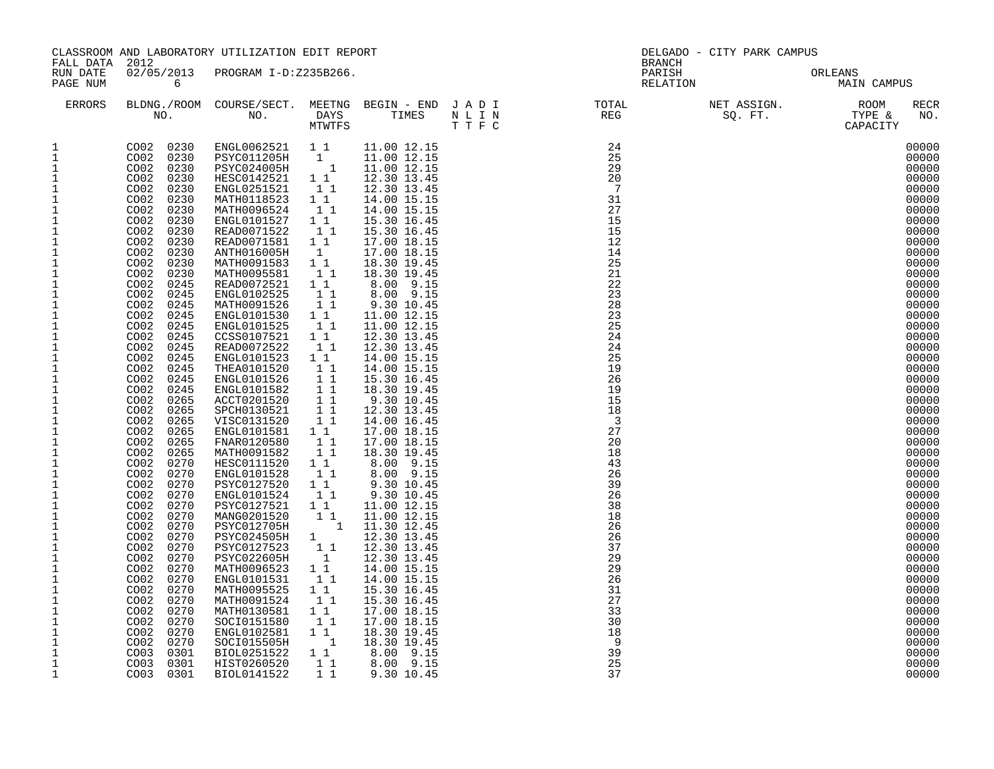| FALL DATA 2012                                                                                                                                                                                                                                                                                                                                                                                                                                                                                                                                                                                                                                                                                                                            |                                                                                                                                                                                                                                                                                                                                                                                                                                                                                                                                                                                                                                                                                                                                                                                                                                                            | CLASSROOM AND LABORATORY UTILIZATION EDIT REPORT                                                                                                                                                                                                                                                                                                                                                                                                                                                                                                                                                                                                                                                                                                                                                                                                    |                                                                                                                                                                                                                                                                                                                                                                                   |  | DELGADO - CITY PARK CAMPUS<br>BRANCH                                                                                                                                                                                                                                                                                                                                                                                                               |                                                                                                                                                                                                                                                                                                                                                                                                                                                                         |
|-------------------------------------------------------------------------------------------------------------------------------------------------------------------------------------------------------------------------------------------------------------------------------------------------------------------------------------------------------------------------------------------------------------------------------------------------------------------------------------------------------------------------------------------------------------------------------------------------------------------------------------------------------------------------------------------------------------------------------------------|------------------------------------------------------------------------------------------------------------------------------------------------------------------------------------------------------------------------------------------------------------------------------------------------------------------------------------------------------------------------------------------------------------------------------------------------------------------------------------------------------------------------------------------------------------------------------------------------------------------------------------------------------------------------------------------------------------------------------------------------------------------------------------------------------------------------------------------------------------|-----------------------------------------------------------------------------------------------------------------------------------------------------------------------------------------------------------------------------------------------------------------------------------------------------------------------------------------------------------------------------------------------------------------------------------------------------------------------------------------------------------------------------------------------------------------------------------------------------------------------------------------------------------------------------------------------------------------------------------------------------------------------------------------------------------------------------------------------------|-----------------------------------------------------------------------------------------------------------------------------------------------------------------------------------------------------------------------------------------------------------------------------------------------------------------------------------------------------------------------------------|--|----------------------------------------------------------------------------------------------------------------------------------------------------------------------------------------------------------------------------------------------------------------------------------------------------------------------------------------------------------------------------------------------------------------------------------------------------|-------------------------------------------------------------------------------------------------------------------------------------------------------------------------------------------------------------------------------------------------------------------------------------------------------------------------------------------------------------------------------------------------------------------------------------------------------------------------|
| RUN DATE<br>PAGE NUM                                                                                                                                                                                                                                                                                                                                                                                                                                                                                                                                                                                                                                                                                                                      | $\overline{6}$                                                                                                                                                                                                                                                                                                                                                                                                                                                                                                                                                                                                                                                                                                                                                                                                                                             | 02/05/2013 PROGRAM I-D:Z235B266.                                                                                                                                                                                                                                                                                                                                                                                                                                                                                                                                                                                                                                                                                                                                                                                                                    |                                                                                                                                                                                                                                                                                                                                                                                   |  | PARISH ORLI<br>RELATION                                                                                                                                                                                                                                                                                                                                                                                                                            | ORLEANS<br>MAIN CAMPUS                                                                                                                                                                                                                                                                                                                                                                                                                                                  |
| ERRORS                                                                                                                                                                                                                                                                                                                                                                                                                                                                                                                                                                                                                                                                                                                                    |                                                                                                                                                                                                                                                                                                                                                                                                                                                                                                                                                                                                                                                                                                                                                                                                                                                            |                                                                                                                                                                                                                                                                                                                                                                                                                                                                                                                                                                                                                                                                                                                                                                                                                                                     |                                                                                                                                                                                                                                                                                                                                                                                   |  | $\begin{tabular}{lllllllllllllllllllll} \textsc{BLONG.} \textsc{F100M.} & \textsc{CUIRSE/SECT.} & \textsc{METING.} & \textsc{BEGIN - END.} & \textsc{J A D I} & \textsc{DTQTAL} & \textsc{NET ASSIGN.} & \textsc{ROOM} \\ \textsc{NO.} & \textsc{NO.} & \textsc{DAYS} & \textsc{TIMES} & \textsc{N L I N} & \textsc{REG} & \textsc{SEG} & \textsc{ST.} & \textsc{STPE & \textsc{CAPACITY}} \\ & \textsc{MTVTFS} & \textsc{T T F C} & \textsc{STST$ | RECR<br>NO.                                                                                                                                                                                                                                                                                                                                                                                                                                                             |
| 1<br>1<br>1<br>$\mathbf 1$<br>$\mathbf{1}$<br>$\mathbf 1$<br>$\mathbf 1$<br>$\mathbf{1}$<br>$1\,$<br>$1\,$<br>$\mathbf 1$<br>$\mathbf 1$<br>$\mathbf{1}$<br>$\mathbf 1$<br>$\mathbf 1$<br>$\mathbf{1}$<br>$\ensuremath{\mathsf{1}}$<br>$\mathbf{1}$<br>$\mathbf{1}$<br>$1\,$<br>$\mathbf{1}$<br>$1\,$<br>$\mathbf{1}$<br>1<br>$\mathbf{1}$<br>$\mathbf{1}$<br>$\mathbf{1}$<br>$\mathbf{1}$<br>$\mathbf 1$<br>$\frac{1}{1}$<br>$\mathbf 1$<br>$\mathbf{1}$<br>$\mathbf 1$<br>$\,1\,$<br>$\mathbf{1}$<br>$\mathbf{1}$<br>$\mathbf{1}$<br>$\mathbf 1$<br>$\mathbf{1}$<br>$\mathbf{1}$<br>$\mathbf{1}$<br>$1\,$<br>$\mathbf{1}$<br>$\mathbf{1}$<br>$\mathbf 1$<br>$\mathbf 1$<br>$\mathbf{1}$<br>$\mathbf{1}$<br>$\mathbf{1}$<br>$\mathbf{1}$ | CO02 0230<br>CO02 0230<br>CO02 0230<br>CO02 0230<br>CO02 0230<br>CO02 0230<br>CO02 0230<br>CO02 0230<br>CO02 0230<br>CO02 0230<br>CO02 0230<br>CO02 0245<br>CO02 0245<br>CO02 0245<br>CO02 0245<br>CO02 0245<br>CO02 0245<br>$0.02 \begin{array}{l} 0.245 \ 0.02 \ 0.245 \ 0.002 \ 0.245 \ 0.002 \ 0.245 \ 0.002 \ 0.245 \ 0.002 \ 0.265 \ 0.002 \ 0.265 \ 0.002 \ 0.265 \ 0.002 \ 0.265 \ 0.002 \ 0.265 \ 0.002 \ 0.265 \ 0.002 \ 0.265 \end{array}$<br>CO02 0265<br>$\begin{array}{rr} {\tt CO02} & 0270 \ {\tt CO02} & 0270 \ {\tt CO02} & 0270 \ {\tt CO02} & 0270 \ {\tt CO02} & 0270 \end{array}$<br>0270<br>CO02  0270<br>CO02  0270<br>CO02 0270<br>0270<br>COO2<br>COO2<br>0270<br>CO02 0270<br>CO02 0270<br>CO02 0270<br>CO02 0270<br>CO02 0270<br>CO02 0270<br>CO02<br>0270<br>CO02<br>0270<br>CO02 0270<br>CO03 0301<br>CO03 0301<br>CO03 0301 | CO02 0230 ENGL0062521 11<br>CO02 0230 PSYC011205H 1<br>HESC0142521 1 1<br>ENGL0251521<br>MATH0118523 1 1<br>MATH0096524<br>ENGL0101527 1 1<br>READ0071522<br>READ0071581<br>ANTH016005H<br>MATH0091583 1 1<br>MATH0095581<br>READ0072521<br>ENGL0102525<br>MATH0091526<br>ENGL0101530<br>ENGL0101525<br>CCSS0107521 1 1<br>READ0072522<br>ENGL0101523 1 1<br>THEA0101520<br>ENGL0101526<br>ENGL0101582<br>ACCT0201520<br>SPCH0130521<br>VISC0131520<br>ENGL0101581 1 1<br>FNAR0120580<br>MATH0091582<br>HESC0111520<br>ENGL0101528<br>PSYC0127520<br>ENGL0101524<br>PSYC0127521 1 1<br>MANG0201520<br>PSYC012705H 1<br>PSYC024505H 1<br>PSYC0127523<br>PSYC022605H<br>MATH0096523 1 1<br>ENGL0101531<br>MATH0095525<br>MATH0091524<br>MATH0130581<br>SOCI0151580<br>ENGL0102581 1 1<br>SOCI015505H<br>BIOL0251522 1 1<br>HIST0260520<br>BIOL0141522 | 11<br>$1\quad1$<br>11<br>1 1<br>$\mathbf{1}$<br>11<br>1 1<br>$1\quad1$<br>11<br>$1\quad1$<br>11<br>11<br>11<br>11<br>11<br>11<br>11<br>$1\quad1$<br>$1\quad1$<br>11<br>1 1<br>$1\quad1$<br>1 1<br>$1\quad1$<br>$1\quad1$<br>$\begin{smallmatrix}1&&1\\&1\\1&&\end{smallmatrix}$<br>11<br>$1\quad1$<br>11<br>$1\quad1$<br>$1\quad1$<br>$\qquad \qquad 1$<br>$1\quad1$<br>$1\quad1$ |  | $S_{\mathcal{Q}}$ .                                                                                                                                                                                                                                                                                                                                                                                                                                | 00000<br>00000<br>00000<br>00000<br>00000<br>00000<br>00000<br>00000<br>00000<br>00000<br>00000<br>00000<br>00000<br>00000<br>00000<br>00000<br>00000<br>00000<br>00000<br>00000<br>00000<br>00000<br>00000<br>00000<br>00000<br>00000<br>00000<br>00000<br>00000<br>00000<br>00000<br>00000<br>00000<br>00000<br>00000<br>00000<br>00000<br>00000<br>00000<br>00000<br>00000<br>00000<br>00000<br>00000<br>00000<br>00000<br>00000<br>00000<br>00000<br>00000<br>00000 |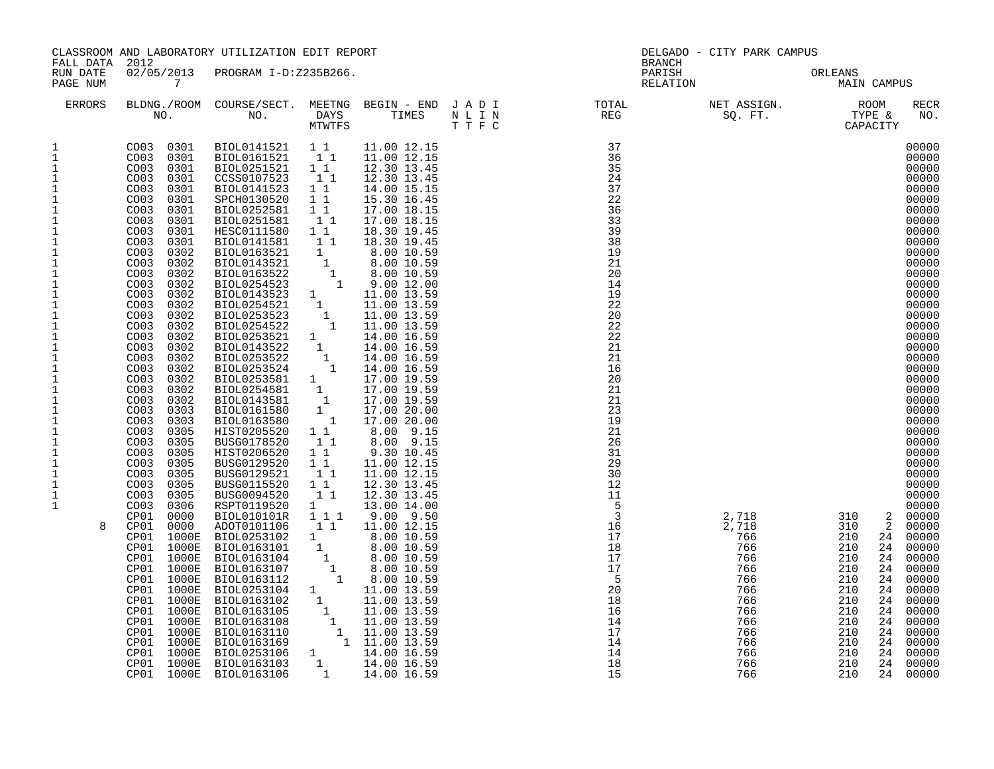|                                                                                                                                                                                                                                                                                                                                                                                                                                                                                                               |                                                                                                                                                                                                                                                                                                                                                                                                                                                                                                                                                                                                                                                                                                                                                                                                                                                                                                                                                                                                                                                                                                          | CLASSROOM AND LABORATORY UTILIZATION EDIT REPORT                                                                                                                                                                                                                                                                                                                                                                                                                                                                                                                                                                                                                                                                                                                                                                                                                                                                                                                                       |                                                                                                                                                                   |                                                                                                                                                                                                                                                                                                                                           |  | DELGADO - CITY PARK CAMPUS                                                                                                                                                                                                                                                                                                                                                                                                                                                                                                                                                                        |                                                                                                                                                                                                                                                                                                                                                                                                                                                                                                                                                                                                                                                                                               |
|---------------------------------------------------------------------------------------------------------------------------------------------------------------------------------------------------------------------------------------------------------------------------------------------------------------------------------------------------------------------------------------------------------------------------------------------------------------------------------------------------------------|----------------------------------------------------------------------------------------------------------------------------------------------------------------------------------------------------------------------------------------------------------------------------------------------------------------------------------------------------------------------------------------------------------------------------------------------------------------------------------------------------------------------------------------------------------------------------------------------------------------------------------------------------------------------------------------------------------------------------------------------------------------------------------------------------------------------------------------------------------------------------------------------------------------------------------------------------------------------------------------------------------------------------------------------------------------------------------------------------------|----------------------------------------------------------------------------------------------------------------------------------------------------------------------------------------------------------------------------------------------------------------------------------------------------------------------------------------------------------------------------------------------------------------------------------------------------------------------------------------------------------------------------------------------------------------------------------------------------------------------------------------------------------------------------------------------------------------------------------------------------------------------------------------------------------------------------------------------------------------------------------------------------------------------------------------------------------------------------------------|-------------------------------------------------------------------------------------------------------------------------------------------------------------------|-------------------------------------------------------------------------------------------------------------------------------------------------------------------------------------------------------------------------------------------------------------------------------------------------------------------------------------------|--|---------------------------------------------------------------------------------------------------------------------------------------------------------------------------------------------------------------------------------------------------------------------------------------------------------------------------------------------------------------------------------------------------------------------------------------------------------------------------------------------------------------------------------------------------------------------------------------------------|-----------------------------------------------------------------------------------------------------------------------------------------------------------------------------------------------------------------------------------------------------------------------------------------------------------------------------------------------------------------------------------------------------------------------------------------------------------------------------------------------------------------------------------------------------------------------------------------------------------------------------------------------------------------------------------------------|
| FALL DATA 2012<br>RUN DATE<br>PAGE NUM                                                                                                                                                                                                                                                                                                                                                                                                                                                                        | $\overline{7}$                                                                                                                                                                                                                                                                                                                                                                                                                                                                                                                                                                                                                                                                                                                                                                                                                                                                                                                                                                                                                                                                                           | 02/05/2013 PROGRAM I-D:Z235B266.                                                                                                                                                                                                                                                                                                                                                                                                                                                                                                                                                                                                                                                                                                                                                                                                                                                                                                                                                       |                                                                                                                                                                   |                                                                                                                                                                                                                                                                                                                                           |  | BRANCH<br>PARISH<br>RELATION                                                                                                                                                                                                                                                                                                                                                                                                                                                                                                                                                                      | ORLEANS<br>MAIN CAMPUS                                                                                                                                                                                                                                                                                                                                                                                                                                                                                                                                                                                                                                                                        |
| ERRORS                                                                                                                                                                                                                                                                                                                                                                                                                                                                                                        |                                                                                                                                                                                                                                                                                                                                                                                                                                                                                                                                                                                                                                                                                                                                                                                                                                                                                                                                                                                                                                                                                                          |                                                                                                                                                                                                                                                                                                                                                                                                                                                                                                                                                                                                                                                                                                                                                                                                                                                                                                                                                                                        |                                                                                                                                                                   |                                                                                                                                                                                                                                                                                                                                           |  |                                                                                                                                                                                                                                                                                                                                                                                                                                                                                                                                                                                                   | RECR<br>NO.                                                                                                                                                                                                                                                                                                                                                                                                                                                                                                                                                                                                                                                                                   |
| 1<br>$\mathbf{1}$<br>$\mathbf{1}$<br>$\mathbf{1}$<br>$\mathbf{1}$<br>$\mathbf 1$<br>$1\,$<br>$\mathbf{1}$<br>$\mathbf 1$<br>$\mathbf{1}$<br>$\mathbf{1}$<br>$\mathbf 1$<br>$\frac{1}{1}$<br>$1\,$<br>$\mathbf 1$<br>$\ensuremath{\mathsf{1}}$<br>$\mathbf 1$<br>$\mathbf 1$<br>$\mathbf 1$<br>$\mathbf{1}$<br>$\mathbf 1$<br>$\mathbf{1}$<br>$1\,$<br>$\begin{smallmatrix}1\\1\\1\end{smallmatrix}$<br>$\mathbf 1$<br>$1\,$<br>$1\,$<br>$\mathbf 1$<br>$\mathbf{1}$<br>$\mathbf{1}$<br>1<br>$\mathbf{1}$<br>8 | CO03 0301<br>CO03 0301<br>CO <sub>03</sub><br>0301<br>CO <sub>03</sub><br>0301<br>CO <sub>03</sub><br>0301<br>CO <sub>03</sub><br>0301<br>COO3<br>0301<br>CO <sub>03</sub><br>0301<br>COO3<br>0302<br>CO <sub>03</sub><br>0302<br>CO <sub>03</sub><br>0302<br>COO3<br>0302<br>CO <sub>03</sub><br>0302<br>CO03<br>0302<br>CO <sub>03</sub><br>0302<br>CO <sub>03</sub><br>0302<br>CO03<br>0302<br>COO3<br>0302<br>CO <sub>03</sub><br>0302<br>COO3<br>0302<br>CO <sub>03</sub><br>0302<br>CO <sub>03</sub><br>0302<br>CO <sub>03</sub><br>0302<br>CO <sub>03</sub><br>0303<br>CO03<br>0303<br>CO <sub>03</sub><br>0305<br>CO <sub>03</sub><br>0305<br>CO <sub>03</sub><br>0305<br>CO <sub>03</sub><br>0305<br>CO <sub>03</sub><br>0305<br>CO <sub>03</sub><br>0305<br>CO <sub>03</sub><br>0305<br>0306<br>CO <sub>03</sub><br>CP01<br>0000<br>0000<br>CP01<br>CP01<br>1000E<br>CP01<br>1000E<br>CP01<br>1000E<br>1000E<br>CP01<br>CP01<br>1000E<br>1000E<br>CP01<br>1000E<br>CP01<br>1000E<br>CP01<br>CP01<br>1000E<br>CP01<br>1000E<br>1000E<br>CP01<br>CP01<br>1000E<br>CP01<br>1000E<br>CP01<br>1000E | BIOL0141523<br>SPCH0130520<br>BIOL0252581<br>BIOL0251581<br>$\begin{tabular}{cccc} & & 18.30 & 18.30 \\ \hline 18.30 & 19.4 & 18.30 & 19.4 \\ \hline \texttt{BIOL0143521} & 1 & 8.00 & 10.55 \\ \texttt{BIOL0163522} & 1 & 8.00 & 10.59 \\ \texttt{BIOL0254523} & 1 & 9.00 & 12.00 \\ \texttt{BIOL0254523} & 1 & 11.00 & 13.59 \\ \texttt{BIOL0254521} & 1 & 11.00 & 13.59 \\ \text$<br>BIOL0253522<br>BIOL0253524<br>1<br>BIOL0253581 1<br>BIOL0254581 1<br>BIOL0143581 1<br>BIOL0161580 1<br>BIOL0163580 1<br>HISTO205520 11<br>HISTO205520 11<br>HISTO205520 11<br>BUSG0178520<br>HIST0206520<br>BUSG0129520<br>BUSG0129521<br>BUSG0115520<br>BUSG0094520<br>RSPT0119520<br>BIOL010101R   1   1   1<br>ADOT0101106<br>ADOT0101106 1 1 11.00 12.15<br>BIOL0253102 1 8.00 10.59<br>BIOL0163104 1 8.00 10.59<br>BIOL0163104 1 8.00 10.59<br>BIOL0163107 1 8.00 10.59<br>BIOL0163107 1 8.00 10.59<br>BIOL0163112 1 11.00 13.59<br>BIOL0163102 1 11.00 13.59<br>BIOL01631<br>BIOL0163106 | 1 1<br>11<br>$1\quad1$<br>11<br>$\begin{bmatrix} 1 \\ 1 \\ 1 \end{bmatrix}$<br>11<br>$1\quad1$<br>$1\quad1$<br>$1\quad1$<br>$1\quad1$<br>11<br>$\mathbf{1}$<br>11 | 14.00 15.15<br>15.30 16.45<br>17.00 18.15<br>17.00 18.15<br>14.00 16.59<br>14.00 16.59<br>17.00 19.59<br>17.00 19.59<br>17.00 19.59<br>17.00 20.00<br>17.00 20.00<br>8.00 9.15<br>8.00 9.15<br>9.30 10.45<br>11.00 12.15<br>11.00 12.15<br>12.30 13.45<br>12.30 13.45<br>13.00 14.00<br>9.00 9.50<br>11.00 12.15<br>$1 \t 14.00 \t 16.59$ |  | $\begin{tabular}{lllllllllllllllllllll} \textsc{BLING.} \textsc{ROOM} & \textsc{COURSE/SECT.} & \textsc{METING} & \textsc{BEGIN} - \textsc{END} & \textsc{J} & \textsc{A} & \textsc{D} & \textsc{I} & \textsc{DTT} & \textsc{DTT} \\ & \textsc{NO.} & \textsc{NO.} & \textsc{DAYS} & \textsc{TIMES} & \textsc{N} & \textsc{L} & \textsc{I} & \textsc{N} & \textsc{TE} & \textsc{SEG} \\ & \textsc{NO.} & \textsc{NO.} & \textsc{DAYS} & \textsc$<br>$\begin{array}{r} 2,718 \\ 2,718 \\ 766 \\ 766 \\ 3 \\ 6 \\ 766 \\ 8 \\ 6 \\ 4 \\ 14 \\ 15 \\ 15 \end{array}$<br>2,718<br>2,718<br>766<br>710 | 00000<br>00000<br>00000<br>00000<br>00000<br>00000<br>00000<br>00000<br>00000<br>00000<br>00000<br>00000<br>00000<br>00000<br>00000<br>00000<br>00000<br>00000<br>00000<br>00000<br>00000<br>00000<br>00000<br>00000<br>00000<br>00000<br>00000<br>00000<br>00000<br>00000<br>00000<br>00000<br>00000<br>00000<br>00000<br>2 00000<br>$\overline{a}$<br>00000<br>210<br>00000<br>24<br>210<br>24<br>00000<br>210<br>24<br>00000<br>210<br>24<br>00000<br>210<br>00000<br>24<br>210<br>00000<br>24<br>210<br>24<br>00000<br>210<br>00000<br>24<br>$\begin{array}{c} 2 \\ 2 \\ 21 \\ 210 \end{array}$<br>24<br>00000<br>24<br>00000<br>24<br>00000<br>00000<br>24<br>24<br>00000<br>00000<br>24 |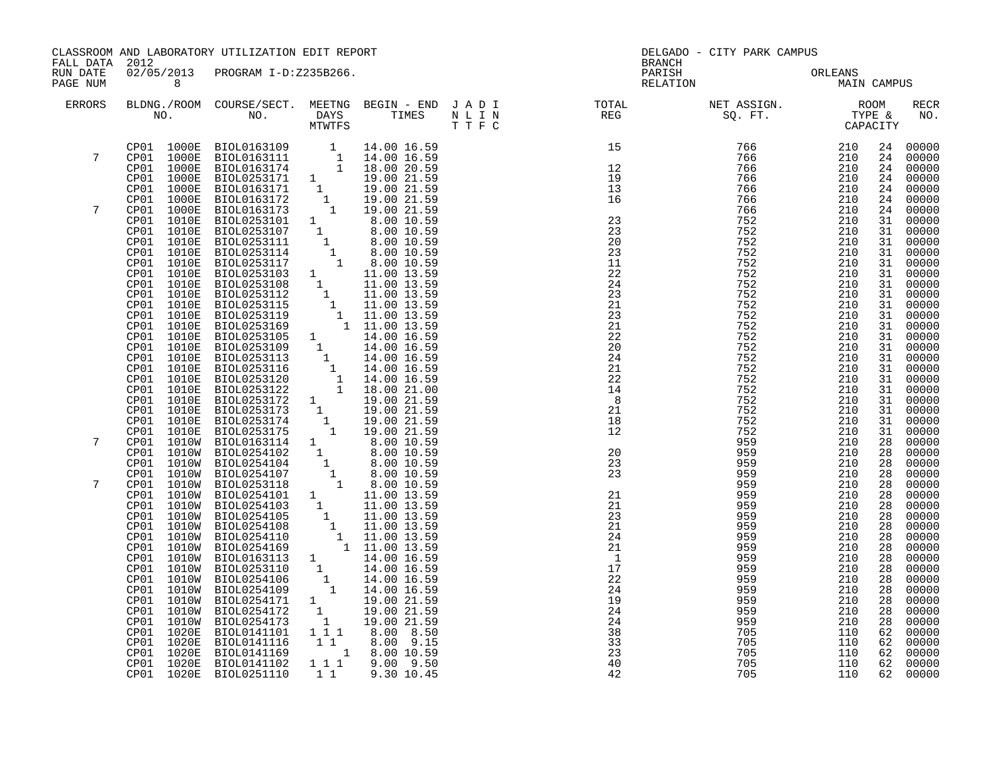| FALL DATA 2012       |                | CLASSROOM AND LABORATORY UTILIZATION EDIT REPORT |    |                               |                       | DELGADO - CITY PARK CAMPUS<br><b>BRANCH</b>                                                                                                          |            |          |                                   |
|----------------------|----------------|--------------------------------------------------|----|-------------------------------|-----------------------|------------------------------------------------------------------------------------------------------------------------------------------------------|------------|----------|-----------------------------------|
| RUN DATE<br>PAGE NUM | 8 <sup>1</sup> | 02/05/2013 PROGRAM I-D:Z235B266.                 |    |                               |                       | PARISH<br>ORLEANS<br>MAIN CAMPUS<br>RELATION                                                                                                         |            |          |                                   |
| ERRORS               |                |                                                  |    |                               |                       |                                                                                                                                                      |            |          | RECR<br>NO.                       |
| 7                    |                |                                                  |    |                               |                       | $\begin{array}{cc} 766 & 210 \\ 766 & 210 \\ 766 & 210 \\ 766 & 210 \\ 766 & 210 \\ 766 & 210 \\ 766 & 210 \\ 752 & 210 \\ 752 & 210 \\ \end{array}$ |            | 24<br>24 | 00000<br>00000                    |
|                      |                |                                                  |    |                               |                       |                                                                                                                                                      |            |          | 24 00000<br>24 00000              |
|                      |                |                                                  |    |                               |                       |                                                                                                                                                      |            |          | 24 00000                          |
|                      |                |                                                  |    |                               |                       |                                                                                                                                                      |            |          | 24 00000                          |
| 7                    |                |                                                  |    |                               |                       |                                                                                                                                                      |            |          | 24 00000                          |
|                      |                |                                                  |    |                               |                       | 752                                                                                                                                                  | 210        |          | 31 00000<br>31 00000              |
|                      |                |                                                  |    |                               |                       | 752                                                                                                                                                  | 210        |          | 31 00000                          |
|                      |                |                                                  |    |                               |                       | 752                                                                                                                                                  | 210        | 31       | 00000                             |
|                      |                |                                                  |    |                               |                       | 752                                                                                                                                                  | 210        |          | 31 00000                          |
|                      |                |                                                  |    |                               |                       | 752<br>752                                                                                                                                           | 210<br>210 |          | 31 00000<br>31 00000              |
|                      |                |                                                  |    |                               |                       | 752                                                                                                                                                  | 210        | 31       | 00000                             |
|                      |                |                                                  |    |                               |                       | 752                                                                                                                                                  | 210        | 31       | 00000                             |
|                      |                |                                                  |    |                               |                       | 752                                                                                                                                                  | 210        |          | 31 00000<br>31 00000              |
|                      |                |                                                  |    |                               | $^{21}_{22}$          | 752<br>752                                                                                                                                           | 210<br>210 | 31       | 00000                             |
|                      |                |                                                  |    |                               | 20                    | 752                                                                                                                                                  | 210        |          |                                   |
|                      |                |                                                  |    |                               | 24                    | 752                                                                                                                                                  | 210        |          | 31 00000<br>31 00000              |
|                      |                |                                                  |    |                               | 21                    | 752                                                                                                                                                  | 210        | 31       | 00000                             |
|                      |                |                                                  |    |                               | 22<br>14              | 752<br>752                                                                                                                                           | 210<br>210 | 31<br>31 | 00000<br>00000                    |
|                      |                |                                                  |    |                               | 8                     | 752                                                                                                                                                  | 210        |          | 31 00000                          |
|                      |                |                                                  |    |                               | 21                    | 752                                                                                                                                                  | 210        |          | $\frac{31}{31}$ 00000<br>31 00000 |
|                      |                |                                                  |    |                               | 18                    | 752                                                                                                                                                  | 210        |          |                                   |
| 7                    |                |                                                  |    |                               | $\frac{18}{12}$       | 752<br>959                                                                                                                                           | 210<br>210 | 31       | 00000<br>00000                    |
|                      |                |                                                  |    |                               |                       | 959                                                                                                                                                  | 210        | 28<br>28 | 00000                             |
|                      |                |                                                  |    |                               | 20<br>23              | 959                                                                                                                                                  | 210        | 28       | 00000                             |
|                      |                |                                                  |    |                               | $\frac{25}{23}$       | 959                                                                                                                                                  | 210        | 28       | 00000                             |
| 7                    |                |                                                  |    |                               | $\frac{21}{21}$       | 959                                                                                                                                                  | 210        | 28       | 00000                             |
|                      |                |                                                  |    |                               | 21                    | 959<br>959                                                                                                                                           | 210<br>210 | 28<br>28 | 00000<br>00000                    |
|                      |                |                                                  |    |                               | 23                    | 959                                                                                                                                                  | 210        | 28       | 00000                             |
|                      |                |                                                  |    |                               | 21                    | 959                                                                                                                                                  | 210        | 28       | 00000                             |
|                      |                |                                                  |    |                               | 24                    | 959                                                                                                                                                  | 210        | 28       | 00000                             |
|                      |                |                                                  |    |                               | 21<br>$\overline{1}$  | 959                                                                                                                                                  | 210<br>210 | 28<br>28 |                                   |
|                      |                |                                                  |    |                               | 17                    | 959<br>959                                                                                                                                           | 210        | 28       | 00000<br>00000                    |
|                      |                |                                                  |    |                               | 22                    | 959                                                                                                                                                  | 210        | 28       | 00000                             |
|                      |                |                                                  |    |                               | 24                    | 959                                                                                                                                                  | 210        | 28       | 00000<br>00000                    |
|                      |                |                                                  |    |                               | 19                    | 959                                                                                                                                                  | 210        | 28       |                                   |
|                      |                |                                                  |    |                               | 24<br>$\overline{24}$ | 959<br>959                                                                                                                                           | 210<br>210 | 28<br>28 | 00000<br>00000                    |
|                      |                |                                                  |    |                               | 38                    | 705                                                                                                                                                  | 110        |          | 62 00000                          |
|                      |                |                                                  |    |                               | 33                    | 705                                                                                                                                                  | 110        |          | 62 00000                          |
|                      |                |                                                  |    |                               | 23                    | 705                                                                                                                                                  | 110        | 62       | 00000                             |
|                      | CP01 1020E     | BIOL0141102<br>CP01 1020E BIOL0251110            | 11 | 1 1 1 9.00 9.50<br>9.30 10.45 | 40<br>42              | 705<br>705                                                                                                                                           | 110<br>110 |          | 62 00000<br>62 00000              |
|                      |                |                                                  |    |                               |                       |                                                                                                                                                      |            |          |                                   |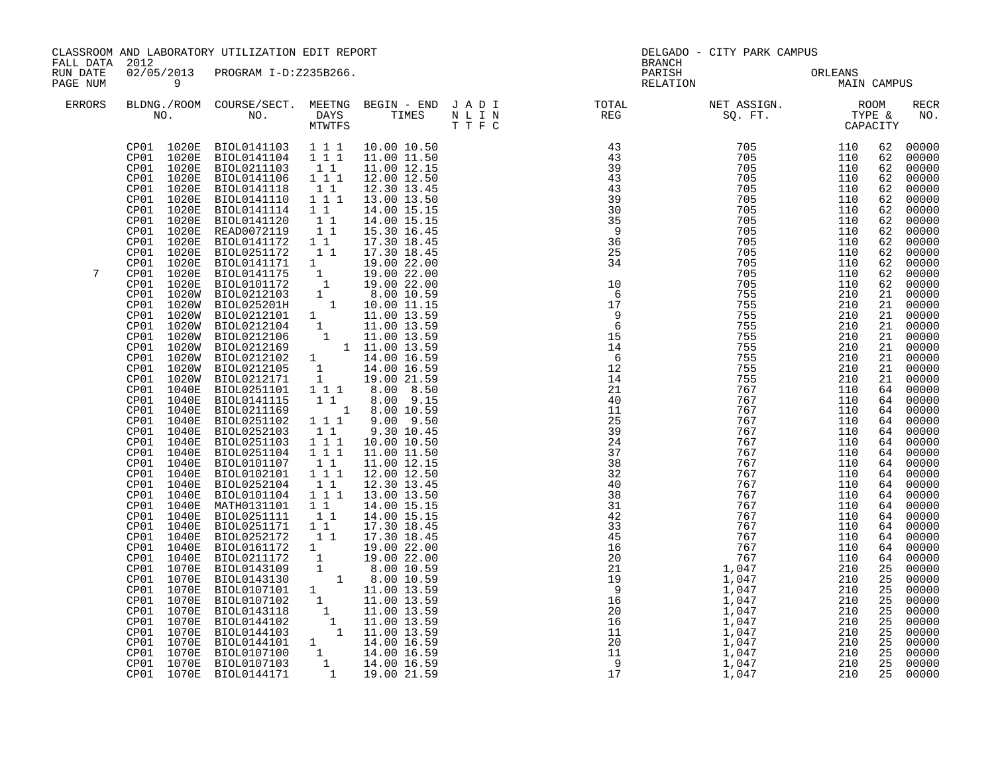| FALL DATA 2012<br>02/05/2013 PROGRAM I-D:Z235B266.<br>RUN DATE<br>PARISH<br>ORLEANS<br>MAIN CAMPUS<br>RELATION<br>PAGE NUM<br>$\overline{9}$<br><b>ERRORS</b><br>$\begin{array}{cccc} 43 & 705 & 110 \\ 43 & 705 & 110 \\ 39 & 705 & 110 \\ 43 & 705 & 110 \\ 43 & 705 & 110 \\ 39 & 705 & 110 \\ 39 & 705 & 110 \\ 30 & 705 & 110 \\ 35 & 705 & 110 \\ 36 & 705 & 110 \\ 36 & 705 & 110 \\ 34 & 705 & 110 \\ 34 & 705 & 110 \\ 34 & 705 & 110 \\ 705 & 110 & 705 \\ 1$<br>$\begin{tabular}{cccccc} CP01 & 1020E & BIOL0141103 & 1 & 1 & 10.00 & 10.50 \\ CP01 & 1020E & BIOL0141104 & 1 & 1 & 11.00 & 11.50 \\ \end{tabular}$<br>62 00000<br>62<br>CP01 1020E BIOL0211103 1 1<br>CP01 1020E BIOL0141106 1 1 1<br>11.00 12.15<br>62<br>12.00 12.50<br>62<br>62 00000<br>CP01 1020E<br>BIOL0141118<br>BIOL0141118 1 1<br>BIOL0141110 1 1 1<br>12.30 13.45<br>CP01<br>1020E<br>13.00 13.50<br>62<br>CP01 1020E<br>BIOL0141114  1  1<br>62 00000<br>14.00 15.15<br>BIOL0141120 1 1<br>READ0072119 1 1<br>CP01 1020E<br>14.00 15.15<br>62<br>62 00000<br>CP01 1020E<br>15.30 16.45<br>BIOL0141172 1 1<br>1020E<br>62<br>CP01<br>17.30 18.45<br>$\begin{tabular}{cccc} CP01 & 1020E & BIOL0141172 & 1 & 1 & 17.30 & 18.45 \\ CP01 & 1020E & BIOL0251172 & 1 & 1 & 17.30 & 18.45 \\ CP01 & 1020E & BIOL0141171 & 1 & 19.00 & 22.00 \\ CP01 & 1020E & BIOL0141175 & 1 & 19.00 & 22.00 \\ CP01 & 1020E & BIOL0141175 & 1 & 19.00 & 22.00 \\ CP01 & 1020W &$<br>62<br>62<br>7<br>110<br>62 00000<br>705<br>62 00000<br>110<br>$\begin{array}{cccc} 34 & 705 \\ 10 & 705 \\ 17 & 7555 \\ 18 \\ 19 & 7555 \\ 14 & 7555 \\ 14 & 7555 \\ 14 & 7555 \\ 14 & 7555 \\ 14 & 7555 \\ 14 & 7555 \\ 14 & 7555 \\ 14 & 7555 \\ 14 & 7557 \\ 14 & 7557 \\ 14 & 7667 \\ 21 & 7667 \\ 22 & 767 \\ 23 & 767 \\ 24 & 767 \\ 24 & 767 \\ 24 & 767 \\ 24 & 7$<br>210<br>21<br>210<br>21<br>210<br>21<br>210<br>21<br>210<br>21<br>210<br>21<br>210<br>21<br>21<br>21<br>BIOLO251101 1 1 6.00 8.50<br>BIOLO251101 1 1 8.00 8.50<br>CP01 1040E<br>64 00000<br>CP01<br>1040E<br>BIOL0141115<br>BIOL0211169<br>BIOL0251102<br>64 00000<br>64 00000<br>$\begin{array}{rrrr} 1 & 0.00 & 10.59 \\ 1 & 1 & 9.00 & 9.50 \end{array}$<br>1040E<br>CP01<br>CP <sub>01</sub><br>64 00000<br>1040E<br>$\begin{smallmatrix}1&1\\1&1&1\end{smallmatrix}$<br>64 00000<br>CP01 1040E<br>BIOL0252103<br>BIOL0251103<br>9.30 10.45<br>CP01<br>1040E<br>10.00 10.50<br>64 00000<br>BIOL0251104 1 1 1<br>BIOL0101107 1 1<br>11.00 11.50<br>64 00000<br>CP01<br>1040E<br>64 00000<br>CP01<br>1040E<br>BIOL0101107 11<br>BIOL0102101 111<br>11.00 12.15<br>CP01<br>12.00 12.50<br>1040E<br>64<br>BIOL0252104<br>CP01<br>1040E<br>11<br>64 00000<br>12.30 13.45<br>BIOL0101104 1 1 1<br>1040E<br>13.00 13.50<br>64 00000<br>CP01<br>MATH0131101 1 1<br>BIOL0251111 1 1<br>CP01<br>1040E<br>14.00 15.15<br>64 00000<br>14.00 15.15<br>CP01 1040E<br>64<br>CP01 1040E<br>BIOL0251171 1 1<br>17.30 18.45<br>64 00000<br>11<br>1040E<br>BIOL0252172<br>64 00000<br>64 00000<br>CP01<br>17.30 18.45<br>BIOLO252172 1 17.30 18.45<br>BIOLO252172 1 17.30 18.45<br>BIOLO161172 1 19.00 22.00<br>BIOLO143109 1 8.00 10.59<br>BIOLO143109 1 8.00 10.59<br>BIOLO143130 1 8.00 10.59<br>BIOLO107101 1 11.00 13.59<br>BIOLO107102 1 11.00 13.59<br>BIOLO1441<br>CP01 1040E<br>CP01 1040E<br>64<br>CP01 1070E<br>25 00000<br>25 00000<br>CP01 1070E<br>25 00000<br>25 00000<br>CP01 1070E<br>CP01<br>1070E<br>CP01<br>1070E<br>25<br>CP01<br>1070E<br>25<br>$\overline{25}$<br>1070E<br>CP01<br>25<br>1070E<br>CP01 |  | CLASSROOM AND LABORATORY UTILIZATION EDIT REPORT |  | <b>BRANCH</b> | DELGADO - CITY PARK CAMPUS |    |                                                                                                                                                                                                                                          |
|----------------------------------------------------------------------------------------------------------------------------------------------------------------------------------------------------------------------------------------------------------------------------------------------------------------------------------------------------------------------------------------------------------------------------------------------------------------------------------------------------------------------------------------------------------------------------------------------------------------------------------------------------------------------------------------------------------------------------------------------------------------------------------------------------------------------------------------------------------------------------------------------------------------------------------------------------------------------------------------------------------------------------------------------------------------------------------------------------------------------------------------------------------------------------------------------------------------------------------------------------------------------------------------------------------------------------------------------------------------------------------------------------------------------------------------------------------------------------------------------------------------------------------------------------------------------------------------------------------------------------------------------------------------------------------------------------------------------------------------------------------------------------------------------------------------------------------------------------------------------------------------------------------------------------------------------------------------------------------------------------------------------------------------------------------------------------------------------------------------------------------------------------------------------------------------------------------------------------------------------------------------------------------------------------------------------------------------------------------------------------------------------------------------------------------------------------------------------------------------------------------------------------------------------------------------------------------------------------------------------------------------------------------------------------------------------------------------------------------------------------------------------------------------------------------------------------------------------------------------------------------------------------------------------------------------------------------------------------------------------------------------------------------------------------------------------------------------------------------------------------------------------------------------------------------------------------------------------------------------------------------------------------------------------------------------------------------------------------------------------------------------------------------------------------------------------------------------------------------------------------------------------------------------------------|--|--------------------------------------------------|--|---------------|----------------------------|----|------------------------------------------------------------------------------------------------------------------------------------------------------------------------------------------------------------------------------------------|
|                                                                                                                                                                                                                                                                                                                                                                                                                                                                                                                                                                                                                                                                                                                                                                                                                                                                                                                                                                                                                                                                                                                                                                                                                                                                                                                                                                                                                                                                                                                                                                                                                                                                                                                                                                                                                                                                                                                                                                                                                                                                                                                                                                                                                                                                                                                                                                                                                                                                                                                                                                                                                                                                                                                                                                                                                                                                                                                                                                                                                                                                                                                                                                                                                                                                                                                                                                                                                                                                                                                                                    |  |                                                  |  |               |                            |    |                                                                                                                                                                                                                                          |
|                                                                                                                                                                                                                                                                                                                                                                                                                                                                                                                                                                                                                                                                                                                                                                                                                                                                                                                                                                                                                                                                                                                                                                                                                                                                                                                                                                                                                                                                                                                                                                                                                                                                                                                                                                                                                                                                                                                                                                                                                                                                                                                                                                                                                                                                                                                                                                                                                                                                                                                                                                                                                                                                                                                                                                                                                                                                                                                                                                                                                                                                                                                                                                                                                                                                                                                                                                                                                                                                                                                                                    |  |                                                  |  |               |                            |    | <b>RECR</b><br>NO.                                                                                                                                                                                                                       |
| CP01<br>1070E<br>CP01 1070E<br>25<br>25 00000<br>CP01 1070E BIOL0144171                                                                                                                                                                                                                                                                                                                                                                                                                                                                                                                                                                                                                                                                                                                                                                                                                                                                                                                                                                                                                                                                                                                                                                                                                                                                                                                                                                                                                                                                                                                                                                                                                                                                                                                                                                                                                                                                                                                                                                                                                                                                                                                                                                                                                                                                                                                                                                                                                                                                                                                                                                                                                                                                                                                                                                                                                                                                                                                                                                                                                                                                                                                                                                                                                                                                                                                                                                                                                                                                            |  |                                                  |  |               |                            | 25 | 00000<br>00000<br>00000<br>00000<br>00000<br>00000<br>00000<br>00000<br>00000<br>00000<br>00000<br>00000<br>00000<br>00000<br>$00000$<br>00000<br>00000<br>00000<br>00000<br>00000<br>00000<br>00000<br>00000<br>00000<br>00000<br>00000 |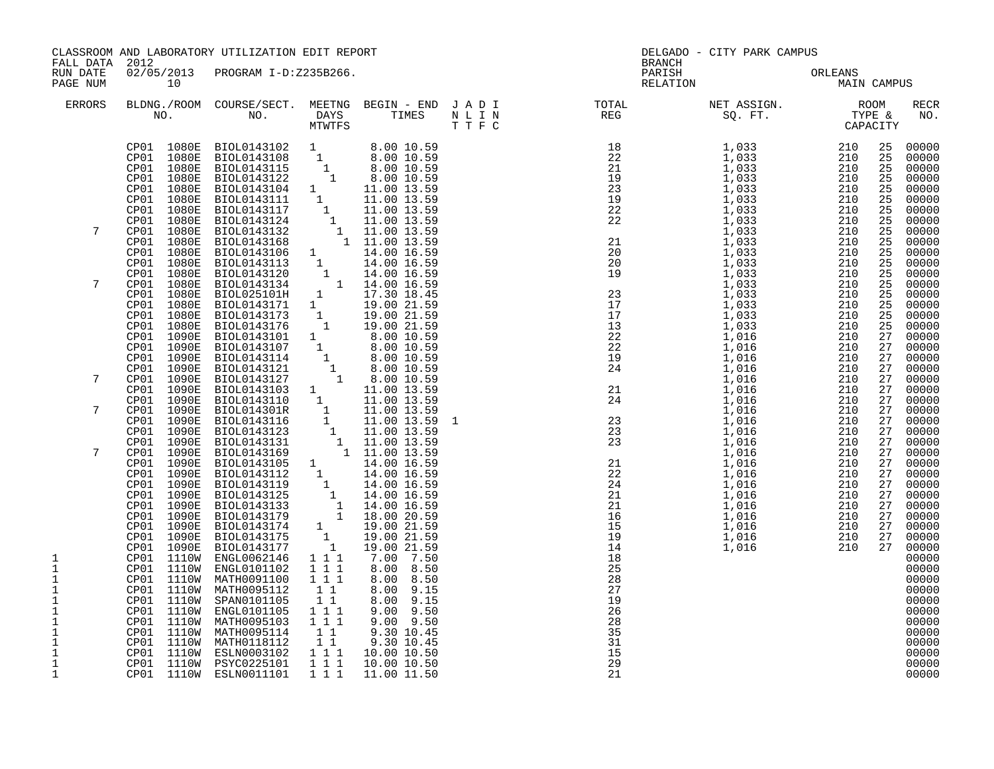| FALL DATA 2012                                                                      |                                        | CLASSROOM AND LABORATORY UTILIZATION EDIT REPORT                                                                                                                                                                                                                                                                                                                                                                                                                          |                                                                                    |                                                                                                 |  | BRANCH | DELGADO - CITY PARK CAMPUS                                                                                                                                                                                                                                                                                                                                                                                                                 |                                                                                                                                                                                                                |                                                                                                                                                                                                                                                                                                                                                                                                                      |
|-------------------------------------------------------------------------------------|----------------------------------------|---------------------------------------------------------------------------------------------------------------------------------------------------------------------------------------------------------------------------------------------------------------------------------------------------------------------------------------------------------------------------------------------------------------------------------------------------------------------------|------------------------------------------------------------------------------------|-------------------------------------------------------------------------------------------------|--|--------|--------------------------------------------------------------------------------------------------------------------------------------------------------------------------------------------------------------------------------------------------------------------------------------------------------------------------------------------------------------------------------------------------------------------------------------------|----------------------------------------------------------------------------------------------------------------------------------------------------------------------------------------------------------------|----------------------------------------------------------------------------------------------------------------------------------------------------------------------------------------------------------------------------------------------------------------------------------------------------------------------------------------------------------------------------------------------------------------------|
| RUN DATE<br>PAGE NUM                                                                | 10                                     | 02/05/2013 PROGRAM I-D:Z235B266.                                                                                                                                                                                                                                                                                                                                                                                                                                          |                                                                                    |                                                                                                 |  |        | PARISH ORLEANS NELATION MAIN CAMPUS                                                                                                                                                                                                                                                                                                                                                                                                        |                                                                                                                                                                                                                |                                                                                                                                                                                                                                                                                                                                                                                                                      |
| <b>ERRORS</b>                                                                       |                                        |                                                                                                                                                                                                                                                                                                                                                                                                                                                                           |                                                                                    |                                                                                                 |  |        | BLDNG./ROOM COURSE/SECT. MEETNG BEGIN – END JADI TOTAL TOTAL NET ASSIGN. ROOM ROOM NO. DAYS TIMES NLIN REG SQ.FT. TYPE &                                                                                                                                                                                                                                                                                                                   |                                                                                                                                                                                                                | <b>RECR</b><br>NO.                                                                                                                                                                                                                                                                                                                                                                                                   |
| 7<br>7<br>7<br>7<br>7<br>1<br>$1\,$<br>1<br>$\mathbf 1$<br>1                        | CP01 1110W<br>CP01 1110W               | $\begin{tabular}{@{}c c c} $n01$ & $n02$ & $n03$ & $M_{\rm WTEY5}$ & $11m58$ \\ \noalign{\medskip} {\tt CP01$ & $1080B$ & $100.0143102$ & $1$ & $8.00$ & $10.59$ \\ \noalign{\medskip} {\tt CP01$ & $1080B$ & $100.0143105$ & $1$ & $8.00$ & $10.59$ \\ \noalign{\medskip} {\tt CP01$ & $1080B$ & $100.0143122$ & $1$ & $8.00$ & $10.59$ \\ \noalign{\$<br>ENGL0062146 1 1 1<br>CP01 1110W ENGL0101102<br>CP01 1110W MATH0091100<br>MATH0095112<br>CP01 1110W SPAN0101105 | 1 1 1<br>1 1 1<br>11<br>$1\quad1$<br>1 1 1                                         | 7.00 7.50<br>8.00 8.50<br>8.00 8.50<br>8.00 9.15<br>8.00 9.15                                   |  |        | $\begin{array}{cccc} \textbf{R} & \textbf{R} & \textbf{R} & \textbf{R} \\ \textbf{R} & \textbf{R} & \textbf{R} & \textbf{R} \\ \textbf{R} & \textbf{R} & \textbf{R} & \textbf{R} \\ \textbf{R} & \textbf{R} & \textbf{R} & \textbf{R} \\ \textbf{R} & \textbf{R} & \textbf{R} & \textbf{R} \\ \textbf{R} & \textbf{R} & \textbf{R} & \textbf{R} \\ \textbf{R} & \textbf{R} & \textbf{R} & \textbf{R} \\ \textbf{R} & \textbf{R} & \textbf$ | 25<br>25<br>25<br>25<br>25<br>25<br>25<br>25<br>25<br>25<br>25<br>25<br>25<br>25<br>25<br>25<br>25<br>25<br>27<br>27<br>27<br>27<br>27<br>27<br>27<br>27<br>27<br>27<br>27<br>27<br>27<br>27<br>27<br>27<br>27 | 00000<br>00000<br>00000<br>00000<br>00000<br>00000<br>00000<br>00000<br>00000<br>00000<br>00000<br>00000<br>00000<br>00000<br>00000<br>00000<br>00000<br>00000<br>00000<br>00000<br>00000<br>27 00000<br>00000<br>00000<br>27 00000<br>00000<br>00000<br>00000<br>00000<br>00000<br>27 00000<br>00000<br>00000<br>00000<br>27 00000<br>00000<br>00000<br>00000<br>00000<br>00000<br>00000<br>00000<br>00000<br>00000 |
| 1<br>1<br>$\mathbf 1$<br>$\mathbf{1}$<br>$\mathbf 1$<br>$\mathbf 1$<br>$\mathbf{1}$ | CP01 1110W<br>CP01 1110W<br>CP01 1110W | ENGL0101105<br>MATH0095103<br>MATH0095114<br>CP01 1110W MATH0118112<br>CP01 1110W ESLN0003102<br>CP01 1110W PSYC0225101<br>CP01 1110W ESLN0011101<br>ESLN0003102 1 1 1                                                                                                                                                                                                                                                                                                    | $1 1 1$<br>$\begin{bmatrix} 1 \\ 1 \end{bmatrix}$<br>$1\quad1$<br>$1 1 1$<br>1 1 1 | 9.00 9.50<br>9.00 9.50<br>9.30 10.45<br>9.30 10.45<br>10.00 10.50<br>10.00 10.50<br>11.00 11.50 |  |        |                                                                                                                                                                                                                                                                                                                                                                                                                                            |                                                                                                                                                                                                                | 00000<br>00000<br>00000<br>00000<br>00000<br>00000<br>00000                                                                                                                                                                                                                                                                                                                                                          |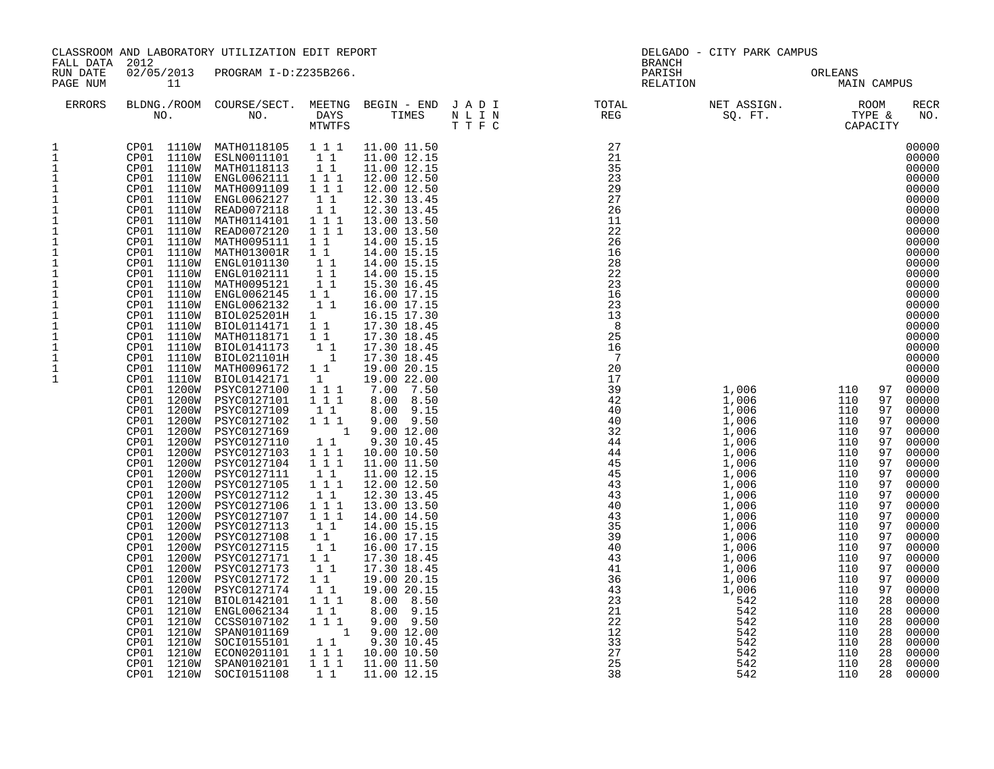|                                                                                                                                                                                                                                                                      | CLASSROOM AND LABORATORY UTILIZATION EDIT REPORT                                                                                                                                                                                                                                                                                                                                                                                                                                                                                                                                                                                                                                                                                                                                                     |                                                                                                                                                                                                                                                                                                                                                                                                                                                                                                                                                                                                                                                                                                                                                                                                                       |                                                                                                                                                                                                                                                                                                                                                                                                                                                     |                                                                                                                                                                                                                                                                                                                                                                                                                                                                                                                                                                                                                                                                                                                                                                                     | DELGADO - CITY PARK CAMPUS                                                                                                |                                                                                                                                                                                                                                                                                                                                                                                                                                                                                                                                                            |                                                                                                                                                                                                                                                                                                                                 |                                                                                                                                                                                                                                                                                                                                                                                                                                                                            |  |  |
|----------------------------------------------------------------------------------------------------------------------------------------------------------------------------------------------------------------------------------------------------------------------|------------------------------------------------------------------------------------------------------------------------------------------------------------------------------------------------------------------------------------------------------------------------------------------------------------------------------------------------------------------------------------------------------------------------------------------------------------------------------------------------------------------------------------------------------------------------------------------------------------------------------------------------------------------------------------------------------------------------------------------------------------------------------------------------------|-----------------------------------------------------------------------------------------------------------------------------------------------------------------------------------------------------------------------------------------------------------------------------------------------------------------------------------------------------------------------------------------------------------------------------------------------------------------------------------------------------------------------------------------------------------------------------------------------------------------------------------------------------------------------------------------------------------------------------------------------------------------------------------------------------------------------|-----------------------------------------------------------------------------------------------------------------------------------------------------------------------------------------------------------------------------------------------------------------------------------------------------------------------------------------------------------------------------------------------------------------------------------------------------|-------------------------------------------------------------------------------------------------------------------------------------------------------------------------------------------------------------------------------------------------------------------------------------------------------------------------------------------------------------------------------------------------------------------------------------------------------------------------------------------------------------------------------------------------------------------------------------------------------------------------------------------------------------------------------------------------------------------------------------------------------------------------------------|---------------------------------------------------------------------------------------------------------------------------|------------------------------------------------------------------------------------------------------------------------------------------------------------------------------------------------------------------------------------------------------------------------------------------------------------------------------------------------------------------------------------------------------------------------------------------------------------------------------------------------------------------------------------------------------------|---------------------------------------------------------------------------------------------------------------------------------------------------------------------------------------------------------------------------------------------------------------------------------------------------------------------------------|----------------------------------------------------------------------------------------------------------------------------------------------------------------------------------------------------------------------------------------------------------------------------------------------------------------------------------------------------------------------------------------------------------------------------------------------------------------------------|--|--|
| FALL DATA 2012<br>RUN DATE<br>PAGE NUM                                                                                                                                                                                                                               | 11                                                                                                                                                                                                                                                                                                                                                                                                                                                                                                                                                                                                                                                                                                                                                                                                   | 02/05/2013 PROGRAM I-D:Z235B266.                                                                                                                                                                                                                                                                                                                                                                                                                                                                                                                                                                                                                                                                                                                                                                                      |                                                                                                                                                                                                                                                                                                                                                                                                                                                     |                                                                                                                                                                                                                                                                                                                                                                                                                                                                                                                                                                                                                                                                                                                                                                                     | BRANCH<br>PARISH<br>RELATION                                                                                              |                                                                                                                                                                                                                                                                                                                                                                                                                                                                                                                                                            | ORLEANS<br>MAIN CAMPUS                                                                                                                                                                                                                                                                                                          |                                                                                                                                                                                                                                                                                                                                                                                                                                                                            |  |  |
| <b>ERRORS</b>                                                                                                                                                                                                                                                        |                                                                                                                                                                                                                                                                                                                                                                                                                                                                                                                                                                                                                                                                                                                                                                                                      |                                                                                                                                                                                                                                                                                                                                                                                                                                                                                                                                                                                                                                                                                                                                                                                                                       |                                                                                                                                                                                                                                                                                                                                                                                                                                                     |                                                                                                                                                                                                                                                                                                                                                                                                                                                                                                                                                                                                                                                                                                                                                                                     | BLDNG./ROOM COURSE/SECT. MEETNG BEGIN – END JADI TOTAL NET ASSIGN. NET ASSIGN. NOOM NO. DAYS TIMES NLIN REG SQ.FT. TYPE & |                                                                                                                                                                                                                                                                                                                                                                                                                                                                                                                                                            |                                                                                                                                                                                                                                                                                                                                 | <b>RECR</b><br>NO.                                                                                                                                                                                                                                                                                                                                                                                                                                                         |  |  |
| 1<br>$\mathbf{1}$<br>1<br>$\mathbf{1}$<br>$\mathbf 1$<br>1<br>1<br>1<br>1<br>$\mathbf{1}$<br>1<br>$1\,$<br>$\mathbf{1}$<br>$\mathbf{1}$<br>$1\,$<br>$\overline{1}$<br>$\mathbf 1$<br>$\mathbf{1}$<br>$\mathbf 1$<br>$\mathbf{1}$<br>1<br>$\mathbf{1}$<br>$\mathbf 1$ | CP01 1110W<br>CP01 1110W<br>CP01 1110W<br>CP01 1110W<br>CP01 1110W<br>CP01 1110W<br>CP01 1110W<br>CP01 1110W<br>1110W<br>CP01<br>CP01<br>1110W<br>CP01 1110W<br>CP01 1110W<br>CP01 1110W<br>CP01 1110W<br>CP01 1110W<br>CP01 1110W<br>CP01 1110W<br>CP01 1110W<br>CP01 1110W<br>CP01 1110W<br>CP01<br>1110W<br>CP01<br>1200W<br>1200W<br>CP01<br>CP01<br>1200W<br>CP01<br>1200W<br>CP01<br>1200W<br>CP01<br>1200W<br>1200W<br>CP01<br>1200W<br>CP01<br>1200W<br>CP01<br>1200W<br>CP01<br>CP01<br>1200W<br>1200W<br>CP01<br>CP01<br>1200W<br>CP01<br>1200W<br>CP01<br>1200W<br>CP01<br>1200W<br>CP01<br>1200W<br>CP01<br>1200W<br>CP01<br>1200W<br>CP01<br>1200W<br>1210W<br>CP01<br>CP01<br>1210W<br>CP01<br>1210W<br>CP01<br>1210W<br>1210W<br>CP01<br>CP01<br>1210W<br>1210W<br>CP01<br>CP01 1210W | CP01 1110W MATH0118105 1 1 1<br>ESLN0011101<br>CP01 1110W MATH0118113<br>ENGL0062111<br>MATH0091109<br>ENGL0062127<br>READ0072118<br>MATH0114101<br>READ0072120<br>MATH0095111<br>MATH013001R<br>ENGL0101130<br>ENGL0102111<br>MATH0095121<br>ENGL0062145<br>ENGL0062132<br>BIOL025201H<br>BIOL0114171<br>MATH0118171<br>BIOL0141173<br>BIOL021101H<br>MATH0096172<br>BIOL0142171<br>PSYC0127100<br>PSYC0127101<br>PSYC0127109<br>PSYC0127102<br>PSYC0127169<br>PSYC0127110<br>PSYC0127103<br>PSYC0127104<br>PSYC0127111<br>PSYC0127105<br>PSYC0127112<br>PSYC0127106<br>PSYC0127107<br>PSYC0127113<br>PSYC0127108<br>PSYC0127115<br>PSYC0127171<br>PSYC0127173<br>PSYC0127172<br>PSYC0127174<br>BIOL0142101<br>ENGL0062134<br>CCSS0107102<br>SPAN0101169<br>SOCI0155101<br>ECON0201101<br>SPAN0102101<br>SOCI0151108 | $1\quad1$<br>11<br>1 1 1<br>1 1 1<br>11<br>11<br>111<br>1 1 1<br>1 1<br>$1\quad1$<br>11<br>11<br>11<br>$1\quad1$<br>11<br>1<br>11<br>$1\quad1$<br>11<br>$\overline{\phantom{0}}$ 1<br>$1\quad1$<br>$\overline{1}$<br>111<br>1 1 1<br>$1\quad1$<br>1 1 1<br>11<br>111<br>1 1 1<br>$1\quad1$<br>1 1 1<br>11<br>111<br>1 1 1<br>11<br>1 1<br>11<br>$1\quad1$<br>11<br>$1\quad1$<br>11<br>1 1 1<br>1 1<br>1 1 1<br>$1\quad1$<br>$1 1 1$<br>1 1 1<br>1 1 | 11.00 11.50<br>11.00 12.15<br>11.00 12.15<br>12.00 12.50<br>12.00 12.50<br>12.30 13.45<br>12.30 13.45<br>13.00 13.50<br>13.00 13.50<br>14.00 15.15<br>14.00 15.15<br>14.00 15.15<br>14.00 15.15<br>15.30 16.45<br>16.00 17.15<br>16.00 17.15<br>16.15 17.30<br>17.30 18.45<br>17.30 18.45<br>17.30 18.45<br>17.30 18.45<br>19.00 20.15<br>19.00 22.00<br>7.00 7.50<br>8.00 8.50<br>8.00 9.15<br>$9.00$ $9.50$<br>1 9.00 12.00<br>9.30 10.45<br>10.00 10.50<br>11.00 11.50<br>11.00 12.15<br>12.00 12.50<br>12.30 13.45<br>13.00 13.50<br>14.00 14.50<br>14.00 15.15<br>16.00 17.15<br>16.00 17.15<br>17.30 18.45<br>17.30 18.45<br>19.00 20.15<br>19.00 20.15<br>8.00 8.50<br>8.00 9.15<br>$9.00$ $9.50$<br>1 9.00 12.00<br>9.30 10.45<br>10.00 10.50<br>11.00 11.50<br>11.00 12.15 |                                                                                                                           | $\begin{array}{llll} 1,006 & & & 110 \\ 1,006 & & & 110 \\ 1,006 & & & 110 \\ 1,006 & & & 110 \\ 1,006 & & & 110 \\ 1,006 & & & 110 \\ 1 & 0 & & & 110 \\ 1 & 0 & 1 & 10 \\ 1 & 0 & 0 & & 110 \\ 1 & 0 & 0 & 110 \\ 1 & 0 & 0 & 110 \\ 1 & 0 & 0 & 110 \\ 1 & 0 & 0 & 110 \\ 1 & 0 & 0 & 110 \\ 1 & 0 & 0 & 110 \\ 1 &$<br>1,006<br>1,006<br>1,006<br>1,006<br>1,006<br>1,006<br>1,006<br>1,006<br>1,006<br>1,006<br>1,006<br>1,006<br>1,006<br>1,006<br>1,006<br>1,006<br>1,006<br>1,006<br>1,006<br>542<br>542<br>542<br>542<br>542<br>542<br>542<br>542 | 97<br>97<br>97<br>97<br>110<br>97<br>110<br>97<br>110<br>97<br>110<br>97<br>110<br>97<br>110<br>97<br>110<br>97<br>110<br>97<br>110<br>97<br>110<br>97<br>110<br>97<br>110<br>97<br>110<br>97<br>110<br>97<br>110<br>97<br>110<br>28<br>110<br>28<br>110<br>28<br>110<br>28<br>110<br>28<br>110<br>28<br>110<br>28<br>110<br>28 | 00000<br>00000<br>00000<br>00000<br>00000<br>00000<br>00000<br>00000<br>00000<br>00000<br>00000<br>00000<br>00000<br>00000<br>00000<br>00000<br>00000<br>00000<br>00000<br>00000<br>00000<br>00000<br>00000<br>97 00000<br>00000<br>00000<br>00000<br>00000<br>00000<br>00000<br>00000<br>00000<br>00000<br>00000<br>00000<br>00000<br>00000<br>00000<br>00000<br>00000<br>00000<br>00000<br>00000<br>00000<br>00000<br>00000<br>00000<br>00000<br>00000<br>00000<br>00000 |  |  |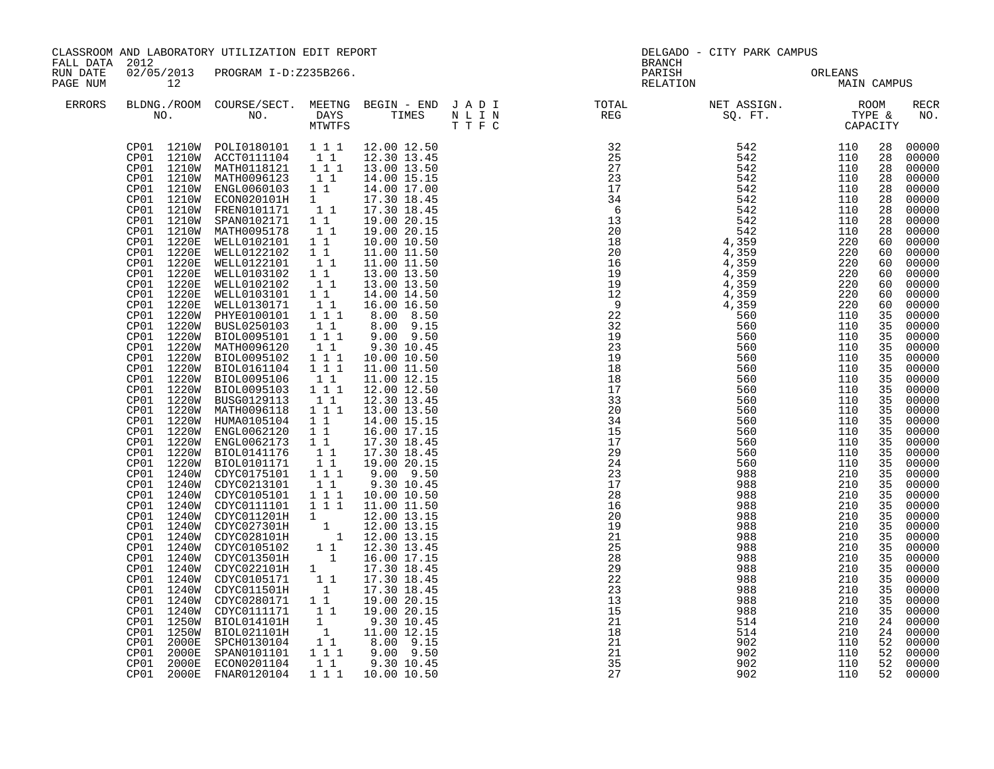| FALL DATA 2012       |                                                                                                                                                                                                                                                                                                                                                                | CLASSROOM AND LABORATORY UTILIZATION EDIT REPORT                                                                                                                                                                                                                                                                                                                                                                                                                                                                                                                                                                                                                                                                                                                                                                                                                                                                                                                                                                                                                                                                                                                                                                                                                                                                                 |                                                                                                                                                                                                                                                                                                       |                                                                                                                                                                                                                                                                                                                                                                                                                                                                                                                                                                                                                                                  | <b>BRANCH</b>                                                                                                                                                                                                                                                                                                                                                                                                                                                                  | DELGADO - CITY PARK CAMPUS                    |                                               |                                                                                                                                                                                                                                                                                        |                                                                                                                                                                                                                                                                                                                                                                                                                                                                 |
|----------------------|----------------------------------------------------------------------------------------------------------------------------------------------------------------------------------------------------------------------------------------------------------------------------------------------------------------------------------------------------------------|----------------------------------------------------------------------------------------------------------------------------------------------------------------------------------------------------------------------------------------------------------------------------------------------------------------------------------------------------------------------------------------------------------------------------------------------------------------------------------------------------------------------------------------------------------------------------------------------------------------------------------------------------------------------------------------------------------------------------------------------------------------------------------------------------------------------------------------------------------------------------------------------------------------------------------------------------------------------------------------------------------------------------------------------------------------------------------------------------------------------------------------------------------------------------------------------------------------------------------------------------------------------------------------------------------------------------------|-------------------------------------------------------------------------------------------------------------------------------------------------------------------------------------------------------------------------------------------------------------------------------------------------------|--------------------------------------------------------------------------------------------------------------------------------------------------------------------------------------------------------------------------------------------------------------------------------------------------------------------------------------------------------------------------------------------------------------------------------------------------------------------------------------------------------------------------------------------------------------------------------------------------------------------------------------------------|--------------------------------------------------------------------------------------------------------------------------------------------------------------------------------------------------------------------------------------------------------------------------------------------------------------------------------------------------------------------------------------------------------------------------------------------------------------------------------|-----------------------------------------------|-----------------------------------------------|----------------------------------------------------------------------------------------------------------------------------------------------------------------------------------------------------------------------------------------------------------------------------------------|-----------------------------------------------------------------------------------------------------------------------------------------------------------------------------------------------------------------------------------------------------------------------------------------------------------------------------------------------------------------------------------------------------------------------------------------------------------------|
| RUN DATE<br>PAGE NUM | 12                                                                                                                                                                                                                                                                                                                                                             | 02/05/2013 PROGRAM I-D:Z235B266.                                                                                                                                                                                                                                                                                                                                                                                                                                                                                                                                                                                                                                                                                                                                                                                                                                                                                                                                                                                                                                                                                                                                                                                                                                                                                                 |                                                                                                                                                                                                                                                                                                       |                                                                                                                                                                                                                                                                                                                                                                                                                                                                                                                                                                                                                                                  |                                                                                                                                                                                                                                                                                                                                                                                                                                                                                | PARISH ORLEANS NELATION MAIN CAMPUS           |                                               |                                                                                                                                                                                                                                                                                        |                                                                                                                                                                                                                                                                                                                                                                                                                                                                 |
| <b>ERRORS</b>        |                                                                                                                                                                                                                                                                                                                                                                |                                                                                                                                                                                                                                                                                                                                                                                                                                                                                                                                                                                                                                                                                                                                                                                                                                                                                                                                                                                                                                                                                                                                                                                                                                                                                                                                  |                                                                                                                                                                                                                                                                                                       |                                                                                                                                                                                                                                                                                                                                                                                                                                                                                                                                                                                                                                                  |                                                                                                                                                                                                                                                                                                                                                                                                                                                                                |                                               |                                               |                                                                                                                                                                                                                                                                                        | <b>RECR</b><br>NO.                                                                                                                                                                                                                                                                                                                                                                                                                                              |
|                      | CP01 1220E<br>CP01 1220E<br>CP01 1220E<br>CP01 1220E<br>CP01 1220E<br>CP01 1220E<br>CP01 1220E<br>CP01 1220W<br>CP01<br>1240W<br>CP01<br>1240W<br>CP01 1240W<br>CP01 1240W<br>CP01 1240W<br>CP01 1240W<br>CP01 1240W<br>CP01 1240W<br>CP01 1240W<br>CP01 1240W<br>CP01 1240W<br>CP01 1240W<br>CP01<br>1250W<br>CP01<br>1250W<br>CP01<br>2000E<br>CP01<br>2000E | CP01 1210W POLI0180101 1 1 1 1 12.00 12.50<br>CP01 1210W ACCT0111104 11<br>CP01 1210W MATH0118121 111<br>CP01 1210W MATH0096123 11<br>CP01 1210W ENGL0060103 1 1<br>CP01 1210W ECON020101H 1<br>CP01 1210W FREN0101171 1 1<br>CP01 1210W SPAN0102171 1 1<br>CP01 1210W MATH0095178<br>WELL0102101 1 1<br>WELL0122102<br>WELL0122101<br>WELL0103102 1 1<br>WELL0102102 1 1<br>WELL0103101   11<br>WELL0130171   11<br>PHYE0100101<br>CP01 1220W BUSL0250103 1 1<br>CP01 1220W BIOL0095101 1 1 1<br>CP01 1220W MATH0096120<br>CP01 1220W BIOL0095102<br>CP01 1220W BIOL0161104 111<br>CP01 1220W BIOL0095106<br>CP01 1220W BIOL0095103 111<br>CP01 1220W BUSG0129113 1 1<br>CP01 1220W MATH0096118 1 1 1<br>CP01 1220W HUMA0105104 1 1<br>CP01 1220W ENGL0062120 1 1<br>CP01 1220W ENGL0062173 1 1<br>CP01 1220W BIOL0141176 1 1<br>CP01 1220W BIOL0101171 1 1<br>CP01 1240W CDYC0175101 1 1 1<br>CDYC0213101 1 1<br>CDYC0105101 111<br>CDYC0111101  1  1  1  11.00  11.50<br>CDYC0111101 1 1 1 11.00 11.50<br>CDYC0127301H 1 12.00 13.15<br>CDYC027301H 1 12.00 13.15<br>CDYC028101H 1 12.00 13.15<br>CDYC0105102 1 1 12.30 13.45<br>CDYC013501H 1 16.00 17.15<br>CDYC0105171 1 17.30 18.45<br>CDYC0105171 1 17.30 18.45<br><br>CP01 1240W CDYC011501H<br>CDYC0111171<br>BIOL014101H<br>BIOL021101H<br>SPCH0130104<br>SPAN0101101 | $\begin{bmatrix} 1 \\ 1 \end{bmatrix}$<br>$\begin{smallmatrix}1&1\\1&1\end{smallmatrix}$<br>$\begin{bmatrix} 1 \\ 1 \end{bmatrix}$<br>$\begin{bmatrix} 1 \\ 1 \\ 1 \end{bmatrix} \begin{bmatrix} 1 \\ 1 \end{bmatrix}$<br>$\begin{bmatrix} 1\\ 1\\ 1\\ 1 \end{bmatrix}$<br>11<br>$1\quad1$<br>$1 1 1$ | 12.30 13.45<br>13.00 13.50<br>14.00 15.15<br>14.00 17.00<br>17.30 18.45<br>17.30 18.45<br>19.00 20.15<br>19.00 20.15<br>10.00 10.50<br>11.00 11.50<br>11.00 11.50<br>13.00 13.50<br>13.00 13.50<br>14.00 14.50<br>16.00 16.50<br>8.00 8.50<br>8.00 9.15<br>9.00 9.50<br>9.30 10.45<br>10.00 10.50<br>11.00 11.50<br>11.00 12.15<br>12.00 12.50<br>12.30 13.45<br>13.00 13.50<br>14.00 15.15<br>16.00 17.15<br>17.30 18.45<br>17.30 18.45<br>19.00 20.15<br>$9.00$ $9.50$<br>9.30 10.45<br>10.00 10.50<br>$\begin{bmatrix} 1 & 1 & 19.00 & 20.15 \\ 1 & 9.30 & 10.45 \\ 1 & 11.00 & 12.15 \\ 1 & 8.00 & 9.15 \\ \end{bmatrix}$<br>1 1 1 9.00 9.50 | $\begin{array}{cccc} \texttt{N} \texttt{P} \texttt{R} \texttt{EFG} & \texttt{SQ} \texttt{P} \texttt{T} & \texttt{TX} \texttt{P} \texttt{R} \texttt{R} \texttt{G} \\ \texttt{325} & \texttt{542} & \texttt{1110} \\ \texttt{325} & \texttt{542} & \texttt{1110} \\ \texttt{325} & \texttt{542} & \texttt{1110} \\ \texttt{336} & \texttt{542} & \texttt{11110} \\ \texttt{34} & \texttt{542} & \texttt{111$<br>23<br>$\frac{15}{13}$<br>15<br>$\overline{21}$<br>18<br>21<br>21 | 988<br>988<br>988<br>514<br>514<br>902<br>902 | 210<br>210<br>210<br>210<br>210<br>110<br>110 | 28<br>28<br>28<br>28<br>28<br>28<br>28<br>28<br>28<br>60<br>60<br>60<br>60<br>60<br>35<br>35<br>35<br>35<br>35<br>35<br>35<br>35<br>35<br>35<br>35<br>35<br>35<br>35<br>35<br>35<br>35<br>35<br>35<br>35<br>35<br>35<br>35<br>35<br>35<br>35<br>35<br>35<br>35<br>24<br>24<br>52<br>52 | 00000<br>00000<br>00000<br>00000<br>00000<br>00000<br>00000<br>00000<br>00000<br>00000<br>00000<br>00000<br>60 00000<br>60 00000<br>00000<br>00000<br>00000<br>00000<br>00000<br>00000<br>$00000$<br>$00000$<br>00000<br>00000<br>00000<br>00000<br>00000<br>00000<br>00000<br>00000<br>00000<br>00000<br>00000<br>00000<br>00000<br>00000<br>00000<br>00000<br>00000<br>00000<br>00000<br>00000<br>00000<br>00000<br>00000<br>00000<br>00000<br>00000<br>00000 |
|                      | CP01<br>2000E                                                                                                                                                                                                                                                                                                                                                  | ECON0201104<br>CP01 2000E FNAR0120104                                                                                                                                                                                                                                                                                                                                                                                                                                                                                                                                                                                                                                                                                                                                                                                                                                                                                                                                                                                                                                                                                                                                                                                                                                                                                            | $1\quad1$                                                                                                                                                                                                                                                                                             | 9.30 10.45<br>1 1 1 10.00 10.50                                                                                                                                                                                                                                                                                                                                                                                                                                                                                                                                                                                                                  | 35<br>27                                                                                                                                                                                                                                                                                                                                                                                                                                                                       | 902<br>902                                    | 110<br>110                                    | 52                                                                                                                                                                                                                                                                                     | 00000<br>52 00000                                                                                                                                                                                                                                                                                                                                                                                                                                               |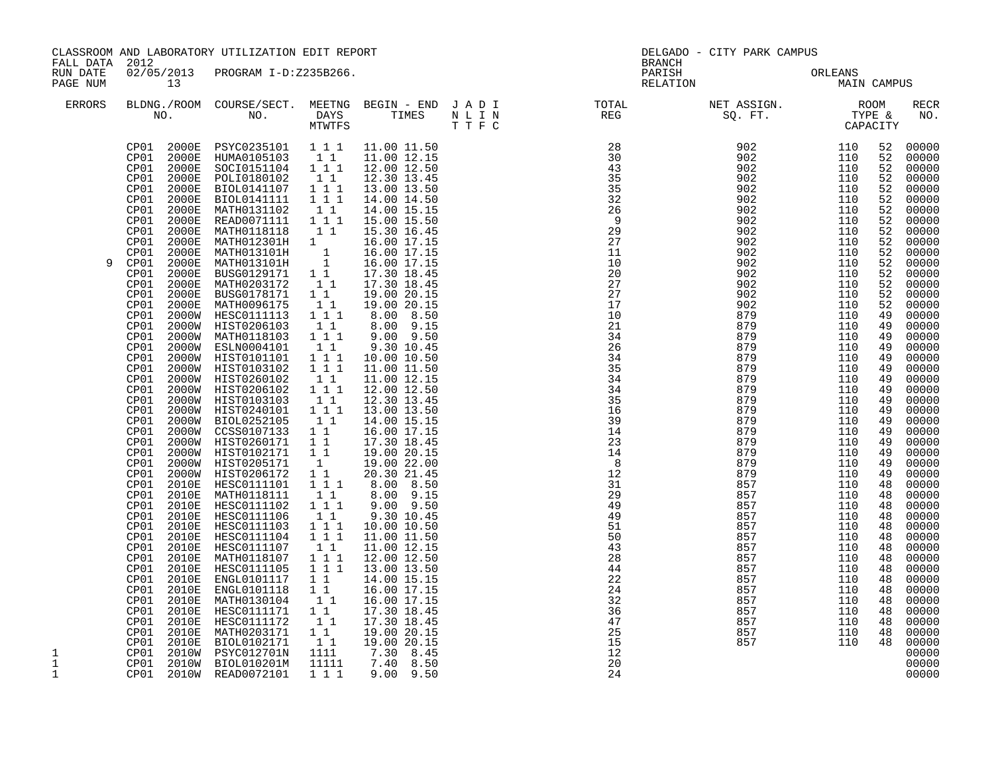| FALL DATA 2012<br>02/05/2013 PROGRAM I-D:Z235B266.<br>PARISH<br>RUN DATE<br>ORLEANS<br>MAIN<br>PAGE NUM<br>13<br>RELATION<br>MAIN CAMPUS<br><b>ERRORS</b><br>BLDNG./ROOM COURSE/SECT. MEETNG BEGIN – END JADI TOTAL NET ASSIGN. NO. ROOM NO. DAYS TIMES NLIN REG SQ.FT. TYPE &<br>NO. DAYS TIMES N L I N<br>MTWTFS T T F C<br>$\begin{array}{cccc} 28 & 902 & 110 \\ 30 & 902 & 110 \\ 43 & 902 & 110 \\ 35 & 902 & 110 \\ 35 & 902 & 110 \\ 32 & 902 & 110 \\ 26 & 902 & 110 \\ 9 & 902 & 110 \\ 9 & 902 & 110 \\ 29 & 902 & 110 \\ 27 & 902 & 110 \\ 11 & 902 & 110 \\ 11 & 902 & 110 \\ 11 & 902 & 110 \\ \end{array}$<br>CP01 2000E PSYC0235101 111 11.00 11.50<br>CP01 2000E HUMA0105103 11 11.00 12.15<br>52<br>CP01 2000E SOCIOI51104 1 1<br>CP01 2000E POLI0180102 1 1<br>12.00 12.50<br>52<br>52<br>12.30 13.45<br>2000E BIOL0141107 1 1 1<br>2000E BIOL0141111 1 1 1<br>13.00 13.50<br>CP01<br>52<br>CP01<br>52<br>14.00 14.50<br>CP01<br>2000E<br>14.00 15.15<br>52<br>CP01<br>2000E<br>15.00 15.50<br>52<br>2000E<br>CP01<br>15.30 16.45<br>52<br>MATH012301H 1 16.00 17.15<br>MATH013101H 1 16.00 17.15<br>MATH013101H 1 16.00 17.15<br>BUSG0129171 1 17.30 18.45<br>MATH0203172 1 17.30 18.45<br>CP01<br>2000E<br>52<br>CP01<br>2000E<br>11<br>902<br>110<br>52<br>CP01<br>2000E<br>10<br>902<br>110<br>52<br>9<br>2000E<br>20<br>902<br>110<br>CP01<br>52<br>27<br>CP01<br>2000E<br>902<br>110<br>52<br>$1^-1^-$<br>$\overline{27}$<br>902<br>CP01<br>2000E<br>BUSG0178171<br>19.00 20.15<br>110<br>52<br>902<br>CP01<br>2000E<br>MATH0096175<br>HESC0111113<br>$\begin{smallmatrix}1&1\\1&1\end{smallmatrix}$<br>17<br>110<br>19.00 20.15<br>52<br>CP01<br>8.00 8.50<br>879<br>2000W<br>10<br>110<br>49<br>CP01<br>2000W HIST0206103 11<br>2000W MATH0118103 111<br>8.00 9.15<br>21<br>879<br>110<br>49<br>$9.00$ $9.50$<br>CP01<br>34<br>879<br>110<br>49<br>$\begin{array}{rrrr} & 1 & 1 \\ & 1 & 1 \\ & 1 & 1 & 1 \\ & & 1 & 1 \end{array}$<br>879<br>CP01<br>26<br>110<br>2000W ESLN0004101<br>2000W HIST0101101<br>9.30 10.45<br>49<br>CP01<br>10.00 10.50<br>34<br>879<br>110<br>49<br>CP01<br>2000W HIST0103102<br>35<br>879<br>110<br>11.00 11.50<br>49<br>34<br>879<br>110<br>CP01<br>2000W HIST0260102   11<br>2000W HIST0206102   111<br>11.00 12.15<br>49<br>34<br>879<br>CP01<br>12.00 12.50<br>110<br>49<br>CP01<br>2000W HIST0103103<br>2000W HIST0103103<br>2000W HIST0240101 1 1<br>2000W CCSS0107133 1 1<br>2000W HIST0260171 1 1<br>2000W HIST0260171 1 1<br>$\begin{smallmatrix}1&1\\1&1\end{smallmatrix}$<br>12.30 13.45<br>35<br>879<br>110<br>49<br>CP01<br>13.00 13.50<br>16<br>879<br>110<br>49<br>CP01<br>11<br>39<br>879<br>110<br>14.00 15.15<br>49<br>14<br>CP01<br>879<br>16.00 17.15<br>110<br>49<br>CP01<br>23<br>17.30 18.45<br>879<br>110<br>49<br>19.0020.15<br>CP01<br>2000W HIST0102171 1 1<br>2000W HIST0205171 1<br>14<br>879<br>110<br>49<br>CP01<br>110<br>2000W HIST0205171 -1 19.00 22.00<br>2000W HIST0206172 1 1 20.30 21.45<br>2010E HESC0111101 1.1.1 8.00 8.50<br>8<br>879<br>49<br>CP01<br>12<br>879<br>110<br>49<br>CP01<br>31<br>857<br>110<br>48<br>CP01<br>2010E<br>MATH0118111<br>$\begin{bmatrix} 1\\ 1\\ 1\\ 1 \end{bmatrix}$<br>8.00 9.15<br>29<br>857<br>110<br>48<br>HESC0111102<br>HESC0111106<br>9.00 9.50<br>49<br>110<br>CP01<br>2010E<br>857<br>48<br>CP01<br>2010E<br>HESC0111106 11<br>HESC0111106 11<br>HESC0111103 111<br>HESC0111104 111<br>HESC0111107 11<br>9.30 10.45<br>$\frac{49}{51}$<br>857<br>110<br>48<br>857<br>CP01<br>2010E<br>10.00 10.50<br>110<br>48<br>50<br>CP01<br>2010E<br>2010E<br>HESC0111104<br>HESC0111107<br>MATH0118107<br>HESC0111105<br>11.00 11.50<br>857<br>110<br>48<br>CP01<br>43<br>11.00 12.15<br>857<br>110<br>48<br>28<br>CP01<br>2010E<br>1 1 1<br>12.00 12.50<br>13.00 13.50<br>110<br>857<br>48<br>$\overline{1}$ $\overline{1}$ $\overline{1}$<br>$\overline{44}$<br>CP01<br>2010E<br>857<br>110<br>48<br>11<br>22<br>CP01<br>14.00 15.15<br>110<br>2010E<br>ENGL0101117<br>857<br>48<br>ENGL0101118<br>CP01<br>2010E<br>$\begin{smallmatrix} 1 & 1 \\ 1 & 1 \end{smallmatrix}$<br>16.00 17.15<br>24<br>110<br>857<br>48<br>MATH0130104<br>16.00 17.15<br>32<br>CP01<br>2010E<br>110<br>857<br>48<br>HESC0111171<br>$\begin{smallmatrix}1\end{smallmatrix}$ $\begin{smallmatrix}1\end{smallmatrix}$ $\begin{smallmatrix}1\end{smallmatrix}$<br>36<br>CP01<br>2010E<br>17.30 18.45<br>857<br>110<br>48<br>CP01<br>HESC0111172<br>17.30 18.45<br>47<br>2010E<br>857<br>110<br>48<br>CP01<br>25<br>2010E<br>19.00 20.15<br>857<br>110<br>48 | CLASSROOM AND LABORATORY UTILIZATION EDIT REPORT |  |  |             | DELGADO - CITY PARK CAMPUS<br><b>BRANCH</b> |    |     |     |    |                                                                                                                                                                                                                                                                                                                                                                                                                                                                                  |
|----------------------------------------------------------------------------------------------------------------------------------------------------------------------------------------------------------------------------------------------------------------------------------------------------------------------------------------------------------------------------------------------------------------------------------------------------------------------------------------------------------------------------------------------------------------------------------------------------------------------------------------------------------------------------------------------------------------------------------------------------------------------------------------------------------------------------------------------------------------------------------------------------------------------------------------------------------------------------------------------------------------------------------------------------------------------------------------------------------------------------------------------------------------------------------------------------------------------------------------------------------------------------------------------------------------------------------------------------------------------------------------------------------------------------------------------------------------------------------------------------------------------------------------------------------------------------------------------------------------------------------------------------------------------------------------------------------------------------------------------------------------------------------------------------------------------------------------------------------------------------------------------------------------------------------------------------------------------------------------------------------------------------------------------------------------------------------------------------------------------------------------------------------------------------------------------------------------------------------------------------------------------------------------------------------------------------------------------------------------------------------------------------------------------------------------------------------------------------------------------------------------------------------------------------------------------------------------------------------------------------------------------------------------------------------------------------------------------------------------------------------------------------------------------------------------------------------------------------------------------------------------------------------------------------------------------------------------------------------------------------------------------------------------------------------------------------------------------------------------------------------------------------------------------------------------------------------------------------------------------------------------------------------------------------------------------------------------------------------------------------------------------------------------------------------------------------------------------------------------------------------------------------------------------------------------------------------------------------------------------------------------------------------------------------------------------------------------------------------------------------------------------------------------------------------------------------------------------------------------------------------------------------------------------------------------------------------------------------------------------------------------------------------------------------------------------------------------------------------------------------------------------------------------------------------------------------------------------------------------------------------------------------------------------------------------------------------------------------------------------------------------------------------------------------------------------------------------------------------------------------------------------------------------------------------------------|--------------------------------------------------|--|--|-------------|---------------------------------------------|----|-----|-----|----|----------------------------------------------------------------------------------------------------------------------------------------------------------------------------------------------------------------------------------------------------------------------------------------------------------------------------------------------------------------------------------------------------------------------------------------------------------------------------------|
|                                                                                                                                                                                                                                                                                                                                                                                                                                                                                                                                                                                                                                                                                                                                                                                                                                                                                                                                                                                                                                                                                                                                                                                                                                                                                                                                                                                                                                                                                                                                                                                                                                                                                                                                                                                                                                                                                                                                                                                                                                                                                                                                                                                                                                                                                                                                                                                                                                                                                                                                                                                                                                                                                                                                                                                                                                                                                                                                                                                                                                                                                                                                                                                                                                                                                                                                                                                                                                                                                                                                                                                                                                                                                                                                                                                                                                                                                                                                                                                                                                                                                                                                                                                                                                                                                                                                                                                                                                                                                                                                                                      |                                                  |  |  |             |                                             |    |     |     |    |                                                                                                                                                                                                                                                                                                                                                                                                                                                                                  |
|                                                                                                                                                                                                                                                                                                                                                                                                                                                                                                                                                                                                                                                                                                                                                                                                                                                                                                                                                                                                                                                                                                                                                                                                                                                                                                                                                                                                                                                                                                                                                                                                                                                                                                                                                                                                                                                                                                                                                                                                                                                                                                                                                                                                                                                                                                                                                                                                                                                                                                                                                                                                                                                                                                                                                                                                                                                                                                                                                                                                                                                                                                                                                                                                                                                                                                                                                                                                                                                                                                                                                                                                                                                                                                                                                                                                                                                                                                                                                                                                                                                                                                                                                                                                                                                                                                                                                                                                                                                                                                                                                                      |                                                  |  |  |             |                                             |    |     |     |    | <b>RECR</b><br>NO.                                                                                                                                                                                                                                                                                                                                                                                                                                                               |
| 2010E BIOL0102171<br>2010W PSYC012701N<br>1111<br>$7.30$ 8.45<br>$7.40$ 8.50<br>12<br>CP01<br>1<br>$\mathbf 1$<br>CP01  2010W  BIOL010201M<br>CP01  2010W  READ0072101<br>11111<br>20<br>1 1 1<br>1<br>9.00 9.50<br>24                                                                                                                                                                                                                                                                                                                                                                                                                                                                                                                                                                                                                                                                                                                                                                                                                                                                                                                                                                                                                                                                                                                                                                                                                                                                                                                                                                                                                                                                                                                                                                                                                                                                                                                                                                                                                                                                                                                                                                                                                                                                                                                                                                                                                                                                                                                                                                                                                                                                                                                                                                                                                                                                                                                                                                                                                                                                                                                                                                                                                                                                                                                                                                                                                                                                                                                                                                                                                                                                                                                                                                                                                                                                                                                                                                                                                                                                                                                                                                                                                                                                                                                                                                                                                                                                                                                                               | CP01                                             |  |  | 19.00 20.15 |                                             | 15 | 857 | 110 | 48 | 52 00000<br>00000<br>00000<br>00000<br>00000<br>00000<br>00000<br>00000<br>00000<br>00000<br>00000<br>00000<br>00000<br>00000<br>00000<br>00000<br>00000<br>00000<br>00000<br>00000<br>00000<br>00000<br>00000<br>00000<br>00000<br>$00000$<br>00000<br>00000<br>00000<br>00000<br>00000<br>00000<br>00000<br>00000<br>$00000$<br>00000<br>00000<br>00000<br>00000<br>00000<br>00000<br>00000<br>00000<br>00000<br>00000<br>00000<br>$00000$<br>00000<br>00000<br>00000<br>00000 |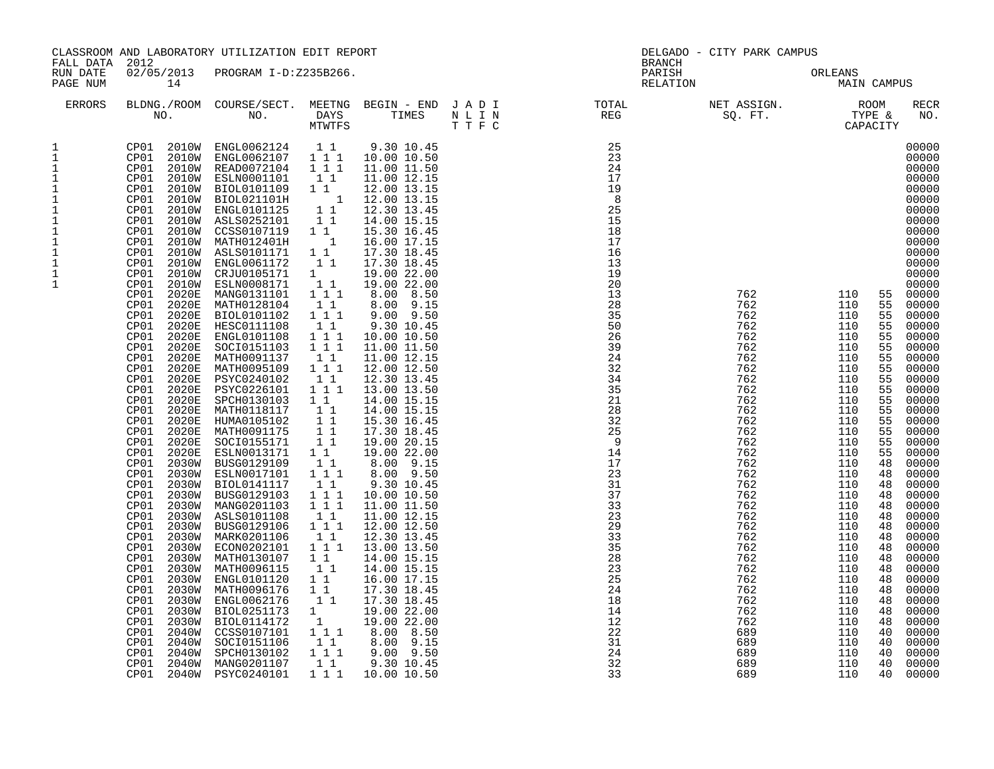|                                                                                                                                                                                      | CLASSROOM AND LABORATORY UTILIZATION EDIT REPORT<br>FALL DATA 2012<br>02/05/2013 PROGRAM I-D:Z235B266.                                                                                                                                                                                                                                                                                                                                                                                                                                                                                                                                                                                                                                                                                                    |                                                                                                                                                                                                                                                                                                                                                                                                                                                                                                                                                                                                                                                                                                                                                                                                                                                        |                                                                                                                                                                                                                                                                                                                                                                                                                                                                                                                                                               |                                                                                                                                                                                                                                                                                                                                                                                                                                                                                                                                                                                                                                                                                                                                                                               | DELGADO - CITY PARK CAMPUS<br><b>BRANCH</b>                                                                                                                                                                                                                                                      |                                                                                                                                                                                                                                                                 |                                                                                                                                                                                                                                                                                                                       |                                                                                                                                                                                                                                                                                                                                                                                                                                                                                                                                                                                                                                              |  |
|--------------------------------------------------------------------------------------------------------------------------------------------------------------------------------------|-----------------------------------------------------------------------------------------------------------------------------------------------------------------------------------------------------------------------------------------------------------------------------------------------------------------------------------------------------------------------------------------------------------------------------------------------------------------------------------------------------------------------------------------------------------------------------------------------------------------------------------------------------------------------------------------------------------------------------------------------------------------------------------------------------------|--------------------------------------------------------------------------------------------------------------------------------------------------------------------------------------------------------------------------------------------------------------------------------------------------------------------------------------------------------------------------------------------------------------------------------------------------------------------------------------------------------------------------------------------------------------------------------------------------------------------------------------------------------------------------------------------------------------------------------------------------------------------------------------------------------------------------------------------------------|---------------------------------------------------------------------------------------------------------------------------------------------------------------------------------------------------------------------------------------------------------------------------------------------------------------------------------------------------------------------------------------------------------------------------------------------------------------------------------------------------------------------------------------------------------------|-------------------------------------------------------------------------------------------------------------------------------------------------------------------------------------------------------------------------------------------------------------------------------------------------------------------------------------------------------------------------------------------------------------------------------------------------------------------------------------------------------------------------------------------------------------------------------------------------------------------------------------------------------------------------------------------------------------------------------------------------------------------------------|--------------------------------------------------------------------------------------------------------------------------------------------------------------------------------------------------------------------------------------------------------------------------------------------------|-----------------------------------------------------------------------------------------------------------------------------------------------------------------------------------------------------------------------------------------------------------------|-----------------------------------------------------------------------------------------------------------------------------------------------------------------------------------------------------------------------------------------------------------------------------------------------------------------------|----------------------------------------------------------------------------------------------------------------------------------------------------------------------------------------------------------------------------------------------------------------------------------------------------------------------------------------------------------------------------------------------------------------------------------------------------------------------------------------------------------------------------------------------------------------------------------------------------------------------------------------------|--|
| RUN DATE<br>PAGE NUM                                                                                                                                                                 | 14                                                                                                                                                                                                                                                                                                                                                                                                                                                                                                                                                                                                                                                                                                                                                                                                        |                                                                                                                                                                                                                                                                                                                                                                                                                                                                                                                                                                                                                                                                                                                                                                                                                                                        |                                                                                                                                                                                                                                                                                                                                                                                                                                                                                                                                                               |                                                                                                                                                                                                                                                                                                                                                                                                                                                                                                                                                                                                                                                                                                                                                                               | PARISH<br>RELATION                                                                                                                                                                                                                                                                               |                                                                                                                                                                                                                                                                 | ORLEANS<br><b>MAIN CAMPUS</b>                                                                                                                                                                                                                                                                                         |                                                                                                                                                                                                                                                                                                                                                                                                                                                                                                                                                                                                                                              |  |
| ERRORS                                                                                                                                                                               |                                                                                                                                                                                                                                                                                                                                                                                                                                                                                                                                                                                                                                                                                                                                                                                                           |                                                                                                                                                                                                                                                                                                                                                                                                                                                                                                                                                                                                                                                                                                                                                                                                                                                        |                                                                                                                                                                                                                                                                                                                                                                                                                                                                                                                                                               |                                                                                                                                                                                                                                                                                                                                                                                                                                                                                                                                                                                                                                                                                                                                                                               | BLDNG./ROOM COURSE/SECT. MEETNG BEGIN – END JADI TOTAL MET ASSIGN. MET ASSIGN. ROOM NO. DAYS TIMES NLIN REG SQ.FT. TYPE &                                                                                                                                                                        |                                                                                                                                                                                                                                                                 |                                                                                                                                                                                                                                                                                                                       | RECR<br>NO.                                                                                                                                                                                                                                                                                                                                                                                                                                                                                                                                                                                                                                  |  |
| 1<br>$\mathbf{1}$<br>$\mathbf{1}$<br>$1\,$<br>$\frac{1}{1}$<br>$\mathbf 1$<br>$\mathbf 1$<br>$\ensuremath{\mathsf{1}}$<br>$\mathbf 1$<br>$\mathbf 1$<br>$\mathbf 1$<br>$\frac{1}{1}$ | CP01 2010W ESLN0001101<br>CP01 2010W<br>CP01<br>2010W<br>CP01<br>2010W<br>CP01<br>CP01<br>2010W<br>CP01<br>2010W<br>CP01<br>CP01 2010W<br><b>2010W</b><br>CP01<br>2010W<br>CP01<br>2020E<br>CP01<br>CP01<br>2020E<br>CP01<br>2020E<br>CP01<br>2020E<br>CP01<br>2020E<br>2020E<br>CP01<br>CP01<br>2020E<br>CP01<br>2020E<br>CP01<br>2020E<br>CP01<br>2020E<br>CP01<br>2020E<br>2020E<br>CP01<br>CP01<br>2020E<br>2020E<br>CP01<br>CP01<br>2020E<br>CP01<br>2020E<br>CP01<br>2030W<br>CP01<br>2030W<br>CP01<br>CP01<br>2030W<br>CP01<br>2030W<br>CP01<br>2030W<br>CP01<br>CP01<br>2030W<br>CP01<br>2030W<br>CP01<br>2030W<br>CP01<br>2030W<br>CP01<br>2030W<br>CP01<br>2030W<br>CP01<br>2030W<br>CP01<br>2030W<br>CP01<br>2030W<br>CP01<br>2040W<br>CP01<br>2040W<br>CP01<br>2040W<br>CP01<br>2040W<br>CP01 | CP01 2010W ENGL0062124 11<br>CP01 2010W ENGL0062107 1 1 1<br>CP01 2010W READ0072104 111<br>BIOL0101109<br>BIOL021101H<br>ENGL0101125<br>2010W ASLS0252101<br>CCSS0107119<br>2010W MATH012401H<br>ASLS0101171<br>ENGL0061172<br>CRJU0105171<br>ESLN0008171<br>MANG0131101<br>MATH0128104<br>BIOL0101102<br>HESC0111108<br>ENGL0101108<br>SOCI0151103<br>MATH0091137<br>MATH0095109<br>PSYC0240102<br>PSYC0226101<br>SPCH0130103<br>MATH0118117<br>HUMA0105102<br>MATH0091175<br>SOCI0155171<br>ESLN0013171<br>BUSG0129109<br>ESLN0017101<br>2030W BIOL0141117<br>BUSG0129103<br>MANG0201103<br>ASLS0101108<br>2030W BUSG0129106<br>MARK0201106<br>ECON0202101<br>MATH0130107<br>MATH0096115<br>ENGL0101120<br>MATH0096176<br>ENGL0062176<br>BIOL0251173<br>BIOL0114172<br>CCSS0107101<br>SOCI0151106<br>SPCH0130102<br>MANG0201107<br>2040W PSYC0240101 | $1\quad1$<br>$1\quad1$<br>$\begin{array}{c} 1 \\ 1 \end{array}$<br>11<br>11<br>$\overline{1}$<br>11<br>11<br>1<br>11<br>$1 1 1$<br>$1\quad1$<br>$1 1 1$<br>1 1<br>1 1 1<br>1 1 1<br>$\begin{smallmatrix}1&1\\1&1&1\end{smallmatrix}$<br>$1\quad1$<br>1 1 1<br>11<br>11<br>$1\quad1$<br>11<br>$1\quad1$<br>$1\quad1$<br>11<br>$1 1 1$<br>11<br>$1^{\circ}1^{\circ}1$<br>1 1 1<br>1 1<br>$1 1 1$<br>$1\quad1$<br>$1 1 1$<br>11<br>11<br>$1\quad1$<br>$1\quad1$<br>11<br>$\frac{1}{1}$<br>$1\hspace{0.1cm} 1\hspace{0.1cm} 1$<br>11<br>$1\ 1\ 1$<br>1 1<br>1 1 1 | 9.30 10.45<br>10.00 10.50<br>11.00 11.50<br>11.00 12.15<br>12.00 13.15<br>12.00 13.15<br>12.30 13.45<br>14.00 15.15<br>15.30 16.45<br>16.00 17.15<br>17.30 18.45<br>17.30 18.45<br>19.00 22.00<br>19.00 22.00<br>8.00 8.50<br>8.00 9.15<br>$9.00$ $9.50$<br>9.30 10.45<br>10.00 10.50<br>11.00 11.50<br>11.00 12.15<br>12.00 12.50<br>12.30 13.45<br>13.00 13.50<br>14.00 15.15<br>14.00 15.15<br>15.30 16.45<br>17.30 18.45<br>19.00 20.15<br>19.00 22.00<br>$8.00$ $9.15$<br>8.00 9.50<br>9.30 10.45<br>10.00 10.50<br>11.00 11.50<br>11.00 12.15<br>12.00 12.50<br>12.30 13.45<br>13.00 13.50<br>14.00 15.15<br>14.00 15.15<br>16.00 17.15<br>17.30 18.45<br>17.30 18.45<br>19.00 22.00<br>19.00 22.00<br>8.00 8.50<br>8.00 9.15<br>9.00 9.50<br>9.30 10.45<br>10.00 10.50 | 25<br>23<br>24<br>17<br>19<br>8<br>25<br>15<br>18<br>17<br>16<br>13<br>19<br>20<br>13<br>28<br>35<br>50<br>26<br>39<br>$\frac{1}{2}$<br>$\frac{2}{9}$<br>$\frac{14}{17}$<br>23<br>31<br>37<br>33<br>23<br>29<br>33<br>35<br>28<br>23<br>25<br>24<br>18<br>14<br>12<br>22<br>31<br>24<br>32<br>33 | 762<br>762<br>762<br>762<br>762<br>762<br>762<br>762<br>762<br>762<br>762<br>762<br>762<br>762<br>762<br>762<br>762<br>762<br>762<br>762<br>762<br>762<br>762<br>762<br>762<br>762<br>762<br>762<br>762<br>762<br>762<br>762<br>689<br>689<br>689<br>689<br>689 | 110<br>110<br>110<br>110<br>110<br>55<br>110<br>110<br>55<br>110<br>110<br>110<br>110<br>110<br>110<br>110<br>110<br>110<br>110<br>110<br>48<br>110<br>110<br>48<br>110<br>110<br>48<br>110<br>110<br>110<br>110<br>48<br>110<br>110<br>48<br>110<br>110<br>48<br>110<br>110<br>48<br>110<br>110<br>110<br>110<br>110 | 00000<br>00000<br>00000<br>00000<br>00000<br>00000<br>00000<br>00000<br>00000<br>00000<br>00000<br>00000<br>00000<br>00000<br>55 00000<br>55<br>00000<br>00000<br>55<br>55<br>00000<br>00000<br>55<br>00000<br>00000<br>00000<br>55<br>00000<br>55<br>55<br>00000<br>55<br>00000<br>00000<br>55<br>00000<br>55<br>55<br>00000<br>00000<br>55<br>55<br>00000<br>00000<br>48<br>00000<br>00000<br>48<br>00000<br>00000<br>48<br>00000<br>00000<br>48<br>48<br>00000<br>00000<br>48<br>00000<br>00000<br>48<br>00000<br>48<br>00000<br>00000<br>48<br>00000<br>00000<br>00000<br>40<br>00000<br>40<br>00000<br>40<br>40<br>00000<br>00000<br>40 |  |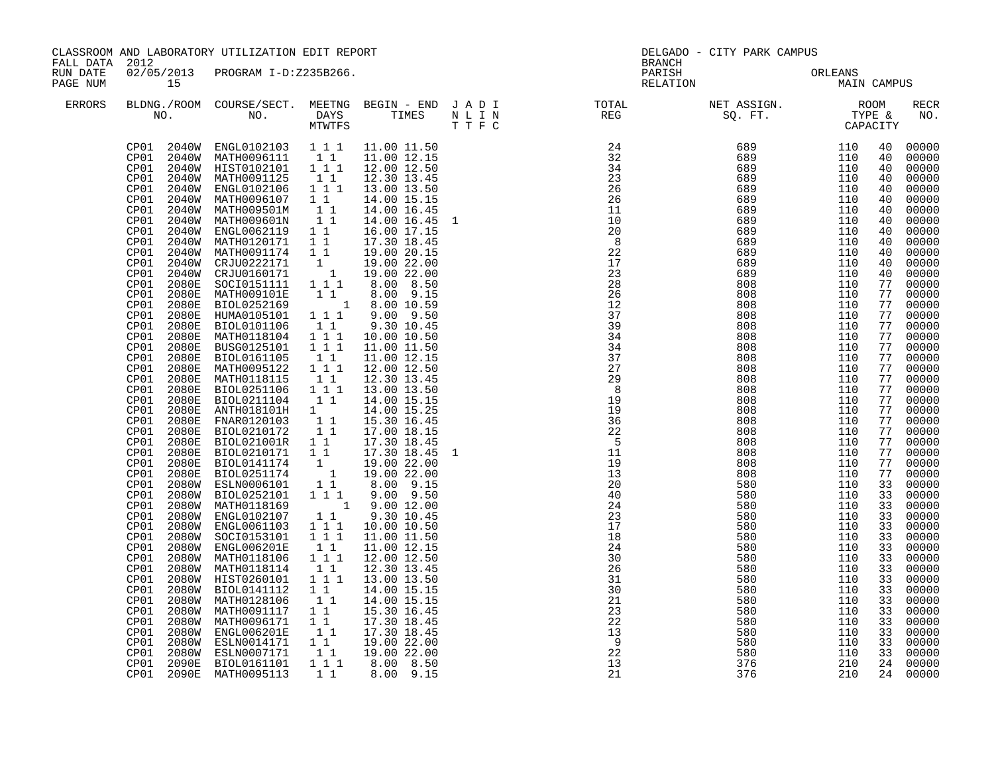| CLASSROOM AND LABORATORY UTILIZATION EDIT REPORT<br>FALL DATA 2012<br>RUN DATE |                                                                                                                                                                                                                                                                                                                                                                                                                                                                                                                                                   |                                                                                                                                                                                                                                                                                                                                                                                                                                                                                                                                                                                                                                                                                                                                                                                                                                                                                                                                                                                                                                                                                                                                                                                                                                                                                                                                                                                                                                   |                                                                                                                                                                                                                                                                                                                                                                                                                                                                      |                                                                                                                                                                                                                                                                                                                                                                                                                                                                                                              | DELGADO - CITY PARK CAMPUS<br><b>BRANCH</b>                                                                              |                                               |                                               |                                                                                                                                                                                                                                                                |                                                                                                                                                                                                                                                                                                                                                                                                                                                                        |
|--------------------------------------------------------------------------------|---------------------------------------------------------------------------------------------------------------------------------------------------------------------------------------------------------------------------------------------------------------------------------------------------------------------------------------------------------------------------------------------------------------------------------------------------------------------------------------------------------------------------------------------------|-----------------------------------------------------------------------------------------------------------------------------------------------------------------------------------------------------------------------------------------------------------------------------------------------------------------------------------------------------------------------------------------------------------------------------------------------------------------------------------------------------------------------------------------------------------------------------------------------------------------------------------------------------------------------------------------------------------------------------------------------------------------------------------------------------------------------------------------------------------------------------------------------------------------------------------------------------------------------------------------------------------------------------------------------------------------------------------------------------------------------------------------------------------------------------------------------------------------------------------------------------------------------------------------------------------------------------------------------------------------------------------------------------------------------------------|----------------------------------------------------------------------------------------------------------------------------------------------------------------------------------------------------------------------------------------------------------------------------------------------------------------------------------------------------------------------------------------------------------------------------------------------------------------------|--------------------------------------------------------------------------------------------------------------------------------------------------------------------------------------------------------------------------------------------------------------------------------------------------------------------------------------------------------------------------------------------------------------------------------------------------------------------------------------------------------------|--------------------------------------------------------------------------------------------------------------------------|-----------------------------------------------|-----------------------------------------------|----------------------------------------------------------------------------------------------------------------------------------------------------------------------------------------------------------------------------------------------------------------|------------------------------------------------------------------------------------------------------------------------------------------------------------------------------------------------------------------------------------------------------------------------------------------------------------------------------------------------------------------------------------------------------------------------------------------------------------------------|
| PAGE NUM                                                                       | 15                                                                                                                                                                                                                                                                                                                                                                                                                                                                                                                                                | 02/05/2013 PROGRAM I-D:Z235B266.                                                                                                                                                                                                                                                                                                                                                                                                                                                                                                                                                                                                                                                                                                                                                                                                                                                                                                                                                                                                                                                                                                                                                                                                                                                                                                                                                                                                  |                                                                                                                                                                                                                                                                                                                                                                                                                                                                      |                                                                                                                                                                                                                                                                                                                                                                                                                                                                                                              | PARISH<br>RELATION                                                                                                       | ORLEANS<br>MAIN CAMPUS                        | ORLEANS                                       |                                                                                                                                                                                                                                                                |                                                                                                                                                                                                                                                                                                                                                                                                                                                                        |
| <b>ERRORS</b>                                                                  |                                                                                                                                                                                                                                                                                                                                                                                                                                                                                                                                                   |                                                                                                                                                                                                                                                                                                                                                                                                                                                                                                                                                                                                                                                                                                                                                                                                                                                                                                                                                                                                                                                                                                                                                                                                                                                                                                                                                                                                                                   |                                                                                                                                                                                                                                                                                                                                                                                                                                                                      |                                                                                                                                                                                                                                                                                                                                                                                                                                                                                                              |                                                                                                                          |                                               |                                               |                                                                                                                                                                                                                                                                | <b>RECR</b><br>NO.                                                                                                                                                                                                                                                                                                                                                                                                                                                     |
|                                                                                | CP01<br>2040W<br>CP01<br>2040W<br>CP01<br>2040W<br>CP01<br>2040W<br>CP01<br>2040W<br>CP01<br>2040W<br>CP01<br>2040W<br>CP01<br>2040W<br>CP01<br>CP01<br>CP01<br>CP01 2080E<br>CP01<br>CP01<br>CP01<br>2080E<br>CP01 2080E<br>CP01<br>2080E<br>2080E<br>CP01<br>CP01<br>2080E<br>CP01 2080E<br>CP01<br>2080E<br>2080E<br>CP01<br>CP01<br>2080E<br>CP01<br>2080E<br>CP01<br>2080E<br>CP01<br>CP01<br>CP01<br>CP01<br>CP01<br>CP01<br>CP01<br>2080W<br>CP01<br>CP01<br>CP01<br>CP01<br>CP01<br>CP01<br>2080W<br>CP01<br>CP01<br>CP01<br>CP01<br>CP01 | $\begin{tabular}{cccccc} CP01 & 2040W & ENGL0102103 & 1 & 1 & 11.00 & 11.50 \\ CP01 & 2040W & MATH0096111 & 1 & 11.00 & 12.15 \end{tabular}$<br>CP01 2040W HIST0102101 $1^{-1}$ 1<br>CP01 2040W MATH0091125 1 1<br>ENGL0102106<br>MATH0096107<br>MATH009501M 1 1<br>MATH009601N 1 1<br>ENGL0062119 1 1<br>MATH0120171 11<br>MATH0120171 11<br>2040W CRJU0222171 1 19.00 22.00<br>2040W CRJU0160171 1 19.00 22.00<br>2080E SOCI0151111 1 1 1 8.00 8.50<br><b>2080E MATH009101E</b> 1 1 8.00 9.15<br>2080E BIOL0252169 1 8.00 10.59<br>2080E HUMA0105101 1 1 1 9.00 9.50<br>2080E BIOL0101106<br>MATH0118104<br>BUSG0125101<br>BIOL0161105<br>MATH0095122<br>MATH0118115<br>BIOL0251106<br>BIOL0251104 1 1<br>BIOL0211104 1 1<br>ANTH018101H 1<br>FNAR0120103 1 1<br>TIOL0210172 1 1<br>BIOL0210172   1   1<br>BIOL021001R   1   1<br>2080E BIOLO210171 11 17.30 18.45 1<br>2080E BIOLO210171 11 17.30 18.45 1<br>2080E BIOLO251174 1 19.00 22.00<br>2080W ESLN0006101 11 8.00 9.15<br>2080W BIOLO252101 11 9.00 9.50<br>2080W MATH0118169 1 9.00 12.00<br>2080W ENGL0102107 1 1 9.30 10.45<br>CP01 2080W ENGL0102107<br>CP01 2080W ENGL0061103 111 10.00 10.50<br>SOCI0153101<br>2080W ENGL006201E<br>2080W MATH0118106<br>2080W MATH0118114<br>2080W HIST0260101<br>2080W BIOL0141112<br>MATH0128106<br>2080W MATH0091117 1 1<br>2080W MATH0091117 1 1<br>2080W ENGL006201E 1 1<br>2080W ESLN0014171 1 1<br>2080W ESLN0007171 1 1 | $\begin{array}{rrrr} 1&1&1\\ 1&1& \end{array}$<br>$\begin{bmatrix} 1 \\ 1 \\ 1 \end{bmatrix}$<br>$\begin{bmatrix} 1 & 1 \\ 1 & 1 & 1 \end{bmatrix}$<br>$\begin{bmatrix} 1 & 1 & 1 \\ 1 & 1 \end{bmatrix}$<br>1 1 1<br>$\frac{1}{2}$<br>$1 1 1$<br>$1 1 1$<br>$\begin{bmatrix} 1 & 1 \\ 1 & 1 & 1 \end{bmatrix}$<br>$\begin{smallmatrix}1&1\\1&1&1\end{smallmatrix}$<br>$\begin{smallmatrix}1&&1\\&1\\1&&1\end{smallmatrix}$<br>$\begin{bmatrix} 1 & 1 \end{bmatrix}$ | 12.00 12.50<br>12.30 13.45<br>13.00 13.50<br>14.00 15.15<br>14.00 16.45<br>14.00 16.45 1<br>16.00 17.15<br>17.30 18.45<br>19.00 20.15<br>9.30 10.45<br>10.00 10.50<br>11.00 11.50<br>11.00 12.15<br>12.00 12.50<br>12.30 13.45<br>13.00 13.50<br>14.00 15.15<br>14.00 15.25<br>15.30 16.45<br>17.00 18.15<br>17.30 18.45<br>11.00 11.50<br>11.00 12.15<br>12.00 12.50<br>12.30 13.45<br>13.00 13.50<br>14.00 15.15<br>14.00 15.15<br>15.30 16.45<br>17.30 18.45<br>17.30 18.45<br>19.00 22.00<br>19.00 22.00 | 30<br>$\overline{21}$<br>$\begin{array}{c} 23 \\ 22 \end{array}$<br>$\overline{13}$<br>$\overline{9}$<br>$2\overline{2}$ | 580<br>580<br>580<br>580<br>580<br>580<br>580 | 110<br>110<br>110<br>110<br>110<br>110<br>110 | 40<br>40<br>40<br>40<br>40<br>40<br>40<br>40<br>40<br>40<br>40<br>40<br>40<br>77<br>77<br>77<br>77<br>77<br>77<br>77<br>77<br>77<br>77<br>77<br>77<br>77<br>77<br>33<br>33<br>33<br>33<br>33<br>33<br>33<br>33<br>33<br>33<br>33<br>33<br>33<br>33<br>33<br>33 | 00000<br>00000<br>00000<br>00000<br>00000<br>00000<br>00000<br>00000<br>00000<br>00000<br>00000<br>00000<br>00000<br>00000<br>00000<br>00000<br>00000<br>00000<br>00000<br>00000<br>77 00000<br>77 00000<br>00000<br>00000<br>00000<br>7700000<br>00000<br>00000<br>77 00000<br>77 00000<br>00000<br>00000<br>33 00000<br>00000<br>00000<br>00000<br>00000<br>00000<br>00000<br>00000<br>00000<br>00000<br>00000<br>00000<br>00000<br>00000<br>00000<br>00000<br>00000 |
|                                                                                | 2090E<br>CP01                                                                                                                                                                                                                                                                                                                                                                                                                                                                                                                                     | BIOL0161101<br>CP01 2090E MATH0095113                                                                                                                                                                                                                                                                                                                                                                                                                                                                                                                                                                                                                                                                                                                                                                                                                                                                                                                                                                                                                                                                                                                                                                                                                                                                                                                                                                                             | $1 1 1$<br>$1\quad1$                                                                                                                                                                                                                                                                                                                                                                                                                                                 | 8.00 8.50<br>8.00 9.15                                                                                                                                                                                                                                                                                                                                                                                                                                                                                       | 13<br>21                                                                                                                 | 376<br>376                                    | 210<br>210                                    |                                                                                                                                                                                                                                                                | 24 00000<br>24 00000                                                                                                                                                                                                                                                                                                                                                                                                                                                   |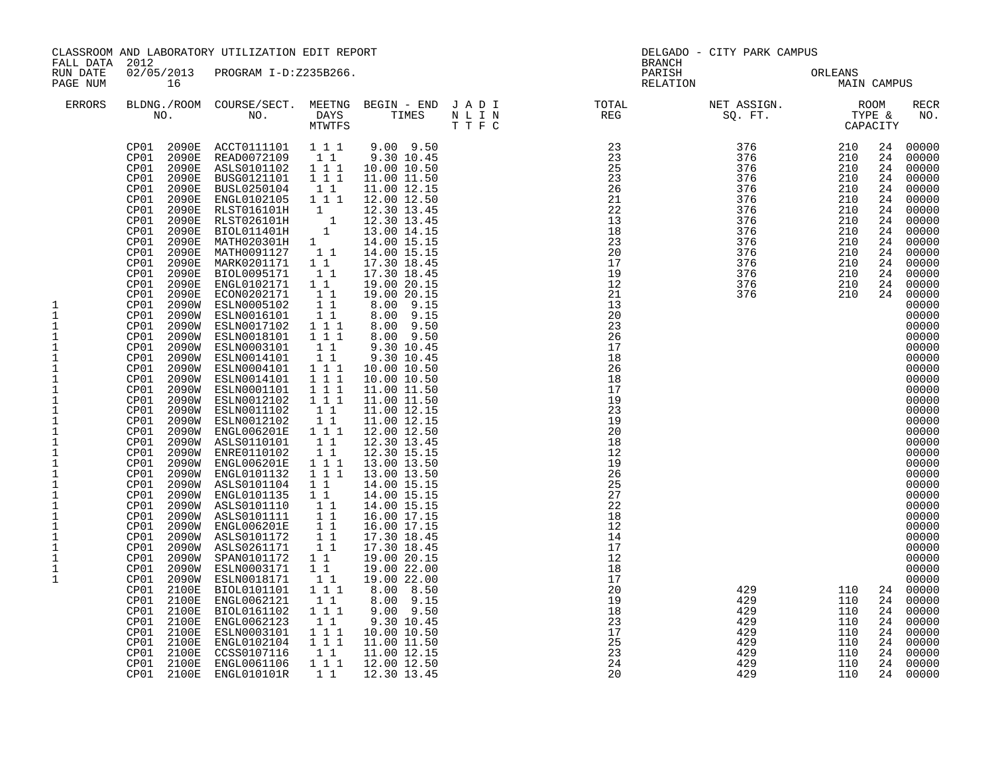|                                                                                                                                                                                                                                                                                                                                                         |                                                                                                                                                                                                                                                                                                                                                                                                                                                                                                                                                                                | CLASSROOM AND LABORATORY UTILIZATION EDIT REPORT                                                                                                                                                                                                                                                                                                                                                                                                                                                                                                                                                                                                                                                                                                                                                                                                                                                                                                                             |                                                                                                                                                                                                                                                                                                      |                                                                                                                                                                                                                                                                                                                                                                                                                                                                                                                                                                                                                                                                                                                                                                                  |                                                                                                                         | DELGADO - CITY PARK CAMPUS |         |                                                                                                                            |                                                                                                                                                                                                                                                                                                                                                                                                                                                                                  |
|---------------------------------------------------------------------------------------------------------------------------------------------------------------------------------------------------------------------------------------------------------------------------------------------------------------------------------------------------------|--------------------------------------------------------------------------------------------------------------------------------------------------------------------------------------------------------------------------------------------------------------------------------------------------------------------------------------------------------------------------------------------------------------------------------------------------------------------------------------------------------------------------------------------------------------------------------|------------------------------------------------------------------------------------------------------------------------------------------------------------------------------------------------------------------------------------------------------------------------------------------------------------------------------------------------------------------------------------------------------------------------------------------------------------------------------------------------------------------------------------------------------------------------------------------------------------------------------------------------------------------------------------------------------------------------------------------------------------------------------------------------------------------------------------------------------------------------------------------------------------------------------------------------------------------------------|------------------------------------------------------------------------------------------------------------------------------------------------------------------------------------------------------------------------------------------------------------------------------------------------------|----------------------------------------------------------------------------------------------------------------------------------------------------------------------------------------------------------------------------------------------------------------------------------------------------------------------------------------------------------------------------------------------------------------------------------------------------------------------------------------------------------------------------------------------------------------------------------------------------------------------------------------------------------------------------------------------------------------------------------------------------------------------------------|-------------------------------------------------------------------------------------------------------------------------|----------------------------|---------|----------------------------------------------------------------------------------------------------------------------------|----------------------------------------------------------------------------------------------------------------------------------------------------------------------------------------------------------------------------------------------------------------------------------------------------------------------------------------------------------------------------------------------------------------------------------------------------------------------------------|
| FALL DATA 2012<br>RUN DATE<br>PAGE NUM                                                                                                                                                                                                                                                                                                                  | 16                                                                                                                                                                                                                                                                                                                                                                                                                                                                                                                                                                             | 02/05/2013 PROGRAM I-D:Z235B266.                                                                                                                                                                                                                                                                                                                                                                                                                                                                                                                                                                                                                                                                                                                                                                                                                                                                                                                                             |                                                                                                                                                                                                                                                                                                      |                                                                                                                                                                                                                                                                                                                                                                                                                                                                                                                                                                                                                                                                                                                                                                                  | BRANCH<br>PARISH<br>RELATION                                                                                            | ORLEANS<br>MAIN CAMPUS     | ORLEANS |                                                                                                                            |                                                                                                                                                                                                                                                                                                                                                                                                                                                                                  |
| <b>ERRORS</b>                                                                                                                                                                                                                                                                                                                                           |                                                                                                                                                                                                                                                                                                                                                                                                                                                                                                                                                                                | NO. DAYS TIMES NLIN<br>MTWTFS TIFC                                                                                                                                                                                                                                                                                                                                                                                                                                                                                                                                                                                                                                                                                                                                                                                                                                                                                                                                           |                                                                                                                                                                                                                                                                                                      |                                                                                                                                                                                                                                                                                                                                                                                                                                                                                                                                                                                                                                                                                                                                                                                  | BLDNG./ROOM COURSE/SECT. MEETNG BEGIN – END JADI TOTAL TOTAL NET ASSIGN. REG ROOM NO. DAYS TIMES NLIN REG SQ.FT. TYPE & |                            |         |                                                                                                                            | <b>RECR</b><br>NO.                                                                                                                                                                                                                                                                                                                                                                                                                                                               |
| 1<br>$\mathbf 1$<br>$\mathbf 1$<br>$1\,$<br>$\mathbf 1$<br>$\mathbf 1$<br>$\mathbf 1$<br>$\mathbf{1}$<br>$\mathbf 1$<br>$\mathbf 1$<br>$\mathbf 1$<br>$\mathbf{1}$<br>$\mathbf{1}$<br>1<br>$\mathbf 1$<br>1<br>1<br>$1\,$<br>$\mathbf 1$<br>$\mathbf 1$<br>$\mathbf 1$<br>$\mathbf{1}$<br>$1\,$<br>$\mathbf 1$<br>$\mathbf{1}$<br>$1\,$<br>$\mathbf{1}$ | CP01<br>CP01<br>2090E<br>CP01<br>2090E<br>CP01<br>2090E<br>CP01<br>2090E<br>CP01<br>2090E<br>CP01<br>2090E<br>2090E<br>CP01<br>2090E<br>CP01<br>CP01<br>2090E<br>CP01<br>2090E<br>2090E<br>CP01<br>CP01<br>2090E<br>CP01<br>2090E<br>CP01<br>2090W<br>CP01<br>2090W<br>CP01 2090W<br>CP01 2090W<br>CP01<br>2090W<br>CP01<br>2090W<br>CP01<br>CP01<br>2090W<br>CP01<br>CP01<br>2090W<br>CP01<br>2090W<br>CP01<br>2090W<br>CP01<br>2100E<br>CP01<br>2100E<br>2100E<br>CP01<br>CP01<br>2100E<br>CP01<br>2100E<br>2100E<br>CP01<br>CP01<br>2100E<br>CP01<br>2100E<br>CP01<br>2100E | CP01 2090E ACCT0111101 1 1 1<br>2090E READ0072109 1 1<br>ASLS0101102 1 1 1<br>BUSG0121101<br>BUSL0250104<br>ENGL0102105 1 1 1<br>RLST016101H 1<br>RLST026101H 1<br>BIOL011401H 1<br>MATH020301H 1<br>MATH0091127 1 1<br>MARK0201171 11<br>BIOL0095171<br>ENGL0102171 1 1<br>ECON0202171<br>ESLN0005102<br>ESLN0016101<br>ESLN0017102<br>ESLN0018101<br>CP01 2090W ESLN0003101<br>ESLN0014101<br>ESLN0004101<br>CP01 2090W ESLN0004101 1 1 1<br>CP01 2090W ESLN0004101 1 1 1<br>CP01 2090W ESLN0001101 1 1 1<br>CP01 2090W ESLN0012102 1 1<br>CP01 2090W ESLN0011102 1 1<br>CP01 2090W ESLN0012102 1 1<br>CP01 2090W ENGL006201E 1 1 1<br>CP01 2090W ENGL006<br>CP01  2090W  ASLS0101110  11<br>CP01  2090W  ASLS0101111  11<br>2090W ENGL006201E<br>ASLS0101172<br>2090W ASLS0261171<br>SPAN0101172 1 1<br>ESLN0003171<br>ESLN0018171<br>BIOL0101101<br>ENGL0062121<br>BIOL0161102<br>ENGL0062123<br>ESLN0003101<br>ENGL0102104<br>CCSS0107116<br>ENGL0061106<br>ENGL010101R | 1 1 1<br>11<br>$1\quad1$<br>$1\quad1$<br>$\begin{array}{ccc} & 1 & 1 \\ & 1 & 1 \end{array}$<br>1 1 1<br>1 1 1<br>$1\quad1$<br>11<br>1 1 1<br>11<br>11<br>11<br>$1\quad1$<br>$1\quad1$<br>1 1 1<br>$1\quad1$<br>1 1 1<br>$1\quad1$<br>$1^{\degree}1^{\degree}1$<br>1 1 1<br>$1\quad1$<br>1 1 1<br>11 | $9.00$ $9.50$<br>$9.30\ 10.45$<br>10.00 10.50<br>11.00 11.50<br>11.00 12.15<br>12.00 12.50<br>12.30 13.45<br>12.30 13.45<br>13.00 14.15<br>14.00 15.15<br>14.00 15.15<br>17.30 18.45<br>17.30 18.45<br>19.00 20.15<br>19.00 20.15<br>8.00 9.15<br>8.00 9.15<br>8.00 9.50<br>8.00 9.50<br>9.30 10.45<br>9.30 10.45<br>10.00 10.50<br>10.00 10.50<br>11.00 11.50<br>11.00 11.50<br>11.00 12.15<br>11.00 12.15<br>12.00 12.50<br>12.30 13.45<br>12.30 15.15<br>13.00 13.50<br>13.00 13.50<br>14.00 15.15<br>14.00 15.15<br>14.00 15.15<br>16.00 17.15<br>16.00 17.15<br>17.30 18.45<br>17.30 18.45<br>19.00 20.15<br>19.00 22.00<br>19.00 22.00<br>8.00 8.50<br>8.00 9.15<br>$9.00$ $9.50$<br>9.30 10.45<br>10.00 10.50<br>11.00 11.50<br>11.00 12.15<br>12.00 12.50<br>12.30 13.45 |                                                                                                                         |                            |         | 24<br>24<br>24<br>24<br>24<br>24<br>24<br>24<br>24<br>24<br>24<br>24<br>24<br>24<br>24<br>24<br>24<br>24<br>24<br>24<br>24 | 00000<br>00000<br>00000<br>00000<br>24 00000<br>00000<br>00000<br>00000<br>00000<br>00000<br>00000<br>00000<br>00000<br>00000<br>00000<br>00000<br>00000<br>00000<br>00000<br>00000<br>00000<br>00000<br>00000<br>00000<br>00000<br>00000<br>00000<br>00000<br>00000<br>00000<br>00000<br>00000<br>00000<br>00000<br>00000<br>00000<br>00000<br>00000<br>00000<br>00000<br>00000<br>00000<br>24 00000<br>00000<br>00000<br>00000<br>00000<br>00000<br>00000<br>00000<br>24 00000 |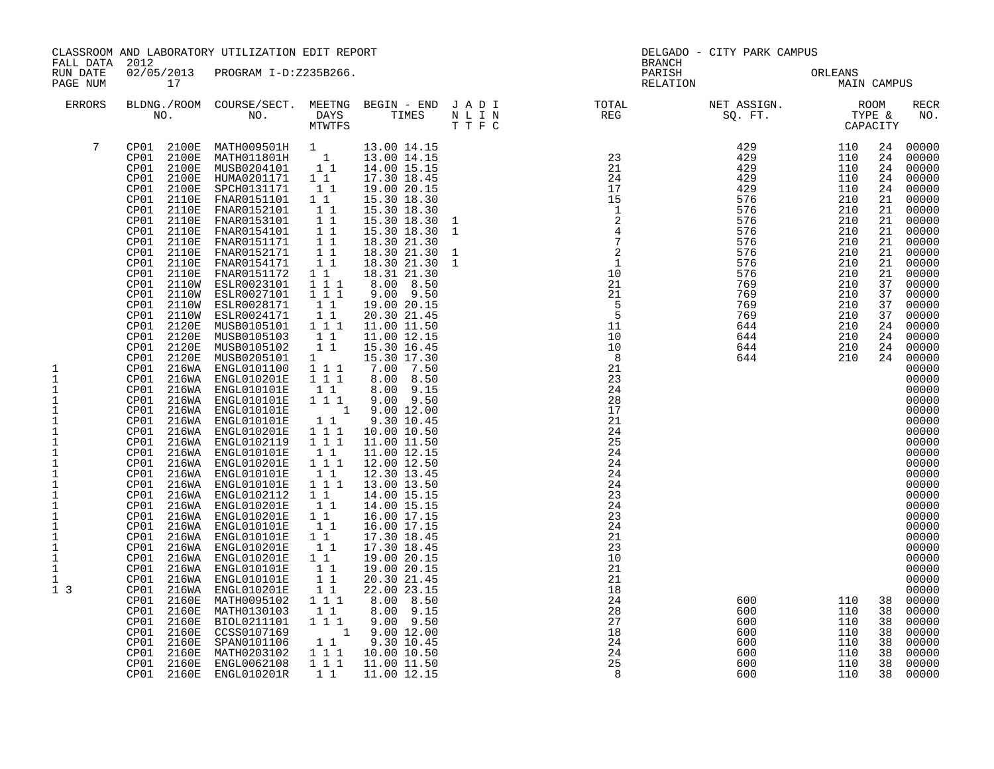| FALL DATA                                                                                                                                                                                                                                         | 2012                                                                                                                                                                                                                                                                                                                                                                                                                                                                                                                                                                                                                                                                                                                                                                                                                                        | CLASSROOM AND LABORATORY UTILIZATION EDIT REPORT                                                                                                                                                                                                                                                                                                                                                                                                                                                                                                                                                                                                                                                                                                                                                                                                    |                                                                                                                                                                                                                                                                                                                                                                                    |                                                                                                                                                                                                                                                                                                                                                                                                                                                                                                                                                                                                                                                                                                                                                             | BRANCH                                                                                                                                                                                                                                                                                                                                                                                                                                         | DELGADO - CITY PARK CAMPUS |                        |                                                                                                                                                                      |                                                                                                                                                                                                                                                                                                                                                                                                                                                                            |
|---------------------------------------------------------------------------------------------------------------------------------------------------------------------------------------------------------------------------------------------------|---------------------------------------------------------------------------------------------------------------------------------------------------------------------------------------------------------------------------------------------------------------------------------------------------------------------------------------------------------------------------------------------------------------------------------------------------------------------------------------------------------------------------------------------------------------------------------------------------------------------------------------------------------------------------------------------------------------------------------------------------------------------------------------------------------------------------------------------|-----------------------------------------------------------------------------------------------------------------------------------------------------------------------------------------------------------------------------------------------------------------------------------------------------------------------------------------------------------------------------------------------------------------------------------------------------------------------------------------------------------------------------------------------------------------------------------------------------------------------------------------------------------------------------------------------------------------------------------------------------------------------------------------------------------------------------------------------------|------------------------------------------------------------------------------------------------------------------------------------------------------------------------------------------------------------------------------------------------------------------------------------------------------------------------------------------------------------------------------------|-------------------------------------------------------------------------------------------------------------------------------------------------------------------------------------------------------------------------------------------------------------------------------------------------------------------------------------------------------------------------------------------------------------------------------------------------------------------------------------------------------------------------------------------------------------------------------------------------------------------------------------------------------------------------------------------------------------------------------------------------------------|------------------------------------------------------------------------------------------------------------------------------------------------------------------------------------------------------------------------------------------------------------------------------------------------------------------------------------------------------------------------------------------------------------------------------------------------|----------------------------|------------------------|----------------------------------------------------------------------------------------------------------------------------------------------------------------------|----------------------------------------------------------------------------------------------------------------------------------------------------------------------------------------------------------------------------------------------------------------------------------------------------------------------------------------------------------------------------------------------------------------------------------------------------------------------------|
| RUN DATE<br>PAGE NUM                                                                                                                                                                                                                              | 17                                                                                                                                                                                                                                                                                                                                                                                                                                                                                                                                                                                                                                                                                                                                                                                                                                          | 02/05/2013 PROGRAM I-D:Z235B266.                                                                                                                                                                                                                                                                                                                                                                                                                                                                                                                                                                                                                                                                                                                                                                                                                    |                                                                                                                                                                                                                                                                                                                                                                                    |                                                                                                                                                                                                                                                                                                                                                                                                                                                                                                                                                                                                                                                                                                                                                             | PARISH<br>RELATION                                                                                                                                                                                                                                                                                                                                                                                                                             |                            | ORLEANS<br>MAIN CAMPUS |                                                                                                                                                                      |                                                                                                                                                                                                                                                                                                                                                                                                                                                                            |
| <b>ERRORS</b>                                                                                                                                                                                                                                     |                                                                                                                                                                                                                                                                                                                                                                                                                                                                                                                                                                                                                                                                                                                                                                                                                                             |                                                                                                                                                                                                                                                                                                                                                                                                                                                                                                                                                                                                                                                                                                                                                                                                                                                     |                                                                                                                                                                                                                                                                                                                                                                                    |                                                                                                                                                                                                                                                                                                                                                                                                                                                                                                                                                                                                                                                                                                                                                             | $\begin{tabular}{lllllllllllllllllllll} \textsc{BLONG.} \textsc{F100M.} & \textsc{COURSE/SECT.} & \textsc{METING.} & \textsc{BEGIN - END.} & \textsc{J A D I} & \textsc{TOTAL} & \textsc{NET ASSIGN.} & \textsc{ROOM} \\ \textsc{NO.} & \textsc{NO.} & \textsc{DAYS} & \textsc{TIMES} & \textsc{N L I N} & \textsc{REG} & \textsc{SEG} & \textsc{ST.} & \textsc{STPE & \& \\ \textsc{MTVTFS} & \textsc{T T F C} & \textsc{F1} & \textsc{F2} &$ |                            |                        |                                                                                                                                                                      | <b>RECR</b><br>NO.                                                                                                                                                                                                                                                                                                                                                                                                                                                         |
| 7<br>1<br>$\mathbf{1}$<br>$1\,$<br>1<br>$\mathbf{1}$<br>1<br>1<br>1<br>$\mathbf 1$<br>1<br>$\mathbf 1$<br>$1\,$<br>$\mathbf 1$<br>$1\,$<br>$\mathbf 1$<br>$\,1\,$<br>$\mathbf 1$<br>$\,1\,$<br>$\mathbf{1}$<br>$\mathbf 1$<br>1<br>1 <sub>3</sub> | CP01<br>CP01<br>CP01<br>2100E<br>2100E<br>CP01<br>CP01<br>2100E<br>2110E<br>CP01<br>CP01<br>2110E<br>CP01<br>2110E<br>CP01<br>2110E<br>CP01<br>2110E<br>CP01<br>2110E<br>CP01<br>2110E<br>CP01<br>2110E<br>CP01<br>2110W<br>CP01<br>2110W<br>CP01<br>2110W<br>CP01<br>2110W<br>CP01<br>2120E<br>CP01<br>2120E<br>2120E<br>CP01<br>CP01<br>2120E<br>CP01<br>216WA<br>CP01<br>216WA<br>CP01<br>216WA<br>CP01<br>216WA<br>CP01 216WA ENGL010201E<br>CP01 216WA<br>CP01<br>216WA<br>CP01 216WA<br>CP01 216WA<br>CP01 216WA ENGL010101E<br>CP01<br>216WA<br>CP01<br>216WA<br>CP01<br>216WA<br>CP01<br>CP01<br>216WA<br>CP01<br>216WA<br>CP01<br>216WA<br>CP01<br>216WA<br>CP01<br>216WA<br>CP01<br>216WA<br>CP01<br>2160E<br>CP01<br>2160E<br>CP01<br>2160E<br>CP01<br>2160E<br>2160E<br>CP01<br>CP01<br>2160E<br>CP01<br>2160E<br>CP01<br>2160E | 2100E MATH009501H 1 13.00 14.15<br>2100E MATH011801H 1 13.00 14.15<br>MUSB0204101 1 1<br>HUMA0201171 1 1<br>SPCH0131171<br>FNAR0151101 1 1<br>FNAR0152101 1 1<br>FNAR0153101<br>FNAR0154101<br>FNAR0151171 1 1<br>FNAR0152171<br>FNAR0154171<br>FNAR0151172<br>ESLR0023101<br>ESLR0027101<br>ESLR0028171<br>ESLR0024171<br>MUSB0105101<br>MUSB0105103<br>MUSB0105102<br>MUSB0205101<br>ENGL0101100<br>ENGL010201E<br>CP01 216WA ENGL010101E<br>CP01 216WA ENGL010101E<br>ENGL010101E<br>ENGL010101E<br>ENGL0102119<br>ENGL010101E<br>ENGL010201E<br>ENGL010101E<br>ENGL0102112<br>ENGL010201E<br>ENGL010201E<br>216WA ENGL010101E<br>ENGL010101E<br>ENGL010201E<br>ENGL010201E<br>ENGL010101E<br>ENGL010101E<br>ENGL010201E<br>MATH0095102<br>MATH0130103<br>BIOL0211101<br>CCSS0107169<br>SPAN0101106<br>MATH0203102<br>ENGL0062108<br>ENGL010201R | 11<br>11<br>11<br>$1\quad1$<br>$1\quad1$<br>$1\quad1$<br>1 1 1<br>1 1 1<br>$1\quad1$<br>11<br>1 1 1<br>$1\quad1$<br>11<br>1<br>1 1 1<br>$1 1 1$<br>11<br>1 1 1<br>11<br>111<br>1 1 1<br>$1\quad1$<br>1 1 1<br>$1\;1$<br>$1 1 1$<br>11<br>$1\quad1$<br>$1\quad1$<br>11<br>$1\quad1$<br>11<br>11<br>11<br>11<br>11<br>1 1 1<br>$1\quad1$<br>1 1 1<br>11<br>111<br>1 1 1<br>$1\quad1$ | 14.00 15.15<br>17.30 18.45<br>19.00 20.15<br>15.30 18.30<br>15.30 18.30<br>15.30 18.30<br>15.30 18.30<br>18.30 21.30<br>18.30 21.30<br>18.30 21.30<br>18.31 21.30<br>8.00 8.50<br>$9.00$ $9.50$<br>19.00 20.15<br>20.30 21.45<br>11.00 11.50<br>11.00 12.15<br>15.30 16.45<br>15.30 17.30<br>7.00 7.50<br>8.00 8.50<br>8.00 9.15<br>$9.00$ $9.50$<br>1 9.00 12.00<br>9.30 10.45<br>10.00 10.50<br>11.00 11.50<br>11.00 12.15<br>12.00 12.50<br>12.30 13.45<br>13.00 13.50<br>14.00 15.15<br>14.00 15.15<br>16.00 17.15<br>16.00 17.15<br>17.30 18.45<br>17.30 18.45<br>19.00 20.15<br>19.00 20.15<br>20.30 21.45<br>22.00 23.15<br>8.00 8.50<br>8.00 9.15<br>$9.00$ $9.50$<br>$1 \t9.00 \t12.00$<br>9.30 10.45<br>10.00 10.50<br>11.00 11.50<br>11.00 12.15 | $\begin{tabular}{cccc} $M$-0.1$ & $M$=K$ & $M$=K$ & $M$=K$ & $M$=K$ & $M$=K$ & $M$=K$ & $M$=K$ & $M$=K$ & $M$=K$ & $M$=K$ & $M$=K$ & $M$=K$ & $M$=K$ & $M$=K$ & $M$=K$ & $M$=K$ & $M$=K$ & $M$=K$ & $M$=K$ & $M$=K$ & $M$=K$ & $M$=K$ & $M$=K$ & $M$=K$ & $M$=K$ & $M$=K$ & $M$=K$ & $M$=K$ & $M$=K$ &$                                                                                                                                        |                            |                        | 24<br>24<br>24<br>24<br>24<br>21<br>21<br>21<br>21<br>21<br>21<br>21<br>21<br>37<br>37<br>37<br>37<br>24<br>24<br>24<br>24<br>38<br>38<br>38<br>38<br>38<br>38<br>38 | 00000<br>00000<br>00000<br>00000<br>00000<br>00000<br>00000<br>00000<br>00000<br>00000<br>00000<br>00000<br>00000<br>00000<br>00000<br>00000<br>00000<br>00000<br>00000<br>00000<br>00000<br>00000<br>00000<br>00000<br>00000<br>00000<br>00000<br>00000<br>00000<br>00000<br>00000<br>00000<br>00000<br>00000<br>00000<br>00000<br>00000<br>00000<br>00000<br>00000<br>00000<br>00000<br>00000<br>38 00000<br>00000<br>00000<br>00000<br>00000<br>00000<br>00000<br>00000 |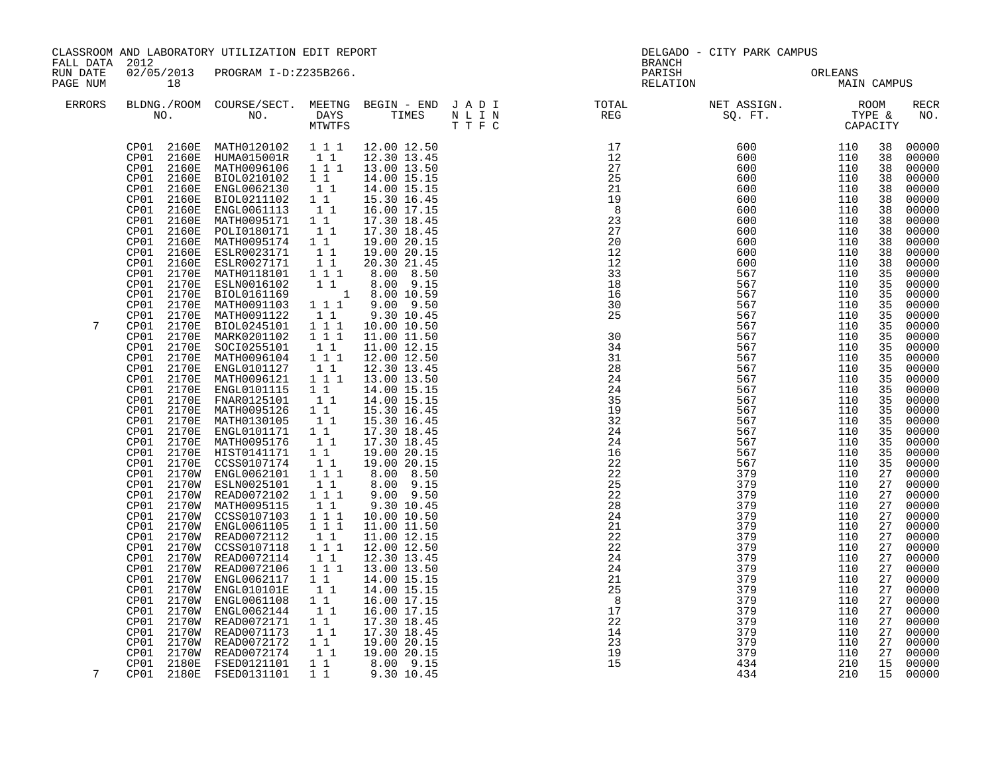|                                        |                                                                                                                                                                                                                                                                                                                                                                                                                                                                                                                                                                                                                                                                                               | CLASSROOM AND LABORATORY UTILIZATION EDIT REPORT                                                                                                                                                                                                                                                                                                                                                                                                                                                                                                                                                                                                                                                                                                                                                                                                                                                                                                                                      |                                                                                                                                                                                                                                                                                                                                                                                                                                                                                                                                                                                                                                                                                                                                                                                  |                                                                                                                                                                                                                                                                                                                                                                                                                                                                                                                                                                                                                                                                                                                                           |                                                                                                                                                                                                                                                                                                                                                                                                                                                                                                                                                                                                                                 | DELGADO - CITY PARK CAMPUS                                                                                                                                                                                                                               |                                                                                                                                                                                                                                                          |                                                                                                                                                                                                                                                                                                          |                                                                                                                                                                                                                                                                                                                                                                                                                                                                    |
|----------------------------------------|-----------------------------------------------------------------------------------------------------------------------------------------------------------------------------------------------------------------------------------------------------------------------------------------------------------------------------------------------------------------------------------------------------------------------------------------------------------------------------------------------------------------------------------------------------------------------------------------------------------------------------------------------------------------------------------------------|---------------------------------------------------------------------------------------------------------------------------------------------------------------------------------------------------------------------------------------------------------------------------------------------------------------------------------------------------------------------------------------------------------------------------------------------------------------------------------------------------------------------------------------------------------------------------------------------------------------------------------------------------------------------------------------------------------------------------------------------------------------------------------------------------------------------------------------------------------------------------------------------------------------------------------------------------------------------------------------|----------------------------------------------------------------------------------------------------------------------------------------------------------------------------------------------------------------------------------------------------------------------------------------------------------------------------------------------------------------------------------------------------------------------------------------------------------------------------------------------------------------------------------------------------------------------------------------------------------------------------------------------------------------------------------------------------------------------------------------------------------------------------------|-------------------------------------------------------------------------------------------------------------------------------------------------------------------------------------------------------------------------------------------------------------------------------------------------------------------------------------------------------------------------------------------------------------------------------------------------------------------------------------------------------------------------------------------------------------------------------------------------------------------------------------------------------------------------------------------------------------------------------------------|---------------------------------------------------------------------------------------------------------------------------------------------------------------------------------------------------------------------------------------------------------------------------------------------------------------------------------------------------------------------------------------------------------------------------------------------------------------------------------------------------------------------------------------------------------------------------------------------------------------------------------|----------------------------------------------------------------------------------------------------------------------------------------------------------------------------------------------------------------------------------------------------------|----------------------------------------------------------------------------------------------------------------------------------------------------------------------------------------------------------------------------------------------------------|----------------------------------------------------------------------------------------------------------------------------------------------------------------------------------------------------------------------------------------------------------------------------------------------------------|--------------------------------------------------------------------------------------------------------------------------------------------------------------------------------------------------------------------------------------------------------------------------------------------------------------------------------------------------------------------------------------------------------------------------------------------------------------------|
| FALL DATA 2012<br>RUN DATE<br>PAGE NUM | 18                                                                                                                                                                                                                                                                                                                                                                                                                                                                                                                                                                                                                                                                                            | 02/05/2013 PROGRAM I-D:Z235B266.                                                                                                                                                                                                                                                                                                                                                                                                                                                                                                                                                                                                                                                                                                                                                                                                                                                                                                                                                      |                                                                                                                                                                                                                                                                                                                                                                                                                                                                                                                                                                                                                                                                                                                                                                                  |                                                                                                                                                                                                                                                                                                                                                                                                                                                                                                                                                                                                                                                                                                                                           | <b>BRANCH</b><br>PARISH<br>RELATION                                                                                                                                                                                                                                                                                                                                                                                                                                                                                                                                                                                             |                                                                                                                                                                                                                                                          | ORLEANS<br>MAIN CAMPUS                                                                                                                                                                                                                                   |                                                                                                                                                                                                                                                                                                          |                                                                                                                                                                                                                                                                                                                                                                                                                                                                    |
| <b>ERRORS</b>                          |                                                                                                                                                                                                                                                                                                                                                                                                                                                                                                                                                                                                                                                                                               | NO. DAYS TIMES N L I N<br>MTWTFS T T F C                                                                                                                                                                                                                                                                                                                                                                                                                                                                                                                                                                                                                                                                                                                                                                                                                                                                                                                                              |                                                                                                                                                                                                                                                                                                                                                                                                                                                                                                                                                                                                                                                                                                                                                                                  |                                                                                                                                                                                                                                                                                                                                                                                                                                                                                                                                                                                                                                                                                                                                           |                                                                                                                                                                                                                                                                                                                                                                                                                                                                                                                                                                                                                                 |                                                                                                                                                                                                                                                          |                                                                                                                                                                                                                                                          |                                                                                                                                                                                                                                                                                                          | <b>RECR</b><br>NO.                                                                                                                                                                                                                                                                                                                                                                                                                                                 |
| 7                                      | 2160E<br>CP01<br>2160E<br>CP01<br>2160E<br>CP01<br>CP01<br>2160E<br>CP01<br>2160E<br>CP01<br>2160E<br>CP01<br>2160E<br>CP01<br>2160E<br>CP01<br>2160E<br>CP01<br>2170E<br>CP01<br>2170E<br>CP01<br>2170E<br>CP01<br>2170E<br>CP01<br>2170E<br>CP01<br>2170E<br>CP01<br>2170E<br>2170E<br>CP01<br>CP01<br>2170E<br>2170E<br>CP01<br>CP01<br>CP01<br>2170E<br>CP01<br>2170E<br>CP01<br>2170E<br>CP01<br>2170E<br>CP01<br>2170E<br>CP01<br>2170E<br>CP01<br>CP01<br>CP01<br>CP01<br>2170W<br>CP01<br>CP01<br>CP01<br>CP01<br>2170W<br>CP01<br>CP01<br>2170W<br>CP01<br>CP01<br>2170W<br>2170W<br>CP01<br>CP01<br>CP01<br>2170W<br>CP01<br>CP01<br>2170W<br>CP01<br>CP01<br>CP01<br>2180E<br>CP01 | CP01 2160E MATH0120102 111 12.00 12.50<br>CP01 2160E HUMA015001R 1 1<br>CP01 2160E MATH0096106 1 1 1 13.00 13.50<br>BIOL0210102<br>ENGL0062130<br>BIOL0211102<br>ENGL0061113<br>MATH0095171   1   1<br>POLI0180171   1   1<br>POLI0180171<br>MATH0095174 1 1<br>ESLR0023171<br>ESLR0027171<br>MATH0118101<br>ESLN0016102<br>BIOL0161169<br>MATH0091103<br>MATH0091122<br>BIOL0245101<br>MARK0201102<br>SOCI0255101 11<br>MATH0096104 111<br>ENGL0101127<br>2170E MATH0096121<br>ENGL0101115<br>FNAR0125101<br>MATH0095126<br>MATH0130105<br>ENGL0101171<br>MATH0095176<br>2170E HIST0141171<br>2170E CCSS0107174<br>2170W ENGL0062101<br>ESLN0025101<br>2170W READ0072102<br>2170W MATH0095115<br>2170W CCSS0107103<br>ENGL0061105<br>2170W READ0072112<br>CCSS0107118 1 1 1<br>2170W READ0072114<br>READ0072106<br>ENGL0062117<br>2170W ENGL010101E<br>ENGL0061108<br>2170W ENGL0062144<br>READ0072171<br>2170W READ0071173<br>2170W READ0072172<br>2170W READ0072174<br>FSED0121101 | $1\quad1$<br>11<br>$\begin{bmatrix} 1\\ 1\\ 1\\ 1 \end{bmatrix}$<br>$\begin{array}{ccc} & 1 & 1 \\ & 1 & 1 \end{array}$<br>111<br>111<br>11<br>$\begin{array}{ccc}\n1 & 1 & 1 \\ 1 & 1 & 1\n\end{array}$<br>11<br>$1 1 1$<br>$\begin{smallmatrix}1&1\\1&1\end{smallmatrix}$<br>$\begin{smallmatrix}1&&1\\&1\\1&&1\end{smallmatrix}$<br>$\begin{smallmatrix}1&&1\\&1\\1&&1\end{smallmatrix}$<br>$1\quad1$<br>$\begin{bmatrix} 1 \\ 1 \end{bmatrix}$<br>$1^{\circ}1^{\circ}1$<br>11<br>111<br>$1\quad1$<br>$\begin{array}{rrrr} & 1 & 1 \\ & 1 & 1 \\ & & 1 & 1 \end{array}$<br>11<br>$\begin{smallmatrix}1&1\\1&1&1\end{smallmatrix}$<br>$1\quad1$<br>$\begin{bmatrix} 1 \\ 1 \end{bmatrix}$<br>11<br>$1\quad1$<br>$\begin{bmatrix} 1\\ 1\\ 1\\ 1\\ 1 \end{bmatrix}$<br>$1\quad1$ | 12.30 13.45<br>14.00 15.15<br>14.00 15.15<br>15.30 16.45<br>16.00 17.15<br>17.30 18.45<br>17.30 18.45<br>19.00 20.15<br>19.00 20.15<br>20.30 21.45<br>8.00 8.50<br>1 1 8.00 9.15<br>1 8.00 10.59<br>$9.00$ $9.50$<br>9.30 10.45<br>10.00 10.50<br>11.00 11.50<br>11.00 12.15<br>12.00 12.50<br>12.30 13.45<br>13.00 13.50<br>14.00 15.15<br>14.00 15.15<br>15.30 16.45<br>15.30 16.45<br>17.30 18.45<br>17.30 18.45<br>19.00 20.15<br>19.00 20.15<br>8.00 8.50<br>8.00 9.15<br>$9.00$ $9.50$<br>9.30 10.45<br>10.00 10.50<br>11.00 11.50<br>11.00 12.15<br>12.00 12.50<br>12.30 13.45<br>13.00 13.50<br>14.00 15.15<br>14.00 15.15<br>16.00 17.15<br>16.00 17.15<br>17.30 18.45<br>17.30 18.45<br>19.00 20.15<br>19.00 20.15<br>8.00 9.15 | $\begin{array}{cccc} 17 & 600 & 110 \\ 12 & 600 & 110 \\ 27 & 600 & 110 \\ 25 & 600 & 110 \\ 21 & 600 & 110 \\ 19 & 600 & 110 \\ 8 & 600 & 110 \\ 23 & 600 & 110 \\ 27 & 600 & 110 \\ 20 & 600 & 110 \\ 20 & 600 & 110 \\ 12 & 600 & 110 \\ 12 & 600 & 110 \\ 12 & 600 & 110 \\ 13 & 567 & 110 \\ 16 &$<br>16<br>$\frac{30}{25}$<br>30<br>34<br>31<br>28<br>24<br>24<br>35<br>19<br>32<br>24<br>24<br>16<br>$\frac{22}{22}$<br>$\frac{1}{25}$<br>$\overline{2}2$<br>28<br>$\overline{24}$<br>$\overline{21}$<br>22<br>22<br>24<br>24<br>21<br>25<br>8<br>17<br>22<br>$\begin{array}{c} 14 \\ 23 \end{array}$<br>$\frac{19}{15}$ | 567<br>567<br>567<br>567<br>567<br>567<br>567<br>567<br>567<br>567<br>567<br>567<br>567<br>567<br>567<br>567<br>567<br>379<br>379<br>379<br>379<br>379<br>379<br>379<br>379<br>379<br>379<br>379<br>379<br>379<br>379<br>379<br>379<br>379<br>379<br>434 | 110<br>110<br>110<br>110<br>110<br>110<br>110<br>110<br>110<br>110<br>110<br>110<br>110<br>110<br>110<br>110<br>110<br>110<br>110<br>110<br>110<br>110<br>110<br>110<br>110<br>110<br>110<br>110<br>110<br>110<br>110<br>110<br>110<br>110<br>110<br>210 | 38<br>38<br>38<br>38<br>38<br>38<br>38<br>38<br>38<br>38<br>38<br>38<br>35<br>35<br>35<br>35<br>35<br>35<br>35<br>35<br>35<br>35<br>35<br>35<br>35<br>35<br>35<br>35<br>35<br>35<br>35<br>27<br>27<br>27<br>27<br>27<br>27<br>27<br>27<br>27<br>27<br>27<br>27<br>27<br>27<br>27<br>27<br>27<br>27<br>15 | 00000<br>00000<br>00000<br>00000<br>00000<br>00000<br>00000<br>00000<br>00000<br>00000<br>00000<br>00000<br>00000<br>00000<br>00000<br>00000<br>00000<br>00000<br>00000<br>00000<br>00000<br>00000<br>00000<br>00000<br>00000<br>00000<br>00000<br>00000<br>00000<br>$00000$<br>$00000$<br>00000<br>00000<br>00000<br>00000<br>00000<br>00000<br>00000<br>00000<br>00000<br>00000<br>00000<br>00000<br>00000<br>00000<br>00000<br>00000<br>00000<br>00000<br>00000 |
| 7                                      |                                                                                                                                                                                                                                                                                                                                                                                                                                                                                                                                                                                                                                                                                               | CP01 2180E FSED0131101                                                                                                                                                                                                                                                                                                                                                                                                                                                                                                                                                                                                                                                                                                                                                                                                                                                                                                                                                                | 11                                                                                                                                                                                                                                                                                                                                                                                                                                                                                                                                                                                                                                                                                                                                                                               | 9.30 10.45                                                                                                                                                                                                                                                                                                                                                                                                                                                                                                                                                                                                                                                                                                                                |                                                                                                                                                                                                                                                                                                                                                                                                                                                                                                                                                                                                                                 | 434                                                                                                                                                                                                                                                      | 210                                                                                                                                                                                                                                                      | 15                                                                                                                                                                                                                                                                                                       | 00000                                                                                                                                                                                                                                                                                                                                                                                                                                                              |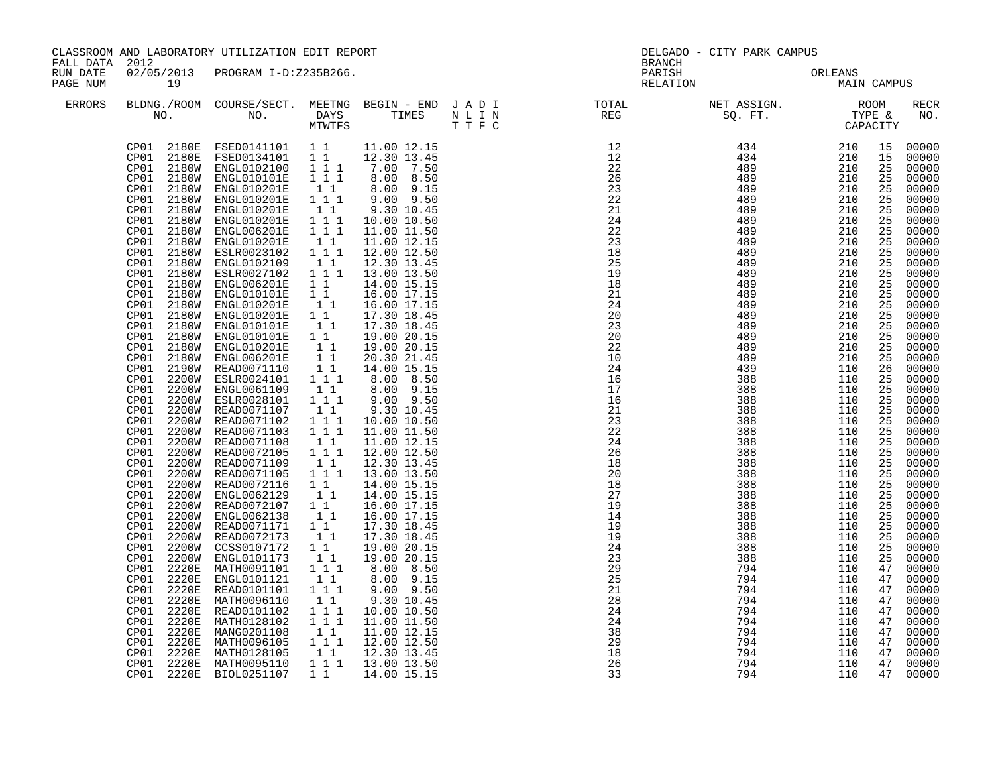| CLASSROOM AND LABORATORY UTILIZATION EDIT REPORT<br>FALL DATA 2012<br>RUN DATE |                                                                                                                                                                                                                                                                                                                                                                                                                                                                                                                        |                                                                                                                                                                                                                                                                                                                                                                                                                                                                                                                                                                                                                                                                                                                                                                                                                                                                                                                                                                                                                                                                                                                                                                                                                                                              |                                                                                                                                                                                                                                                                                                                                                                                                                                                       |                                                                                                                                                                                                                                                                                                                                                                                                                                                                                                                                                                                                                                                                                                             | <b>BRANCH</b>                                                                                                                                                                                                                                                                                                                                                                                                                                                                                                                                                                                                                     | DELGADO - CITY PARK CAMPUS                                                                                                                                                                                                                                      |                                                                                                                                                                                                                                                                 |                                                                                                                                                                                                                                   |                                                                                                                                                                                                                                                                                                                                                                                                                                                 |
|--------------------------------------------------------------------------------|------------------------------------------------------------------------------------------------------------------------------------------------------------------------------------------------------------------------------------------------------------------------------------------------------------------------------------------------------------------------------------------------------------------------------------------------------------------------------------------------------------------------|--------------------------------------------------------------------------------------------------------------------------------------------------------------------------------------------------------------------------------------------------------------------------------------------------------------------------------------------------------------------------------------------------------------------------------------------------------------------------------------------------------------------------------------------------------------------------------------------------------------------------------------------------------------------------------------------------------------------------------------------------------------------------------------------------------------------------------------------------------------------------------------------------------------------------------------------------------------------------------------------------------------------------------------------------------------------------------------------------------------------------------------------------------------------------------------------------------------------------------------------------------------|-------------------------------------------------------------------------------------------------------------------------------------------------------------------------------------------------------------------------------------------------------------------------------------------------------------------------------------------------------------------------------------------------------------------------------------------------------|-------------------------------------------------------------------------------------------------------------------------------------------------------------------------------------------------------------------------------------------------------------------------------------------------------------------------------------------------------------------------------------------------------------------------------------------------------------------------------------------------------------------------------------------------------------------------------------------------------------------------------------------------------------------------------------------------------------|-----------------------------------------------------------------------------------------------------------------------------------------------------------------------------------------------------------------------------------------------------------------------------------------------------------------------------------------------------------------------------------------------------------------------------------------------------------------------------------------------------------------------------------------------------------------------------------------------------------------------------------|-----------------------------------------------------------------------------------------------------------------------------------------------------------------------------------------------------------------------------------------------------------------|-----------------------------------------------------------------------------------------------------------------------------------------------------------------------------------------------------------------------------------------------------------------|-----------------------------------------------------------------------------------------------------------------------------------------------------------------------------------------------------------------------------------|-------------------------------------------------------------------------------------------------------------------------------------------------------------------------------------------------------------------------------------------------------------------------------------------------------------------------------------------------------------------------------------------------------------------------------------------------|
| PAGE NUM                                                                       | 19                                                                                                                                                                                                                                                                                                                                                                                                                                                                                                                     | 02/05/2013 PROGRAM I-D:Z235B266.                                                                                                                                                                                                                                                                                                                                                                                                                                                                                                                                                                                                                                                                                                                                                                                                                                                                                                                                                                                                                                                                                                                                                                                                                             |                                                                                                                                                                                                                                                                                                                                                                                                                                                       |                                                                                                                                                                                                                                                                                                                                                                                                                                                                                                                                                                                                                                                                                                             | PARISH<br>RELATION                                                                                                                                                                                                                                                                                                                                                                                                                                                                                                                                                                                                                |                                                                                                                                                                                                                                                                 | ORLEANS<br>MAIN CAMPUS                                                                                                                                                                                                                                          |                                                                                                                                                                                                                                   |                                                                                                                                                                                                                                                                                                                                                                                                                                                 |
| <b>ERRORS</b>                                                                  |                                                                                                                                                                                                                                                                                                                                                                                                                                                                                                                        |                                                                                                                                                                                                                                                                                                                                                                                                                                                                                                                                                                                                                                                                                                                                                                                                                                                                                                                                                                                                                                                                                                                                                                                                                                                              |                                                                                                                                                                                                                                                                                                                                                                                                                                                       |                                                                                                                                                                                                                                                                                                                                                                                                                                                                                                                                                                                                                                                                                                             |                                                                                                                                                                                                                                                                                                                                                                                                                                                                                                                                                                                                                                   |                                                                                                                                                                                                                                                                 |                                                                                                                                                                                                                                                                 |                                                                                                                                                                                                                                   | RECR<br>NO.                                                                                                                                                                                                                                                                                                                                                                                                                                     |
|                                                                                | CP01<br>CP01<br>CP01<br>CP01<br><b>2180W</b><br>CP01<br>CP01<br>CP01<br>CP01<br>2180W<br>CP01<br>2180W<br>CP01<br>CP01<br>CP01<br>2180W<br>CP01<br>2180W<br>CP01<br>CP01<br>2180W<br>CP01<br>2180W<br>CP01<br>CP01<br>CP01<br>CP01<br>CP01<br>CP01<br>CP01<br>2200W<br>CP01<br>CP01<br>CP01<br>CP01<br>CP01<br>CP01<br>CP01<br>CP01<br>2200W<br>CP01<br>2220E<br>CP01<br>2220E<br>CP01<br>2220E<br>CP01<br>2220E<br>CP01<br>2220E<br>CP01<br>2220E<br>2220E<br>CP01<br>CP01<br>2220E<br>CP01<br>2220E<br>CP01<br>2220E | CP01 2180E FSED0141101 1 1 11.00 12.15<br>CP01 2180E FSED0134101 1 1 12.30 13.45<br>CP01 2180W ENGL0102100 1 1 1 7.00 7.50<br>CP01 2180W ENGL0102100 1 1 1 7.00 7.50<br>2180W ENGL010201E 1 1<br>2180W ENGL010201E 1 1 1<br>2180W ENGL010201E<br>ENGL010201E<br>2180W ENGL006201E<br>2180W ENGL010201E<br>2180W ENGL010201E 1 1<br>2180W ESLR0023102 1 1 1<br>ENGL0102109<br>ESLR0027102<br>2180W ENGL006201E<br>2180W ENGL006201E 1 1<br>2180W ENGL010101E 1 1<br>ENGL010201E<br>ENGL010201E<br>2180W ENGL010101E<br>ENGL010101E<br>2180W ENGL010201E<br>ENGL006201E<br>CP01 2190W READ0071110<br>2200W ESLR0024101 111<br>CP01 2200W ENGL0061109<br>2200W ESLR0028101<br>2200W READ0071107<br>2200W READ0071102<br>2200W READ0071103<br>READ0071108<br>2200W READ0072105<br>2200W READ0071109<br>2200W READ0071105<br>2200W READ0072116 11<br>2200W ENGL0062129 11<br>2200W READ0072107  1 1<br>2200W ENGL0062138  1 1<br>CP01 2200W ENGL0062138<br>CP01 2200W READ0071171 1 1<br>CP01 2200W READ0072173 1 1<br>2200W CCSS0107172<br>ENGL0101173<br>MATH0091101<br>ENGL0101121<br>READ0101101<br>MATH0096110<br>MATH00201102 1 1<br>NATH0128102 1 1 1<br>MATH0128102 1 1 1<br>MATH0096105 1 1 1<br>MATH0128105 1 1<br>MATH0095110 1 1 1<br>MATH0095110 1 1 | 11<br>$1 1 1$<br>$1 1 1$<br>$1\quad1$<br>1 1 1<br>$\begin{bmatrix} 1 \\ 1 \end{bmatrix}$<br>$\begin{bmatrix} 1 \\ 1 \end{bmatrix}$<br>$\begin{array}{ccc} & 1 & 1 \\ & 1 & 1 \end{array}$<br>11<br>$\begin{smallmatrix}1&1\\1&1&1\end{smallmatrix}$<br>$1\quad1$<br>$1$ $1$ $1$<br>$1 1 1$<br>11<br>$1 1 1$<br>$\begin{bmatrix} 1 & 1 \\ 1 & 1 \end{bmatrix}$<br>$1\quad1$<br>$\begin{bmatrix} 1 \\ 1 \end{bmatrix}$<br>111<br>11<br>111<br>$1\quad1$ | 8.00 9.15<br>$9.00$ $9.50$<br>9.30 10.45<br>10.00 10.50<br>11.00 11.50<br>11.00 12.15<br>12.00 12.50<br>12.30 13.45<br>13.00 13.50<br>14.00 15.15<br>16.00 17.15<br>16.00 17.15<br>17.30 18.45<br>17.30 18.45<br>19.00 20.15<br>19.00 20.15<br>20.30 21.45<br>14.00 15.15<br>8.00 8.50<br>8.00 9.15<br>9.00 9.50<br>9.30 10.45<br>10.00 10.50<br>11.00 11.50<br>11.00 12.15<br>12.00 12.50<br>12.30 13.45<br>13.00 13.50<br>14.00 15.15<br>14.00 15.15<br>16.00 17.15<br>16.00 17.15<br>17.30 18.45<br>17.30 18.45<br>19.00 20.15<br>19.00 20.15<br>8.00 8.50<br>8.00 9.15<br>$9.00$ $9.50$<br>9.30 10.45<br>10.00 10.50<br>11.00 11.50<br>11.00 12.15<br>12.00 12.50<br>12.30 13.45<br>1 1 1 1 13.00 13.50 | $\begin{array}{cccc} 12 & 434 & 210 & 15 \\ 12 & 434 & 210 & 15 \\ 22 & 489 & 210 & 25 \\ 26 & 489 & 210 & 25 \\ 23 & 489 & 210 & 25 \\ 21 & 489 & 210 & 25 \\ 24 & 489 & 210 & 25 \\ 24 & 489 & 210 & 25 \\ 22 & 489 & 210 & 25 \\ 23 & 489 & 210 & 25 \\ 23 & 489 & 210 & 25 \\ 18 & 489 & 210 & $<br>18<br>21<br>24<br>20<br>$\begin{array}{c} 23 \\ 20 \end{array}$<br>22<br>10<br>24<br>16<br>17<br>16<br>21<br>$\overline{23}$<br>22<br>24<br>26<br>18<br>20<br>18<br>27<br>19<br>14<br>19<br>19<br>24<br>23<br>29<br>$\frac{25}{25}$<br>21<br>$\frac{1}{28}$<br>24<br>$\overline{24}$<br>38<br>29<br>$\overline{18}$<br>26 | 489<br>489<br>489<br>489<br>489<br>489<br>489<br>489<br>439<br>388<br>388<br>388<br>388<br>388<br>388<br>388<br>388<br>388<br>388<br>388<br>388<br>388<br>388<br>388<br>388<br>388<br>388<br>794<br>794<br>794<br>794<br>794<br>794<br>794<br>794<br>794<br>794 | 210<br>210<br>210<br>210<br>210<br>210<br>210<br>210<br>110<br>110<br>110<br>110<br>110<br>110<br>110<br>110<br>110<br>110<br>110<br>110<br>110<br>110<br>110<br>110<br>110<br>110<br>110<br>110<br>110<br>110<br>110<br>110<br>110<br>110<br>110<br>110<br>110 | 25<br>25<br>25<br>25<br>25<br>25<br>25<br>25<br>26<br>25<br>25<br>25<br>25<br>$\overline{25}$<br>25<br>25<br>25<br>25<br>25<br>25<br>25<br>25<br>25<br>25<br>25<br>25<br>25<br>47<br>47<br>47<br>47<br>47<br>47<br>47<br>47<br>47 | 00000<br>00000<br>00000<br>00000<br>00000<br>00000<br>00000<br>00000<br>00000<br>00000<br>00000<br>00000<br>00000<br>00000<br>00000<br>00000<br>00000<br>00000<br>00000<br>00000<br>00000<br>00000<br>00000<br>00000<br>00000<br>00000<br>00000<br>00000<br>00000<br>00000<br>00000<br>00000<br>00000<br>00000<br>00000<br>00000<br>00000<br>00000<br>00000<br>00000<br>00000<br>00000<br>00000<br>00000<br>00000<br>00000<br>00000<br>47 00000 |
|                                                                                |                                                                                                                                                                                                                                                                                                                                                                                                                                                                                                                        | CP01 2220E BIOL0251107                                                                                                                                                                                                                                                                                                                                                                                                                                                                                                                                                                                                                                                                                                                                                                                                                                                                                                                                                                                                                                                                                                                                                                                                                                       | $1\quad1$                                                                                                                                                                                                                                                                                                                                                                                                                                             | 14.00 15.15                                                                                                                                                                                                                                                                                                                                                                                                                                                                                                                                                                                                                                                                                                 | 33                                                                                                                                                                                                                                                                                                                                                                                                                                                                                                                                                                                                                                | 794                                                                                                                                                                                                                                                             | 110                                                                                                                                                                                                                                                             | 47                                                                                                                                                                                                                                | 00000                                                                                                                                                                                                                                                                                                                                                                                                                                           |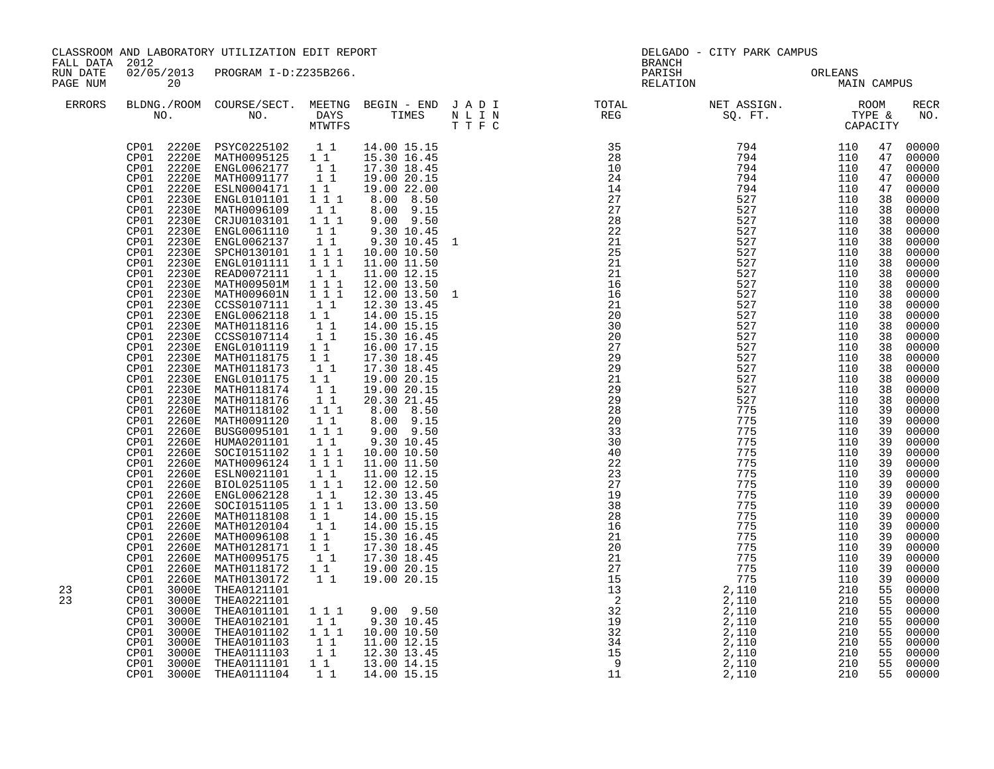| FALL DATA 2012       |                                                                                                                                                                                                                                                                                                                                                                                                                                                                                                                                                                                                                   | CLASSROOM AND LABORATORY UTILIZATION EDIT REPORT                                                                                                                                                                                                                                                                                                                                                                                                                                                                                                                                                                                                                                                                                                                                                                     |                                                                                                                                                                                                                                                                                                                                       |                                                                                                                                                                                                                                                                                                                                                                                                                                                                                                                                                                                                                   |                                                                           | <b>BRANCH</b>                                                                                                                                                                                                                                                                                                             | DELGADO - CITY PARK CAMPUS                                                                                                                                                                                                                                                                                                                                                                                                                 |                        |                                                                                                                                                                                                                                              |                                                                                                                                                                                                                                                                                                                                                                            |
|----------------------|-------------------------------------------------------------------------------------------------------------------------------------------------------------------------------------------------------------------------------------------------------------------------------------------------------------------------------------------------------------------------------------------------------------------------------------------------------------------------------------------------------------------------------------------------------------------------------------------------------------------|----------------------------------------------------------------------------------------------------------------------------------------------------------------------------------------------------------------------------------------------------------------------------------------------------------------------------------------------------------------------------------------------------------------------------------------------------------------------------------------------------------------------------------------------------------------------------------------------------------------------------------------------------------------------------------------------------------------------------------------------------------------------------------------------------------------------|---------------------------------------------------------------------------------------------------------------------------------------------------------------------------------------------------------------------------------------------------------------------------------------------------------------------------------------|-------------------------------------------------------------------------------------------------------------------------------------------------------------------------------------------------------------------------------------------------------------------------------------------------------------------------------------------------------------------------------------------------------------------------------------------------------------------------------------------------------------------------------------------------------------------------------------------------------------------|---------------------------------------------------------------------------|---------------------------------------------------------------------------------------------------------------------------------------------------------------------------------------------------------------------------------------------------------------------------------------------------------------------------|--------------------------------------------------------------------------------------------------------------------------------------------------------------------------------------------------------------------------------------------------------------------------------------------------------------------------------------------------------------------------------------------------------------------------------------------|------------------------|----------------------------------------------------------------------------------------------------------------------------------------------------------------------------------------------------------------------------------------------|----------------------------------------------------------------------------------------------------------------------------------------------------------------------------------------------------------------------------------------------------------------------------------------------------------------------------------------------------------------------------|
| RUN DATE<br>PAGE NUM | 20                                                                                                                                                                                                                                                                                                                                                                                                                                                                                                                                                                                                                | 02/05/2013 PROGRAM I-D:Z235B266.                                                                                                                                                                                                                                                                                                                                                                                                                                                                                                                                                                                                                                                                                                                                                                                     |                                                                                                                                                                                                                                                                                                                                       |                                                                                                                                                                                                                                                                                                                                                                                                                                                                                                                                                                                                                   |                                                                           | PARISH                                                                                                                                                                                                                                                                                                                    | RELATION                                                                                                                                                                                                                                                                                                                                                                                                                                   | ORLEANS<br>MAIN CAMPUS |                                                                                                                                                                                                                                              |                                                                                                                                                                                                                                                                                                                                                                            |
| <b>ERRORS</b>        |                                                                                                                                                                                                                                                                                                                                                                                                                                                                                                                                                                                                                   |                                                                                                                                                                                                                                                                                                                                                                                                                                                                                                                                                                                                                                                                                                                                                                                                                      |                                                                                                                                                                                                                                                                                                                                       |                                                                                                                                                                                                                                                                                                                                                                                                                                                                                                                                                                                                                   |                                                                           |                                                                                                                                                                                                                                                                                                                           | $\begin{tabular}{lllllllllllllllllllll} \textsc{BLONG.} \textsc{F100M.} & \textsc{CUIRSE/SECT.} & \textsc{METING.} & \textsc{BEGIN - END.} & \textsc{J A D I} & \textsc{DTQTAL} & \textsc{NET ASSIGN.} & \textsc{ROOM} \\ \textsc{NO.} & \textsc{NO.} & \textsc{DAYS} & \textsc{TIMES} & \textsc{N L I N} & \textsc{REG} & \textsc{SQ. FT.} & \textsc{TTPE & \texttt{C} \\ \textsc{MTVFTS} & \textsc{DTT T F C} & \textsc{STG} & \textsc{$ |                        |                                                                                                                                                                                                                                              | <b>RECR</b><br>NO.                                                                                                                                                                                                                                                                                                                                                         |
|                      | CP01<br>2220E<br>CP01<br>2230E<br>CP01<br>2230E<br>CP01<br>2230E<br>CP01<br>2230E<br>2230E<br>CP01<br>CP01<br>2230E<br>2230E<br>CP01<br>CP01<br>2230E<br>CP01<br>2230E<br>CP01<br>2230E<br>CP01<br>2230E<br>CP01<br>2230E<br>CP01<br>2230E<br>CP01<br>2230E<br>CP01<br>2230E<br>CP01<br>2230E<br>CP01<br>2230E<br>CP01<br>2230E<br>CP01 2230E<br>CP01<br>2230E<br>2260E<br>CP01<br>CP01<br>2260E<br>CP01<br>2260E<br>CP01<br>2260E<br>CP01<br>2260E<br>CP01<br>2260E<br>CP01<br>CP01<br>2260E<br>CP01<br>2260E<br>2260E<br>CP01<br>2260E<br>CP01<br>CP01 2260E<br>CP01<br>2260E<br>CP01<br>2260E<br>CP01<br>2260E | CP01 2220E PSYC0225102 11<br>CP01 2220E MATH0095125 11<br>CP01 2220E ENGL0062177 11<br>CP01 2220E MATH0091177 11<br>ESLN0004171  1 1<br>ENGL0101101  1 1 1<br>MATH0096109<br>CRJU0103101<br>ENGL0061110<br>ENGL0062137<br>SPCH0130101<br>ENGL0101111<br>READ0072111 11<br>MATH009501M 111<br>MATH009601N 1 1 1<br>CCSS0107111 1 1<br>ENGL0062118 1 1<br>MATH0118116 1 1<br>CCSS0107114 1 1<br>ENGL0101119 1 1<br>MATH0118175 1 1<br>MATH0118173<br>ENGL0101175 1 1<br>MATH0118174<br>MATH0118176<br>MATH0118102<br>MATH0091120<br>BUSG0095101<br>HUMA0201101<br>SOCI0151102<br>MATH0096124<br>2260E ESLN0021101<br>BIOL0251105<br>ENGL0062128<br>ENGL0051128<br>SOC10151105 1 1<br>MATH0118108 1 1<br>MATH0120104 1 1<br>MATH0096108 1 1<br>MATH0128171 1 1<br>MATH0130172 1 1<br>MATH0130172 1 1<br>MATH0130172 1 1 | $1\quad1$<br>$1 1 1$<br>$1\;1$<br>11<br>$\begin{array}{rrrr} & 1 & 1 & 1 \\ & 1 & 1 & 1 \end{array}$<br>11<br>$\begin{bmatrix} 1 \\ 1 \\ 1 \end{bmatrix}$<br>$1^{\circ}1^{\circ}1$<br>$\begin{bmatrix} 1 \\ 1 \end{bmatrix}$<br>$1 1 1$<br>$\begin{bmatrix} 1 \\ 1 \end{bmatrix}$<br>$1 1 1$<br>$1 1 1$<br>$1\quad1$<br>$1 1 1$<br>11 | 14.00 15.15<br>15.30 16.45<br>17.30 18.45<br>19.00 20.15<br>19.00 22.00<br>8.00 8.50<br>8.00 9.15<br>$9.00$ $9.50$<br>9.30 10.45<br>9.30 10.45<br>10.00 10.50<br>11.00 11.50<br>11.00 12.15<br>12.00 13.50<br>12.00 13.50<br>12.30 13.45<br>14.00 15.15<br>14.00 15.15<br>15.30 16.45<br>16.00 17.15<br>17.30 18.45<br>17.30 18.45<br>19.00 20.15<br>19.00 20.15<br>20.30 21.45<br>8.00 8.50<br>$8.00$ $9.15$<br>$9.00$ $9.50$<br>9.30 10.45<br>10.00 10.50<br>11.00 11.50<br>11.00 12.15<br>12.00 12.50<br>12.30 13.45<br>13.00 13.50<br>14.00 15.15<br>14.00 15.15<br>15.30 16.45<br>17.30 18.45<br>17.30 18.45 | $\mathbf{1}$<br>$\mathbf{1}$                                              | $\begin{array}{c} 35 \\ 28 \\ 10 \\ 24 \end{array}$<br>14<br>27<br>27<br>28<br>22<br>$\frac{21}{25}$<br>$\frac{25}{21}$<br>21<br>16<br>16<br>21<br>20<br>30<br>20<br>27<br>29<br>29<br>21<br>$\overline{29}$<br>29<br>28<br>20<br>33<br>30<br>40<br>22<br>23<br>27<br>19<br>38<br>28<br>16<br>21<br>$\overline{20}$<br>21 | $\begin{array}{cccc} \text{SQ} & \text{FT} & \text{TT} & \text{C2} \text{P3} \\ \text{794} & 110 & 0 \\ \text{794} & 110 & 10 \\ \text{794} & 110 & 10 \\ \text{794} & 110 & 10 \\ \text{794} & 110 & 10 \\ \text{794} & 110 & 10 \\ \text{794} & 110 & 10 \\ \text{794} & 110 & 10 \\ \text{794} & 110 & 10 \\ \text{794} & 110 & 10 \\ \text{794} & 110 &$                                                                               |                        | 47<br>47<br>47<br>47<br>47<br>38<br>38<br>38<br>38<br>38<br>38<br>38<br>38<br>38<br>38<br>38<br>38<br>38<br>38<br>38<br>38<br>38<br>38<br>38<br>38<br>39<br>39<br>39<br>39<br>39<br>39<br>39<br>39<br>39<br>39<br>39<br>39<br>39<br>39<br>39 | 00000<br>00000<br>00000<br>00000<br>00000<br>00000<br>00000<br>00000<br>00000<br>00000<br>00000<br>00000<br>00000<br>00000<br>00000<br>00000<br>00000<br>00000<br>00000<br>00000<br>$00000$<br>$00000$<br>00000<br>00000<br>00000<br>$00000$<br>00000<br>00000<br>00000<br>00000<br>00000<br>00000<br>00000<br>00000<br>00000<br>00000<br>00000<br>00000<br>00000<br>00000 |
| 23<br>23             | CP01<br>2260E<br>CP01<br>2260E<br>CP01<br>3000E<br>CP01<br>3000E<br>3000E<br>CP01<br>CP01<br>3000E<br>CP01<br>3000E<br>CP01<br>3000E<br>CP01<br>3000E<br>CP01                                                                                                                                                                                                                                                                                                                                                                                                                                                     | MATH0130172<br>THEA0121101<br>THEA0221101<br>THEA0101101<br>THEA0102101<br>THEA0101102<br>THEA0101103<br>THEA0111103<br>3000E THEA0111101<br>CP01 3000E THEA0111104                                                                                                                                                                                                                                                                                                                                                                                                                                                                                                                                                                                                                                                  | 11<br>111<br>$\begin{bmatrix} 1\\ 1\\ 1\\ 1 \end{bmatrix}$<br>$\begin{bmatrix} 1 & 1 \\ 1 & 1 \end{bmatrix}$<br>$1\quad1$<br>11                                                                                                                                                                                                       | 19.00 20.15<br>19.00 20.15<br>$9.00$ $9.50$<br>9.30 10.45<br>10.00 10.50<br>11.00 12.15<br>12.30 13.45<br>13.00 14.15<br>14.00 15.15                                                                                                                                                                                                                                                                                                                                                                                                                                                                              | $\begin{array}{r} 2 \\ 32 \\ 19 \\ 34 \\ 34 \\ 15 \\ 9 \\ 11 \end{array}$ | 27<br>15<br>13<br>$\overline{a}$                                                                                                                                                                                                                                                                                          |                                                                                                                                                                                                                                                                                                                                                                                                                                            |                        | 39<br>39<br>55<br>55<br>55<br>55<br>55<br>55<br>55                                                                                                                                                                                           | 00000<br>00000<br>00000<br>00000<br>00000<br>00000<br>$00000$<br>$00000$<br>$00000$<br>55 00000<br>55 00000                                                                                                                                                                                                                                                                |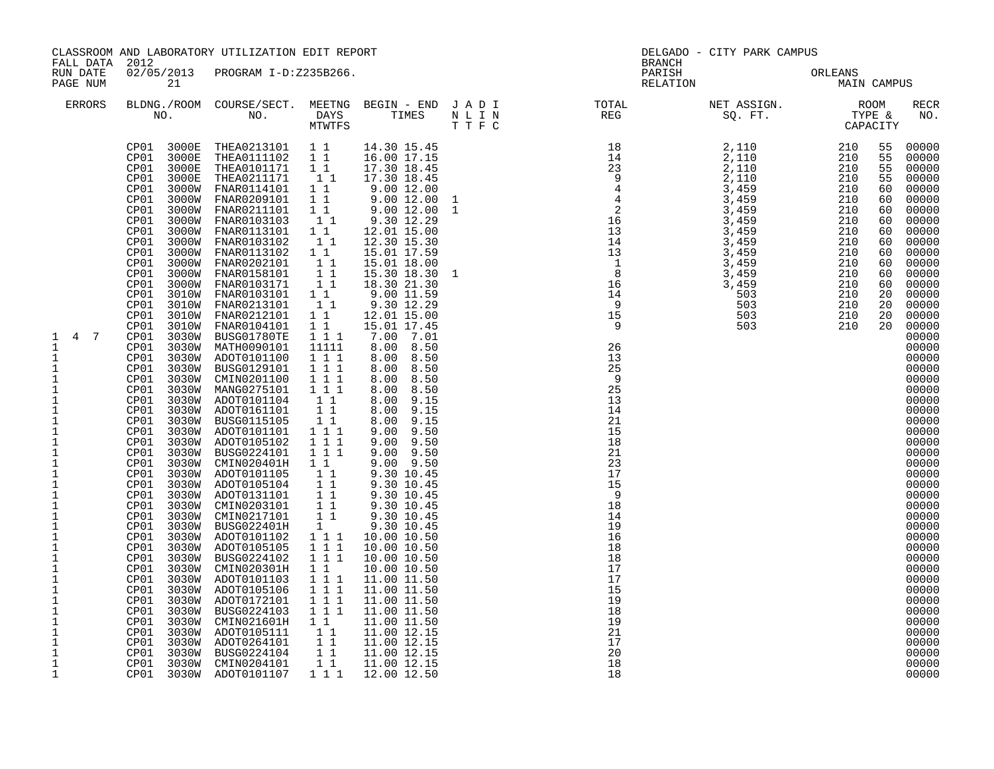| FALL DATA 2012                                                                                                                                                                                                                                                                                                                                                                                                                                                                                    |    | CLASSROOM AND LABORATORY UTILIZATION EDIT REPORT                                                                                                                                                                                                                                                         |  |  | DELGADO - CITY PARK CAMPUS<br><b>BRANCH</b> |  |                    |
|---------------------------------------------------------------------------------------------------------------------------------------------------------------------------------------------------------------------------------------------------------------------------------------------------------------------------------------------------------------------------------------------------------------------------------------------------------------------------------------------------|----|----------------------------------------------------------------------------------------------------------------------------------------------------------------------------------------------------------------------------------------------------------------------------------------------------------|--|--|---------------------------------------------|--|--------------------|
| RUN DATE<br>PAGE NUM                                                                                                                                                                                                                                                                                                                                                                                                                                                                              | 21 | 02/05/2013 PROGRAM I-D:Z235B266.                                                                                                                                                                                                                                                                         |  |  | PARISH ORLEANS MAIN CAMPUS                  |  |                    |
| ERRORS                                                                                                                                                                                                                                                                                                                                                                                                                                                                                            |    |                                                                                                                                                                                                                                                                                                          |  |  |                                             |  | <b>RECR</b><br>NO. |
| 4 7<br>$\mathbf{1}$<br>1<br>$\frac{1}{1}$<br>$\mathbf{1}$<br>$\ensuremath{\mathsf{1}}$<br>$\begin{array}{c} 1 \\ 1 \\ 1 \end{array}$<br>$\mathbf 1$<br>$\mathbf{1}$<br>$\,1\,$<br>$\mathbf{1}$<br>$\overline{1}$<br>$\begin{bmatrix} 1 \\ 1 \\ 1 \end{bmatrix}$<br>$\,1\,$<br>$\mathbf 1$<br>$\frac{1}{1}$<br>$\mathbf 1$<br>$\,1\,$<br>$\frac{1}{1}$<br>$\mathbf{1}$<br>$\mathbf{1}$<br>$\mathbf 1$<br>$\ensuremath{\mathsf{1}}$<br>$\mathbf{1}$<br>$\mathbf{1}$<br>$\mathbf{1}$<br>$\mathbf{1}$ |    | $\begin{tabular}{cccc} CP01& 3030W & ADOT0101100 & 1 & 1 & 1\\ CP01& 3030W & BUSG0129100 & 1 & 1 & 1\\ CP01& 3030W & CMN00271100 & 1 & 1 & 1\\ CP01& 3030W & ANOT0101104 & 1 & 1\\ CP01& 3030W & ADOT0101104 & 1 & 1\\ CP01& 3030W & ADOT0161101 & 1 & 1\\ CP01& 3030W & BUSG0121105 & 1 & 1\\ CP01& 30$ |  |  |                                             |  |                    |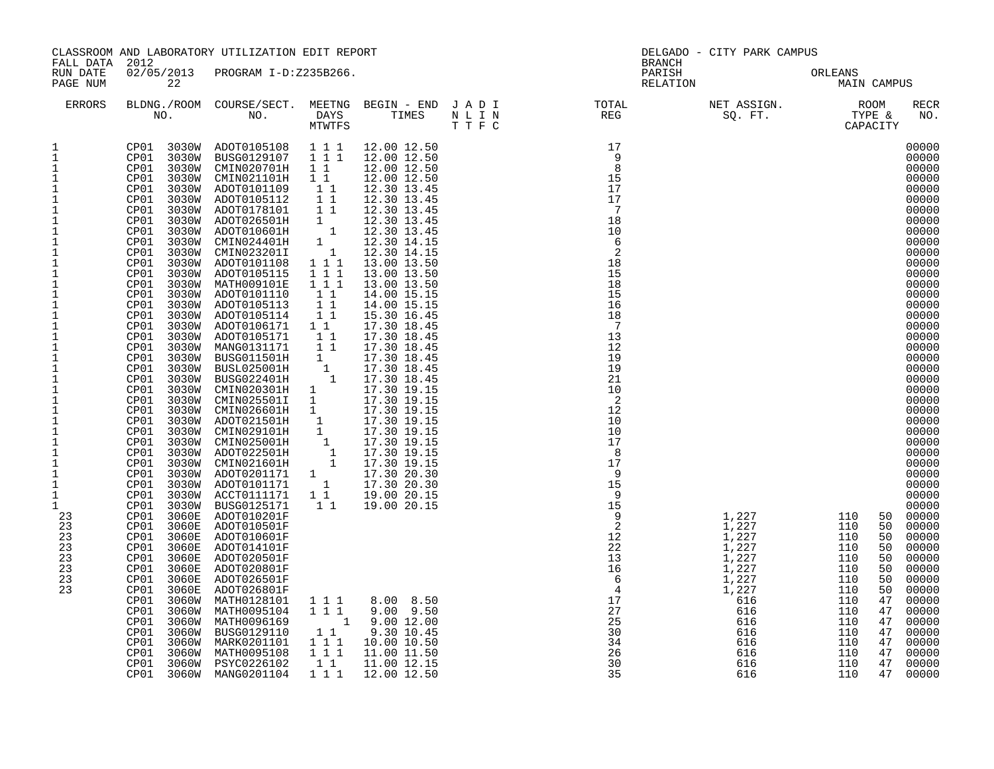|                                                                                                                                                                                                                                                                                                                                                                                                                                                                                                                                                           | CLASSROOM AND LABORATORY UTILIZATION EDIT REPORT<br>FALL DATA 2012<br>02/05/2013 PROGRAM I-D:Z235B266.                                                                                                                                                                                                                                                                                                                                                                                                                                                                                                                                                                                                                                                                                                                                                             |                                                                                                                                                                                                                                                                                                                                                                                                                                                                                                                                                                                                                                                                                                                                                                                                                                       |                                                                                                                                                                                    |  |                                                                                                                                                                                                                                                                                                                                                             | DELGADO - CITY PARK CAMPUS<br>BRANCH |                                                                                                                                                                                                                     |                                                                                                                                                                                                                                                                                                                                                                                                                                                                                                                                                                                                                                                             |
|-----------------------------------------------------------------------------------------------------------------------------------------------------------------------------------------------------------------------------------------------------------------------------------------------------------------------------------------------------------------------------------------------------------------------------------------------------------------------------------------------------------------------------------------------------------|--------------------------------------------------------------------------------------------------------------------------------------------------------------------------------------------------------------------------------------------------------------------------------------------------------------------------------------------------------------------------------------------------------------------------------------------------------------------------------------------------------------------------------------------------------------------------------------------------------------------------------------------------------------------------------------------------------------------------------------------------------------------------------------------------------------------------------------------------------------------|---------------------------------------------------------------------------------------------------------------------------------------------------------------------------------------------------------------------------------------------------------------------------------------------------------------------------------------------------------------------------------------------------------------------------------------------------------------------------------------------------------------------------------------------------------------------------------------------------------------------------------------------------------------------------------------------------------------------------------------------------------------------------------------------------------------------------------------|------------------------------------------------------------------------------------------------------------------------------------------------------------------------------------|--|-------------------------------------------------------------------------------------------------------------------------------------------------------------------------------------------------------------------------------------------------------------------------------------------------------------------------------------------------------------|--------------------------------------|---------------------------------------------------------------------------------------------------------------------------------------------------------------------------------------------------------------------|-------------------------------------------------------------------------------------------------------------------------------------------------------------------------------------------------------------------------------------------------------------------------------------------------------------------------------------------------------------------------------------------------------------------------------------------------------------------------------------------------------------------------------------------------------------------------------------------------------------------------------------------------------------|
| RUN DATE<br>PAGE NUM                                                                                                                                                                                                                                                                                                                                                                                                                                                                                                                                      | 22                                                                                                                                                                                                                                                                                                                                                                                                                                                                                                                                                                                                                                                                                                                                                                                                                                                                 |                                                                                                                                                                                                                                                                                                                                                                                                                                                                                                                                                                                                                                                                                                                                                                                                                                       |                                                                                                                                                                                    |  |                                                                                                                                                                                                                                                                                                                                                             | PARISH<br>RELATION                   |                                                                                                                                                                                                                     | ORLEANS<br>MAIN CAMPUS                                                                                                                                                                                                                                                                                                                                                                                                                                                                                                                                                                                                                                      |
| <b>ERRORS</b>                                                                                                                                                                                                                                                                                                                                                                                                                                                                                                                                             |                                                                                                                                                                                                                                                                                                                                                                                                                                                                                                                                                                                                                                                                                                                                                                                                                                                                    |                                                                                                                                                                                                                                                                                                                                                                                                                                                                                                                                                                                                                                                                                                                                                                                                                                       |                                                                                                                                                                                    |  |                                                                                                                                                                                                                                                                                                                                                             |                                      |                                                                                                                                                                                                                     | RECR<br>NO.                                                                                                                                                                                                                                                                                                                                                                                                                                                                                                                                                                                                                                                 |
| $\mathbf{1}$<br>$\mathbf{1}$<br>1<br>$\mathbf{1}$<br>$\mathbf 1$<br>$\mathbf{1}$<br>1<br>1<br>$\mathbf 1$<br>$\mathbf{1}$<br>1<br>$\mathbf{1}$<br>$\mathbf{1}$<br>$\mathbf{1}$<br>$\frac{1}{1}$<br>$1\,$<br>$\mathbf{1}$<br>$\mathbf 1$<br>$\mathbf{1}$<br>$\mathbf{1}$<br>$\mathbf{1}$<br>$\mathbf{1}$<br>$1\,$<br>$\mathbf{1}$<br>$\mathbf{1}$<br>$\mathbf 1$<br>$\mathbf{1}$<br>$\mathbf{1}$<br>$\ensuremath{\mathsf{1}}$<br>$\mathbf 1$<br>$\mathbf{1}$<br>$\mathbf 1$<br>$\mathbf{1}$<br>$\mathbf 1$<br>23<br>23<br>23<br>23<br>23<br>23<br>23<br>23 | CP01 3030W<br>CP01<br>CP01<br>3030W<br>CP01<br>3030W<br>3030W<br>CP01<br>CP01<br>3030W<br>3030W<br>CP01<br>CP01<br>3030W<br>CP01<br>3030W<br>CP01<br>3030W<br>CP01<br>3030W<br>3030W<br>CP01<br>CP01<br>3030W<br>CP01<br>3030W<br>CP01<br>3030W<br>CP01<br>3030W<br>CP01<br>3030W<br>CP01<br>3030W<br>CP01<br>3030W<br>CP01<br>3030W<br>CP01<br>3030W<br>CP01<br>3030W<br>CP01<br>3030W<br>CP01<br>3030W<br>CP01<br>3030W<br>CP01<br>3030W<br>CP01<br>3030W<br>CP01<br>3030W<br>CP01<br>3030W<br>CP01<br>3030W<br>CP01<br>3030W<br>3030W<br>CP01<br>CP01<br>3030W<br>CP01<br>3030W<br>CP01<br>3060E<br>CP01<br>3060E<br>CP01<br>3060E<br>CP01<br>3060E<br>CP01<br>3060E<br>CP01<br>3060E<br>CP01<br>3060E<br>CP01<br>3060E<br>3060W<br>CP01<br>CP01<br>3060W<br>CP01<br>3060W<br>CP01<br>3060W<br>3060W<br>CP01<br>CP01<br>3060W<br>3060W<br>CP01<br>CP01<br>3060W | CP01 3030W ADOT0105108 111<br>BUSG0129107<br>3030W CMIN020701H<br>CMIN021101H<br>ADOT0101109<br>ADOT0105112<br>ADOT0178101<br>ADOT026501H<br>ADOT010601H<br>CMIN024401H<br>CMIN023201I<br>ADOT0101108<br>ADOT0105115<br>MATH009101E<br>ADOT0101110<br>ADOT0105113<br>ADOT0105114<br>ADOT0106171 1 1<br>ADOT0105171<br>MANG0131171<br>BUSG011501H<br><b>BUSL025001H</b><br>BUSG022401H<br>CMIN020301H 1<br>CMIN025501I 1<br>CMIN026601H 1<br>ADOT021501H<br>CMIN029101H<br>CMIN025001H<br>ADOT022501H<br>CMIN021601H<br>ADOT0201171 1<br>ADOT0101171<br>ACCT0111171 1 1<br>BUSG0125171<br>ADOT010201F<br>ADOT010501F<br>ADOT010601F<br>ADOT014101F<br>ADOT020501F<br>ADOT020801F<br>ADOT026501F<br>ADOT026801F<br>MATH0128101<br>MATH0095104<br>MATH0096169<br>BUSG0129110<br>MARK0201101<br>MATH0095108<br>PSYC0226102<br>MANG0201104 | 1 1 1<br>1 1<br>$1\quad1$<br>11<br>$\begin{array}{c} 1 \\ 1 \end{array}$<br>1 1 1<br>$\overline{1}$<br>$\begin{bmatrix} 1 \\ 1 \\ 1 \\ 1 \end{bmatrix}$<br>$\overline{1}$<br>1 1 1 |  | $\begin{tabular}{l cccccc} \hline \texttt{DANS} & TIMES & N & L & I & N & \texttt{RESC} \\ \hline \texttt{MWTTPSS} & T. \texttt{IMES} & N & L & L & N & \texttt{RESC} \\ \texttt{1 1 1 1 1 2.00 12.50} & 1 & 7 & 7 & 8 & 9 & 9 \\ \texttt{1 1 1 1 1 2.00 12.50} & 1 & 1 & 1 & 1 & 1 & 1 & 1 & 1 & 1 & 1 & 1 \\ \texttt{1 1 1 1 1 1 2.00 13 1.45} & 1 & 1 &$ |                                      | $\begin{array}{ccc} 1,227 & 110 \\ 1,227 & 110 \\ 1,227 & 110 \\ 1,227 & 110 \\ \end{array}$<br>1,227<br>1,227<br>1,227<br>1,227<br>1,227<br>1,227<br>1,227<br>616<br>616<br>616<br>616<br>616<br>616<br>616<br>616 | 00000<br>00000<br>00000<br>00000<br>00000<br>00000<br>00000<br>00000<br>00000<br>00000<br>00000<br>00000<br>00000<br>00000<br>00000<br>00000<br>00000<br>00000<br>00000<br>00000<br>00000<br>00000<br>00000<br>00000<br>00000<br>00000<br>00000<br>00000<br>00000<br>00000<br>00000<br>00000<br>00000<br>00000<br>00000<br>00000<br>50<br>00000<br>50<br>00000<br>50<br>50<br>00000<br>110<br>50<br>00000<br>110<br>50<br>00000<br>110<br>00000<br>50<br>110<br>50<br>00000<br>110<br>00000<br>47<br>47<br>110<br>00000<br>110<br>00000<br>47<br>110<br>47<br>00000<br>110<br>47<br>00000<br>110<br>47<br>00000<br>110<br>47<br>00000<br>110<br>47<br>00000 |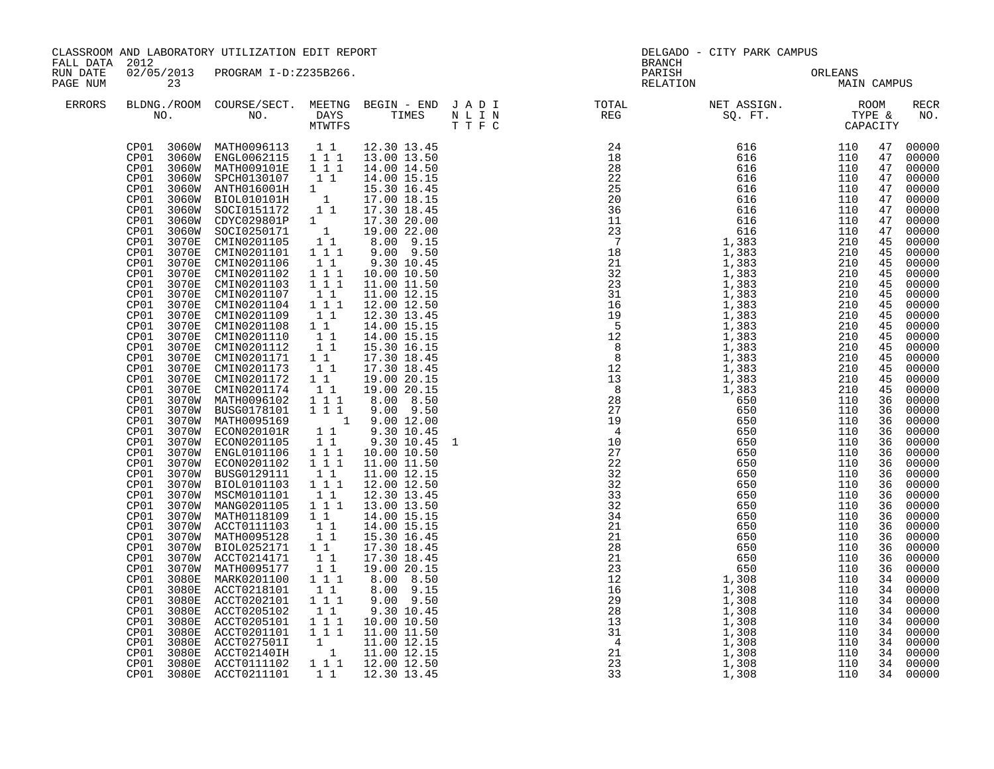|                      | CLASSROOM AND LABORATORY UTILIZATION EDIT REPORT<br>FALL DATA 2012<br>02/05/2013 PROGRAM I-D:Z235B266.                                                                                                                                                                                                                                                                                                                                                                                                                                                                                                                            |                                                                                                                                                                                                                                                                                                                                                                                                                                                                                                                                                                                                                                                                                                                                                                                                                                                                                                                                                                                                                                                                                                                                                                                                                                                                                                                                                                                    |                                                                                                                                                                                                                                                                                                                                                                                                                         |                                                                                                                                                                                                                                                                                                                                                                                                                                                                                                                                                                                                                                                                                                                                                                              | <b>BRANCH</b>                                                                                                                                                                                                                                                                                                                                                                                                                                                                                                                                                            | DELGADO - CITY PARK CAMPUS |                                                                                                |                                                                                                                                                                                                          |                                                                                                                                                                                                                                                                                                                                                                                                                                                                                                                            |
|----------------------|-----------------------------------------------------------------------------------------------------------------------------------------------------------------------------------------------------------------------------------------------------------------------------------------------------------------------------------------------------------------------------------------------------------------------------------------------------------------------------------------------------------------------------------------------------------------------------------------------------------------------------------|------------------------------------------------------------------------------------------------------------------------------------------------------------------------------------------------------------------------------------------------------------------------------------------------------------------------------------------------------------------------------------------------------------------------------------------------------------------------------------------------------------------------------------------------------------------------------------------------------------------------------------------------------------------------------------------------------------------------------------------------------------------------------------------------------------------------------------------------------------------------------------------------------------------------------------------------------------------------------------------------------------------------------------------------------------------------------------------------------------------------------------------------------------------------------------------------------------------------------------------------------------------------------------------------------------------------------------------------------------------------------------|-------------------------------------------------------------------------------------------------------------------------------------------------------------------------------------------------------------------------------------------------------------------------------------------------------------------------------------------------------------------------------------------------------------------------|------------------------------------------------------------------------------------------------------------------------------------------------------------------------------------------------------------------------------------------------------------------------------------------------------------------------------------------------------------------------------------------------------------------------------------------------------------------------------------------------------------------------------------------------------------------------------------------------------------------------------------------------------------------------------------------------------------------------------------------------------------------------------|--------------------------------------------------------------------------------------------------------------------------------------------------------------------------------------------------------------------------------------------------------------------------------------------------------------------------------------------------------------------------------------------------------------------------------------------------------------------------------------------------------------------------------------------------------------------------|----------------------------|------------------------------------------------------------------------------------------------|----------------------------------------------------------------------------------------------------------------------------------------------------------------------------------------------------------|----------------------------------------------------------------------------------------------------------------------------------------------------------------------------------------------------------------------------------------------------------------------------------------------------------------------------------------------------------------------------------------------------------------------------------------------------------------------------------------------------------------------------|
| RUN DATE<br>PAGE NUM | 23                                                                                                                                                                                                                                                                                                                                                                                                                                                                                                                                                                                                                                |                                                                                                                                                                                                                                                                                                                                                                                                                                                                                                                                                                                                                                                                                                                                                                                                                                                                                                                                                                                                                                                                                                                                                                                                                                                                                                                                                                                    |                                                                                                                                                                                                                                                                                                                                                                                                                         |                                                                                                                                                                                                                                                                                                                                                                                                                                                                                                                                                                                                                                                                                                                                                                              | PARISH<br>RELATION                                                                                                                                                                                                                                                                                                                                                                                                                                                                                                                                                       | ORLEANS<br>MAIN            | MAIN CAMPUS                                                                                    |                                                                                                                                                                                                          |                                                                                                                                                                                                                                                                                                                                                                                                                                                                                                                            |
| ERRORS               |                                                                                                                                                                                                                                                                                                                                                                                                                                                                                                                                                                                                                                   | NO. DAYS TIMES NLIN<br>MTWTFS TTFC                                                                                                                                                                                                                                                                                                                                                                                                                                                                                                                                                                                                                                                                                                                                                                                                                                                                                                                                                                                                                                                                                                                                                                                                                                                                                                                                                 |                                                                                                                                                                                                                                                                                                                                                                                                                         |                                                                                                                                                                                                                                                                                                                                                                                                                                                                                                                                                                                                                                                                                                                                                                              |                                                                                                                                                                                                                                                                                                                                                                                                                                                                                                                                                                          |                            |                                                                                                |                                                                                                                                                                                                          | <b>RECR</b><br>NO.                                                                                                                                                                                                                                                                                                                                                                                                                                                                                                         |
|                      | CP01<br>CP01<br>CP01<br>CP01<br>CP01<br>CP01<br>CP01<br>3070E<br>CP01<br>3070E<br>CP01<br>3070E<br>CP01<br>3070E<br>CP01<br>3070E<br>CP01<br>3070E<br>CP01<br>3070E<br>CP01<br>3070E<br>CP01<br>3070E<br>CP01<br>3070E<br>CP01<br>3070E<br>CP01<br>3070E<br>CP01<br>CP01<br>3070E<br>CP01<br>3070E<br>CP01<br>3070W<br>CP01<br>CP <sub>01</sub><br>CP01<br>CP01<br>3070W<br>CP01<br>CP01<br>CP01<br>CP01<br>CP01<br>CP01<br>CP01<br>CP01<br>CP01<br>CP01<br>CP01<br>CP01<br>3070W<br>CP01<br>3080E<br>CP01<br>3080E<br>CP01<br>3080E<br>CP01<br>3080E<br>CP01<br>3080E<br>CP01<br>3080E<br>CP01<br>3080E<br>CP01<br>3080E<br>CP01 | $\begin{tabular}{cccccc} CP01 & 3060W & MATH0096113 & 1 & 1 & 12.30 & 13.45 \\ CP01 & 3060W & ENGL0062115 & 1 & 1 & 1 & 13.00 & 13.50 \\ CP01 & 3060W & MATH009101E & 1 & 1 & 14.00 & 14.50 \\ \end{tabular}$<br>3060W MAILLONER 1<br>3060W SPCH0130107<br>3060W ANTH016001H 1 15.30 10.32<br>3060W BOLO010101H 1 17.00 18.15<br>3060W BOCI0151172 1 17.30 18.45<br>20.00<br>10 00 22.00<br>CDYC029801P<br>COYC029801P<br>SOCI0250171 1<br>CMIN0201105 1 1<br>CMIN0201101 1 1 1<br>3060W SOCI0250171<br>CMIN0201105<br>CMIN0201101<br>CMIN0201106<br>CMIN0201102<br>CMIN0201103<br>CMIN0201107<br>CMIN0201104<br>CMIN0201109<br>CMIN0201108 1 1<br>CMIN0201110 1 1<br>CMIN0201112 1 1<br>CMIN0201171 1 1<br>CMIN0201173 1 1<br>CMIN0201112<br>3070E CMIN0201173<br>CMIN0201172<br>CMIN0201174<br>MATH0096102<br>3070W BUSG0178101<br>3070W MATH0095169<br>3070W ECON020101R<br>3070W ECON0201105<br>3070W ENGL0101106<br>3070W ECON0201102 1 1 1<br>3070W BUSG0129111 1 1<br>3070W BIOL0101103 1 1 1<br>3070W MSCM0101101<br>3070W MANG0201105 1 1 1<br>3070W MATH0118109 1 1<br>3070W ACCT0111103 1 1<br>3070W MATH0095128<br>3070W BIOL0252171 11<br>3070W ACCT0214171 11<br>MATH0095177<br>MARK0201100<br>ACCT0218101<br>ACCT0202101<br>ACCT0205102<br>ACCT0205101<br>ACCT0201101<br>-------------<br>ACCT027501I<br>ACCT02140IH<br>3080E ACCT0111102<br>CP01 3080E ACCT0211101 | $\begin{bmatrix} 1 \\ 1 \end{bmatrix}$<br>$1 1 1$<br>$1 1 1$<br>$\begin{array}{c} 1 & 1 \\ 1 & 1 \\ 1 & 1 \end{array}$<br>11<br>11<br>$\begin{bmatrix} 1 \\ 1 \\ 1 \end{bmatrix}$<br>1 1 1<br>11<br>$1\quad1$<br>$\begin{smallmatrix}1&1\\1&1\end{smallmatrix}$<br>$1\quad1$<br>$1^{\circ}1^{\circ}1$<br>$1\quad1$<br>$\begin{array}{rrrr} & \overbrace{1} & \overbrace{1} & 1 \\ & 1 & 1 & 1 \end{array}$<br>$1\quad1$ | 19.00 22.00<br>$8.00$ $9.15$<br>9.00 9.50<br>9.30 10.45<br>10.00 10.50<br>11.00 11.50<br>11.00 12.15<br>12.00 12.50<br>12.30 13.45<br>14.00 15.15<br>14.00 15.15<br>15.30 16.15<br>17.30 18.45<br>17.30 18.45<br>19.00 20.15<br>19.00 20.15<br>8.00 8.50<br>$\begin{array}{rrrr} 1 & 1 & 9.00 & 9.50 \\ 1 & 9.00 & 12.00 \end{array}$<br>1 1 9.30 10.45<br>1 1 9.30 10.45<br>10.00 10.50<br>$11.00$ $11.50$<br>11.00 12.15<br>12.00 12.50<br>12.30 13.45<br>13.00 13.50<br>14.00 15.15<br>14.00 15.15<br>15.30 16.45<br>17.30 18.45<br>17.30 18.45<br>19.00 20.15<br>8.00 8.50<br>8.00 9.15<br>$9.00$ $9.50$<br>9.30 10.45<br>10.00 10.50<br>11.00 11.50<br>$\begin{array}{rrrr} 1 & 11.00 & 12.15 \\ 1 & 11.00 & 12.15 \\ 1 & 1 & 12.00 & 12.50 \end{array}$<br>12.30 13.45 | $\begin{array}{cccccccc} \textbf{1} & \textbf{1} & \textbf{1} & \textbf{1} & \textbf{1} & \textbf{1} & \textbf{1} & \textbf{1} & \textbf{1} & \textbf{1} & \textbf{1} & \textbf{1} & \textbf{1} & \textbf{1} & \textbf{1} & \textbf{1} & \textbf{1} & \textbf{1} & \textbf{1} & \textbf{1} & \textbf{1} & \textbf{1} & \textbf{1} & \textbf{1} & \textbf{1} & \textbf{1} & \textbf{1} & \textbf{1} & \textbf{1} & \textbf{1} & \text$<br>$\begin{array}{cccc} & 3\\32\\23\\24\\21\\28\\23\\22\\12\\16\\16\\29\\28\\28\\13\\31\\4\\31\\4\\221\\23\\33\\23\\33\end{array}$ |                            | 110<br>110<br>110<br>110<br>110<br>110<br>110<br>110<br>110<br>110<br>110<br>110<br>110<br>110 | 47<br>47<br>47<br>47<br>47<br>47<br>47<br>47<br>47<br>45<br>45<br>45<br>45<br>45<br>45<br>45<br>45<br>45<br>36<br>36<br>36<br>36<br>36<br>36<br>36<br>36<br>36<br>36<br>36<br>36<br>36<br>36<br>36<br>36 | 00000<br>00000<br>00000<br>00000<br>00000<br>00000<br>00000<br>00000<br>00000<br>00000<br>00000<br>00000<br>00000<br>45 00000<br>00000<br>00000<br>00000<br>45 00000<br>00000<br>45 00000<br>45 00000<br>45 00000<br>00000<br>45 00000<br>00000<br>00000<br>00000<br>00000<br>00000<br>00000<br>00000<br>00000<br>00000<br>00000<br>00000<br>00000<br>00000<br>00000<br>36 00000<br>00000<br>00000<br>34 00000<br>34 00000<br>34 00000<br>34 00000<br>34 00000<br>34 00000<br>34 00000<br>34 00000<br>34 00000<br>34 00000 |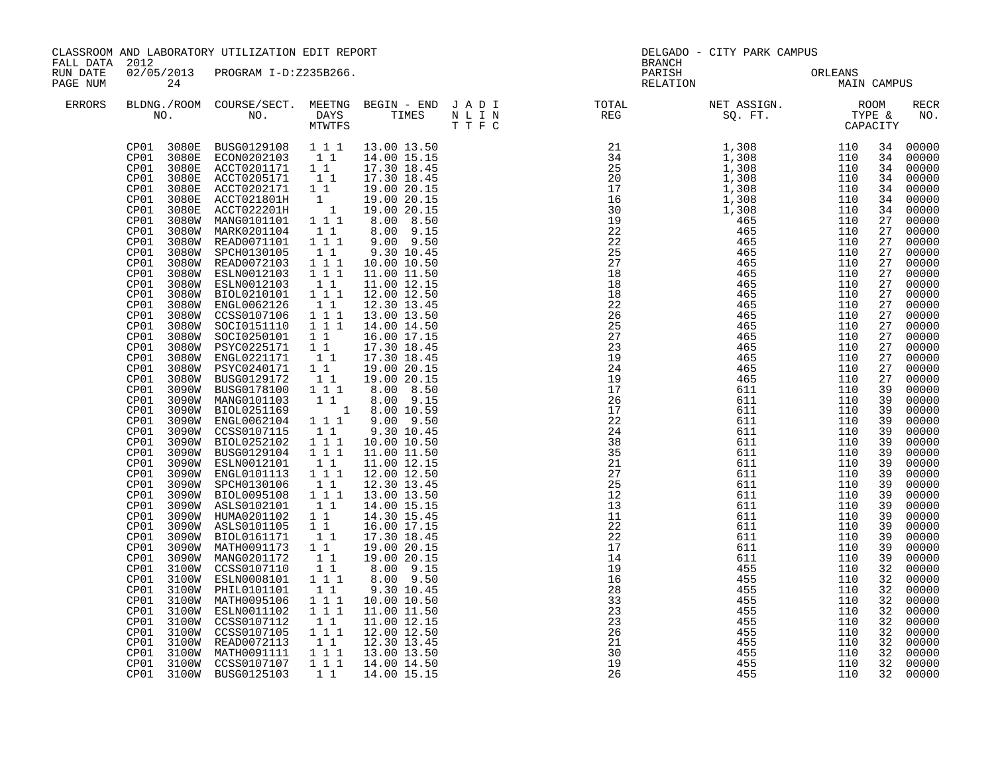| CLASSROOM AND LABORATORY UTILIZATION EDIT REPORT<br>FALL DATA 2012<br>RUN DATE |                                                                                                                                                                                                                                                                                                                                                                                                                                                      |                                                                                                                                                                                                                                                                                                                                                                                                                                                                                                                                                                                                                                                                                                                                                                                                                                                                                                                                                                                                                                                                                                                                                                                                                                                                                                                                                                                                                                                                                                                                                                                                                                                                                                          |                                                                                                                                                                                                                                                                                                                                                                                                                                                                                                                         |                                                                                                                                                                                                                                                                                                                                                                                                                                                                                                                                                                                                                                                                 | <b>BRANCH</b>                                                                                                                                                                                  | DELGADO - CITY PARK CAMPUS                                                                                                                                                                       |                                                                                                                                                                                                  |                                                                                                                                                                                                                                                          |                                                                                                                                                                                                                                                                                                                                                                                                                                                                                          |
|--------------------------------------------------------------------------------|------------------------------------------------------------------------------------------------------------------------------------------------------------------------------------------------------------------------------------------------------------------------------------------------------------------------------------------------------------------------------------------------------------------------------------------------------|----------------------------------------------------------------------------------------------------------------------------------------------------------------------------------------------------------------------------------------------------------------------------------------------------------------------------------------------------------------------------------------------------------------------------------------------------------------------------------------------------------------------------------------------------------------------------------------------------------------------------------------------------------------------------------------------------------------------------------------------------------------------------------------------------------------------------------------------------------------------------------------------------------------------------------------------------------------------------------------------------------------------------------------------------------------------------------------------------------------------------------------------------------------------------------------------------------------------------------------------------------------------------------------------------------------------------------------------------------------------------------------------------------------------------------------------------------------------------------------------------------------------------------------------------------------------------------------------------------------------------------------------------------------------------------------------------------|-------------------------------------------------------------------------------------------------------------------------------------------------------------------------------------------------------------------------------------------------------------------------------------------------------------------------------------------------------------------------------------------------------------------------------------------------------------------------------------------------------------------------|-----------------------------------------------------------------------------------------------------------------------------------------------------------------------------------------------------------------------------------------------------------------------------------------------------------------------------------------------------------------------------------------------------------------------------------------------------------------------------------------------------------------------------------------------------------------------------------------------------------------------------------------------------------------|------------------------------------------------------------------------------------------------------------------------------------------------------------------------------------------------|--------------------------------------------------------------------------------------------------------------------------------------------------------------------------------------------------|--------------------------------------------------------------------------------------------------------------------------------------------------------------------------------------------------|----------------------------------------------------------------------------------------------------------------------------------------------------------------------------------------------------------------------------------------------------------|------------------------------------------------------------------------------------------------------------------------------------------------------------------------------------------------------------------------------------------------------------------------------------------------------------------------------------------------------------------------------------------------------------------------------------------------------------------------------------------|
| PAGE NUM                                                                       | 24                                                                                                                                                                                                                                                                                                                                                                                                                                                   | 02/05/2013 PROGRAM I-D:Z235B266.                                                                                                                                                                                                                                                                                                                                                                                                                                                                                                                                                                                                                                                                                                                                                                                                                                                                                                                                                                                                                                                                                                                                                                                                                                                                                                                                                                                                                                                                                                                                                                                                                                                                         |                                                                                                                                                                                                                                                                                                                                                                                                                                                                                                                         |                                                                                                                                                                                                                                                                                                                                                                                                                                                                                                                                                                                                                                                                 | PARISH<br>RELATION                                                                                                                                                                             | ORLEANS<br>MAIN CAMPUS                                                                                                                                                                           |                                                                                                                                                                                                  |                                                                                                                                                                                                                                                          |                                                                                                                                                                                                                                                                                                                                                                                                                                                                                          |
| <b>ERRORS</b>                                                                  |                                                                                                                                                                                                                                                                                                                                                                                                                                                      |                                                                                                                                                                                                                                                                                                                                                                                                                                                                                                                                                                                                                                                                                                                                                                                                                                                                                                                                                                                                                                                                                                                                                                                                                                                                                                                                                                                                                                                                                                                                                                                                                                                                                                          |                                                                                                                                                                                                                                                                                                                                                                                                                                                                                                                         |                                                                                                                                                                                                                                                                                                                                                                                                                                                                                                                                                                                                                                                                 |                                                                                                                                                                                                |                                                                                                                                                                                                  |                                                                                                                                                                                                  |                                                                                                                                                                                                                                                          | <b>RECR</b><br>NO.                                                                                                                                                                                                                                                                                                                                                                                                                                                                       |
|                                                                                | CP01<br>3080E<br>CP01<br>CP01<br>CP01<br>CP01<br>CP01<br>CP01<br>CP01<br>CP01<br>CP01<br>CP01<br>CP01<br>3080W<br>CP01<br>3080W<br>CP01<br>CP01<br>CP01<br>CP01<br>CP01<br>CP01<br>3080W<br>CP01<br>3090W<br>CP01<br>CP01<br>CP01<br>CP01<br>CP01<br>CP01<br>CP01<br>CP01<br>CP01<br>CP01<br>CP01<br>CP01<br>CP01<br>CP01<br>CP01<br>3090W<br>CP01<br>3090W<br>CP01<br>CP01<br>3100W<br>CP01<br>CP01<br>CP01<br>CP01<br>CP01<br>CP01<br>CP01<br>CP01 | $\begin{tabular}{cccc} CP01 & 3080E & BUSG0129108 & 1 & 1 & 1 & 13.00 & 13.50 \\ CP01 & 3080E & ECON0202103 & 1 & 1 & 14.00 & 15.15 \\ CP01 & 3080E & ACTT0201171 & 1 & 17.30 & 18.45 \\ CP01 & 3080E & ACTT0205171 & 1 & 17.30 & 18.45 \\ \end{tabular}$<br>ACCT0202171 1 1<br>ACCT021801H 1<br>$\begin{tabular}{cccc} & \multicolumn{1}{c}{\multicolumn{1}{c}{\multicolumn{1}{c}{\multicolumn{1}{c}{\multicolumn{1}{c}{\multicolumn{1}{c}{\multicolumn{1}{c}{\multicolumn{1}{c}{\multicolumn{1}{c}{\multicolumn{1}{c}{\multicolumn{1}{c}{\multicolumn{1}{c}{\multicolumn{1}{c}{\multicolumn{1}{c}{\multicolumn{1}{c}{\multicolumn{1}{c}{\multicolumn{1}{c}{\multicolumn{1}{c}{\multicolumn{1}{c}{\multicolumn{1}{c}{\multicolumn{1}{c}{\multicolumn{1}{c}{\multicolumn{1}{c}{\multicolumn$<br>3080W ESLN0012103 111<br>3080W ESLN0012103 11<br>3080W BIOL0210101<br>ENGL0062126<br>CCSS0107106<br>3080W SOCI0151110 1 1 1<br>3080W SOCI0250101<br>3080W PSYC0225171 11<br>3080W ENGL0221171 11<br>3080W PSYC0240171 1 1<br>BUSG0129172<br>BUSG0178100<br>3090W MANG0101103 11 8.00 9.15<br>3090W BIOL0251169 1 8.00 10.59<br>3090W ENGL0062104 111 9.00 9.50<br>3090W CCSS0107115<br>3090W BIOL0252102<br>3090W BUSG0129104<br>3090W ESLN0012101 11<br>3090W ENGL0101113 111<br>3090W SPCH0130106<br>3090W BIOL0095108<br>3090W ASLS0102101<br>3090W HUMA0201102<br>3090W ASLS0101105   1   1<br>3090W   BIOL0161171   1   1<br>BIOL0161171<br>MATH0091173 1 1<br>MANG0201172<br>3100W CCSS0107110 11<br>3100W ESLN0008101 111<br>3100W PHIL0101101<br>3100W MATH0095106<br>3100W ESLN0011102<br>3100W CCSS0107112<br>3100W CCSS0107105<br>3100W READ0072113<br>3100W READ0072113<br>3100W CCSS0107107 | $1 1 1$<br>$\begin{bmatrix} 1\\ 1\\ 1\\ 1 \end{bmatrix}$<br>$1\quad1$<br>$\overline{1}$<br>$1^{\circ}1^{\circ}1$<br>$1^{\degree}1^{\degree}$<br>$\begin{smallmatrix}1&1\\1&1&1\end{smallmatrix}$<br>$1 1 1$<br>$\begin{bmatrix} 1 & 1 \\ 1 & 1 \end{bmatrix}$<br>$\begin{smallmatrix}1&1\\1&1\end{smallmatrix}$<br>$\begin{bmatrix} 1 \\ 1 \end{bmatrix}$<br>$1\quad1$<br>$1 \quad 1 \quad 1$<br>$1 1 1$<br>$\begin{bmatrix} 1 & 1 \\ 1 & 1 \end{bmatrix}$<br>$\begin{bmatrix} 1 & 1 \\ 1 & 1 & 1 \end{bmatrix}$<br>111 | 19.00 20.15<br>19.00 20.15<br>19.00 20.15<br>8.00 8.50<br>8.00 9.15<br>9.00 9.50<br>9.30 10.45<br>10.00 10.50<br>11.00 11.50<br>11.00 12.15<br>12.00 12.50<br>12.30 13.45<br>13.00 13.50<br>14.00 14.50<br>16.00 17.15<br>17.30 18.45<br>17.30 18.45<br>19.00 20.15<br>19.00 20.15<br>8.00 8.50<br>8.00 9.15<br>9.30 10.45<br>10.00 10.50<br>11.00 11.50<br>11.00 12.15<br>12.00 12.50<br>12.30 13.45<br>13.00 13.50<br>14.00 15.15<br>14.30 15.45<br>16.00 17.15<br>17.30 18.45<br>19.00 20.15<br>19.00 20.15<br>8.00 9.15<br>8.00 9.50<br>9.30 10.45<br>10.00 10.50<br>11.00 11.50<br>11.00 12.15<br>12.00 12.50<br>12.30 13.45<br>13.00 13.50<br>14.00 14.50 | 19<br>17<br>26<br>17<br>22<br>24<br>38<br>35<br>21<br>27<br>25<br>12<br>13<br>11<br>22<br>22<br>17<br>14<br>19<br>16<br>28<br>$\overline{33}$<br>23<br>$\overline{23}$<br>26<br>21<br>30<br>19 | 465<br>611<br>611<br>611<br>611<br>611<br>611<br>611<br>611<br>611<br>611<br>611<br>611<br>611<br>611<br>611<br>611<br>611<br>455<br>455<br>455<br>455<br>455<br>455<br>455<br>455<br>455<br>455 | 110<br>110<br>110<br>110<br>110<br>110<br>110<br>110<br>110<br>110<br>110<br>110<br>110<br>110<br>110<br>110<br>110<br>110<br>110<br>110<br>110<br>110<br>110<br>110<br>110<br>110<br>110<br>110 | 34<br>27<br>27<br>27<br>27<br>27<br>27<br>27<br>27<br>27<br>27<br>27<br>27<br>27<br>27<br>27<br>27<br>39<br>39<br>39<br>39<br>39<br>39<br>39<br>39<br>39<br>39<br>39<br>39<br>39<br>39<br>39<br>39<br>39<br>32<br>32<br>32<br>32<br>32<br>32<br>32<br>32 | 34 00000<br>00000<br>34 00000<br>34 00000<br>$34$ 00000<br>34 00000<br>34 00000<br>00000<br>00000<br>00000<br>00000<br>00000<br>00000<br>00000<br>00000<br>00000<br>00000<br>00000<br>00000<br>00000<br>00000<br>00000<br>00000<br>00000<br>00000<br>00000<br>00000<br>00000<br>00000<br>00000<br>00000<br>00000<br>00000<br>00000<br>00000<br>00000<br>00000<br>00000<br>00000<br>00000<br>00000<br>00000<br>00000<br>00000<br>00000<br>32 00000<br>00000<br>32 00000<br>00000<br>00000 |
|                                                                                |                                                                                                                                                                                                                                                                                                                                                                                                                                                      | CP01 3100W BUSG0125103                                                                                                                                                                                                                                                                                                                                                                                                                                                                                                                                                                                                                                                                                                                                                                                                                                                                                                                                                                                                                                                                                                                                                                                                                                                                                                                                                                                                                                                                                                                                                                                                                                                                                   | 11                                                                                                                                                                                                                                                                                                                                                                                                                                                                                                                      | 14.00 15.15                                                                                                                                                                                                                                                                                                                                                                                                                                                                                                                                                                                                                                                     | 26                                                                                                                                                                                             | 455                                                                                                                                                                                              | 110                                                                                                                                                                                              | 32                                                                                                                                                                                                                                                       | 00000                                                                                                                                                                                                                                                                                                                                                                                                                                                                                    |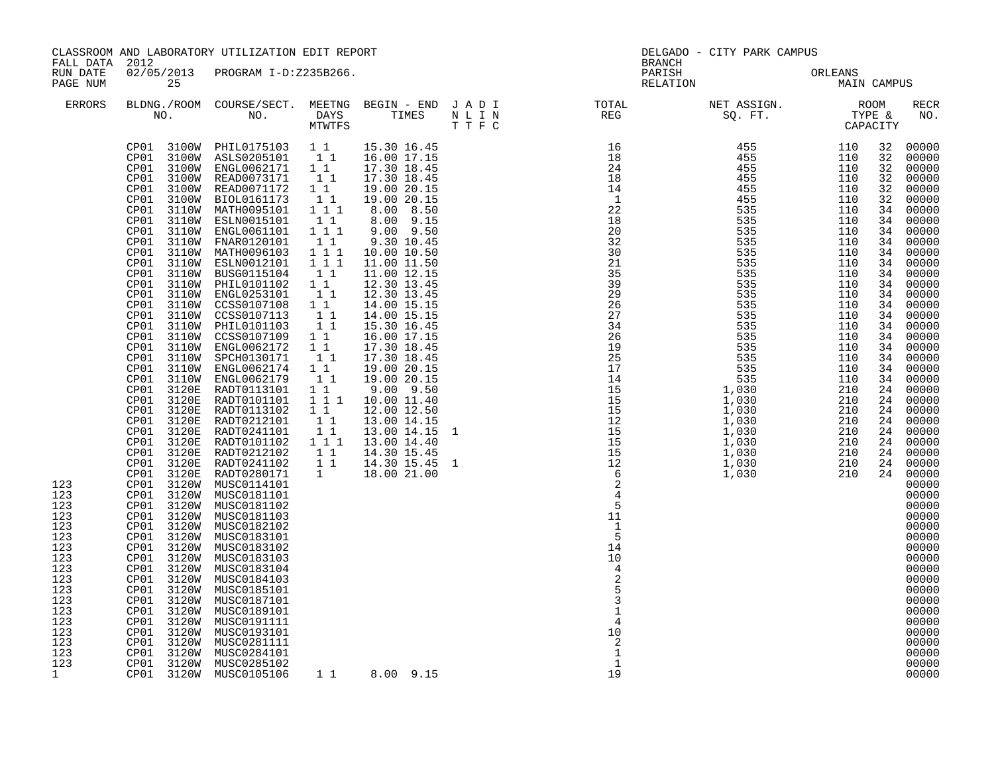| FALL DATA 2012                                                                                                                          |                                                                                                                                                                                                                                                                                                                                                                                                                                                                                                                                                                                                                                                                                                                                                                                              | CLASSROOM AND LABORATORY UTILIZATION EDIT REPORT                                                                                                                                                                                                                                                                                                                                                                                                                                                                                                                                                                                                                                                                                                                                                                                                                                                                                                                   |                                                                                                                                                                                                                                                                    |                                                                                                                                                                                                                                                                                                                                                                                                                                                      | <b>BRANCH</b>                                                                                                                                                                                                                                                                                                                                                                                                                                            | DELGADO - CITY PARK CAMPUS |                                                                                                                                                                                              |                                                                                                                                                                                                                                                                                                                                                                                                                                                                         |
|-----------------------------------------------------------------------------------------------------------------------------------------|----------------------------------------------------------------------------------------------------------------------------------------------------------------------------------------------------------------------------------------------------------------------------------------------------------------------------------------------------------------------------------------------------------------------------------------------------------------------------------------------------------------------------------------------------------------------------------------------------------------------------------------------------------------------------------------------------------------------------------------------------------------------------------------------|--------------------------------------------------------------------------------------------------------------------------------------------------------------------------------------------------------------------------------------------------------------------------------------------------------------------------------------------------------------------------------------------------------------------------------------------------------------------------------------------------------------------------------------------------------------------------------------------------------------------------------------------------------------------------------------------------------------------------------------------------------------------------------------------------------------------------------------------------------------------------------------------------------------------------------------------------------------------|--------------------------------------------------------------------------------------------------------------------------------------------------------------------------------------------------------------------------------------------------------------------|------------------------------------------------------------------------------------------------------------------------------------------------------------------------------------------------------------------------------------------------------------------------------------------------------------------------------------------------------------------------------------------------------------------------------------------------------|----------------------------------------------------------------------------------------------------------------------------------------------------------------------------------------------------------------------------------------------------------------------------------------------------------------------------------------------------------------------------------------------------------------------------------------------------------|----------------------------|----------------------------------------------------------------------------------------------------------------------------------------------------------------------------------------------|-------------------------------------------------------------------------------------------------------------------------------------------------------------------------------------------------------------------------------------------------------------------------------------------------------------------------------------------------------------------------------------------------------------------------------------------------------------------------|
| RUN DATE<br>PAGE NUM                                                                                                                    | 25                                                                                                                                                                                                                                                                                                                                                                                                                                                                                                                                                                                                                                                                                                                                                                                           | 02/05/2013 PROGRAM I-D:Z235B266.                                                                                                                                                                                                                                                                                                                                                                                                                                                                                                                                                                                                                                                                                                                                                                                                                                                                                                                                   |                                                                                                                                                                                                                                                                    |                                                                                                                                                                                                                                                                                                                                                                                                                                                      | PARISH<br>RELATION                                                                                                                                                                                                                                                                                                                                                                                                                                       | ORLEANS<br>MAIN CAMPUS     |                                                                                                                                                                                              |                                                                                                                                                                                                                                                                                                                                                                                                                                                                         |
| <b>ERRORS</b>                                                                                                                           |                                                                                                                                                                                                                                                                                                                                                                                                                                                                                                                                                                                                                                                                                                                                                                                              |                                                                                                                                                                                                                                                                                                                                                                                                                                                                                                                                                                                                                                                                                                                                                                                                                                                                                                                                                                    |                                                                                                                                                                                                                                                                    |                                                                                                                                                                                                                                                                                                                                                                                                                                                      | $\begin{array}{cccccccccccccc} \texttt{BLDNG.} / \texttt{ROM} & \texttt{COURSE} / \texttt{SECTIONC} & \texttt{MEE} & \texttt{MEE} & \texttt{MEE} & \texttt{BEG} & \texttt{NEDNG} & \texttt{NET} & \texttt{RSSIGN.} & \texttt{ROM} \\ \texttt{NO.} & \texttt{NO.} & \texttt{DAYS} & \texttt{TIMES} & \texttt{N}\; \texttt{L}\; \texttt{I}\; \texttt{N} & \texttt{REG} & \texttt{REG} & \texttt{SQ. FT.} & \texttt{CAPACITY} \\ \texttt{MTWTFS} & \texttt$ |                            |                                                                                                                                                                                              | RECR<br>NO.                                                                                                                                                                                                                                                                                                                                                                                                                                                             |
| 123<br>123<br>123<br>123<br>123<br>123<br>123<br>123<br>123<br>123<br>123<br>123<br>123<br>123<br>123<br>123<br>123<br>123<br>$1 \quad$ | CP01<br>CP01<br>CP01<br>CP01<br>3110W<br>CP01<br>CP01<br>CP01<br>CP01<br>CP01<br>CP01<br>CP01<br>CP01<br>3110W<br>CP01<br>3110W<br>CP01<br>CP01<br>CP01<br>CP01<br>CP01<br>CP01<br>3110W<br>CP01<br>3120E<br>CP01<br>3120E<br>3120E<br>CP01<br>CP01<br>3120E<br>CP01<br>3120E<br>CP01 3120E<br>CP01<br>3120E<br>CP01 3120E<br>CP01 3120E RADT0280171<br>CP01 3120W MUSC0114101<br>CP01 3120W<br>CP01 3120W MUSC0181102<br>CP01 3120W<br>CP01 3120W MUSC0182102<br>CP01 3120W<br>CP01 3120W MUSC0183102<br>CP01 3120W<br>CP01 3120W MUSC0183104<br>CP01 3120W<br>CP01 3120W MUSC0185101<br>CP01 3120W<br>CP01 3120W MUSC0189101<br>CP01 3120W<br>CP01 3120W<br>CP01 3120W MUSC0281111<br>CP01 3120W MUSC0284101<br>CP01 3120W MUSC0285102<br>CP01 3120W MUSC0105106<br>CP01 3120W MUSC0105106 | $\begin{tabular}{cccccc} CP01&3100W & PHIL0175103 & 1 & 1 & 15.30 & 16.45 \\ CP01&3100W & ASLS0205101 & 1 & 1 & 16.00 & 17.15 \\ CP01&3100W & ENGL0062171 & 1 & 17.30 & 18.45 \\ CP01&3100W & READ0073171 & 1 & 17.30 & 18.45 \\ \end{tabular}$<br>3100W READ0071172<br>3100W BIOL0161173<br>3110W MATH0095101 1 1 1<br>3110W ESLN0015101<br>3110W ENGL0061101<br>3110W FNAR0120101 -11<br>3110W MATH0096103 1 1 1<br>3110W ESLN0012101 1 1 1<br>3110W BUSG0115104 1 1<br>3110W PHIL0101102 1 1<br>3110W ENGL0253101<br>CCSS0107108<br>CCSS0107113<br>3110W PHIL0101103 1 1<br>3110W CCSS0107109 1 1<br>3110W ENGL0062172 1 1<br>3110W SPCH0130171 1 1<br>3110W ENGL0062174<br>ENGL0062179<br>RADT0113101<br>RADT0101101<br>RADT0113102 1 1<br>RADT0113102 1 1<br>RADT0241101 1<br>RADT0101102 1 1 1<br>RADT0212102 1 1<br>RADT0241102 1 1<br>MUSC0181101<br>MUSC0181103<br>MUSC0183101<br>MUSC0183103<br>MUSC0184103<br>MUSC0187101<br>MUSC0191111<br>MUSC0193101 | $1\quad1$<br>$\begin{bmatrix} 1 \\ 1 \end{bmatrix}$<br>11<br>$1^{\overline{1}}1^{\overline{1}}$<br>$1\quad1$<br>$\begin{smallmatrix}1&&1\\&1\\1&&1\end{smallmatrix}$<br>$1\quad1$<br>11<br>$\begin{smallmatrix}1&&1\\&1&1\\1&1&1\end{smallmatrix}$<br>$\mathbf{1}$ | 19.00 20.15<br>19.00 20.15<br>8.00 8.50<br>8.00 9.15<br>$9.00$ $9.50$<br>9.30 10.45<br>10.00 10.50<br>11.00 11.50<br>11.00 12.15<br>12.30 13.45<br>12.30 13.45<br>14.00 15.15<br>14.00 15.15<br>15.30 16.45<br>16.00 17.15<br>17.30 18.45<br>17.30 18.45<br>19.00 20.15<br>19.00 20.15<br>$9.00$ $9.50$<br>10.00 11.40<br>12.00 12.50<br>13.00 14.15<br>13.00 14.15 1<br>13.00 14.40<br>14.30 15.45<br>14.30 15.45 1<br>18.00 21.00<br>1 1 8.00 9.15 | 5<br>11<br>$\mathbf{1}$<br>5<br>14<br>10<br>$\overline{4}$<br>10<br>$\overline{c}$<br>$\mathbf{1}$<br>$\mathbf{1}$<br>19                                                                                                                                                                                                                                                                                                                                 |                            | 32<br>32<br>32<br>32<br>32<br>32<br>34<br>34<br>34<br>34<br>34<br>34<br>34<br>34<br>34<br>34<br>34<br>34<br>34<br>34<br>34<br>34<br>34<br>24<br>24<br>24<br>24<br>24<br>24<br>24<br>24<br>24 | 00000<br>00000<br>00000<br>00000<br>00000<br>00000<br>00000<br>00000<br>00000<br>00000<br>00000<br>00000<br>00000<br>00000<br>00000<br>00000<br>00000<br>00000<br>00000<br>00000<br>00000<br>00000<br>00000<br>00000<br>00000<br>00000<br>00000<br>00000<br>00000<br>00000<br>00000<br>00000<br>00000<br>00000<br>00000<br>00000<br>00000<br>00000<br>00000<br>00000<br>00000<br>00000<br>00000<br>00000<br>00000<br>00000<br>00000<br>00000<br>00000<br>00000<br>00000 |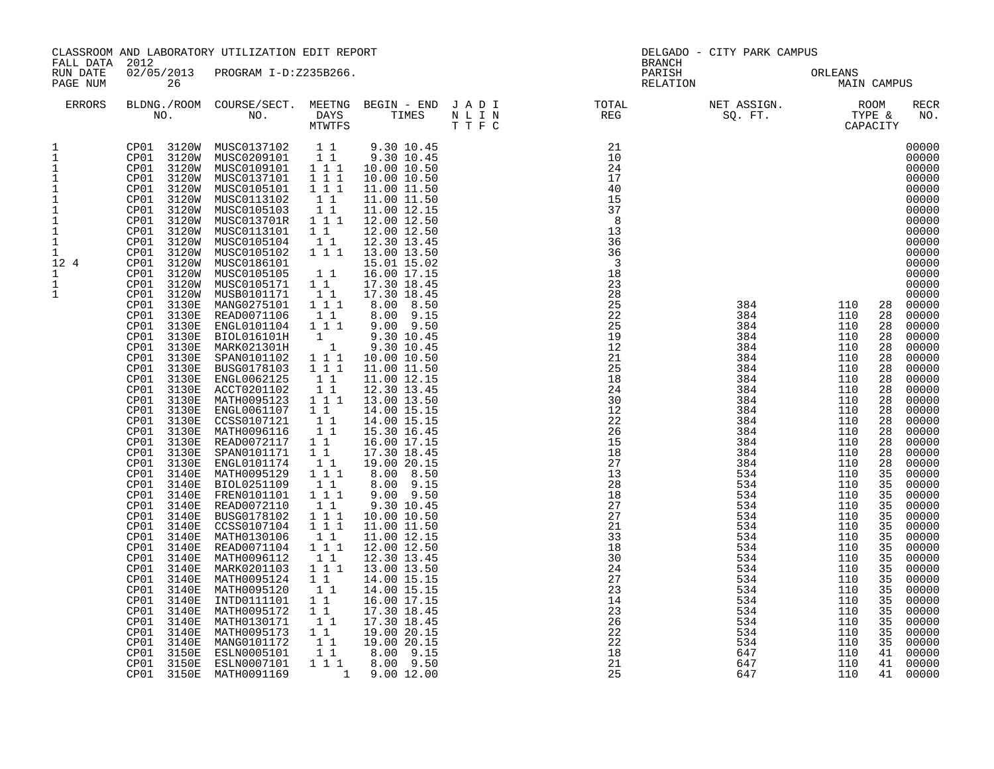| CLASSROOM AND LABORATORY UTILIZATION EDIT REPORT<br>FALL DATA 2012<br>02/05/2013 PROGRAM I-D:Z235B266.<br>RUN DATE                                                                  |                                                                                                                                                                                                                                                                                                                                                                                                                                                                                                                                                                                                                                                                                                                                                                                               |                                                                                                                                                                                                                                                                                                                                                                                                                                                                                                                                                                                                                                                                                                                                                                                                                                                                                                             | DELGADO - CITY PARK CAMPUS                                                                                                                                                                                                                                                                                                                                                                                                                                                                         |                                                                                                                                                                                                                                                                                                                                                                                                                                                                                                                                                                                                                                                                                                                                        |                                     |                                                                                                                                                                                                                                                          |                                                                                                                                                                                                                                                          |                                                                                                                                                                                                                      |                                                                                                                                                                                                                                                                                                                                                                                                                                                                         |
|-------------------------------------------------------------------------------------------------------------------------------------------------------------------------------------|-----------------------------------------------------------------------------------------------------------------------------------------------------------------------------------------------------------------------------------------------------------------------------------------------------------------------------------------------------------------------------------------------------------------------------------------------------------------------------------------------------------------------------------------------------------------------------------------------------------------------------------------------------------------------------------------------------------------------------------------------------------------------------------------------|-------------------------------------------------------------------------------------------------------------------------------------------------------------------------------------------------------------------------------------------------------------------------------------------------------------------------------------------------------------------------------------------------------------------------------------------------------------------------------------------------------------------------------------------------------------------------------------------------------------------------------------------------------------------------------------------------------------------------------------------------------------------------------------------------------------------------------------------------------------------------------------------------------------|----------------------------------------------------------------------------------------------------------------------------------------------------------------------------------------------------------------------------------------------------------------------------------------------------------------------------------------------------------------------------------------------------------------------------------------------------------------------------------------------------|----------------------------------------------------------------------------------------------------------------------------------------------------------------------------------------------------------------------------------------------------------------------------------------------------------------------------------------------------------------------------------------------------------------------------------------------------------------------------------------------------------------------------------------------------------------------------------------------------------------------------------------------------------------------------------------------------------------------------------------|-------------------------------------|----------------------------------------------------------------------------------------------------------------------------------------------------------------------------------------------------------------------------------------------------------|----------------------------------------------------------------------------------------------------------------------------------------------------------------------------------------------------------------------------------------------------------|----------------------------------------------------------------------------------------------------------------------------------------------------------------------------------------------------------------------|-------------------------------------------------------------------------------------------------------------------------------------------------------------------------------------------------------------------------------------------------------------------------------------------------------------------------------------------------------------------------------------------------------------------------------------------------------------------------|
| PAGE NUM                                                                                                                                                                            | 26                                                                                                                                                                                                                                                                                                                                                                                                                                                                                                                                                                                                                                                                                                                                                                                            |                                                                                                                                                                                                                                                                                                                                                                                                                                                                                                                                                                                                                                                                                                                                                                                                                                                                                                             |                                                                                                                                                                                                                                                                                                                                                                                                                                                                                                    |                                                                                                                                                                                                                                                                                                                                                                                                                                                                                                                                                                                                                                                                                                                                        | <b>BRANCH</b><br>PARISH<br>RELATION |                                                                                                                                                                                                                                                          | ORLEANS<br><b>MAIN CAMPUS</b>                                                                                                                                                                                                                            |                                                                                                                                                                                                                      |                                                                                                                                                                                                                                                                                                                                                                                                                                                                         |
| ERRORS                                                                                                                                                                              |                                                                                                                                                                                                                                                                                                                                                                                                                                                                                                                                                                                                                                                                                                                                                                                               |                                                                                                                                                                                                                                                                                                                                                                                                                                                                                                                                                                                                                                                                                                                                                                                                                                                                                                             |                                                                                                                                                                                                                                                                                                                                                                                                                                                                                                    |                                                                                                                                                                                                                                                                                                                                                                                                                                                                                                                                                                                                                                                                                                                                        |                                     |                                                                                                                                                                                                                                                          |                                                                                                                                                                                                                                                          |                                                                                                                                                                                                                      | RECR<br>NO.                                                                                                                                                                                                                                                                                                                                                                                                                                                             |
| 1<br>$\mathbf{1}$<br>$\mathbf{1}$<br>$1\,$<br>$\frac{1}{1}$<br>$\mathbf 1$<br>$\mathbf 1$<br>$1\,$<br>$\mathbf{1}$<br>$\mathbf{1}$<br>12 4<br>$\mathbf{1}$<br>$1\,$<br>$\mathbf{1}$ | CP01 3120W<br>CP01 3120W<br>CP01<br>3120W<br>CP01<br>3120W<br>CP01 3120W<br>CP01 3120W<br>CP01 3120W<br>CP01 3120W<br>CP01 3120W<br>CP01 3120W<br>CP01 3120W<br>CP01 3120W<br>3130E<br>CP01<br>CP01<br>3130E<br>CP01<br>3130E<br>CP01<br>3130E<br>3130E<br>CP01<br>CP01<br>3130E<br>CP01<br>3130E<br>CP01<br>3130E<br>CP01<br>3130E<br>CP01<br>3130E<br>CP01<br>3130E<br>CP01<br>3130E<br>3130E<br>CP01<br>CP01<br>3130E<br>CP01<br>3130E<br>CP01<br>3130E<br>CP01<br>3140E<br>CP01<br>3140E<br>CP01<br>3140E<br>CP01<br>3140E<br>CP01<br>3140E<br>CP01<br>3140E<br>CP01<br>3140E<br>CP01<br>3140E<br>CP01<br>3140E<br>CP01<br>3140E<br>CP01<br>3140E<br>CP01<br>3140E<br>CP01<br>3140E<br>CP01<br>3140E<br>CP01<br>3140E<br>CP01<br>3140E<br>CP01<br>3140E<br>3150E<br>CP01<br>CP01<br>3150E | CP01 3120W MUSC0137102 1 1 9.30 10.45<br>CP01 3120W MUSC0209101 1 1 9.30 10.45<br>CP01 3120W MUSC0109101 1 1 1 10.00 10.50<br>MUSC0137101<br>MUSC0105101<br>MUSC0113102<br>MUSC0105103<br>MUSC013701R   1   1   1<br>MUSC0113101<br>MUSC0105104<br>MUSC0105102 1 1 1<br>MUSC0186101<br>MUSC0105105<br>MUSC0105171<br>MUSB0101171<br>MANG0275101<br>READ0071106<br>ENGL0101104<br>BIOL016101H<br>MARK021301H<br>SPAN0101102<br>BUSG0178103<br>ENGL0062125<br>ACCT0201102<br>MATH0095123<br>ENGL0061107<br>CCSS0107121<br>MATH0096116<br>READ0072117 1 1<br>SPAN0101171<br>ENGL0101174<br>MATH0095129<br>BIOL0251109<br>FREN0101101<br>READ0072110<br>BUSG0178102<br>CCSS0107104<br>MATH0130106<br>READ0071104<br>MATH0096112<br>MARK0201103<br>MATH0095124<br>MATH0095120<br>INTD0111101<br>MATH0095172<br>MATH0130171<br>MATH0095173<br>MANG0101172<br>ESLN0005101<br>ESLN0007101<br>CP01 3150E MATH0091169 | 1 1 1<br>1 1 1<br>$\begin{array}{rr} & 1 & 1 \\ & 1 & 1 \end{array}$<br>$1\quad1$<br>11<br>$1\quad1$<br>11<br>$1\quad1$<br>1 1 1<br>$1\quad1$<br>1 1 1<br>$\begin{bmatrix} 1 \\ 1 \end{bmatrix}$<br>$1 1 1$<br>1 1 1<br>$1\quad1$<br>$1\quad1$<br>$1 1 1$<br>$1\quad1$<br>11<br>11<br>$1\quad1$<br>$1\quad1$<br>$1^{\circ}1^{\circ}1$<br>11<br>$1$ $1$ $1$<br>11<br>$1 1 1$<br>1 1 1<br>$1\quad1$<br>1 1 1<br>$1\quad1$<br>1 1 1<br>1 1<br>11<br>11<br>1 1<br>11<br>$1\quad1$<br>11<br>11<br>1 1 1 | 10.00 10.50<br>11.00 11.50<br>11.00 11.50<br>11.00 12.15<br>12.00 12.50<br>12.00 12.50<br>12.30 13.45<br>13.00 13.50<br>15.01 15.02<br>16.00 17.15<br>17.30 18.45<br>17.30 18.45<br>$8.00$ $8.50$<br>8.00 9.15<br>9.00 9.50<br>9.30 10.45<br>9.30 10.45<br>10.00 10.50<br>11.00 11.50<br>11.00 12.15<br>12.30 13.45<br>13.00 13.50<br>14.00 15.15<br>14.00 15.15<br>15.30 16.45<br>16.00 17.15<br>17.30 18.45<br>19.00 20.15<br>8.00 8.50<br>$8.00$ $9.15$<br>$9.00$ $9.50$<br>9.30 10.45<br>10.00 10.50<br>11.00 11.50<br>11.00 12.15<br>12.00 12.50<br>12.30 13.45<br>13.00 13.50<br>14.00 15.15<br>14.00 15.15<br>16.00 17.15<br>17.30 18.45<br>17.30 18.45<br>19.00 20.15<br>19.00 20.15<br>8.00 9.15<br>8.00 9.50<br>1 9.00 12.00 |                                     | 384<br>384<br>384<br>384<br>384<br>384<br>384<br>384<br>384<br>384<br>384<br>384<br>384<br>384<br>384<br>384<br>534<br>534<br>534<br>534<br>534<br>534<br>534<br>534<br>534<br>534<br>534<br>534<br>534<br>534<br>534<br>534<br>534<br>647<br>647<br>647 | 110<br>110<br>110<br>110<br>110<br>110<br>110<br>110<br>110<br>110<br>110<br>110<br>110<br>110<br>110<br>110<br>110<br>110<br>110<br>110<br>110<br>110<br>110<br>110<br>110<br>110<br>110<br>110<br>110<br>110<br>110<br>110<br>110<br>110<br>110<br>110 | 28<br>28<br>28<br>28<br>28<br>28<br>28<br>28<br>28<br>28<br>28<br>28<br>28<br>28<br>28<br>28<br>35<br>35<br>35<br>35<br>35<br>35<br>35<br>35<br>35<br>35<br>35<br>35<br>35<br>35<br>35<br>35<br>35<br>41<br>41<br>41 | 00000<br>00000<br>00000<br>00000<br>00000<br>00000<br>00000<br>00000<br>00000<br>00000<br>00000<br>00000<br>00000<br>00000<br>00000<br>00000<br>00000<br>00000<br>00000<br>00000<br>00000<br>00000<br>00000<br>00000<br>00000<br>00000<br>00000<br>00000<br>00000<br>00000<br>00000<br>00000<br>00000<br>00000<br>00000<br>00000<br>00000<br>00000<br>00000<br>00000<br>00000<br>00000<br>00000<br>00000<br>00000<br>00000<br>00000<br>00000<br>00000<br>00000<br>00000 |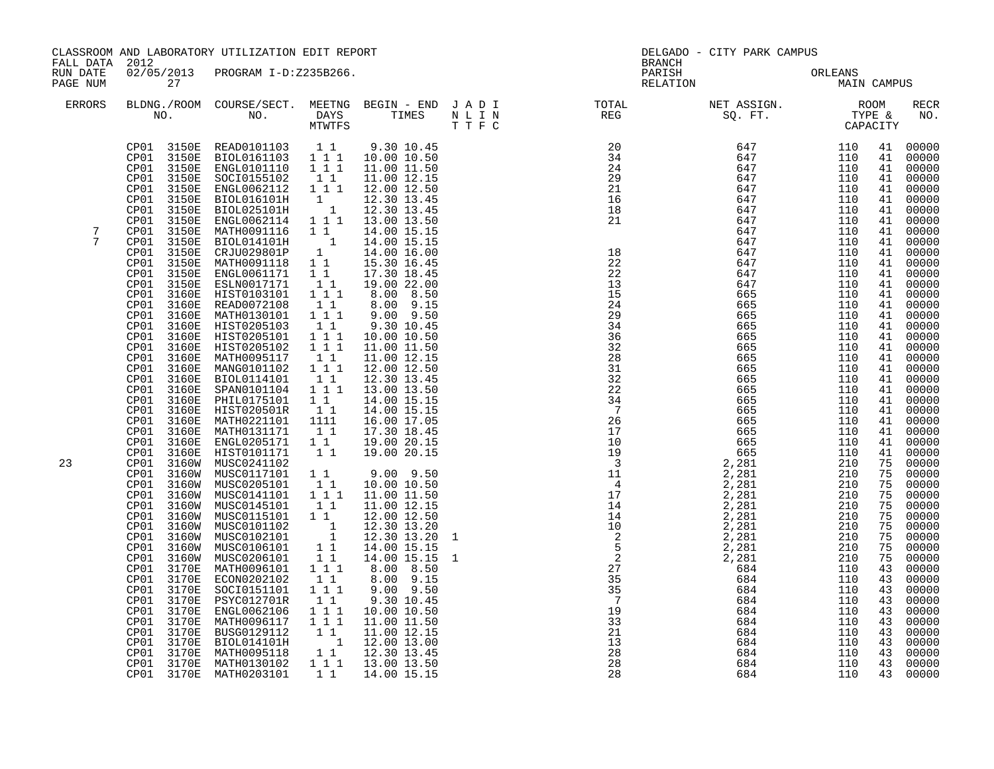| FALL DATA 2012       |                                                                                                                                                                                                                                                                                                                                                                                                                                                                                                                                                                                                                                                                                                                                                                                                                                     | CLASSROOM AND LABORATORY UTILIZATION EDIT REPORT                                                                                                                                                                                                                                                                                                                                                                                                                                                                                                                                                                                                                                                                                                                                                                                                                                                                                                                                                   |                                                                                                                                                                                                                                                                                               |                                                                                                                                                                                                                                                                                                                                                                                                                                                                                                                                                                                                                                                                                                                          |                   | <b>BRANCH</b>                                                                                                                                                                                                                                                                                                                                                                                                                                                                                                                                                                                                                                                   | DELGADO - CITY PARK CAMPUS                                                                                                 |                                                                                                                                                                                                                                                                                                                                                 |                                                                                                                                                                                                                                                                                              |                                                                                                                                                                                                                                                                                                                                                                                                                                                                                    |
|----------------------|-------------------------------------------------------------------------------------------------------------------------------------------------------------------------------------------------------------------------------------------------------------------------------------------------------------------------------------------------------------------------------------------------------------------------------------------------------------------------------------------------------------------------------------------------------------------------------------------------------------------------------------------------------------------------------------------------------------------------------------------------------------------------------------------------------------------------------------|----------------------------------------------------------------------------------------------------------------------------------------------------------------------------------------------------------------------------------------------------------------------------------------------------------------------------------------------------------------------------------------------------------------------------------------------------------------------------------------------------------------------------------------------------------------------------------------------------------------------------------------------------------------------------------------------------------------------------------------------------------------------------------------------------------------------------------------------------------------------------------------------------------------------------------------------------------------------------------------------------|-----------------------------------------------------------------------------------------------------------------------------------------------------------------------------------------------------------------------------------------------------------------------------------------------|--------------------------------------------------------------------------------------------------------------------------------------------------------------------------------------------------------------------------------------------------------------------------------------------------------------------------------------------------------------------------------------------------------------------------------------------------------------------------------------------------------------------------------------------------------------------------------------------------------------------------------------------------------------------------------------------------------------------------|-------------------|-----------------------------------------------------------------------------------------------------------------------------------------------------------------------------------------------------------------------------------------------------------------------------------------------------------------------------------------------------------------------------------------------------------------------------------------------------------------------------------------------------------------------------------------------------------------------------------------------------------------------------------------------------------------|----------------------------------------------------------------------------------------------------------------------------|-------------------------------------------------------------------------------------------------------------------------------------------------------------------------------------------------------------------------------------------------------------------------------------------------------------------------------------------------|----------------------------------------------------------------------------------------------------------------------------------------------------------------------------------------------------------------------------------------------------------------------------------------------|------------------------------------------------------------------------------------------------------------------------------------------------------------------------------------------------------------------------------------------------------------------------------------------------------------------------------------------------------------------------------------------------------------------------------------------------------------------------------------|
| RUN DATE<br>PAGE NUM | 27                                                                                                                                                                                                                                                                                                                                                                                                                                                                                                                                                                                                                                                                                                                                                                                                                                  | 02/05/2013 PROGRAM I-D:Z235B266.                                                                                                                                                                                                                                                                                                                                                                                                                                                                                                                                                                                                                                                                                                                                                                                                                                                                                                                                                                   |                                                                                                                                                                                                                                                                                               |                                                                                                                                                                                                                                                                                                                                                                                                                                                                                                                                                                                                                                                                                                                          |                   | PARISH<br>RELATION                                                                                                                                                                                                                                                                                                                                                                                                                                                                                                                                                                                                                                              |                                                                                                                            | ORLEANS<br>MAIN CAMPUS                                                                                                                                                                                                                                                                                                                          |                                                                                                                                                                                                                                                                                              |                                                                                                                                                                                                                                                                                                                                                                                                                                                                                    |
| <b>ERRORS</b>        | NO.                                                                                                                                                                                                                                                                                                                                                                                                                                                                                                                                                                                                                                                                                                                                                                                                                                 | BLDNG./ROOM COURSE/SECT. MEETNG BEGIN - END J A D I<br>NO. DAYS TIMES NLIN<br>MTWTFS TIFC                                                                                                                                                                                                                                                                                                                                                                                                                                                                                                                                                                                                                                                                                                                                                                                                                                                                                                          |                                                                                                                                                                                                                                                                                               |                                                                                                                                                                                                                                                                                                                                                                                                                                                                                                                                                                                                                                                                                                                          |                   |                                                                                                                                                                                                                                                                                                                                                                                                                                                                                                                                                                                                                                                                 |                                                                                                                            |                                                                                                                                                                                                                                                                                                                                                 |                                                                                                                                                                                                                                                                                              | <b>RECR</b><br>NO.                                                                                                                                                                                                                                                                                                                                                                                                                                                                 |
| 7<br>7<br>23         | 3150E<br>CP01<br>CP01<br>3150E<br>CP01<br>3150E<br>CP01<br>3150E<br>CP01<br>3150E<br>CP01<br>3150E<br>CP01<br>3150E<br>CP01<br>3150E<br>CP01<br>3150E<br>CP01<br>3150E<br>CP01<br>3150E<br>CP01<br>3150E<br>CP01<br>3160E<br>CP01<br>3160E<br>CP01<br>3160E<br>CP01<br>3160E<br>CP01<br>3160E<br>CP01<br>3160E<br>CP01<br>3160E<br>CP01<br>3160E<br>CP01<br>3160E<br>CP01<br>3160E<br>CP01<br>3160E<br>CP01<br>3160E<br>CP01<br>3160E<br>CP01<br>3160E<br>CP01<br>3160E<br>CP01<br>3160E<br>CP01<br>3160W<br>CP01<br>3160W<br>CP01<br>3160W<br>CP01<br>3160W<br>3160W<br>CP01<br>CP01<br>3160W<br>CP01<br>3160W<br>CP01<br>3160W<br>3160W<br>CP01<br>CP01<br>3160W<br>CP01<br>3170E<br>CP01<br>3170E<br>CP01<br>3170E<br>CP01<br>3170E<br>CP01<br>3170E<br>CP01<br>3170E<br>CP01<br>3170E<br>CP01<br>3170E<br>3170E<br>CP01<br>CP01 | ENGL0101110 1 1 1<br>SOCI0155102 1 1<br>ENGL0062112 1 1 1<br>BIOL016101H 1<br>BIOL016101H 1<br>BIOL025101H 1<br>ENGL0062114 1 1 1<br>BIOL025101H<br>MATH0091116<br>BIOL014101H<br>= 11.00 15.15<br>CRJU029801P 1 14.00 15.15<br>CRJU029801P 1 14.00 16.00<br>MATH0091118 1 1 15.30 16.45<br>ENGL0061171 1 1 17.30 18.45<br>ENGL0061171<br>ESLN0017171<br>HIST0103101 1 1<br>READ0072108 1 1<br>MATH0130101 1 1 1<br>HIST0205103   11<br>HIST0205101   111<br>HIST0205102<br>MATH0095117<br>MANG0101102<br>BIOL0114101<br>SPAN0101104<br>PHIL0175101<br>HIST020501R<br>MATH0221101 1111<br>MATH0131171<br>ENGL0205171 11<br>HIST0101171 11<br>HIST0101171<br>MUSC0241102<br>MUSC0117101<br>MUSC0205101 1<br>MUSC0141101 111<br>MUSC0101102<br>MUSC0102101<br>MUSC0106101<br>MUSC0206101 1<br>MATH0096101 111<br>ECON0202102<br>SOCI0151101<br>PSYC012701R<br>ENGL0062106 1 1 1<br>MATH0096117 1 1 1<br>BUSG0129112 1 1<br>BIOL014101H<br>MATH0095118<br>3170E MATH0130102<br>CP01 3170E MATH0203101 | $1\quad1$<br>$1\quad1$<br>$1 1 1$<br>11<br>$1\ 1\ 1$<br>$\begin{smallmatrix}1&1\\1&1&1\end{smallmatrix}$<br>$\begin{smallmatrix}1&&1\\&1\\1&&1\end{smallmatrix}$<br>11<br>$1\quad1$<br>$\begin{array}{cccc}\n & 1 \\  & & 1 \\  & & 1 \\  & & 1\n\end{array}$<br>11<br>111<br>11<br>$1\quad1$ | 11.00 11.50<br>11.00 12.15<br>12.00 12.50<br>12.30 13.45<br>12.30 13.45<br>13.00 13.50<br>14.00 15.15<br>19.00 22.00<br>8.00 8.50<br>8.00 9.15<br>9.00 9.50<br>9.30 10.45<br>10.00 10.50<br>11.00 11.50<br>11.00 12.15<br>12.00 12.50<br>12.30 13.45<br>13.00 13.50<br>14.00 15.15<br>14.00 15.15<br>16.00 17.05<br>17.30 18.45<br>19.00 20.15<br>19.00 20.15<br>9.00 9.50<br>10.00 10.50<br>11.00 11.50<br>11.00 12.15<br>12.00 12.50<br>12.30 13.20<br>12.30 13.20<br>14.00 15.15<br>14.00 15.15<br>8.00 8.50<br>8.00 9.15<br>$9.00$ $9.50$<br>9.30 10.45<br>10.00 10.50<br>11.00 11.50<br>11.00 12.15<br>$\begin{bmatrix} 1 & 12.00 & 13.00 \\ 1 & 12.30 & 13.45 \end{bmatrix}$<br>1 1 1 1 13.00 13.50<br>14.00 15.15 | 1<br>$\mathbf{1}$ | $\begin{array}{cccc} 20 & 647 & 110 \ 24 & 647 & 110 \ 29 & 647 & 110 \ 21 & 647 & 110 \ 16 & 21 & 647 & 110 \ 18 & 647 & 110 \ 18 & 647 & 110 \ 21 & 647 & 110 \ 21 & 647 & 110 \ 21 & 647 & 110 \ 21 & 647 & 110 \end{array}$<br>18<br>22<br>22<br>13<br>15<br>24<br>$\overline{29}$<br>34<br>$\overline{36}$<br>32<br>28<br>31<br>$\begin{array}{cccc} 28 & 665 \\ 31 & 665 \\ 222 & 6665 \\ 234 & 6655 \\ 24 & 6655 \\ 25 & 6655 \\ 17 & 6655 \\ 19 & 31 & 2,281 \\ 10 & 6655 \\ 11 & 4 & 2,281 \\ 14 & 2,281 \\ 14 & 2,281 \\ 14 & 2,281 \\ 2,281 & 2,281 \\ 2,281 & 2,281 \\ 2,281 & 2,281 \\ 2,281 & 2,281 \\ 2,281 & 2,281 \\ $<br>13<br>28<br>28<br>28 | 647<br>647<br>647<br>647<br>647<br>647<br>665<br>665<br>665<br>665<br>665<br>665<br>665<br>665<br>684<br>684<br>684<br>684 | 110<br>110<br>110<br>110<br>110<br>110<br>110<br>110<br>110<br>110<br>110<br>110<br>110<br>110<br>110<br>110<br>110<br>110<br>110<br>110<br>110<br>110<br>210<br>210<br>210<br>210<br>210<br>210<br>210<br>210<br>210<br>210<br>110<br>110<br>110<br>110<br>110<br>110<br>110<br>110<br>110<br>$\begin{array}{c} 110 \\ 110 \\ 110 \end{array}$ | 41<br>41<br>41<br>41<br>41<br>41<br>41<br>41<br>41<br>41<br>41<br>41<br>41<br>41<br>41<br>41<br>41<br>41<br>41<br>41<br>41<br>41<br>41<br>41<br>41<br>41<br>41<br>41<br>75<br>75<br>75<br>75<br>75<br>75<br>75<br>75<br>75<br>75<br>43<br>43<br>43<br>43<br>43<br>43<br>43<br>43<br>43<br>43 | 00000<br>00000<br>00000<br>41 00000<br>00000<br>00000<br>00000<br>00000<br>00000<br>00000<br>00000<br>00000<br>00000<br>00000<br>00000<br>00000<br>41 00000<br>00000<br>00000<br>00000<br>00000<br>00000<br>00000<br>00000<br>00000<br>$00000$<br>00000<br>00000<br>00000<br>00000<br>00000<br>00000<br>00000<br>00000<br>00000<br>00000<br>00000<br>00000<br>00000<br>00000<br>00000<br>00000<br>00000<br>00000<br>00000<br>00000<br>00000<br>00000<br>00000<br>00000<br>43 00000 |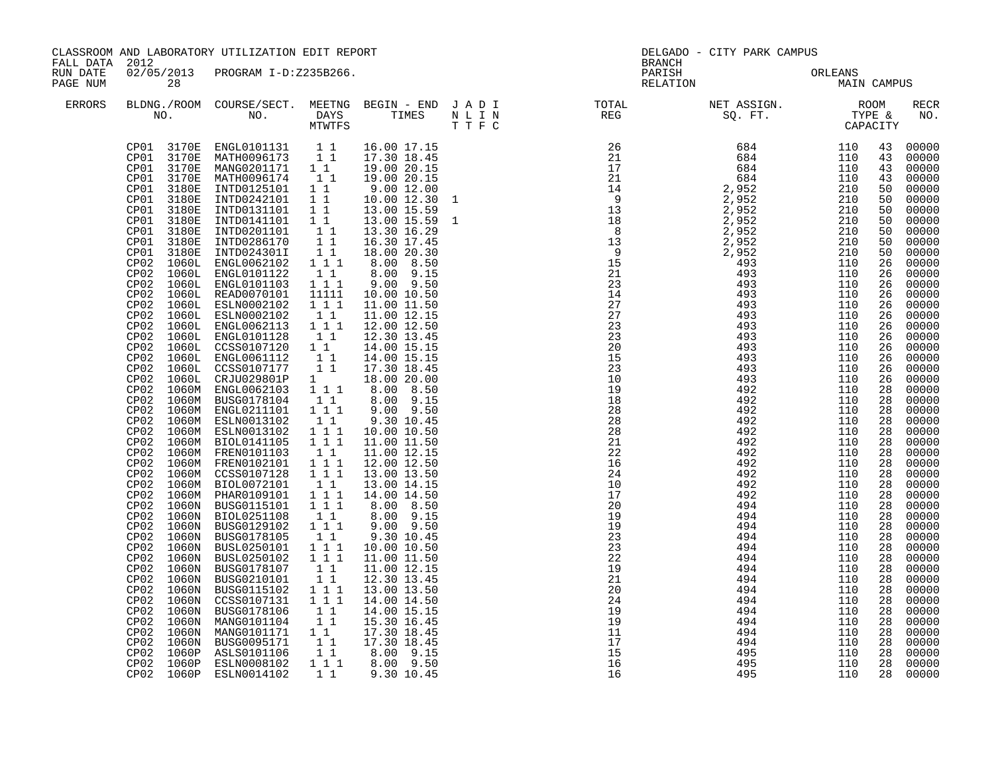| FALL DATA 2012       |                                                                                                                                                                                                                                                                                                                                                                                                                                | CLASSROOM AND LABORATORY UTILIZATION EDIT REPORT                                                                                                                                                                                                                                                                                                                                                                                                                                                                                                                                                                                                                                                                                                                                                                                                                                                                                                                                                                                                                                                                                                                                                                                                                                                                                                                       |                                                                                                                                                                                                                                                                                                                                                                                       |                                                                                                                                                                                                                                                                                                                                                                                                                                                                                                                                                                                                                                                                     | <b>BRANCH</b>                                                                                                                                                                                                                                                                                                                                                                                                                    | DELGADO - CITY PARK CAMPUS          |                                                                                                                                                                                                                                                                                                    |                                                                                                                                                                                                                                                                                                                                                                                                                                                                       |
|----------------------|--------------------------------------------------------------------------------------------------------------------------------------------------------------------------------------------------------------------------------------------------------------------------------------------------------------------------------------------------------------------------------------------------------------------------------|------------------------------------------------------------------------------------------------------------------------------------------------------------------------------------------------------------------------------------------------------------------------------------------------------------------------------------------------------------------------------------------------------------------------------------------------------------------------------------------------------------------------------------------------------------------------------------------------------------------------------------------------------------------------------------------------------------------------------------------------------------------------------------------------------------------------------------------------------------------------------------------------------------------------------------------------------------------------------------------------------------------------------------------------------------------------------------------------------------------------------------------------------------------------------------------------------------------------------------------------------------------------------------------------------------------------------------------------------------------------|---------------------------------------------------------------------------------------------------------------------------------------------------------------------------------------------------------------------------------------------------------------------------------------------------------------------------------------------------------------------------------------|---------------------------------------------------------------------------------------------------------------------------------------------------------------------------------------------------------------------------------------------------------------------------------------------------------------------------------------------------------------------------------------------------------------------------------------------------------------------------------------------------------------------------------------------------------------------------------------------------------------------------------------------------------------------|----------------------------------------------------------------------------------------------------------------------------------------------------------------------------------------------------------------------------------------------------------------------------------------------------------------------------------------------------------------------------------------------------------------------------------|-------------------------------------|----------------------------------------------------------------------------------------------------------------------------------------------------------------------------------------------------------------------------------------------------------------------------------------------------|-----------------------------------------------------------------------------------------------------------------------------------------------------------------------------------------------------------------------------------------------------------------------------------------------------------------------------------------------------------------------------------------------------------------------------------------------------------------------|
| RUN DATE<br>PAGE NUM | 28                                                                                                                                                                                                                                                                                                                                                                                                                             | 02/05/2013 PROGRAM I-D:Z235B266.                                                                                                                                                                                                                                                                                                                                                                                                                                                                                                                                                                                                                                                                                                                                                                                                                                                                                                                                                                                                                                                                                                                                                                                                                                                                                                                                       |                                                                                                                                                                                                                                                                                                                                                                                       |                                                                                                                                                                                                                                                                                                                                                                                                                                                                                                                                                                                                                                                                     |                                                                                                                                                                                                                                                                                                                                                                                                                                  | PARISH ORLEANS NELATION MAIN CAMPUS |                                                                                                                                                                                                                                                                                                    |                                                                                                                                                                                                                                                                                                                                                                                                                                                                       |
| ERRORS               |                                                                                                                                                                                                                                                                                                                                                                                                                                |                                                                                                                                                                                                                                                                                                                                                                                                                                                                                                                                                                                                                                                                                                                                                                                                                                                                                                                                                                                                                                                                                                                                                                                                                                                                                                                                                                        |                                                                                                                                                                                                                                                                                                                                                                                       |                                                                                                                                                                                                                                                                                                                                                                                                                                                                                                                                                                                                                                                                     |                                                                                                                                                                                                                                                                                                                                                                                                                                  |                                     |                                                                                                                                                                                                                                                                                                    | <b>RECR</b><br>NO.                                                                                                                                                                                                                                                                                                                                                                                                                                                    |
|                      | CP01<br>CP01<br>CP01<br>CP01<br>3180E<br>CP01<br>CP01<br>3180E<br>CP01<br>3180E<br>CP <sub>02</sub><br>1060L<br>CP02<br>CP02<br>CP02<br>1060L<br>CP02<br>CP02<br>CP02<br>CP02<br>CP02<br>CP02<br>1060N<br>CP02<br>1060N<br>CP02<br>1060N<br>CP02<br>CP02<br>1060N<br>CP02 1060N<br>CP <sub>02</sub><br>1060N<br>CP02<br>1060N<br>CP <sub>02</sub><br>1060N<br>CP02<br>1060N<br>CP02<br>1060N<br>1060P<br>CP02<br>CP02<br>1060P | $\begin{tabular}{cccccc} CP01 & 3170E & ENGL0101131 & 1 & 16.00 & 17.15 \\ CP01 & 3170E & MATH0096173 & 1 & 17.30 & 18.45 \\ CP01 & 3170E & MANG0201171 & 1 & 19.00 & 20.15 \\ CP01 & 3170E & MATH0096174 & 1 & 19.00 & 20.15 \\ \end{tabular}$<br>3180E INTD0125101 1<br>3180E INTD0242101 1 1<br>3180E INTD0131101 1 1<br>3180E INTD0201101<br>INTD0286170<br>INTD024301I<br>ENGL0062102<br>1060L ENGL0101122    11<br>1060L ENGL0101103    111<br>CP02 1060L READ0070101<br>ESLN0002102<br>1060L ESLN0002102<br>1060L ENGL0062113 111<br>CP02 1060L ENGL0101128<br>CP02 1060L CCSS0107120 1 1<br>CP02 1060L ENGL0061112 1 1<br>CP02 1060L CCSS0107177 1 1<br>CP02 1060L CRJU029801P 1<br>CP02 1060L CRUUDZPOULF 1 10.00 8.50<br>CP02 1060M ENGL0062103 1 1 1 8.00 8.50<br>CP02 1060M BUSG0178104 1 1 8.00 9.15<br>CP02 1060M BUSG0178104<br>CP02 1060M ENGL0211101<br>CP02 1060M ESLN0013102<br>CP02 1060M ESLN0013102<br>CP02 1060M BIOL0141105<br>CP02 1060M FRENO101103 1 1<br>CP02 1060M FRENO102101 1 1 1<br>CP02 1060M CCSS0107128 1 1 1<br>1060M BIOL0072101<br>1060M PHAR0109101 1 1 1<br>1060N BUSG0115101  1 1 1<br>CP02 1060N BIOL0251108<br>CP02 1060N BUSG0129102 111<br>BUSG0178105<br>BUSL0250101<br>BUSL0250102<br>1060N BUSG0178107<br>BUSG0210101<br>BUSG0178106<br>MANG0101104<br>MANG0101171 11<br>BUSG0095171 11<br>ASLS0101106<br>ESLN0008102 | $\begin{array}{c} \begin{array}{c} 1\\1\\1 \end{array} 1 \end{array}$<br>11<br>11111<br>$1 1 1$<br>11<br>11<br>1 1 1<br>$1\quad1$<br>$\begin{array}{rrrr} 1&1&1\\ 1&1&1 \end{array}$<br>11<br>$1\quad1$<br>11<br>$1 1 1$<br>1 1 1<br>$1\quad1$<br>$\overline{1}$ $\overline{1}$<br>$\begin{array}{rr} & 1 & 1 \\ & 1 & 1 \end{array}$<br>11<br>$\overline{1}$ $\overline{1}$<br>1 1 1 | 9.00 12.00<br>10.00 12.30<br>13.00 15.59<br>13.00 15.59<br>13.30 16.29<br>16.30 17.45<br>18.00 20.30<br>8.00 8.50<br>8.00 9.15<br>$9.00$ $9.50$<br>10.00 10.50<br>11.00 11.50<br>11.00 12.15<br>12.00 12.50<br>12.30 13.45<br>14.00 15.15<br>14.00 15.15<br>17.30 18.45<br>18.00 20.00<br>9.00 9.50<br>9.30 10.45<br>10.00 10.50<br>11.00 11.50<br>11.00 12.15<br>12.00 12.50<br>13.00 13.50<br>13.00 14.15<br>14.00 14.50<br>8.00 8.50<br>8.00 9.15<br>$9.00$ $9.50$<br>9.30 10.45<br>10.00 10.50<br>11.00 11.50<br>11.00 12.15<br>12.30 13.45<br>13.00 13.50<br>14.00 14.50<br>14.00 15.15<br>15.30 16.45<br>17.30 18.45<br>17.30 18.45<br>8.00 9.15<br>8.00 9.50 | $\begin{array}{cccccccc} \text{R} & \text{R} & \text{R} & \text{R} & \text{R} & \text{R} & \text{R} & \text{R} & \text{R} & \text{R} & \text{R} & \text{R} & \text{R} & \text{R} & \text{R} & \text{R} & \text{R} & \text{R} & \text{R} & \text{R} & \text{R} & \text{R} & \text{R} & \text{R} & \text{R} & \text{R} & \text{R} & \text{R} & \text{R} & \text{R} & \text{R} & \text{R} & \text{R} & \text{R} & \text{R} & \text$ |                                     | 43<br>43<br>43<br>43<br>50<br>50<br>50<br>50<br>50<br>50<br>26<br>26<br>26<br>26<br>26<br>26<br>26<br>26<br>26<br>26<br>26<br>26<br>28<br>28<br>28<br>28<br>28<br>28<br>28<br>28<br>28<br>28<br>28<br>28<br>28<br>28<br>28<br>28<br>28<br>28<br>28<br>28<br>28<br>28<br>28<br>28<br>28<br>28<br>28 | 00000<br>00000<br>00000<br>00000<br>50 00000<br>00000<br>00000<br>00000<br>00000<br>00000<br>00000<br>00000<br>00000<br>00000<br>00000<br>00000<br>00000<br>00000<br>00000<br>00000<br>$00000$<br>$00000$<br>00000<br>00000<br>00000<br>00000<br>00000<br>00000<br>00000<br>00000<br>00000<br>00000<br>00000<br>00000<br>00000<br>00000<br>00000<br>00000<br>00000<br>00000<br>00000<br>00000<br>00000<br>00000<br>00000<br>00000<br>00000<br>00000<br>00000<br>00000 |
|                      |                                                                                                                                                                                                                                                                                                                                                                                                                                | CP02 1060P ESLN0014102                                                                                                                                                                                                                                                                                                                                                                                                                                                                                                                                                                                                                                                                                                                                                                                                                                                                                                                                                                                                                                                                                                                                                                                                                                                                                                                                                 | $1\quad1$                                                                                                                                                                                                                                                                                                                                                                             | 9.30 10.45                                                                                                                                                                                                                                                                                                                                                                                                                                                                                                                                                                                                                                                          |                                                                                                                                                                                                                                                                                                                                                                                                                                  |                                     |                                                                                                                                                                                                                                                                                                    | 28 00000                                                                                                                                                                                                                                                                                                                                                                                                                                                              |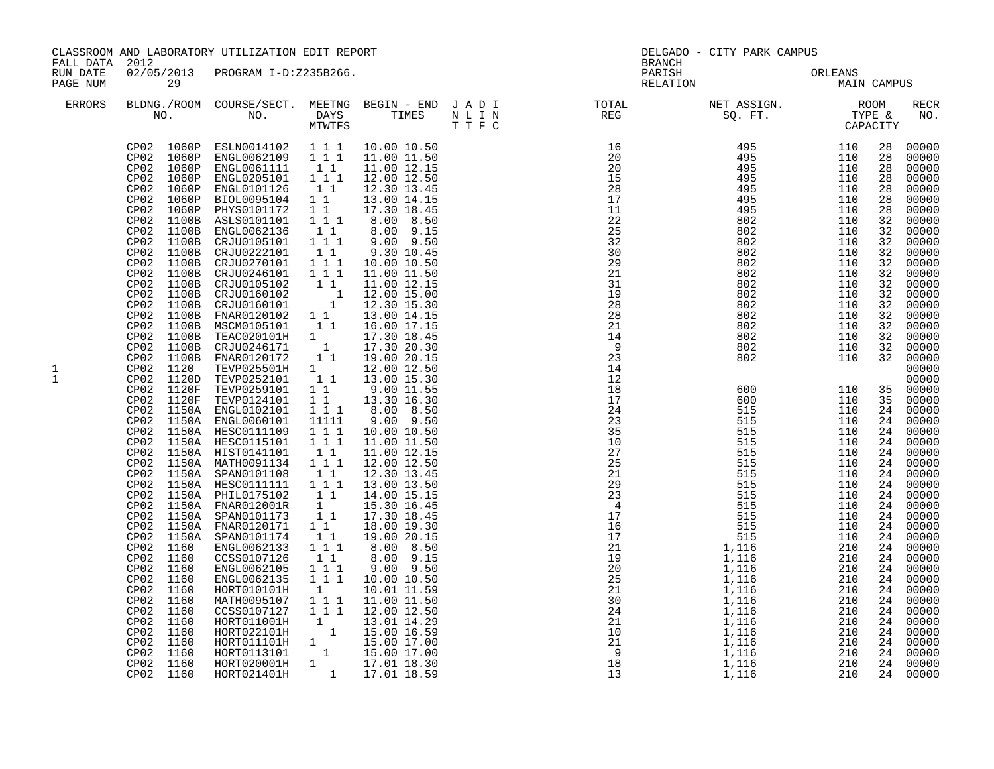| FALL DATA 2012       |                                                                                                                                                                                                                                                                                                                                                                                                                                                                                                                                                | CLASSROOM AND LABORATORY UTILIZATION EDIT REPORT                                                                                                                                                                                                                                                                                                                                                                                                                                                                                                                                                                                                                                                                                                                                                                                                                                                                                                                                                                                                                                                                                                        |                                                                                                                                                                                                                                                                                                                                                                                                                                                                                                                                                                      |                                                                                                                                                                                                                                                                                                                                                                                                                                                                                                                                                                                                                                                                                                        | <b>BRANCH</b>                                                                                                                                                                                                                                                                                                                                                  | DELGADO - CITY PARK CAMPUS                                                                                                                                                                                                                                                                                                                                        |                                                                                                                                                                                                                                                                                                                                          |                                                                                                                                                                                              |                                                                                                                                                                                                                                                                                                                                                                                                                                                                                                                                    |
|----------------------|------------------------------------------------------------------------------------------------------------------------------------------------------------------------------------------------------------------------------------------------------------------------------------------------------------------------------------------------------------------------------------------------------------------------------------------------------------------------------------------------------------------------------------------------|---------------------------------------------------------------------------------------------------------------------------------------------------------------------------------------------------------------------------------------------------------------------------------------------------------------------------------------------------------------------------------------------------------------------------------------------------------------------------------------------------------------------------------------------------------------------------------------------------------------------------------------------------------------------------------------------------------------------------------------------------------------------------------------------------------------------------------------------------------------------------------------------------------------------------------------------------------------------------------------------------------------------------------------------------------------------------------------------------------------------------------------------------------|----------------------------------------------------------------------------------------------------------------------------------------------------------------------------------------------------------------------------------------------------------------------------------------------------------------------------------------------------------------------------------------------------------------------------------------------------------------------------------------------------------------------------------------------------------------------|--------------------------------------------------------------------------------------------------------------------------------------------------------------------------------------------------------------------------------------------------------------------------------------------------------------------------------------------------------------------------------------------------------------------------------------------------------------------------------------------------------------------------------------------------------------------------------------------------------------------------------------------------------------------------------------------------------|----------------------------------------------------------------------------------------------------------------------------------------------------------------------------------------------------------------------------------------------------------------------------------------------------------------------------------------------------------------|-------------------------------------------------------------------------------------------------------------------------------------------------------------------------------------------------------------------------------------------------------------------------------------------------------------------------------------------------------------------|------------------------------------------------------------------------------------------------------------------------------------------------------------------------------------------------------------------------------------------------------------------------------------------------------------------------------------------|----------------------------------------------------------------------------------------------------------------------------------------------------------------------------------------------|------------------------------------------------------------------------------------------------------------------------------------------------------------------------------------------------------------------------------------------------------------------------------------------------------------------------------------------------------------------------------------------------------------------------------------------------------------------------------------------------------------------------------------|
| RUN DATE<br>PAGE NUM | 29                                                                                                                                                                                                                                                                                                                                                                                                                                                                                                                                             | 02/05/2013 PROGRAM I-D:Z235B266.                                                                                                                                                                                                                                                                                                                                                                                                                                                                                                                                                                                                                                                                                                                                                                                                                                                                                                                                                                                                                                                                                                                        |                                                                                                                                                                                                                                                                                                                                                                                                                                                                                                                                                                      |                                                                                                                                                                                                                                                                                                                                                                                                                                                                                                                                                                                                                                                                                                        | PARISH<br>RELATION                                                                                                                                                                                                                                                                                                                                             | ORLEANS<br>MAIN CAMPUS                                                                                                                                                                                                                                                                                                                                            | ORLEANS                                                                                                                                                                                                                                                                                                                                  |                                                                                                                                                                                              |                                                                                                                                                                                                                                                                                                                                                                                                                                                                                                                                    |
| <b>ERRORS</b>        | NO.                                                                                                                                                                                                                                                                                                                                                                                                                                                                                                                                            | BLDNG./ROOM COURSE/SECT. MEETNG BEGIN - END J A D I<br>NO. DAYS TIMES NLIN<br>MTWTFS TIFC                                                                                                                                                                                                                                                                                                                                                                                                                                                                                                                                                                                                                                                                                                                                                                                                                                                                                                                                                                                                                                                               |                                                                                                                                                                                                                                                                                                                                                                                                                                                                                                                                                                      |                                                                                                                                                                                                                                                                                                                                                                                                                                                                                                                                                                                                                                                                                                        |                                                                                                                                                                                                                                                                                                                                                                |                                                                                                                                                                                                                                                                                                                                                                   |                                                                                                                                                                                                                                                                                                                                          |                                                                                                                                                                                              | RECR<br>NO.                                                                                                                                                                                                                                                                                                                                                                                                                                                                                                                        |
| 1<br>$\mathbf{1}$    | CP02 1060P<br>CP02 1060P<br>CP02 1060P<br>CP02<br>1060P<br>CP02<br>1060P<br>CP02<br>1060P<br>CP02<br>1060P<br>CP02<br>1100B<br>CP02<br>1100B<br>1100B<br>CP02<br>CP02<br>1100B<br>CP02<br>1100B<br>CP02<br>1100B<br>CP02 1100B<br>CP02<br>1100B<br>CP02<br>1100B<br>1100B<br>CP02<br>CP02 1100B<br>CP02<br>1100B<br>CP02<br>CP02<br>CP02<br>CP02 1150A<br>CP02 1160<br>CP02 1160<br>CP02 1160<br>CP02 1160<br>CP02 1160<br>1160<br>CP02<br>CP02 1160<br>CP02<br>1160<br>CP02<br>1160<br>1160<br>CP02<br>CP02<br>1160<br>CP02 1160<br>CP02 1160 | ESLN0014102   1   1   1<br>ENGL0062109   1   1   1<br>ENGL0061111<br>ENGL0205101<br>ENGL0101126   1   1<br>BIOL0095104   1   1<br>PHYS0101172<br>ASLS0101101<br>ENGL0062136<br>CRJU0105101 1 1 1<br>CRJU0222101<br>CRJU0270101<br>CRJU0246101<br>CRJU0105102<br>CRJU0105102 11<br>CRJU0160102 1<br>CRJU0160101 1<br>FNAR0120102 11<br>MSCM0105101<br>TEAC020101H<br>CP02 1100B CRJU0246171<br>CP02 1100B FNAR0120172<br>CP02 1120 TEVP025501H<br>CP02 1120D TEVP0252101<br>CP02 1120F TEVP0259101<br>CP02 1120F TEVP0124101<br>CP02 1150A ENGL0102101<br>CP02 1150A ENGL0060101<br>CP02 1150A HESCO111109 1 1 1<br>CP02 1150A HESCO115101 1 1 1<br>1150A HIST0141101 11<br>1150A MATH0091134 111<br>CP02 1150A SPAN0101108<br>1150A HESC0111111 1 1 1<br>CP02 1150A PHIL0175102<br>CP02 1150A FNAR012001R<br>CP02 1150A SPAN0101173<br>CP02 1150A FNAR0120171<br>SPAN0101174<br>ENGL0062133<br>CCSS0107126<br>ENGL0062105<br>ENGL0062135<br>HORT010101H<br>MATH0095107<br>CCSS0107127<br>0087011001<br>1 13.01 14.29<br>HORT022101H 1 15.00 16.59<br>HORT011101H 1 15.00 17.00<br>HORT0113101 1 15.00 17.00<br>HORT020001H 1 17.01 18.30<br>HORT021401H | $\begin{smallmatrix}1&1\\1&1&1\end{smallmatrix}$<br>$1\quad1$<br>$1 1 1$<br>11<br>$\begin{bmatrix} 1 & 1 \\ 1 & 1 & 1 \\ 1 & 1 & 1 \end{bmatrix}$<br>$\begin{smallmatrix}1\1\end{smallmatrix}$<br>$1\quad1$<br>$1\quad1$<br>$\frac{1}{1}$ $\frac{1}{1}$ 1<br>11111<br>11<br>11<br>$\begin{smallmatrix}1\1\1\end{smallmatrix}$<br>$\begin{smallmatrix}1&&1\\&1\\1&&1\end{smallmatrix}$<br>1 1 1<br>$1\quad1$<br>$\begin{bmatrix} 1\\ 1\\ 1\\ 1 \end{bmatrix} \begin{bmatrix} 1\\ 1\\ 1\\ 1 \end{bmatrix}$<br>$\begin{smallmatrix}1\1\1\1\end{smallmatrix}$<br>$1 1 1$ | 10.00 10.50<br>11.00 11.50<br>11.00 12.15<br>12.00 12.50<br>12.30 13.45<br>13.00 14.15<br>17.30 18.45<br>8.00 8.50<br>8.00 9.15<br>$9.00$ $9.50$<br>9.30 10.45<br>10.00 10.50<br>11.00 11.50<br>11.00 12.15<br>12.00 15.00<br>12.30 15.30<br>13.00 14.15<br>16.00 17.15<br>17.30 18.45<br>17.30 20.30<br>19.00 20.15<br>12.00 12.50<br>13.00 15.30<br>9.00 11.55<br>13.30 16.30<br>8.00 8.50<br>9.00 9.50<br>10.00 10.50<br>11.00 11.50<br>11.00 12.15<br>12.00 12.50<br>12.30 13.45<br>13.00 13.50<br>14.00 15.15<br>15.30 16.45<br>17.30 18.45<br>18.00 19.30<br>19.00 20.15<br>8.00 8.50<br>8.00 9.15<br>$9.00$ $9.50$<br>10.00 10.50<br>10.01 11.59<br>11.00 11.50<br>12.00 12.50<br>1 17.01 18.59 | 25<br>32<br>30<br>29<br>21<br>31<br>19<br>28<br>28<br>21<br>$\overline{1}\overline{4}$<br>$\overline{9}$<br>$2\overline{3}$<br>14<br>12<br>18<br>17<br>24<br>23<br>35<br>$\frac{10}{27}$<br>$\frac{25}{25}$<br>$\begin{array}{l} 10\\27\\25\\21\\22\\3\\4\\17\\16\\17\\21\\21\\22\\22\\22\\21\\20\\20\\24\\21\\10\\22\\21\\10\\21\\10\\21\\1\\3\\3\end{array}$ | 802<br>802<br>802<br>802<br>802<br>802<br>802<br>802<br>802<br>802<br>802<br>802<br>802<br>600<br>600<br>515<br>515<br>515<br>515<br>515<br>515<br>515<br>515<br>515<br>515<br>515<br>515<br>515<br>1,116<br>$\frac{1}{1}$ , 116<br>1, 116<br>1, 116<br>1,116<br>$\overline{1,116}$<br>1,116<br>1,116<br>1,116<br>$\frac{1}{1}$ , 116<br>1, 116<br>1,116<br>1,116 | 110<br>110<br>110<br>110<br>110<br>110<br>110<br>110<br>110<br>110<br>110<br>110<br>110<br>110<br>110<br>110<br>110<br>110<br>110<br>110<br>110<br>110<br>110<br>110<br>110<br>110<br>110<br>110<br>210<br>210<br>210<br>210<br>210<br>210<br>210<br>$\begin{array}{r} 210 \\ 210 \\ 210 \\ 210 \\ 210 \\ 210 \\ 210 \\ 210 \end{array}$ | 28<br>28<br>28<br>28<br>28<br>28<br>28<br>32<br>32<br>32<br>32<br>32<br>32<br>32<br>32<br>32<br>32<br>32<br>32<br>24<br>24<br>24<br>24<br>24<br>24<br>24<br>24<br>24<br>24<br>24<br>24<br>24 | 00000<br>00000<br>00000<br>00000<br>00000<br>00000<br>00000<br>00000<br>00000<br>00000<br>00000<br>00000<br>00000<br>00000<br>00000<br>$00000$<br>$00000$<br>$00000$<br>$00000$<br>32 00000<br>32 00000<br>00000<br>00000<br>35 00000<br>35 00000<br>24 00000<br>00000<br>00000<br>24 00000<br>00000<br>00000<br>00000<br>00000<br>00000<br>00000<br>00000<br>00000<br>24 00000<br>24 00000<br>00000<br>00000<br>24 00000<br>24 00000<br>24 00000<br>24 00000<br>24 00000<br>24 00000<br>24 00000<br>00000<br>24 00000<br>24 00000 |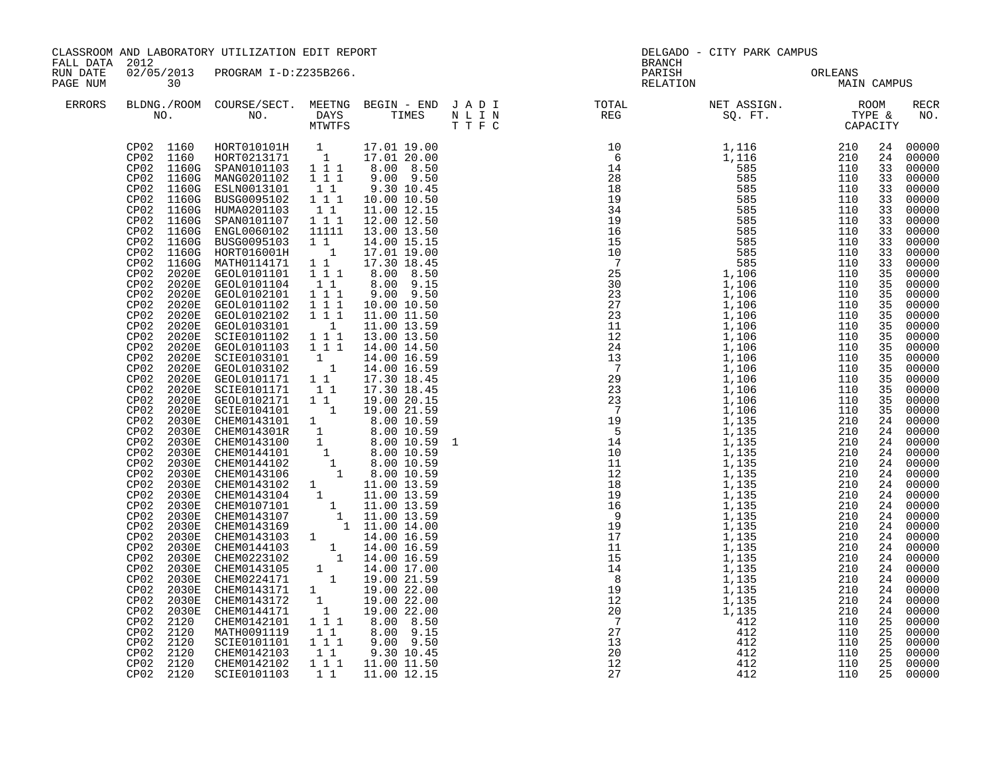| FALL DATA 2012       |                                                                                                                                                                                                                                                                                                                                                                                                                                                                                                                                                                                                                                                                                                                                                                                          | CLASSROOM AND LABORATORY UTILIZATION EDIT REPORT                                                                                                                                                                                                                                                                                                                                                                                                                                                                                                                                                                                                                                                                                                                                                                                                                                                                                                                                                                                                                                                                    |                                                                                            |                                                                                                                                                                                                                                                                                                                                   | <b>BRANCH</b>                                                                                                                                                                                                                                                                                                                                                                                                                             | DELGADO - CITY PARK CAMPUS |             |                                                                                                                      |                                                                                                                                                                                                                                                                                                                                                                                                                                                                                                                                                                                                                       |
|----------------------|------------------------------------------------------------------------------------------------------------------------------------------------------------------------------------------------------------------------------------------------------------------------------------------------------------------------------------------------------------------------------------------------------------------------------------------------------------------------------------------------------------------------------------------------------------------------------------------------------------------------------------------------------------------------------------------------------------------------------------------------------------------------------------------|---------------------------------------------------------------------------------------------------------------------------------------------------------------------------------------------------------------------------------------------------------------------------------------------------------------------------------------------------------------------------------------------------------------------------------------------------------------------------------------------------------------------------------------------------------------------------------------------------------------------------------------------------------------------------------------------------------------------------------------------------------------------------------------------------------------------------------------------------------------------------------------------------------------------------------------------------------------------------------------------------------------------------------------------------------------------------------------------------------------------|--------------------------------------------------------------------------------------------|-----------------------------------------------------------------------------------------------------------------------------------------------------------------------------------------------------------------------------------------------------------------------------------------------------------------------------------|-------------------------------------------------------------------------------------------------------------------------------------------------------------------------------------------------------------------------------------------------------------------------------------------------------------------------------------------------------------------------------------------------------------------------------------------|----------------------------|-------------|----------------------------------------------------------------------------------------------------------------------|-----------------------------------------------------------------------------------------------------------------------------------------------------------------------------------------------------------------------------------------------------------------------------------------------------------------------------------------------------------------------------------------------------------------------------------------------------------------------------------------------------------------------------------------------------------------------------------------------------------------------|
| RUN DATE<br>PAGE NUM | 30                                                                                                                                                                                                                                                                                                                                                                                                                                                                                                                                                                                                                                                                                                                                                                                       | 02/05/2013 PROGRAM I-D:Z235B266.                                                                                                                                                                                                                                                                                                                                                                                                                                                                                                                                                                                                                                                                                                                                                                                                                                                                                                                                                                                                                                                                                    |                                                                                            |                                                                                                                                                                                                                                                                                                                                   | PARISH<br>RELATION                                                                                                                                                                                                                                                                                                                                                                                                                        | ORLEANS<br>MAIN            | MAIN CAMPUS |                                                                                                                      |                                                                                                                                                                                                                                                                                                                                                                                                                                                                                                                                                                                                                       |
| ERRORS               |                                                                                                                                                                                                                                                                                                                                                                                                                                                                                                                                                                                                                                                                                                                                                                                          |                                                                                                                                                                                                                                                                                                                                                                                                                                                                                                                                                                                                                                                                                                                                                                                                                                                                                                                                                                                                                                                                                                                     |                                                                                            |                                                                                                                                                                                                                                                                                                                                   |                                                                                                                                                                                                                                                                                                                                                                                                                                           |                            |             |                                                                                                                      | RECR<br>NO.                                                                                                                                                                                                                                                                                                                                                                                                                                                                                                                                                                                                           |
|                      | CP02 1160G<br>CP02<br>1160G<br>CP02<br>1160G<br>CP <sub>02</sub><br>1160G<br>2020E<br>CP02<br>CP <sub>02</sub><br>2020E<br>CP02<br>2020E<br>CP02<br>2020E<br>2020E<br>CP02<br>CP02<br>2020E<br>CP02<br>2020E<br>CP02<br>2020E<br>CP02<br>2020E<br>CP02 2020E<br>CP02<br>2020E<br>CP02 2020E<br>CP02<br>2020E<br>CP02 2020E<br>CP <sub>02</sub><br>2030E<br>CP02 2030E<br>CP <sub>02</sub><br>2030E<br>CP02<br>2030E<br>CP02<br>2030E<br>CP02<br>2030E<br>2030E<br>CP02<br>CP02<br>2030E<br>CP02<br>2030E<br>CP02<br>2030E<br>CP02<br>2030E<br>CP02<br>2030E<br>CP02<br>2030E<br>CP02<br>2030E<br>CP02<br>2030E<br>CP02<br>2030E<br>CP02<br>2030E<br>CP <sub>02</sub><br>2030E<br>CP02<br>2030E<br>CP02<br>2120<br>CP02<br>2120<br>CP02<br>2120<br>2120<br>CP02<br>CP02 2120<br>CP02 2120 | $\begin{tabular}{cccc} CP02 & 1160 & HORT010101H & 1 & 17.01 19.00 \\ CP02 & 1160 & HORT0213171 & 1 & 17.01 20.00 \\ CP02 & 1160G & SPAN0101103 & 1 1 1 & 8.00 & 8.50 \\ CP02 & 1160G & MANG0201102 & 1 1 1 & 9.00 & 9.50 \end{tabular}$<br>CP02 1160G ESLN0013101 1 1<br>CP02 1160G BUSG0095102 1 1 1<br>CP02 1160G HUMA0201103<br>HUMA0201103<br>SPAN0101107 1 1 1<br>CP02 1160G ENGL0060102<br>BUSG0095103<br>HORT016001H<br>MATH0114171<br>GEOL0101101   1   1   1<br>GEOL0101104   1   1<br>GEOL0102101 1 1 1<br>GEOL0101102 1 1 1<br>GEOL0102102 1 1 1<br>GEOL0103101<br>GEOL0103101 1<br>SCIE0101102 1 1 1<br>GEOL0101103 1 1 1<br>CEOLO101103 1 1 1 13.00 13.50<br>GEOLO101103 1 1 1 14.00 16.59<br>GEOLO103102 1 14.00 16.59<br>GEOLO103102 1 14.00 16.59<br>GEOLO101171 1 1 17.30 18.45<br>SCIE01002171 1 1 17.30 18.45<br>SCIE0102171 1 1 19.00 20.15<br>SCIE0104101 1 19.0<br>CHEMO143171 1 19.00 22.00<br>CHEMO143172 1 19.00 22.00<br>CHEMO144171 1 19.00 22.00<br>CHEMO142101 1 1 8.00 8.50<br>CHEM0144171<br>CHEM0142101<br>MATH0091119<br>SCIE0101101<br>CHEM0142103<br>CHEM0142102<br>SCIE0101103 | 11111<br>$\frac{1}{1}$ $\frac{1}{1}$<br>$1 1 1$<br>$1\quad1$<br>$1 1 1$<br>11<br>$1\quad1$ | 9.30 10.45<br>10.00 10.50<br>11.00 12.15<br>12.00 12.50<br>13.00 13.50<br>14.00 15.15<br>17.01 19.00<br>17.30 18.45<br>8.00 8.50<br>$8.00$ $9.15$<br>$9.00$ $9.50$<br>10.00 10.50<br>11.00 11.50<br>11.00 13.59<br>13.00 13.50<br>14.00 14.50<br>8.00 9.15<br>$9.00$ $9.50$<br>9.30 10.45<br>1 1 1 1 1 1 0 1 1 5 0<br>11.00 12.15 | $\begin{smallmatrix} \textbf{R} & \textbf{R} & \textbf{R} & \textbf{R} & \textbf{R} & \textbf{R} \\ \textbf{R} & \textbf{R} & \textbf{R} & \textbf{R} & \textbf{R} \\ \textbf{R} & \textbf{R} & \textbf{R} & \textbf{R} & \textbf{R} \\ \textbf{R} & \textbf{R} & \textbf{R} & \textbf{R} & \textbf{R} \\ \textbf{R} & \textbf{R} & \textbf{R} & \textbf{R} & \textbf{R} \\ \textbf{R} & \textbf{R} & \textbf{R} & \textbf{R} & \textbf{$ |                            |             | 24<br>24<br>33<br>33<br>33<br>33<br>33<br>33<br>33<br>33<br>33<br>35<br>35<br>35<br>35<br>35<br>35<br>24<br>25<br>25 | 00000<br>00000<br>00000<br>00000<br>00000<br>00000<br>00000<br>00000<br>33 00000<br>00000<br>00000<br>00000<br>00000<br>35 00000<br>00000<br>00000<br>00000<br>35 00000<br>00000<br>35 00000<br>35 00000<br>35 00000<br>00000<br>35 00000<br>35 00000<br>$\frac{35}{24}$ 00000<br>24 00000<br>24 00000<br>24 00000<br>24 00000<br>24 00000<br>24 00000<br>24 00000<br>24 00000<br>24 00000<br>00000<br>24 00000<br>$\begin{bmatrix} 24 & 00000 \\ 24 & 00000 \end{bmatrix}$<br>24 00000<br>24 00000<br>24 00000<br>24 00000<br>24 00000<br>24 00000<br>25 00000<br>25 00000<br>00000<br>00000<br>25 00000<br>25 00000 |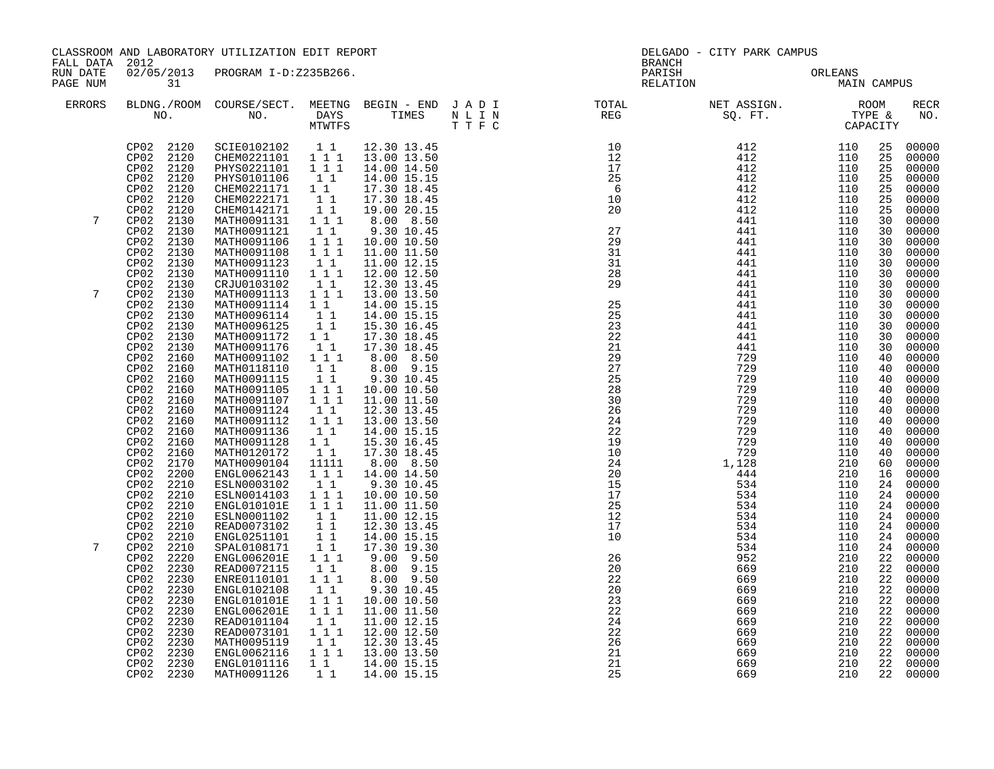| FALL DATA 2012       |                                                                                                                                                                                                                                                                                                                                                                                                                                                                                                    | CLASSROOM AND LABORATORY UTILIZATION EDIT REPORT                                                                                                                                                                                                                                                                                                                                                                                                                     |                                                                                                                                                                                                                                                                                                                               |                                                                                                                                                                                                                                                                                                                                                                                                                                                                                                                       | <b>BRANCH</b>                                                                                                                                                                                                                                                                        | DELGADO - CITY PARK CAMPUS                                                                                                                                                                                                                                                                                                                                       |                                                                                                                                                                                                                  |                                                                                                                                                                                   |                                                                                                                                                                                                                                                                                 |
|----------------------|----------------------------------------------------------------------------------------------------------------------------------------------------------------------------------------------------------------------------------------------------------------------------------------------------------------------------------------------------------------------------------------------------------------------------------------------------------------------------------------------------|----------------------------------------------------------------------------------------------------------------------------------------------------------------------------------------------------------------------------------------------------------------------------------------------------------------------------------------------------------------------------------------------------------------------------------------------------------------------|-------------------------------------------------------------------------------------------------------------------------------------------------------------------------------------------------------------------------------------------------------------------------------------------------------------------------------|-----------------------------------------------------------------------------------------------------------------------------------------------------------------------------------------------------------------------------------------------------------------------------------------------------------------------------------------------------------------------------------------------------------------------------------------------------------------------------------------------------------------------|--------------------------------------------------------------------------------------------------------------------------------------------------------------------------------------------------------------------------------------------------------------------------------------|------------------------------------------------------------------------------------------------------------------------------------------------------------------------------------------------------------------------------------------------------------------------------------------------------------------------------------------------------------------|------------------------------------------------------------------------------------------------------------------------------------------------------------------------------------------------------------------|-----------------------------------------------------------------------------------------------------------------------------------------------------------------------------------|---------------------------------------------------------------------------------------------------------------------------------------------------------------------------------------------------------------------------------------------------------------------------------|
| RUN DATE<br>PAGE NUM | 31                                                                                                                                                                                                                                                                                                                                                                                                                                                                                                 | 02/05/2013 PROGRAM I-D:Z235B266.                                                                                                                                                                                                                                                                                                                                                                                                                                     |                                                                                                                                                                                                                                                                                                                               |                                                                                                                                                                                                                                                                                                                                                                                                                                                                                                                       | PARISH<br>RELATION                                                                                                                                                                                                                                                                   | ORLEANS<br>MAIN CAMPUS                                                                                                                                                                                                                                                                                                                                           | ORLEANS                                                                                                                                                                                                          |                                                                                                                                                                                   |                                                                                                                                                                                                                                                                                 |
| <b>ERRORS</b>        |                                                                                                                                                                                                                                                                                                                                                                                                                                                                                                    |                                                                                                                                                                                                                                                                                                                                                                                                                                                                      |                                                                                                                                                                                                                                                                                                                               |                                                                                                                                                                                                                                                                                                                                                                                                                                                                                                                       |                                                                                                                                                                                                                                                                                      |                                                                                                                                                                                                                                                                                                                                                                  |                                                                                                                                                                                                                  |                                                                                                                                                                                   | <b>RECR</b><br>NO.                                                                                                                                                                                                                                                              |
| 7                    | CP02 2120<br>CP02 2120<br>CP02 2120<br>CP <sub>02</sub><br>2120<br>CP02<br>2120<br>CP02<br>2120<br>CP02<br>2120<br>CP02<br>2130<br>CP02<br>2130<br>CP02<br>2130<br>CP02<br>2130                                                                                                                                                                                                                                                                                                                    | SCIE0102102   1   12.30   13.45<br>CHEM0221101   11   13.00   13.50<br>PHYS0221101 111<br>PHYS0101106<br>CHEM0221171 1 1<br>CHEM0222171<br>CHEM0142171<br>MATH0091131 1 1 1<br>MATH0091121<br>MATH0091106<br>MATH0091108                                                                                                                                                                                                                                             | $\begin{bmatrix} 1 \\ 1 \end{bmatrix}$<br>11<br>11<br>$1\quad1$<br>$\begin{array}{rrrr} & 1 & 1 \\ & 1 & 1 \\ & & 1 & 1 \end{array}$                                                                                                                                                                                          | 14.00 14.50<br>14.00 15.15<br>17.30 18.45<br>17.30 18.45<br>19.00 20.15<br>8.00 8.50<br>9.30 10.45<br>10.00 10.50<br>11.00 11.50                                                                                                                                                                                                                                                                                                                                                                                      | $\frac{27}{10}$<br>29<br>31                                                                                                                                                                                                                                                          | $\begin{array}{cccc} 10 & & & & 412 & & & 110 \\ 12 & & & 412 & & & 110 \\ 17 & & & 412 & & & 110 \\ 25 & & & 412 & & & 110 \\ 6 & & & 412 & & & 110 \\ 10 & & & 412 & & & 110 \\ 20 & & & & 412 & & 110 \\ 412 & & & 110 & & 110 \\ 412 & & & 110 & & 110 \\ 412 & & & 110 & & 110 \\ 412 & & & 110 & & 110 \\ 412 & & & 110 & & 1$<br>441<br>441<br>441<br>441 | 110<br>110<br>110<br>110                                                                                                                                                                                         | 25<br>25<br>25<br>25<br>25<br>25<br>25<br>30<br>30<br>30<br>30                                                                                                                    | 00000<br>00000<br>00000<br>00000<br>00000<br>00000<br>00000<br>00000<br>00000<br>00000<br>00000                                                                                                                                                                                 |
| 7                    | CP02<br>2130<br>CP02<br>2130<br>CP02 2130<br>CP02 2130<br>CP02<br>2130<br>CP02<br>2130<br>CP02<br>2130<br>CP02<br>2130<br>CP02<br>2130<br>CP02<br>2160                                                                                                                                                                                                                                                                                                                                             | MATH0091123<br>MATH0091110<br>CRJU0103102<br>MATH0091113<br>MATH0091114<br>MATH0096114<br>MATH0096125<br>MATH0091172 1 1<br>MATH0091176<br>MATH0091102 1 1 1                                                                                                                                                                                                                                                                                                         | $\begin{smallmatrix}1&1\\1&1&1\end{smallmatrix}$<br>$1\quad1$<br>$1 1 1$<br>$\begin{smallmatrix}1&&1\\&1\\1&&1\end{smallmatrix}$<br>11<br>11                                                                                                                                                                                  | 11.00 12.15<br>12.00 12.50<br>12.30 13.45<br>13.00 13.50<br>14.00 15.15<br>14.00 15.15<br>15.30 16.45<br>17.30 18.45<br>17.30 18.45<br>8.00 8.50                                                                                                                                                                                                                                                                                                                                                                      | 31<br>$\begin{array}{c} 28 \\ 29 \end{array}$<br>$\frac{25}{25}$<br>23<br>$\overline{2}\overline{2}$<br>21<br>$\overline{29}$                                                                                                                                                        | 441<br>441<br>441<br>441<br>441<br>441<br>441<br>441<br>441<br>729                                                                                                                                                                                                                                                                                               | 110<br>110<br>110<br>110<br>110<br>110<br>110<br>110<br>110<br>110                                                                                                                                               | 30<br>30<br>30<br>30<br>30<br>30<br>30<br>30<br>30<br>40                                                                                                                          | 00000<br>00000<br>00000<br>00000<br>00000<br>00000<br>00000<br>00000<br>00000<br>00000                                                                                                                                                                                          |
| 7                    | CP02<br>2160<br>CP02<br>2160<br>CP02<br>2160<br>CP02<br>2160<br>CP02<br>2160<br>CP02<br>2160<br>CP02<br>2160<br>CP02<br>2160<br>CP02<br>2160<br>CP02<br>2170<br>CP02<br>2200<br>CP02<br>2210<br>CP <sub>02</sub><br>2210<br>CP02<br>2210<br>CP02<br>2210<br>CP02<br>2210<br>CP02<br>2210<br>CP02<br>2210<br>2220<br>CP02<br>CP02<br>2230<br>CP02<br>2230<br>CP02<br>2230<br>CP02<br>2230<br>CP02<br>2230<br>CP02<br>2230<br>CP02<br>2230<br>CP02<br>2230<br>CP02<br>2230<br>CP02 2230<br>CP02 2230 | MATH0118110<br>MATH0091115<br>MATH0091105<br>MATH0091107<br>MATH0091124<br>MATH0091112<br>MATH0091136<br>MATH0091128<br>MATH0120172<br>MATH0090104<br>ENGL0062143<br>ESLN0003102<br>ESLN0014103<br>ENGL010101E<br>ESLN0001102<br>READ0073102<br>ENGL0251101<br>SPAL0108171<br>ENGL006201E 1 1 1<br>READ0072115<br>ENRE0110101<br>ENGL0102108<br>ENGL010101E<br>ENGL006201E<br>READ0101104<br>READ0073101<br>MATH0095119<br>ENGL0062116<br>ENGL0101116<br>MATH0091126 | 11<br>$\begin{array}{c} 1\\1\\1\\1\\1\\1\end{array}$<br>11<br>$1\ 1\ 1$<br>11<br>$1\quad1$<br>$\begin{bmatrix} 1 \\ 1 \end{bmatrix}$<br>11111<br>$1 1 1$<br>$1\quad1$<br>$1$ $1$ $1$<br>111<br>11<br>11<br>11<br>11<br>11<br>1 1 1<br>11<br>1 1 1<br>$1 1 1$<br>$\begin{smallmatrix}1&1\\1&1&1\end{smallmatrix}$<br>$1\quad1$ | 8.00 9.15<br>9.30 10.45<br>10.00 10.50<br>11.00 11.50<br>12.30 13.45<br>13.00 13.50<br>14.00 15.15<br>15.30 16.45<br>17.30 18.45<br>8.00 8.50<br>14.00 14.50<br>9.30 10.45<br>10.00 10.50<br>11.00 11.50<br>11.00 12.15<br>12.30 13.45<br>14.00 15.15<br>17.30 19.30<br>$9.00$ $9.50$<br>8.00 9.15<br>8.00 9.50<br>9.30 10.45<br>10.00 10.50<br>11.00 11.50<br>11.00 12.15<br>12.00 12.50<br>$\begin{array}{cccc} 1 & 1 & 12.30 & 13.45 \\ 1 & 1 & 1 & 13.00 & 13.50 \end{array}$<br>1 1 1 14.00 15.15<br>14.00 15.15 | 27<br>25<br>28<br>30<br>26<br>24<br>22<br>19<br>$\frac{10}{10}$<br>24<br>20<br>15<br>17<br>25<br>$\overline{1}\overline{2}$<br>$\begin{array}{c} \n\overline{17} \\ 10\n\end{array}$<br>26<br>20<br>22<br>20<br>23<br>22<br>24<br>$\overline{2}\overline{2}$<br>26<br>21<br>21<br>25 | 729<br>729<br>534<br>952<br>669<br>669<br>669<br>669<br>669<br>669<br>669<br>669<br>669<br>669<br>669                                                                                                                                                                                                                                                            | 110<br>110<br>110<br>110<br>110<br>110<br>110<br>110<br>110<br>210<br>210<br>110<br>110<br>110<br>110<br>110<br>110<br>110<br>210<br>210<br>210<br>210<br>210<br>210<br>210<br>210<br>210<br>$210$<br>210<br>21' | 40<br>40<br>40<br>40<br>40<br>40<br>40<br>40<br>40<br>60<br>16<br>24<br>24<br>24<br>24<br>24<br>24<br>24<br>22<br>22<br>22<br>22<br>22<br>22<br>22<br>22<br>$\frac{22}{22}$<br>22 | 00000<br>00000<br>00000<br>00000<br>$00000$<br>00000<br>00000<br>00000<br>00000<br>00000<br>00000<br>00000<br>00000<br>00000<br>00000<br>00000<br>00000<br>00000<br>00000<br>00000<br>00000<br>00000<br>00000<br>00000<br>00000<br>00000<br>00000<br>00000<br>00000<br>22 00000 |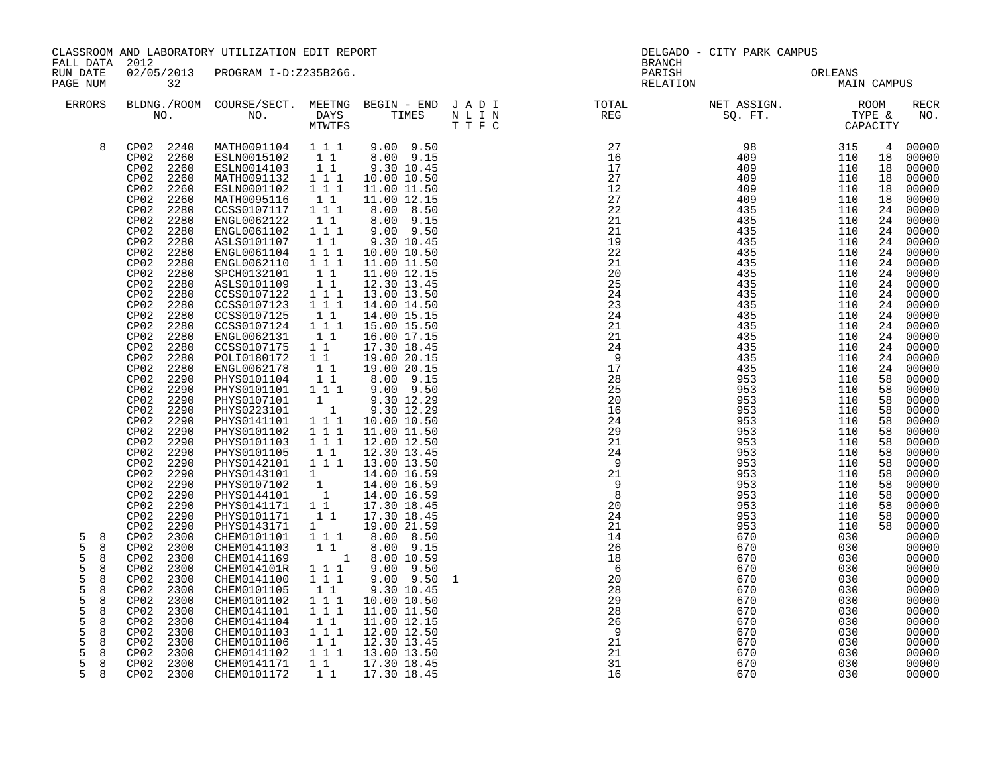| FALL DATA 2012                                                                              |                                                                                                                                                                                                                                                                                                                                                                                                                                                                                                                                                                                                                                                                                                                                                                 | CLASSROOM AND LABORATORY UTILIZATION EDIT REPORT                                                                                                                                                                                                                                                                                                                                                                                                                                                                                                                                                                                                                                                                                                                                                 |                                                                                                                                                                                                                                                                                                                                                                                                                                                                                                                                       |                                                                                                                                                                                                                                                                                                                                                                                                                                                                                                                                                                                                                                              |   | <b>BRANCH</b>                                                                                                                                                                                                                                                                                                                                                                                                                                                                                                                                                                                                                                                                                                                                                                                  | DELGADO - CITY PARK CAMPUS                                                                                                                                                                                                                                                           |                                                                                                                                                                                                                                                                                      |                                                                                                                                                                |                                                                                                                                                                                                                                                                                                                                                                                  |
|---------------------------------------------------------------------------------------------|-----------------------------------------------------------------------------------------------------------------------------------------------------------------------------------------------------------------------------------------------------------------------------------------------------------------------------------------------------------------------------------------------------------------------------------------------------------------------------------------------------------------------------------------------------------------------------------------------------------------------------------------------------------------------------------------------------------------------------------------------------------------|--------------------------------------------------------------------------------------------------------------------------------------------------------------------------------------------------------------------------------------------------------------------------------------------------------------------------------------------------------------------------------------------------------------------------------------------------------------------------------------------------------------------------------------------------------------------------------------------------------------------------------------------------------------------------------------------------------------------------------------------------------------------------------------------------|---------------------------------------------------------------------------------------------------------------------------------------------------------------------------------------------------------------------------------------------------------------------------------------------------------------------------------------------------------------------------------------------------------------------------------------------------------------------------------------------------------------------------------------|----------------------------------------------------------------------------------------------------------------------------------------------------------------------------------------------------------------------------------------------------------------------------------------------------------------------------------------------------------------------------------------------------------------------------------------------------------------------------------------------------------------------------------------------------------------------------------------------------------------------------------------------|---|------------------------------------------------------------------------------------------------------------------------------------------------------------------------------------------------------------------------------------------------------------------------------------------------------------------------------------------------------------------------------------------------------------------------------------------------------------------------------------------------------------------------------------------------------------------------------------------------------------------------------------------------------------------------------------------------------------------------------------------------------------------------------------------------|--------------------------------------------------------------------------------------------------------------------------------------------------------------------------------------------------------------------------------------------------------------------------------------|--------------------------------------------------------------------------------------------------------------------------------------------------------------------------------------------------------------------------------------------------------------------------------------|----------------------------------------------------------------------------------------------------------------------------------------------------------------|----------------------------------------------------------------------------------------------------------------------------------------------------------------------------------------------------------------------------------------------------------------------------------------------------------------------------------------------------------------------------------|
| RUN DATE<br>PAGE NUM                                                                        | $\overline{32}$                                                                                                                                                                                                                                                                                                                                                                                                                                                                                                                                                                                                                                                                                                                                                 | 02/05/2013 PROGRAM I-D:Z235B266.                                                                                                                                                                                                                                                                                                                                                                                                                                                                                                                                                                                                                                                                                                                                                                 |                                                                                                                                                                                                                                                                                                                                                                                                                                                                                                                                       |                                                                                                                                                                                                                                                                                                                                                                                                                                                                                                                                                                                                                                              |   | PARISH<br>RELATION                                                                                                                                                                                                                                                                                                                                                                                                                                                                                                                                                                                                                                                                                                                                                                             | ORLEANS<br>MAIN CAMPUS                                                                                                                                                                                                                                                               | ORLEANS                                                                                                                                                                                                                                                                              |                                                                                                                                                                |                                                                                                                                                                                                                                                                                                                                                                                  |
| ERRORS                                                                                      |                                                                                                                                                                                                                                                                                                                                                                                                                                                                                                                                                                                                                                                                                                                                                                 |                                                                                                                                                                                                                                                                                                                                                                                                                                                                                                                                                                                                                                                                                                                                                                                                  |                                                                                                                                                                                                                                                                                                                                                                                                                                                                                                                                       |                                                                                                                                                                                                                                                                                                                                                                                                                                                                                                                                                                                                                                              |   |                                                                                                                                                                                                                                                                                                                                                                                                                                                                                                                                                                                                                                                                                                                                                                                                |                                                                                                                                                                                                                                                                                      |                                                                                                                                                                                                                                                                                      |                                                                                                                                                                | <b>RECR</b><br>NO.                                                                                                                                                                                                                                                                                                                                                               |
| 8<br>5<br>8<br>5<br>8<br>5<br>8<br>5<br>8<br>5<br>8<br>5<br>8<br>5<br>8<br>5<br>8<br>5<br>8 | CP02 2240<br>CP02 2260<br>CP02 2260<br>CP <sub>02</sub><br>2260<br>CP02<br>2260<br>CP02<br>2260<br>CP02<br>2280<br>CP02<br>2280<br>CP02<br>2280<br>CP02<br>2280<br>CP02<br>2280<br>CP02<br>2280<br>CP02<br>2280<br>CP02<br>2280<br>CP02<br>2280<br>CP02<br>2280<br>CP02<br>2280<br>CP02<br>2280<br>CP02<br>2280<br>CP02<br>2280<br>CP02<br>2280<br>CP02<br>2280<br>CP02<br>2290<br>CP02 2290<br>CP02<br>2290<br>CP02<br>2290<br>CP <sub>02</sub><br>2290<br>CP02<br>2290<br>CP <sub>02</sub><br>2290<br>CP02<br>2290<br>CP02<br>2290<br>CP02<br>2290<br>CP02<br>2290<br>CP02<br>2290<br>CP02<br>2290<br>CP02<br>2290<br>CP02<br>2290<br>CP02<br>2300<br>CP02 2300<br>CP02 2300<br>CP02 2300<br>CP02 2300<br>CP02 2300<br>CP02 2300<br>CP02 2300<br>2300<br>CP02 | MATH0091104 111<br>ESLN0015102 11<br>ESLN0014103<br>MATH0091132<br>ESLN0001102<br>MATH0095116<br>CCSS0107117<br>ENGL0062122<br>ENGL0061102<br>ASLS0101107<br>ENGL0061104<br>ENGL0062110<br>SPCH0132101<br>ASLS0101109<br>CCSS0107122<br>CCSS0107123<br>CCSS0107125<br>CCSS0107124 1 1 1<br>ENGL0062131<br>CCSS0107175<br>POLI0180172<br>ENGL0062178<br>PHYS0101104<br>PHYS0101101<br>PHYS0107101<br>PHYS0223101<br>PHYS0141101<br>PHYS0101102<br>PHYS0101103<br>PHYS0101105<br>PHYS0142101  1  1  1  13.00  13.50<br>PHYSO143101 1 14.00 16.59<br>PHYSO107102 1 14.00 16.59<br>PHYSO144101 1 14.00 16.59<br>PHYS0141171 1 1<br>PHYS0101171<br>PHYS0143171<br>CHEM0101101<br>CHEM0141103<br>CHEM0141169<br>CHEM014101R<br>CHEM0141100<br>CHEM0101105<br>CHEM0101102<br>CHEM0141101<br>CHEM0141104 | $\begin{smallmatrix}1&1\\1&1&1\end{smallmatrix}$<br>1 1 1<br>$1\quad1$<br>$1\hspace{0.1cm} 1\hspace{0.1cm} 1$<br>11<br>$1 1 1$<br>11<br>111<br>$1 1 1$<br>$\begin{array}{ccc} & 1 & 1 \\ & 1 & 1 \end{array}$<br>$1\ 1\ 1$<br>$1\quad 1\quad \bar{1}$<br>11<br>11<br>$1\quad1$<br>11<br>$1^-1$<br>$1\quad1$<br>$1 1 1$<br>$\overline{1}$<br>$\begin{smallmatrix}&&1\\&&1\\1&1&1\end{smallmatrix}$<br>$1 1 1$<br>1 1 1<br>11<br>11<br>$\mathbf{1}$<br>1 1 1<br>1 1<br>$1 1 1$<br>$1\,1\,1$<br>1 1<br>$1\ \ 1\ \ 1$<br>111<br>$1\quad1$ | $9.00$ $9.50$<br>8.00 9.15<br>9.30 10.45<br>10.00 10.50<br>11.00 11.50<br>11.00 12.15<br>8.00 8.50<br>8.00 9.15<br>$9.00$ $9.50$<br>9.30 10.45<br>10.00 10.50<br>11.00 11.50<br>11.00 12.15<br>12.30 13.45<br>13.00 13.50<br>14.00 14.50<br>14.00 15.15<br>15.00 15.50<br>16.00 17.15<br>17.30 18.45<br>19.00 20.15<br>19.00 20.15<br>8.00 9.15<br>$9.00$ $9.50$<br>9.30 12.29<br>9.30 12.29<br>10.00 10.50<br>11.00 11.50<br>12.00 12.50<br>12.30 13.45<br>17.30 18.45<br>17.30 18.45<br>19.00 21.59<br>8.00 8.50<br>8.00 9.15<br>$-$ 1 8.00 10.59<br>$9.00$ $9.50$<br>9.00 9.50<br>9.30 10.45<br>10.00 10.50<br>11.00 11.50<br>11.00 12.15 | 1 | $\begin{array}{cccccc} 27 & & & 98 & & & 315 & & 4 & 00000 \\ 16 & & & & 409 & & & 110 & 18 & 00000 \\ 17 & & & 409 & & & 110 & 18 & 00000 \\ 27 & & & 409 & & & 110 & 18 & 00000 \\ 12 & & & 409 & & & 110 & 18 & 00000 \\ 27 & & & 409 & & & 110 & 18 & 00000 \\ 27 & & & 409 & & & 110 & 18 & 00000 \\ \end{array}$<br>22<br>21<br>21<br>19<br>22<br>21<br>20<br>25<br>24<br>23<br>24<br>$\begin{array}{c} 21 \\ 21 \end{array}$<br>24<br>$\overline{9}$<br>$1\overline{7}$<br>28<br>$\frac{25}{25}$<br>20<br>16<br>24<br>29<br>21<br>$\begin{array}{c} 24 \\ 24 \\ 9 \end{array}$<br>$\overline{9}$<br>21<br>$\begin{bmatrix} 9 \\ 9 \\ 8 \end{bmatrix}$<br>$\frac{20}{24}$<br>21<br>$\frac{1}{14}$<br>26<br>18<br>$6\overline{6}$<br>20<br>28<br>$\overline{29}$<br>28<br>$\overline{26}$ | 435<br>435<br>435<br>435<br>435<br>435<br>435<br>435<br>435<br>435<br>435<br>435<br>435<br>435<br>435<br>435<br>953<br>953<br>953<br>953<br>953<br>953<br>953<br>953<br>953<br>953<br>953<br>953<br>953<br>953<br>953<br>670<br>670<br>670<br>670<br>670<br>670<br>670<br>670<br>670 | 110<br>110<br>110<br>110<br>110<br>110<br>110<br>110<br>110<br>110<br>110<br>110<br>110<br>110<br>110<br>110<br>110<br>110<br>110<br>110<br>110<br>110<br>110<br>110<br>110<br>110<br>110<br>110<br>110<br>110<br>110<br>030<br>030<br>030<br>030<br>030<br>030<br>030<br>030<br>030 | 24<br>24<br>24<br>24<br>24<br>24<br>24<br>24<br>24<br>24<br>24<br>24<br>58<br>58<br>58<br>58<br>58<br>58<br>58<br>58<br>58<br>58<br>58<br>58<br>58<br>58<br>58 | 00000<br>24 00000<br>00000<br>00000<br>00000<br>24 00000<br>24 00000<br>00000<br>00000<br>00000<br>00000<br>24 00000<br>00000<br>00000<br>00000<br>00000<br>00000<br>00000<br>00000<br>00000<br>00000<br>00000<br>00000<br>00000<br>00000<br>00000<br>00000<br>00000<br>00000<br>00000<br>00000<br>00000<br>00000<br>00000<br>00000<br>00000<br>00000<br>00000<br>00000<br>00000 |
| 5<br>8<br>5<br>8<br>5<br>8<br>5<br>8<br>5<br>8                                              | CP02 2300<br>CP02 2300<br>CP02 2300<br>CP02 2300<br>CP02 2300                                                                                                                                                                                                                                                                                                                                                                                                                                                                                                                                                                                                                                                                                                   | CHEM0101103<br>CHEM0101106<br>CHEM0141102<br>CHEM0141171<br>CHEM0101172                                                                                                                                                                                                                                                                                                                                                                                                                                                                                                                                                                                                                                                                                                                          | $1 1 1$<br>$1\quad1$<br>$1\quad1$                                                                                                                                                                                                                                                                                                                                                                                                                                                                                                     | 12.00 12.50<br>$\begin{array}{rrrr} 1 & 1 & 12.30 & 13.45 \\ 1 & 1 & 1 & 13.00 & 13.50 \end{array}$<br>17.30 18.45<br>17.30 18.45                                                                                                                                                                                                                                                                                                                                                                                                                                                                                                            |   | 9<br>21<br>21<br>31<br>16                                                                                                                                                                                                                                                                                                                                                                                                                                                                                                                                                                                                                                                                                                                                                                      | 670<br>670<br>670<br>670<br>670                                                                                                                                                                                                                                                      | 030<br>030<br>030<br>030<br>030                                                                                                                                                                                                                                                      |                                                                                                                                                                | 00000<br>00000<br>00000<br>00000<br>00000                                                                                                                                                                                                                                                                                                                                        |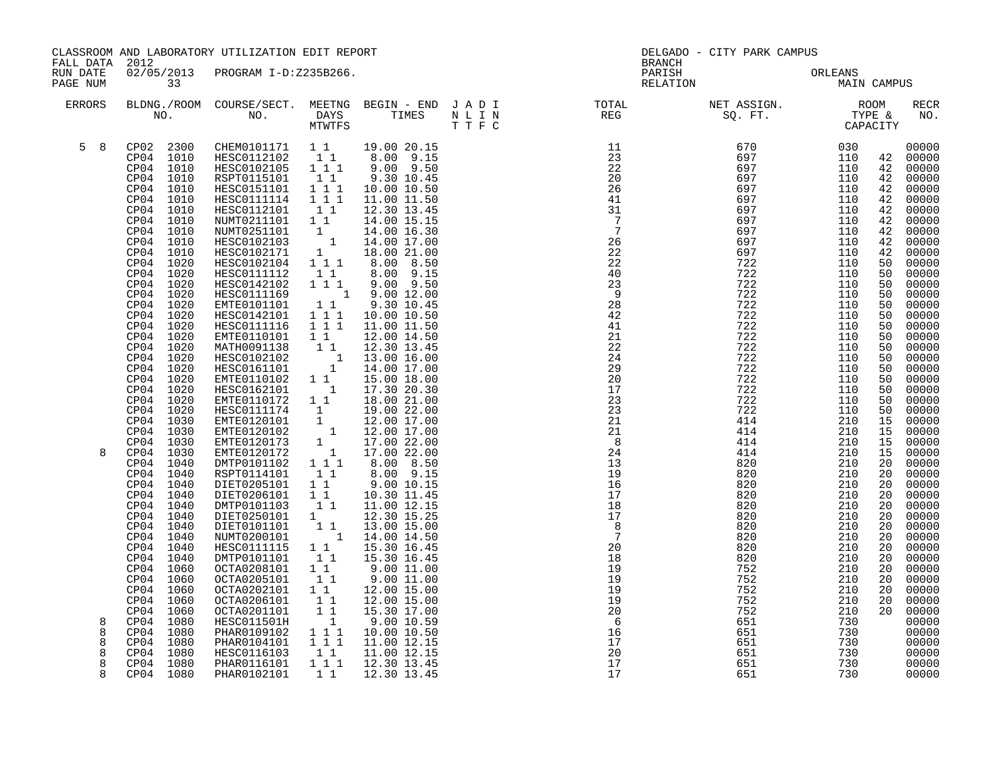| FALL DATA 2012             |                                                                                                                                                                                                                                                                                                                                                                                                                                                                                                                                                               | CLASSROOM AND LABORATORY UTILIZATION EDIT REPORT                                                                                                                                                                                                                                                                                                                                                                                                                                                                                                                                                                                                                                                                                                                                                                                                                                                                                      |                                                                                                                                                                                                  |                                                                                                                                                                                                                                                                                                                                                                                                                                                                                                                                                                                                                                                                            | <b>BRANCH</b>                                                                                        | DELGADO - CITY PARK CAMPUS                                  |                                                                                                   |                                              |                                                                                 |
|----------------------------|---------------------------------------------------------------------------------------------------------------------------------------------------------------------------------------------------------------------------------------------------------------------------------------------------------------------------------------------------------------------------------------------------------------------------------------------------------------------------------------------------------------------------------------------------------------|---------------------------------------------------------------------------------------------------------------------------------------------------------------------------------------------------------------------------------------------------------------------------------------------------------------------------------------------------------------------------------------------------------------------------------------------------------------------------------------------------------------------------------------------------------------------------------------------------------------------------------------------------------------------------------------------------------------------------------------------------------------------------------------------------------------------------------------------------------------------------------------------------------------------------------------|--------------------------------------------------------------------------------------------------------------------------------------------------------------------------------------------------|----------------------------------------------------------------------------------------------------------------------------------------------------------------------------------------------------------------------------------------------------------------------------------------------------------------------------------------------------------------------------------------------------------------------------------------------------------------------------------------------------------------------------------------------------------------------------------------------------------------------------------------------------------------------------|------------------------------------------------------------------------------------------------------|-------------------------------------------------------------|---------------------------------------------------------------------------------------------------|----------------------------------------------|---------------------------------------------------------------------------------|
| RUN DATE<br>PAGE NUM       | $\overline{33}$                                                                                                                                                                                                                                                                                                                                                                                                                                                                                                                                               | 02/05/2013 PROGRAM I-D:Z235B266.                                                                                                                                                                                                                                                                                                                                                                                                                                                                                                                                                                                                                                                                                                                                                                                                                                                                                                      |                                                                                                                                                                                                  |                                                                                                                                                                                                                                                                                                                                                                                                                                                                                                                                                                                                                                                                            | PARISH<br>RELATION                                                                                   | ORLEANS<br>MAIN CAMPUS                                      |                                                                                                   |                                              |                                                                                 |
| ERRORS                     |                                                                                                                                                                                                                                                                                                                                                                                                                                                                                                                                                               |                                                                                                                                                                                                                                                                                                                                                                                                                                                                                                                                                                                                                                                                                                                                                                                                                                                                                                                                       |                                                                                                                                                                                                  |                                                                                                                                                                                                                                                                                                                                                                                                                                                                                                                                                                                                                                                                            |                                                                                                      |                                                             |                                                                                                   |                                              | RECR<br>NO.                                                                     |
| $5 \quad 8$                | CP04 1010<br>CP04 1010<br>CP04 1010<br>CP04 1010<br>CP04 1010<br>CP04 1010<br>CP04 1010<br>CP04 1010<br>CP04 1010<br>CP04 1010<br>CP04 1020<br>CP04 1020<br>CP04 1020<br>CP04 1020<br>CP04 1020<br>CP04 1020<br>CP04 1020<br>CP04 1020<br>CP04 1020<br>CP04 1020<br>CP04 1020<br>CP04 1020<br>CP04 1020<br>CP04 1020<br>CP04 1020<br>CP04<br>1030<br>CP04 1030<br>CP04<br>1030<br>CP04 1030<br>CP04 1040<br>CP04 1040<br>CP04 1040<br>CP04 1040<br>CP04 1040<br>CP04 1040<br>CP04 1040<br>CP04 1040<br>CP04 1040<br>CP04<br>1040<br>CP04 1060<br>1060<br>CP04 | CP02 2300 CHEM0101171 1 1 19.00 20.15<br>HESC0112102 1 1 8.00 9.15<br>HESC0102105 1 1 9.00 9.50<br>RSPT0115101 1 9.30 10.45<br>HESC0151101   1   1   1<br>HESC0111114   1   1   1<br>HESC0112101<br>NUMT0211101 1 1<br>NUMT0251101<br>HESC0102103<br>HESC0102171<br>HESC0102104<br>HESC0111112<br>HESC0142102<br>HESC0111169<br>EMTE0101101<br>HESC0142101<br>HESC0111116<br>EMTE0110101<br>MATH0091138<br>HESC0102102<br>HESC0161101<br>EMTE0110102 1 1<br>HESC0162101 1<br>EMTE0110172 1 1<br>EMTE0110172 1<br>HESC0111174 1 19.00 22.00<br>EMTE0120101 1 12.00 17.00<br>EMTE0120102 1 12.00 17.00<br>EMTE0120173 1 17.00 22.00<br>EMTE0120173 1 17.00 22.00<br>EMTE0120172 1 17.00 22.00<br>DMTP0101102 1 1 8.00 8.50<br>RSPT0114101 1 8.00<br>DIET0205101 1 1 9.00 10.15<br>DIET0206101 1 1 10.30 11.45<br>DMTP0101103<br>DIET0250101 1<br>DIET0101101<br>NUMT0200101<br>HESC0111115<br>DMTP0101101<br>OCTA0208101<br>OCTA0205101 | $1\quad1$<br>11<br>$1 1 1$<br>1 1 1<br>$1\quad1$<br>$\begin{bmatrix} 1 & 1 \\ & 1 \\ & & 1 \end{bmatrix}$<br>$1\quad1$<br>$1\quad1$<br>11<br>$1\quad1$<br>$\begin{bmatrix} 1 \\ 1 \end{bmatrix}$ | 10.00 10.50<br>11.00 11.50<br>12.30 13.45<br>14.00 15.15<br>$\begin{array}{cccc} 1 & & 14.00 & 16.30 \\ 1 & & 14.00 & 17.00 \end{array}$<br>$\begin{array}{rrrr} & 1 & 18.00 & 21.00 \\ 1 & 1 & 8.00 & 8.50 \end{array}$<br>8.00 9.15<br>9.00 9.50<br>$\begin{array}{rrrr} 1 & 9.00 & 12.00 \\ 1 & 9.30 & 10.45 \\ 1 & 1 & 10.00 & 10.50 \end{array}$<br>11.00 11.50<br>12.00 14.50<br>12.30 13.45<br>13.00 16.00<br>14.00 17.00<br>15.00 18.00<br>17.30 20.30<br>18.00 21.00<br>11.00 12.15<br>12.30 15.25<br>$\begin{array}{rrrr} 1 & 1 & 13.00 & 15.00 \\ 1 & 13.00 & 15.00 \\ 1 & 14.00 & 14.50 \end{array}$<br>15.30 16.45<br>15.30 16.45<br>9.00 11.00<br>9.00 11.00 | 18<br>17<br>8 <sup>8</sup><br>$\overline{7}$<br>20<br>18<br>19<br>19                                 | 820<br>820<br>820<br>820<br>820<br>820<br>752<br>752        | 210<br>210<br>210<br>210<br>210<br>210<br>210<br>210                                              | 20<br>20<br>20<br>20<br>20<br>20<br>20<br>20 | $00000$<br>00000<br>00000<br>00000<br>00000<br>00000<br>00000<br>00000<br>00000 |
| 8<br>8<br>8<br>8<br>8<br>8 | CP04<br>1060<br>CP04<br>1060<br>CP04 1060<br>CP04 1080<br>1080<br>CP04<br>CP04 1080<br>CP04 1080<br>CP04 1080<br>CP04 1080                                                                                                                                                                                                                                                                                                                                                                                                                                    | OCTA0202101<br>OCTA0206101<br>OCTA0201101 1<br>HESC011501H 1<br>PHAR0109102 1 1 1<br>PHAR0104101  1  1  1<br>HESC0116103 1 1<br>PHAR0116101<br>PHAR0102101                                                                                                                                                                                                                                                                                                                                                                                                                                                                                                                                                                                                                                                                                                                                                                            | $1\quad1$<br>11<br>$1\quad1$                                                                                                                                                                     | 12.00 15.00<br>12.00 15.00<br>15.30 17.00<br>9.00 10.59<br>10.00 10.50<br>11.00 12.15<br>11.00 12.15<br>1 1 1 1 12.30 13.45<br>12.30 13.45                                                                                                                                                                                                                                                                                                                                                                                                                                                                                                                                 | 19<br>19<br>20<br>$6\overline{6}$<br>$\begin{array}{c} 16 \\ 17 \end{array}$<br>17<br>20<br>17<br>17 | 752<br>752<br>752<br>651<br>651<br>651<br>651<br>651<br>651 | 210<br>210<br>210<br>730<br>730<br>$\begin{array}{r} 730 \\ 730 \\ 730 \\ 730 \\ 730 \end{array}$ | 20<br>20<br>20                               | 00000<br>00000<br>00000<br>00000<br>00000<br>00000<br>00000<br>00000<br>00000   |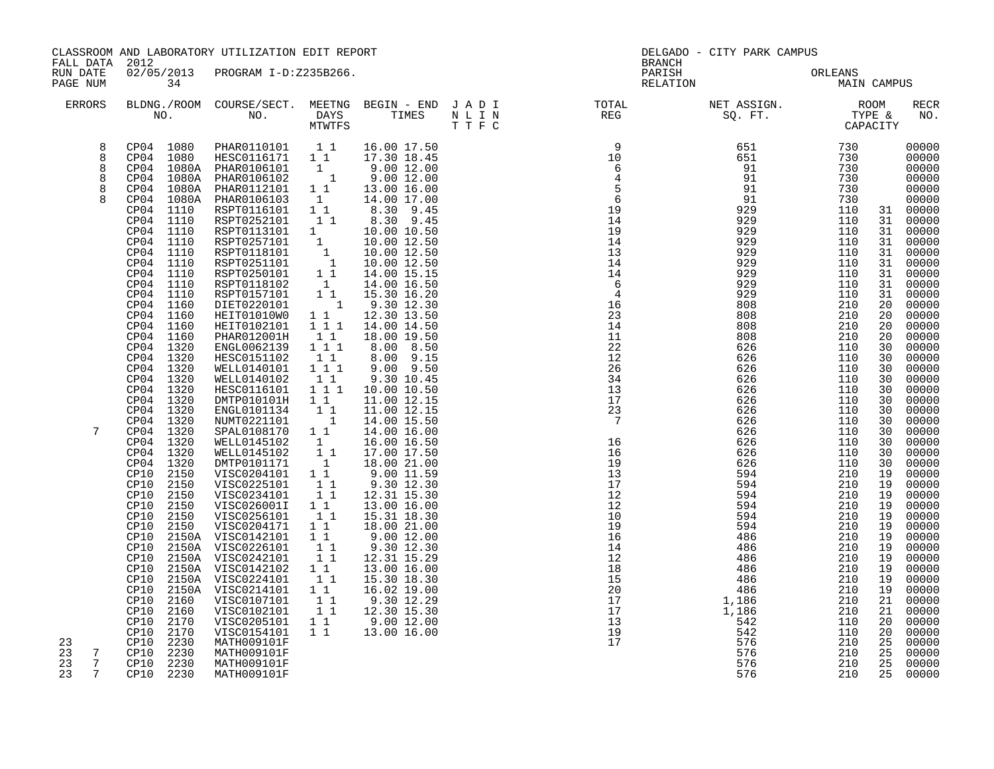|                                                |                                                                               | CLASSROOM AND LABORATORY UTILIZATION EDIT REPORT                                                                                                                                                                                               |                                                                  |                                                                                       |                                                                                   | DELGADO - CITY PARK CAMPUS  |                                                                            |                                                        |
|------------------------------------------------|-------------------------------------------------------------------------------|------------------------------------------------------------------------------------------------------------------------------------------------------------------------------------------------------------------------------------------------|------------------------------------------------------------------|---------------------------------------------------------------------------------------|-----------------------------------------------------------------------------------|-----------------------------|----------------------------------------------------------------------------|--------------------------------------------------------|
| FALL DATA 2012<br>RUN DATE<br>PAGE NUM         | 34                                                                            | 02/05/2013 PROGRAM I-D:Z235B266.                                                                                                                                                                                                               |                                                                  |                                                                                       | <b>BRANCH</b><br>PARISH<br>RELATION                                               | ORLEANS<br>MAIN CAMPUS      |                                                                            |                                                        |
| ERRORS                                         |                                                                               |                                                                                                                                                                                                                                                |                                                                  |                                                                                       |                                                                                   |                             |                                                                            | <b>RECR</b><br>NO.                                     |
| 8<br>8<br>8                                    |                                                                               | $\begin{tabular}{cccccc} CP04 & 1080 & PHAR0110101 & 1 & 16.00 & 17.50 \\ CP04 & 1080 & HESC0116171 & 1 & 17.30 & 18.45 \\ \end{tabular}$<br>CP04 1080A PHAR0106101 1<br>CP04 1080A PHAR0106101 1                                              |                                                                  | 9.00 12.00<br>9.00 12.00                                                              |                                                                                   |                             |                                                                            | 00000<br>00000<br>00000                                |
| 8                                              | CP04 1080A<br>CP04 1080A<br>CP04 1110                                         | PHAR0112101 1 1<br>PHAR0106103 1<br>RSPT0116101 1 1                                                                                                                                                                                            |                                                                  | 13.00 16.00<br>14.00 17.00                                                            |                                                                                   |                             |                                                                            | 00000<br>00000<br>00000<br>31 00000                    |
|                                                | CP04 1110<br>CP04 1110<br>CP04 1110<br>CP04 1110<br>CP04 1110                 | RSPT0252101 1 8.30 9.45<br>RSPT0252101 1 8.30 9.45<br>RSPT013101 1 10.00 10.50<br>RSPT0257101 1 10.00 12.50<br>RSPT0251101 1 10.00 12.50<br>RSPT0251101 1 14.00 15.15<br>RSPT0250101 1 14.00 15.15<br>RSPT0118102 1 14.00 15.15<br>RSPT0118102 |                                                                  | $1\quad \begin{array}{ccc} 1 & 8.30 & 9.45 \\ 1 & 8.30 & 9.45 \end{array}$            |                                                                                   |                             |                                                                            | 00000<br>00000<br>00000<br>00000<br>31 00000           |
|                                                | CP04 1110<br>CP04 1110<br>CP04 1110<br>CP04 1160<br>CP04 1160                 | RSPT0157101<br>DIET0220101<br>HEIT01010W0                                                                                                                                                                                                      | $\begin{smallmatrix}1&1\\&1\end{smallmatrix}$<br>$1\quad1$       | 15.30 16.20<br>9.30 12.30<br>12.30 13.50                                              |                                                                                   |                             |                                                                            | 00000<br>00000<br>00000<br>00000<br>00000              |
|                                                | CP04 1160<br>CP04 1160<br>CP04 1320<br>CP04 1320<br>CP04 1320                 | HEIT0102101<br>PHAR012001H<br>ENGL0062139<br>HESC0151102<br>WELL0140101  1  1  1                                                                                                                                                               | $1 1 1$<br>11<br>$1\ 1\ 1$<br>11                                 | 14.00 14.50<br>18.00 19.50<br>8.00 8.50<br>8.00 9.15<br>$9.00$ $9.50$                 | 14<br>11<br>22<br>12<br>26                                                        | 808<br>808                  | 210<br>20<br>210<br>20<br>110<br>30<br>110<br>30<br>110<br>30              | 00000<br>00000<br>00000<br>00000<br>00000              |
| 7                                              | CP04 1320<br>CP04 1320<br>CP04 1320<br>CP04 1320<br>CP04 1320                 | WELL0140102<br>HESC0116101<br>DMTP010101H<br>ENGL0101134<br>NUMT0221101                                                                                                                                                                        | 11<br>1 1 1<br>11<br>$\begin{bmatrix} 1 \\ 1 \\ 1 \end{bmatrix}$ | 9.30 10.45<br>10.00 10.50<br>11.00 12.15<br>11.00 12.15<br>14.00 15.50<br>14.00 16.00 | 34<br>13<br>17<br>$\frac{1}{2}$ $\frac{1}{7}$<br>$\overline{7}$                   |                             | 110<br>30<br>110<br>30<br>110<br>30<br>110<br>30<br>110<br>30<br>110<br>30 | 00000<br>00000<br>$00000$<br>$00000$<br>00000<br>00000 |
|                                                | CP04 1320<br>CP04 1320<br>CP04 1320<br>CP04 1320<br>CP10 2150<br>CP10<br>2150 | SPAL0108170 11<br>WELL0145102 1<br>WELL0145102<br>DMTP0101171<br>VISC0204101 1 1                                                                                                                                                               | $\begin{bmatrix} 1 \\ 1 \\ 1 \\ 1 \end{bmatrix}$                 | 16.00 16.50<br>17.00 17.50<br>18.00 21.00<br>9.0011.59<br>9.30 12.30                  | $\frac{16}{16}$<br>16<br>19<br>13<br>17                                           |                             | 110<br>30<br>110<br>30<br>110<br>30<br>210<br>19<br>210<br>19              | 00000<br>00000<br>00000<br>00000<br>00000              |
|                                                | CP10<br>2150<br>CP10<br>2150<br>2150<br>CP10<br>CP10<br>2150<br>CP10          | VISC0225101 1<br>VISC0234101 11<br>VISC026001I 1 1<br>VISC0256101<br>VISC0204171 1 1<br>2150A VISC0142101                                                                                                                                      | $\begin{bmatrix} 1 \\ 1 \end{bmatrix}$<br>$1\quad1$              | 12.31 15.30<br>13.00 16.00<br>15.31 18.30<br>18.00 21.00<br>$9.00$ $12.00$            | 12<br>12<br>10<br>19<br>16                                                        |                             | 210<br>19<br>210<br>19<br>210<br>19<br>210<br>19<br>210<br>19              | 00000<br>00000<br>00000<br>00000<br>00000              |
|                                                | CP10<br>CP10<br>CP10<br>2150A<br>CP10<br>2150A<br>CP10<br>CP10<br>2160        | 2150A VISC0226101<br>2150A VISC0242101<br>VISC0142102 1 1<br>VISC0224101<br>2150A VISC0214101 1 1<br>VISC0107101 1 1                                                                                                                           | $1\quad1$<br>11<br>$1\quad1$                                     | 9.30 12.30<br>12.31 15.29<br>13.00 16.00<br>15.30 18.30<br>16.02 19.00<br>9.30 12.29  | 14<br>12<br>18                                                                    | 486<br>486                  | 210<br>19<br>210<br>19<br>210<br>19<br>210<br>19<br>210<br>19<br>210<br>21 | 00000<br>00000<br>00000<br>00000<br>00000<br>00000     |
| 23<br>23<br>7                                  | CP10<br>2160<br>CP10<br>2170<br>CP10<br>2170<br>CP10 2230<br>CP10 2230        | VISC0102101 1<br>VISC0205101 1<br>VISC0154101 1 1<br>VISC0154101<br>MATH009101F<br>MATH009101F                                                                                                                                                 |                                                                  | 12.30 15.30<br>9.00 12.00<br>13.00 16.00                                              | $\begin{array}{c} 18 \\ 15 \\ 20 \\ 17 \\ 13 \\ 13 \\ 19 \end{array}$<br>19<br>17 | $1,186$<br>$1,186$<br>$542$ | 210<br>21<br>110<br>20<br>110<br>20<br>210<br>25<br>210<br>25              | 00000<br>00000<br>00000<br>00000<br>00000              |
| 23<br>$7\phantom{.0}$<br>$7\overline{ }$<br>23 | CP10 2230<br>CP10 2230                                                        | MATH009101F<br>MATH009101F                                                                                                                                                                                                                     |                                                                  |                                                                                       |                                                                                   | 576<br>576                  | 210<br>25<br>210<br>25                                                     | 00000<br>00000                                         |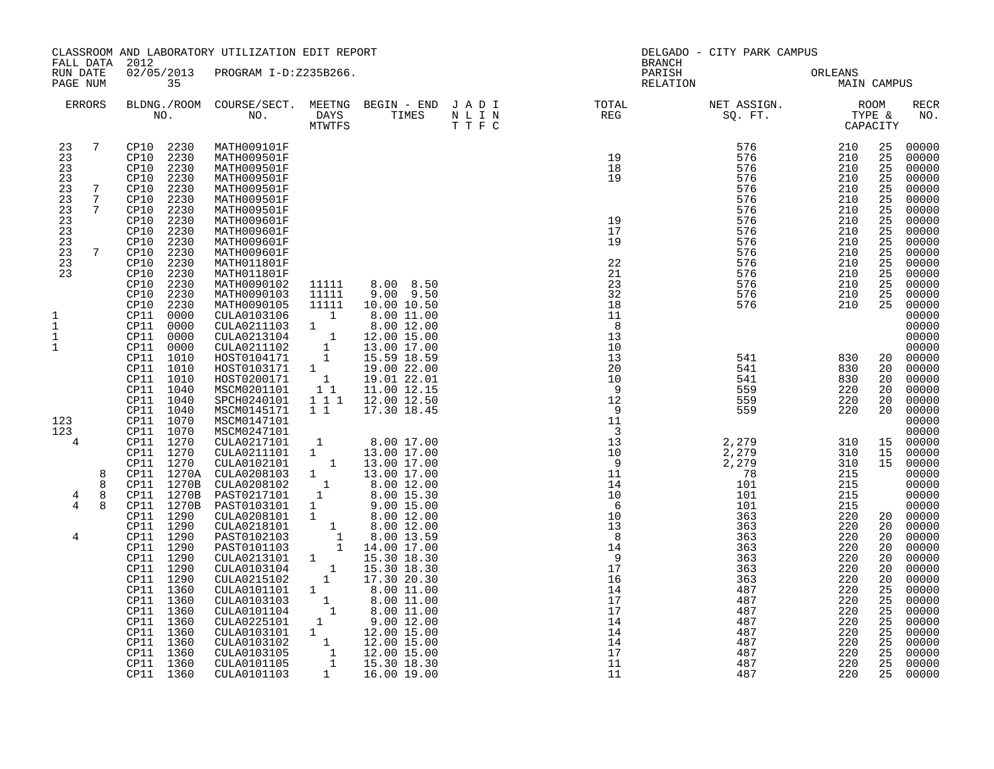| FALL DATA                                                                  |                                                  | 2012                                                                                                                                                                                                                      | CLASSROOM AND LABORATORY UTILIZATION EDIT REPORT                                                                                                                                                               |                                                                                                                                                                                                                                                                                                                             |                                                                                                                                                                                                           | <b>BRANCH</b>                                                         | DELGADO - CITY PARK CAMPUS                                                                     |                                                                                                |                                                                                  |                                                                                                                            |
|----------------------------------------------------------------------------|--------------------------------------------------|---------------------------------------------------------------------------------------------------------------------------------------------------------------------------------------------------------------------------|----------------------------------------------------------------------------------------------------------------------------------------------------------------------------------------------------------------|-----------------------------------------------------------------------------------------------------------------------------------------------------------------------------------------------------------------------------------------------------------------------------------------------------------------------------|-----------------------------------------------------------------------------------------------------------------------------------------------------------------------------------------------------------|-----------------------------------------------------------------------|------------------------------------------------------------------------------------------------|------------------------------------------------------------------------------------------------|----------------------------------------------------------------------------------|----------------------------------------------------------------------------------------------------------------------------|
| RUN DATE<br>PAGE NUM                                                       |                                                  | 35                                                                                                                                                                                                                        | 02/05/2013 PROGRAM I-D:Z235B266.                                                                                                                                                                               |                                                                                                                                                                                                                                                                                                                             |                                                                                                                                                                                                           | PARISH<br>RELATION                                                    |                                                                                                | ORLEANS<br>MAIN CAMPUS                                                                         |                                                                                  |                                                                                                                            |
|                                                                            | ERRORS                                           |                                                                                                                                                                                                                           |                                                                                                                                                                                                                |                                                                                                                                                                                                                                                                                                                             |                                                                                                                                                                                                           |                                                                       |                                                                                                |                                                                                                |                                                                                  | RECR<br>NO.                                                                                                                |
| 23<br>23<br>23<br>23<br>23<br>23<br>23<br>23<br>23<br>23<br>23<br>23<br>23 | $\overline{7}$<br>7<br>$7\phantom{.0}$<br>7<br>7 | CP10 2230<br>2230<br>CP10<br>2230<br>CP10<br>2230<br>CP10<br>2230<br>CP10<br>2230<br>CP10<br>2230<br>CP10<br>CP10<br>2230<br>CP10<br>2230<br>2230<br>CP10<br>CP10<br>2230<br>2230<br>CP10<br>CP10<br>2230<br>CP10<br>2230 | MATH009101F<br>MATH009501F<br>MATH009501F<br>MATH009501F<br>MATH009501F<br>MATH009501F<br>MATH009501F<br>MATH009601F<br>MATH009601F<br>MATH009601F<br>MATH009601F<br>MATH011801F<br>MATH011801F<br>MATH0090102 | 11111                                                                                                                                                                                                                                                                                                                       | 8.00 8.50                                                                                                                                                                                                 | 19<br>18<br>19<br>19<br>17<br>19<br>22<br>21<br>23                    | 576<br>576<br>576<br>576<br>576<br>576<br>576<br>576<br>576<br>576<br>576<br>576<br>576<br>576 | 210<br>210<br>210<br>210<br>210<br>210<br>210<br>210<br>210<br>210<br>210<br>210<br>210<br>210 | 25<br>25<br>25<br>25<br>25<br>25<br>25<br>25<br>25<br>25<br>25<br>25<br>25<br>25 | 00000<br>00000<br>00000<br>00000<br>00000<br>00000<br>00000<br>00000<br>00000<br>00000<br>00000<br>00000<br>00000<br>00000 |
| 1<br>$\mathbf 1$<br>$\mathbf 1$<br>$\mathbf{1}$<br>123                     |                                                  | CP10<br>2230<br>CP10<br>2230<br>CP11<br>0000<br>CP11<br>0000<br>CP11<br>0000<br>CP11<br>0000<br>1010<br>CP11<br>CP11<br>1010<br>1010<br>CP11<br>CP11<br>1040<br>1040<br>CP11<br>CP11<br>1040<br>CP11<br>1070              | MATH0090103<br>MATH0090105<br>CULA0103106<br>CULA0211103<br>CULA0213104<br>CULA0211102<br>HOST0104171<br>HOST0103171<br>HOST0200171<br>MSCM0201101<br>SPCH0240101<br>MSCM0145171<br>MSCM0147101                | 11111<br>11111<br>$\overline{1}$<br>1<br>$\begin{smallmatrix}&&1\\&&1\\&1\\1&&1\end{smallmatrix}$<br>$\mathbf{1}$<br>$\overline{1}$<br>11<br>1 1 1<br>$1\quad1$                                                                                                                                                             | $9.00$ $9.50$<br>10.00 10.50<br>8.00 11.00<br>8.00 12.00<br>12.00 15.00<br>13.00 17.00<br>15.59 18.59<br>19.00 22.00<br>19.01 22.01<br>11.00 12.15<br>12.00 12.50<br>17.30 18.45                          | 32<br>18<br>11<br>8<br>13<br>10<br>13<br>20<br>10<br>- 9<br>12<br>- 9 | 576<br>576<br>541<br>541<br>541<br>559<br>559<br>559                                           | 210<br>210<br>830<br>830<br>830<br>220<br>220<br>220                                           | 25<br>25<br>20<br>20<br>20<br>20<br>20<br>20                                     | 00000<br>00000<br>00000<br>00000<br>00000<br>00000<br>00000<br>00000<br>00000<br>00000<br>00000<br>00000<br>00000          |
| 123<br>4<br>$\overline{4}$<br>$\overline{4}$                               | 8<br>8<br>8<br>8                                 | CP11<br>1070<br>CP11 1270<br>CP11 1270<br>CP11 1270<br>CP11 1270A<br>CP11 1270B<br>CP11<br>1270B<br>CP11<br>1270B<br>CP11 1290<br>CP11 1290                                                                               | MSCM0247101<br>CULA0217101<br>CULA0211101<br>CULA0102101<br>CULA0208103<br>CULA0208102<br>PAST0217101<br>PAST0103101<br>CULA0208101<br>CULA0218101                                                             | $\mathbf{1}$<br>1<br>$\begin{bmatrix} 1 \\ 1 \end{bmatrix}$<br>$\begin{smallmatrix} &1\\1\end{smallmatrix}$<br>$\frac{1}{1}$                                                                                                                                                                                                | 8.00 17.00<br>13.00 17.00<br>13.00 17.00<br>13.00 17.00<br>8.00 12.00<br>8.00 15.30<br>$9.00$ 15.00<br>8.00 12.00<br>8.00 12.00                                                                           |                                                                       | 2,279<br>2,279<br>2,279<br>78<br>101<br>101<br>101<br>363<br>363                               | 310<br>310<br>310<br>215<br>215<br>215<br>215<br>220<br>220                                    | 15<br>15<br>15<br>20<br>20                                                       | 00000<br>00000<br>00000<br>00000<br>00000<br>00000<br>00000<br>00000<br>00000<br>00000                                     |
| 4                                                                          |                                                  | 1290<br>CP11<br>CP11<br>1290<br>CP11<br>1290<br>CP11<br>1290<br>1290<br>CP11<br>CP11<br>1360<br>CP11<br>1360<br>1360<br>CP11<br>CP11<br>1360<br>1360<br>CP11<br>CP11<br>1360<br>1360<br>CP11<br>1360<br>CPI1<br>CP11 1360 | PAST0102103<br>PAST0101103<br>CULA0213101<br>CULA0103104<br>CULA0215102<br>CULA0101101<br>CULA0103103<br>CULA0101104<br>CULA0225101<br>CULA0103101<br>CULA0103102<br>CULA0103105<br>CULA0101105<br>CULA0101103 | $\begin{smallmatrix}&&1\\&&1\\&&1\\&&1\\&&1\end{smallmatrix}$<br>$\mathbf{1}$<br>$1 \quad \blacksquare$<br>$\begin{smallmatrix}&&1\\&&1\\&&1\\1&&\end{smallmatrix}$<br>$\begin{smallmatrix} 1\\ &1\\ &1 \end{smallmatrix}$<br>1<br>1<br>$\begin{smallmatrix}&&1\\&&1\\&&1\\&&1\\&&1\\&&&1\end{smallmatrix}$<br>$\mathbf{1}$ | 8.00 13.59<br>14.00 17.00<br>15.30 18.30<br>15.30 18.30<br>17.30 20.30<br>8.00 11.00<br>8.00 11.00<br>8.00 11.00<br>9.00 12.00<br>12.00 15.00<br>12.00 15.00<br>12.00 15.00<br>15.30 18.30<br>16.00 19.00 | 16<br>14<br>17<br>17<br>14<br>14<br>14<br>17<br>11<br>11              | 363<br>363<br>363<br>363<br>363<br>487<br>487<br>487<br>487<br>487<br>487<br>487<br>487<br>487 | 220<br>220<br>220<br>220<br>220<br>220<br>220<br>220<br>220<br>220<br>220<br>220<br>220<br>220 | 20<br>20<br>20<br>20<br>20<br>25<br>25<br>25<br>25<br>25<br>25<br>25<br>25<br>25 | 00000<br>00000<br>00000<br>00000<br>00000<br>00000<br>00000<br>00000<br>00000<br>00000<br>00000<br>00000<br>00000<br>00000 |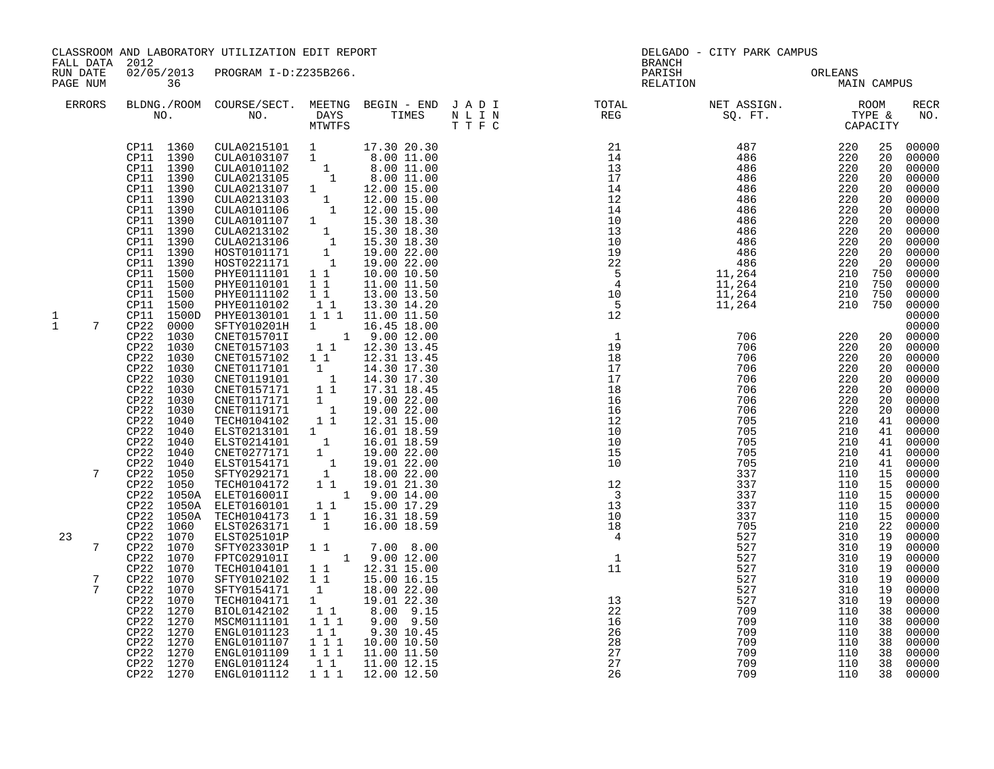| FALL DATA 2012         |                                                                                                                                                                                                                               | CLASSROOM AND LABORATORY UTILIZATION EDIT REPORT                                                                                                                                                                                                                                                                                                                                                                                                           |                                                                                                                                                                |                                                                                                                                                                                                                                           | <b>BRANCH</b>                                                                                                                                                                                                                                                                                          | DELGADO - CITY PARK CAMPUS                                                                                   |                                                                                                              |                                                                                              |                                                                                                                                                       |
|------------------------|-------------------------------------------------------------------------------------------------------------------------------------------------------------------------------------------------------------------------------|------------------------------------------------------------------------------------------------------------------------------------------------------------------------------------------------------------------------------------------------------------------------------------------------------------------------------------------------------------------------------------------------------------------------------------------------------------|----------------------------------------------------------------------------------------------------------------------------------------------------------------|-------------------------------------------------------------------------------------------------------------------------------------------------------------------------------------------------------------------------------------------|--------------------------------------------------------------------------------------------------------------------------------------------------------------------------------------------------------------------------------------------------------------------------------------------------------|--------------------------------------------------------------------------------------------------------------|--------------------------------------------------------------------------------------------------------------|----------------------------------------------------------------------------------------------|-------------------------------------------------------------------------------------------------------------------------------------------------------|
| RUN DATE<br>PAGE NUM   | 36                                                                                                                                                                                                                            | 02/05/2013 PROGRAM I-D:Z235B266.                                                                                                                                                                                                                                                                                                                                                                                                                           |                                                                                                                                                                |                                                                                                                                                                                                                                           | PARISH<br>RELATION                                                                                                                                                                                                                                                                                     |                                                                                                              | ORLEANS                                                                                                      | MAIN CAMPUS                                                                                  |                                                                                                                                                       |
| ERRORS                 |                                                                                                                                                                                                                               |                                                                                                                                                                                                                                                                                                                                                                                                                                                            |                                                                                                                                                                |                                                                                                                                                                                                                                           | BLDNG./ROOM COURSE/SECT. MEETNG BEGIN – END JADI TOTAL NET ASSIGN. NO. ROOM NO. DAYS TIMES NLIN REG SQ.FT. TYPE &                                                                                                                                                                                      |                                                                                                              |                                                                                                              |                                                                                              | RECR<br>NO.                                                                                                                                           |
| 1                      | CP11 1360<br>CP11 1390<br>CP11 1390<br>CP11 1390<br>CP11 1390<br>CP11 1390<br>CP11 1390<br>CP11 1390<br>CP11 1390<br>CP11 1390<br>CP11 1390<br>CP11 1390<br>CP11 1500<br>CP11 1500<br>CP11 1500<br>CP11 1500<br>CP11 1500D    | CULA0215101 1 17.30 20.30<br>CULA0103107 1 8.00 11.00<br>PHYE0110101 1 1<br>PHYE0111102<br>PHYE0110102<br>PHYE0130101                                                                                                                                                                                                                                                                                                                                      | $1\quad1$<br>$\begin{smallmatrix}1&1\\1&1&1\end{smallmatrix}$                                                                                                  | 8.00 11.00<br>11.00 11.50<br>13.00 13.50<br>13.30 14.20<br>11.00 11.50                                                                                                                                                                    | $\begin{array}{cccc} 21 & 487 & 220 \\ 14 & 486 & 220 \\ 13 & 486 & 220 \\ 17 & 486 & 220 \\ 14 & 486 & 220 \\ 14 & 486 & 220 \\ 14 & 486 & 220 \\ 10 & 486 & 220 \\ 10 & 486 & 220 \\ 10 & 486 & 220 \\ 19 & 486 & 220 \\ 22 & 486 & 220 \\ 22 & 486 & 220 \\ 22 & 486 & 220 \\ 5 & 11,264 & 210 \\ $ |                                                                                                              | 210 750<br>210 750<br>210 750<br>210 750                                                                     | 25<br>20<br>20<br>20<br>20<br>20<br>20<br>20<br>20<br>20<br>20<br>20                         | 00000<br>00000<br>00000<br>00000<br>00000<br>00000<br>00000<br>00000<br>00000<br>00000<br>00000<br>00000<br>00000<br>00000<br>00000<br>00000<br>00000 |
| $\mathbf{1}$<br>7<br>7 | CP22 0000<br>CP22 1030<br>CP22 1030<br>CP22 1030<br>CP22<br>CP22 1030<br>CP22 1030<br>CP22 1030<br>1030<br>CP22<br>CP22<br>1030<br>1040<br>CP22<br>CP22 1040<br>CP22 1040<br>CP22 1040<br>CP22 1040<br>CP22 1050              | SFTY010201H<br>CNET015701I<br>CNET0157103 1 1<br>CNET0157102 1 1<br>CNET0117101 1<br>CNET0117101 1<br>CNET0117101 1<br>CNET0119101 1<br>CNET0157171 1<br>CNET0117171 1<br>CNET0119171 1<br>TECH0104102 1<br>FECHOIO4102 1 1 12.31 15.00<br>ELST0213101 1 16.01 18.59<br>CNET0277171 1 19.00 22.00<br>CNET0277171 1 19.00 22.00<br>ELST0154171 1 19.01 22.00<br>SFTY0292171 1 18.00 22.00<br>TECHO104172 1 1 19.01 21.30<br>ELET0160011 1 9.00 14.00<br>ELE |                                                                                                                                                                | $\begin{array}{cccc} 1 & 16.45 & 18.00 \\ 1 & 9.00 & 12.00 \end{array}$<br>1 1 12.30 13.45<br>12.31 13.45<br>14.30 17.30<br>14.30 17.30<br>17.31 18.45<br>19.00 22.00<br>19.00 22.00<br>12.31 15.00                                       | $\overline{\phantom{0}}$<br>19<br>18<br>17<br>17<br>18<br>16<br>16<br>12<br>10<br>10<br>15<br>$\overline{10}$                                                                                                                                                                                          | 706<br>706<br>706<br>706<br>706<br>706<br>706<br>706<br>705<br>705<br>705<br>705<br>705<br>337               | 220<br>220<br>220<br>220<br>220<br>220<br>220<br>220<br>210<br>210<br>210<br>210<br>210<br>110               | 20<br>20<br>20<br>20<br>20<br>20<br>20<br>41<br>41<br>41<br>41<br>41<br>15                   | $20$ 00000<br>00000<br>00000<br>00000<br>00000<br>00000<br>00000<br>00000<br>00000<br>00000<br>00000<br>00000<br>00000<br>00000                       |
| 23<br>7<br>7<br>7      | CP22 1050<br>CP22<br>1050A<br>CP22 1050A<br>CP22 1050A<br>CP22 1060<br>CP22 1070<br>CP22 1070<br>CP22 1070<br>CP22 1070<br>CP22 1070<br>CP22 1070<br>$CP22$ 1070<br>CP22 1270<br>1270<br>CP22<br>CP22<br>1270<br>1270<br>CP22 | ELET016001I<br>TECH0104173<br>ELST0263171<br>ELST025101P<br>SFTY023301P<br>FPTC0291011<br>TECH0104101<br>SFTY0102102<br>SFTY0154171<br>TECH0104171<br>BIOL0142102<br>MSCM0111101<br>MSCM0111101<br>ENGL0101107<br>ENGL0101109                                                                                                                                                                                                                              | 11<br>$\overline{1}$<br>$\overline{1}$ $\overline{1}$<br>$\begin{smallmatrix} &1\\1&\end{smallmatrix}$<br>$\begin{bmatrix} 1 & 1 \\ 1 & 1 \end{bmatrix}$<br>11 | 16.31 18.59<br>16.00 18.59<br>$\begin{array}{cccc} 1 & 1 & & 7.00 & 8.00 \\ & 1 & 9.00 & 12.00 \\ & 1 & 12.31 & 15.00 \\ \end{array}$<br>15.00 16.15<br>18.00 22.00<br>19.01 22.30<br>8.00 9.15<br>9.00 9.50<br>9.30 10.45<br>10.00 10.50 | 12<br>$\overline{\phantom{a}}$<br>13<br>10<br>18<br>$\overline{4}$<br>1 <sup>1</sup><br>13<br>22<br>$\overline{16}$<br>26<br>28                                                                                                                                                                        | 337<br>337<br>337<br>337<br>705<br>527<br>527<br>527<br>527<br>527<br>527<br>527<br>709<br>709<br>709<br>709 | 110<br>110<br>110<br>110<br>210<br>310<br>310<br>310<br>310<br>310<br>310<br>310<br>110<br>110<br>110<br>110 | 15<br>15<br>15<br>15<br>22<br>19<br>19<br>19<br>19<br>19<br>19<br>19<br>38<br>38<br>38<br>38 | 00000<br>00000<br>00000<br>00000<br>00000<br>00000<br>00000<br>00000<br>00000<br>00000<br>00000<br>00000<br>00000<br>00000<br>00000                   |
|                        | CP22 1270<br>CP22 1270<br>CP22 1270                                                                                                                                                                                           | ENGL0101124<br>ENGL0101112                                                                                                                                                                                                                                                                                                                                                                                                                                 | $\begin{array}{cc} 1 & 1 & 1 \\ 1 & 1 & 1 \end{array}$<br>11<br>$1 1 1$                                                                                        | 11.00 11.50<br>11.00 12.15<br>12.00 12.50                                                                                                                                                                                                 | 27<br>27<br>26                                                                                                                                                                                                                                                                                         | 709<br>709<br>709                                                                                            | 110<br>110<br>110                                                                                            | 38<br>38<br>38                                                                               | 00000<br>00000<br>00000                                                                                                                               |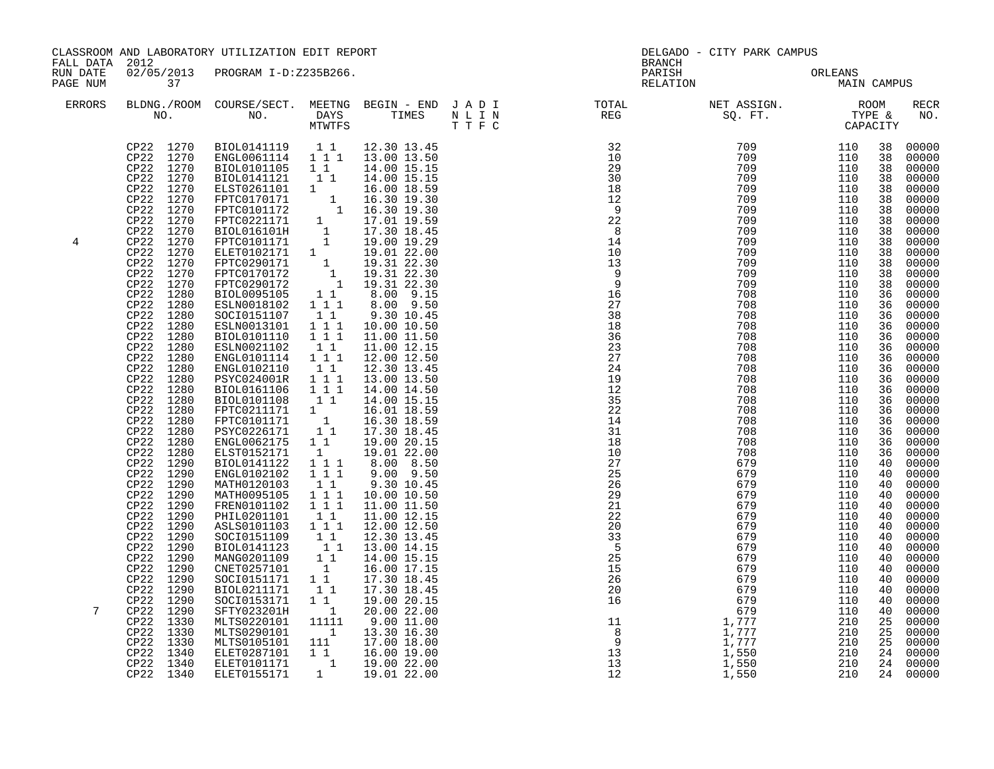| CLASSROOM AND LABORATORY UTILIZATION EDIT REPORT<br>FALL DATA 2012 |                                                                                                                                                                                                                                                                                                                                                                                                                                                                                                                                                                                                                                                                                          |                                                                                                                                                                                                                                                                                                                                                                                                                                                                                                                                                                                                                                                                                                                                                                                                                                                                                                                                                                                                                                         |                                                                                                                                                                                                                                                                                                                                                                                                         |                                                                                                                                                                                                                                                                                                                                                                                                                                                                                                                                                                      |                                                               | DELGADO - CITY PARK CAMPUS<br><b>BRANCH</b>                                                                                                                                                                                                                                                                                                                                                                                                                                              |                                                                                                                                                                                                                                                                                                                                                                                                                                                                                                                                                            |                                                                                                                                                                                                               |                                                                                                                                                                                                                                                                                                    |                                                                                                                                                                                                                                                                                                                                                                                                                                                                         |
|--------------------------------------------------------------------|------------------------------------------------------------------------------------------------------------------------------------------------------------------------------------------------------------------------------------------------------------------------------------------------------------------------------------------------------------------------------------------------------------------------------------------------------------------------------------------------------------------------------------------------------------------------------------------------------------------------------------------------------------------------------------------|-----------------------------------------------------------------------------------------------------------------------------------------------------------------------------------------------------------------------------------------------------------------------------------------------------------------------------------------------------------------------------------------------------------------------------------------------------------------------------------------------------------------------------------------------------------------------------------------------------------------------------------------------------------------------------------------------------------------------------------------------------------------------------------------------------------------------------------------------------------------------------------------------------------------------------------------------------------------------------------------------------------------------------------------|---------------------------------------------------------------------------------------------------------------------------------------------------------------------------------------------------------------------------------------------------------------------------------------------------------------------------------------------------------------------------------------------------------|----------------------------------------------------------------------------------------------------------------------------------------------------------------------------------------------------------------------------------------------------------------------------------------------------------------------------------------------------------------------------------------------------------------------------------------------------------------------------------------------------------------------------------------------------------------------|---------------------------------------------------------------|------------------------------------------------------------------------------------------------------------------------------------------------------------------------------------------------------------------------------------------------------------------------------------------------------------------------------------------------------------------------------------------------------------------------------------------------------------------------------------------|------------------------------------------------------------------------------------------------------------------------------------------------------------------------------------------------------------------------------------------------------------------------------------------------------------------------------------------------------------------------------------------------------------------------------------------------------------------------------------------------------------------------------------------------------------|---------------------------------------------------------------------------------------------------------------------------------------------------------------------------------------------------------------|----------------------------------------------------------------------------------------------------------------------------------------------------------------------------------------------------------------------------------------------------------------------------------------------------|-------------------------------------------------------------------------------------------------------------------------------------------------------------------------------------------------------------------------------------------------------------------------------------------------------------------------------------------------------------------------------------------------------------------------------------------------------------------------|
| RUN DATE<br>PAGE NUM                                               | 37                                                                                                                                                                                                                                                                                                                                                                                                                                                                                                                                                                                                                                                                                       | 02/05/2013 PROGRAM I-D:Z235B266.                                                                                                                                                                                                                                                                                                                                                                                                                                                                                                                                                                                                                                                                                                                                                                                                                                                                                                                                                                                                        |                                                                                                                                                                                                                                                                                                                                                                                                         |                                                                                                                                                                                                                                                                                                                                                                                                                                                                                                                                                                      |                                                               | PARISH<br>RELATION                                                                                                                                                                                                                                                                                                                                                                                                                                                                       |                                                                                                                                                                                                                                                                                                                                                                                                                                                                                                                                                            | ORLEANS<br>MAIN CAMPUS                                                                                                                                                                                        |                                                                                                                                                                                                                                                                                                    |                                                                                                                                                                                                                                                                                                                                                                                                                                                                         |
| ERRORS                                                             |                                                                                                                                                                                                                                                                                                                                                                                                                                                                                                                                                                                                                                                                                          |                                                                                                                                                                                                                                                                                                                                                                                                                                                                                                                                                                                                                                                                                                                                                                                                                                                                                                                                                                                                                                         |                                                                                                                                                                                                                                                                                                                                                                                                         |                                                                                                                                                                                                                                                                                                                                                                                                                                                                                                                                                                      |                                                               | BLDNG./ROOM COURSE/SECT. MEETNG BEGIN – END JADI TOTAL NET ASSIGN. NET ASSIGN. ROOM ROOM NO. DAYS TIMES NLIN REG REG SQ.FT. TYPE &                                                                                                                                                                                                                                                                                                                                                       |                                                                                                                                                                                                                                                                                                                                                                                                                                                                                                                                                            |                                                                                                                                                                                                               |                                                                                                                                                                                                                                                                                                    | RECR<br>NO.                                                                                                                                                                                                                                                                                                                                                                                                                                                             |
| 4<br>7                                                             | CP22 1270<br>CP22 1270<br>CP22 1270<br>CP22 1270<br>CP22 1270<br>CP22 1270<br>CP22 1270<br>CP22 1270<br>CP22 1270<br>CP22 1270<br>CP22 1270<br>CP22 1270<br>CP22 1270<br>CP22 1270<br>CP22 1280<br>CP22 1280<br>CP22 1280<br>CP22 1280<br>CP22 1280<br>CP22 1280<br>CP22 1280<br>CP22 1280<br>CP22 1280<br>CP22 1280<br>1280<br>CP22<br>CP22 1280<br>CP22 1280<br>CP22 1280<br>CP22 1280<br>CP22 1280<br>CP22 1290<br>CP22 1290<br>CP22 1290<br>CP22 1290<br>CP22 1290<br>CP22 1290<br>CP22 1290<br>CP22 1290<br>CP22 1290<br>CP22 1290<br>CP22 1290<br>1290<br>CP22<br>CP22 1290<br>CP22 1290<br>CP22 1290<br>CP22<br>1330<br>1330<br>CP22<br>1330<br>CP22<br>1340<br>CP22<br>CP22 1340 | BIOL0141119    1    1    12.30    13.45<br>ENGL0061114    1    1    13.00    13.50<br>BIOL0101105   1   1<br>BIOL0141121   1   1<br>BIOL0141121 1 14.00 15.15<br>ELST0261101 1 16.00 18.59<br>FPTC0110172 1 16.30 19.30<br>FPTC0101172 1 17.01 19.59<br>FPTC0221171 1 17.01 19.59<br>BIOL016101H 1 17.30 18.45<br>FPTC0101171 1 19.00 19.29<br>ELET0102171 1 19.01 22.00<br>FPTC02<br>ESLN0018102<br>SOCI0151107<br>ESLN0013101 1 1 1<br>BIOL0101110 1 1 1<br>ESLN0021102 1 1<br>ENGL0101114 1 1 1<br>ENGL0102110<br>PSYC024001R 1 1 1<br>BIOL0161106 1 1 1<br>BIOL0101108<br>FPTC0211171 1<br>FPTC0101171 1<br>PSYC0226171 11<br>PSYC0226171<br>ENGL0062175 1 1<br>ELST0152171<br>BIOL0141122   1 <sup>1</sup><br>ENGL0102102   1 <sup>1</sup><br>MATH0120103<br>MATH0095105<br>FREN0101102<br>PHIL0201101<br>ASLS0101103<br>SOCI0151109<br>BIOL0141123<br>MANG0201109<br>CNET0257101<br>SOCIO151171 11<br>BIOL0211171<br>SOCI0153171<br>SFTY023201H<br>MLTS0220101<br>MLTS0290101<br>MLTS0105101 111<br>ELET0287101 11<br>ELET0101171 | $\begin{smallmatrix}1&&1\\&1\\1&&1\end{smallmatrix}$<br>11<br>$1\quad1$<br>$\mathbf{1}$<br>$\begin{smallmatrix}1&1\\1&1&1\end{smallmatrix}$<br>$\begin{array}{rrrr} & 1 & 1 & 1 \\ & 1 & 1 & 1 \\ & & 1 & 1 & 1 \\ & & & 1 & 1 \\ & & & & 1 \end{array}$<br>$\begin{bmatrix} 1 \\ 1 \\ 1 \end{bmatrix}$<br>$1\quad1$<br>$1^{\degree}1^{\degree}$<br>$\overline{\phantom{a}}$<br>11111<br>$\overline{1}$ | 14.00 15.15<br>14.00 15.15<br>8.00 9.50<br>9.30 10.45<br>10.00 10.50<br>11.00 11.50<br>11.00 12.15<br>12.00 12.50<br>12.30 13.45<br>13.00 13.50<br>14.00 14.50<br>14.00 15.15<br>16.01 18.59<br>16.30 18.59<br>17.30 18.45<br>19.00 20.15<br>19.01 22.00<br>$8.00$ $8.50$<br>9.00 9.50<br>9.30 10.45<br>10.00 10.50<br>11.00 11.50<br>11.00 12.15<br>12.00 12.50<br>12.30 13.45<br>13.00 14.15<br>14.00 15.15<br>16.00 17.15<br>17.30 18.45<br>17.30 18.45<br>19.00 20.15<br>20.00 22.00<br>9.00 11.00<br>13.30 16.30<br>17.00 18.00<br>16.00 19.00<br>1 19.00 22.00 | $\begin{array}{c} 11 \\ 8 \\ 9 \\ 13 \\ 13 \\ 12 \end{array}$ | $\frac{32}{10}$<br>30<br>18<br>12<br>$\overline{9}$<br>$\begin{array}{c} 22 \\ 8 \end{array}$<br>8<br>$\begin{array}{c} 8 \\ 14 \end{array}$<br>10<br>13<br>$\overline{9}$<br>وَ<br>16<br>27<br>$\overline{38}$<br>18<br>$\overline{36}$<br>23<br>$\overline{27}$<br>24<br>19<br>12<br>35<br>22<br>14<br>31<br>18<br>10<br>27<br>25<br>26<br>29<br>$\begin{array}{c} 21 \\ 22 \\ 22 \\ 20 \end{array}$<br>$\frac{2}{3}$<br>$5^{\circ}$<br>$\frac{25}{15}$<br>26<br>20<br>$\frac{20}{16}$ | $\begin{array}{cccc} & & & & & & & \text{CAPP} & & & \\ & 709 & & 110 & & & & \\ & 709 & & 110 & & & & \\ & 709 & & 110 & & & & \\ & 709 & & 110 & & & & \\ & 709 & & 110 & & & & \\ & 709 & & 110 & & & & \\ & 709 & & 110 & & & & \\ & 709 & & 110 & & & & \\ & 709 & & 110 & & & & \\ & 709 & & 110 & & & & \\ & 709 & & 110 & & & & \\ & 709 & & 110 & & & & \\ & 70$<br>708<br>708<br>708<br>679<br>679<br>679<br>679<br>679<br>679<br>679<br>679<br>679<br>679<br>679<br>679<br>679<br>679<br>$679$<br>$1,777$<br>$1,777$<br>1,777<br>1,550<br>1,550 | 110<br>110<br>110<br>110<br>110<br>110<br>110<br>110<br>110<br>110<br>110<br>110<br>110<br>110<br>110<br>110<br>110<br>110<br>$\begin{array}{r} 110 \\ 210 \\ 210 \\ 210 \\ 210 \\ 210 \\ 210 \\ \end{array}$ | 38<br>38<br>38<br>38<br>38<br>38<br>38<br>38<br>38<br>38<br>38<br>38<br>38<br>38<br>36<br>36<br>36<br>36<br>36<br>36<br>36<br>36<br>36<br>36<br>36<br>36<br>36<br>36<br>36<br>36<br>40<br>40<br>40<br>40<br>40<br>40<br>40<br>40<br>40<br>40<br>40<br>40<br>40<br>40<br>40<br>25<br>25<br>25<br>24 | 00000<br>00000<br>00000<br>00000<br>00000<br>00000<br>00000<br>00000<br>00000<br>00000<br>00000<br>00000<br>$00000$<br>$00000$<br>00000<br>00000<br>00000<br>00000<br>00000<br>00000<br>00000<br>00000<br>00000<br>00000<br>00000<br>00000<br>00000<br>00000<br>00000<br>00000<br>00000<br>00000<br>00000<br>$00000$<br>00000<br>00000<br>00000<br>00000<br>00000<br>00000<br>00000<br>00000<br>00000<br>00000<br>00000<br>00000<br>00000<br>00000<br>00000<br>24 00000 |
|                                                                    | CP22 1340                                                                                                                                                                                                                                                                                                                                                                                                                                                                                                                                                                                                                                                                                | ELET0155171                                                                                                                                                                                                                                                                                                                                                                                                                                                                                                                                                                                                                                                                                                                                                                                                                                                                                                                                                                                                                             | 1                                                                                                                                                                                                                                                                                                                                                                                                       | 19.01 22.00                                                                                                                                                                                                                                                                                                                                                                                                                                                                                                                                                          |                                                               |                                                                                                                                                                                                                                                                                                                                                                                                                                                                                          | 1,550                                                                                                                                                                                                                                                                                                                                                                                                                                                                                                                                                      |                                                                                                                                                                                                               |                                                                                                                                                                                                                                                                                                    | 24 00000                                                                                                                                                                                                                                                                                                                                                                                                                                                                |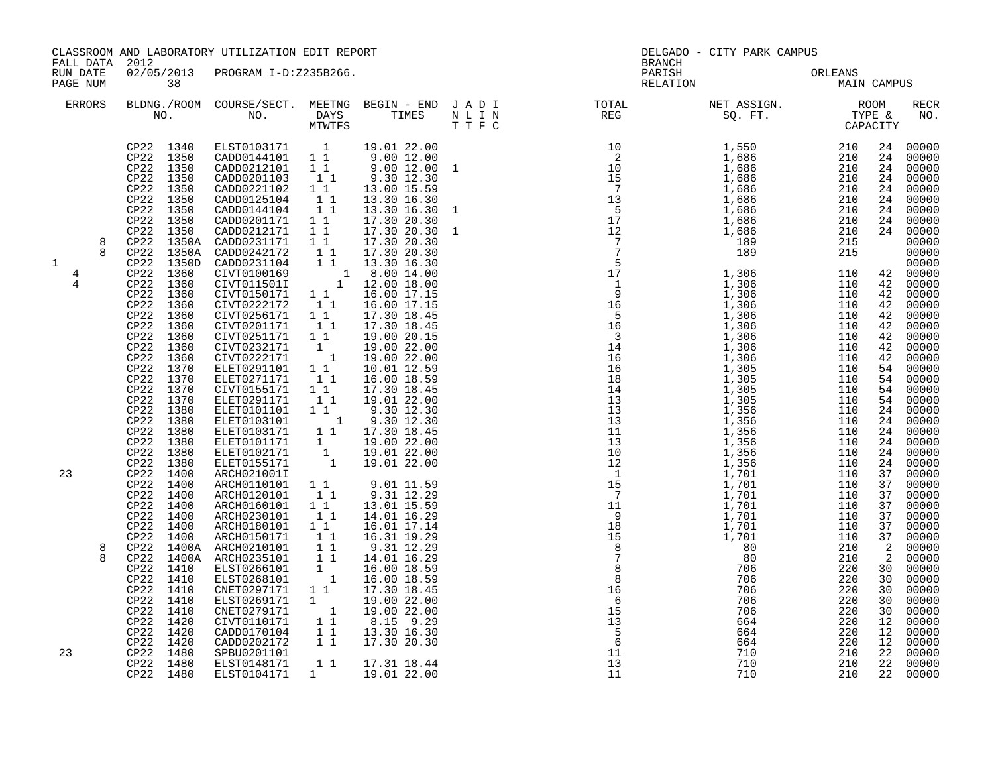| FALL DATA 2012        |                                                                                                                                                                                                                                                                                                                                                                                                            | CLASSROOM AND LABORATORY UTILIZATION EDIT REPORT                                                                                                                                                                                                                                                                                                                                                                                                                                                                                                         |                                                   |                                                                                                                                                                               | <b>BRANCH</b> | DELGADO - CITY PARK CAMPUS                                                                                                         |                   |          |
|-----------------------|------------------------------------------------------------------------------------------------------------------------------------------------------------------------------------------------------------------------------------------------------------------------------------------------------------------------------------------------------------------------------------------------------------|----------------------------------------------------------------------------------------------------------------------------------------------------------------------------------------------------------------------------------------------------------------------------------------------------------------------------------------------------------------------------------------------------------------------------------------------------------------------------------------------------------------------------------------------------------|---------------------------------------------------|-------------------------------------------------------------------------------------------------------------------------------------------------------------------------------|---------------|------------------------------------------------------------------------------------------------------------------------------------|-------------------|----------|
| RUN DATE<br>PAGE NUM  | 38                                                                                                                                                                                                                                                                                                                                                                                                         | 02/05/2013 PROGRAM I-D:Z235B266.                                                                                                                                                                                                                                                                                                                                                                                                                                                                                                                         |                                                   |                                                                                                                                                                               | PARISH        | PARISH ORLEANS NELATION MAIN CAMPUS                                                                                                |                   |          |
| ERRORS                |                                                                                                                                                                                                                                                                                                                                                                                                            |                                                                                                                                                                                                                                                                                                                                                                                                                                                                                                                                                          |                                                   |                                                                                                                                                                               |               | BLDNG./ROOM COURSE/SECT. MEETNG BEGIN – END JADI TOTAL NET ASSIGN. NET ASSIGN. ROOM ROOM NO. DAYS TIMES NLIN REG REG SQ.FT. TYPE & |                   |          |
| 8<br>8<br>1<br>4<br>4 | CP22 1340<br>CP22 1350<br>CP22 1350<br>CP22 1350<br>CP22 1350<br>CP22 1350<br>CP22 1350<br>CP22 1350<br>CP22 1350<br>CP22 1350A<br>1350A<br>CP22<br>CP22 1350D<br>CP22<br>1360<br>CP22<br>1360<br>1360<br>CP22<br>CP22<br>1360<br>1360<br>CP22<br>CP22 1360<br>CP22 1360<br>CP22 1360<br>CP22 1360<br>CP22 1370<br>CP22 1370<br>CP22 1370<br>CP22 1370<br>CP22 1380<br>CP22 1380<br>CP22 1380<br>CP22 1380 | ELST0103171   1   19.01   22.00<br>CADD0144101   1   1   9.00   12.00<br>CADD0212101   1   1   9.00   12.00   1<br>CADD0201103 1 1<br>CADD0221102<br>CADD0125104<br>CADD0144104<br>CADD0201171 1 1<br>CADD0212171 1 1<br>CADD0231171 1 1 17.30 20.30<br>CADD0242172 1 1 17.30 20.30<br>CADD0231104 1 13.30 16.30<br>CADD0231104 1 1 10.00 14.00<br>CIVT0115011 1 12.00 18.00<br>CIVT0150171 1 1 16.00 17.15<br>CIVT0222172 1 1 16.00 17.15<br>CIVT0256171 1 1<br>CIVT0201171 1 1<br>CIVT0251171 1 1<br>CIVT0232171 1<br>CIVT0222171 1<br>ELET0291101 1 1 | $\begin{bmatrix} 1\\ 1\\ 1\\ 1\\ 1 \end{bmatrix}$ | 9.30 12.30<br>13.00 15.59<br>13.30 16.30<br>13.30 16.30<br>17.30 20.30<br>17.30 20.30<br>17.30 18.45<br>17.30 18.45<br>19.00 20.15<br>19.00 22.00<br>19.00 22.00              |               |                                                                                                                                    |                   |          |
| 23<br>8               | 1380<br>CP22<br>CP22 1380<br>CP22 1400<br>CP22 1400<br>CP22<br>1400<br>CP22 1400<br>CP22<br>1400<br>CP22 1400<br>CP22<br>1400<br>CP22 1400A<br>CP22 1400A<br>CP22 1410<br>CP22 1410<br>CP22 1410<br>CP22 1410<br>CP22 1410<br>CP22 1420<br>CP22 1420<br>CP22 1420                                                                                                                                          | ARCH0180101 1 1<br>ARCH0150171 1<br>ARCH0210101 11<br>ARCH0210101<br>ARCH0235101 1 1<br>ELST0266101<br>ELST0268101<br>CNET0297171 1 1<br>ELST0269171 1<br>CNET0269171 1<br>CNET0279171 1<br>CIVT0110171 1 1<br>CADD0170104 1 1<br>CADD0202172                                                                                                                                                                                                                                                                                                            | $\begin{bmatrix} 1 \\ 1 \end{bmatrix}$<br>11      | 16.01 17.14<br>16.31 19.29<br>9.31 12.29<br>14.01 16.29<br>16.00 18.59<br>16.00 18.59<br>17.30 18.45<br>19.00 22.00<br>19.00 22.00<br>8.15 9.29<br>13.30 16.30<br>17.30 20.30 |               |                                                                                                                                    |                   |          |
| 23                    | CP22 1480<br>CP22 1480<br>CP22 1480                                                                                                                                                                                                                                                                                                                                                                        | SPBU0201101<br>ELST0148171<br>ELST0104171                                                                                                                                                                                                                                                                                                                                                                                                                                                                                                                | 1                                                 | 1 1 17.31 18.44<br>19.01 22.00                                                                                                                                                | 13<br>11      | 710                                                                                                                                | $\frac{210}{210}$ | 22 00000 |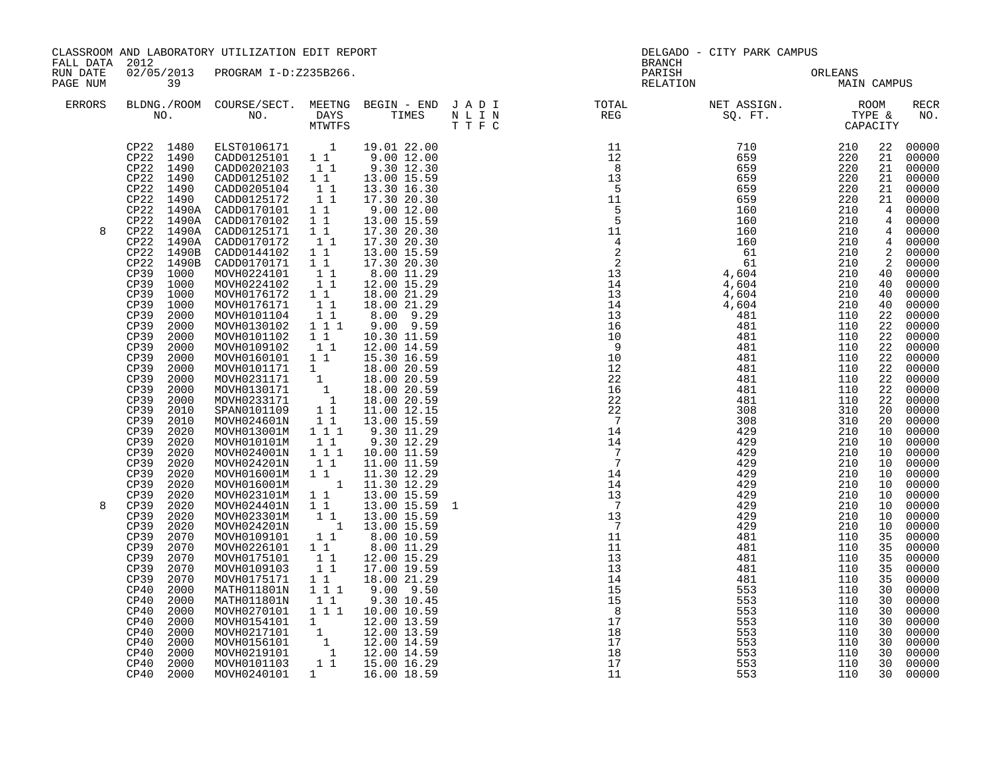|                      | CLASSROOM AND LABORATORY UTILIZATION EDIT REPORT<br>FALL DATA 2012                                                                                                                                                                                                                                                                                                                                                                                                                                                                                                                                                                                                                            |                                                                                                                                                                                                                                                                                                                                                                                                                                                                                                                                                                                                                                                                                                                                                                                                                                                                                                                                                                                                                                                                                                                                                                                                                                                          |                                                                                                                                                                                                                              |                                                                                                                                                                                                                                                                                                                                                                                                                                                                                                                                                                                                                                                                                                                                      | <b>BRANCH</b>                                                                                                                                                                                                                                                                                                                                                                                                                                                                                                     | DELGADO - CITY PARK CAMPUS |                                                                                                                       |                                                                                                                                                                                        |                                                                                                                                                                                                                                                                                                                                                                                                                                                                                                               |
|----------------------|-----------------------------------------------------------------------------------------------------------------------------------------------------------------------------------------------------------------------------------------------------------------------------------------------------------------------------------------------------------------------------------------------------------------------------------------------------------------------------------------------------------------------------------------------------------------------------------------------------------------------------------------------------------------------------------------------|----------------------------------------------------------------------------------------------------------------------------------------------------------------------------------------------------------------------------------------------------------------------------------------------------------------------------------------------------------------------------------------------------------------------------------------------------------------------------------------------------------------------------------------------------------------------------------------------------------------------------------------------------------------------------------------------------------------------------------------------------------------------------------------------------------------------------------------------------------------------------------------------------------------------------------------------------------------------------------------------------------------------------------------------------------------------------------------------------------------------------------------------------------------------------------------------------------------------------------------------------------|------------------------------------------------------------------------------------------------------------------------------------------------------------------------------------------------------------------------------|--------------------------------------------------------------------------------------------------------------------------------------------------------------------------------------------------------------------------------------------------------------------------------------------------------------------------------------------------------------------------------------------------------------------------------------------------------------------------------------------------------------------------------------------------------------------------------------------------------------------------------------------------------------------------------------------------------------------------------------|-------------------------------------------------------------------------------------------------------------------------------------------------------------------------------------------------------------------------------------------------------------------------------------------------------------------------------------------------------------------------------------------------------------------------------------------------------------------------------------------------------------------|----------------------------|-----------------------------------------------------------------------------------------------------------------------|----------------------------------------------------------------------------------------------------------------------------------------------------------------------------------------|---------------------------------------------------------------------------------------------------------------------------------------------------------------------------------------------------------------------------------------------------------------------------------------------------------------------------------------------------------------------------------------------------------------------------------------------------------------------------------------------------------------|
| RUN DATE<br>PAGE NUM | $\overline{39}$                                                                                                                                                                                                                                                                                                                                                                                                                                                                                                                                                                                                                                                                               | 02/05/2013 PROGRAM I-D:Z235B266.                                                                                                                                                                                                                                                                                                                                                                                                                                                                                                                                                                                                                                                                                                                                                                                                                                                                                                                                                                                                                                                                                                                                                                                                                         |                                                                                                                                                                                                                              |                                                                                                                                                                                                                                                                                                                                                                                                                                                                                                                                                                                                                                                                                                                                      |                                                                                                                                                                                                                                                                                                                                                                                                                                                                                                                   | PARISH ORLEANS MAIN CAMPUS |                                                                                                                       |                                                                                                                                                                                        |                                                                                                                                                                                                                                                                                                                                                                                                                                                                                                               |
| ERRORS               |                                                                                                                                                                                                                                                                                                                                                                                                                                                                                                                                                                                                                                                                                               |                                                                                                                                                                                                                                                                                                                                                                                                                                                                                                                                                                                                                                                                                                                                                                                                                                                                                                                                                                                                                                                                                                                                                                                                                                                          |                                                                                                                                                                                                                              |                                                                                                                                                                                                                                                                                                                                                                                                                                                                                                                                                                                                                                                                                                                                      |                                                                                                                                                                                                                                                                                                                                                                                                                                                                                                                   |                            |                                                                                                                       |                                                                                                                                                                                        | <b>RECR</b><br>NO.                                                                                                                                                                                                                                                                                                                                                                                                                                                                                            |
| 8<br>8               | CP22 1490<br>$CP22$ 1490<br>CP22<br>1490A<br>CP22 1490A<br>CP22 1490B<br>CP22 1490B<br>CP39 1000<br>CP39 1000<br>CP39<br>1000<br>CP39<br>1000<br>CP39<br>2000<br>CP39<br>2000<br>CP39<br>2000<br>CP39<br>2000<br>CP39<br>2000<br>CP39<br>2000<br>CP39<br>2000<br>CP39<br>2000<br>CP39<br>2000<br>CP39<br>2010<br>CP39<br>2010<br>CP39<br>2020<br>CP39<br>2020<br>CP39<br>2020<br>CP39<br>2020<br>CP39<br>2020<br>CP39<br>2020<br>CP39<br>2020<br>CP39<br>2020<br>2020<br>CP39<br>CP39<br>2020<br>CP39<br>2070<br>CP39<br>2070<br>CP39<br>2070<br>CP39<br>2070<br>CP39<br>2070<br>CP40<br>2000<br>CP40<br>2000<br>2000<br>CP40<br>CP40<br>2000<br>CP40<br>2000<br>CP40<br>2000<br>CP40<br>2000 | $\begin{tabular}{cccc} CP22 & 1480 & ELST0106171 & 1 & 19.01 & 22.00 \\ CP22 & 1490 & CADD0125101 & 1 & 9.00 & 12.00 \\ CP22 & 1490 & CADD0202103 & 1 & 9.30 & 12.30 \\ CP22 & 1490 & CADD0125102 & 1 & 13.00 & 15.59 \end{tabular}$<br>CADD0205104<br>CADD0125172<br>CP22 1490A CADD0170101 1 1<br>CADD0170102 1 1<br>CADD0125171<br>CP22 1490A CADD0170172<br>CADD0144102 1 1<br>CADD0170171 1 1<br>MOVH0224101 1<br>MOVH0224102 11<br>MOVH0176172 1 1<br>MOVH0176171<br>MOVH0101104<br>MOVH0130102<br>MOVH0101102<br>MOVH0109102 11<br>MOVH0160101 11<br>MOVH0101171 1 13.00 20.59<br>MOVH0101171 1 18.00 20.59<br>MOVH0231171 1 18.00 20.59<br>MOVH0130171 1 18.00 20.59<br>MOVH0233171 1 18.00 20.59<br>SPAN0101109 1 1 11.00 12.15<br>MOVH024601N 1 1 13.00 15.59<br>MOVH013001M 1 1 1<br>MOVH010101M<br>MOVH024001N<br>MOVH024201N<br>MOVH016001M<br>MOVH016001M 1<br>MOVH023101M 1 1<br>MOVH024401N<br>MOVH023301M<br>MOVH024201N<br>MOVH0109101   1   1<br>MOVH0226101   1   1<br>MOVH0175101<br>MOVH0109103<br>MOVH0175171<br>MATH011801N<br>MATH011801N<br>MOVH0270101  1  1  10.00  10.59<br>MOVH0154101 1 12.00 13.59<br>MOVH0156101 1 12.00 13.59<br>MOVH0156101 1 12.00 14.59<br>MOVH0219101 1 12.00 14.59<br>MOVH0101103 1 1 15.00 16.29 | $\begin{smallmatrix}1&1\\1&1\end{smallmatrix}$<br>11<br>$1\quad1$<br>11<br>$1 1 1$<br>$\frac{1}{1}$ $\frac{1}{1}$<br>11<br>11<br>$1 1 1$<br>$\begin{bmatrix} 1 \\ 1 \\ 1 \end{bmatrix}$<br>$1\quad1$<br>$1 1 1$<br>$1\quad1$ | 13.30 16.30<br>17.30 20.30<br>9.00 12.00<br>13.00 15.59<br>17.30 20.30<br>1 1 17.30 20.30<br>13.00 15.59<br>17.30 20.30<br>8.00 11.29<br>12.00 15.29<br>18.00 21.29<br>18.00 21.29<br>8.00 9.29<br>9.00 9.59<br>10.30 11.59<br>12.00 14.59<br>15.30 16.59<br>9.30 11.29<br>9.30 12.29<br>10.00 11.59<br>$\begin{bmatrix} 1 & 1 & 11.00 & 11.59 \\ 1 & 1 & 11.30 & 12.29 \\ 1 & 11.30 & 12.29 \\ 1 & 11.30 & 12.29 \end{bmatrix}$<br>13.00 15.59<br>$\begin{array}{rrrr} 1 & 1 & 13.00 & 15.59 \ 1 & 1 & 13.00 & 15.59 \ 1 & 1 & 13.00 & 15.59 \ 1 & 1 & 8.00 & 10.59 \ 1 & 1 & 8.00 & 10.59 \ \end{array}$<br>13.00 15.59 1<br>13.00 15.59<br>8.00 11.29<br>12.00 15.29<br>17.00 19.59<br>18.00 21.29<br>$9.00$ $9.50$<br>9.30 10.45 | $\begin{array}{cccc} \texttt{N} = \texttt{L} & \texttt{REC} & \texttt{STPE} & \texttt{TPPE} \\ \texttt{SQ} & \texttt{F} & \texttt{L} & \texttt{C} & \texttt{R} & \texttt{R} & \texttt{C} \\ \texttt{N} = \texttt{L} & \texttt{L} & \texttt{R} & \texttt{R} & \texttt{R} \\ \texttt{N} = \texttt{L} & \texttt{L} & \texttt{R} & \texttt{R} & \texttt{R} \\ \texttt{N} = \texttt{L} & \texttt{R} & \texttt{R} & \texttt{R} & \texttt{R}$<br>$\begin{array}{c} 8 \\ 17 \\ 18 \\ 17 \\ 18 \\ 17 \\ 18 \\ \end{array}$ | 553<br>553                 | $\begin{array}{cc}\n 53 \\  3 \\  \end{array}$<br>$\begin{array}{cc}\n 1 \\  11 \\  110 \\  110 \\  110\n\end{array}$ | 40<br>22<br>22<br>22<br>22<br>22<br>22<br>20<br>20<br>10<br>10<br>10<br>10<br>10<br>10<br>10<br>10<br>10<br>10<br>35<br>35<br>35<br>35<br>35<br>30<br>30<br>30<br>30<br>30<br>30<br>30 | 22 00000<br>21 00000<br>21 00000<br>21 00000<br>21 00000<br>21 00000<br>4 00000<br>4 00000<br>4 00000<br>4 00000<br>2 00000<br>2 00000<br>40 00000<br>40 00000<br>00000<br>40 00000<br>22 00000<br>22 00000<br>22 00000<br>00000<br>00000<br>00000<br>00000<br>00000<br>00000<br>00000<br>00000<br>00000<br>00000<br>$00000$<br>$00000$<br>$00000$<br>00000<br>00000<br>00000<br>00000<br>00000<br>00000<br>00000<br>00000<br>00000<br>00000<br>00000<br>00000<br>00000<br>00000<br>$00000$<br>00000<br>00000 |
|                      | CP40 2000<br>CP40 2000                                                                                                                                                                                                                                                                                                                                                                                                                                                                                                                                                                                                                                                                        | MOVH0240101                                                                                                                                                                                                                                                                                                                                                                                                                                                                                                                                                                                                                                                                                                                                                                                                                                                                                                                                                                                                                                                                                                                                                                                                                                              |                                                                                                                                                                                                                              | 1 16.00 18.59                                                                                                                                                                                                                                                                                                                                                                                                                                                                                                                                                                                                                                                                                                                        | 17<br>11                                                                                                                                                                                                                                                                                                                                                                                                                                                                                                          | 553<br>553                 |                                                                                                                       | 30                                                                                                                                                                                     | 00000<br>30 00000                                                                                                                                                                                                                                                                                                                                                                                                                                                                                             |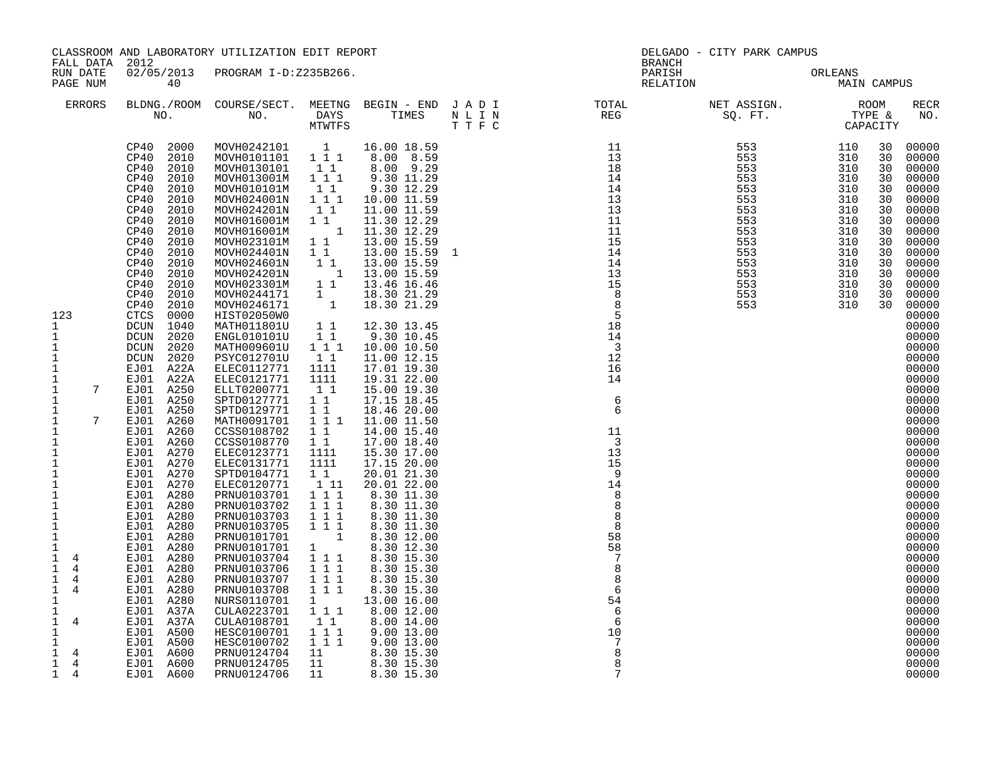| FALL DATA 2012                                                                                                                                                                                                                                                                                                                                                                                                                                                                                                                                                                                                                                                       |                                                                                                                                                                                                                                                                                                                                                                                                                                                                                                                                                                                                                                                                                                                                              | CLASSROOM AND LABORATORY UTILIZATION EDIT REPORT                                                                                                                                                                                                                                                                                                                                                                                                                                                                                                                                                                                                                                                                                                                                                                                                |                                                                                                                                                                                                                                                                                                                                                                                                                                                                                                                                                     |                                                                                                                                                                                                                                                                                                                                                                                                                                                                                                                                                                                                                                                                                                                                                                                                              |  | DELGADO - CITY PARK CAMPUS<br><b>BRANCH</b> |                                                                                                                                                                                                                                                                                                                                                                                                                                                                                                                                                                         |
|----------------------------------------------------------------------------------------------------------------------------------------------------------------------------------------------------------------------------------------------------------------------------------------------------------------------------------------------------------------------------------------------------------------------------------------------------------------------------------------------------------------------------------------------------------------------------------------------------------------------------------------------------------------------|----------------------------------------------------------------------------------------------------------------------------------------------------------------------------------------------------------------------------------------------------------------------------------------------------------------------------------------------------------------------------------------------------------------------------------------------------------------------------------------------------------------------------------------------------------------------------------------------------------------------------------------------------------------------------------------------------------------------------------------------|-------------------------------------------------------------------------------------------------------------------------------------------------------------------------------------------------------------------------------------------------------------------------------------------------------------------------------------------------------------------------------------------------------------------------------------------------------------------------------------------------------------------------------------------------------------------------------------------------------------------------------------------------------------------------------------------------------------------------------------------------------------------------------------------------------------------------------------------------|-----------------------------------------------------------------------------------------------------------------------------------------------------------------------------------------------------------------------------------------------------------------------------------------------------------------------------------------------------------------------------------------------------------------------------------------------------------------------------------------------------------------------------------------------------|--------------------------------------------------------------------------------------------------------------------------------------------------------------------------------------------------------------------------------------------------------------------------------------------------------------------------------------------------------------------------------------------------------------------------------------------------------------------------------------------------------------------------------------------------------------------------------------------------------------------------------------------------------------------------------------------------------------------------------------------------------------------------------------------------------------|--|---------------------------------------------|-------------------------------------------------------------------------------------------------------------------------------------------------------------------------------------------------------------------------------------------------------------------------------------------------------------------------------------------------------------------------------------------------------------------------------------------------------------------------------------------------------------------------------------------------------------------------|
| RUN DATE<br>PAGE NUM                                                                                                                                                                                                                                                                                                                                                                                                                                                                                                                                                                                                                                                 | 40                                                                                                                                                                                                                                                                                                                                                                                                                                                                                                                                                                                                                                                                                                                                           | 02/05/2013 PROGRAM I-D:Z235B266.                                                                                                                                                                                                                                                                                                                                                                                                                                                                                                                                                                                                                                                                                                                                                                                                                |                                                                                                                                                                                                                                                                                                                                                                                                                                                                                                                                                     |                                                                                                                                                                                                                                                                                                                                                                                                                                                                                                                                                                                                                                                                                                                                                                                                              |  | PARISH ORLEANS NELATION MAIN CAMPUS         |                                                                                                                                                                                                                                                                                                                                                                                                                                                                                                                                                                         |
| <b>ERRORS</b>                                                                                                                                                                                                                                                                                                                                                                                                                                                                                                                                                                                                                                                        |                                                                                                                                                                                                                                                                                                                                                                                                                                                                                                                                                                                                                                                                                                                                              |                                                                                                                                                                                                                                                                                                                                                                                                                                                                                                                                                                                                                                                                                                                                                                                                                                                 |                                                                                                                                                                                                                                                                                                                                                                                                                                                                                                                                                     | T T F C                                                                                                                                                                                                                                                                                                                                                                                                                                                                                                                                                                                                                                                                                                                                                                                                      |  |                                             | RECR<br>NO.                                                                                                                                                                                                                                                                                                                                                                                                                                                                                                                                                             |
| 123<br>$\mathbf{1}$<br>$\mathbf 1$<br>$\mathbf 1$<br>$\mathbf{1}$<br>$\mathbf{1}$<br>1<br>$7\overline{ }$<br>$\mathbf 1$<br>$\mathbf 1$<br>$\mathbf 1$<br>$7\overline{ }$<br>$\mathbf 1$<br>1<br>1<br>$\mathbf 1$<br>$\mathbf{1}$<br>$\mathbf{1}$<br>$\mathbf 1$<br>$\mathbf{1}$<br>$\mathbf{1}$<br>$\mathbf{1}$<br>$\mathbf{1}$<br>$\mathbf{1}$<br>$\mathbf 1$<br>$\mathbf 1$<br>$\overline{4}$<br>$\mathbf{1}$<br>$\overline{4}$<br>$\mathbf{1}$<br>4<br>$\mathbf{1}$<br>$\overline{4}$<br>$\mathbf 1$<br>1<br>$\mathbf 1$<br>$\overline{4}$<br>$\mathbf 1$<br>$\mathbf{1}$<br>$\mathbf 1$<br>4<br>$\mathbf{1}$<br>$\overline{4}$<br>$\mathbf{1}$<br>$\frac{4}{3}$ | CP40<br>2000<br>CP40<br>2010<br>CP40<br>2010<br>CP40<br>2010<br>2010<br>CP40<br>CP40<br>2010<br>CP40<br>2010<br>CP40<br>2010<br>CP40<br>2010<br>CP40<br>2010<br>CP40<br>2010<br>CP40<br>2010<br>CP40<br>2010<br>CP40<br>2010<br>CP40<br>2010<br>CP40<br>2010<br>CTCS<br>0000<br>DCUN 1040<br>DCUN<br>2020<br>DCUN 2020<br>DCUN<br>2020<br>EJ01 A22A<br>EJ01 A22A<br>EJ01 A250<br>EJ01 A250<br>EJ01 A250<br>EJ01 A260<br>EJ01 A260<br>EJ01 A260<br>EJ01 A270<br>EJ01 A270<br>EJ01 A270<br>EJ01 A270<br>EJ01 A280<br>EJ01 A280<br>EJ01 A280<br>EJ01 A280<br>EJ01 A280<br>EJ01 A280<br>EJ01 A280<br>EJ01 A280<br>EJ01 A280<br>EJ01 A280<br>EJ01 A280<br>EJ01 A37A<br>EJ01 A37A<br>EJ01 A500<br>EJ01 A500<br>EJ01 A600<br>EJ01 A600<br>EJ01 A600 | MOVH0242101    1    16.00    18.59<br>MOVH0101101    1    1    1    8.00    8.59<br>MOVH0130101<br>MOVH013001M<br>MOVH010101M<br>MOVH024001N<br>MOVH024201N<br>MOVH016001M<br>MOVH016001M<br>MOVH023101M<br>MOVH024401N<br>MOVH024601N<br>MOVH024201N<br>MOVH023301M<br>MOVH0244171<br>MOVH0246171<br>HIST02050W0<br>MATH011801U<br>ENGL010101U<br>MATH009601U<br>PSYC012701U<br>ELEC0112771<br>ELEC0121771<br>ELLT0200771<br>SPTD0127771<br>SPTD0129771<br>MATH0091701<br>CCSS0108702<br>CCSS0108770<br>ELEC0123771<br>ELEC0131771<br>SPTD0104771<br>ELEC0120771<br>PRNU0103701<br>PRNU0103702<br>PRNU0103703<br>PRNU0103705<br>PRNU0101701<br>PRNU0101701<br>PRNU0103704<br>PRNU0103706<br>PRNU0103707<br>PRNU0103708<br>NURS0110701<br>CULA0223701<br>CULA0108701<br>HESC0100701<br>HESC0100702<br>PRNU0124704<br>PRNU0124705<br>PRNU0124706 | $1\quad1$<br>$1 1 1$<br>$1\quad1$<br>$1 1 1$<br>$1\quad1$<br>$1\quad1$<br>$1\quad1$<br>$1\quad1$<br>$\overline{1}$<br>11<br>$\overline{1}$<br>$\overline{1}$<br>11<br>$1\quad1$<br>$1 1 1$<br>11<br>1111<br>1111<br>$1\quad1$<br>11<br>$1\quad1$<br>1 1 1<br>1 1<br>$1\quad1$<br>1111<br>1111<br>$1\quad1$<br>111<br>$1 1 1$<br>1 1 1<br>$1 1 1$<br>$1 1 1$<br>$\begin{array}{cc} & & 1 \\ 1 & & \end{array}$<br>$1 1 1$<br>$1 1 1$<br>1 1 1<br>111<br>$1 \quad \blacksquare$<br>$1 1 1$<br>$\begin{smallmatrix}1&1\\1&1&1\end{smallmatrix}$<br>111 | 8.00 9.29<br>9.30 11.29<br>9.30 12.29<br>10.00 11.59<br>11.00 11.59<br>$\begin{array}{cccc} 1 & 1 & & 11.30 & 12.29 \\ & 1 & & 11.30 & 12.29 \end{array}$<br>13.00 15.59<br>13.00 15.59 1<br>13.00 15.59<br>13.00 15.59<br>13.46 16.46<br>18.30 21.29<br>18.30 21.29<br>12.30 13.45<br>9.30 10.45<br>10.00 10.50<br>11.00 12.15<br>17.01 19.30<br>19.31 22.00<br>15.00 19.30<br>17.15 18.45<br>18.46 20.00<br>11.00 11.50<br>14.00 15.40<br>17.00 18.40<br>15.30 17.00<br>17.15 20.00<br>20.01 21.30<br>20.01 22.00<br>8.30 11.30<br>8.30 11.30<br>8.30 11.30<br>8.30 11.30<br>8.30 12.00<br>8.30 12.30<br>8.30 15.30<br>8.30 15.30<br>8.30 15.30<br>8.30 15.30<br>13.00 16.00<br>8.00 12.00<br>8.00 14.00<br>9.00 13.00<br>9.00 13.00<br>11 1 2:00 15:00<br>11 8:30 15:30<br>11 8:30 15:30<br>11 8:30 15:30 |  |                                             | 00000<br>30<br>30<br>00000<br>30<br>00000<br>30<br>00000<br>00000<br>30<br>00000<br>30<br>00000<br>30<br>30<br>00000<br>00000<br>30<br>00000<br>30<br>00000<br>30<br>00000<br>30<br>00000<br>30<br>00000<br>30<br>00000<br>30<br>00000<br>30<br>00000<br>00000<br>00000<br>00000<br>00000<br>00000<br>00000<br>00000<br>00000<br>00000<br>00000<br>00000<br>00000<br>00000<br>00000<br>00000<br>00000<br>00000<br>00000<br>00000<br>00000<br>00000<br>00000<br>00000<br>00000<br>00000<br>00000<br>00000<br>00000<br>00000<br>00000<br>00000<br>00000<br>00000<br>00000 |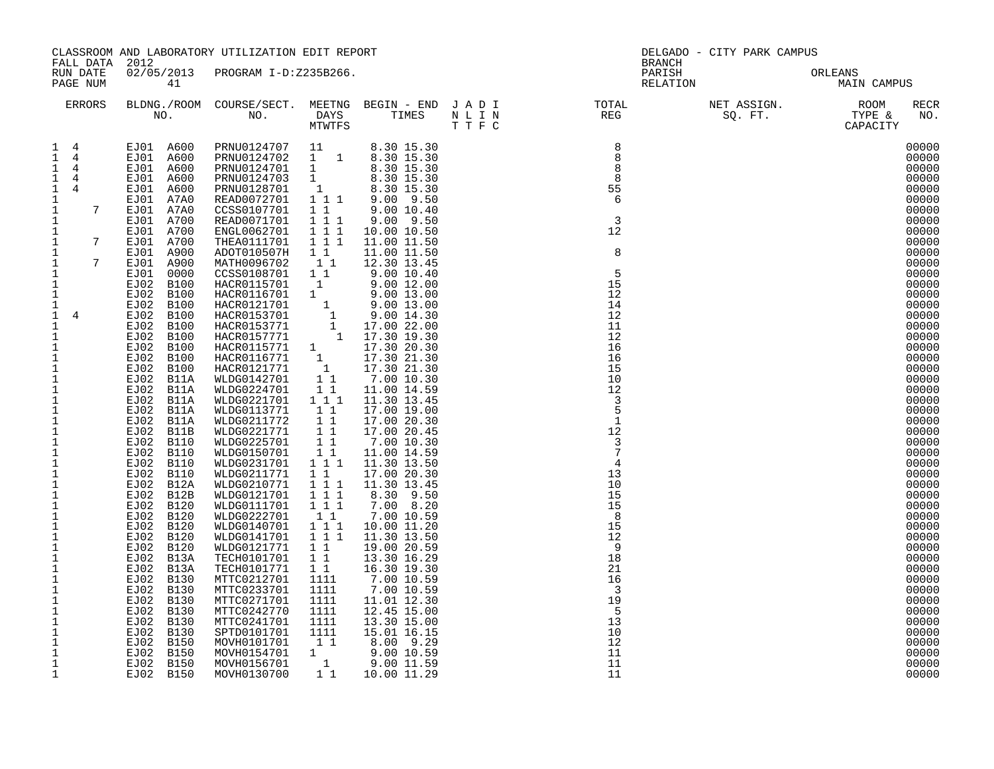|                                                                                                                                                                                                                                                                                                                                                                                                                                                                                                                                                                                                                                                                                                                                                                                                                                                                         | CLASSROOM AND LABORATORY UTILIZATION EDIT REPORT<br>FALL DATA 2012                                                                                                                                                                                                                                                                                                                                                                                                                                                                                                                                                                                                     |                                                                                                                                                                                                                                                                                                                                                                                                                                                                                                                                                                                                                                                                                                                                                                                                                                                                                                                                                                                                         |                                                                                                                                                                                                                                                                                                                                                                         |                                                                                                                                                                                                                                                                                                                                                                                                                                                                                                                                                    | DELGADO - CITY PARK CAMPUS<br><b>BRANCH</b> |                                        |                                                                                                                                                                                                                                                                                                                                                                                                                                                                         |  |
|-------------------------------------------------------------------------------------------------------------------------------------------------------------------------------------------------------------------------------------------------------------------------------------------------------------------------------------------------------------------------------------------------------------------------------------------------------------------------------------------------------------------------------------------------------------------------------------------------------------------------------------------------------------------------------------------------------------------------------------------------------------------------------------------------------------------------------------------------------------------------|------------------------------------------------------------------------------------------------------------------------------------------------------------------------------------------------------------------------------------------------------------------------------------------------------------------------------------------------------------------------------------------------------------------------------------------------------------------------------------------------------------------------------------------------------------------------------------------------------------------------------------------------------------------------|---------------------------------------------------------------------------------------------------------------------------------------------------------------------------------------------------------------------------------------------------------------------------------------------------------------------------------------------------------------------------------------------------------------------------------------------------------------------------------------------------------------------------------------------------------------------------------------------------------------------------------------------------------------------------------------------------------------------------------------------------------------------------------------------------------------------------------------------------------------------------------------------------------------------------------------------------------------------------------------------------------|-------------------------------------------------------------------------------------------------------------------------------------------------------------------------------------------------------------------------------------------------------------------------------------------------------------------------------------------------------------------------|----------------------------------------------------------------------------------------------------------------------------------------------------------------------------------------------------------------------------------------------------------------------------------------------------------------------------------------------------------------------------------------------------------------------------------------------------------------------------------------------------------------------------------------------------|---------------------------------------------|----------------------------------------|-------------------------------------------------------------------------------------------------------------------------------------------------------------------------------------------------------------------------------------------------------------------------------------------------------------------------------------------------------------------------------------------------------------------------------------------------------------------------|--|
| RUN DATE<br>PAGE NUM                                                                                                                                                                                                                                                                                                                                                                                                                                                                                                                                                                                                                                                                                                                                                                                                                                                    | 41                                                                                                                                                                                                                                                                                                                                                                                                                                                                                                                                                                                                                                                                     | 02/05/2013 PROGRAM I-D:Z235B266.                                                                                                                                                                                                                                                                                                                                                                                                                                                                                                                                                                                                                                                                                                                                                                                                                                                                                                                                                                        |                                                                                                                                                                                                                                                                                                                                                                         |                                                                                                                                                                                                                                                                                                                                                                                                                                                                                                                                                    |                                             | PARISH ORLEANS<br>RELATION MAIN CAMPUS |                                                                                                                                                                                                                                                                                                                                                                                                                                                                         |  |
| ERRORS                                                                                                                                                                                                                                                                                                                                                                                                                                                                                                                                                                                                                                                                                                                                                                                                                                                                  |                                                                                                                                                                                                                                                                                                                                                                                                                                                                                                                                                                                                                                                                        |                                                                                                                                                                                                                                                                                                                                                                                                                                                                                                                                                                                                                                                                                                                                                                                                                                                                                                                                                                                                         |                                                                                                                                                                                                                                                                                                                                                                         |                                                                                                                                                                                                                                                                                                                                                                                                                                                                                                                                                    |                                             |                                        | RECR<br>NO.                                                                                                                                                                                                                                                                                                                                                                                                                                                             |  |
| $1 \quad 4$<br>$1 \quad 4$<br>$\mathbf{1}$<br>$\overline{4}$<br>$\mathbf{1}$<br>$\overline{4}$<br>$\overline{1}$<br>4<br>$\mathbf{1}$<br>$7\overline{ }$<br>1<br>$\mathbf{1}$<br>$\mathbf{1}$<br>$7\overline{ }$<br>$\mathbf{1}$<br>$\mathbf{1}$<br>$7\overline{ }$<br>$\mathbf{1}$<br>$\frac{1}{1}$<br>1<br>$\mathbf{1}$<br>$\mathbf{1}$<br>$\overline{4}$<br>$\mathbf{1}$<br>$\mathbf{1}$<br>$\mathbf{1}$<br>$\frac{1}{1}$<br>$\mathbf{1}$<br>$\mathbf{1}$<br>$\mathbf{1}$<br>$\,1\,$<br>$\mathbf{1}$<br>$\mathbf{1}$<br>$\mathbf{1}$<br>$\frac{1}{1}$<br>$\mathbf 1$<br>$\begin{smallmatrix}1\\1\\1\\1\end{smallmatrix}$<br>$\mathbf 1$<br>$\mathbf 1$<br>$\frac{1}{1}$<br>$\mathbf{1}$<br>$\mathbf 1$<br>$\mathbf{1}$<br>$\mathbf 1$<br>$\mathbf{1}$<br>$\mathbf{1}$<br>$\mathbf{1}$<br>$\mathbf 1$<br>$\mathbf{1}$<br>$\mathbf{1}$<br>$\mathbf{1}$<br>$\mathbf{1}$ | EJ01 A600<br>EJ01 A600<br>EJ01 A600<br>EJ01 A7A0<br>EJ01 A7A0<br>EJ01 A700<br>EJ01 A700<br>EJ01 A700<br>EJ01 A900<br>EJ01 A900<br>EJ01 0000<br>EJ02 B100<br>EJ02 B100<br>EJ02 B100<br>EJ02 B100<br>EJ02 B100<br>EJ02 B100<br>EJ02 B100<br>EJ02 B100<br>EJ02 B100<br>EJ02 B11A<br>EJ02 B11A<br>EJ02 B11A<br>EJ02 B11A<br>EJ02 B11A<br>EJ02 B11A<br>EJ02 B11B<br>EJ02 B110<br>EJ02 B110<br>EJ02 B110<br>EJ02 B110<br>EJ02 B12A<br>EJ02 B12B<br>EJ02 B120<br>EJ02 B120<br>EJ02 B120<br>EJ02 B120<br>EJ02 B120<br>EJ02 B13A<br>EJ02 B13A<br>EJ02 B130<br>EJ02 B130<br>EJ02 B130<br>EJ02 B130<br>EJ02 B130<br>EJ02 B130<br>EJ02 B150<br>EJ02 B150<br>EJ02 B150<br>EJ02 B150 | $\begin{tabular}{cccccc} EJ01 & A600 & PRNU0124707 & 11 & 8.30 & 15.30 \\ EJ01 & A600 & PRNU0124702 & 1 & 1 & 8.30 & 15.30 \\ \end{tabular}$<br>READ0072701 111 9.00 9.50<br>CCSS0107701<br>READ0071701<br>ENGL0062701<br>THEA0111701<br>ADOT010507H<br>MATH0096702<br>CCSS0108701<br>HACR0115701<br>HACR0115701 1 9.00 12.00<br>HACR0116701 1 9.00 13.00<br>HACR0153701 1 9.00 13.00<br>HACR0153701 1 9.00 14.30<br>HACR0153771 1 17.00 22.00<br>HACR0157771 1 17.30 19.30<br>HACR0115771 1 17.30 20.30<br>HACR0116771 1 17.30 21.30<br>HACR012171<br>WLDG0224701<br>WLDG0221701 1 1 1<br>WLDG0113771<br>WLDG0211772<br>WLDG0221771<br>WLDG0225701<br>WLDG0150701<br>WLDG0231701 1 1 1<br>WLDG0211771<br>WLDG0210771<br>WLDG0121701<br>WLDG0111701<br>WLDG0222701<br>WLDG0140701<br>WLDG0141701<br>WLDG0121771<br>TECH0101701<br>TECH0101771<br>MTTC0212701<br>MTTC0233701<br>MTTC0271701<br>MTTC0242770<br>MTTC0241701<br>SPTD0101701<br>MOVH0101701<br>MOVH0154701 1<br>MOVH0156701 1<br>MOVH0130700 | 1 1 1<br>1 1 1<br>1 1 1<br>$1\quad1$<br>11<br>$1\quad1$<br>$\overline{1}$<br>11<br>$\begin{array}{ccc} & 1 & 1 \\ & 1 & 1 \end{array}$<br>$1\quad1$<br>$\begin{array}{rr} & 1 & 1 \\ & 1 & 1 \end{array}$<br>1 1<br>1 1 1<br>1 1 1<br>1 1 1<br>$1\quad1$<br>111<br>1 1 1<br>1 1<br>1 1<br>1 1<br>1111<br>1111<br>1111<br>1111<br>1111<br>1111<br>$1\quad1$<br>$1\quad1$ | 1 1 9.00 10.40<br>$9.00$ $9.50$<br>10.00 10.50<br>11.00 11.50<br>11.00 11.50<br>12.30 13.45<br>$9.00\ 10.40$<br>9.00 12.00<br>11.00 14.59<br>11.30 13.45<br>17.00 19.00<br>17.00 20.30<br>17.00 20.45<br>7.00 10.30<br>11.00 14.59<br>11.30 13.50<br>17.00 20.30<br>11.30 13.45<br>8.30 9.50<br>7.00 8.20<br>7.00 10.59<br>10.00 11.20<br>11.30 13.50<br>19.00 20.59<br>13.30 16.29<br>16.30 19.30<br>7.00 10.59<br>7.00 10.59<br>11.01 12.30<br>12.45 15.00<br>13.30 15.00<br>15.01 16.15<br>8.00 9.29<br>9.00 10.59<br>9.00 11.59<br>10.00 11.29 |                                             | NET ASS.<br>SQ. FT.                    | 00000<br>00000<br>00000<br>00000<br>00000<br>00000<br>00000<br>00000<br>00000<br>00000<br>00000<br>00000<br>00000<br>00000<br>00000<br>00000<br>00000<br>00000<br>00000<br>00000<br>00000<br>00000<br>00000<br>00000<br>00000<br>00000<br>00000<br>00000<br>00000<br>00000<br>00000<br>00000<br>00000<br>00000<br>00000<br>00000<br>00000<br>00000<br>00000<br>00000<br>00000<br>00000<br>00000<br>00000<br>00000<br>00000<br>00000<br>00000<br>00000<br>00000<br>00000 |  |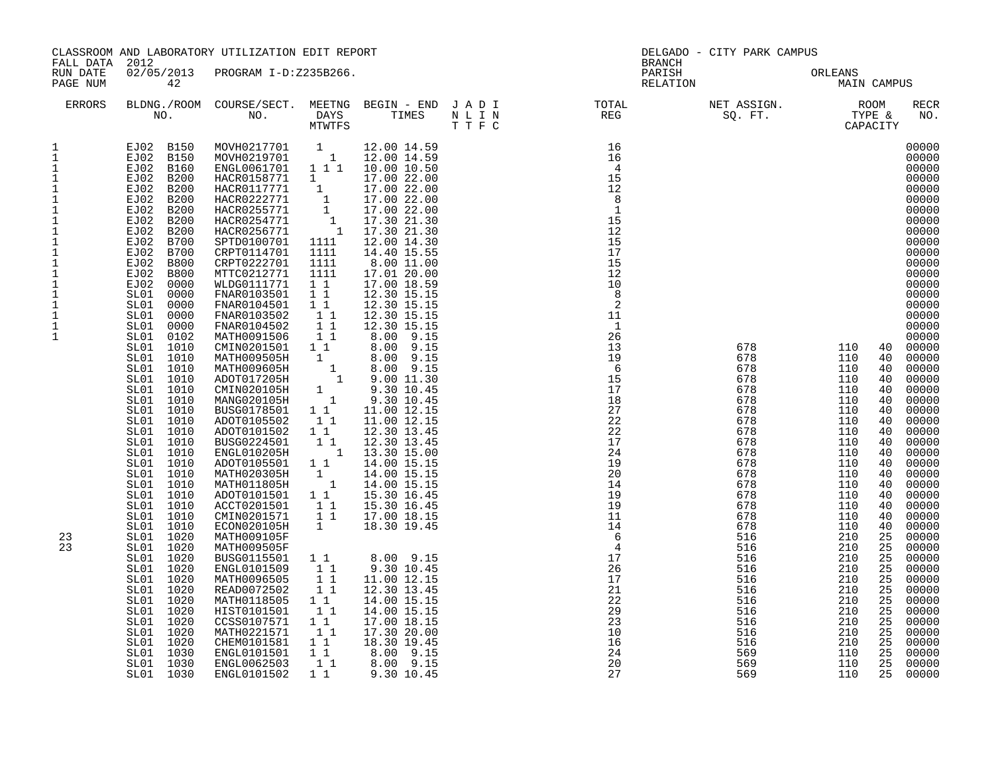| FALL DATA 2012                                                                                                                                                                                                                                                                                                      |                                                                                                                                                                                                                                                                                                                                                                                                                                                                                                                                                                                                                                                                                                                                                                                                                     | CLASSROOM AND LABORATORY UTILIZATION EDIT REPORT                                                                                                                                                                                                                                                                                                                                                                                                                                                                                                                                                                                                                                                                                                                                                                                                                                                                                                                 |                                                                                                                                                                                                                                                                                                                         |                                                                                                                                                                                                                                                                                                                                                                                                                                                                                                                                                                                                                                                                      | DELGADO - CITY PARK CAMPUS<br>BRANCH                                                                                                                                                                                                                                                                                                                        |                                                                                                                                                                                                                              |                                                                                                                                                                                                                                                                                                                                                                                                                              |                                                                                                                                                                                                                                                                                                                                                                                                                                                                         |
|---------------------------------------------------------------------------------------------------------------------------------------------------------------------------------------------------------------------------------------------------------------------------------------------------------------------|---------------------------------------------------------------------------------------------------------------------------------------------------------------------------------------------------------------------------------------------------------------------------------------------------------------------------------------------------------------------------------------------------------------------------------------------------------------------------------------------------------------------------------------------------------------------------------------------------------------------------------------------------------------------------------------------------------------------------------------------------------------------------------------------------------------------|------------------------------------------------------------------------------------------------------------------------------------------------------------------------------------------------------------------------------------------------------------------------------------------------------------------------------------------------------------------------------------------------------------------------------------------------------------------------------------------------------------------------------------------------------------------------------------------------------------------------------------------------------------------------------------------------------------------------------------------------------------------------------------------------------------------------------------------------------------------------------------------------------------------------------------------------------------------|-------------------------------------------------------------------------------------------------------------------------------------------------------------------------------------------------------------------------------------------------------------------------------------------------------------------------|----------------------------------------------------------------------------------------------------------------------------------------------------------------------------------------------------------------------------------------------------------------------------------------------------------------------------------------------------------------------------------------------------------------------------------------------------------------------------------------------------------------------------------------------------------------------------------------------------------------------------------------------------------------------|-------------------------------------------------------------------------------------------------------------------------------------------------------------------------------------------------------------------------------------------------------------------------------------------------------------------------------------------------------------|------------------------------------------------------------------------------------------------------------------------------------------------------------------------------------------------------------------------------|------------------------------------------------------------------------------------------------------------------------------------------------------------------------------------------------------------------------------------------------------------------------------------------------------------------------------------------------------------------------------------------------------------------------------|-------------------------------------------------------------------------------------------------------------------------------------------------------------------------------------------------------------------------------------------------------------------------------------------------------------------------------------------------------------------------------------------------------------------------------------------------------------------------|
| RUN DATE<br>PAGE NUM                                                                                                                                                                                                                                                                                                | 42                                                                                                                                                                                                                                                                                                                                                                                                                                                                                                                                                                                                                                                                                                                                                                                                                  | 02/05/2013 PROGRAM I-D:Z235B266.                                                                                                                                                                                                                                                                                                                                                                                                                                                                                                                                                                                                                                                                                                                                                                                                                                                                                                                                 |                                                                                                                                                                                                                                                                                                                         |                                                                                                                                                                                                                                                                                                                                                                                                                                                                                                                                                                                                                                                                      | PARISH                                                                                                                                                                                                                                                                                                                                                      | RELATION                                                                                                                                                                                                                     | ORLEANS<br>MAIN CAMPUS                                                                                                                                                                                                                                                                                                                                                                                                       |                                                                                                                                                                                                                                                                                                                                                                                                                                                                         |
| ERRORS                                                                                                                                                                                                                                                                                                              |                                                                                                                                                                                                                                                                                                                                                                                                                                                                                                                                                                                                                                                                                                                                                                                                                     |                                                                                                                                                                                                                                                                                                                                                                                                                                                                                                                                                                                                                                                                                                                                                                                                                                                                                                                                                                  |                                                                                                                                                                                                                                                                                                                         |                                                                                                                                                                                                                                                                                                                                                                                                                                                                                                                                                                                                                                                                      |                                                                                                                                                                                                                                                                                                                                                             | BLDNG./ROOM COURSE/SECT. MEETNG BEGIN – END JADI TOTAL NET ASSIGN. NET ASSIGN. ROOM NO. DAYS TIMES NLIN REG SQ.FT. TYPE &                                                                                                    |                                                                                                                                                                                                                                                                                                                                                                                                                              | <b>RECR</b><br>NO.                                                                                                                                                                                                                                                                                                                                                                                                                                                      |
| 1<br>$\mathbf 1$<br>$\mathbf{1}$<br>$\mathbf{1}$<br>$\frac{1}{1}$<br>$\mathbf 1$<br>$\ensuremath{\mathsf{1}}$<br>$\mathbf 1$<br>$\mathbf{1}$<br>$\mathbf 1$<br>$\mathbf{1}$<br>$\mathbf 1$<br>$\mathbf{1}$<br>$\mathbf{1}$<br>$\mathbf{1}$<br>$\ensuremath{\mathsf{1}}$<br>$\mathbf{1}$<br>$\mathbf{1}$<br>23<br>23 | EJ02 B150<br>EJ02 B150<br>EJ02 B200<br>EJ02 B200<br>EJ02 B200<br>EJ02 B200<br>EJ02 B200<br>EJ02 B200<br>EJ02 B200<br>EJ02 B200<br>EJ02 B200<br>EJ02 B200<br>EJ02 B700<br>EJ02 B800<br>EJ02 B800<br>EJ02<br>0000<br>0000<br>SL01<br>SL01<br>0000<br>SL01<br>0000<br>SL01 0000<br>0102<br>SL01<br>1010<br>SL01<br>1010<br>SL01<br>SL01<br>1010<br>1010<br>SL01<br>SL01<br>1010<br>1010<br>SL01<br>SL01<br>1010<br>1010<br>SL01<br>SL01<br>1010<br>SL01<br>1010<br>SL01<br>1010<br>SL01<br>1010<br>SL01<br>1010<br>SL01<br>1010<br>1010<br>SL01<br>1010<br>SL01<br>1010<br>SL01<br>SL01<br>1010<br>SL01<br>1020<br>SL01 1020<br>SL01<br>1020<br>SL01<br>1020<br>SL01<br>1020<br>1020<br>SL01<br>1020<br>SL01<br>1020<br>SL01<br>1020<br>SL01<br>SL01<br>1020<br>1020<br>SL01<br>1030<br>SL01<br>SL01 1030<br>SL01 1030 | MOVH0217701 1 12.00 14.59<br>MOVH0219701 1 12.00 14.59<br>ENGL0061701    1    1    1    10.00    10.50<br>HACR0158771    1    17.00    22.00<br>HACR0117771 1 17.00 22.00<br>HACR0222771 1 17.00 22.00<br>HACR0255771 1 17.00 22.00<br>HACR0254771 1 17.30 21.30<br>HACR0256771 1 17.30 21.30<br>SPTD0100701 1111<br>CRPT0114701<br>CRPT0222701<br>MTTC0212771<br>WLDG0111771<br>FNAR0103501<br>FNAR0104501<br>FNAR0103502<br>FNAR0104502<br>MATH0091506<br>CMIN0201501<br>MATH009505H<br>MATH009605H<br>ADOT017205H<br>CMIN020105H<br>MANG020105H<br>BUSG0178501<br>ADOT0105502<br>ADOT0101502<br>BUSG0224501<br>ENGL010205H<br>ADOT0105501 1 1<br>MATH020305H<br>MATH011805H<br>ADOT0101501 1 1<br>ACCT0201501<br>CMIN0201571<br>ECON020105H<br>MATH009105F<br>MATH009505F<br>BUSG0115501<br>ENGL0101509<br>MATH0096505<br>READ0072502<br>MATH0118505<br>HIST0101501<br>CCSS0107571<br>MATH0221571<br>CHEM0101581<br>ENGL0101501<br>ENGL0062503<br>ENGL0101502 | 1111<br>1111<br>1111<br>$1\quad1$<br>$1\quad1$<br>11<br>11<br>11<br>11<br>$1\quad1$<br>1<br>$1\quad1$<br>11<br>$1\quad1$<br>11<br>$\begin{bmatrix} 1 \\ 1 \end{bmatrix}$<br>11<br>$1\quad1$<br>$\mathbf{1}$<br>1 1<br>$1\quad1$<br>$1\overline{1}$<br>$1\quad1$<br>11<br>11<br>11<br>11<br>$1\quad1$<br>11<br>11<br>1 1 | 12.00 14.30<br>14.40 15.55<br>8.00 11.00<br>17.01 20.00<br>17.00 18.59<br>12.30 15.15<br>12.30 15.15<br>12.30 15.15<br>12.30 15.15<br>8.00 9.15<br>8.00 9.15<br>$\begin{array}{cccc} 1 & 8.00 & 9.15 \\ 1 & 8.00 & 9.15 \\ 1 & 9.00 & 11.30 \end{array}$<br>9.30 10.45<br>$\frac{1}{1}$ 9.30 10.45<br>11.00 12.15<br>11.00 12.15<br>12.30 13.45<br>12.30 13.45<br>1 13.30 15.00<br>14.00 15.15<br>14.00 15.15<br>14.00 15.15<br>15.30 16.45<br>15.30 16.45<br>17.00 18.15<br>18.30 19.45<br>8.00 9.15<br>9.30 10.45<br>11.00 12.15<br>12.30 13.45<br>14.00 15.15<br>14.00 15.15<br>17.00 18.15<br>17.30 20.00<br>18.30 19.45<br>8.00 9.15<br>8.00 9.15<br>9.30 10.45 | 16<br>16<br>$\overline{4}$<br>15<br>12<br>8<br>-1<br>15<br>12<br>15<br>17<br>15<br>12<br>10<br>- 8<br>2<br>11<br>$\mathbf{1}$<br>26<br>13<br>19<br>6<br>15<br>17<br>18<br>27<br>22<br>22<br>17<br>24<br>19<br>20<br>14<br>19<br>19<br>11<br>14<br>$6\overline{6}$<br>$\overline{4}$<br>17<br>26<br>17<br>21<br>22<br>29<br>23<br>10<br>16<br>24<br>20<br>27 | 678<br>678<br>678<br>678<br>678<br>678<br>678<br>678<br>678<br>678<br>678<br>678<br>678<br>678<br>678<br>678<br>678<br>678<br>516<br>516<br>516<br>516<br>516<br>516<br>516<br>516<br>516<br>516<br>516<br>569<br>569<br>569 | 110<br>40<br>110<br>40<br>110<br>40<br>110<br>40<br>110<br>40<br>110<br>40<br>110<br>40<br>110<br>40<br>110<br>40<br>110<br>40<br>110<br>40<br>110<br>40<br>110<br>40<br>110<br>40<br>110<br>40<br>110<br>40<br>110<br>40<br>110<br>40<br>210<br>25<br>210<br>25<br>210<br>25<br>210<br>25<br>210<br>25<br>210<br>25<br>210<br>25<br>210<br>25<br>210<br>25<br>210<br>25<br>210<br>25<br>110<br>25<br>110<br>25<br>110<br>25 | 00000<br>00000<br>00000<br>00000<br>00000<br>00000<br>00000<br>00000<br>00000<br>00000<br>00000<br>00000<br>00000<br>00000<br>00000<br>00000<br>00000<br>00000<br>00000<br>00000<br>00000<br>00000<br>00000<br>00000<br>00000<br>00000<br>00000<br>00000<br>00000<br>00000<br>00000<br>00000<br>00000<br>00000<br>00000<br>00000<br>00000<br>00000<br>00000<br>00000<br>00000<br>00000<br>00000<br>00000<br>00000<br>00000<br>00000<br>00000<br>00000<br>00000<br>00000 |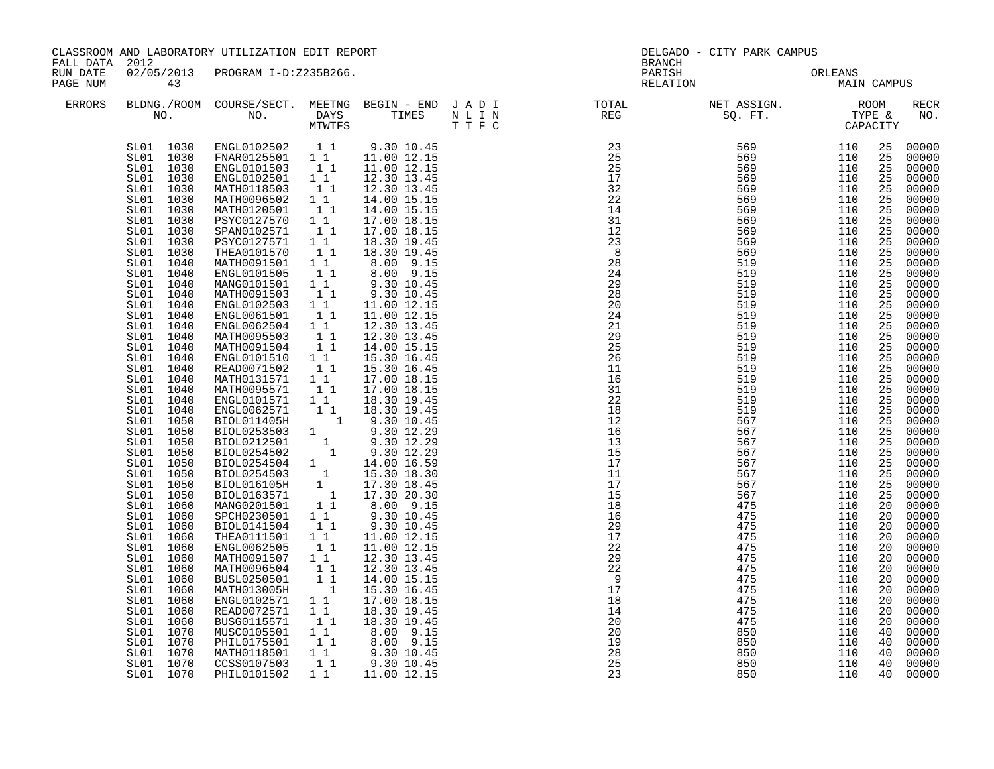|                      | CLASSROOM AND LABORATORY UTILIZATION EDIT REPORT<br>FALL DATA 2012                                                                                                                                                                                                                                                                                                                                                                                                                                                                                                                                                                                                                                  |                                                                                                                                                                                                                                                                                                                                                                                                                                                                                                                                                                                                                                                                                                                                                                                                                                                                                                                                   |                                                                                                                                                                                                                                                                                                                                                                                                                                                                                                                                | DELGADO - CITY PARK CAMPUS<br><b>BRANCH</b>                                                                                                                                                                                                                                                                                                                                                                                                                                                                                                                                                                                                                                            |                                                                                                                                                                                                                                                                                                                                                                                                                                                       |                                        |                                 |                                                                                                                                                                                                                                                                                                                                     |                                                                                                                                                                                                                                                                                                                                                                                                                                                       |
|----------------------|-----------------------------------------------------------------------------------------------------------------------------------------------------------------------------------------------------------------------------------------------------------------------------------------------------------------------------------------------------------------------------------------------------------------------------------------------------------------------------------------------------------------------------------------------------------------------------------------------------------------------------------------------------------------------------------------------------|-----------------------------------------------------------------------------------------------------------------------------------------------------------------------------------------------------------------------------------------------------------------------------------------------------------------------------------------------------------------------------------------------------------------------------------------------------------------------------------------------------------------------------------------------------------------------------------------------------------------------------------------------------------------------------------------------------------------------------------------------------------------------------------------------------------------------------------------------------------------------------------------------------------------------------------|--------------------------------------------------------------------------------------------------------------------------------------------------------------------------------------------------------------------------------------------------------------------------------------------------------------------------------------------------------------------------------------------------------------------------------------------------------------------------------------------------------------------------------|----------------------------------------------------------------------------------------------------------------------------------------------------------------------------------------------------------------------------------------------------------------------------------------------------------------------------------------------------------------------------------------------------------------------------------------------------------------------------------------------------------------------------------------------------------------------------------------------------------------------------------------------------------------------------------------|-------------------------------------------------------------------------------------------------------------------------------------------------------------------------------------------------------------------------------------------------------------------------------------------------------------------------------------------------------------------------------------------------------------------------------------------------------|----------------------------------------|---------------------------------|-------------------------------------------------------------------------------------------------------------------------------------------------------------------------------------------------------------------------------------------------------------------------------------------------------------------------------------|-------------------------------------------------------------------------------------------------------------------------------------------------------------------------------------------------------------------------------------------------------------------------------------------------------------------------------------------------------------------------------------------------------------------------------------------------------|
| RUN DATE<br>PAGE NUM | 43                                                                                                                                                                                                                                                                                                                                                                                                                                                                                                                                                                                                                                                                                                  | 02/05/2013 PROGRAM I-D:Z235B266.                                                                                                                                                                                                                                                                                                                                                                                                                                                                                                                                                                                                                                                                                                                                                                                                                                                                                                  |                                                                                                                                                                                                                                                                                                                                                                                                                                                                                                                                |                                                                                                                                                                                                                                                                                                                                                                                                                                                                                                                                                                                                                                                                                        | PARISH                                                                                                                                                                                                                                                                                                                                                                                                                                                | PARISH ORLEANS<br>RELATION MAIN CAMPUS | ORLEANS                         |                                                                                                                                                                                                                                                                                                                                     |                                                                                                                                                                                                                                                                                                                                                                                                                                                       |
| <b>ERRORS</b>        |                                                                                                                                                                                                                                                                                                                                                                                                                                                                                                                                                                                                                                                                                                     |                                                                                                                                                                                                                                                                                                                                                                                                                                                                                                                                                                                                                                                                                                                                                                                                                                                                                                                                   |                                                                                                                                                                                                                                                                                                                                                                                                                                                                                                                                |                                                                                                                                                                                                                                                                                                                                                                                                                                                                                                                                                                                                                                                                                        | $\begin{array}{cccccccccccccc} \texttt{BLDNA} \cdot \texttt{ROOM} & \texttt{COURSE/SECT.} & \texttt{MEETNG} & \texttt{BEGIN} & - & \texttt{END} & \texttt{J} & \texttt{A} & \texttt{D} & \texttt{I} & & & & & & & & & \\ \texttt{NO.} & \texttt{NO.} & \texttt{DAYS} & \texttt{TIMES} & \texttt{N} & \texttt{L} & \texttt{I} & \texttt{N} & & & & & & & & \\ \texttt{NO.} & \texttt{NO.} & \texttt{MTVTFS} & \texttt{T'F} & \texttt{C} & & & & & & &$ |                                        |                                 |                                                                                                                                                                                                                                                                                                                                     | RECR<br>NO.                                                                                                                                                                                                                                                                                                                                                                                                                                           |
|                      | SL01 1030<br>SL01 1030<br>SL01 1030<br>SL01 1030<br>SL01 1030<br>SL01 1030<br>SL01 1030<br>SL01 1030<br>SL01 1030<br>SL01 1030<br>SL01 1030<br>SL01 1040<br>SL01<br>1040<br>SL01 1040<br>SL01 1040<br>SL01 1040<br>SL01 1040<br>SL01 1040<br>SL01 1040<br>SL01 1040<br>SL01 1040<br>SL01 1040<br>SL01 1040<br>SL01 1040<br>SL01<br>1040<br>SL01 1040<br>SL01 1050<br>SL01 1050<br>1050<br>SL01<br>SL01<br>1050<br>1050<br>SL01<br>SL01 1050<br>SL01<br>1050<br>SL01<br>1050<br>SL01 1060<br>SL01 1060<br>SL01 1060<br>SL01 1060<br>SL01 1060<br>SL01 1060<br>SL01<br>1060<br>SL01<br>1060<br>SL01 1060<br>SL01 1060<br>SL01<br>1060<br>1060<br>SL01<br>SL01<br>1070<br>1070<br>SL01<br>SL01<br>1070 | ENGL0102502   1   1   9.30   10.45<br>FNAR0125501   1   11.00   12.15<br>ENGL0101503 1 1<br>ENGL0102501<br>MATH0118503<br>MATH0096502<br>MATH0120501<br>PSYC0127570<br>SPAN0102571<br>PSYC0127571 1 1<br>THEA0101570<br>MATH0091501<br>ENGL0101505<br>MANG0101501 1 1<br>MATH0091503<br>ENGL0102503 1 1<br>ENGL0061501 1 1<br>ENGL0062504 1 1<br>MATH0095503 1 1<br>MATH0091504<br>ENGL0101510<br>READ0071502<br>MATH0131571<br>MATH0095571<br>ENGL0101571<br>ENGL0101571 1 1 18.30 19.45<br>ENGL0101571 1 1 18.30 19.45<br>BIOL01253503 1 9.30 10.45<br>BIOL0253503 1 9.30 12.29<br>BIOL0212501 1 9.30 12.29<br>BIOL0254502 1 9.30 12.29<br>BIOL0254502 1 14.00 16.59<br>BIOL0254503 1 15.30 18.30<br>BIOL0<br>SPCH0230501 11<br>BIOL0141504<br>THEA0111501<br>ENGL0062505<br>MATH0091507<br>MATH0096504<br>BUSL0250501<br>MATH013005H<br>ENGL0102571<br>READ0072571<br>BUSG0115571<br>MUSC0105501<br>PHIL0175501<br>MATH0118501 | 11<br>$\begin{smallmatrix}1&1\\1&1\end{smallmatrix}$<br>$\begin{bmatrix} 1 \\ 1 \\ 1 \end{bmatrix}$<br>$\begin{bmatrix} 1 \\ 1 \end{bmatrix}$<br>$\begin{bmatrix} 1 \\ 1 \end{bmatrix}$<br>$1\quad1$<br>11<br>11<br>11<br>$\begin{smallmatrix} 1\\1\\1\end{smallmatrix}$<br>11<br>$\begin{bmatrix} 1 \\ 1 \end{bmatrix}$<br>$1\quad1$<br>11<br>$1\quad1$<br>$1\quad1$<br>$1\quad1$<br>11<br>$\overline{1}$ $\overline{1}$<br>$\begin{smallmatrix}&&&1\\1&1\end{smallmatrix}$<br>$\begin{smallmatrix}1&1\\1&1\end{smallmatrix}$ | 11.00 12.15<br>12.30 13.45<br>12.30 13.45<br>14.00 15.15<br>14.00 15.15<br>17.00 18.15<br>17.00 18.15<br>18.30 19.45<br>18.30 19.45<br>8.00 9.15<br>8.00 9.15<br>9.30 10.45<br>9.30 10.45<br>11.00 12.15<br>11.00 12.15<br>12.30 13.45<br>12.30 13.45<br>14.00 15.15<br>15.30 16.45<br>15.30 16.45<br>17.00 18.15<br>17.00 18.15<br>18.30 19.45<br>8.00 9.15<br>9.30 10.45<br>9.30 10.45<br>11.00 12.15<br>11.00 12.15<br>12.30 13.45<br>12.30 13.45<br>14.00 15.15<br>15.30 16.45<br>17.00 18.15<br>18.30 19.45<br>18.30 19.45<br>$\begin{array}{cccc} 1 & 1 & 8 & .00 & 9 & .15 \ 1 & 1 & 8 & .00 & 9 & .15 \ 1 & 1 & 9 & .30 & 10 & .45 \ 1 & 1 & 9 & .30 & 10 & .45 \ \end{array}$ | 14<br>20<br>$\frac{2}{15}$<br>28                                                                                                                                                                                                                                                                                                                                                                                                                      | 475<br>475<br>850<br>850<br>850        | 110<br>110<br>110<br>110<br>110 | 25<br>25<br>25<br>25<br>$\frac{25}{25}$<br>25<br>25<br>25<br>25<br>25<br>25<br>25<br>25<br>25<br>25<br>25<br>25<br>25<br>25<br>25<br>25<br>25<br>25<br>25<br>25<br>$\overline{25}$<br>25<br>25<br>25<br>$\overline{25}$<br>25<br>25<br>25<br>20<br>20<br>20<br>20<br>20<br>20<br>20<br>20<br>20<br>20<br>20<br>20<br>40<br>40<br>40 | 00000<br>00000<br>00000<br>00000<br>00000<br>00000<br>00000<br>00000<br>00000<br>00000<br>00000<br>00000<br>00000<br>00000<br>00000<br>00000<br>00000<br>00000<br>00000<br>00000<br>00000<br>00000<br>00000<br>00000<br>00000<br>00000<br>00000<br>00000<br>00000<br>00000<br>00000<br>00000<br>00000<br>00000<br>00000<br>00000<br>00000<br>00000<br>00000<br>00000<br>00000<br>00000<br>00000<br>00000<br>00000<br>00000<br>00000<br>00000<br>00000 |
|                      | SL01 1070<br>SL01 1070                                                                                                                                                                                                                                                                                                                                                                                                                                                                                                                                                                                                                                                                              | CCSS0107503<br>PHIL0101502                                                                                                                                                                                                                                                                                                                                                                                                                                                                                                                                                                                                                                                                                                                                                                                                                                                                                                        | 11                                                                                                                                                                                                                                                                                                                                                                                                                                                                                                                             | 11.00 12.15                                                                                                                                                                                                                                                                                                                                                                                                                                                                                                                                                                                                                                                                            |                                                                                                                                                                                                                                                                                                                                                                                                                                                       | 850<br>850                             | 110<br>110                      | 40<br>40                                                                                                                                                                                                                                                                                                                            | 00000<br>00000                                                                                                                                                                                                                                                                                                                                                                                                                                        |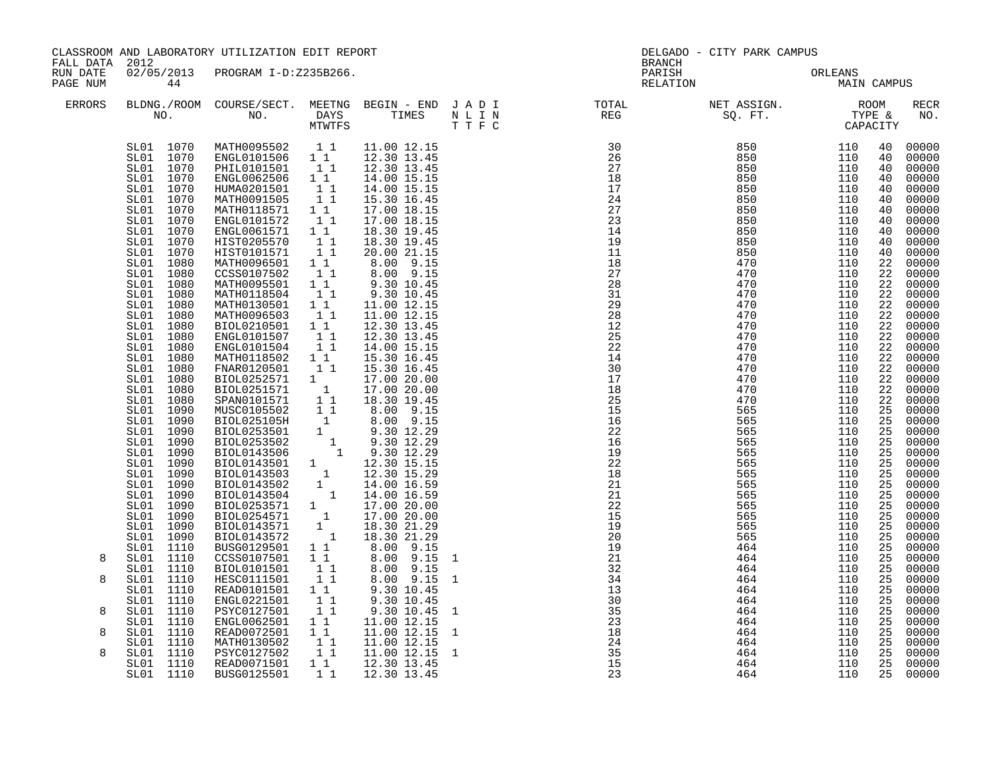|                      | CLASSROOM AND LABORATORY UTILIZATION EDIT REPORT<br>FALL DATA 2012                                                                                                                                                                                                                                                                                                                                                                                                                                                                                                                 |                                                                                                                                                                                                                                                                                                                                                                                                                                                                                                                                                                                                                                                                                                                                                       |                                                                                                                                                                                                                                                                                                        | DELGADO - CITY PARK CAMPUS<br><b>BRANCH</b>                                                                                                                                                                                                                                                                                                                                              |                   |                                                                                      |                                        |         |                                                                                                                                                                                                                                                                                                                                                                                                                                                                                                                                                                                                                                                                 |
|----------------------|------------------------------------------------------------------------------------------------------------------------------------------------------------------------------------------------------------------------------------------------------------------------------------------------------------------------------------------------------------------------------------------------------------------------------------------------------------------------------------------------------------------------------------------------------------------------------------|-------------------------------------------------------------------------------------------------------------------------------------------------------------------------------------------------------------------------------------------------------------------------------------------------------------------------------------------------------------------------------------------------------------------------------------------------------------------------------------------------------------------------------------------------------------------------------------------------------------------------------------------------------------------------------------------------------------------------------------------------------|--------------------------------------------------------------------------------------------------------------------------------------------------------------------------------------------------------------------------------------------------------------------------------------------------------|------------------------------------------------------------------------------------------------------------------------------------------------------------------------------------------------------------------------------------------------------------------------------------------------------------------------------------------------------------------------------------------|-------------------|--------------------------------------------------------------------------------------|----------------------------------------|---------|-----------------------------------------------------------------------------------------------------------------------------------------------------------------------------------------------------------------------------------------------------------------------------------------------------------------------------------------------------------------------------------------------------------------------------------------------------------------------------------------------------------------------------------------------------------------------------------------------------------------------------------------------------------------|
| RUN DATE<br>PAGE NUM | 44                                                                                                                                                                                                                                                                                                                                                                                                                                                                                                                                                                                 | 02/05/2013 PROGRAM I-D:Z235B266.                                                                                                                                                                                                                                                                                                                                                                                                                                                                                                                                                                                                                                                                                                                      |                                                                                                                                                                                                                                                                                                        |                                                                                                                                                                                                                                                                                                                                                                                          |                   | PARISH                                                                               | PARISH ORLEANS<br>RELATION MAIN CAMPUS | ORLEANS |                                                                                                                                                                                                                                                                                                                                                                                                                                                                                                                                                                                                                                                                 |
| ERRORS               |                                                                                                                                                                                                                                                                                                                                                                                                                                                                                                                                                                                    |                                                                                                                                                                                                                                                                                                                                                                                                                                                                                                                                                                                                                                                                                                                                                       |                                                                                                                                                                                                                                                                                                        |                                                                                                                                                                                                                                                                                                                                                                                          |                   |                                                                                      |                                        |         | <b>RECR</b><br>NO.                                                                                                                                                                                                                                                                                                                                                                                                                                                                                                                                                                                                                                              |
| 8<br>8               | SL01 1070<br>SL01 1070<br>SL01 1070<br>SL01 1070<br>SL01 1070<br>SL01 1070<br>SL01 1070<br>SL01 1070<br>SL01 1070<br>SL01 1070<br>SL01 1070<br>SL01 1080<br>SL01 1080<br>SL01 1080<br>SL01 1080<br>1080<br>SL01<br>SL01 1080<br>SL01 1080<br>SL01 1080<br>SL01 1080<br>SL01 1080<br>SL01 1080<br>SL01 1080<br>SL01 1080<br>SL01<br>1080<br>SL01 1090<br>SL01 1090<br>SL01 1090<br>SL01 1090<br>SL01<br>SL01 1090<br>SL01 1090<br>SL01 1090<br>1090<br>SL01<br>SL01<br>1090<br>SL01 1090<br>SL01 1090<br>SL01 1090<br>SL01 1090<br>SL01 1110<br>SL01 1110<br>SL01 1110<br>SL01 1110 | MATH0095502 11<br>ENGL0101506 11<br>PHIL0101501 1 1<br>ENGL0062506<br>HUMA0201501<br>MATH0091505<br>MATH0118571<br>ENGL0101572<br>ENGL0061571<br>HIST0205570<br>HIST0101571<br>MATH0096501<br>CCSS0107502<br>MATH0095501<br>MATH0118504<br>MATH0130501<br>MATH0096503<br>BIOL0210501  1  1<br>ENGL0101507  1  1<br>ENGL0101504<br>MATH0118502<br>FNAR0120501<br>$\begin{tabular}{l c c c} \texttt{FNRR0120501} & 1 & 1 & 15.30 & 16.45 \\ \texttt{BIOL0252571} & 1 & 17.00 & 20.00 \\ \texttt{BIOL0251571} & 1 & 17.00 & 20.00 \\ \texttt{SPAN0101571} & 1 & 18.30 & 19.45 \\ \texttt{MUSC0105502} & 1 & 8.00 & 9.15 \\ \texttt{BIOL025105H} & 8.00 & 9.15 \\ \texttt{BIOL025350$<br>BUSG0129501 1 1<br>CCSS0107501 1 1<br>BIOL0101501<br>HESC0111501 | 11<br>$\begin{array}{ccc} & 1 & 1 \\ & 1 & 1 \end{array}$<br>$1\quad1$<br>$\begin{bmatrix} 1 \\ 1 \end{bmatrix}$<br>$1\quad1$<br>$\begin{bmatrix} 1 \\ 1 \\ 1 \end{bmatrix}$<br>11<br>11<br>$1\quad1$<br>11<br>$1\quad1$<br>11<br>11<br>$1\quad1$<br>11<br>$\begin{bmatrix} 1 \\ 1 \\ 1 \end{bmatrix}$ | 11.00 12.15<br>12.30 13.45<br>12.30 13.45<br>14.00 15.15<br>14.00 15.15<br>15.30 16.45<br>17.00 18.15<br>17.00 18.15<br>18.30 19.45<br>18.30 19.45<br>20.00 21.15<br>8.00 9.15<br>8.00 9.15<br>9.30 10.45<br>9.30 10.45<br>11.00 12.15<br>11.00 12.15<br>12.30 13.45<br>12.30 13.45<br>14.00 15.15<br>15.30 16.45<br>15.30 16.45<br>$8.00 - 9.15$<br>8.00 9.15<br>8.00 9.15<br>8.00 9.15 | 1<br>$\mathbf{1}$ |                                                                                      |                                        |         | 40<br>00000<br>40<br>00000<br>40<br>00000<br>00000<br>40<br>00000<br>40<br>00000<br>40<br>00000<br>40<br>00000<br>40<br>00000<br>40<br>00000<br>40<br>00000<br>40<br>22<br>00000<br>00000<br>22<br>22<br>00000<br>22<br>00000<br>22<br>00000<br>00000<br>22<br>00000<br>22<br>22<br>00000<br>00000<br>22<br>22<br>00000<br>00000<br>22<br>22<br>00000<br>00000<br>22<br>22<br>00000<br>25<br>00000<br>$\overline{25}$<br>00000<br>25<br>00000<br>25<br>00000<br>25<br>00000<br>25<br>00000<br>25<br>00000<br>00000<br>25<br>25<br>00000<br>25<br>00000<br>25<br>00000<br>25<br>00000<br>25<br>00000<br>25<br>00000<br>25<br>00000<br>25<br>00000<br>25<br>00000 |
|                      | SL01 1110<br>SL01 1110                                                                                                                                                                                                                                                                                                                                                                                                                                                                                                                                                             | READ0101501 1 1<br>ENGL0221501                                                                                                                                                                                                                                                                                                                                                                                                                                                                                                                                                                                                                                                                                                                        | 11                                                                                                                                                                                                                                                                                                     | 9.30 10.45<br>9.30 10.45                                                                                                                                                                                                                                                                                                                                                                 |                   |                                                                                      |                                        |         | 00000<br>25<br>25<br>00000                                                                                                                                                                                                                                                                                                                                                                                                                                                                                                                                                                                                                                      |
| 8<br>8               | SL01 1110<br>SL01 1110<br>SL01 1110                                                                                                                                                                                                                                                                                                                                                                                                                                                                                                                                                | PSYC0127501<br>ENGL0062501<br>READ0072501                                                                                                                                                                                                                                                                                                                                                                                                                                                                                                                                                                                                                                                                                                             | 11<br>1 1<br>11                                                                                                                                                                                                                                                                                        | 9.30 10.45<br>11.00 12.15<br>11.00 12.15                                                                                                                                                                                                                                                                                                                                                 | 1<br>$\mathbf{1}$ |                                                                                      |                                        |         | 25<br>00000<br>25<br>00000<br>00000<br>25                                                                                                                                                                                                                                                                                                                                                                                                                                                                                                                                                                                                                       |
| 8                    | SL01 1110<br>SL01 1110<br>SL01 1110<br>SL01 1110                                                                                                                                                                                                                                                                                                                                                                                                                                                                                                                                   | MATH0130502<br>PSYC0127502<br>READ0071501<br>BUSG0125501                                                                                                                                                                                                                                                                                                                                                                                                                                                                                                                                                                                                                                                                                              | $\begin{bmatrix} 1 \\ 1 \\ 1 \end{bmatrix}$<br>11<br>$1\quad1$                                                                                                                                                                                                                                         | 11.00 12.15<br>11.00 12.15<br>12.30 13.45<br>12.30 13.45                                                                                                                                                                                                                                                                                                                                 | $\mathbf{1}$      | $32$<br>$34$<br>$13$<br>$30$<br>$35$<br>$23$<br>$18$<br>$24$<br>$25$<br>$15$<br>$23$ | 464                                    | 110     | 25<br>00000<br>25<br>00000<br>25<br>00000<br>00000<br>25                                                                                                                                                                                                                                                                                                                                                                                                                                                                                                                                                                                                        |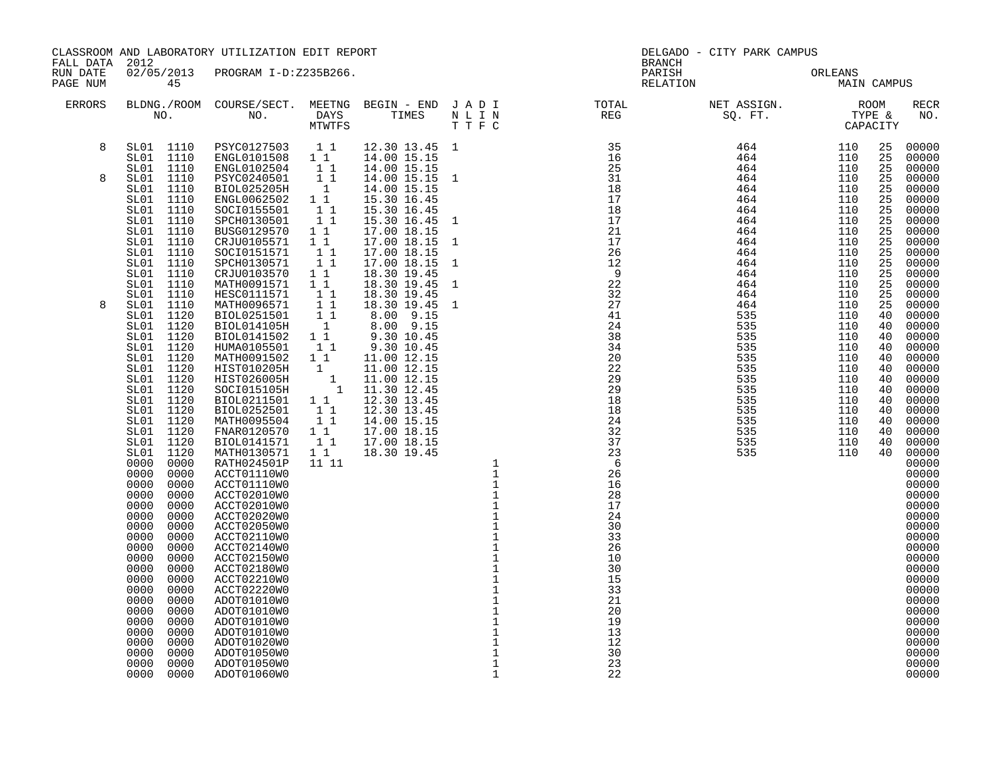| FALL DATA 2012       |                                                                                                                                                                                                                                                                                                              | CLASSROOM AND LABORATORY UTILIZATION EDIT REPORT                                                                                                                                                                                                                                                                                                                                                     |  |  |                                                                                                                                                                                                                                                                                                                                                                                                    |  |  |
|----------------------|--------------------------------------------------------------------------------------------------------------------------------------------------------------------------------------------------------------------------------------------------------------------------------------------------------------|------------------------------------------------------------------------------------------------------------------------------------------------------------------------------------------------------------------------------------------------------------------------------------------------------------------------------------------------------------------------------------------------------|--|--|----------------------------------------------------------------------------------------------------------------------------------------------------------------------------------------------------------------------------------------------------------------------------------------------------------------------------------------------------------------------------------------------------|--|--|
| RUN DATE<br>PAGE NUM | 45                                                                                                                                                                                                                                                                                                           | 02/05/2013 PROGRAM I-D:Z235B266.                                                                                                                                                                                                                                                                                                                                                                     |  |  |                                                                                                                                                                                                                                                                                                                                                                                                    |  |  |
| <b>ERRORS</b>        |                                                                                                                                                                                                                                                                                                              |                                                                                                                                                                                                                                                                                                                                                                                                      |  |  | BLDNG./ROOM COURSE/SECT. MEETNG BEGIN – END JADI TOTAL MET ASSIGN. NET ASSIGN. ROOM NO. NO. DAYS TIMES NLIN REG REG SQ.FT. TYPE & CAPACITY                                                                                                                                                                                                                                                         |  |  |
| 8                    |                                                                                                                                                                                                                                                                                                              |                                                                                                                                                                                                                                                                                                                                                                                                      |  |  |                                                                                                                                                                                                                                                                                                                                                                                                    |  |  |
| 8                    | SL01 1110<br>SL01 1110<br>SL01 1110                                                                                                                                                                                                                                                                          | SL01 1110 PSYC0127503 1 1<br>SL01 1110 ENGL0101508 1 1<br>SL01 1110 ENGL0102504 1 1<br>SL01 1110 PSYC0240501 1 1<br>SL01 1110 BIOL025205H 1<br>SL01 1110 SOC10155501 1 1<br>SL01 1110 SOC10155501 1 1<br>SL01 1110 SOC10156501 1 1<br>SPCH0130501 1 1<br>BUSG0129570 1 1<br>CRJU0105571 1 1                                                                                                          |  |  |                                                                                                                                                                                                                                                                                                                                                                                                    |  |  |
| 8                    | SL01 1110<br>SL01 1110<br>SL01<br>SL01 1110<br>SL01 1110<br>SL01 1110<br>SL01 1110<br>SL01 1120<br>SL01 1120<br>SL01 1120<br>SL01 1120<br>SL01 1120<br>SL01 1120<br>SL01 1120<br>SL01 1120<br>SL01 1120<br>SL01 1120<br>SL01 1120<br>SL01 1120<br>SL01 1120<br>1120<br>SL01<br>0000<br>0000<br>0000<br>0000  | SOCI0151571 1 1<br>SPCH0130571 1 1<br>CRJU0103570 11<br>MATH0091571 11<br>HESC0111571 1<br>MATH0096571 1 1<br>BIOL0251501 1 1<br>BIOL014105H 1<br>BIOL0141502 1 1<br>HUMA0105501 11<br>MATH0091502 11<br>HIST010205H<br>HIST026005H<br>SOCI015105H<br>BIOL0211501 1 1<br>BIOL0252501 11<br>MATH0095504 11<br>FNAR0120570   1   1<br>BIOL0141571   1   1<br>MATH0130571<br>RATH024501P<br>ACCT01110W0 |  |  | $\begin{array}{cccccccccccccccc} \textbf{0.1} & \textbf{0.1} & \textbf{0.1} & \textbf{0.1} & \textbf{0.1} & \textbf{0.1} & \textbf{0.1} & \textbf{0.1} & \textbf{0.1} & \textbf{0.1} & \textbf{0.1} & \textbf{0.1} & \textbf{0.1} & \textbf{0.1} & \textbf{0.1} & \textbf{0.1} & \textbf{0.1} & \textbf{0.1} & \textbf{0.1} & \textbf{0.1} & \textbf{0.1} & \textbf{0.1} & \textbf{0.1} & \textbf$ |  |  |
|                      | 0000<br>0000<br>0000<br>0000<br>0000<br>0000<br>0000<br>0000<br>0000<br>0000<br>0000<br>0000<br>0000<br>0000<br>0000<br>0000<br>0000<br>0000<br>0000<br>0000<br>0000<br>0000<br>0000<br>0000<br>0000<br>0000<br>0000<br>0000<br>0000<br>0000<br>0000<br>0000<br>0000<br>0000<br>0000<br>0000<br>0000<br>0000 | ACCT01110W0<br>ACCT02010W0<br>ACCT02010W0<br>ACCT02020W0<br>ACCT02050W0<br>ACCT02110W0<br>ACCT02140W0<br>ACCT02150W0<br>ACCT02180W0<br>ACCT02210W0<br>ACCT02220W0<br>ADOT01010W0<br>ADOT01010W0<br>ADOT01010W0<br>ADOT01010W0<br>ADOT01020W0<br>ADOT01050W0<br>ADOT01050W0<br>ADOT01060W0                                                                                                            |  |  |                                                                                                                                                                                                                                                                                                                                                                                                    |  |  |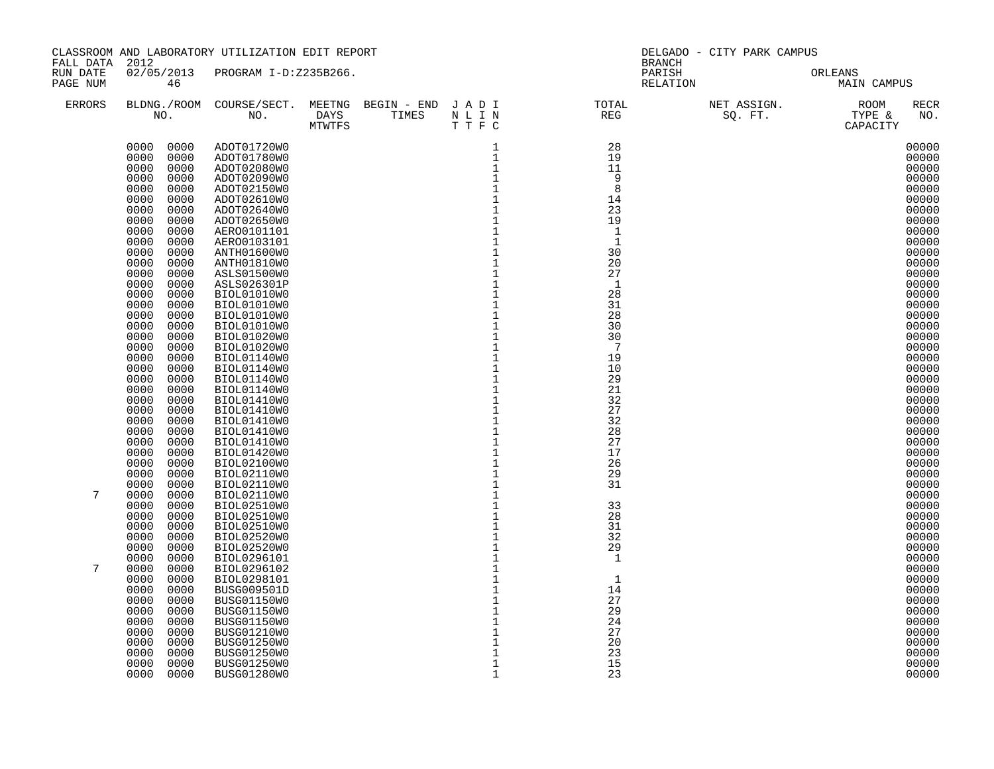| FALL DATA 2012       | CLASSROOM AND LABORATORY UTILIZATION EDIT REPORT |                                  |  |                                |                                               | DELGADO - CITY PARK CAMPUS<br><b>BRANCH</b>                                                                           |  |                        |  |
|----------------------|--------------------------------------------------|----------------------------------|--|--------------------------------|-----------------------------------------------|-----------------------------------------------------------------------------------------------------------------------|--|------------------------|--|
| RUN DATE<br>PAGE NUM | 46                                               | 02/05/2013 PROGRAM I-D:Z235B266. |  |                                |                                               | PARISH<br>RELATION                                                                                                    |  | ORLEANS<br>MAIN CAMPUS |  |
| <b>ERRORS</b>        |                                                  |                                  |  | DAYS TIMES NLIN<br>MTWTFS TTFC |                                               | BLDNG./ROOM COURSE/SECT. MEETNG BEGIN – END JADI TOTAL NET ASSIGN. NON NO. NO. DAYS TIMES NLIN REG REG SQ. FT. TYPE & |  | <b>RECR</b><br>NO.     |  |
|                      | 0000 0000                                        | ADOT01720W0                      |  |                                | 1                                             | 28                                                                                                                    |  | 00000                  |  |
|                      | 0000<br>0000                                     | ADOT01780W0                      |  |                                | $\mathbf{1}$                                  | 19                                                                                                                    |  | 00000                  |  |
|                      | 0000<br>0000                                     | ADOT02080W0                      |  |                                | $\mathbf{1}$                                  | 11                                                                                                                    |  | 00000                  |  |
|                      | 0000<br>0000                                     | ADOT02090W0                      |  |                                | $1\,$                                         | - 9                                                                                                                   |  | 00000                  |  |
|                      | 0000<br>0000<br>0000<br>0000                     | ADOT02150W0<br>ADOT02610W0       |  |                                | $\,1\,$<br>$\mathbf 1$                        | 8<br>14                                                                                                               |  | 00000<br>00000         |  |
|                      | 0000<br>0000                                     | ADOT02640W0                      |  |                                | $\mathbf{1}$                                  | 23                                                                                                                    |  | 00000                  |  |
|                      | 0000<br>0000                                     | ADOT02650W0                      |  |                                | $\mathbf 1$                                   | 19                                                                                                                    |  | 00000                  |  |
|                      | 0000<br>0000                                     | AER00101101                      |  |                                | $\mathbf 1$                                   | $\mathbf{1}$                                                                                                          |  | 00000                  |  |
|                      | 0000<br>0000                                     | AERO0103101                      |  |                                | $\mathbf 1$                                   | $\mathbf{1}$                                                                                                          |  | 00000                  |  |
|                      | 0000<br>0000                                     | ANTH01600W0                      |  |                                | $1\,$                                         | 30                                                                                                                    |  | 00000                  |  |
|                      | 0000<br>0000                                     | ANTH01810W0                      |  |                                | $\ensuremath{\mathsf{1}}$                     | 20                                                                                                                    |  | 00000                  |  |
|                      | 0000<br>0000<br>0000<br>0000                     | ASLS01500W0<br>ASLS026301P       |  |                                | $\mathbf{1}$<br>$\mathbf 1$                   | 27<br>$\mathbf{1}$                                                                                                    |  | 00000<br>00000         |  |
|                      | 0000<br>0000                                     | BIOL01010W0                      |  |                                | $\mathbf{1}$                                  | 28                                                                                                                    |  | 00000                  |  |
|                      | 0000<br>0000                                     | BIOL01010W0                      |  |                                | $1\,$                                         | 31                                                                                                                    |  | 00000                  |  |
|                      | 0000<br>0000                                     | BIOL01010W0                      |  |                                | $1\,$                                         | 28                                                                                                                    |  | 00000                  |  |
|                      | 0000<br>0000                                     | BIOL01010W0                      |  |                                | $\frac{1}{1}$                                 | 30                                                                                                                    |  | 00000                  |  |
|                      | 0000<br>0000                                     | BIOL01020W0                      |  |                                |                                               | 30                                                                                                                    |  | 00000                  |  |
|                      | 0000<br>0000                                     | BIOL01020W0                      |  |                                | $\mathbf{1}$                                  | 7                                                                                                                     |  | 00000                  |  |
|                      | 0000<br>0000<br>0000<br>0000                     | BIOL01140W0<br>BIOL01140W0       |  |                                | $1\,$<br>$\mathbf 1$                          | 19<br>10                                                                                                              |  | 00000<br>00000         |  |
|                      | 0000<br>0000                                     | BIOL01140W0                      |  |                                | $\mathbf{1}$                                  | 29                                                                                                                    |  | 00000                  |  |
|                      | 0000<br>0000                                     | BIOL01140W0                      |  |                                | $\overline{1}$                                | 21                                                                                                                    |  | 00000                  |  |
|                      | 0000<br>0000                                     | BIOL01410W0                      |  |                                | $\mathbf 1$                                   | 32                                                                                                                    |  | 00000                  |  |
|                      | 0000<br>0000                                     | BIOL01410W0                      |  |                                | $\overline{1}$<br>$1$                         | 27                                                                                                                    |  | 00000                  |  |
|                      | 0000<br>0000                                     | BIOL01410W0                      |  |                                |                                               | 32                                                                                                                    |  | 00000                  |  |
|                      | 0000<br>0000                                     | BIOL01410W0                      |  |                                | $1\,$                                         | 28                                                                                                                    |  | 00000                  |  |
|                      | 0000<br>0000<br>0000<br>0000                     | BIOL01410W0<br>BIOL01420W0       |  |                                | $\mathbf 1$                                   | 27<br>17                                                                                                              |  | 00000<br>00000         |  |
|                      | 0000<br>0000                                     | BIOL02100W0                      |  |                                | $\begin{smallmatrix}1\\1\\1\end{smallmatrix}$ | 26                                                                                                                    |  | 00000                  |  |
|                      | 0000<br>0000                                     | BIOL02110W0                      |  |                                | $\mathbf 1$                                   | 29                                                                                                                    |  | 00000                  |  |
|                      | 0000<br>0000                                     | BIOL02110W0                      |  |                                | $\mathbf 1$                                   | 31                                                                                                                    |  | 00000                  |  |
| 7                    | 0000<br>0000                                     | BIOL02110W0                      |  |                                | $\mathbf 1$                                   |                                                                                                                       |  | 00000                  |  |
|                      | 0000<br>0000                                     | BIOL02510W0                      |  |                                | $\mathbf 1$                                   | 33                                                                                                                    |  | 00000                  |  |
|                      | 0000<br>0000<br>0000<br>0000                     | BIOL02510W0                      |  |                                | $\mathbf{1}$<br>$1\,$                         | 28<br>31                                                                                                              |  | 00000<br>00000         |  |
|                      | 0000<br>0000                                     | BIOL02510W0<br>BIOL02520W0       |  |                                | $\mathbf 1$                                   | 32                                                                                                                    |  | 00000                  |  |
|                      | 0000<br>0000                                     | BIOL02520W0                      |  |                                | $\mathbf 1$                                   | 29                                                                                                                    |  | 00000                  |  |
|                      | 0000<br>0000                                     | BIOL0296101                      |  |                                | $1\,$                                         | 1                                                                                                                     |  | 00000                  |  |
| 7                    | 0000<br>0000                                     | BIOL0296102                      |  |                                | $\mathbf{1}$                                  |                                                                                                                       |  | 00000                  |  |
|                      | 0000<br>0000                                     | BIOL0298101                      |  |                                | $\mathbf 1$                                   | $\mathbf{1}$                                                                                                          |  | 00000                  |  |
|                      | 0000<br>0000                                     | BUSG009501D                      |  |                                | $1\,$                                         | 14                                                                                                                    |  | 00000                  |  |
|                      | 0000<br>0000<br>0000<br>0000                     | BUSG01150W0                      |  |                                | $\mathbf{1}$<br>$\mathbf{1}$                  | 27<br>29                                                                                                              |  | 00000<br>00000         |  |
|                      | 0000<br>0000                                     | BUSG01150W0<br>BUSG01150W0       |  |                                | $\mathbf 1$                                   | 24                                                                                                                    |  | 00000                  |  |
|                      | 0000<br>0000                                     | BUSG01210W0                      |  |                                | $\overline{1}$                                | 27                                                                                                                    |  | 00000                  |  |
|                      | 0000<br>0000                                     | BUSG01250W0                      |  |                                | $\mathbf 1$                                   | 20                                                                                                                    |  | 00000                  |  |
|                      | 0000<br>0000                                     | BUSG01250W0                      |  |                                | $\mathbf 1$                                   | 23                                                                                                                    |  | 00000                  |  |
|                      | 0000<br>0000                                     | BUSG01250W0                      |  |                                | $\mathbf{1}$                                  | 15                                                                                                                    |  | 00000                  |  |
|                      | 0000<br>0000                                     | BUSG01280W0                      |  |                                | $\mathbf 1$                                   | 23                                                                                                                    |  | 00000                  |  |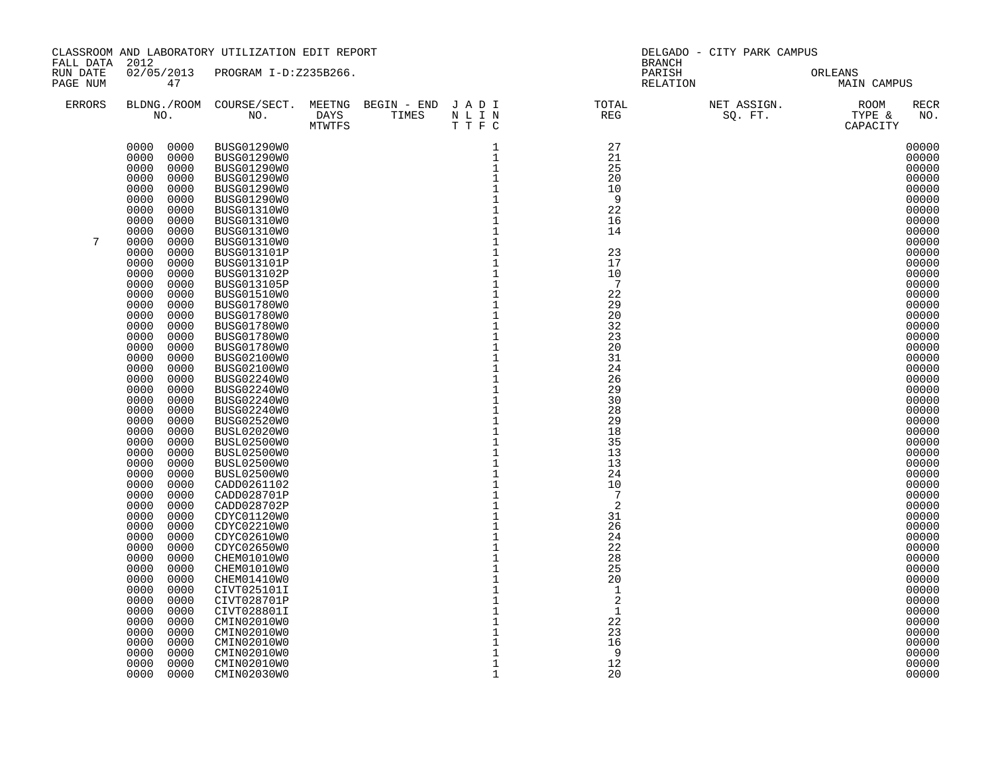| FALL DATA 2012       | CLASSROOM AND LABORATORY UTILIZATION EDIT REPORT |                                   |  |                                |                            | DELGADO - CITY PARK CAMPUS<br><b>BRANCH</b> |                    |                        |  |
|----------------------|--------------------------------------------------|-----------------------------------|--|--------------------------------|----------------------------|---------------------------------------------|--------------------|------------------------|--|
| RUN DATE<br>PAGE NUM | 47                                               | 02/05/2013 PROGRAM I-D:Z235B266.  |  |                                |                            |                                             | PARISH<br>RELATION | ORLEANS<br>MAIN CAMPUS |  |
| <b>ERRORS</b>        |                                                  |                                   |  | DAYS TIMES NLIN<br>MTWTFS TTFC |                            |                                             |                    | <b>RECR</b><br>NO.     |  |
|                      | 0000 0000                                        | BUSG01290W0                       |  |                                |                            | 27                                          |                    | 00000                  |  |
|                      | 0000<br>0000                                     | BUSG01290W0                       |  |                                |                            | 21                                          |                    | 00000                  |  |
|                      | 0000<br>0000                                     | BUSG01290W0                       |  |                                |                            | 25                                          |                    | 00000                  |  |
|                      | 0000<br>0000<br>0000<br>0000                     | BUSG01290W0<br>BUSG01290W0        |  |                                |                            | 20<br>10                                    |                    | 00000<br>00000         |  |
|                      | 0000<br>0000                                     | BUSG01290W0                       |  |                                |                            | - 9                                         |                    | 00000                  |  |
|                      | 0000<br>0000                                     | BUSG01310W0                       |  |                                |                            | 22                                          |                    | 00000                  |  |
|                      | 0000<br>0000                                     | BUSG01310W0                       |  |                                |                            | 16                                          |                    | 00000                  |  |
|                      | 0000<br>0000                                     | BUSG01310W0                       |  |                                |                            | 14                                          |                    | 00000                  |  |
| 7                    | 0000<br>0000                                     | BUSG01310W0                       |  |                                |                            |                                             |                    | 00000                  |  |
|                      | 0000<br>0000<br>0000<br>0000                     | BUSG013101P<br>BUSG013101P        |  |                                |                            | 23<br>17                                    |                    | 00000<br>00000         |  |
|                      | 0000<br>0000                                     | BUSG013102P                       |  |                                |                            | 10                                          |                    | 00000                  |  |
|                      | 0000<br>0000                                     | BUSG013105P                       |  |                                |                            | 7                                           |                    | 00000                  |  |
|                      | 0000<br>0000                                     | BUSG01510W0                       |  |                                |                            | 22                                          |                    | 00000                  |  |
|                      | 0000<br>0000                                     | BUSG01780W0                       |  |                                |                            | 29                                          |                    | 00000                  |  |
|                      | 0000<br>0000                                     | BUSG01780W0                       |  |                                |                            | 20                                          |                    | 00000                  |  |
|                      | 0000<br>0000<br>0000<br>0000                     | BUSG01780W0<br>BUSG01780W0        |  |                                |                            | 32<br>23                                    |                    | 00000<br>00000         |  |
|                      | 0000<br>0000                                     | BUSG01780W0                       |  |                                |                            | 20                                          |                    | 00000                  |  |
|                      | 0000<br>0000                                     | BUSG02100W0                       |  |                                |                            | 31                                          |                    | 00000                  |  |
|                      | 0000<br>0000                                     | BUSG02100W0                       |  |                                |                            | 24                                          |                    | 00000                  |  |
|                      | 0000<br>0000                                     | BUSG02240W0                       |  |                                |                            | 26                                          |                    | 00000                  |  |
|                      | 0000<br>0000<br>0000<br>0000                     | BUSG02240W0<br>BUSG02240W0        |  |                                |                            | 29<br>30                                    |                    | 00000<br>00000         |  |
|                      | 0000<br>0000                                     | BUSG02240W0                       |  |                                |                            | 28                                          |                    | 00000                  |  |
|                      | 0000<br>0000                                     | BUSG02520W0                       |  |                                |                            | 29                                          |                    | 00000                  |  |
|                      | 0000<br>0000                                     | BUSL02020W0                       |  |                                |                            | 18                                          |                    | 00000                  |  |
|                      | 0000<br>0000                                     | <b>BUSL02500W0</b>                |  |                                |                            | 35                                          |                    | 00000                  |  |
|                      | 0000<br>0000                                     | BUSL02500W0                       |  |                                |                            | 13<br>13                                    |                    | 00000                  |  |
|                      | 0000<br>0000<br>0000<br>0000                     | <b>BUSL02500W0</b><br>BUSL02500W0 |  |                                |                            | 24                                          |                    | 00000<br>00000         |  |
|                      | 0000<br>0000                                     | CADD0261102                       |  |                                |                            | 10                                          |                    | 00000                  |  |
|                      | 0000<br>0000                                     | CADD028701P                       |  |                                |                            | 7                                           |                    | 00000                  |  |
|                      | 0000<br>0000                                     | CADD028702P                       |  |                                |                            | 2                                           |                    | 00000                  |  |
|                      | 0000<br>0000                                     | CDYC01120W0                       |  |                                |                            | 31                                          |                    | 00000                  |  |
|                      | 0000<br>0000<br>0000<br>0000                     | CDYC02210W0<br>CDYC02610W0        |  |                                |                            | 26<br>24                                    |                    | 00000<br>00000         |  |
|                      | 0000<br>0000                                     | CDYC02650W0                       |  |                                |                            | 22                                          |                    | 00000                  |  |
|                      | 0000<br>0000                                     | CHEM01010W0                       |  |                                |                            | 28                                          |                    | 00000                  |  |
|                      | 0000<br>0000                                     | CHEM01010W0                       |  |                                |                            | 25                                          |                    | 00000                  |  |
|                      | 0000<br>0000                                     | CHEM01410W0                       |  |                                |                            | 20                                          |                    | 00000                  |  |
|                      | 0000<br>0000<br>0000                             | CIVT025101I                       |  |                                |                            | 1<br>$\overline{c}$                         |                    | 00000                  |  |
|                      | 0000<br>0000<br>0000                             | CIVT028701P<br>CIVT028801I        |  |                                |                            | $\mathbf{1}$                                |                    | 00000<br>00000         |  |
|                      | 0000<br>0000                                     | CMIN02010W0                       |  |                                |                            | 22                                          |                    | 00000                  |  |
|                      | 0000<br>0000                                     | CMIN02010W0                       |  |                                |                            | 23                                          |                    | 00000                  |  |
|                      | 0000<br>0000                                     | CMIN02010W0                       |  |                                |                            | 16                                          |                    | 00000                  |  |
|                      | 0000<br>0000                                     | CMIN02010W0                       |  |                                |                            | 9                                           |                    | 00000                  |  |
|                      | 0000<br>0000<br>0000<br>0000                     | CMIN02010W0<br>CMIN02030W0        |  |                                | $\mathbf 1$<br>$\mathbf 1$ | 12<br>20                                    |                    | 00000<br>00000         |  |
|                      |                                                  |                                   |  |                                |                            |                                             |                    |                        |  |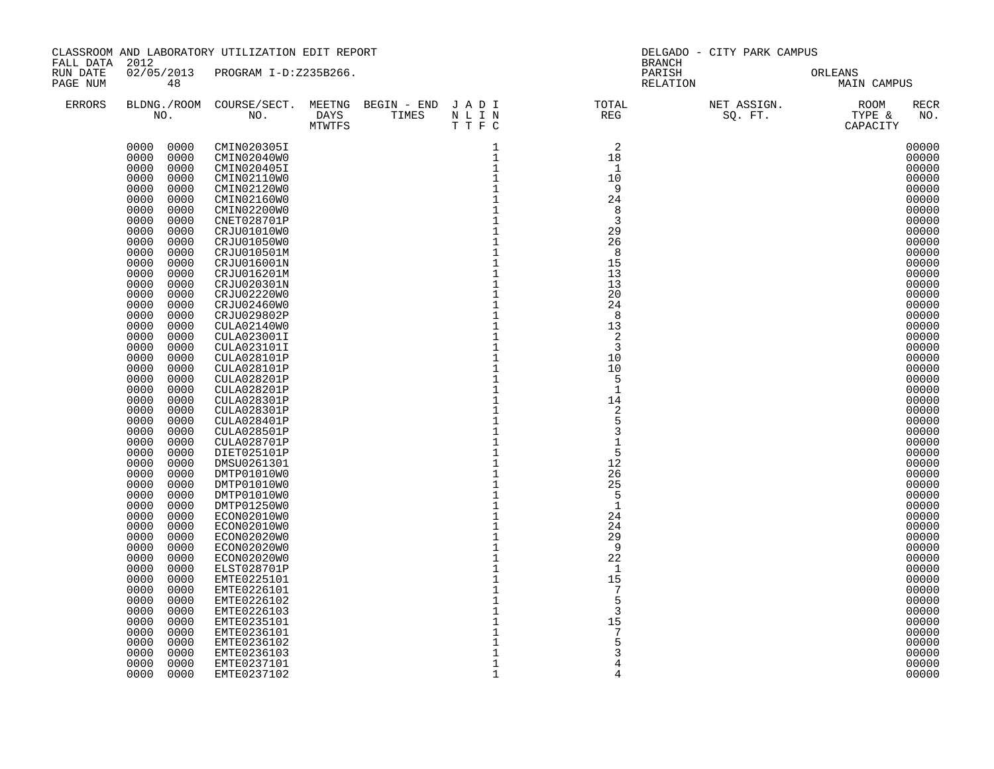| RUN DATE<br>02/05/2013 PROGRAM I-D:Z235B266.<br>PARISH<br>ORLEANS<br>48<br>RELATION<br>PAGE NUM<br>MAIN CAMPUS<br>BLDNG./ROOM COURSE/SECT. MEETNG BEGIN – END JADI TOTAL NET ASSIGN. NET ASSIGN. ROOM NO. DAYS TIMES NLIN REG SQ.FT. TYPE &<br><b>RECR</b><br><b>ERRORS</b><br>DAYS TIMES NLIN<br>MTWTFS TTFC<br>NO.<br>$\overline{2}$<br>0000 0000<br>CMIN020305I<br>1<br>00000<br>1<br>0000<br>0000<br>18<br>CMIN02040W0<br>00000<br>0000<br>0000<br>$\mathbf{1}$<br>$\overline{1}$<br>00000<br>CMIN020405I<br>0000<br>0000<br>1<br>10<br>00000<br>CMIN02110W0<br>$\mathbf{1}$<br>0000<br>0000<br>9<br>00000<br>CMIN02120W0<br>$1\,$<br>24<br>0000<br>0000<br>00000<br>CMIN02160W0<br>$\mathbf{1}$<br>00000<br>0000<br>0000<br>CMIN02200W0<br>-8<br>$\mathbf{1}$<br>0000<br>0000<br>CNET028701P<br>3<br>00000<br>$\mathbf{1}$<br>0000<br>0000<br>29<br>CRJU01010W0<br>00000<br>$\frac{1}{1}$<br>0000<br>0000<br>26<br>00000<br>CRJU01050W0<br>0000<br>8<br>00000<br>0000<br>CRJU010501M<br>$\overline{1}$<br>0000<br>0000<br>15<br>00000<br>CRJU016001N<br>$\mathbf{1}$<br>0000<br>0000<br>13<br>00000<br>CRJU016201M<br>$\overline{1}$<br>0000<br>0000<br>CRJU020301N<br>13<br>00000<br>$\mathbf 1$<br>0000<br>0000<br>20<br>00000<br>CRJU02220W0<br>$\overline{1}$<br>0000<br>0000<br>CRJU02460W0<br>24<br>00000<br>$\mathbf 1$<br>8<br>0000<br>0000<br>CRJU029802P<br>00000<br>$\frac{1}{1}$<br>0000<br>0000<br>CULA02140W0<br>13<br>00000<br>0000<br>2<br>00000<br>0000<br>CULA023001I<br>$1\,$<br>$\overline{3}$<br>00000<br>0000<br>0000<br>CULA023101I<br>$\,1\,$<br>0000<br>0000<br>CULA028101P<br>10<br>00000<br>$\mathbf 1$<br>0000<br>0000<br>10<br>00000<br>CULA028101P<br>$\mathbf 1$<br>5<br>0000<br>0000<br>00000<br><b>CULA028201P</b><br>$\mathbf 1$<br>$\mathbf{1}$<br>0000<br>00000<br>0000<br><b>CULA028201P</b><br>$\mathbf 1$<br>0000<br>0000<br>14<br>00000<br>CULA028301P<br>$\begin{smallmatrix}1\\1\end{smallmatrix}$<br>0000<br>0000<br>2<br>00000<br>CULA028301P<br>0000<br>0000<br>00000<br>CULA028401P<br>$\mathbf 1$<br>0000<br>0000<br>3<br>00000<br><b>CULA028501P</b><br>$\mathbf 1$<br>0000<br>0000<br>1<br>00000<br>CULA028701P<br>$\frac{1}{1}$<br>5<br>0000<br>0000<br>00000<br>DIET025101P<br>12<br>0000<br>0000<br>00000<br>DMSU0261301<br>$\mathbf{1}$<br>0000<br>0000<br>26<br>00000<br>DMTP01010W0<br>$\mathbf{1}$<br>0000<br>25<br>0000<br>00000<br>DMTP01010W0<br>$\mathbf{1}$<br>0000<br>0000<br>- 5<br>00000<br>DMTP01010W0<br>$\mathbf 1$<br>0000<br>1<br>0000<br>DMTP01250W0<br>00000<br>$\mathbf 1$<br>0000<br>0000<br>ECON02010W0<br>24<br>00000<br>$1\,$<br>0000<br>0000<br>24<br>00000<br>ECON02010W0<br>$\mathbf 1$<br>0000<br>0000<br>ECON02020W0<br>29<br>00000<br>$\overline{1}$<br>$1$<br>0000<br>0000<br>9<br>ECON02020W0<br>00000<br>22<br>0000<br>0000<br>ECON02020W0<br>00000<br>$\mathbf{1}$<br>0000<br>0000<br>ELST028701P<br>$\mathbf{1}$<br>00000<br>$\mathbf 1$<br>0000<br>0000<br>15<br>00000<br>EMTE0225101<br>$\overline{1}$<br>$1$<br>7<br>0000<br>0000<br>00000<br>EMTE0226101<br>5<br>0000<br>0000<br>EMTE0226102<br>00000<br>$\mathbf 1$<br>0000<br>0000<br>3<br>00000<br>EMTE0226103<br>$\overline{1}$<br>0000<br>0000<br>EMTE0235101<br>15<br>00000<br>$\mathbf 1$<br>$\overline{7}$<br>0000<br>0000<br>EMTE0236101<br>00000<br>$\mathbf 1$<br>5<br>0000<br>0000<br>EMTE0236102<br>00000<br>$\mathbf{1}$<br>0000<br>0000<br>3<br>00000<br>EMTE0236103<br>$\mathbf{1}$<br>0000<br>0000<br>EMTE0237101<br>$\overline{4}$<br>00000<br>$\mathbf 1$<br>0000<br>4 | FALL DATA 2012 |      | CLASSROOM AND LABORATORY UTILIZATION EDIT REPORT |  | DELGADO - CITY PARK CAMPUS<br>BRANCH |  |       |  |
|-------------------------------------------------------------------------------------------------------------------------------------------------------------------------------------------------------------------------------------------------------------------------------------------------------------------------------------------------------------------------------------------------------------------------------------------------------------------------------------------------------------------------------------------------------------------------------------------------------------------------------------------------------------------------------------------------------------------------------------------------------------------------------------------------------------------------------------------------------------------------------------------------------------------------------------------------------------------------------------------------------------------------------------------------------------------------------------------------------------------------------------------------------------------------------------------------------------------------------------------------------------------------------------------------------------------------------------------------------------------------------------------------------------------------------------------------------------------------------------------------------------------------------------------------------------------------------------------------------------------------------------------------------------------------------------------------------------------------------------------------------------------------------------------------------------------------------------------------------------------------------------------------------------------------------------------------------------------------------------------------------------------------------------------------------------------------------------------------------------------------------------------------------------------------------------------------------------------------------------------------------------------------------------------------------------------------------------------------------------------------------------------------------------------------------------------------------------------------------------------------------------------------------------------------------------------------------------------------------------------------------------------------------------------------------------------------------------------------------------------------------------------------------------------------------------------------------------------------------------------------------------------------------------------------------------------------------------------------------------------------------------------------------------------------------------------------------------------------------------------------------------------------------------------------------------------------------------------------------------------------------------------------------------------------------------------------------------------------------------------------------------------------------------------------------------------------------------------------------------------------------------------------------------------|----------------|------|--------------------------------------------------|--|--------------------------------------|--|-------|--|
|                                                                                                                                                                                                                                                                                                                                                                                                                                                                                                                                                                                                                                                                                                                                                                                                                                                                                                                                                                                                                                                                                                                                                                                                                                                                                                                                                                                                                                                                                                                                                                                                                                                                                                                                                                                                                                                                                                                                                                                                                                                                                                                                                                                                                                                                                                                                                                                                                                                                                                                                                                                                                                                                                                                                                                                                                                                                                                                                                                                                                                                                                                                                                                                                                                                                                                                                                                                                                                                                                                                                           |                |      |                                                  |  |                                      |  |       |  |
|                                                                                                                                                                                                                                                                                                                                                                                                                                                                                                                                                                                                                                                                                                                                                                                                                                                                                                                                                                                                                                                                                                                                                                                                                                                                                                                                                                                                                                                                                                                                                                                                                                                                                                                                                                                                                                                                                                                                                                                                                                                                                                                                                                                                                                                                                                                                                                                                                                                                                                                                                                                                                                                                                                                                                                                                                                                                                                                                                                                                                                                                                                                                                                                                                                                                                                                                                                                                                                                                                                                                           |                |      |                                                  |  |                                      |  |       |  |
|                                                                                                                                                                                                                                                                                                                                                                                                                                                                                                                                                                                                                                                                                                                                                                                                                                                                                                                                                                                                                                                                                                                                                                                                                                                                                                                                                                                                                                                                                                                                                                                                                                                                                                                                                                                                                                                                                                                                                                                                                                                                                                                                                                                                                                                                                                                                                                                                                                                                                                                                                                                                                                                                                                                                                                                                                                                                                                                                                                                                                                                                                                                                                                                                                                                                                                                                                                                                                                                                                                                                           |                |      |                                                  |  |                                      |  |       |  |
|                                                                                                                                                                                                                                                                                                                                                                                                                                                                                                                                                                                                                                                                                                                                                                                                                                                                                                                                                                                                                                                                                                                                                                                                                                                                                                                                                                                                                                                                                                                                                                                                                                                                                                                                                                                                                                                                                                                                                                                                                                                                                                                                                                                                                                                                                                                                                                                                                                                                                                                                                                                                                                                                                                                                                                                                                                                                                                                                                                                                                                                                                                                                                                                                                                                                                                                                                                                                                                                                                                                                           |                |      |                                                  |  |                                      |  |       |  |
|                                                                                                                                                                                                                                                                                                                                                                                                                                                                                                                                                                                                                                                                                                                                                                                                                                                                                                                                                                                                                                                                                                                                                                                                                                                                                                                                                                                                                                                                                                                                                                                                                                                                                                                                                                                                                                                                                                                                                                                                                                                                                                                                                                                                                                                                                                                                                                                                                                                                                                                                                                                                                                                                                                                                                                                                                                                                                                                                                                                                                                                                                                                                                                                                                                                                                                                                                                                                                                                                                                                                           |                |      |                                                  |  |                                      |  |       |  |
|                                                                                                                                                                                                                                                                                                                                                                                                                                                                                                                                                                                                                                                                                                                                                                                                                                                                                                                                                                                                                                                                                                                                                                                                                                                                                                                                                                                                                                                                                                                                                                                                                                                                                                                                                                                                                                                                                                                                                                                                                                                                                                                                                                                                                                                                                                                                                                                                                                                                                                                                                                                                                                                                                                                                                                                                                                                                                                                                                                                                                                                                                                                                                                                                                                                                                                                                                                                                                                                                                                                                           |                |      |                                                  |  |                                      |  |       |  |
|                                                                                                                                                                                                                                                                                                                                                                                                                                                                                                                                                                                                                                                                                                                                                                                                                                                                                                                                                                                                                                                                                                                                                                                                                                                                                                                                                                                                                                                                                                                                                                                                                                                                                                                                                                                                                                                                                                                                                                                                                                                                                                                                                                                                                                                                                                                                                                                                                                                                                                                                                                                                                                                                                                                                                                                                                                                                                                                                                                                                                                                                                                                                                                                                                                                                                                                                                                                                                                                                                                                                           |                |      |                                                  |  |                                      |  |       |  |
|                                                                                                                                                                                                                                                                                                                                                                                                                                                                                                                                                                                                                                                                                                                                                                                                                                                                                                                                                                                                                                                                                                                                                                                                                                                                                                                                                                                                                                                                                                                                                                                                                                                                                                                                                                                                                                                                                                                                                                                                                                                                                                                                                                                                                                                                                                                                                                                                                                                                                                                                                                                                                                                                                                                                                                                                                                                                                                                                                                                                                                                                                                                                                                                                                                                                                                                                                                                                                                                                                                                                           |                |      |                                                  |  |                                      |  |       |  |
|                                                                                                                                                                                                                                                                                                                                                                                                                                                                                                                                                                                                                                                                                                                                                                                                                                                                                                                                                                                                                                                                                                                                                                                                                                                                                                                                                                                                                                                                                                                                                                                                                                                                                                                                                                                                                                                                                                                                                                                                                                                                                                                                                                                                                                                                                                                                                                                                                                                                                                                                                                                                                                                                                                                                                                                                                                                                                                                                                                                                                                                                                                                                                                                                                                                                                                                                                                                                                                                                                                                                           |                |      |                                                  |  |                                      |  |       |  |
|                                                                                                                                                                                                                                                                                                                                                                                                                                                                                                                                                                                                                                                                                                                                                                                                                                                                                                                                                                                                                                                                                                                                                                                                                                                                                                                                                                                                                                                                                                                                                                                                                                                                                                                                                                                                                                                                                                                                                                                                                                                                                                                                                                                                                                                                                                                                                                                                                                                                                                                                                                                                                                                                                                                                                                                                                                                                                                                                                                                                                                                                                                                                                                                                                                                                                                                                                                                                                                                                                                                                           |                |      |                                                  |  |                                      |  |       |  |
|                                                                                                                                                                                                                                                                                                                                                                                                                                                                                                                                                                                                                                                                                                                                                                                                                                                                                                                                                                                                                                                                                                                                                                                                                                                                                                                                                                                                                                                                                                                                                                                                                                                                                                                                                                                                                                                                                                                                                                                                                                                                                                                                                                                                                                                                                                                                                                                                                                                                                                                                                                                                                                                                                                                                                                                                                                                                                                                                                                                                                                                                                                                                                                                                                                                                                                                                                                                                                                                                                                                                           |                |      |                                                  |  |                                      |  |       |  |
|                                                                                                                                                                                                                                                                                                                                                                                                                                                                                                                                                                                                                                                                                                                                                                                                                                                                                                                                                                                                                                                                                                                                                                                                                                                                                                                                                                                                                                                                                                                                                                                                                                                                                                                                                                                                                                                                                                                                                                                                                                                                                                                                                                                                                                                                                                                                                                                                                                                                                                                                                                                                                                                                                                                                                                                                                                                                                                                                                                                                                                                                                                                                                                                                                                                                                                                                                                                                                                                                                                                                           |                |      |                                                  |  |                                      |  |       |  |
|                                                                                                                                                                                                                                                                                                                                                                                                                                                                                                                                                                                                                                                                                                                                                                                                                                                                                                                                                                                                                                                                                                                                                                                                                                                                                                                                                                                                                                                                                                                                                                                                                                                                                                                                                                                                                                                                                                                                                                                                                                                                                                                                                                                                                                                                                                                                                                                                                                                                                                                                                                                                                                                                                                                                                                                                                                                                                                                                                                                                                                                                                                                                                                                                                                                                                                                                                                                                                                                                                                                                           |                |      |                                                  |  |                                      |  |       |  |
|                                                                                                                                                                                                                                                                                                                                                                                                                                                                                                                                                                                                                                                                                                                                                                                                                                                                                                                                                                                                                                                                                                                                                                                                                                                                                                                                                                                                                                                                                                                                                                                                                                                                                                                                                                                                                                                                                                                                                                                                                                                                                                                                                                                                                                                                                                                                                                                                                                                                                                                                                                                                                                                                                                                                                                                                                                                                                                                                                                                                                                                                                                                                                                                                                                                                                                                                                                                                                                                                                                                                           |                |      |                                                  |  |                                      |  |       |  |
|                                                                                                                                                                                                                                                                                                                                                                                                                                                                                                                                                                                                                                                                                                                                                                                                                                                                                                                                                                                                                                                                                                                                                                                                                                                                                                                                                                                                                                                                                                                                                                                                                                                                                                                                                                                                                                                                                                                                                                                                                                                                                                                                                                                                                                                                                                                                                                                                                                                                                                                                                                                                                                                                                                                                                                                                                                                                                                                                                                                                                                                                                                                                                                                                                                                                                                                                                                                                                                                                                                                                           |                |      |                                                  |  |                                      |  |       |  |
|                                                                                                                                                                                                                                                                                                                                                                                                                                                                                                                                                                                                                                                                                                                                                                                                                                                                                                                                                                                                                                                                                                                                                                                                                                                                                                                                                                                                                                                                                                                                                                                                                                                                                                                                                                                                                                                                                                                                                                                                                                                                                                                                                                                                                                                                                                                                                                                                                                                                                                                                                                                                                                                                                                                                                                                                                                                                                                                                                                                                                                                                                                                                                                                                                                                                                                                                                                                                                                                                                                                                           |                |      |                                                  |  |                                      |  |       |  |
|                                                                                                                                                                                                                                                                                                                                                                                                                                                                                                                                                                                                                                                                                                                                                                                                                                                                                                                                                                                                                                                                                                                                                                                                                                                                                                                                                                                                                                                                                                                                                                                                                                                                                                                                                                                                                                                                                                                                                                                                                                                                                                                                                                                                                                                                                                                                                                                                                                                                                                                                                                                                                                                                                                                                                                                                                                                                                                                                                                                                                                                                                                                                                                                                                                                                                                                                                                                                                                                                                                                                           |                |      |                                                  |  |                                      |  |       |  |
|                                                                                                                                                                                                                                                                                                                                                                                                                                                                                                                                                                                                                                                                                                                                                                                                                                                                                                                                                                                                                                                                                                                                                                                                                                                                                                                                                                                                                                                                                                                                                                                                                                                                                                                                                                                                                                                                                                                                                                                                                                                                                                                                                                                                                                                                                                                                                                                                                                                                                                                                                                                                                                                                                                                                                                                                                                                                                                                                                                                                                                                                                                                                                                                                                                                                                                                                                                                                                                                                                                                                           |                |      |                                                  |  |                                      |  |       |  |
|                                                                                                                                                                                                                                                                                                                                                                                                                                                                                                                                                                                                                                                                                                                                                                                                                                                                                                                                                                                                                                                                                                                                                                                                                                                                                                                                                                                                                                                                                                                                                                                                                                                                                                                                                                                                                                                                                                                                                                                                                                                                                                                                                                                                                                                                                                                                                                                                                                                                                                                                                                                                                                                                                                                                                                                                                                                                                                                                                                                                                                                                                                                                                                                                                                                                                                                                                                                                                                                                                                                                           |                |      |                                                  |  |                                      |  |       |  |
|                                                                                                                                                                                                                                                                                                                                                                                                                                                                                                                                                                                                                                                                                                                                                                                                                                                                                                                                                                                                                                                                                                                                                                                                                                                                                                                                                                                                                                                                                                                                                                                                                                                                                                                                                                                                                                                                                                                                                                                                                                                                                                                                                                                                                                                                                                                                                                                                                                                                                                                                                                                                                                                                                                                                                                                                                                                                                                                                                                                                                                                                                                                                                                                                                                                                                                                                                                                                                                                                                                                                           |                |      |                                                  |  |                                      |  |       |  |
|                                                                                                                                                                                                                                                                                                                                                                                                                                                                                                                                                                                                                                                                                                                                                                                                                                                                                                                                                                                                                                                                                                                                                                                                                                                                                                                                                                                                                                                                                                                                                                                                                                                                                                                                                                                                                                                                                                                                                                                                                                                                                                                                                                                                                                                                                                                                                                                                                                                                                                                                                                                                                                                                                                                                                                                                                                                                                                                                                                                                                                                                                                                                                                                                                                                                                                                                                                                                                                                                                                                                           |                |      |                                                  |  |                                      |  |       |  |
|                                                                                                                                                                                                                                                                                                                                                                                                                                                                                                                                                                                                                                                                                                                                                                                                                                                                                                                                                                                                                                                                                                                                                                                                                                                                                                                                                                                                                                                                                                                                                                                                                                                                                                                                                                                                                                                                                                                                                                                                                                                                                                                                                                                                                                                                                                                                                                                                                                                                                                                                                                                                                                                                                                                                                                                                                                                                                                                                                                                                                                                                                                                                                                                                                                                                                                                                                                                                                                                                                                                                           |                |      |                                                  |  |                                      |  |       |  |
|                                                                                                                                                                                                                                                                                                                                                                                                                                                                                                                                                                                                                                                                                                                                                                                                                                                                                                                                                                                                                                                                                                                                                                                                                                                                                                                                                                                                                                                                                                                                                                                                                                                                                                                                                                                                                                                                                                                                                                                                                                                                                                                                                                                                                                                                                                                                                                                                                                                                                                                                                                                                                                                                                                                                                                                                                                                                                                                                                                                                                                                                                                                                                                                                                                                                                                                                                                                                                                                                                                                                           |                |      |                                                  |  |                                      |  |       |  |
|                                                                                                                                                                                                                                                                                                                                                                                                                                                                                                                                                                                                                                                                                                                                                                                                                                                                                                                                                                                                                                                                                                                                                                                                                                                                                                                                                                                                                                                                                                                                                                                                                                                                                                                                                                                                                                                                                                                                                                                                                                                                                                                                                                                                                                                                                                                                                                                                                                                                                                                                                                                                                                                                                                                                                                                                                                                                                                                                                                                                                                                                                                                                                                                                                                                                                                                                                                                                                                                                                                                                           |                |      |                                                  |  |                                      |  |       |  |
|                                                                                                                                                                                                                                                                                                                                                                                                                                                                                                                                                                                                                                                                                                                                                                                                                                                                                                                                                                                                                                                                                                                                                                                                                                                                                                                                                                                                                                                                                                                                                                                                                                                                                                                                                                                                                                                                                                                                                                                                                                                                                                                                                                                                                                                                                                                                                                                                                                                                                                                                                                                                                                                                                                                                                                                                                                                                                                                                                                                                                                                                                                                                                                                                                                                                                                                                                                                                                                                                                                                                           |                |      |                                                  |  |                                      |  |       |  |
|                                                                                                                                                                                                                                                                                                                                                                                                                                                                                                                                                                                                                                                                                                                                                                                                                                                                                                                                                                                                                                                                                                                                                                                                                                                                                                                                                                                                                                                                                                                                                                                                                                                                                                                                                                                                                                                                                                                                                                                                                                                                                                                                                                                                                                                                                                                                                                                                                                                                                                                                                                                                                                                                                                                                                                                                                                                                                                                                                                                                                                                                                                                                                                                                                                                                                                                                                                                                                                                                                                                                           |                |      |                                                  |  |                                      |  |       |  |
|                                                                                                                                                                                                                                                                                                                                                                                                                                                                                                                                                                                                                                                                                                                                                                                                                                                                                                                                                                                                                                                                                                                                                                                                                                                                                                                                                                                                                                                                                                                                                                                                                                                                                                                                                                                                                                                                                                                                                                                                                                                                                                                                                                                                                                                                                                                                                                                                                                                                                                                                                                                                                                                                                                                                                                                                                                                                                                                                                                                                                                                                                                                                                                                                                                                                                                                                                                                                                                                                                                                                           |                |      |                                                  |  |                                      |  |       |  |
|                                                                                                                                                                                                                                                                                                                                                                                                                                                                                                                                                                                                                                                                                                                                                                                                                                                                                                                                                                                                                                                                                                                                                                                                                                                                                                                                                                                                                                                                                                                                                                                                                                                                                                                                                                                                                                                                                                                                                                                                                                                                                                                                                                                                                                                                                                                                                                                                                                                                                                                                                                                                                                                                                                                                                                                                                                                                                                                                                                                                                                                                                                                                                                                                                                                                                                                                                                                                                                                                                                                                           |                |      |                                                  |  |                                      |  |       |  |
|                                                                                                                                                                                                                                                                                                                                                                                                                                                                                                                                                                                                                                                                                                                                                                                                                                                                                                                                                                                                                                                                                                                                                                                                                                                                                                                                                                                                                                                                                                                                                                                                                                                                                                                                                                                                                                                                                                                                                                                                                                                                                                                                                                                                                                                                                                                                                                                                                                                                                                                                                                                                                                                                                                                                                                                                                                                                                                                                                                                                                                                                                                                                                                                                                                                                                                                                                                                                                                                                                                                                           |                |      |                                                  |  |                                      |  |       |  |
|                                                                                                                                                                                                                                                                                                                                                                                                                                                                                                                                                                                                                                                                                                                                                                                                                                                                                                                                                                                                                                                                                                                                                                                                                                                                                                                                                                                                                                                                                                                                                                                                                                                                                                                                                                                                                                                                                                                                                                                                                                                                                                                                                                                                                                                                                                                                                                                                                                                                                                                                                                                                                                                                                                                                                                                                                                                                                                                                                                                                                                                                                                                                                                                                                                                                                                                                                                                                                                                                                                                                           |                |      |                                                  |  |                                      |  |       |  |
|                                                                                                                                                                                                                                                                                                                                                                                                                                                                                                                                                                                                                                                                                                                                                                                                                                                                                                                                                                                                                                                                                                                                                                                                                                                                                                                                                                                                                                                                                                                                                                                                                                                                                                                                                                                                                                                                                                                                                                                                                                                                                                                                                                                                                                                                                                                                                                                                                                                                                                                                                                                                                                                                                                                                                                                                                                                                                                                                                                                                                                                                                                                                                                                                                                                                                                                                                                                                                                                                                                                                           |                |      |                                                  |  |                                      |  |       |  |
|                                                                                                                                                                                                                                                                                                                                                                                                                                                                                                                                                                                                                                                                                                                                                                                                                                                                                                                                                                                                                                                                                                                                                                                                                                                                                                                                                                                                                                                                                                                                                                                                                                                                                                                                                                                                                                                                                                                                                                                                                                                                                                                                                                                                                                                                                                                                                                                                                                                                                                                                                                                                                                                                                                                                                                                                                                                                                                                                                                                                                                                                                                                                                                                                                                                                                                                                                                                                                                                                                                                                           |                |      |                                                  |  |                                      |  |       |  |
|                                                                                                                                                                                                                                                                                                                                                                                                                                                                                                                                                                                                                                                                                                                                                                                                                                                                                                                                                                                                                                                                                                                                                                                                                                                                                                                                                                                                                                                                                                                                                                                                                                                                                                                                                                                                                                                                                                                                                                                                                                                                                                                                                                                                                                                                                                                                                                                                                                                                                                                                                                                                                                                                                                                                                                                                                                                                                                                                                                                                                                                                                                                                                                                                                                                                                                                                                                                                                                                                                                                                           |                |      |                                                  |  |                                      |  |       |  |
|                                                                                                                                                                                                                                                                                                                                                                                                                                                                                                                                                                                                                                                                                                                                                                                                                                                                                                                                                                                                                                                                                                                                                                                                                                                                                                                                                                                                                                                                                                                                                                                                                                                                                                                                                                                                                                                                                                                                                                                                                                                                                                                                                                                                                                                                                                                                                                                                                                                                                                                                                                                                                                                                                                                                                                                                                                                                                                                                                                                                                                                                                                                                                                                                                                                                                                                                                                                                                                                                                                                                           |                |      |                                                  |  |                                      |  |       |  |
|                                                                                                                                                                                                                                                                                                                                                                                                                                                                                                                                                                                                                                                                                                                                                                                                                                                                                                                                                                                                                                                                                                                                                                                                                                                                                                                                                                                                                                                                                                                                                                                                                                                                                                                                                                                                                                                                                                                                                                                                                                                                                                                                                                                                                                                                                                                                                                                                                                                                                                                                                                                                                                                                                                                                                                                                                                                                                                                                                                                                                                                                                                                                                                                                                                                                                                                                                                                                                                                                                                                                           |                |      |                                                  |  |                                      |  |       |  |
|                                                                                                                                                                                                                                                                                                                                                                                                                                                                                                                                                                                                                                                                                                                                                                                                                                                                                                                                                                                                                                                                                                                                                                                                                                                                                                                                                                                                                                                                                                                                                                                                                                                                                                                                                                                                                                                                                                                                                                                                                                                                                                                                                                                                                                                                                                                                                                                                                                                                                                                                                                                                                                                                                                                                                                                                                                                                                                                                                                                                                                                                                                                                                                                                                                                                                                                                                                                                                                                                                                                                           |                |      |                                                  |  |                                      |  |       |  |
|                                                                                                                                                                                                                                                                                                                                                                                                                                                                                                                                                                                                                                                                                                                                                                                                                                                                                                                                                                                                                                                                                                                                                                                                                                                                                                                                                                                                                                                                                                                                                                                                                                                                                                                                                                                                                                                                                                                                                                                                                                                                                                                                                                                                                                                                                                                                                                                                                                                                                                                                                                                                                                                                                                                                                                                                                                                                                                                                                                                                                                                                                                                                                                                                                                                                                                                                                                                                                                                                                                                                           |                |      |                                                  |  |                                      |  |       |  |
|                                                                                                                                                                                                                                                                                                                                                                                                                                                                                                                                                                                                                                                                                                                                                                                                                                                                                                                                                                                                                                                                                                                                                                                                                                                                                                                                                                                                                                                                                                                                                                                                                                                                                                                                                                                                                                                                                                                                                                                                                                                                                                                                                                                                                                                                                                                                                                                                                                                                                                                                                                                                                                                                                                                                                                                                                                                                                                                                                                                                                                                                                                                                                                                                                                                                                                                                                                                                                                                                                                                                           |                |      |                                                  |  |                                      |  |       |  |
|                                                                                                                                                                                                                                                                                                                                                                                                                                                                                                                                                                                                                                                                                                                                                                                                                                                                                                                                                                                                                                                                                                                                                                                                                                                                                                                                                                                                                                                                                                                                                                                                                                                                                                                                                                                                                                                                                                                                                                                                                                                                                                                                                                                                                                                                                                                                                                                                                                                                                                                                                                                                                                                                                                                                                                                                                                                                                                                                                                                                                                                                                                                                                                                                                                                                                                                                                                                                                                                                                                                                           |                |      |                                                  |  |                                      |  |       |  |
|                                                                                                                                                                                                                                                                                                                                                                                                                                                                                                                                                                                                                                                                                                                                                                                                                                                                                                                                                                                                                                                                                                                                                                                                                                                                                                                                                                                                                                                                                                                                                                                                                                                                                                                                                                                                                                                                                                                                                                                                                                                                                                                                                                                                                                                                                                                                                                                                                                                                                                                                                                                                                                                                                                                                                                                                                                                                                                                                                                                                                                                                                                                                                                                                                                                                                                                                                                                                                                                                                                                                           |                |      |                                                  |  |                                      |  |       |  |
|                                                                                                                                                                                                                                                                                                                                                                                                                                                                                                                                                                                                                                                                                                                                                                                                                                                                                                                                                                                                                                                                                                                                                                                                                                                                                                                                                                                                                                                                                                                                                                                                                                                                                                                                                                                                                                                                                                                                                                                                                                                                                                                                                                                                                                                                                                                                                                                                                                                                                                                                                                                                                                                                                                                                                                                                                                                                                                                                                                                                                                                                                                                                                                                                                                                                                                                                                                                                                                                                                                                                           |                |      |                                                  |  |                                      |  |       |  |
|                                                                                                                                                                                                                                                                                                                                                                                                                                                                                                                                                                                                                                                                                                                                                                                                                                                                                                                                                                                                                                                                                                                                                                                                                                                                                                                                                                                                                                                                                                                                                                                                                                                                                                                                                                                                                                                                                                                                                                                                                                                                                                                                                                                                                                                                                                                                                                                                                                                                                                                                                                                                                                                                                                                                                                                                                                                                                                                                                                                                                                                                                                                                                                                                                                                                                                                                                                                                                                                                                                                                           |                |      |                                                  |  |                                      |  |       |  |
|                                                                                                                                                                                                                                                                                                                                                                                                                                                                                                                                                                                                                                                                                                                                                                                                                                                                                                                                                                                                                                                                                                                                                                                                                                                                                                                                                                                                                                                                                                                                                                                                                                                                                                                                                                                                                                                                                                                                                                                                                                                                                                                                                                                                                                                                                                                                                                                                                                                                                                                                                                                                                                                                                                                                                                                                                                                                                                                                                                                                                                                                                                                                                                                                                                                                                                                                                                                                                                                                                                                                           |                |      |                                                  |  |                                      |  |       |  |
|                                                                                                                                                                                                                                                                                                                                                                                                                                                                                                                                                                                                                                                                                                                                                                                                                                                                                                                                                                                                                                                                                                                                                                                                                                                                                                                                                                                                                                                                                                                                                                                                                                                                                                                                                                                                                                                                                                                                                                                                                                                                                                                                                                                                                                                                                                                                                                                                                                                                                                                                                                                                                                                                                                                                                                                                                                                                                                                                                                                                                                                                                                                                                                                                                                                                                                                                                                                                                                                                                                                                           |                |      |                                                  |  |                                      |  |       |  |
|                                                                                                                                                                                                                                                                                                                                                                                                                                                                                                                                                                                                                                                                                                                                                                                                                                                                                                                                                                                                                                                                                                                                                                                                                                                                                                                                                                                                                                                                                                                                                                                                                                                                                                                                                                                                                                                                                                                                                                                                                                                                                                                                                                                                                                                                                                                                                                                                                                                                                                                                                                                                                                                                                                                                                                                                                                                                                                                                                                                                                                                                                                                                                                                                                                                                                                                                                                                                                                                                                                                                           |                |      |                                                  |  |                                      |  |       |  |
|                                                                                                                                                                                                                                                                                                                                                                                                                                                                                                                                                                                                                                                                                                                                                                                                                                                                                                                                                                                                                                                                                                                                                                                                                                                                                                                                                                                                                                                                                                                                                                                                                                                                                                                                                                                                                                                                                                                                                                                                                                                                                                                                                                                                                                                                                                                                                                                                                                                                                                                                                                                                                                                                                                                                                                                                                                                                                                                                                                                                                                                                                                                                                                                                                                                                                                                                                                                                                                                                                                                                           |                |      |                                                  |  |                                      |  |       |  |
|                                                                                                                                                                                                                                                                                                                                                                                                                                                                                                                                                                                                                                                                                                                                                                                                                                                                                                                                                                                                                                                                                                                                                                                                                                                                                                                                                                                                                                                                                                                                                                                                                                                                                                                                                                                                                                                                                                                                                                                                                                                                                                                                                                                                                                                                                                                                                                                                                                                                                                                                                                                                                                                                                                                                                                                                                                                                                                                                                                                                                                                                                                                                                                                                                                                                                                                                                                                                                                                                                                                                           |                |      |                                                  |  |                                      |  |       |  |
|                                                                                                                                                                                                                                                                                                                                                                                                                                                                                                                                                                                                                                                                                                                                                                                                                                                                                                                                                                                                                                                                                                                                                                                                                                                                                                                                                                                                                                                                                                                                                                                                                                                                                                                                                                                                                                                                                                                                                                                                                                                                                                                                                                                                                                                                                                                                                                                                                                                                                                                                                                                                                                                                                                                                                                                                                                                                                                                                                                                                                                                                                                                                                                                                                                                                                                                                                                                                                                                                                                                                           |                |      |                                                  |  |                                      |  |       |  |
|                                                                                                                                                                                                                                                                                                                                                                                                                                                                                                                                                                                                                                                                                                                                                                                                                                                                                                                                                                                                                                                                                                                                                                                                                                                                                                                                                                                                                                                                                                                                                                                                                                                                                                                                                                                                                                                                                                                                                                                                                                                                                                                                                                                                                                                                                                                                                                                                                                                                                                                                                                                                                                                                                                                                                                                                                                                                                                                                                                                                                                                                                                                                                                                                                                                                                                                                                                                                                                                                                                                                           |                |      |                                                  |  |                                      |  |       |  |
|                                                                                                                                                                                                                                                                                                                                                                                                                                                                                                                                                                                                                                                                                                                                                                                                                                                                                                                                                                                                                                                                                                                                                                                                                                                                                                                                                                                                                                                                                                                                                                                                                                                                                                                                                                                                                                                                                                                                                                                                                                                                                                                                                                                                                                                                                                                                                                                                                                                                                                                                                                                                                                                                                                                                                                                                                                                                                                                                                                                                                                                                                                                                                                                                                                                                                                                                                                                                                                                                                                                                           |                |      |                                                  |  |                                      |  |       |  |
|                                                                                                                                                                                                                                                                                                                                                                                                                                                                                                                                                                                                                                                                                                                                                                                                                                                                                                                                                                                                                                                                                                                                                                                                                                                                                                                                                                                                                                                                                                                                                                                                                                                                                                                                                                                                                                                                                                                                                                                                                                                                                                                                                                                                                                                                                                                                                                                                                                                                                                                                                                                                                                                                                                                                                                                                                                                                                                                                                                                                                                                                                                                                                                                                                                                                                                                                                                                                                                                                                                                                           |                | 0000 | EMTE0237102                                      |  |                                      |  | 00000 |  |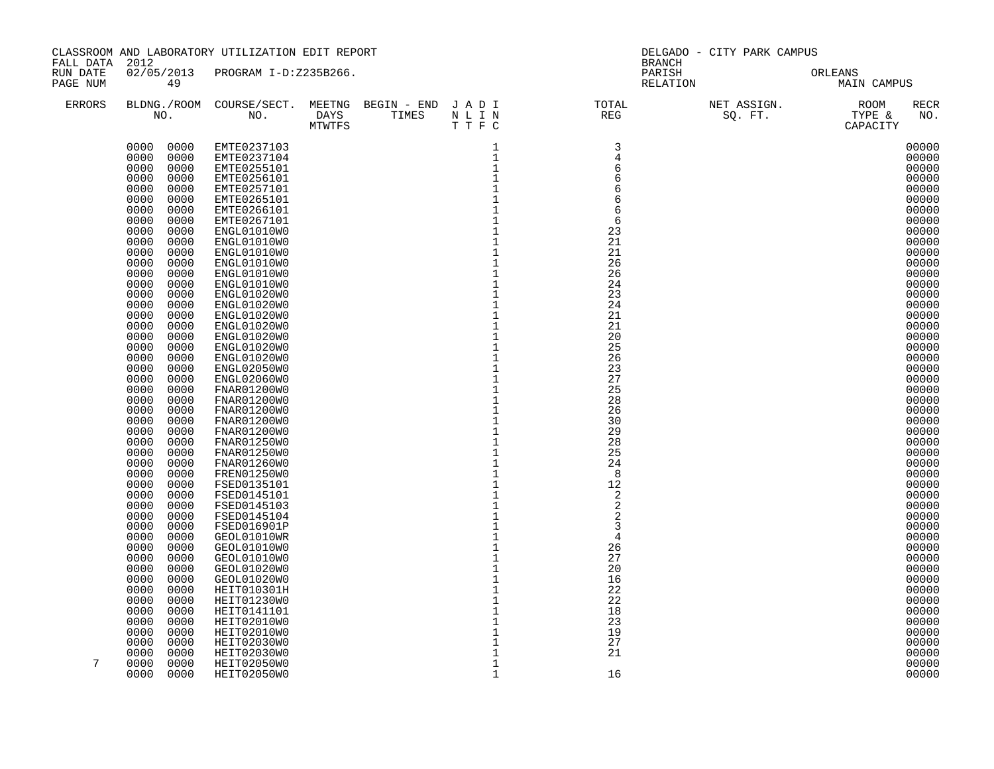| FALL DATA 2012       |                              | CLASSROOM AND LABORATORY UTILIZATION EDIT REPORT |         |                                                  | DELGADO - CITY PARK CAMPUS<br><b>BRANCH</b>                                                                               |  |                        |                    |  |  |
|----------------------|------------------------------|--------------------------------------------------|---------|--------------------------------------------------|---------------------------------------------------------------------------------------------------------------------------|--|------------------------|--------------------|--|--|
| RUN DATE<br>PAGE NUM | 49                           | 02/05/2013 PROGRAM I-D:Z235B266.                 |         |                                                  | PARISH<br>RELATION                                                                                                        |  | ORLEANS<br>MAIN CAMPUS |                    |  |  |
| <b>ERRORS</b>        |                              |                                                  | T T F C |                                                  | BLDNG./ROOM COURSE/SECT. MEETNG BEGIN – END JADI TOTAL NET ASSIGN. NET ASSIGN. NOOM NO. DAYS TIMES NLIN REG SQ.FT. TYPE & |  |                        | <b>RECR</b><br>NO. |  |  |
|                      |                              | 0000 0000 EMTE0237103                            |         | $\mathbf{1}$                                     | $\overline{3}$                                                                                                            |  |                        | 00000              |  |  |
|                      | 0000<br>0000<br>0000         | EMTE0237104                                      |         | $\mathbf{1}$<br>$\mathbf{1}$                     | $\overline{4}$                                                                                                            |  |                        | 00000              |  |  |
|                      | 0000<br>0000<br>0000         | EMTE0255101<br>EMTE0256101                       |         | $\mathbf{1}$                                     | 6                                                                                                                         |  |                        | 00000<br>00000     |  |  |
|                      | 0000<br>0000                 | EMTE0257101                                      |         | $\mathbf 1$                                      | 6                                                                                                                         |  |                        | 00000              |  |  |
|                      | 0000<br>0000                 | EMTE0265101                                      |         |                                                  | 6                                                                                                                         |  |                        | 00000              |  |  |
|                      | 0000<br>0000                 | EMTE0266101                                      |         | $\frac{1}{1}$                                    | 6                                                                                                                         |  |                        | 00000              |  |  |
|                      | 0000<br>0000                 | EMTE0267101                                      |         |                                                  | 6                                                                                                                         |  |                        | 00000              |  |  |
|                      | 0000<br>0000                 | ENGL01010W0                                      |         | $\begin{bmatrix} 1 \\ 1 \\ 1 \\ 1 \end{bmatrix}$ | 23                                                                                                                        |  |                        | 00000              |  |  |
|                      | 0000<br>0000                 | ENGL01010W0                                      |         |                                                  | 21                                                                                                                        |  |                        | 00000              |  |  |
|                      | 0000<br>0000                 | ENGL01010W0                                      |         |                                                  | 21                                                                                                                        |  |                        | 00000              |  |  |
|                      | 0000<br>0000                 | ENGL01010W0                                      |         | $\mathbf 1$                                      | 26                                                                                                                        |  |                        | 00000              |  |  |
|                      | 0000<br>0000                 | ENGL01010W0                                      |         | $\begin{array}{c} 1 \\ 1 \\ 1 \end{array}$       | 26                                                                                                                        |  |                        | 00000              |  |  |
|                      | 0000<br>0000                 | ENGL01010W0                                      |         |                                                  | 24                                                                                                                        |  |                        | 00000              |  |  |
|                      | 0000<br>0000<br>0000<br>0000 | ENGL01020W0<br>ENGL01020W0                       |         | $\mathbf 1$                                      | 23<br>24                                                                                                                  |  |                        | 00000<br>00000     |  |  |
|                      | 0000<br>0000                 | ENGL01020W0                                      |         | $\mathbf 1$                                      | 21                                                                                                                        |  |                        | 00000              |  |  |
|                      | 0000<br>0000                 | ENGL01020W0                                      |         | $\mathbf 1$                                      | 21                                                                                                                        |  |                        | 00000              |  |  |
|                      | 0000<br>0000                 | ENGL01020W0                                      |         | $\mathbf 1$                                      | 20                                                                                                                        |  |                        | 00000              |  |  |
|                      | 0000<br>0000                 | ENGL01020W0                                      |         | $\mathbf 1$                                      | 25                                                                                                                        |  |                        | 00000              |  |  |
|                      | 0000<br>0000                 | ENGL01020W0                                      |         | $\mathbf 1$                                      | 26                                                                                                                        |  |                        | 00000              |  |  |
|                      | 0000<br>0000                 | ENGL02050W0                                      |         | $\mathbf 1$                                      | 23                                                                                                                        |  |                        | 00000              |  |  |
|                      | 0000<br>0000                 | ENGL02060W0                                      |         | $\mathbf 1$                                      | 27                                                                                                                        |  |                        | 00000              |  |  |
|                      | 0000<br>0000                 | FNAR01200W0                                      |         | $\mathbf{1}$                                     | 25                                                                                                                        |  |                        | 00000              |  |  |
|                      | 0000<br>0000                 | FNAR01200W0                                      |         | $\mathbf 1$                                      | 28                                                                                                                        |  |                        | 00000              |  |  |
|                      | 0000<br>0000<br>0000<br>0000 | FNAR01200W0                                      |         | $\mathbf{1}$<br>$\overline{1}$                   | 26<br>30                                                                                                                  |  |                        | 00000<br>00000     |  |  |
|                      | 0000<br>0000                 | FNAR01200W0<br>FNAR01200W0                       |         | $1\,$                                            | 29                                                                                                                        |  |                        | 00000              |  |  |
|                      | 0000<br>0000                 | FNAR01250W0                                      |         | $1\,$                                            | 28                                                                                                                        |  |                        | 00000              |  |  |
|                      | 0000<br>0000                 | FNAR01250W0                                      |         | $1\,$                                            | 25                                                                                                                        |  |                        | 00000              |  |  |
|                      | 0000<br>0000                 | FNAR01260W0                                      |         |                                                  | 24                                                                                                                        |  |                        | 00000              |  |  |
|                      | 0000<br>0000                 | FREN01250W0                                      |         | $\overline{1}$<br>$1$                            | - 8                                                                                                                       |  |                        | 00000              |  |  |
|                      | 0000<br>0000                 | FSED0135101                                      |         |                                                  | 12                                                                                                                        |  |                        | 00000              |  |  |
|                      | 0000<br>0000                 | FSED0145101                                      |         | $\begin{bmatrix} 1 \\ 1 \\ 1 \\ 1 \end{bmatrix}$ | 2                                                                                                                         |  |                        | 00000              |  |  |
|                      | 0000<br>0000                 | FSED0145103                                      |         |                                                  | $\overline{c}$                                                                                                            |  |                        | 00000              |  |  |
|                      | 0000<br>0000                 | FSED0145104                                      |         |                                                  | $\overline{2}$                                                                                                            |  |                        | 00000              |  |  |
|                      | 0000<br>0000                 | FSED016901P                                      |         | $\mathbf 1$<br>$\mathbf 1$                       | 3<br>$\overline{4}$                                                                                                       |  |                        | 00000              |  |  |
|                      | 0000<br>0000<br>0000<br>0000 | GEOL01010WR<br>GEOL01010W0                       |         | $\mathbf 1$                                      | 26                                                                                                                        |  |                        | 00000<br>00000     |  |  |
|                      | 0000<br>0000                 | GEOL01010W0                                      |         | $\mathbf 1$                                      | 27                                                                                                                        |  |                        | 00000              |  |  |
|                      | 0000<br>0000                 | GEOL01020W0                                      |         | $\mathbf 1$                                      | 20                                                                                                                        |  |                        | 00000              |  |  |
|                      | 0000<br>0000                 | GEOL01020W0                                      |         | $1\,$                                            | 16                                                                                                                        |  |                        | 00000              |  |  |
|                      | 0000<br>0000                 | HEIT010301H                                      |         | $\mathbf 1$                                      | 22                                                                                                                        |  |                        | 00000              |  |  |
|                      | 0000<br>0000                 | HEIT01230W0                                      |         | $1\,$                                            | 22                                                                                                                        |  |                        | 00000              |  |  |
|                      | 0000<br>0000                 | HEIT0141101                                      |         | $\mathbf 1$                                      | 18                                                                                                                        |  |                        | 00000              |  |  |
|                      | 0000<br>0000                 | HEIT02010W0                                      |         | $\mathbf{1}$                                     | 23                                                                                                                        |  |                        | 00000              |  |  |
|                      | 0000<br>0000                 | HEIT02010W0                                      |         | $\mathbf{1}$                                     | 19                                                                                                                        |  |                        | 00000              |  |  |
|                      | 0000<br>0000                 | HEIT02030W0                                      |         | $\mathbf{1}$                                     | 27                                                                                                                        |  |                        | 00000              |  |  |
| 7                    | 0000<br>0000                 | HEIT02030W0                                      |         | $\mathbf 1$                                      | 21                                                                                                                        |  |                        | 00000              |  |  |
|                      | 0000<br>0000<br>0000<br>0000 | HEIT02050W0<br>HEIT02050W0                       |         | 1<br>$\mathbf{1}$                                | 16                                                                                                                        |  |                        | 00000<br>00000     |  |  |
|                      |                              |                                                  |         |                                                  |                                                                                                                           |  |                        |                    |  |  |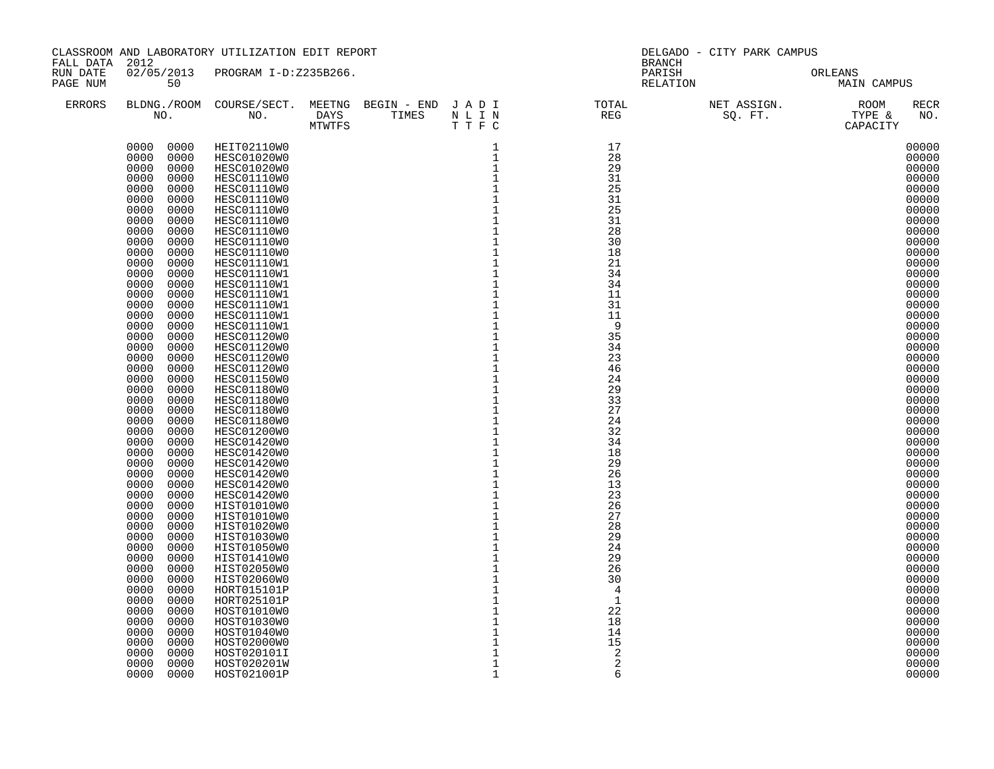| FALL DATA 2012       |                              | CLASSROOM AND LABORATORY UTILIZATION EDIT REPORT |                                                                                                                                                                                                                                                                  |              | DELGADO - CITY PARK CAMPUS<br>BRANCH |                                                                                                                           |                        |  |  |  |
|----------------------|------------------------------|--------------------------------------------------|------------------------------------------------------------------------------------------------------------------------------------------------------------------------------------------------------------------------------------------------------------------|--------------|--------------------------------------|---------------------------------------------------------------------------------------------------------------------------|------------------------|--|--|--|
| RUN DATE<br>PAGE NUM | 50                           | 02/05/2013 PROGRAM I-D:Z235B266.                 |                                                                                                                                                                                                                                                                  |              |                                      | PARISH<br>RELATION                                                                                                        | ORLEANS<br>MAIN CAMPUS |  |  |  |
| ERRORS               |                              |                                                  | DAYS TIMES NLIN<br>MTWTFS TTFC<br>DAYS TIMES N'LL TREES N'ALL TREES N'ALL TREES N'ALL TREES N'ALL TREES N'ALL TREES N'ALL TREES N'ALL TREES N'ALL TREES N'ALL TREES N'ALL TREES NA VIENE AUGUST PARAGEMENT DE LA PRODUISION AUGUST PARAGEMENT DE LA PRODUISION A |              |                                      | BLDNG./ROOM COURSE/SECT. MEETNG BEGIN – END JADI TOTAL NET ASSIGN. NET ASSIGN. NOOM NO. DAYS TIMES NLIN REG SQ.FT. TYPE & | <b>RECR</b><br>NO.     |  |  |  |
|                      |                              | 0000 0000 HEIT02110W0                            |                                                                                                                                                                                                                                                                  |              | 17                                   |                                                                                                                           | 00000                  |  |  |  |
|                      | 0000<br>0000                 | HESC01020W0                                      |                                                                                                                                                                                                                                                                  |              | 28                                   |                                                                                                                           | 00000                  |  |  |  |
|                      | 0000<br>0000                 | <b>HESC01020W0</b>                               |                                                                                                                                                                                                                                                                  |              | 29                                   |                                                                                                                           | 00000                  |  |  |  |
|                      | 0000<br>0000                 | HESC01110W0                                      |                                                                                                                                                                                                                                                                  |              | 31                                   |                                                                                                                           | 00000                  |  |  |  |
|                      | 0000<br>0000<br>0000<br>0000 | HESC01110W0<br>HESC01110W0                       |                                                                                                                                                                                                                                                                  |              | 25<br>31                             |                                                                                                                           | 00000<br>00000         |  |  |  |
|                      | 0000<br>0000                 | HESC01110W0                                      |                                                                                                                                                                                                                                                                  |              | 25                                   |                                                                                                                           | 00000                  |  |  |  |
|                      | 0000<br>0000                 | HESC01110W0                                      |                                                                                                                                                                                                                                                                  |              | 31                                   |                                                                                                                           | 00000                  |  |  |  |
|                      | 0000<br>0000                 | HESC01110W0                                      |                                                                                                                                                                                                                                                                  |              | 28                                   |                                                                                                                           | 00000                  |  |  |  |
|                      | 0000<br>0000                 | HESC01110W0                                      |                                                                                                                                                                                                                                                                  |              | 30                                   |                                                                                                                           | 00000                  |  |  |  |
|                      | 0000<br>0000                 | HESC01110W0                                      |                                                                                                                                                                                                                                                                  |              | 18                                   |                                                                                                                           | 00000                  |  |  |  |
|                      | 0000<br>0000                 | HESC01110W1                                      |                                                                                                                                                                                                                                                                  |              | 21                                   |                                                                                                                           | 00000                  |  |  |  |
|                      | 0000<br>0000<br>0000<br>0000 | HESC01110W1<br>HESC01110W1                       |                                                                                                                                                                                                                                                                  |              | 34<br>34                             |                                                                                                                           | 00000<br>00000         |  |  |  |
|                      | 0000<br>0000                 | HESC01110W1                                      |                                                                                                                                                                                                                                                                  |              | 11                                   |                                                                                                                           | 00000                  |  |  |  |
|                      | 0000<br>0000                 | HESC01110W1                                      |                                                                                                                                                                                                                                                                  |              | 31                                   |                                                                                                                           | 00000                  |  |  |  |
|                      | 0000<br>0000                 | HESC01110W1                                      |                                                                                                                                                                                                                                                                  |              | 11                                   |                                                                                                                           | 00000                  |  |  |  |
|                      | 0000<br>0000                 | HESC01110W1                                      |                                                                                                                                                                                                                                                                  |              | 9                                    |                                                                                                                           | 00000                  |  |  |  |
|                      | 0000<br>0000                 | HESC01120W0                                      |                                                                                                                                                                                                                                                                  |              | 35                                   |                                                                                                                           | 00000                  |  |  |  |
|                      | 0000<br>0000                 | HESC01120W0                                      |                                                                                                                                                                                                                                                                  |              | 34                                   |                                                                                                                           | 00000                  |  |  |  |
|                      | 0000<br>0000<br>0000<br>0000 | <b>HESC01120W0</b><br>HESC01120W0                |                                                                                                                                                                                                                                                                  |              | 23<br>46                             |                                                                                                                           | 00000<br>00000         |  |  |  |
|                      | 0000<br>0000                 | HESC01150W0                                      |                                                                                                                                                                                                                                                                  |              | 24                                   |                                                                                                                           | 00000                  |  |  |  |
|                      | 0000<br>0000                 | HESC01180W0                                      |                                                                                                                                                                                                                                                                  |              | 29                                   |                                                                                                                           | 00000                  |  |  |  |
|                      | 0000<br>0000                 | HESC01180W0                                      |                                                                                                                                                                                                                                                                  |              | 33                                   |                                                                                                                           | 00000                  |  |  |  |
|                      | 0000<br>0000                 | <b>HESC01180W0</b>                               |                                                                                                                                                                                                                                                                  |              | 27                                   |                                                                                                                           | 00000                  |  |  |  |
|                      | 0000<br>0000                 | HESC01180W0                                      |                                                                                                                                                                                                                                                                  |              | 24                                   |                                                                                                                           | 00000                  |  |  |  |
|                      | 0000<br>0000                 | <b>HESC01200W0</b>                               |                                                                                                                                                                                                                                                                  |              | 32                                   |                                                                                                                           | 00000                  |  |  |  |
|                      | 0000<br>0000<br>0000<br>0000 | HESC01420W0                                      |                                                                                                                                                                                                                                                                  |              | 34<br>18                             |                                                                                                                           | 00000<br>00000         |  |  |  |
|                      | 0000<br>0000                 | HESC01420W0<br>HESC01420W0                       |                                                                                                                                                                                                                                                                  |              | 29                                   |                                                                                                                           | 00000                  |  |  |  |
|                      | 0000<br>0000                 | HESC01420W0                                      |                                                                                                                                                                                                                                                                  |              | 26                                   |                                                                                                                           | 00000                  |  |  |  |
|                      | 0000<br>0000                 | HESC01420W0                                      |                                                                                                                                                                                                                                                                  |              | 13                                   |                                                                                                                           | 00000                  |  |  |  |
|                      | 0000<br>0000                 | HESC01420W0                                      |                                                                                                                                                                                                                                                                  |              | 23                                   |                                                                                                                           | 00000                  |  |  |  |
|                      | 0000<br>0000                 | HIST01010W0                                      |                                                                                                                                                                                                                                                                  |              | 26                                   |                                                                                                                           | 00000                  |  |  |  |
|                      | 0000<br>0000                 | HIST01010W0                                      |                                                                                                                                                                                                                                                                  |              | 27                                   |                                                                                                                           | 00000                  |  |  |  |
|                      | 0000<br>0000<br>0000<br>0000 | HIST01020W0<br>HIST01030W0                       |                                                                                                                                                                                                                                                                  |              | 28<br>29                             |                                                                                                                           | 00000<br>00000         |  |  |  |
|                      | 0000<br>0000                 | HIST01050W0                                      |                                                                                                                                                                                                                                                                  |              | 24                                   |                                                                                                                           | 00000                  |  |  |  |
|                      | 0000<br>0000                 | HIST01410W0                                      |                                                                                                                                                                                                                                                                  |              | 29                                   |                                                                                                                           | 00000                  |  |  |  |
|                      | 0000<br>0000                 | HIST02050W0                                      |                                                                                                                                                                                                                                                                  |              | 26                                   |                                                                                                                           | 00000                  |  |  |  |
|                      | 0000<br>0000                 | HIST02060W0                                      |                                                                                                                                                                                                                                                                  |              | 30                                   |                                                                                                                           | 00000                  |  |  |  |
|                      | 0000<br>0000                 | HORT015101P                                      |                                                                                                                                                                                                                                                                  |              | $\overline{4}$                       |                                                                                                                           | 00000                  |  |  |  |
|                      | 0000<br>0000                 | HORT025101P                                      |                                                                                                                                                                                                                                                                  |              | 1                                    |                                                                                                                           | 00000                  |  |  |  |
|                      | 0000<br>0000<br>0000<br>0000 | HOST01010W0<br>HOST01030W0                       |                                                                                                                                                                                                                                                                  |              | 22<br>18                             |                                                                                                                           | 00000<br>00000         |  |  |  |
|                      | 0000<br>0000                 | HOST01040W0                                      |                                                                                                                                                                                                                                                                  |              | 14                                   |                                                                                                                           | 00000                  |  |  |  |
|                      | 0000<br>0000                 | HOST02000W0                                      |                                                                                                                                                                                                                                                                  |              | 15                                   |                                                                                                                           | 00000                  |  |  |  |
|                      | 0000<br>0000                 | HOST020101I                                      |                                                                                                                                                                                                                                                                  |              | 2                                    |                                                                                                                           | 00000                  |  |  |  |
|                      | 0000<br>0000                 | HOST020201W                                      |                                                                                                                                                                                                                                                                  | $\mathbf{1}$ | $\overline{2}$                       |                                                                                                                           | 00000                  |  |  |  |
|                      | 0000<br>0000                 | HOST021001P                                      |                                                                                                                                                                                                                                                                  | $\mathbf 1$  | 6                                    |                                                                                                                           | 00000                  |  |  |  |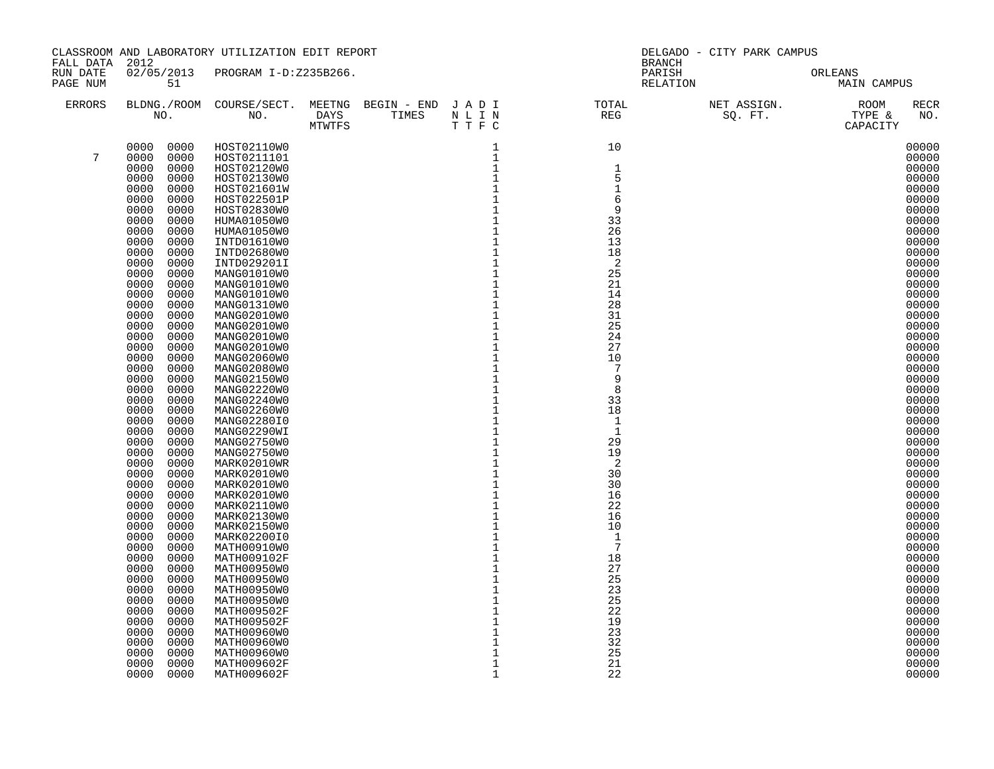| FALL DATA 2012       |              |              | CLASSROOM AND LABORATORY UTILIZATION EDIT REPORT |                                |              | DELGADO - CITY PARK CAMPUS<br><b>BRANCH</b> |                    |  |                        |                    |  |
|----------------------|--------------|--------------|--------------------------------------------------|--------------------------------|--------------|---------------------------------------------|--------------------|--|------------------------|--------------------|--|
| RUN DATE<br>PAGE NUM | 51           |              | 02/05/2013 PROGRAM I-D:Z235B266.                 |                                |              |                                             | PARISH<br>RELATION |  | ORLEANS<br>MAIN CAMPUS |                    |  |
| <b>ERRORS</b>        |              |              |                                                  | DAYS TIMES NLIN<br>MTWTFS TTFC |              |                                             |                    |  |                        | <b>RECR</b><br>NO. |  |
|                      | 0000 0000    |              | HOST02110W0                                      |                                |              | $\begin{array}{c}\n10 \\ \end{array}$       |                    |  |                        | 00000              |  |
| 7                    | 0000         | 0000         | HOST0211101                                      |                                |              |                                             |                    |  |                        | 00000              |  |
|                      | 0000<br>0000 | 0000<br>0000 | HOST02120W0                                      |                                |              | $\mathbf{1}$<br>5                           |                    |  |                        | 00000<br>00000     |  |
|                      | 0000         | 0000         | HOST02130W0<br>HOST021601W                       |                                |              | $\mathbf{1}$                                |                    |  |                        | 00000              |  |
|                      | 0000         | 0000         | HOST022501P                                      |                                |              | 6                                           |                    |  |                        | 00000              |  |
|                      | 0000         | 0000         | HOST02830W0                                      |                                |              | 9                                           |                    |  |                        | 00000              |  |
|                      | 0000         | 0000         | HUMA01050W0                                      |                                |              | 33                                          |                    |  |                        | 00000              |  |
|                      | 0000         | 0000         | HUMA01050W0                                      |                                |              | 26                                          |                    |  |                        | 00000              |  |
|                      | 0000         | 0000         | INTD01610W0                                      |                                |              | 13                                          |                    |  |                        | 00000              |  |
|                      | 0000         | 0000         | INTD02680W0                                      |                                |              | 18                                          |                    |  |                        | 00000              |  |
|                      | 0000         | 0000         | INTD029201I                                      |                                |              | $\overline{c}$                              |                    |  |                        | 00000              |  |
|                      | 0000         | 0000         | MANG01010W0                                      |                                |              | 25                                          |                    |  |                        | 00000              |  |
|                      | 0000         | 0000         | MANG01010W0                                      |                                |              | 21                                          |                    |  |                        | 00000              |  |
|                      | 0000         | 0000         | MANG01010W0                                      |                                |              | 14                                          |                    |  |                        | 00000              |  |
|                      | 0000         | 0000         | MANG01310W0                                      |                                |              | 28                                          |                    |  |                        | 00000              |  |
|                      | 0000         | 0000         | MANG02010W0                                      |                                |              | 31                                          |                    |  |                        | 00000              |  |
|                      | 0000         | 0000         | MANG02010W0                                      |                                |              | 25                                          |                    |  |                        | 00000              |  |
|                      | 0000         | 0000         | MANG02010W0                                      |                                |              | 24<br>27                                    |                    |  |                        | 00000              |  |
|                      | 0000<br>0000 | 0000<br>0000 | MANG02010W0<br>MANG02060W0                       |                                |              | 10                                          |                    |  |                        | 00000<br>00000     |  |
|                      | 0000         | 0000         | MANG02080W0                                      |                                |              | 7                                           |                    |  |                        | 00000              |  |
|                      | 0000         | 0000         | MANG02150W0                                      |                                |              | 9                                           |                    |  |                        | 00000              |  |
|                      | 0000         | 0000         | MANG02220W0                                      |                                |              | 8                                           |                    |  |                        | 00000              |  |
|                      | 0000         | 0000         | MANG02240W0                                      |                                |              | 33                                          |                    |  |                        | 00000              |  |
|                      | 0000         | 0000         | MANG02260W0                                      |                                |              | 18                                          |                    |  |                        | 00000              |  |
|                      | 0000         | 0000         | MANG02280I0                                      |                                |              | $\mathbf{1}$                                |                    |  |                        | 00000              |  |
|                      | 0000         | 0000         | MANG02290WI                                      |                                |              | $\mathbf{1}$                                |                    |  |                        | 00000              |  |
|                      | 0000         | 0000         | MANG02750W0                                      |                                |              | 29                                          |                    |  |                        | 00000              |  |
|                      | 0000         | 0000         | MANG02750W0                                      |                                |              | 19                                          |                    |  |                        | 00000              |  |
|                      | 0000         | 0000         | MARK02010WR                                      |                                |              | -2                                          |                    |  |                        | 00000              |  |
|                      | 0000         | 0000         | MARK02010W0                                      |                                |              | 30                                          |                    |  |                        | 00000              |  |
|                      | 0000<br>0000 | 0000<br>0000 | MARK02010W0                                      |                                |              | 30                                          |                    |  |                        | 00000<br>00000     |  |
|                      | 0000         | 0000         | MARK02010W0<br>MARK02110W0                       |                                |              | 16<br>22                                    |                    |  |                        | 00000              |  |
|                      | 0000         | 0000         | MARK02130W0                                      |                                |              | 16                                          |                    |  |                        | 00000              |  |
|                      | 0000         | 0000         | MARK02150W0                                      |                                |              | 10                                          |                    |  |                        | 00000              |  |
|                      | 0000         | 0000         | MARK02200I0                                      |                                |              | $\mathbf{1}$                                |                    |  |                        | 00000              |  |
|                      | 0000         | 0000         | MATH00910W0                                      |                                |              | $7\phantom{.0}$                             |                    |  |                        | 00000              |  |
|                      | 0000         | 0000         | MATH009102F                                      |                                |              | 18                                          |                    |  |                        | 00000              |  |
|                      | 0000         | 0000         | MATH00950W0                                      |                                |              | 27                                          |                    |  |                        | 00000              |  |
|                      | 0000         | 0000         | MATH00950W0                                      |                                |              | 25                                          |                    |  |                        | 00000              |  |
|                      | 0000         | 0000         | MATH00950W0                                      |                                |              | 23                                          |                    |  |                        | 00000              |  |
|                      | 0000         | 0000         | MATH00950W0                                      |                                |              | 25                                          |                    |  |                        | 00000              |  |
|                      | 0000         | 0000         | MATH009502F                                      |                                |              | 22                                          |                    |  |                        | 00000              |  |
|                      | 0000         | 0000         | MATH009502F                                      |                                |              | 19                                          |                    |  |                        | 00000              |  |
|                      | 0000<br>0000 | 0000         | MATH00960W0                                      |                                |              | 23<br>32                                    |                    |  |                        | 00000<br>00000     |  |
|                      | 0000         | 0000<br>0000 | MATH00960W0<br>MATH00960W0                       |                                |              | 25                                          |                    |  |                        | 00000              |  |
|                      | 0000         | 0000         | MATH009602F                                      |                                | $\mathbf 1$  | 21                                          |                    |  |                        | 00000              |  |
|                      | 0000         | 0000         | MATH009602F                                      |                                | $\mathbf{1}$ | 22                                          |                    |  |                        | 00000              |  |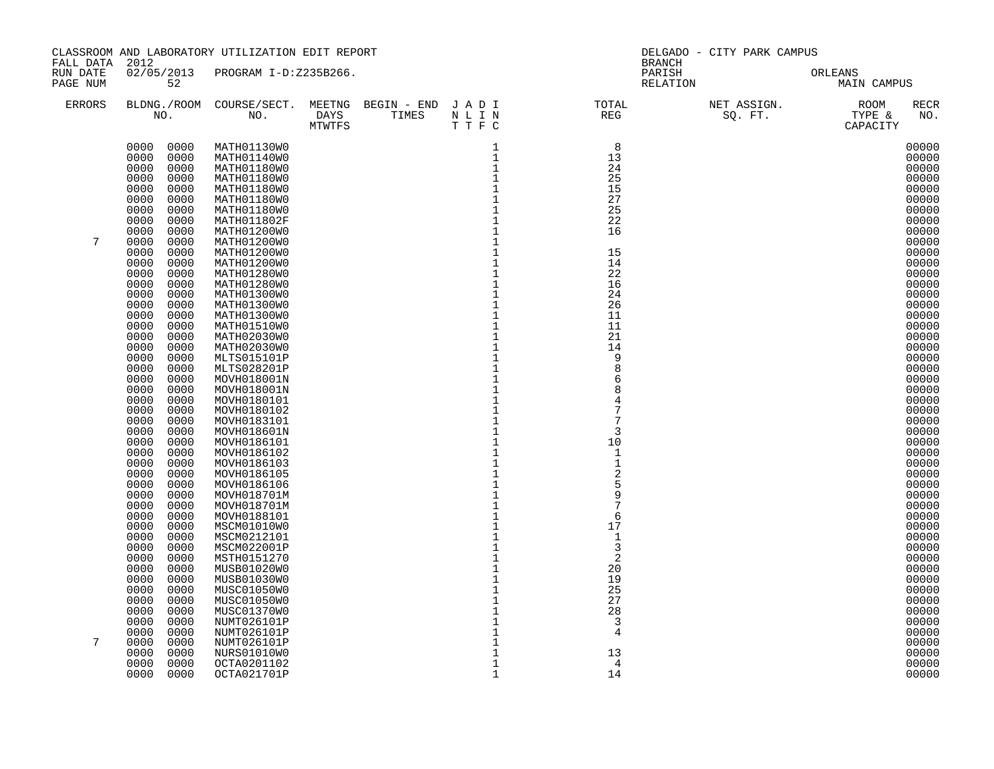|                                        |                              | CLASSROOM AND LABORATORY UTILIZATION EDIT REPORT |      |                                                  | DELGADO - CITY PARK CAMPUS                                                                                                |                                     |  |                        |  |  |
|----------------------------------------|------------------------------|--------------------------------------------------|------|--------------------------------------------------|---------------------------------------------------------------------------------------------------------------------------|-------------------------------------|--|------------------------|--|--|
| FALL DATA 2012<br>RUN DATE<br>PAGE NUM | 52                           | 02/05/2013 PROGRAM I-D:Z235B266.                 |      |                                                  |                                                                                                                           | <b>BRANCH</b><br>PARISH<br>RELATION |  | ORLEANS<br>MAIN CAMPUS |  |  |
| <b>ERRORS</b>                          |                              |                                                  | TTFC |                                                  | BLDNG./ROOM COURSE/SECT. MEETNG BEGIN – END JADI TOTAL NET ASSIGN. NET ASSIGN. ROOM NO. DAYS TIMES NLIN REG SQ.FT. TYPE & |                                     |  | <b>RECR</b><br>NO.     |  |  |
|                                        | 0000 0000                    | MATH01130W0                                      |      | 1                                                | 8                                                                                                                         |                                     |  | 00000                  |  |  |
|                                        | 0000<br>0000                 | MATH01140W0                                      |      | $\mathbf{1}$                                     | 13                                                                                                                        |                                     |  | 00000                  |  |  |
|                                        | 0000<br>0000                 | MATH01180W0                                      |      | $\mathbf{1}$                                     | 24                                                                                                                        |                                     |  | 00000                  |  |  |
|                                        | 0000<br>0000                 | MATH01180W0                                      |      | $1\,$<br>$1\,$                                   | 25                                                                                                                        |                                     |  | 00000                  |  |  |
|                                        | 0000<br>0000<br>0000<br>0000 | MATH01180W0<br>MATH01180W0                       |      | $\mathbf 1$                                      | 15<br>27                                                                                                                  |                                     |  | 00000<br>00000         |  |  |
|                                        | 0000<br>0000                 | MATH01180W0                                      |      | $\,1\,$                                          | 25                                                                                                                        |                                     |  | 00000                  |  |  |
|                                        | 0000<br>0000                 | MATH011802F                                      |      | $\mathbf 1$                                      | 22                                                                                                                        |                                     |  | 00000                  |  |  |
|                                        | 0000<br>0000                 | MATH01200W0                                      |      | $\mathbf 1$                                      | 16                                                                                                                        |                                     |  | 00000                  |  |  |
| 7                                      | 0000<br>0000                 | MATH01200W0                                      |      | $\frac{1}{1}$                                    |                                                                                                                           |                                     |  | 00000                  |  |  |
|                                        | 0000<br>0000                 | MATH01200W0                                      |      |                                                  | 15                                                                                                                        |                                     |  | 00000                  |  |  |
|                                        | 0000<br>0000<br>0000         | MATH01200W0                                      |      | $\mathbf{1}$<br>$\mathbf 1$                      | 14                                                                                                                        |                                     |  | 00000                  |  |  |
|                                        | 0000<br>0000<br>0000         | MATH01280W0<br>MATH01280W0                       |      | $1\,$                                            | 22<br>16                                                                                                                  |                                     |  | 00000<br>00000         |  |  |
|                                        | 0000<br>0000                 | MATH01300W0                                      |      | $\mathbf 1$                                      | 24                                                                                                                        |                                     |  | 00000                  |  |  |
|                                        | 0000<br>0000                 | MATH01300W0                                      |      | $\mathbf 1$                                      | 26                                                                                                                        |                                     |  | 00000                  |  |  |
|                                        | 0000<br>0000                 | MATH01300W0                                      |      | $\mathbf 1$                                      | 11                                                                                                                        |                                     |  | 00000                  |  |  |
|                                        | 0000<br>0000                 | MATH01510W0                                      |      | $\mathbf 1$                                      | 11                                                                                                                        |                                     |  | 00000                  |  |  |
|                                        | 0000<br>0000                 | MATH02030W0                                      |      | $\mathbf 1$                                      | 21                                                                                                                        |                                     |  | 00000                  |  |  |
|                                        | 0000<br>0000<br>0000<br>0000 | MATH02030W0<br>MLTS015101P                       |      | $\mathbf{1}$<br>$\ensuremath{\mathsf{1}}$        | 14<br>9                                                                                                                   |                                     |  | 00000<br>00000         |  |  |
|                                        | 0000<br>0000                 | MLTS028201P                                      |      | $\mathbf 1$                                      | 8                                                                                                                         |                                     |  | 00000                  |  |  |
|                                        | 0000<br>0000                 | MOVH018001N                                      |      |                                                  |                                                                                                                           |                                     |  | 00000                  |  |  |
|                                        | 0000<br>0000                 | MOVH018001N                                      |      | $\frac{1}{1}$                                    | 8                                                                                                                         |                                     |  | 00000                  |  |  |
|                                        | 0000<br>0000                 | MOVH0180101                                      |      |                                                  |                                                                                                                           |                                     |  | 00000                  |  |  |
|                                        | 0000<br>0000                 | MOVH0180102                                      |      |                                                  |                                                                                                                           |                                     |  | 00000                  |  |  |
|                                        | 0000<br>0000                 | MOVH0183101                                      |      | $\begin{bmatrix} 1 \\ 1 \\ 1 \\ 1 \end{bmatrix}$ |                                                                                                                           |                                     |  | 00000                  |  |  |
|                                        | 0000<br>0000<br>0000<br>0000 | MOVH018601N<br>MOVH0186101                       |      | $\mathbf{1}$                                     | 3<br>10                                                                                                                   |                                     |  | 00000<br>00000         |  |  |
|                                        | 0000<br>0000                 | MOVH0186102                                      |      |                                                  | 1                                                                                                                         |                                     |  | 00000                  |  |  |
|                                        | 0000<br>0000                 | MOVH0186103                                      |      | $\begin{array}{c} 1 \\ 1 \\ 1 \end{array}$       | $\mathbf{1}$                                                                                                              |                                     |  | 00000                  |  |  |
|                                        | 0000<br>0000                 | MOVH0186105                                      |      |                                                  |                                                                                                                           |                                     |  | 00000                  |  |  |
|                                        | 0000<br>0000                 | MOVH0186106                                      |      | $\mathbf 1$                                      |                                                                                                                           |                                     |  | 00000                  |  |  |
|                                        | 0000<br>0000                 | MOVH018701M                                      |      |                                                  | 9<br>$\overline{7}$                                                                                                       |                                     |  | 00000                  |  |  |
|                                        | 0000<br>0000<br>0000<br>0000 | MOVH018701M<br>MOVH0188101                       |      | $\begin{array}{c} 1 \\ 1 \\ 1 \end{array}$       | 6                                                                                                                         |                                     |  | 00000<br>00000         |  |  |
|                                        | 0000<br>0000                 | MSCM01010W0                                      |      | $\mathbf{1}$                                     | 17                                                                                                                        |                                     |  | 00000                  |  |  |
|                                        | 0000<br>0000                 | MSCM0212101                                      |      | $\mathbf 1$                                      | 1                                                                                                                         |                                     |  | 00000                  |  |  |
|                                        | 0000<br>0000                 | MSCM022001P                                      |      | $\mathbf 1$                                      | 3                                                                                                                         |                                     |  | 00000                  |  |  |
|                                        | 0000<br>0000                 | MSTH0151270                                      |      | $\mathbf{1}$                                     | 2                                                                                                                         |                                     |  | 00000                  |  |  |
|                                        | 0000<br>0000                 | MUSB01020W0                                      |      | $\mathbf{1}$                                     | 20                                                                                                                        |                                     |  | 00000                  |  |  |
|                                        | 0000<br>0000                 | MUSB01030W0                                      |      | $\mathbf 1$                                      | 19<br>25                                                                                                                  |                                     |  | 00000<br>00000         |  |  |
|                                        | 0000<br>0000<br>0000<br>0000 | MUSC01050W0<br>MUSC01050W0                       |      | $\mathbf 1$<br>$\mathbf 1$                       | 27                                                                                                                        |                                     |  | 00000                  |  |  |
|                                        | 0000<br>0000                 | MUSC01370W0                                      |      | $\mathbf{1}$                                     | 28                                                                                                                        |                                     |  | 00000                  |  |  |
|                                        | 0000<br>0000                 | NUMT026101P                                      |      | $\mathbf 1$                                      | 3                                                                                                                         |                                     |  | 00000                  |  |  |
|                                        | 0000<br>0000                 | NUMT026101P                                      |      | $\mathbf{1}$                                     | $\overline{4}$                                                                                                            |                                     |  | 00000                  |  |  |
| 7                                      | 0000<br>0000                 | NUMT026101P                                      |      | $\mathbf 1$                                      |                                                                                                                           |                                     |  | 00000                  |  |  |
|                                        | 0000<br>0000                 | NURS01010W0                                      |      | $\mathbf{1}$                                     | 13                                                                                                                        |                                     |  | 00000                  |  |  |
|                                        | 0000<br>0000<br>0000<br>0000 | OCTA0201102<br>OCTA021701P                       |      | $\mathbf 1$<br>$\mathbf{1}$                      | $\overline{4}$<br>14                                                                                                      |                                     |  | 00000<br>00000         |  |  |
|                                        |                              |                                                  |      |                                                  |                                                                                                                           |                                     |  |                        |  |  |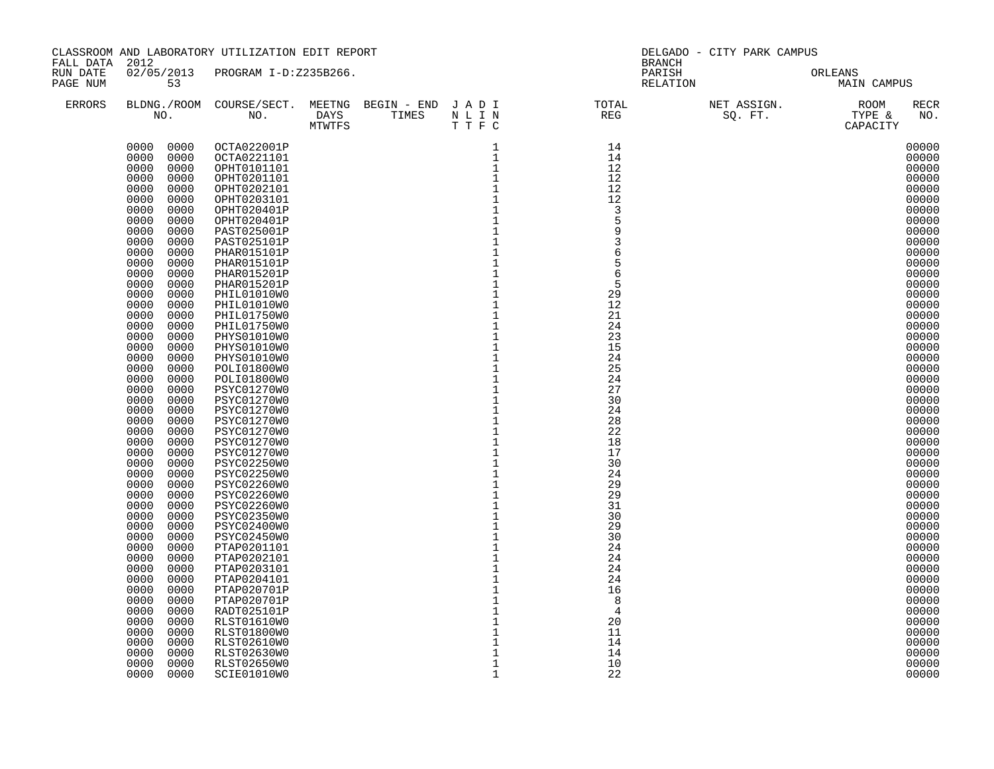| FALL DATA 2012       |                              | CLASSROOM AND LABORATORY UTILIZATION EDIT REPORT |                                                                                                                                                                                                                                                                                                                                                                                                                                    |              | DELGADO - CITY PARK CAMPUS<br><b>BRANCH</b>                                                                               |  |                        |  |  |  |
|----------------------|------------------------------|--------------------------------------------------|------------------------------------------------------------------------------------------------------------------------------------------------------------------------------------------------------------------------------------------------------------------------------------------------------------------------------------------------------------------------------------------------------------------------------------|--------------|---------------------------------------------------------------------------------------------------------------------------|--|------------------------|--|--|--|
| RUN DATE<br>PAGE NUM | 53                           | 02/05/2013 PROGRAM I-D:Z235B266.                 |                                                                                                                                                                                                                                                                                                                                                                                                                                    |              | PARISH<br>RELATION                                                                                                        |  | ORLEANS<br>MAIN CAMPUS |  |  |  |
| <b>ERRORS</b>        |                              | NO. DAYS TIMES N L I N<br>MTWTFS T T F C         | $\begin{array}{cccccccc} \text{DAYS} & & & & & & \text{1} & \text{1} & \text{1} & \text{1} & \text{1} & \text{1} & \text{1} & \text{1} & \text{1} & \text{1} & \text{1} & \text{1} & \text{1} & \text{1} & \text{1} & \text{1} & \text{1} & \text{1} & \text{1} & \text{1} & \text{1} & \text{1} & \text{1} & \text{1} & \text{1} & \text{1} & \text{1} & \text{1} & \text{1} & \text{1} & \text{1} & \text{1} & \text{1} & \text$ |              | BLDNG./ROOM COURSE/SECT. MEETNG BEGIN – END JADI TOTAL NET ASSIGN. NET ASSIGN. NOOM NO. DAYS TIMES NLIN REG SQ.FT. TYPE & |  | RECR<br>NO.            |  |  |  |
|                      | 0000 0000                    | OCTA022001P                                      |                                                                                                                                                                                                                                                                                                                                                                                                                                    |              | $\begin{array}{c} 14 \\ 14 \end{array}$                                                                                   |  | 00000                  |  |  |  |
|                      | 0000<br>0000                 | OCTA0221101                                      |                                                                                                                                                                                                                                                                                                                                                                                                                                    |              | 14                                                                                                                        |  | 00000                  |  |  |  |
|                      | 0000<br>0000                 | OPHT0101101                                      |                                                                                                                                                                                                                                                                                                                                                                                                                                    |              | 12                                                                                                                        |  | 00000                  |  |  |  |
|                      | 0000<br>0000<br>0000<br>0000 | OPHT0201101                                      |                                                                                                                                                                                                                                                                                                                                                                                                                                    |              | 12<br>12                                                                                                                  |  | 00000<br>00000         |  |  |  |
|                      | 0000<br>0000                 | OPHT0202101<br>OPHT0203101                       |                                                                                                                                                                                                                                                                                                                                                                                                                                    |              | 12                                                                                                                        |  | 00000                  |  |  |  |
|                      | 0000<br>0000                 | OPHT020401P                                      |                                                                                                                                                                                                                                                                                                                                                                                                                                    |              | $\overline{3}$                                                                                                            |  | 00000                  |  |  |  |
|                      | 0000<br>0000                 | OPHT020401P                                      |                                                                                                                                                                                                                                                                                                                                                                                                                                    |              |                                                                                                                           |  | 00000                  |  |  |  |
|                      | 0000<br>0000                 | PAST025001P                                      |                                                                                                                                                                                                                                                                                                                                                                                                                                    |              | 9                                                                                                                         |  | 00000                  |  |  |  |
|                      | 0000<br>0000                 | PAST025101P                                      |                                                                                                                                                                                                                                                                                                                                                                                                                                    |              | 3                                                                                                                         |  | 00000                  |  |  |  |
|                      | 0000<br>0000                 | PHAR015101P                                      |                                                                                                                                                                                                                                                                                                                                                                                                                                    |              | 6                                                                                                                         |  | 00000                  |  |  |  |
|                      | 0000<br>0000<br>0000<br>0000 | PHAR015101P<br>PHAR015201P                       |                                                                                                                                                                                                                                                                                                                                                                                                                                    |              | 6                                                                                                                         |  | 00000<br>00000         |  |  |  |
|                      | 0000<br>0000                 | PHAR015201P                                      |                                                                                                                                                                                                                                                                                                                                                                                                                                    |              | 5                                                                                                                         |  | 00000                  |  |  |  |
|                      | 0000<br>0000                 | PHIL01010W0                                      |                                                                                                                                                                                                                                                                                                                                                                                                                                    |              | 29                                                                                                                        |  | 00000                  |  |  |  |
|                      | 0000<br>0000                 | PHIL01010W0                                      |                                                                                                                                                                                                                                                                                                                                                                                                                                    |              | 12                                                                                                                        |  | 00000                  |  |  |  |
|                      | 0000<br>0000                 | PHIL01750W0                                      |                                                                                                                                                                                                                                                                                                                                                                                                                                    |              | 21                                                                                                                        |  | 00000                  |  |  |  |
|                      | 0000<br>0000                 | PHIL01750W0                                      |                                                                                                                                                                                                                                                                                                                                                                                                                                    |              | 24                                                                                                                        |  | 00000                  |  |  |  |
|                      | 0000<br>0000                 | PHYS01010W0                                      |                                                                                                                                                                                                                                                                                                                                                                                                                                    |              | 23                                                                                                                        |  | 00000                  |  |  |  |
|                      | 0000<br>0000<br>0000<br>0000 | PHYS01010W0<br>PHYS01010W0                       |                                                                                                                                                                                                                                                                                                                                                                                                                                    |              | 15<br>24                                                                                                                  |  | 00000<br>00000         |  |  |  |
|                      | 0000<br>0000                 | POLI01800W0                                      |                                                                                                                                                                                                                                                                                                                                                                                                                                    |              | 25                                                                                                                        |  | 00000                  |  |  |  |
|                      | 0000<br>0000                 | POLI01800W0                                      |                                                                                                                                                                                                                                                                                                                                                                                                                                    |              | 24                                                                                                                        |  | 00000                  |  |  |  |
|                      | 0000<br>0000                 | PSYC01270W0                                      |                                                                                                                                                                                                                                                                                                                                                                                                                                    |              | 27                                                                                                                        |  | 00000                  |  |  |  |
|                      | 0000<br>0000                 | PSYC01270W0                                      |                                                                                                                                                                                                                                                                                                                                                                                                                                    |              | 30                                                                                                                        |  | 00000                  |  |  |  |
|                      | 0000<br>0000                 | PSYC01270W0                                      |                                                                                                                                                                                                                                                                                                                                                                                                                                    |              | 24                                                                                                                        |  | 00000                  |  |  |  |
|                      | 0000<br>0000                 | PSYC01270W0                                      |                                                                                                                                                                                                                                                                                                                                                                                                                                    |              | 28                                                                                                                        |  | 00000                  |  |  |  |
|                      | 0000<br>0000<br>0000<br>0000 | PSYC01270W0<br>PSYC01270W0                       |                                                                                                                                                                                                                                                                                                                                                                                                                                    |              | 22<br>18                                                                                                                  |  | 00000<br>00000         |  |  |  |
|                      | 0000<br>0000                 | PSYC01270W0                                      |                                                                                                                                                                                                                                                                                                                                                                                                                                    |              | 17                                                                                                                        |  | 00000                  |  |  |  |
|                      | 0000<br>0000                 | <b>PSYC02250W0</b>                               |                                                                                                                                                                                                                                                                                                                                                                                                                                    |              | 30                                                                                                                        |  | 00000                  |  |  |  |
|                      | 0000<br>0000                 | PSYC02250W0                                      |                                                                                                                                                                                                                                                                                                                                                                                                                                    |              | 24                                                                                                                        |  | 00000                  |  |  |  |
|                      | 0000<br>0000                 | PSYC02260W0                                      |                                                                                                                                                                                                                                                                                                                                                                                                                                    |              | 29                                                                                                                        |  | 00000                  |  |  |  |
|                      | 0000<br>0000                 | PSYC02260W0                                      |                                                                                                                                                                                                                                                                                                                                                                                                                                    |              | 29                                                                                                                        |  | 00000                  |  |  |  |
|                      | 0000<br>0000                 | PSYC02260W0                                      |                                                                                                                                                                                                                                                                                                                                                                                                                                    |              | 31<br>30                                                                                                                  |  | 00000                  |  |  |  |
|                      | 0000<br>0000<br>0000<br>0000 | PSYC02350W0<br>PSYC02400W0                       |                                                                                                                                                                                                                                                                                                                                                                                                                                    |              | 29                                                                                                                        |  | 00000<br>00000         |  |  |  |
|                      | 0000<br>0000                 | <b>PSYC02450W0</b>                               |                                                                                                                                                                                                                                                                                                                                                                                                                                    |              | 30                                                                                                                        |  | 00000                  |  |  |  |
|                      | 0000<br>0000                 | PTAP0201101                                      |                                                                                                                                                                                                                                                                                                                                                                                                                                    |              | 24                                                                                                                        |  | 00000                  |  |  |  |
|                      | 0000<br>0000                 | PTAP0202101                                      |                                                                                                                                                                                                                                                                                                                                                                                                                                    |              | 24                                                                                                                        |  | 00000                  |  |  |  |
|                      | 0000<br>0000                 | PTAP0203101                                      |                                                                                                                                                                                                                                                                                                                                                                                                                                    |              | 24                                                                                                                        |  | 00000                  |  |  |  |
|                      | 0000<br>0000                 | PTAP0204101                                      |                                                                                                                                                                                                                                                                                                                                                                                                                                    |              | 24                                                                                                                        |  | 00000                  |  |  |  |
|                      | 0000<br>0000                 | PTAP020701P                                      |                                                                                                                                                                                                                                                                                                                                                                                                                                    |              | 16                                                                                                                        |  | 00000                  |  |  |  |
|                      | 0000<br>0000<br>0000<br>0000 | PTAP020701P<br>RADT025101P                       |                                                                                                                                                                                                                                                                                                                                                                                                                                    |              | 8<br>$\overline{4}$                                                                                                       |  | 00000<br>00000         |  |  |  |
|                      | 0000<br>0000                 | RLST01610W0                                      |                                                                                                                                                                                                                                                                                                                                                                                                                                    |              | 20                                                                                                                        |  | 00000                  |  |  |  |
|                      | 0000<br>0000                 | RLST01800W0                                      |                                                                                                                                                                                                                                                                                                                                                                                                                                    |              | 11                                                                                                                        |  | 00000                  |  |  |  |
|                      | 0000<br>0000                 | RLST02610W0                                      |                                                                                                                                                                                                                                                                                                                                                                                                                                    |              | 14                                                                                                                        |  | 00000                  |  |  |  |
|                      | 0000<br>0000                 | RLST02630W0                                      |                                                                                                                                                                                                                                                                                                                                                                                                                                    |              | 14                                                                                                                        |  | 00000                  |  |  |  |
|                      | 0000<br>0000                 | <b>RLST02650W0</b>                               |                                                                                                                                                                                                                                                                                                                                                                                                                                    | $\mathbf{1}$ | 10                                                                                                                        |  | 00000                  |  |  |  |
|                      | 0000<br>0000                 | SCIE01010W0                                      |                                                                                                                                                                                                                                                                                                                                                                                                                                    | $\mathbf 1$  | 22                                                                                                                        |  | 00000                  |  |  |  |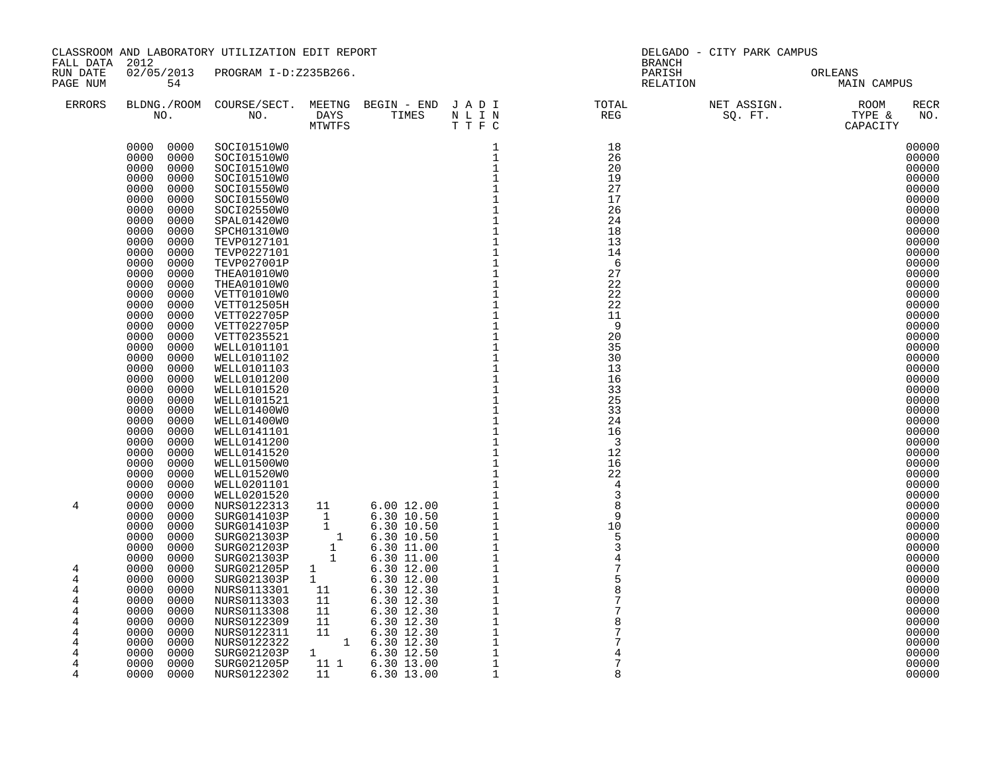| FALL DATA 2012                                      |                                                                                                                                                                                                                                                                                                                                                                                                                                                                                                              | CLASSROOM AND LABORATORY UTILIZATION EDIT REPORT                                                                                                                                                                                                                                                                                                                                                                                                                                                                     |                                                                                                                                                                                                                                  | DELGADO - CITY PARK CAMPUS<br><b>BRANCH</b>                                                                                                                                                                       |                       |                                                                                                                                                                                                                                                                                              |  |  |
|-----------------------------------------------------|--------------------------------------------------------------------------------------------------------------------------------------------------------------------------------------------------------------------------------------------------------------------------------------------------------------------------------------------------------------------------------------------------------------------------------------------------------------------------------------------------------------|----------------------------------------------------------------------------------------------------------------------------------------------------------------------------------------------------------------------------------------------------------------------------------------------------------------------------------------------------------------------------------------------------------------------------------------------------------------------------------------------------------------------|----------------------------------------------------------------------------------------------------------------------------------------------------------------------------------------------------------------------------------|-------------------------------------------------------------------------------------------------------------------------------------------------------------------------------------------------------------------|-----------------------|----------------------------------------------------------------------------------------------------------------------------------------------------------------------------------------------------------------------------------------------------------------------------------------------|--|--|
| RUN DATE<br>PAGE NUM                                | 54                                                                                                                                                                                                                                                                                                                                                                                                                                                                                                           | 02/05/2013 PROGRAM I-D:Z235B266.                                                                                                                                                                                                                                                                                                                                                                                                                                                                                     |                                                                                                                                                                                                                                  | PARISH                                                                                                                                                                                                            | PARISH OR<br>RELATION | ORLEANS<br>MAIN CAMPUS                                                                                                                                                                                                                                                                       |  |  |
| <b>ERRORS</b>                                       |                                                                                                                                                                                                                                                                                                                                                                                                                                                                                                              | NO. DAYS TIMES N L I N<br>MTWTFS T T F C                                                                                                                                                                                                                                                                                                                                                                                                                                                                             |                                                                                                                                                                                                                                  | BLDNG./ROOM COURSE/SECT. MEETNG BEGIN – END JADI TOTAL NET ASSIGN. NET ASSIGN. ROOM NO. DAYS TIMES NLIN REG SQ.FT. TYPE &                                                                                         |                       | <b>RECR</b><br>NO.                                                                                                                                                                                                                                                                           |  |  |
|                                                     | 0000<br>0000<br>0000<br>0000<br>0000<br>0000<br>0000<br>0000<br>0000<br>0000<br>0000<br>0000<br>0000<br>0000<br>0000<br>0000<br>0000<br>0000<br>0000<br>0000<br>0000<br>0000<br>0000<br>0000<br>0000<br>0000<br>0000<br>0000<br>0000<br>0000<br>0000<br>0000<br>0000<br>0000<br>0000<br>0000<br>0000<br>0000<br>0000<br>0000<br>0000<br>0000<br>0000<br>0000<br>0000<br>0000<br>0000<br>0000<br>0000<br>0000<br>0000<br>0000<br>0000<br>0000<br>0000<br>0000<br>0000<br>0000<br>0000<br>0000<br>0000<br>0000 | 0000 0000 SOCI01510W0<br>SOCI01510W0<br>SOCI01510W0<br>SOCI01510W0<br>SOCI01550W0<br>SOCI01550W0<br>SOCI02550W0<br>SPAL01420W0<br>SPCH01310W0<br>TEVP0127101<br>TEVP0227101<br>TEVP027001P<br>THEA01010W0<br>THEA01010W0<br>VETT01010W0<br><b>VETT012505H</b><br>VETT022705P<br>VETT022705P<br>VETT0235521<br>WELL0101101<br>WELL0101102<br>WELL0101103<br>WELL0101200<br>WELL0101520<br>WELL0101521<br>WELL01400W0<br>WELL01400W0<br>WELL0141101<br>WELL0141200<br>WELL0141520<br>WELL01500W0<br><b>WELL01520W0</b> | DAYS TIMES NLIN (NETRE SALLY STRES NLIN)<br>In the set of the set of the set of the set of the set of the set of the set of the set of the set of the set of the set of the set of the set of the set of the set of the set of t | 18<br>26<br>20<br>19<br>27<br>17<br>26<br>24<br>18<br>13<br>14<br>- 6<br>27<br>22<br>22<br>22<br>11<br>9<br>20<br>35<br>30<br>13<br>16<br>33<br>25<br>33<br>24<br>16<br>$\overline{\mathbf{3}}$<br>12<br>16<br>22 |                       | 00000<br>00000<br>00000<br>00000<br>00000<br>00000<br>00000<br>00000<br>00000<br>00000<br>00000<br>00000<br>00000<br>00000<br>00000<br>00000<br>00000<br>00000<br>00000<br>00000<br>00000<br>00000<br>00000<br>00000<br>00000<br>00000<br>00000<br>00000<br>00000<br>00000<br>00000<br>00000 |  |  |
| 4                                                   | 0000<br>0000<br>0000<br>0000<br>0000<br>0000<br>0000<br>0000<br>0000<br>0000<br>0000<br>0000<br>0000<br>0000<br>0000<br>0000                                                                                                                                                                                                                                                                                                                                                                                 | WELL0201101<br>WELL0201520<br>NURS0122313<br>SURG014103P<br>SURG014103P<br>SURG021303P<br>SURG021203P<br>SURG021303P                                                                                                                                                                                                                                                                                                                                                                                                 |                                                                                                                                                                                                                                  |                                                                                                                                                                                                                   |                       | 00000<br>00000<br>00000<br>00000<br>00000<br>00000<br>00000<br>00000                                                                                                                                                                                                                         |  |  |
| 4<br>4<br>4<br>4<br>4<br>4<br>4<br>4<br>4<br>4<br>4 | 0000<br>0000<br>0000<br>0000<br>0000<br>0000<br>0000<br>0000<br>0000<br>0000<br>0000<br>0000<br>0000<br>0000<br>0000<br>0000<br>0000<br>0000<br>0000<br>0000<br>0000<br>0000                                                                                                                                                                                                                                                                                                                                 | SURG021205P<br>SURG021303P<br>NURS0113301<br>NURS0113303<br>NURS0113308<br>NURS0122309<br>NURS0122311<br>NURS0122322<br>SURG021203P<br>SURG021205P<br>NURS0122302                                                                                                                                                                                                                                                                                                                                                    |                                                                                                                                                                                                                                  | $\begin{array}{r} 22 \ 4 \ \ 3 \ 3 \ 8 \ 9 \ 9 \ 10 \ 5 \ 5 \ 3 \ 4 \ 7 \ 7 \ 5 \ 8 \ 8 \ 7 \ 7 \ 8 \ 7 \end{array}$<br>8                                                                                         |                       | 00000<br>00000<br>00000<br>00000<br>00000<br>00000<br>00000<br>00000<br>00000<br>00000<br>00000                                                                                                                                                                                              |  |  |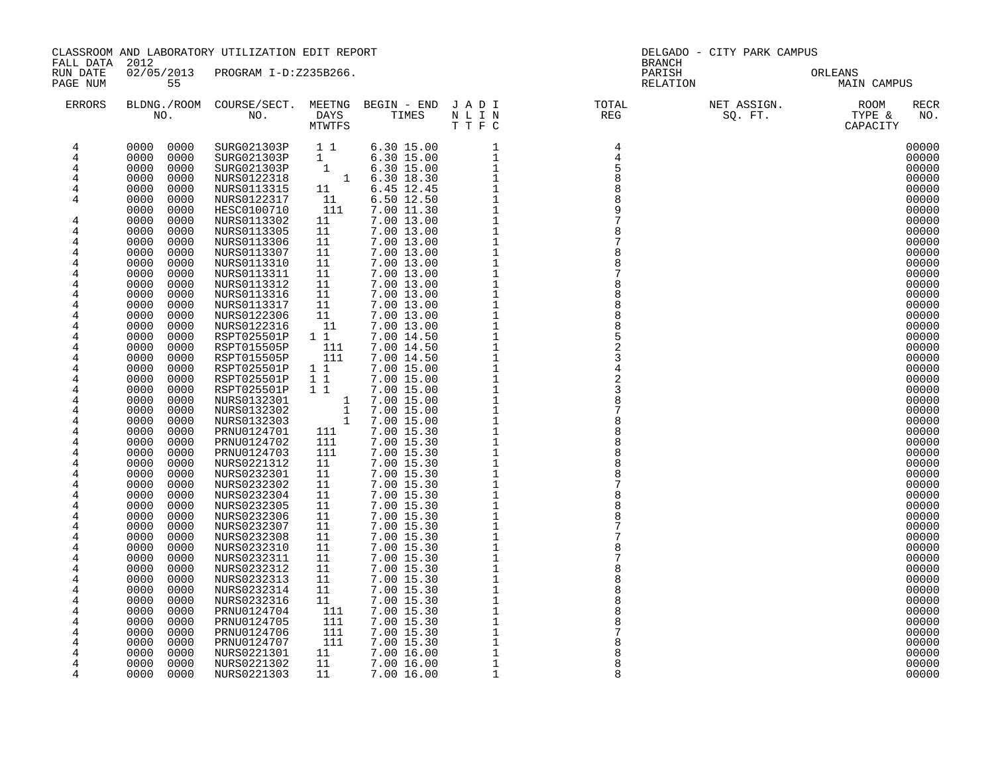| FALL DATA 2012       |                              | CLASSROOM AND LABORATORY UTILIZATION EDIT REPORT           |                                            |                                                    |                              | <b>BRANCH</b>         | DELGADO - CITY PARK CAMPUS |                                                                 |
|----------------------|------------------------------|------------------------------------------------------------|--------------------------------------------|----------------------------------------------------|------------------------------|-----------------------|----------------------------|-----------------------------------------------------------------|
| RUN DATE<br>PAGE NUM | 55                           | 02/05/2013 PROGRAM I-D:Z235B266.                           |                                            |                                                    |                              | PARISH<br>RELATION    |                            | ORLEANS<br>MAIN CAMPUS                                          |
| <b>ERRORS</b>        | NO.                          | BLDNG./ROOM COURSE/SECT. MEETNG BEGIN - END J A D I<br>NO. | DAYS<br>MTWTFS                             | TIMES                                              | NLIN<br>TTFC                 | TOTAL<br>REG<br>TOTAL |                            | NET ASSIGN.<br>SQ. FT. TYPE &<br>CAPACITY<br><b>RECR</b><br>NO. |
| 4                    | 0000<br>0000                 | SURG021303P                                                | 11                                         | $6.30$ 15.00                                       | $\mathbf{1}$                 | $\overline{4}$        |                            | 00000                                                           |
| 4                    | 0000<br>0000                 | SURG021303P                                                | $\mathbf{1}$                               | 6.30 15.00                                         | $\mathbf{1}$                 |                       |                            | 00000                                                           |
| 4                    | 0000<br>0000                 | SURG021303P                                                |                                            | 1 $6.30 15.00$<br>1 $6.30 18.30$<br>1 $5.30 18.30$ | $\mathbf{1}$                 |                       |                            | 00000                                                           |
| 4                    | 0000<br>0000                 | NURS0122318                                                |                                            |                                                    | $\mathbf{1}$                 | 8                     |                            | 00000                                                           |
| 4                    | 0000<br>0000<br>0000<br>0000 | NURS0113315                                                | 11<br>11                                   | 6.45 12.45                                         | $\mathbf{1}$<br>$\mathbf{1}$ |                       |                            | 00000                                                           |
| 4                    | 0000<br>0000                 | NURS0122317<br>HESC0100710                                 | 111                                        | 6.50 12.50<br>7.00 11.30                           | $\mathbf{1}$                 |                       |                            | 00000<br>00000                                                  |
| 4                    | 0000<br>0000                 | NURS0113302                                                | 11                                         | 7.00 13.00                                         | $1\,$                        |                       |                            | 00000                                                           |
| 4                    | 0000<br>0000                 | NURS0113305                                                | 11                                         | 7.00 13.00                                         | $1\,$                        |                       |                            | 00000                                                           |
| 4                    | 0000<br>0000                 | NURS0113306                                                | 11                                         | 7.00 13.00                                         | $\mathbf{1}$                 |                       |                            | 00000                                                           |
| $\overline{4}$       | 0000<br>0000                 | NURS0113307                                                | 11                                         | 7.00 13.00                                         | $1\,$                        |                       |                            | 00000                                                           |
| 4                    | 0000<br>0000                 | NURS0113310                                                | 11                                         | 7.00 13.00                                         | $\mathbf{1}$                 | 8                     |                            | 00000                                                           |
| 4                    | 0000<br>0000                 | NURS0113311                                                | 11                                         | 7.00 13.00                                         |                              |                       |                            | 00000                                                           |
| 4                    | 0000<br>0000                 | NURS0113312                                                | 11                                         | 7.00 13.00                                         | $\frac{1}{1}$                |                       |                            | 00000                                                           |
| 4                    | 0000<br>0000                 | NURS0113316                                                | 11                                         | 7.00 13.00                                         | $\mathbf{1}$                 |                       |                            | 00000                                                           |
| 4                    | 0000<br>0000                 | NURS0113317                                                | 11                                         | 7.00 13.00                                         | $\mathbf 1$                  |                       |                            | 00000                                                           |
| 4                    | 0000<br>0000                 | NURS0122306                                                | 11                                         | 7.00 13.00                                         | $\mathbf 1$                  |                       |                            | 00000                                                           |
| 4                    | 0000<br>0000                 | NURS0122316                                                | 11                                         | 7.00 13.00                                         | $\mathbf 1$                  |                       |                            | 00000                                                           |
| 4                    | 0000<br>0000                 | RSPT025501P                                                | $1\quad1$                                  | 7.00 14.50                                         | $1\,$                        |                       |                            | 00000                                                           |
| 4                    | 0000<br>0000                 | RSPT015505P                                                | 111                                        | 7.00 14.50                                         | $\mathbf 1$                  | 3                     |                            | 00000                                                           |
| 4<br>4               | 0000<br>0000<br>0000<br>0000 | RSPT015505P<br>RSPT025501P                                 | 111<br>$1\quad1$                           | 7.00 14.50<br>7.00 15.00                           | $\mathbf{1}$<br>$\mathbf 1$  |                       |                            | 00000<br>00000                                                  |
| 4                    | 0000<br>0000                 | RSPT025501P                                                | $1\quad1$                                  | 7.00 15.00                                         | $\mathbf 1$                  |                       |                            | 00000                                                           |
| 4                    | 0000<br>0000                 | RSPT025501P                                                | $1\quad1$                                  | 7.00 15.00                                         | $1\,$                        |                       |                            | 00000                                                           |
| 4                    | 0000<br>0000                 | NURS0132301                                                | $\mathbf{1}$                               | 7.00 15.00                                         | $\,1\,$                      |                       |                            | 00000                                                           |
| 4                    | 0000<br>0000                 | NURS0132302                                                | $\begin{array}{c} 1 \\ 1 \\ 1 \end{array}$ | 7.00 15.00                                         | $\ensuremath{\mathsf{1}}$    |                       |                            | 00000                                                           |
| 4                    | 0000<br>0000                 | NURS0132303                                                | 1                                          | 7.00 15.00                                         | $\mathbf{1}$                 |                       |                            | 00000                                                           |
| $\overline{4}$       | 0000<br>0000                 | PRNU0124701                                                | 111                                        | 7.00 15.30                                         | $\mathbf{1}$                 |                       |                            | 00000                                                           |
| 4                    | 0000<br>0000                 | PRNU0124702                                                | 111                                        | 7.00 15.30                                         | $\mathbf{1}$                 | 8                     |                            | 00000                                                           |
| 4                    | 0000<br>0000                 | PRNU0124703                                                | 111                                        | 7.00 15.30                                         | $\frac{1}{1}$                |                       |                            | 00000                                                           |
| 4                    | 0000<br>0000                 | NURS0221312                                                | 11                                         | 7.00 15.30                                         |                              |                       |                            | 00000                                                           |
| 4                    | 0000<br>0000                 | NURS0232301                                                | 11                                         | 7.00 15.30                                         | $1\,$                        |                       |                            | 00000                                                           |
| 4                    | 0000<br>0000                 | NURS0232302                                                | 11                                         | 7.00 15.30                                         | $\mathbf 1$                  |                       |                            | 00000                                                           |
| 4                    | 0000<br>0000                 | NURS0232304                                                | 11                                         | 7.00 15.30                                         | $1\,$<br>$\mathbf 1$         | 8                     |                            | 00000                                                           |
| 4<br>4               | 0000<br>0000<br>0000<br>0000 | NURS0232305                                                | 11<br>11                                   | 7.00 15.30<br>7.00 15.30                           | $\mathbf 1$                  |                       |                            | 00000<br>00000                                                  |
| 4                    | 0000<br>0000                 | NURS0232306<br>NURS0232307                                 | 11                                         | 7.00 15.30                                         | $\mathbf 1$                  |                       |                            | 00000                                                           |
| 4                    | 0000<br>0000                 | NURS0232308                                                | 11                                         | 7.00 15.30                                         | $\mathbf{1}$                 |                       |                            | 00000                                                           |
| 4                    | 0000<br>0000                 | NURS0232310                                                | 11                                         | 7.00 15.30                                         | $\mathbf 1$                  |                       |                            | 00000                                                           |
| 4                    | 0000<br>0000                 | NURS0232311                                                | 11                                         | 7.00 15.30                                         | $\mathbf{1}$                 |                       |                            | 00000                                                           |
| 4                    | 0000<br>0000                 | NURS0232312                                                | 11                                         | 7.00 15.30                                         | $\mathbf{1}$                 |                       |                            | 00000                                                           |
| 4                    | 0000<br>0000                 | NURS0232313                                                | 11                                         | 7.00 15.30                                         | $\mathbf{1}$                 | 8                     |                            | 00000                                                           |
| 4                    | 0000<br>0000                 | NURS0232314                                                | 11                                         | 7.00 15.30                                         | $\mathbf{1}$                 |                       |                            | 00000                                                           |
| 4                    | 0000<br>0000                 | NURS0232316                                                | 11                                         | 7.00 15.30                                         | $\mathbf{1}$                 |                       |                            | 00000                                                           |
| 4                    | 0000<br>0000                 | PRNU0124704                                                | 111                                        | 7.00 15.30                                         | $\mathbf{1}$                 |                       |                            | 00000                                                           |
| 4                    | 0000<br>0000                 | PRNU0124705                                                | 111                                        | 7.00 15.30                                         | $\mathbf{1}$                 |                       |                            | 00000                                                           |
| 4                    | 0000<br>0000                 | PRNU0124706                                                | 111                                        | 7.00 15.30                                         | $\mathbf{1}$                 |                       |                            | 00000                                                           |
| 4                    | 0000<br>0000                 | PRNU0124707                                                | 111                                        | 7.00 15.30                                         | $\overline{1}$               |                       |                            | 00000                                                           |
| 4                    | 0000<br>0000                 | NURS0221301                                                | 11                                         | 7.00 16.00                                         | $\mathbf 1$                  |                       |                            | 00000                                                           |
| 4                    | 0000<br>0000                 | NURS0221302                                                | 11                                         | 7.00 16.00                                         | $\,1\,$                      | 8<br>R                |                            | 00000                                                           |
| 4                    | 0000<br>0000                 | NURS0221303                                                | 11                                         | 7.00 16.00                                         | 1                            |                       |                            | 00000                                                           |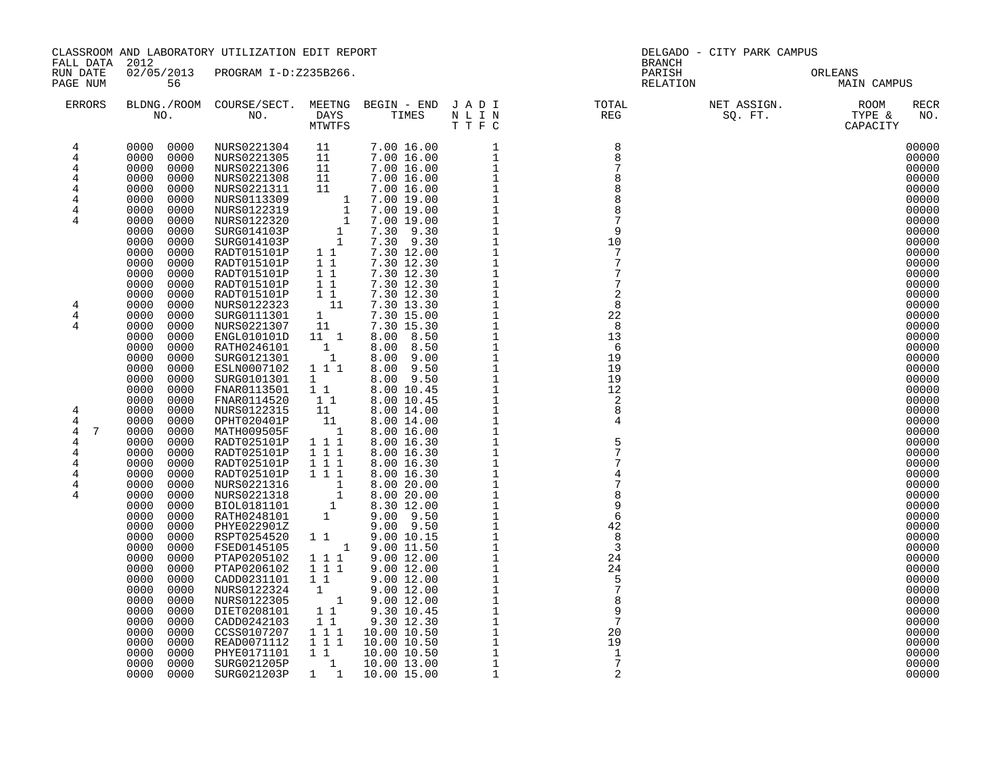| FALL DATA 2012                                                                                                                  |                                                                                                                                                                                                                                                                                                                                                                                                                                                                                                                                                                                                                                                                                                                           | CLASSROOM AND LABORATORY UTILIZATION EDIT REPORT |  | DELGADO - CITY PARK CAMPUS<br><b>BRANCH</b>                                                                                                                                                                                                              |                                     |                                                                                                                                                                                                                                                                                                                                                                                                          |  |  |
|---------------------------------------------------------------------------------------------------------------------------------|---------------------------------------------------------------------------------------------------------------------------------------------------------------------------------------------------------------------------------------------------------------------------------------------------------------------------------------------------------------------------------------------------------------------------------------------------------------------------------------------------------------------------------------------------------------------------------------------------------------------------------------------------------------------------------------------------------------------------|--------------------------------------------------|--|----------------------------------------------------------------------------------------------------------------------------------------------------------------------------------------------------------------------------------------------------------|-------------------------------------|----------------------------------------------------------------------------------------------------------------------------------------------------------------------------------------------------------------------------------------------------------------------------------------------------------------------------------------------------------------------------------------------------------|--|--|
| RUN DATE<br>PAGE NUM                                                                                                            | 56                                                                                                                                                                                                                                                                                                                                                                                                                                                                                                                                                                                                                                                                                                                        | 02/05/2013 PROGRAM I-D:Z235B266.                 |  |                                                                                                                                                                                                                                                          | PARISH ORLEANS NELATION MAIN CAMPUS |                                                                                                                                                                                                                                                                                                                                                                                                          |  |  |
| <b>ERRORS</b>                                                                                                                   |                                                                                                                                                                                                                                                                                                                                                                                                                                                                                                                                                                                                                                                                                                                           |                                                  |  |                                                                                                                                                                                                                                                          |                                     | RECR<br>NO.                                                                                                                                                                                                                                                                                                                                                                                              |  |  |
| 4<br>$\overline{4}$<br>4<br>4<br>4<br>4<br>4<br>4<br>4<br>$\overline{4}$<br>4<br>4<br>4<br>7<br>4<br>4<br>4<br>4<br>4<br>4<br>4 | 0000 0000<br>0000<br>0000<br>0000<br>0000<br>0000<br>0000<br>0000<br>0000<br>0000<br>0000<br>0000<br>0000<br>0000<br>0000<br>0000<br>0000<br>0000<br>0000<br>0000<br>0000<br>0000<br>0000<br>0000<br>0000<br>0000<br>0000<br>0000<br>0000<br>0000<br>0000<br>0000<br>0000<br>0000<br>0000<br>0000<br>0000<br>0000<br>0000<br>0000<br>0000<br>0000<br>0000<br>0000<br>0000<br>0000<br>0000<br>0000<br>0000<br>0000<br>0000<br>0000<br>0000<br>0000<br>0000<br>0000<br>0000<br>0000<br>0000<br>0000<br>0000<br>0000<br>0000<br>0000<br>0000<br>0000<br>0000<br>0000<br>0000<br>0000<br>0000<br>0000<br>0000<br>0000<br>0000<br>0000<br>0000<br>0000<br>0000<br>0000<br>0000<br>0000<br>0000<br>0000<br>0000<br>0000<br>0000 |                                                  |  | $\begin{array}{c} 8 \\ 8 \end{array}$<br>8<br>$\begin{array}{r} 8 \\ 79 \\ 10 \\ 7 \\ 7 \\ 2 \\ 2 \\ 8 \\ 13 \\ 6 \\ 19 \\ 19 \\ 19 \\ 19 \\ 19 \\ 19 \\ 19 \\ 19 \\ 2 \\ 2 \\ 8 \\ 4 \\ \end{array}$<br>5<br>42<br>8<br>$\overline{3}$<br>24<br>24<br>5 |                                     | 00000<br>00000<br>00000<br>00000<br>00000<br>00000<br>00000<br>00000<br>00000<br>00000<br>00000<br>00000<br>00000<br>00000<br>00000<br>00000<br>00000<br>00000<br>00000<br>00000<br>00000<br>00000<br>00000<br>00000<br>00000<br>00000<br>00000<br>00000<br>00000<br>00000<br>00000<br>00000<br>00000<br>00000<br>00000<br>00000<br>00000<br>00000<br>00000<br>00000<br>00000<br>00000<br>00000<br>00000 |  |  |
|                                                                                                                                 | 0000<br>0000<br>0000<br>0000<br>0000<br>0000<br>0000<br>0000<br>0000<br>0000<br>0000<br>0000<br>0000<br>0000                                                                                                                                                                                                                                                                                                                                                                                                                                                                                                                                                                                                              |                                                  |  | 9<br>20<br>19<br>$\mathbf{1}$<br>7<br>2                                                                                                                                                                                                                  |                                     | 00000<br>00000<br>00000<br>00000<br>00000<br>00000<br>00000                                                                                                                                                                                                                                                                                                                                              |  |  |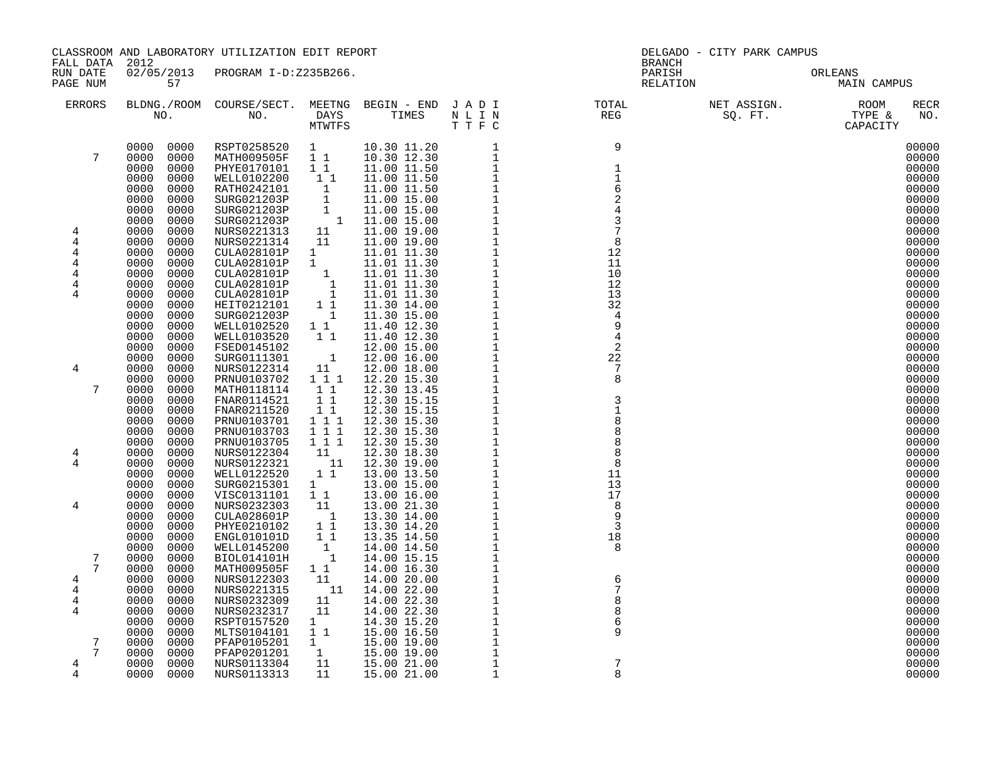| FALL DATA 2012                                   |                                                                                                              | CLASSROOM AND LABORATORY UTILIZATION EDIT REPORT                                                                                                                                                                         |                                                                                    |                                                                                                                                                                                                                                                                                             | <b>BRANCH</b>                                                                                                             | DELGADO - CITY PARK CAMPUS |                                                             |
|--------------------------------------------------|--------------------------------------------------------------------------------------------------------------|--------------------------------------------------------------------------------------------------------------------------------------------------------------------------------------------------------------------------|------------------------------------------------------------------------------------|---------------------------------------------------------------------------------------------------------------------------------------------------------------------------------------------------------------------------------------------------------------------------------------------|---------------------------------------------------------------------------------------------------------------------------|----------------------------|-------------------------------------------------------------|
| RUN DATE<br>PAGE NUM                             | 57                                                                                                           | 02/05/2013 PROGRAM I-D:Z235B266.                                                                                                                                                                                         |                                                                                    |                                                                                                                                                                                                                                                                                             | PARISH<br>RELATION                                                                                                        |                            | ORLEANS<br>MAIN CAMPUS                                      |
| ERRORS                                           |                                                                                                              |                                                                                                                                                                                                                          |                                                                                    |                                                                                                                                                                                                                                                                                             | BLDNG./ROOM COURSE/SECT. MEETNG BEGIN – END JADI TOTAL NET ASSIGN. NET ASSIGN. ROOM NO. DAYS TIMES NLIN REG SQ.FT. TYPE & |                            | RECR<br>NO.                                                 |
| 7                                                | 0000 0000<br>0000<br>0000<br>0000<br>0000<br>0000<br>0000<br>0000<br>0000<br>0000<br>0000<br>0000            | RSPT0258520 1<br>MATH009505F 1 1 10.30 12.30<br>PHYE0170101 1 1<br>WELL0102200                                                                                                                                           | 11                                                                                 |                                                                                                                                                                                                                                                                                             | $\overline{9}$<br>$\frac{1}{1}$                                                                                           |                            | 00000<br>00000<br>00000<br>00000<br>00000<br>00000          |
| 4<br>$\overline{4}$<br>4<br>4<br>4               | 0000<br>0000<br>0000<br>0000<br>0000<br>0000<br>0000<br>0000<br>0000<br>0000<br>0000<br>0000<br>0000         | 0.11.50<br>RATH0242101 1 11.00 11.50<br>SURG021203P 1 11.00 15.00<br>SURG021203P 1 11.00 15.00<br>SURG021203P 1 11.00 15.00<br>NURS0221313 11 11.00 19.00<br>NURS0221314 11<br>CULA028101P<br>CULA028101P<br>CULA028101P | $\frac{1}{1}$                                                                      |                                                                                                                                                                                                                                                                                             | 8<br>12<br>11<br>10                                                                                                       |                            | 00000<br>00000<br>00000<br>00000<br>00000<br>00000<br>00000 |
| 4<br>4                                           | 0000<br>0000<br>0000<br>0000<br>0000<br>0000<br>0000<br>0000<br>0000<br>0000<br>0000<br>0000                 | CULA028101P<br>CULA028101P<br>HEIT0212101 1<br>SURG021203P 1<br>WELL0102520 1 1<br>WELL0103520                                                                                                                           | $\begin{smallmatrix}1&&\\&1\\&1\\&1\end{smallmatrix}$<br>11                        |                                                                                                                                                                                                                                                                                             | 12<br>13<br>32<br>$\overline{4}$                                                                                          |                            | 00000<br>00000<br>00000<br>00000<br>00000<br>00000          |
| 4<br>7                                           | 0000<br>0000<br>0000<br>0000<br>0000<br>0000<br>0000<br>0000<br>0000<br>0000<br>0000<br>0000<br>0000<br>0000 | FSED0145102<br>SURG0111301<br>NURS0122314<br>PRNU0103702<br>MATH0118114<br>FNAR0114521<br>FNAR0211520                                                                                                                    | $\begin{smallmatrix}&&1\\11&&&\end{smallmatrix}$<br>1 1 1<br>$1\quad1$<br>11<br>11 | $\begin{array}{cccc} 10.30 & 11.20 & 1 \\ 1.03 & 12.30 & 1 \\ 11.00 & 11.50 & 1 \\ 11.00 & 11.50 & 1 \\ 11.00 & 11.50 & 1 \\ 11.00 & 15.00 & 1 \\ 11.00 & 15.00 & 1 \\ 11.00 & 15.00 & 1 \\ 11.00 & 15.00 & 1 \\ 11.00 & 19.00 & 1 \\ 11.00 & 19.00 & 1 \\ 11.01 & 11.30 & 1 \\ 11.01 & 11$ | 2<br>22<br>8<br>$\overline{\mathbf{3}}$                                                                                   |                            | 00000<br>00000<br>00000<br>00000<br>00000<br>00000<br>00000 |
| 4<br>4                                           | 0000<br>0000<br>0000<br>0000<br>0000<br>0000<br>0000<br>0000<br>0000<br>0000<br>0000<br>0000                 | PRNU0103701<br>PRNU0103703<br>PRNU0103705<br>NURS0122304<br>NURS0122321<br>WELL0122520                                                                                                                                   | $1 1 1$<br>1 1 1<br>$1 1 1$<br>11<br>$\overline{11}$<br>$1\quad1$                  |                                                                                                                                                                                                                                                                                             | 8<br>11                                                                                                                   |                            | 00000<br>00000<br>00000<br>00000<br>00000<br>00000          |
| 4                                                | 0000<br>0000<br>0000<br>0000<br>0000<br>0000<br>0000<br>0000<br>0000<br>0000<br>0000<br>0000                 | SURG0215301 1<br>VISC0131101<br>NURS0232303<br>CULA028601P<br>PHYE0210102<br>ENGL010101D                                                                                                                                 | 11<br>$\begin{array}{c} 11\\ \begin{array}{c} 1\\ 1 \end{array} \end{array}$<br>11 |                                                                                                                                                                                                                                                                                             | 13<br>17<br>- 8<br>3<br>18                                                                                                |                            | 00000<br>00000<br>00000<br>00000<br>00000<br>00000          |
| $7\phantom{.0}$<br>7<br>4<br>4<br>$\overline{4}$ | 0000<br>0000<br>0000<br>0000<br>0000<br>0000<br>0000<br>0000<br>0000<br>0000<br>0000<br>0000                 | WELL0145200<br>BIOL014101H<br>MATH009505F<br>NURS0122303<br>NURS0221315<br>NURS0232309                                                                                                                                   | $\begin{smallmatrix}1\cr-1\end{smallmatrix}$<br>$1\quad1$<br>11<br>11              | 11 14.00 22.00                                                                                                                                                                                                                                                                              | -8<br>6                                                                                                                   |                            | 00000<br>00000<br>00000<br>00000<br>00000<br>00000          |
| 4<br>7<br>7<br>$\overline{4}$                    | 0000<br>0000<br>0000<br>0000<br>0000<br>0000<br>0000<br>0000<br>0000<br>0000<br>0000<br>0000                 | NURS0232317<br>RSPT0157520<br>MLTS0104101<br>PFAP0105201<br>PFAP0201201<br>NURS0113304                                                                                                                                   | 11<br>1<br>$1\quad1$<br>$\frac{1}{11}$                                             | 1 15.00 19.00<br>15.00 19.00<br>15.00 21.00                                                                                                                                                                                                                                                 | 8<br>6<br>9<br>$\overline{7}$                                                                                             |                            | 00000<br>00000<br>00000<br>00000<br>00000<br>00000          |
| 4                                                | 0000<br>0000                                                                                                 | NURS0113313                                                                                                                                                                                                              | 11                                                                                 |                                                                                                                                                                                                                                                                                             | $\mathsf{R}$                                                                                                              |                            | 00000                                                       |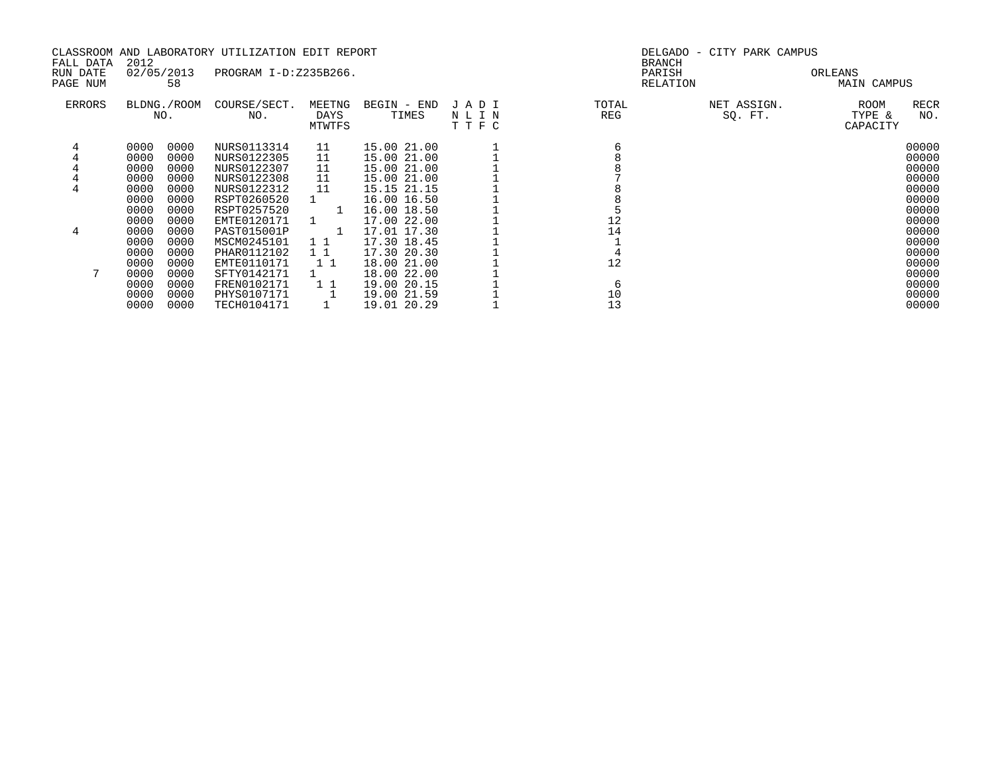|           |            |             | CLASSROOM AND LABORATORY UTILIZATION EDIT REPORT |              |             |      |       | DELGADO - CITY PARK CAMPUS |               |  |
|-----------|------------|-------------|--------------------------------------------------|--------------|-------------|------|-------|----------------------------|---------------|--|
| FALL DATA | 2012       |             |                                                  |              |             |      |       | <b>BRANCH</b>              |               |  |
| RUN DATE  | 02/05/2013 |             | PROGRAM I-D:Z235B266.                            |              |             |      |       | PARISH                     | ORLEANS       |  |
| PAGE NUM  |            | 58          |                                                  |              |             |      |       | RELATION                   | MAIN CAMPUS   |  |
| ERRORS    |            | BLDNG./ROOM | COURSE/SECT.                                     | MEETNG       | BEGIN - END | JADI | TOTAL | NET ASSIGN.                | RECR<br>ROOM  |  |
|           |            | NO.         | NO.                                              | DAYS         | TIMES       | NLIN | REG   | SQ. FT.                    | TYPE &<br>NO. |  |
|           |            |             |                                                  | MTWTFS       |             | TTFC |       |                            | CAPACITY      |  |
|           | 0000       | 0000        | NURS0113314                                      | 11           | 15.00 21.00 |      |       |                            | 00000         |  |
|           | 0000       | 0000        | NURS0122305                                      | 11           | 15.00 21.00 |      |       |                            | 00000         |  |
|           | 0000       | 0000        | NURS0122307                                      | 11           | 15.00 21.00 |      |       |                            | 00000         |  |
|           | 0000       | 0000        | NURS0122308                                      | 11           | 15.00 21.00 |      |       |                            | 00000         |  |
|           | 0000       | 0000        | NURS0122312                                      | 11           | 15.15 21.15 |      |       |                            | 00000         |  |
|           | 0000       | 0000        | RSPT0260520                                      |              | 16.00 16.50 |      |       |                            | 00000         |  |
|           | 0000       | 0000        | RSPT0257520                                      | -1           | 16.00 18.50 |      |       |                            | 00000         |  |
|           | 0000       | 0000        | EMTE0120171                                      |              | 17.00 22.00 |      | 12    |                            | 00000         |  |
| 4         | 0000       | 0000        | PAST015001P                                      | $\mathbf{1}$ | 17.01 17.30 |      | 14    |                            | 00000         |  |
|           | 0000       | 0000        | MSCM0245101                                      | $1\;1$       | 17.30 18.45 |      |       |                            | 00000         |  |
|           | 0000       | 0000        | PHAR0112102                                      | $1\quad1$    | 17.30 20.30 |      |       |                            | 00000         |  |
|           | 0000       | 0000        | EMTE0110171                                      | 1 1          | 18.00 21.00 |      | 12    |                            | 00000         |  |
|           | 0000       | 0000        | SFTY0142171                                      |              | 18.00 22.00 |      |       |                            | 00000         |  |
|           | 0000       | 0000        | FREN0102171                                      | 1 1          | 19.00 20.15 |      | 6     |                            | 00000         |  |
|           | 0000       | 0000        | PHYS0107171                                      |              | 19.00 21.59 |      | 10    |                            | 00000         |  |
|           | 0000       | 0000        | TECH0104171                                      |              | 19.01 20.29 |      | 13    |                            | 00000         |  |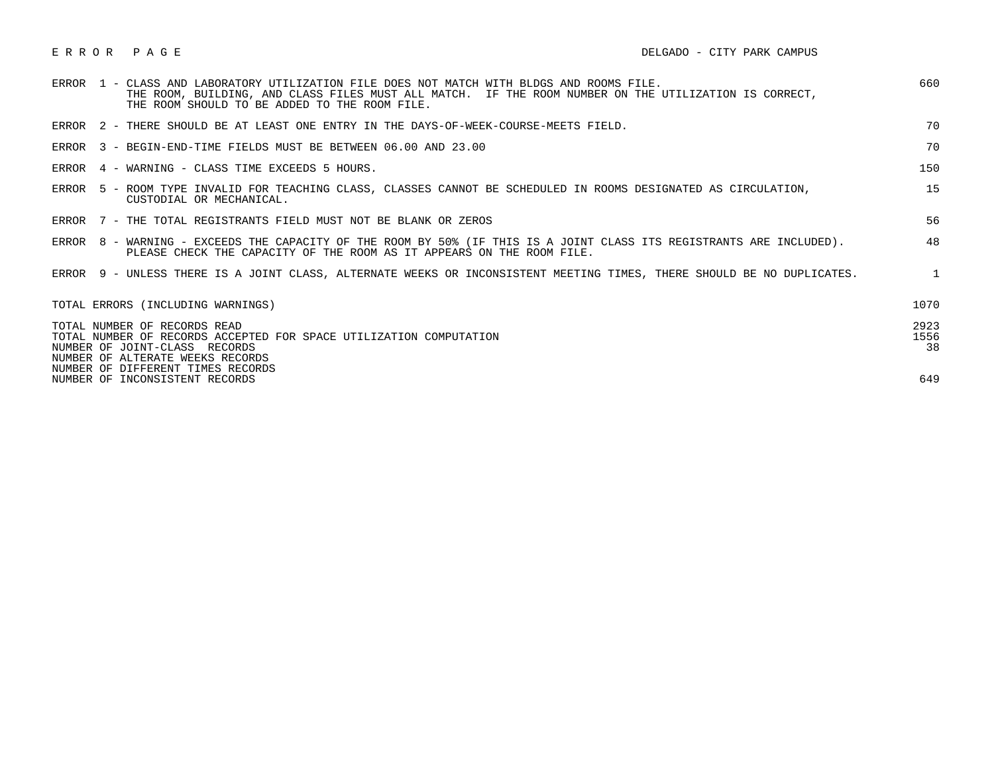| ERROR PAGE |  |
|------------|--|
|------------|--|

| ERROR 1 - CLASS AND LABORATORY UTILIZATION FILE DOES NOT MATCH WITH BLDGS AND ROOMS FILE.<br>THE ROOM, BUILDING, AND CLASS FILES MUST ALL MATCH. IF THE ROOM NUMBER ON THE UTILIZATION IS CORRECT,<br>THE ROOM SHOULD TO BE ADDED TO THE ROOM FILE. | 660                |
|-----------------------------------------------------------------------------------------------------------------------------------------------------------------------------------------------------------------------------------------------------|--------------------|
| ERROR 2 - THERE SHOULD BE AT LEAST ONE ENTRY IN THE DAYS-OF-WEEK-COURSE-MEETS FIELD.                                                                                                                                                                | 70                 |
| ERROR 3 - BEGIN-END-TIME FIELDS MUST BE BETWEEN 06.00 AND 23.00                                                                                                                                                                                     | 70                 |
| ERROR 4 - WARNING - CLASS TIME EXCEEDS 5 HOURS.                                                                                                                                                                                                     | 150                |
| ERROR 5 - ROOM TYPE INVALID FOR TEACHING CLASS, CLASSES CANNOT BE SCHEDULED IN ROOMS DESIGNATED AS CIRCULATION,<br>CUSTODIAL OR MECHANICAL.                                                                                                         | 15                 |
| ERROR 7 - THE TOTAL REGISTRANTS FIELD MUST NOT BE BLANK OR ZEROS                                                                                                                                                                                    | 56                 |
| ERROR 8 - WARNING - EXCEEDS THE CAPACITY OF THE ROOM BY 50% (IF THIS IS A JOINT CLASS ITS REGISTRANTS ARE INCLUDED).<br>PLEASE CHECK THE CAPACITY OF THE ROOM AS IT APPEARS ON THE ROOM FILE.                                                       | 48                 |
| ERROR 9 - UNLESS THERE IS A JOINT CLASS, ALTERNATE WEEKS OR INCONSISTENT MEETING TIMES, THERE SHOULD BE NO DUPLICATES.                                                                                                                              | $\mathbf{1}$       |
| TOTAL ERRORS (INCLUDING WARNINGS)                                                                                                                                                                                                                   | 1070               |
| TOTAL NUMBER OF RECORDS READ<br>TOTAL NUMBER OF RECORDS ACCEPTED FOR SPACE UTILIZATION COMPUTATION<br>NUMBER OF JOINT-CLASS RECORDS<br>NUMBER OF ALTERATE WEEKS RECORDS<br>NUMBER OF DIFFERENT TIMES RECORDS                                        | 2923<br>1556<br>38 |
| NUMBER OF INCONSISTENT RECORDS                                                                                                                                                                                                                      | 649                |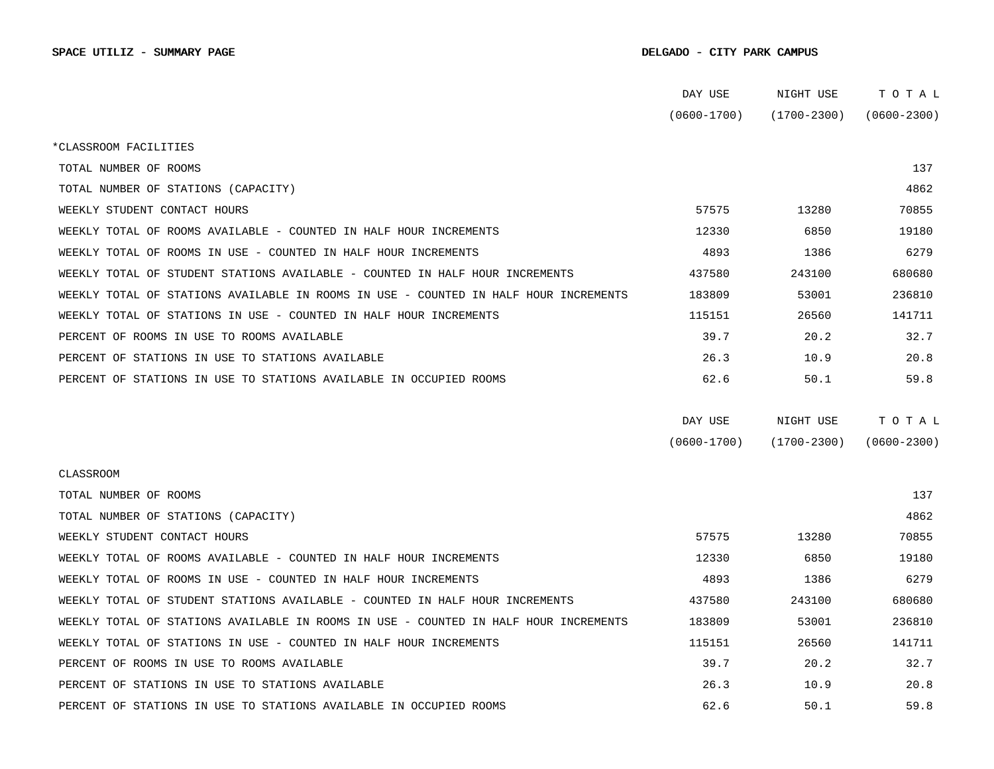|                                                                                      | DAY USE         | NIGHT USE       | TOTAL           |
|--------------------------------------------------------------------------------------|-----------------|-----------------|-----------------|
|                                                                                      | $(0600 - 1700)$ | $(1700 - 2300)$ | $(0600 - 2300)$ |
| *CLASSROOM FACILITIES                                                                |                 |                 |                 |
| TOTAL NUMBER OF ROOMS                                                                |                 |                 | 137             |
| TOTAL NUMBER OF STATIONS (CAPACITY)                                                  |                 |                 | 4862            |
| WEEKLY STUDENT CONTACT HOURS                                                         | 57575           | 13280           | 70855           |
| WEEKLY TOTAL OF ROOMS AVAILABLE - COUNTED IN HALF HOUR INCREMENTS                    | 12330           | 6850            | 19180           |
| WEEKLY TOTAL OF ROOMS IN USE - COUNTED IN HALF HOUR INCREMENTS                       | 4893            | 1386            | 6279            |
| WEEKLY TOTAL OF STUDENT STATIONS AVAILABLE - COUNTED IN HALF HOUR INCREMENTS         | 437580          | 243100          | 680680          |
| WEEKLY TOTAL OF STATIONS AVAILABLE IN ROOMS IN USE - COUNTED IN HALF HOUR INCREMENTS | 183809          | 53001           | 236810          |
| WEEKLY TOTAL OF STATIONS IN USE - COUNTED IN HALF HOUR INCREMENTS                    | 115151          | 26560           | 141711          |
| PERCENT OF ROOMS IN USE TO ROOMS AVAILABLE                                           | 39.7            | 20.2            | 32.7            |
| PERCENT OF STATIONS IN USE TO STATIONS AVAILABLE                                     | 26.3            | 10.9            | 20.8            |
| PERCENT OF STATIONS IN USE TO STATIONS AVAILABLE IN OCCUPIED ROOMS                   | 62.6            | 50.1            | 59.8            |
|                                                                                      |                 |                 |                 |
|                                                                                      | DAY USE         | NIGHT USE       | TOTAL           |
|                                                                                      | $(0600 - 1700)$ | $(1700 - 2300)$ | $(0600 - 2300)$ |
| CLASSROOM                                                                            |                 |                 |                 |
| TOTAL NUMBER OF ROOMS                                                                |                 |                 | 137             |
| TOTAL NUMBER OF STATIONS (CAPACITY)                                                  |                 |                 | 4862            |
| WEEKLY STUDENT CONTACT HOURS                                                         | 57575           | 13280           | 70855           |
| WEEKLY TOTAL OF ROOMS AVAILABLE - COUNTED IN HALF HOUR INCREMENTS                    | 12330           | 6850            | 19180           |
| WEEKLY TOTAL OF ROOMS IN USE - COUNTED IN HALF HOUR INCREMENTS                       | 4893            | 1386            | 6279            |
| WEEKLY TOTAL OF STUDENT STATIONS AVAILABLE - COUNTED IN HALF HOUR INCREMENTS         | 437580          | 243100          | 680680          |
| WEEKLY TOTAL OF STATIONS AVAILABLE IN ROOMS IN USE - COUNTED IN HALF HOUR INCREMENTS | 183809          | 53001           | 236810          |
| WEEKLY TOTAL OF STATIONS IN USE - COUNTED IN HALF HOUR INCREMENTS                    | 115151          | 26560           | 141711          |
| PERCENT OF ROOMS IN USE TO ROOMS AVAILABLE                                           | 39.7            | 20.2            | 32.7            |
| PERCENT OF STATIONS IN USE TO STATIONS AVAILABLE                                     | 26.3            | 10.9            | 20.8            |
| PERCENT OF STATIONS IN USE TO STATIONS AVAILABLE IN OCCUPIED ROOMS                   | 62.6            | 50.1            | 59.8            |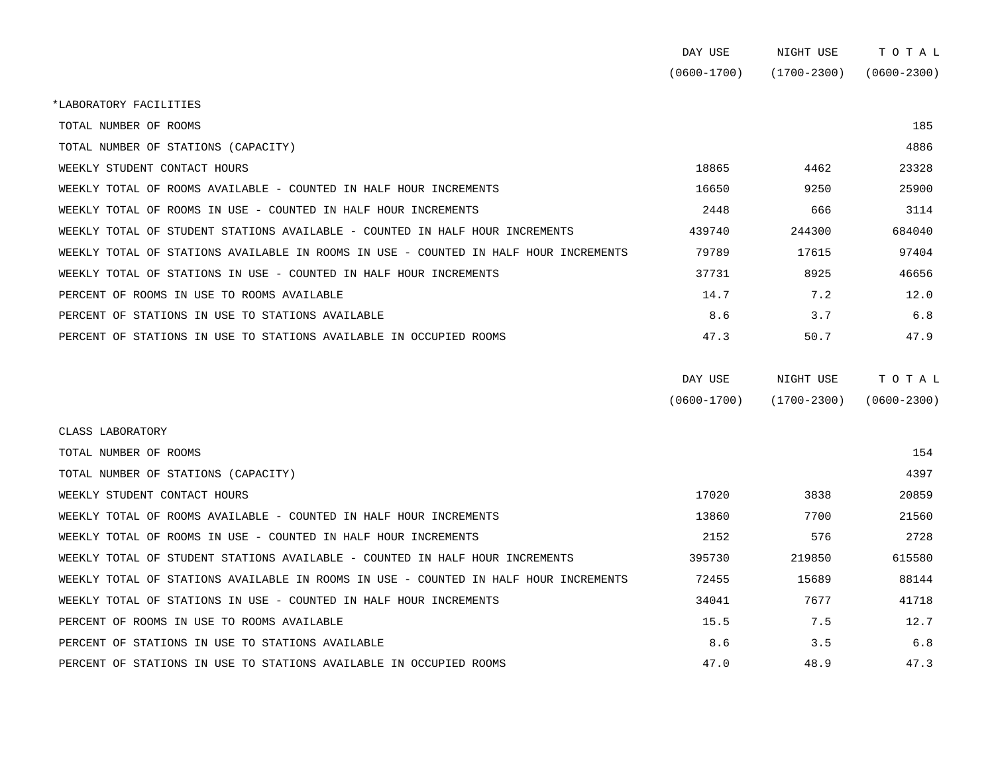|                                                                                      | DAY USE         | NIGHT USE   | TOTAL           |
|--------------------------------------------------------------------------------------|-----------------|-------------|-----------------|
|                                                                                      | $(0600 - 1700)$ | (1700-2300) | $(0600 - 2300)$ |
| *LABORATORY FACILITIES                                                               |                 |             |                 |
| TOTAL NUMBER OF ROOMS                                                                |                 |             | 185             |
| TOTAL NUMBER OF STATIONS (CAPACITY)                                                  |                 |             | 4886            |
| WEEKLY STUDENT CONTACT HOURS                                                         | 18865           | 4462        | 23328           |
| WEEKLY TOTAL OF ROOMS AVAILABLE - COUNTED IN HALF HOUR INCREMENTS                    | 16650           | 9250        | 25900           |
| WEEKLY TOTAL OF ROOMS IN USE - COUNTED IN HALF HOUR INCREMENTS                       | 2448            | 666         | 3114            |
| WEEKLY TOTAL OF STUDENT STATIONS AVAILABLE - COUNTED IN HALF HOUR INCREMENTS         | 439740          | 244300      | 684040          |
| WEEKLY TOTAL OF STATIONS AVAILABLE IN ROOMS IN USE - COUNTED IN HALF HOUR INCREMENTS | 79789           | 17615       | 97404           |
| WEEKLY TOTAL OF STATIONS IN USE - COUNTED IN HALF HOUR INCREMENTS                    | 37731           | 8925        | 46656           |
| PERCENT OF ROOMS IN USE TO ROOMS AVAILABLE                                           | 14.7            | 7.2         | 12.0            |
| PERCENT OF STATIONS IN USE TO STATIONS AVAILABLE                                     | 8.6             | 3.7         | 6.8             |

| DAY USE         | NIGHT USE       | тотаь           |
|-----------------|-----------------|-----------------|
| $(0600 - 1700)$ | $(1700 - 2300)$ | $(0600 - 2300)$ |

| CLASS LABORATORY                                                                     |        |        |        |
|--------------------------------------------------------------------------------------|--------|--------|--------|
| TOTAL NUMBER OF ROOMS                                                                |        |        | 154    |
| TOTAL NUMBER OF STATIONS (CAPACITY)                                                  |        |        | 4397   |
| WEEKLY STUDENT CONTACT HOURS                                                         | 17020  | 3838   | 20859  |
| WEEKLY TOTAL OF ROOMS AVAILABLE - COUNTED IN HALF HOUR INCREMENTS                    | 13860  | 7700   | 21560  |
| WEEKLY TOTAL OF ROOMS IN USE - COUNTED IN HALF HOUR INCREMENTS                       | 2152   | 576    | 2728   |
| WEEKLY TOTAL OF STUDENT STATIONS AVAILABLE - COUNTED IN HALF HOUR INCREMENTS         | 395730 | 219850 | 615580 |
| WEEKLY TOTAL OF STATIONS AVAILABLE IN ROOMS IN USE - COUNTED IN HALF HOUR INCREMENTS | 72455  | 15689  | 88144  |
| WEEKLY TOTAL OF STATIONS IN USE - COUNTED IN HALF HOUR INCREMENTS                    | 34041  | 7677   | 41718  |
| PERCENT OF ROOMS IN USE TO ROOMS AVAILABLE                                           | 15.5   | 7.5    | 12.7   |
| PERCENT OF STATIONS IN USE TO STATIONS AVAILABLE                                     | 8.6    | 3.5    | 6.8    |
| PERCENT OF STATIONS IN USE TO STATIONS AVAILABLE IN OCCUPIED ROOMS                   | 47.0   | 48.9   | 47.3   |

PERCENT OF STATIONS IN USE TO STATIONS AVAILABLE IN OCCUPIED ROOMS 47.3 50.7 47.9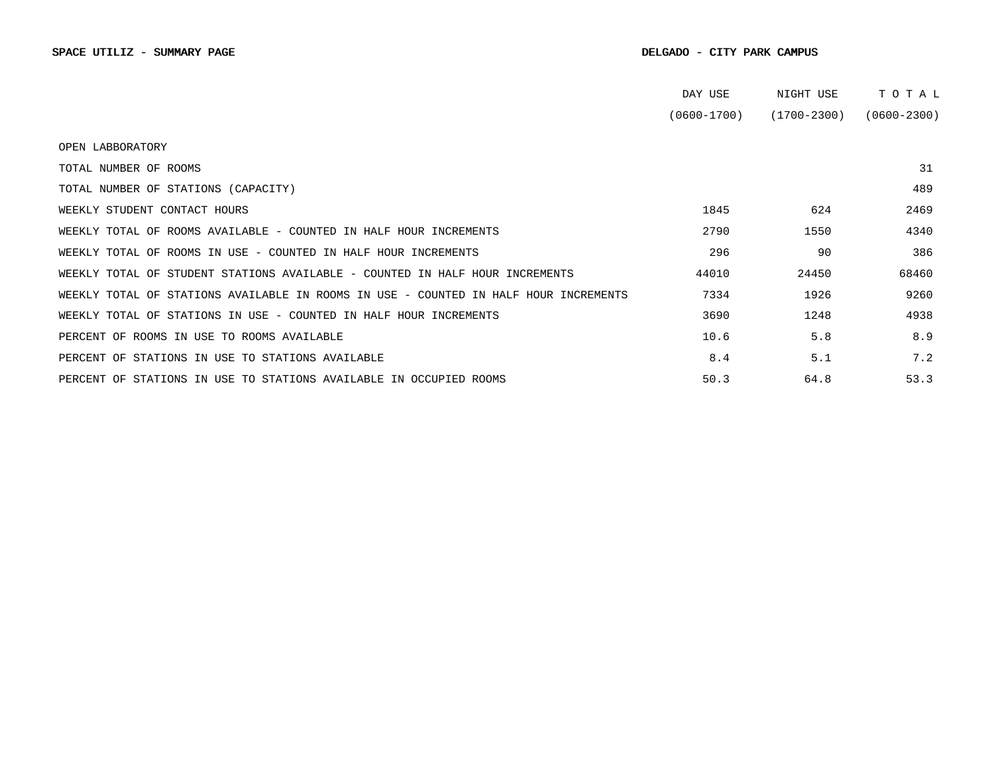|                                                                                      | DAY USE         | NIGHT USE       | TOTAL           |
|--------------------------------------------------------------------------------------|-----------------|-----------------|-----------------|
|                                                                                      | $(0600 - 1700)$ | $(1700 - 2300)$ | $(0600 - 2300)$ |
| OPEN LABBORATORY                                                                     |                 |                 |                 |
| TOTAL NUMBER OF ROOMS                                                                |                 |                 | 31              |
| TOTAL NUMBER OF STATIONS (CAPACITY)                                                  |                 |                 | 489             |
| WEEKLY STUDENT CONTACT HOURS                                                         | 1845            | 624             | 2469            |
| WEEKLY TOTAL OF ROOMS AVAILABLE - COUNTED IN HALF HOUR INCREMENTS                    | 2790            | 1550            | 4340            |
| WEEKLY TOTAL OF ROOMS IN USE - COUNTED IN HALF HOUR INCREMENTS                       | 296             | 90              | 386             |
| WEEKLY TOTAL OF STUDENT STATIONS AVAILABLE - COUNTED IN HALF HOUR INCREMENTS         | 44010           | 24450           | 68460           |
| WEEKLY TOTAL OF STATIONS AVAILABLE IN ROOMS IN USE - COUNTED IN HALF HOUR INCREMENTS | 7334            | 1926            | 9260            |
| WEEKLY TOTAL OF STATIONS IN USE - COUNTED IN HALF HOUR INCREMENTS                    | 3690            | 1248            | 4938            |
| PERCENT OF ROOMS IN USE TO ROOMS AVAILABLE                                           | 10.6            | 5.8             | 8.9             |
| PERCENT OF STATIONS IN USE TO STATIONS AVAILABLE                                     | 8.4             | 5.1             | 7.2             |
| PERCENT OF STATIONS IN USE TO STATIONS AVAILABLE IN OCCUPIED ROOMS                   | 50.3            | 64.8            | 53.3            |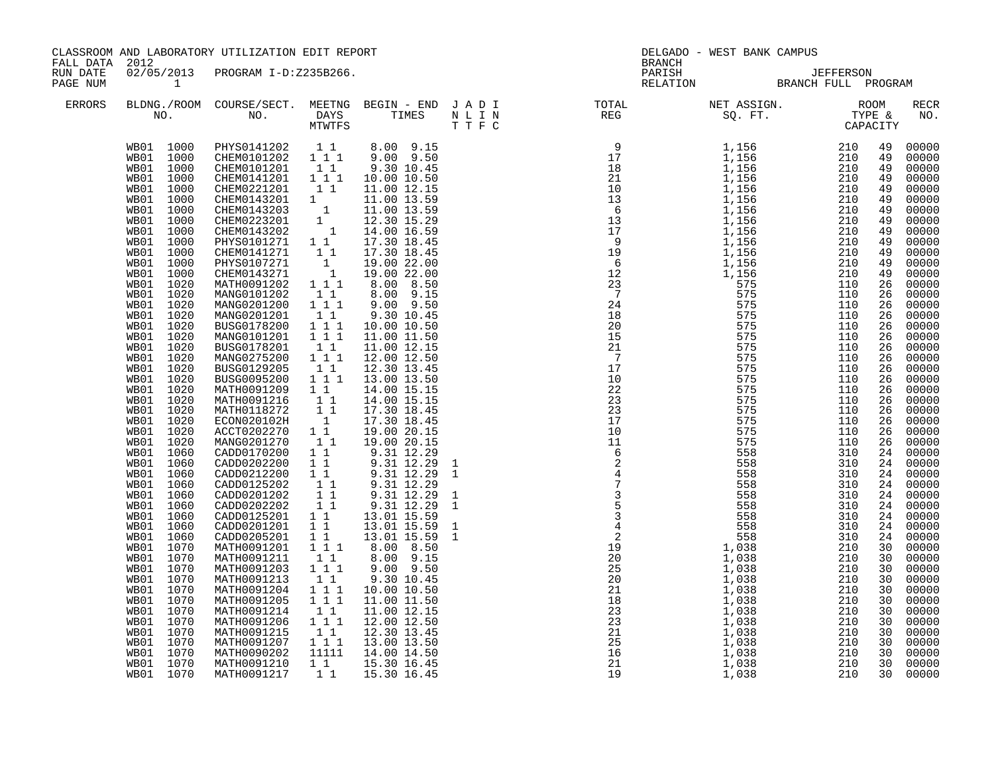| FALL DATA 2012       |                                                                                                                                                                                                                                                                                                                                                                                                                                                                                                                                                                                                                                                                                                                                                                       | CLASSROOM AND LABORATORY UTILIZATION EDIT REPORT                                                                                                                                                                                                                                                                                                                                                                                                                                                                                                                                                                                                                                                                                                                                                                                                                         |                                                                                                                                                                                                                                                                                                                                                                                                                                                                                                                                              |                                                                                                                                                                                                                                                                                                                                                                                                                                                                                                                                                                                                                                                                                                                                                                                                                      |  | DELGADO - WEST BANK CAMPUS<br><b>BRANCH</b>                                                                                                                                                                                                                                                                                                                                                                                                    |                                                                                                                                                                                                                                                                                                                |                                                                                                                                                                                                                                                                                                                                                                                                                                                                           |
|----------------------|-----------------------------------------------------------------------------------------------------------------------------------------------------------------------------------------------------------------------------------------------------------------------------------------------------------------------------------------------------------------------------------------------------------------------------------------------------------------------------------------------------------------------------------------------------------------------------------------------------------------------------------------------------------------------------------------------------------------------------------------------------------------------|--------------------------------------------------------------------------------------------------------------------------------------------------------------------------------------------------------------------------------------------------------------------------------------------------------------------------------------------------------------------------------------------------------------------------------------------------------------------------------------------------------------------------------------------------------------------------------------------------------------------------------------------------------------------------------------------------------------------------------------------------------------------------------------------------------------------------------------------------------------------------|----------------------------------------------------------------------------------------------------------------------------------------------------------------------------------------------------------------------------------------------------------------------------------------------------------------------------------------------------------------------------------------------------------------------------------------------------------------------------------------------------------------------------------------------|----------------------------------------------------------------------------------------------------------------------------------------------------------------------------------------------------------------------------------------------------------------------------------------------------------------------------------------------------------------------------------------------------------------------------------------------------------------------------------------------------------------------------------------------------------------------------------------------------------------------------------------------------------------------------------------------------------------------------------------------------------------------------------------------------------------------|--|------------------------------------------------------------------------------------------------------------------------------------------------------------------------------------------------------------------------------------------------------------------------------------------------------------------------------------------------------------------------------------------------------------------------------------------------|----------------------------------------------------------------------------------------------------------------------------------------------------------------------------------------------------------------------------------------------------------------------------------------------------------------|---------------------------------------------------------------------------------------------------------------------------------------------------------------------------------------------------------------------------------------------------------------------------------------------------------------------------------------------------------------------------------------------------------------------------------------------------------------------------|
| RUN DATE<br>PAGE NUM |                                                                                                                                                                                                                                                                                                                                                                                                                                                                                                                                                                                                                                                                                                                                                                       | 02/05/2013 PROGRAM I-D:Z235B266.                                                                                                                                                                                                                                                                                                                                                                                                                                                                                                                                                                                                                                                                                                                                                                                                                                         |                                                                                                                                                                                                                                                                                                                                                                                                                                                                                                                                              |                                                                                                                                                                                                                                                                                                                                                                                                                                                                                                                                                                                                                                                                                                                                                                                                                      |  | PARISH DEFFERSON RELATION BRANCH FULL PROGRAM                                                                                                                                                                                                                                                                                                                                                                                                  |                                                                                                                                                                                                                                                                                                                |                                                                                                                                                                                                                                                                                                                                                                                                                                                                           |
| <b>ERRORS</b>        |                                                                                                                                                                                                                                                                                                                                                                                                                                                                                                                                                                                                                                                                                                                                                                       |                                                                                                                                                                                                                                                                                                                                                                                                                                                                                                                                                                                                                                                                                                                                                                                                                                                                          |                                                                                                                                                                                                                                                                                                                                                                                                                                                                                                                                              |                                                                                                                                                                                                                                                                                                                                                                                                                                                                                                                                                                                                                                                                                                                                                                                                                      |  | $\begin{tabular}{lllllllllllllllllllll} \textsc{BLONG.} \textsc{F100M.} & \textsc{COURSE/SECT.} & \textsc{METNG.} & \textsc{BEGIN - END.} & \textsc{J A D I} & \textsc{DTATM E} & \textsc{NET ASSIGN.} & \textsc{ROOM} \\ \textsc{NO.} & \textsc{NO.} & \textsc{DAYS} & \textsc{TIMES} & \textsc{N L I N} & \textsc{REG} & \textsc{SEG} & \textsc{ST.} & \textsc{STF.} & \textsc{CTPACITY} \\ & \textsc{MTVTFS} & \textsc{T T F C} & \textsc{$ |                                                                                                                                                                                                                                                                                                                | <b>RECR</b><br>NO.                                                                                                                                                                                                                                                                                                                                                                                                                                                        |
|                      | WB01 1000<br>WB01 1000<br>1000<br>WB01<br>WB01<br>1000<br>WB01 1000<br>WB01 1000<br>WB01 1000<br>WB01<br>1000<br>WB01<br>1000<br>1000<br>WB01<br>WB01<br>1000<br>WB01<br>1020<br>WB01<br>1020<br>1020<br>WB01<br>WB01<br>1020<br>1020<br>WB01<br>WB01<br>1020<br>1020<br>WB01<br>1020<br>WB01<br>1020<br>WB01<br>1020<br>WB01<br>WB01<br>1020<br>WB01<br>1020<br>WB01 1020<br>WB01 1020<br>WB01 1020<br>WB01 1020<br>WB01 1060<br>WB01<br>1060<br>WB01<br>1060<br>1060<br>WB01<br>1060<br>WB01<br>1060<br>WB01<br>1060<br>WB01<br>1060<br>WB01<br>1060<br>WB01<br>1070<br>WB01<br>WB01<br>1070<br>WB01<br>1070<br>1070<br>WB01<br>1070<br>WB01<br>WB01<br>1070<br>WB01<br>1070<br>WB01<br>1070<br>WB01 1070<br>1070<br>WB01<br>WB01<br>1070<br>WB01 1070<br>WB01 1070 | WB01 1000 PHYS0141202 1 1 8.00 9.15<br>WB01 1000 CHEM0101202 1 1 1 9.00 9.50<br>CHEM0101201<br>CHEM0141201<br>CHEM0221201<br>CHEMO143201 1<br>CHEMO143201 1<br>CHEMO223201 1<br>CHEMO143202 1<br>PHYS0101271 1 1<br>CHEM0141271 11<br>PHYS0107271 1<br>CHEM0143271 1<br>MATH0091202 111<br>MANG0101202<br>MANG0201200<br>MANG0201201<br>BUSG0178200<br>MANG0101201<br>BUSG0178201<br>MANG0275200<br>BUSG0129205<br>BUSG0095200<br>MATH0091209<br>MATH0091216<br>MATH0118272<br>ECON020102H<br>ACCT0202270<br>MANG0201270<br>CADD0170200<br>CADD0202200<br>CADD0212200<br>CADD0125202<br>CADD0201202<br>CADD0202202<br>CADD0125201<br>CADD0201201<br>CADD0205201<br>MATH0091201 1 1 1<br>MATH0091211<br>MATH0091203<br>MATH0091213<br>MATH0091204<br>MATH0091205<br>MATH0091214<br>MATH0091206<br>MATH0091215<br>MATH0091207<br>MATH0090202<br>MATH0091210<br>MATH0091217 | $1\quad1$<br>1 1 1<br>11<br>$\begin{smallmatrix}1&1\\1&1&1\end{smallmatrix}$<br>$1\quad1$<br>111<br>$\bar{1}$ $\bar{1}$ $\bar{1}$<br>11<br>111<br>11<br>1 1 1<br>$1\quad1$<br>$\begin{bmatrix} 1\\ 1\\ 1\\ 1 \end{bmatrix}$<br>$1\quad1$<br>11<br>$1\quad1$<br>$1\quad1$<br>11<br>$\begin{bmatrix} 1 \\ 1 \\ 1 \end{bmatrix}$<br>11<br>$1\quad1$<br>$1\quad1$<br>11<br>$1 1 1$<br>1 1<br>$1 1 1$<br>$\overline{1}$ $\overline{1}$ $\overline{1}$<br>$1\quad1$<br>$1 \quad 1 \quad 1$<br>$1\quad1$<br>$1 \ 1 \ 1$<br>11111<br>$1\quad1$<br>11 | 9.30 10.45<br>10.00 10.50<br>11.00 12.15<br>11.00 13.59<br>11.00 13.59<br>12.30 15.29<br>14.00 16.59<br>17.30 18.45<br>17.30 18.45<br>19.00 22.00<br>19.00 22.00<br>$8.00$ $8.50$<br>8.00 9.15<br>9.00 9.50<br>9.30 10.45<br>10.00 10.50<br>11.00 11.50<br>11.00 12.15<br>12.00 12.50<br>12.30 13.45<br>13.00 13.50<br>14.00 15.15<br>14.00 15.15<br>17.30 18.45<br>17.30 18.45<br>19.00 20.15<br>19.00 20.15<br>9.31 12.29<br>9.31 12.29<br>9.31 12.29<br>9.31 12.29<br>$9.31$ 12.29<br>$9.31$ 12.29<br>$\begin{array}{cccc} 1 & 1 & & 13 & .01 & 15 & .59 \\ 1 & 1 & & 13 & .01 & 15 & .59 \end{array}$<br>13.01 15.59<br>8.00 8.50<br>8.00 9.15<br>9.00 9.50<br>9.30 10.45<br>10.00 10.50<br>11.00 11.50<br>11.00 12.15<br>12.00 12.50<br>12.30 13.45<br>13.00 13.50<br>14.00 14.50<br>15.30 16.45<br>15.30 16.45 |  |                                                                                                                                                                                                                                                                                                                                                                                                                                                | 49<br>49<br>49<br>49<br>49<br>49<br>49<br>49<br>49<br>49<br>49<br>49<br>49<br>26<br>26<br>26<br>26<br>26<br>26<br>26<br>26<br>26<br>26<br>26<br>26<br>26<br>26<br>26<br>26<br>24<br>24<br>24<br>24<br>24<br>24<br>24<br>24<br>24<br>30<br>30<br>30<br>30<br>30<br>30<br>30<br>30<br>30<br>30<br>30<br>30<br>30 | 00000<br>00000<br>00000<br>00000<br>00000<br>00000<br>00000<br>00000<br>00000<br>00000<br>00000<br>00000<br>00000<br>00000<br>00000<br>00000<br>00000<br>00000<br>00000<br>00000<br>00000<br>00000<br>00000<br>00000<br>00000<br>00000<br>00000<br>00000<br>00000<br>00000<br>00000<br>00000<br>00000<br>00000<br>00000<br>00000<br>00000<br>00000<br>00000<br>00000<br>00000<br>00000<br>00000<br>00000<br>00000<br>$00000$<br>00000<br>00000<br>00000<br>00000<br>00000 |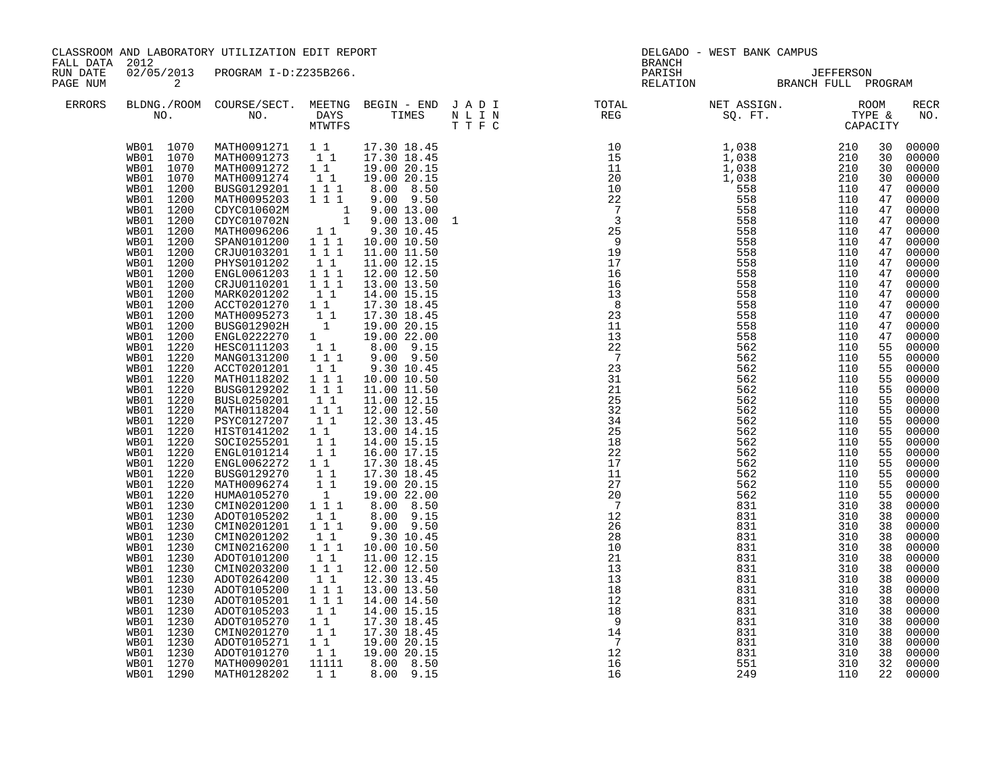| FALL DATA 2012       |                                                                                                                                                                                                                                                                                                                                                                                                                                                                                                                                                                                                                                                                                                                        | CLASSROOM AND LABORATORY UTILIZATION EDIT REPORT                                                                                                                                                                                                                                                                                                                                                                                                                                                                                                                                                                                                                                                                                                                                                                                                                                                                                                                                                                                 |                                                                                                                                                                                                                                                                                                                                                                                                                                                 |                                                                                                                                                                                                                                                                                                                                                                                                                                                                                                                                                                                                                                                   | <b>BRANCH</b>                                                                                                                                                                                                                                                                                                                                                                                                                                  | DELGADO - WEST BANK CAMPUS                                 |                                                                                                                                                                                                                                                                                                                |                                                                                                                                                                                                                                                                                                                                                                                                                                                                         |
|----------------------|------------------------------------------------------------------------------------------------------------------------------------------------------------------------------------------------------------------------------------------------------------------------------------------------------------------------------------------------------------------------------------------------------------------------------------------------------------------------------------------------------------------------------------------------------------------------------------------------------------------------------------------------------------------------------------------------------------------------|----------------------------------------------------------------------------------------------------------------------------------------------------------------------------------------------------------------------------------------------------------------------------------------------------------------------------------------------------------------------------------------------------------------------------------------------------------------------------------------------------------------------------------------------------------------------------------------------------------------------------------------------------------------------------------------------------------------------------------------------------------------------------------------------------------------------------------------------------------------------------------------------------------------------------------------------------------------------------------------------------------------------------------|-------------------------------------------------------------------------------------------------------------------------------------------------------------------------------------------------------------------------------------------------------------------------------------------------------------------------------------------------------------------------------------------------------------------------------------------------|---------------------------------------------------------------------------------------------------------------------------------------------------------------------------------------------------------------------------------------------------------------------------------------------------------------------------------------------------------------------------------------------------------------------------------------------------------------------------------------------------------------------------------------------------------------------------------------------------------------------------------------------------|------------------------------------------------------------------------------------------------------------------------------------------------------------------------------------------------------------------------------------------------------------------------------------------------------------------------------------------------------------------------------------------------------------------------------------------------|------------------------------------------------------------|----------------------------------------------------------------------------------------------------------------------------------------------------------------------------------------------------------------------------------------------------------------------------------------------------------------|-------------------------------------------------------------------------------------------------------------------------------------------------------------------------------------------------------------------------------------------------------------------------------------------------------------------------------------------------------------------------------------------------------------------------------------------------------------------------|
| RUN DATE<br>PAGE NUM | $\overline{a}$                                                                                                                                                                                                                                                                                                                                                                                                                                                                                                                                                                                                                                                                                                         | 02/05/2013 PROGRAM I-D:Z235B266.                                                                                                                                                                                                                                                                                                                                                                                                                                                                                                                                                                                                                                                                                                                                                                                                                                                                                                                                                                                                 |                                                                                                                                                                                                                                                                                                                                                                                                                                                 |                                                                                                                                                                                                                                                                                                                                                                                                                                                                                                                                                                                                                                                   |                                                                                                                                                                                                                                                                                                                                                                                                                                                | PARISH<br>PARISH UEFFERSON<br>RELATION BRANCH FULL PROGRAM |                                                                                                                                                                                                                                                                                                                |                                                                                                                                                                                                                                                                                                                                                                                                                                                                         |
| ERRORS               |                                                                                                                                                                                                                                                                                                                                                                                                                                                                                                                                                                                                                                                                                                                        |                                                                                                                                                                                                                                                                                                                                                                                                                                                                                                                                                                                                                                                                                                                                                                                                                                                                                                                                                                                                                                  |                                                                                                                                                                                                                                                                                                                                                                                                                                                 |                                                                                                                                                                                                                                                                                                                                                                                                                                                                                                                                                                                                                                                   | $\begin{tabular}{lllllllllllllllllllll} \textsc{BLONG.} \textsc{F100M.} & \textsc{COURSE/SECT.} & \textsc{METNG.} & \textsc{BEGIN - END.} & \textsc{J A D I} & \textsc{DTATM E} & \textsc{NET ASSIGN.} & \textsc{ROOM} \\ \textsc{NO.} & \textsc{NO.} & \textsc{DAYS} & \textsc{TIMES} & \textsc{N L I N} & \textsc{REG} & \textsc{SEG} & \textsc{ST.} & \textsc{STF.} & \textsc{CTPACITY} \\ & \textsc{MTVTFS} & \textsc{T T F C} & \textsc{$ |                                                            |                                                                                                                                                                                                                                                                                                                | RECR<br>NO.                                                                                                                                                                                                                                                                                                                                                                                                                                                             |
|                      | WB01 1070<br>WB01 1070<br>WB01 1070<br>WB01 1200<br>WB01 1200<br>WB01 1200<br>WB01 1200<br>WB01 1200<br>WB01<br>1200<br>WB01<br>1200<br>1200<br>WB01<br>1200<br>WB01<br>1200<br>WB01<br>WB01 1200<br>WB01<br>1200<br>1200<br>WB01<br>1200<br>WB01<br>WB01<br>1200<br>WB01 1220<br>WB01 1220<br>WB01 1220<br>WB01 1220<br>WB01 1220<br>WB01 1220<br>WB01 1220<br>WB01 1220<br>WB01 1220<br>WB01 1220<br>WB01 1220<br>1220<br>WB01<br>WB01<br>1220<br>1220<br>WB01<br>WB01<br>1220<br>WB01<br>1230<br>WB01 1230<br>WB01 1230<br>WB01 1230<br>WB01 1230<br>WB01 1230<br>WB01 1230<br>WB01 1230<br>WB01 1230<br>WB01 1230<br>WB01 1230<br>WB01 1230<br>WB01<br>1230<br>1230<br>WB01<br>WB01 1230<br>WB01 1270<br>WB01 1290 | WB01 1070 MATH0091271 1 1 17.30 18.45<br>MATH0091273 11 17.30 18.45<br>MATH0091272 11 19.00 20.15<br>MATH0091274<br>BUSG0129201 111<br>MATH0095203 111<br>CDYCO10602M<br>CDYCO10702N<br>CDYCO10702N<br>1 9.00 13.00<br>MATH0096206 1 1 9.30 10.45<br>SPAN0101200 1 1 1 10.00 10.50<br>CRJU0103201 1 1 11.00 11.50<br>PHYS0101202<br>ENGL0061203    1    1    1<br>CRJU0110201    1    1    1<br>MARK0201202<br>MARK0201202 1 1<br>ACCT0201270 1 1<br>MATH0095273 1 1<br>BUSG012902H 1<br>ENGL0222270 1<br>HESC0111203 1 1<br>MANG0131200 1 1 1<br>ACCT0201201<br>MATH0118202<br>BUSG0129202<br>BUSL0250201<br>MATH0118204<br>PSYC0127207<br>HIST0141202<br>SOCI0255201<br>ENGL0101214<br>ENGL0062272 1 1<br>BUSG0129270<br>MATH0096274<br>HUMA0105270<br>CMIN0201200<br>ADOT0105202<br>CMIN0201201 111<br>CMIN0201202<br>CMIN0216200<br>ADOT0101200<br>CMIN0203200<br>ADOT0264200<br>ADOT0105200<br>ADOT0105201<br>ADOT0105203<br>ADOT0105270<br>CMIN0201270<br>ADOT0105271 1 1<br>ADOT0105271 1 1<br>MATH0090201<br>MATH0128202 | 11<br>$1\quad1$<br>$1\quad1$<br>$1\quad1$<br>$1 1 1$<br>$1 1 1$<br>11<br>$\begin{bmatrix} 1\\ 1\\ 1 \end{bmatrix}$<br>$\begin{smallmatrix}1&&1\\&1\\1&&1\end{smallmatrix}$<br>11<br>11<br>$\begin{bmatrix} 1 \\ 1 \\ 1 \\ 1 \end{bmatrix}$<br>11<br>$1\quad1$<br>$1 1 1$<br>$1\quad1$<br>$1\hspace{0.1cm} 1\hspace{0.1cm} 1$<br>11<br>$\begin{array}{ccc} 1&1&1\\1&1&1 \end{array}$<br>$1\quad1$<br>11<br>11<br>$1\quad1$<br>11111<br>$1\quad1$ | 19.00 20.15<br>8.00 8.50<br>9.00 9.50<br>11.00 12.15<br>12.00 12.50<br>13.00 13.50<br>14.00 15.15<br>17.30 18.45<br>17.30 18.45<br>19.00 20.15<br>19.00 22.00<br>8.00 9.15<br>9.00 9.50<br>9.30 10.45<br>10.00 10.50<br>11.00 11.50<br>11.00 12.15<br>12.00 12.50<br>12.30 13.45<br>13.00 14.15<br>14.00 15.15<br>16.00 17.15<br>17.30 18.45<br>17.30 18.45<br>19.00 20.15<br>19.00 22.00<br>8.00 8.50<br>8.00 9.15<br>$9.00$ $9.50$<br>9.30 10.45<br>10.00 10.50<br>11.00 12.15<br>12.00 12.50<br>12.30 13.45<br>13.00 13.50<br>14.00 14.50<br>14.00 15.15<br>17.30 18.45<br>17.30 18.45<br>19.00 20.15<br>19.00 20.15<br>8.00 8.50<br>8.00 9.15 | $\begin{smallmatrix} \textbf{17} & \textbf{18} & \textbf{19} \\ \textbf{28} & \textbf{29} & \textbf{210} \\ \textbf{30} & \textbf{310} & \textbf{320} \\ \textbf{41} & \textbf{10} & \textbf{10} \\ \textbf{11} & \textbf{10} \\ \textbf{12} & \textbf{10} \\ \textbf{13} & \textbf{10} \\ \textbf{14} & \textbf{10} \\ \textbf{15} & \textbf{10} \\ \textbf{16} & \textbf{10} \\ \textbf{17} & \textbf{18} \\ \textbf$                        |                                                            | 30<br>30<br>30<br>30<br>47<br>47<br>47<br>47<br>47<br>47<br>47<br>47<br>47<br>47<br>47<br>47<br>47<br>47<br>47<br>55<br>55<br>55<br>55<br>55<br>55<br>55<br>55<br>55<br>55<br>55<br>55<br>55<br>55<br>55<br>38<br>38<br>38<br>38<br>38<br>38<br>38<br>38<br>38<br>38<br>38<br>38<br>38<br>38<br>38<br>32<br>22 | 00000<br>00000<br>00000<br>00000<br>00000<br>00000<br>00000<br>00000<br>00000<br>00000<br>00000<br>00000<br>00000<br>00000<br>00000<br>00000<br>00000<br>00000<br>00000<br>00000<br>00000<br>00000<br>00000<br>00000<br>00000<br>00000<br>00000<br>00000<br>00000<br>00000<br>00000<br>00000<br>00000<br>00000<br>00000<br>00000<br>00000<br>00000<br>00000<br>00000<br>00000<br>00000<br>00000<br>00000<br>00000<br>00000<br>00000<br>00000<br>00000<br>00000<br>00000 |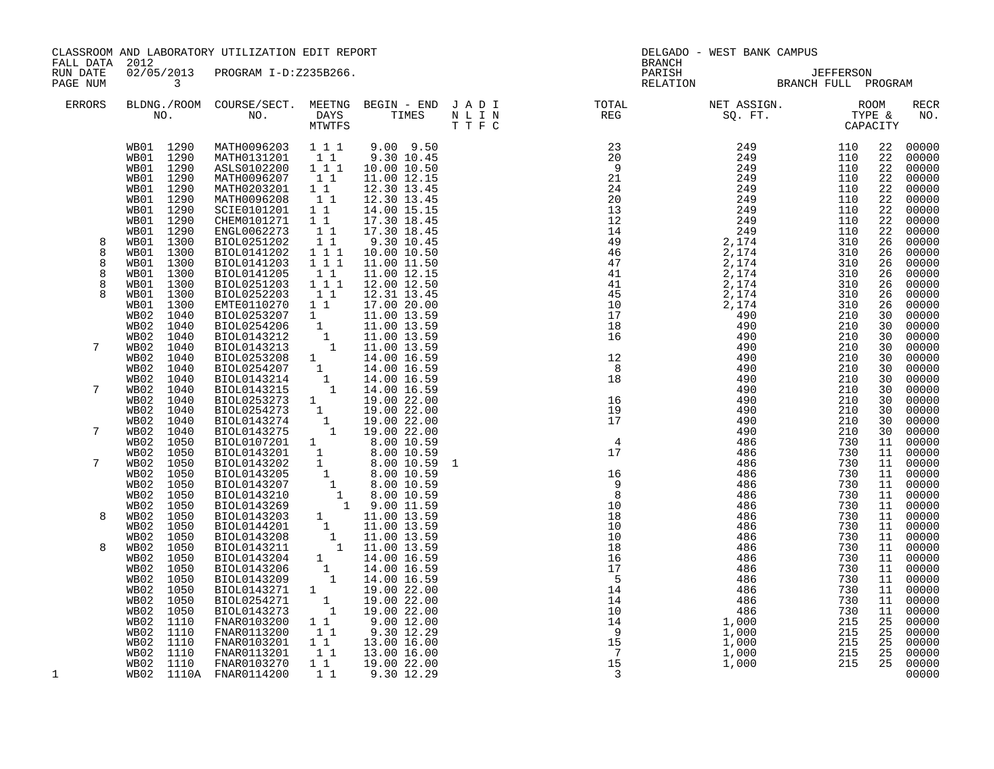| FALL DATA 2012             |                                                                                            |                                                      | CLASSROOM AND LABORATORY UTILIZATION EDIT REPORT                                                                                                                                                                                                                   |                                                                                                                   |                                                                                                                       |                                                                                                                                                                                                                                                                                                                          |                                               | <b>BRANCH</b>                                                                                           | DELGADO - WEST BANK CAMPUS                                                                       |                          |                                                    |                                                                               |
|----------------------------|--------------------------------------------------------------------------------------------|------------------------------------------------------|--------------------------------------------------------------------------------------------------------------------------------------------------------------------------------------------------------------------------------------------------------------------|-------------------------------------------------------------------------------------------------------------------|-----------------------------------------------------------------------------------------------------------------------|--------------------------------------------------------------------------------------------------------------------------------------------------------------------------------------------------------------------------------------------------------------------------------------------------------------------------|-----------------------------------------------|---------------------------------------------------------------------------------------------------------|--------------------------------------------------------------------------------------------------|--------------------------|----------------------------------------------------|-------------------------------------------------------------------------------|
| RUN DATE<br>PAGE NUM       | $\overline{\mathbf{3}}$                                                                    |                                                      | 02/05/2013 PROGRAM I-D:Z235B266.                                                                                                                                                                                                                                   |                                                                                                                   |                                                                                                                       |                                                                                                                                                                                                                                                                                                                          |                                               |                                                                                                         | PARISH JEFFERSON<br>RELATION BRANCH FULL PROGRAM                                                 |                          |                                                    |                                                                               |
| ERRORS                     |                                                                                            |                                                      |                                                                                                                                                                                                                                                                    |                                                                                                                   |                                                                                                                       | BLDNG./ROOM COURSE/SECT. MEETNG BEGIN – END JADI TOTAL NET ASSIGN. NET ASSIGN. ROOM NO. DAYS TIMES NLIN REG SQ.FT. TYPE &                                                                                                                                                                                                |                                               |                                                                                                         |                                                                                                  |                          |                                                    | <b>RECR</b><br>NO.                                                            |
|                            | WB01 1290<br>WB01 1290<br>WB01 1290<br>WB01 1290<br>WB01 1290<br>WB01 1290<br>WB01<br>WB01 | 1290<br>1290                                         | MATH0096203 1 1 1<br>MATH0131201 11<br>ASLS0102200 111<br>MATH0096207<br>MATH0203201 11<br>MATH0096208<br><b>SCIE0101201</b><br>CHEM0101271                                                                                                                        | $1\quad1$<br>11<br>11<br>11                                                                                       | $9.00$ $9.50$<br>9.30 10.45<br>10.00 10.50<br>11.00 12.15<br>12.30 13.45<br>12.30 13.45<br>14.00 15.15<br>17.30 18.45 | $\begin{array}{cccc} \text{T} & \text{T} & \text{F} & \text{C} & \text{CAPAC.} \\[1mm] 220 & 249 & 110 & 10 \\[1mm] 21 & 249 & 110 & 10 \\[1mm] 21 & 249 & 110 & 10 \\[1mm] 22 & 249 & 110 & 10 \\[1mm] 13 & 249 & 110 & 10 \\[1mm] 14 & 249 & 110 & 10 \\[1mm] 49 & 2,174 & 110 & 10 \\[1mm] 49 & 2,174 & 310 & 10 \\[$ |                                               |                                                                                                         |                                                                                                  |                          | 22<br>22<br>22<br>22<br>22<br>22<br>22<br>22       | 00000<br>00000<br>00000<br>00000<br>00000<br>00000<br>00000<br>00000          |
| 8<br>8<br>8<br>8<br>8<br>8 | WB01<br>WB01<br>WB01<br>WB01<br>WB01 1300<br>WB01 1300<br>WB01<br>WB01<br>WB02             | 1290<br>1300<br>1300<br>1300<br>1300<br>1300<br>1040 | ENGL0062273<br>BIOL0251202<br>BIOL0141202<br>BIOL0141203<br>BIOL0141205   1   1<br>BIOL0251203   1   1<br>BIOL0252203                                                                                                                                              | $\begin{bmatrix} 1 \\ 1 \end{bmatrix}$<br>$\begin{array}{rr} & 1 & 1 \\ 1 & 1 & 1 \\ 1 & 1 & 1 \end{array}$<br>11 | 17.30 18.45<br>9.30 10.45<br>10.00 10.50<br>11.00 11.50<br>11.00 12.15<br>12.00 12.50<br>12.31 13.45                  |                                                                                                                                                                                                                                                                                                                          |                                               |                                                                                                         |                                                                                                  |                          | 22<br>26<br>26<br>26<br>26<br>26<br>26<br>26<br>30 | 00000<br>00000<br>00000<br>00000<br>00000<br>00000<br>00000<br>00000<br>00000 |
| 7                          | WB02<br>WB02<br>WB02<br>WB02<br>WB02                                                       | 1040<br>1040<br>1040<br>1040<br>1040                 | BIOLO251203 1 1 12.31 13.45<br>BIOLO252203 1 1 12.31 13.45<br>EMTE0110270 1 1 17.00 20.00<br>BIOLO253207 1 11.00 13.59<br>BIOLO253207 1 11.00 13.59<br>BIOLO143212 1 11.00 13.59<br>BIOLO143212 1 14.00 16.59<br>BIOLO253208 1 14.00 16.59<br>                     |                                                                                                                   |                                                                                                                       |                                                                                                                                                                                                                                                                                                                          |                                               |                                                                                                         |                                                                                                  |                          | 30<br>30<br>30<br>30<br>30                         | 00000<br>00000<br>00000<br>00000<br>00000                                     |
| 7                          | WB02 1040<br>WB02<br>WB02 1040<br>WB02                                                     | 1040<br>1040                                         |                                                                                                                                                                                                                                                                    |                                                                                                                   |                                                                                                                       |                                                                                                                                                                                                                                                                                                                          | $\frac{8}{18}$<br>$\frac{16}{12}$<br>19<br>17 |                                                                                                         | 490<br>490<br>490<br>490                                                                         | 210<br>210<br>210<br>210 | 30<br>30<br>30<br>30                               | 00000<br>00000<br>00000<br>00000                                              |
| 7                          | WB02 1040<br>WB02<br>WB02<br>WB02                                                          | 1040<br>1050<br>1050                                 |                                                                                                                                                                                                                                                                    |                                                                                                                   |                                                                                                                       |                                                                                                                                                                                                                                                                                                                          | $\begin{array}{c} 4 \\ 17 \end{array}$        |                                                                                                         | 490<br>490<br>486<br>486                                                                         | 210<br>210<br>730<br>730 | 30<br>30<br>11<br>11                               | 00000<br>00000<br>00000<br>00000                                              |
| 7                          | WB02<br>WB02<br>WB02<br>WB02                                                               | 1050<br>1050<br>1050<br>1050                         |                                                                                                                                                                                                                                                                    |                                                                                                                   |                                                                                                                       | 1                                                                                                                                                                                                                                                                                                                        | $\begin{array}{c} 16 \\ 9 \\ 8 \end{array}$   |                                                                                                         | 486<br>486<br>486<br>486                                                                         | 730<br>730<br>730<br>730 | 11<br>11<br>11<br>11                               | 00000<br>00000<br>00000<br>00000                                              |
| 8                          | WB02<br>WB02<br>WB02<br>WB02                                                               | 1050<br>1050<br>1050<br>1050                         |                                                                                                                                                                                                                                                                    |                                                                                                                   |                                                                                                                       |                                                                                                                                                                                                                                                                                                                          |                                               |                                                                                                         | 486<br>486<br>486                                                                                | 730<br>730<br>730<br>730 | 11<br>11<br>11<br>11                               | 00000<br>00000<br>00000<br>00000                                              |
| 8                          | WB02<br>WB02<br>WB02<br>WB02                                                               | 1050<br>1050<br>1050<br>1050                         |                                                                                                                                                                                                                                                                    |                                                                                                                   |                                                                                                                       |                                                                                                                                                                                                                                                                                                                          |                                               |                                                                                                         | 486<br>486                                                                                       | 730<br>730<br>730<br>730 | 11<br>11<br>11<br>11                               | 00000<br>00000<br>00000<br>00000                                              |
|                            | WB02<br>WB02<br>WB02<br>WB02<br>WB02                                                       | 1050<br>1050<br>1050<br>1110<br>1110                 | BIOL0143214 1 14.00 16.59<br>BIOL0143204 1 14.00 16.59<br>BIOL0143206 1 14.00 16.59<br>BIOL0143209 1 14.00 16.59<br>BIOL0143271 1 19.00 22.00<br>BIOL0254271 1 19.00 22.00<br>BIOL0143273 1 19.00 22.00<br>BIOL0143273 1 19.00 22.00<br>FNAR0103200<br>FNAR0113200 | $1\quad1$<br>$\begin{bmatrix} 1 \\ 1 \end{bmatrix}$                                                               | $9.00$ $12.00$<br>$9.30$ $12.29$                                                                                      | $\begin{array}{r} 16 \\ 9 \\ 10 \\ 10 \\ 10 \\ 10 \\ 16 \\ 16 \\ 16 \\ 17 \\ 5 \\ 14 \\ 10 \\ 14 \\ 10 \\ 13 \\ \end{array}$                                                                                                                                                                                             |                                               | $486$<br>$486$<br>$486$<br>$486$<br>$486$<br>$486$<br>$486$<br>$1,000$<br>$1,000$<br>$1,000$<br>$1,000$ |                                                                                                  | 730<br>730<br>730<br>215 | 11<br>11<br>11<br>25<br>25                         | 00000<br>00000<br>00000<br>00000<br>00000                                     |
| 1                          | WB02<br>WB02<br>WB02 1110                                                                  | 1110<br>1110                                         | FNAR0103201 11 13.00 16.00<br>FNAR0113201 1 1 13.00 16.00<br>FNAR0103270<br>WB02 1110A FNAR0114200                                                                                                                                                                 | $1\quad1$                                                                                                         | 19.00 22.00<br>1 1 9.30 12.29                                                                                         |                                                                                                                                                                                                                                                                                                                          |                                               |                                                                                                         | $\begin{array}{r} 215 \\ 215 \\ 215 \\ 215 \\ 215 \\ 215 \end{array}$<br>1,000<br>1,000<br>1,000 |                          | 25<br>25                                           | 00000<br>00000<br>25 00000<br>00000                                           |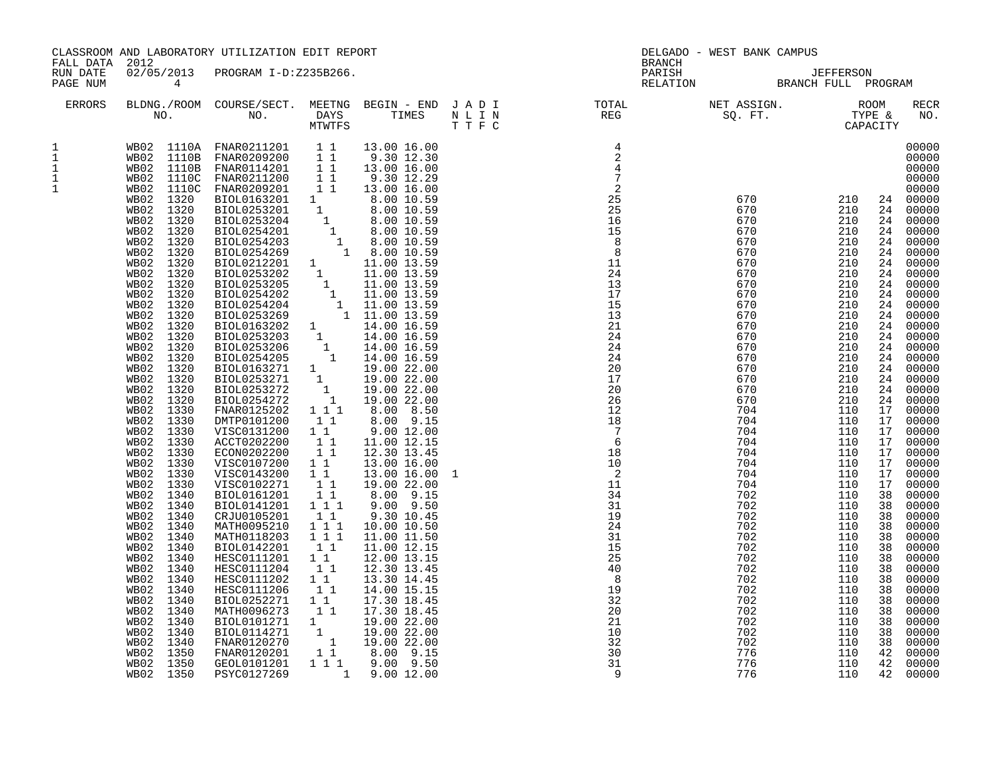| FALL DATA 2012                                        |                                                                                                                                                                                                                                                                                                                                                                                                | CLASSROOM AND LABORATORY UTILIZATION EDIT REPORT                                                                                                                                                                                                                                                                                                                                                                                                                                                                                                                                                                                                                                                                                       |                                                                                                                                                                                                                                      |                                                                                                                                                                                                                                                                                                                                             |                                                                      | <b>BRANCH</b>                                                                                                                                                         | DELGADO - WEST BANK CAMPUS                                                                                                                                                                                                                                                                         |                                                                                                                                                                                                                                                                                                                                                                                         |                                                                                                                                                                                                    |                                                                                                                                                                                                                                                                                                                                                                                                                                                                                                                |
|-------------------------------------------------------|------------------------------------------------------------------------------------------------------------------------------------------------------------------------------------------------------------------------------------------------------------------------------------------------------------------------------------------------------------------------------------------------|----------------------------------------------------------------------------------------------------------------------------------------------------------------------------------------------------------------------------------------------------------------------------------------------------------------------------------------------------------------------------------------------------------------------------------------------------------------------------------------------------------------------------------------------------------------------------------------------------------------------------------------------------------------------------------------------------------------------------------------|--------------------------------------------------------------------------------------------------------------------------------------------------------------------------------------------------------------------------------------|---------------------------------------------------------------------------------------------------------------------------------------------------------------------------------------------------------------------------------------------------------------------------------------------------------------------------------------------|----------------------------------------------------------------------|-----------------------------------------------------------------------------------------------------------------------------------------------------------------------|----------------------------------------------------------------------------------------------------------------------------------------------------------------------------------------------------------------------------------------------------------------------------------------------------|-----------------------------------------------------------------------------------------------------------------------------------------------------------------------------------------------------------------------------------------------------------------------------------------------------------------------------------------------------------------------------------------|----------------------------------------------------------------------------------------------------------------------------------------------------------------------------------------------------|----------------------------------------------------------------------------------------------------------------------------------------------------------------------------------------------------------------------------------------------------------------------------------------------------------------------------------------------------------------------------------------------------------------------------------------------------------------------------------------------------------------|
| RUN DATE<br>PAGE NUM                                  | $\overline{4}$                                                                                                                                                                                                                                                                                                                                                                                 | 02/05/2013 PROGRAM I-D:Z235B266.                                                                                                                                                                                                                                                                                                                                                                                                                                                                                                                                                                                                                                                                                                       |                                                                                                                                                                                                                                      |                                                                                                                                                                                                                                                                                                                                             |                                                                      |                                                                                                                                                                       |                                                                                                                                                                                                                                                                                                    |                                                                                                                                                                                                                                                                                                                                                                                         |                                                                                                                                                                                                    |                                                                                                                                                                                                                                                                                                                                                                                                                                                                                                                |
| ERRORS                                                |                                                                                                                                                                                                                                                                                                                                                                                                |                                                                                                                                                                                                                                                                                                                                                                                                                                                                                                                                                                                                                                                                                                                                        |                                                                                                                                                                                                                                      |                                                                                                                                                                                                                                                                                                                                             |                                                                      | BLDNG./ROOM COURSE/SECT. MEETNG BEGIN – END JADI TOTAL NET ASSIGN. NET ASSIGN. ROOM ROOM COURSE/SECT. MEETNG BEGIN – END JADI TOTAL TOTAL NEG SQ. FT. TYPE & CAPACITY |                                                                                                                                                                                                                                                                                                    |                                                                                                                                                                                                                                                                                                                                                                                         |                                                                                                                                                                                                    | RECR<br>NO.                                                                                                                                                                                                                                                                                                                                                                                                                                                                                                    |
| 1<br>$\mathbf{1}$<br>1<br>$\mathbf 1$<br>$\mathbf{1}$ | WB02<br>1330<br>WBO2<br>1330<br>WB02 1330<br>1330<br>WB02<br>WB02 1330<br>1330<br>WB02<br>WB02 1330<br>1330<br>WB02<br>WB02<br>1340<br>WB02 1340<br>WB02 1340<br>WB02 1340<br>WB02<br>1340<br>WB02<br>1340<br>WB02<br>1340<br>WB02<br>1340<br>1340<br>WBO2<br>WB02 1340<br>1340<br>WB02<br>WB02<br>1340<br>1340<br>WB02<br>WB02<br>1340<br>1340<br>WB02<br>WB02 1350<br>WB02 1350<br>WB02 1350 | MTWIFFS<br>WB02 1110A FNAR0211201 1 1 3.00 16.00<br>WB02 1110B FNAR0211201 1 9.30 12.30<br>WB02 1110B FNAR0211201 1 1 3.00 16.00<br>WB02 1110C FNAR0211200 1 1 9.30 12.29<br>WB02 1110C FNAR020301 1 3.00 16.00<br>WB02 1320 BIOL0253201 1<br>FNAR0125202<br>DMTP0101200<br>VISC0131200<br>ACCT0202200<br>ECON0202200<br>VISC0107200<br>VISC0143200<br>VISC0102271<br>BIOL0161201<br>BIOL0141201 111<br>CRJU0105201<br>MATH0095210<br>MATH0118203<br>BIOL0142201<br>HESC0111201<br>HESC0111204<br>HESC0111202<br>HESC0111206<br>BIOL0252271<br>MATH0096273<br>MATH0096273<br>BIOL0101271 1 19.00 22.00<br>BIOL0114271 1 19.00 22.00<br>FNAR0120201 1 19.00 22.00<br>FNAR0120201 1 8.00 9.15<br>a 00 9.50<br>GEOL0101201<br>PSYC0127269 | $1 1 1$<br>11<br>11<br>11<br>11<br>$\begin{array}{cc} & 1 & 1 \end{array}$<br>$1\quad1$<br>11<br>11<br>11<br>1 1 1<br>111<br>$\begin{smallmatrix}1&1\\1&1\end{smallmatrix}$<br>11<br>$1\overline{1}$<br>11<br>$1\quad1$<br>$1\quad1$ | 8.00 8.50<br>8.00 9.15<br>9.00 12.00<br>11.00 12.15<br>12.30 13.45<br>13.00 16.00<br>13.00 16.00<br>19.00 22.00<br>8.00 9.15<br>$9.00$ $9.50$<br>9.30 10.45<br>10.00 10.50<br>11.00 11.50<br>11.00 12.15<br>12.00 13.15<br>12.30 13.45<br>13.30 14.45<br>14.00 15.15<br>17.30 18.45<br>17.30 18.45<br>$1\ 1\ 1\ 9.00\ 9.50$<br>1 9.00 12.00 | $\frac{1}{20}$<br>$\frac{1}{20}$<br>$\frac{3}{20}$<br>$\frac{3}{20}$ |                                                                                                                                                                       | 670<br>670<br>670<br>670<br>670<br>670<br>670<br>670<br>670<br>670<br>670<br>670<br>670<br>670<br>670<br>670<br>704<br>704<br>704<br>704<br>704<br>704<br>704<br>704<br>702<br>702<br>702<br>702<br>702<br>702<br>702<br>702<br>702<br>702<br>702<br>702<br>702<br>702<br>702<br>776<br>776<br>776 | $\begin{array}{lll} 670 & 210 \\ 670 & 210 \\ 670 & 210 \\ 670 & 210 \end{array}$<br>210<br>210<br>210<br>210<br>210<br>210<br>210<br>210<br>210<br>210<br>210<br>210<br>210<br>210<br>210<br>210<br>110<br>110<br>110<br>110<br>110<br>110<br>110<br>110<br>110<br>110<br>110<br>110<br>110<br>110<br>110<br>110<br>110<br>110<br>110<br>110<br>110<br>110<br>110<br>110<br>110<br>110 | 24<br>24<br>24<br>24<br>24<br>24<br>24<br>24<br>17<br>17<br>17<br>17<br>17<br>17<br>17<br>17<br>38<br>38<br>38<br>38<br>38<br>38<br>38<br>38<br>38<br>38<br>38<br>38<br>38<br>38<br>38<br>42<br>42 | 00000<br>00000<br>00000<br>00000<br>00000<br>24 00000<br>00000<br>24 00000<br>24 00000<br>24 00000<br>00000<br>00000<br>24 00000<br>24 00000<br>00000<br>00000<br>24 00000<br>24 00000<br>00000<br>00000<br>24 00000<br>24 00000<br>24 00000<br>00000<br>24 00000<br>00000<br>00000<br>00000<br>00000<br>00000<br>00000<br>00000<br>00000<br>00000<br>00000<br>00000<br>00000<br>00000<br>00000<br>00000<br>00000<br>00000<br>00000<br>00000<br>00000<br>00000<br>00000<br>00000<br>00000<br>00000<br>42 00000 |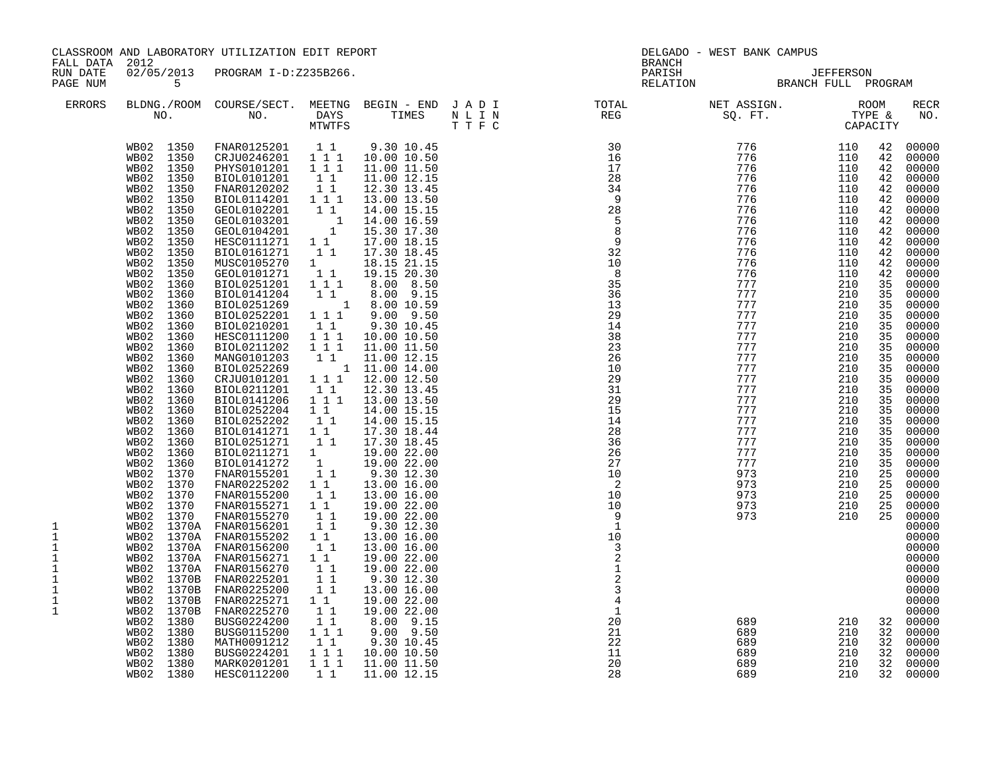| 02/05/2013 PROGRAM I-D:Z235B266.<br>PARISH<br>RUN DATE<br>JEFFERSON<br>BRANCH FULL PROGRAM<br>5<br>PAGE NUM<br>RELATION<br>BLDNG./ROOM COURSE/SECT. MEETNG BEGIN – END JADI TOTAL NET ASSIGN. NET ASSIGN. ROOM NO. DAYS TIMES NLIN REG SQ.FT. TYPE &<br>ERRORS<br>$776$<br>$776$<br>$776$<br>$776$<br>$776$<br>$776$<br>$776$<br>$776$<br>$776$<br>$777$<br>$777$<br>$777$<br>$777$<br>$777$<br>$777$<br>$777$<br>$777$<br>$777$<br>$777$<br>$777$<br>$777$<br>$777$<br>$777$<br>$777$<br>$777$<br>$777$<br>$777$<br>$777$<br>$777$<br>$777$<br>$777$<br>$777$<br>$777$<br>$777$<br>$\frac{30}{16}$<br>WB02 1350<br>FNAR0125201 11<br>CRJU0246201 111<br>9.30 10.45<br>110<br>42<br>WB02 1350<br>10.00 10.50<br>110<br>42<br>1350<br>1 1 1<br>WB02<br>PHYS0101201<br>11.00 11.50<br>110<br>42<br>28<br>1350<br>11<br>110<br>WB02<br>BIOL0101201<br>11.00 12.15<br>42<br>$1\quad1$<br>WB02<br>1350<br>FNAR0120202<br>12.30 13.45<br>34<br>110<br>42<br>BIOL0114201  1  1  1<br>- 9<br>13.00 13.50<br>110<br>WB02<br>1350<br>42<br>28<br>$1\quad1$<br>WB02<br>1350<br>GEOL0102201<br>14.00 15.15<br>110<br>42<br>$\begin{smallmatrix} & &1\\ & &1\\ 1 & &\end{smallmatrix}$<br>$\begin{bmatrix} 5 \\ 8 \\ 9 \end{bmatrix}$<br>14.00 16.59<br>110<br>WB02<br>1350<br>GEOL0103201<br>42<br>15.30 17.30<br>110<br>WB02<br>1350<br>GEOL0104201<br>42<br>$1\quad1$<br>WB02<br>1350<br>HESC0111271<br>17.00 18.15<br>110<br>42<br>$\begin{array}{c} 32 \\ 10 \end{array}$<br>WB02<br>1350<br>BIOL0161271<br>11<br>17.30 18.45<br>110<br>42<br>WB02<br>1350<br>MUSC0105270<br>$1 \quad \blacksquare$<br>18.15 21.15<br>110<br>42<br>8<br>$1\quad1$<br>19.15 20.30<br>WB02<br>1350<br>GEOL0101271<br>110<br>42<br>1 1 1<br>35<br>210<br>WB02<br>1360<br>BIOL0251201<br>8.00 8.50<br>35<br>36<br>WB02<br>BIOL0141204<br>$1\quad1$<br>$8.00$ $9.15$<br>210<br>35<br>1360<br>$1 \t 8.00 \t 10.59$<br>WB02<br>1360<br>BIOL0251269<br>13<br>210<br>35<br>29<br>210<br>BIOL0252201<br>$1 1 1$<br>$9.00$ $9.50$<br>35<br>WB02<br>1360<br>14<br>210<br>WB02<br>1360<br>BIOL0210201<br>11<br>9.30 10.45<br>35<br>$1 1 1$<br>38<br>WB02<br>1360<br>HESC0111200<br>10.00 10.50<br>210<br>35<br>BIOL0211202<br>$1 1 1$<br>23<br>210<br>WB02<br>1360<br>11.00 11.50<br>35<br>$1\quad1$<br>WB02<br>1360<br>MANG0101203<br>11.00 12.15<br>26<br>210<br>35<br>BIOL0252269 1 11.00 14.00<br>CRJU0101201 1 1 1 12.00 12.50<br>10<br>210<br>35<br>WB02<br>1360<br>29<br>210<br>WB02<br>1360<br>35<br>31<br>WB02<br>BIOL0211201<br>11<br>210<br>1360<br>12.30 13.45<br>35<br>$1 1 1$<br>29<br>210<br>WB02<br>1360<br>BIOL0141206<br>35<br>13.00 13.50<br>15<br>210<br>WB02<br>$1\quad1$<br>35<br>1360<br>BIOL0252204<br>14.00 15.15<br>11<br>WB02<br>1360<br>BIOL0252202<br>14.00 15.15<br>14<br>210<br>35<br>$1\quad1$<br>28<br>210<br>WB02<br>1360<br>BIOL0141271<br>17.30 18.44<br>35<br>BIOL0251271<br>11<br>210<br>WB02<br>1360<br>17.30 18.45<br>36<br>35<br>26<br>210<br>WB02<br>1360<br>BIOL0211271<br>$\begin{smallmatrix}1&&\\&1\\1&&1\end{smallmatrix}$<br>19.00 22.00<br>35<br>WB02<br>1360<br>BIOL0141272<br>19.00 22.00<br>27<br>210<br>35<br>WB02<br>1370<br>FNAR0155201<br>10<br>210<br>25<br>9.30 12.30<br>$\overline{\phantom{a}}$<br>WB02 1370<br>FNAR0225202<br>$1\quad1$<br>13.00 16.00<br>973<br>210<br>25<br>$\begin{bmatrix} 1 \\ 1 \end{bmatrix}$<br>WBO2<br>1370<br>10<br>210<br>FNAR0155200<br>13.00 16.00<br>973<br>25<br>10<br>WB02 1370<br>FNAR0155271<br>$1\quad1$<br>19.00 22.00<br>210<br>973<br>25<br>$\begin{bmatrix} 1 \\ 1 \\ 1 \end{bmatrix}$<br>1370<br>FNAR0155270<br>210<br>WB02<br>19.00 22.00<br>- 9<br>973<br>25<br>9.30 12.30<br>1<br>WB02 1370A FNAR0156201<br>1<br>WB02 1370A FNAR0155202<br>$1\quad1$<br>13.00 16.00<br>10<br>1<br>11<br>$1\,$<br>WB02 1370A<br>FNAR0156200<br>13.00 16.00<br>3<br>WB02 1370A<br>FNAR0156271<br>$\begin{smallmatrix}1&&1\\&1\\1&&1\end{smallmatrix}$<br>19.00 22.00<br>1<br>$\mathbf 1$<br>WB02<br>FNAR0156270<br>19.00 22.00<br>1370A<br>1<br>WB02 1370B<br>FNAR0225201<br>$\begin{array}{rr} & 1 & 1 \\ & 1 & 1 \end{array}$<br>9.30 12.30<br>$\overline{3}$<br>$\mathbf 1$<br>WB02<br>1370B<br>FNAR0225200<br>13.00 16.00<br>$\mathbf 1$<br>WB02 1370B<br>FNAR0225271<br>1 1<br>19.00 22.00<br>$11$<br>$\mathbf{1}$<br>$\mathbf{1}$<br>WB02<br>1370B<br>FNAR0225270<br>19.00 22.00<br>20<br>11<br>689<br>210<br>WB02 1380<br>BUSG0224200<br>8.00 9.15<br>32 00000<br>$1 1 1$<br>WB02<br>1380<br>BUSG0115200<br>$9.00$ $9.50$<br>21<br>689<br>210<br>32<br>11<br>22<br>210<br>1380<br>MATH0091212<br>9.30 10.45<br>689<br>WB02<br>32 | FALL DATA | 2012         | CLASSROOM AND LABORATORY UTILIZATION EDIT REPORT |         |             |    | <b>BRANCH</b> | DELGADO - WEST BANK CAMPUS |     |    |                                                                                                                                                                                                                                                                                                                                                                                                                                                       |
|------------------------------------------------------------------------------------------------------------------------------------------------------------------------------------------------------------------------------------------------------------------------------------------------------------------------------------------------------------------------------------------------------------------------------------------------------------------------------------------------------------------------------------------------------------------------------------------------------------------------------------------------------------------------------------------------------------------------------------------------------------------------------------------------------------------------------------------------------------------------------------------------------------------------------------------------------------------------------------------------------------------------------------------------------------------------------------------------------------------------------------------------------------------------------------------------------------------------------------------------------------------------------------------------------------------------------------------------------------------------------------------------------------------------------------------------------------------------------------------------------------------------------------------------------------------------------------------------------------------------------------------------------------------------------------------------------------------------------------------------------------------------------------------------------------------------------------------------------------------------------------------------------------------------------------------------------------------------------------------------------------------------------------------------------------------------------------------------------------------------------------------------------------------------------------------------------------------------------------------------------------------------------------------------------------------------------------------------------------------------------------------------------------------------------------------------------------------------------------------------------------------------------------------------------------------------------------------------------------------------------------------------------------------------------------------------------------------------------------------------------------------------------------------------------------------------------------------------------------------------------------------------------------------------------------------------------------------------------------------------------------------------------------------------------------------------------------------------------------------------------------------------------------------------------------------------------------------------------------------------------------------------------------------------------------------------------------------------------------------------------------------------------------------------------------------------------------------------------------------------------------------------------------------------------------------------------------------------------------------------------------------------------------------------------------------------------------------------------------------------------------------------------------------------------------------------------------------------------------------------------------------------------------------------------------------------------------------------------------------------------------------------------------------------------------------------------------------------------------------------------------------------------------------------------------------------------------------------------------------------------------------------------------------------------------------------------------------------------------------------------------------------------------------------------------------------------------------------------------------------------------------------------------------------------------------------------------------|-----------|--------------|--------------------------------------------------|---------|-------------|----|---------------|----------------------------|-----|----|-------------------------------------------------------------------------------------------------------------------------------------------------------------------------------------------------------------------------------------------------------------------------------------------------------------------------------------------------------------------------------------------------------------------------------------------------------|
|                                                                                                                                                                                                                                                                                                                                                                                                                                                                                                                                                                                                                                                                                                                                                                                                                                                                                                                                                                                                                                                                                                                                                                                                                                                                                                                                                                                                                                                                                                                                                                                                                                                                                                                                                                                                                                                                                                                                                                                                                                                                                                                                                                                                                                                                                                                                                                                                                                                                                                                                                                                                                                                                                                                                                                                                                                                                                                                                                                                                                                                                                                                                                                                                                                                                                                                                                                                                                                                                                                                                                                                                                                                                                                                                                                                                                                                                                                                                                                                                                                                                                                                                                                                                                                                                                                                                                                                                                                                                                                                                                                                          |           |              |                                                  |         |             |    |               |                            |     |    |                                                                                                                                                                                                                                                                                                                                                                                                                                                       |
|                                                                                                                                                                                                                                                                                                                                                                                                                                                                                                                                                                                                                                                                                                                                                                                                                                                                                                                                                                                                                                                                                                                                                                                                                                                                                                                                                                                                                                                                                                                                                                                                                                                                                                                                                                                                                                                                                                                                                                                                                                                                                                                                                                                                                                                                                                                                                                                                                                                                                                                                                                                                                                                                                                                                                                                                                                                                                                                                                                                                                                                                                                                                                                                                                                                                                                                                                                                                                                                                                                                                                                                                                                                                                                                                                                                                                                                                                                                                                                                                                                                                                                                                                                                                                                                                                                                                                                                                                                                                                                                                                                                          |           |              |                                                  |         |             |    |               |                            |     |    | RECR<br>NO.                                                                                                                                                                                                                                                                                                                                                                                                                                           |
| 111<br>20<br>WB02<br>1380<br>MARK0201201<br>11.00 11.50<br>689<br>210<br>32<br>WB02 1380<br>HESC0112200<br>28<br>210<br>11<br>11.00 12.15<br>689<br>32 00000                                                                                                                                                                                                                                                                                                                                                                                                                                                                                                                                                                                                                                                                                                                                                                                                                                                                                                                                                                                                                                                                                                                                                                                                                                                                                                                                                                                                                                                                                                                                                                                                                                                                                                                                                                                                                                                                                                                                                                                                                                                                                                                                                                                                                                                                                                                                                                                                                                                                                                                                                                                                                                                                                                                                                                                                                                                                                                                                                                                                                                                                                                                                                                                                                                                                                                                                                                                                                                                                                                                                                                                                                                                                                                                                                                                                                                                                                                                                                                                                                                                                                                                                                                                                                                                                                                                                                                                                                             |           | WB02<br>1380 | BUSG0224201                                      | $1 1 1$ | 10.00 10.50 | 11 |               | 689                        | 210 | 32 | 00000<br>00000<br>00000<br>00000<br>00000<br>00000<br>00000<br>00000<br>00000<br>00000<br>00000<br>00000<br>00000<br>00000<br>00000<br>00000<br>00000<br>00000<br>00000<br>00000<br>00000<br>00000<br>00000<br>00000<br>00000<br>00000<br>00000<br>00000<br>00000<br>00000<br>00000<br>00000<br>00000<br>00000<br>00000<br>00000<br>00000<br>00000<br>00000<br>00000<br>00000<br>00000<br>00000<br>00000<br>00000<br>00000<br>00000<br>00000<br>00000 |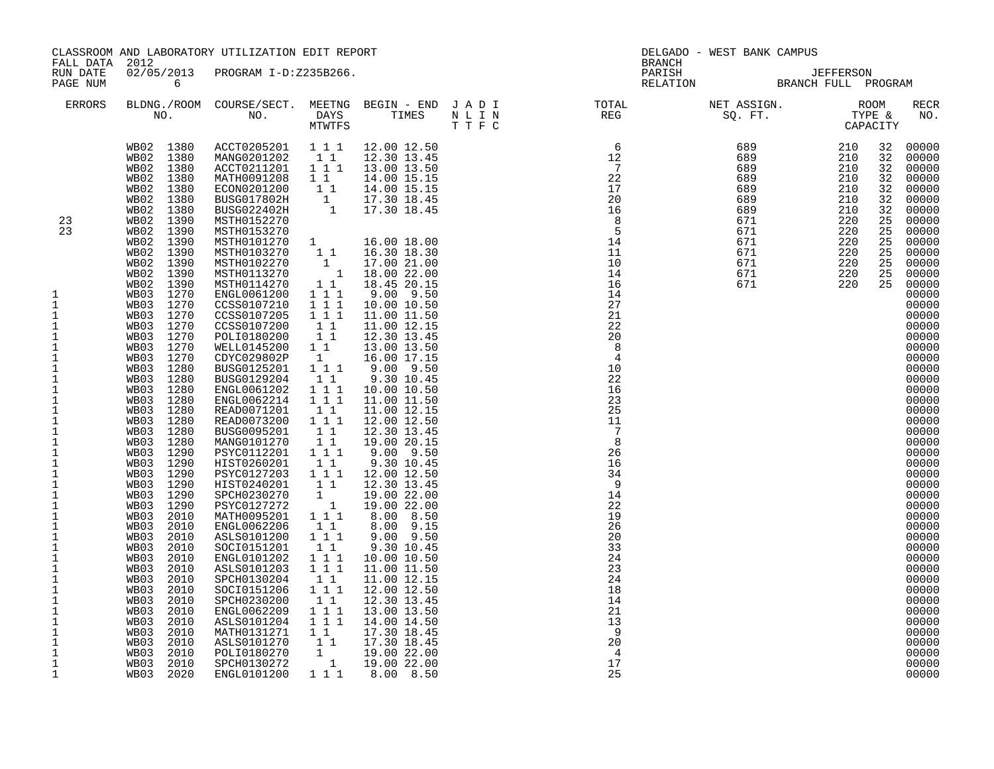| FALL DATA 2012                                                                                                                                                                                                                                                                                                                                                                                                                                                                                                          |                                                                                                                                                                                                                                                                                                                                                                          | CLASSROOM AND LABORATORY UTILIZATION EDIT REPORT |  | BRANCH | DELGADO - WEST BANK CAMPUS                                                                                                                                                                                                  |                                                                            |                                                                                                                                                                                                                                                                                                                                                                                                                                                                            |
|-------------------------------------------------------------------------------------------------------------------------------------------------------------------------------------------------------------------------------------------------------------------------------------------------------------------------------------------------------------------------------------------------------------------------------------------------------------------------------------------------------------------------|--------------------------------------------------------------------------------------------------------------------------------------------------------------------------------------------------------------------------------------------------------------------------------------------------------------------------------------------------------------------------|--------------------------------------------------|--|--------|-----------------------------------------------------------------------------------------------------------------------------------------------------------------------------------------------------------------------------|----------------------------------------------------------------------------|----------------------------------------------------------------------------------------------------------------------------------------------------------------------------------------------------------------------------------------------------------------------------------------------------------------------------------------------------------------------------------------------------------------------------------------------------------------------------|
| RUN DATE<br>PAGE NUM                                                                                                                                                                                                                                                                                                                                                                                                                                                                                                    | $\overline{6}$                                                                                                                                                                                                                                                                                                                                                           | 02/05/2013 PROGRAM I-D:Z235B266.                 |  |        |                                                                                                                                                                                                                             |                                                                            |                                                                                                                                                                                                                                                                                                                                                                                                                                                                            |
| ERRORS                                                                                                                                                                                                                                                                                                                                                                                                                                                                                                                  |                                                                                                                                                                                                                                                                                                                                                                          |                                                  |  |        | BLDNG./ROOM COURSE/SECT. MEETNG BEGIN – END JADI TOTAL NET ASSIGN. NO ROOM NO. DAYS TIMES NLIN REG REG SQ.FT. TYPE &                                                                                                        |                                                                            | RECR<br>NO.                                                                                                                                                                                                                                                                                                                                                                                                                                                                |
| 23<br>23<br>1<br>$\mathbf{1}$<br>$\mathbf{1}$<br>$\mathbf 1$<br>$\mathbf{1}$<br>$\mathbf{1}$<br>$\mathbf{1}$<br>$\mathbf{1}$<br>1<br>1<br>$\mathbf 1$<br>$\mathbf 1$<br>$\mathbf{1}$<br>$\mathbf 1$<br>$\mathbf{1}$<br>$\frac{1}{1}$<br>$\mathbf 1$<br>$\mathbf{1}$<br>$\mathbf{1}$<br>$1\,$<br>$\mathbf{1}$<br>$\mathbf{1}$<br>$\mathbf{1}$<br>$\mathbf{1}$<br>$\mathbf{1}$<br>$\mathbf{1}$<br>$\mathbf 1$<br>$\mathbf{1}$<br>1<br>1<br>$\mathbf{1}$<br>$1\,$<br>$\mathbf{1}$<br>$1\,$<br>$\mathbf{1}$<br>$\mathbf{1}$ | WB03 1280<br>WB03 1280<br>WB03 1280<br>WB03 1280<br>WB03 1280<br>WB03 1280<br>WB03 1290<br>WB03 1290<br>WB03 1290<br>WB03 1290<br>WB03 1290<br>WB03 1290<br>WB03 1290<br>WB03 1290<br>WB03 1290<br>WB03 1290<br>WB03 1290<br>WB03 2010<br>WB03 2010<br>WB03 2010<br>WB03 2010<br>WB03 2010<br>WB03 2010<br>WB03 2010<br>WB03 2010<br>WB03 2010<br>WB03 2010<br>WB03 2020 |                                                  |  |        | * 2000, 2000, 2000, 2000, 2000, 2000, 2000, 2000, 2000, 2000, 2000, 2000, 2000, 2000, 2000, 2000, 2000, 2000, 2000, 2000, 2000, 2000, 2000, 2000, 2000, 2000, 2000, 2000, 2000, 2000, 2000, 2000, 2000, 2000, 2000, 2000, 2 | 32<br>32<br>32<br>32<br>32<br>32<br>25<br>25<br>25<br>25<br>25<br>25<br>25 | 32 00000<br>00000<br>00000<br>00000<br>00000<br>00000<br>00000<br>00000<br>00000<br>00000<br>00000<br>00000<br>00000<br>00000<br>00000<br>00000<br>00000<br>00000<br>00000<br>00000<br>00000<br>00000<br>00000<br>00000<br>00000<br>00000<br>00000<br>00000<br>00000<br>00000<br>00000<br>00000<br>00000<br>00000<br>00000<br>00000<br>00000<br>00000<br>00000<br>00000<br>00000<br>00000<br>00000<br>00000<br>00000<br>00000<br>00000<br>00000<br>00000<br>00000<br>00000 |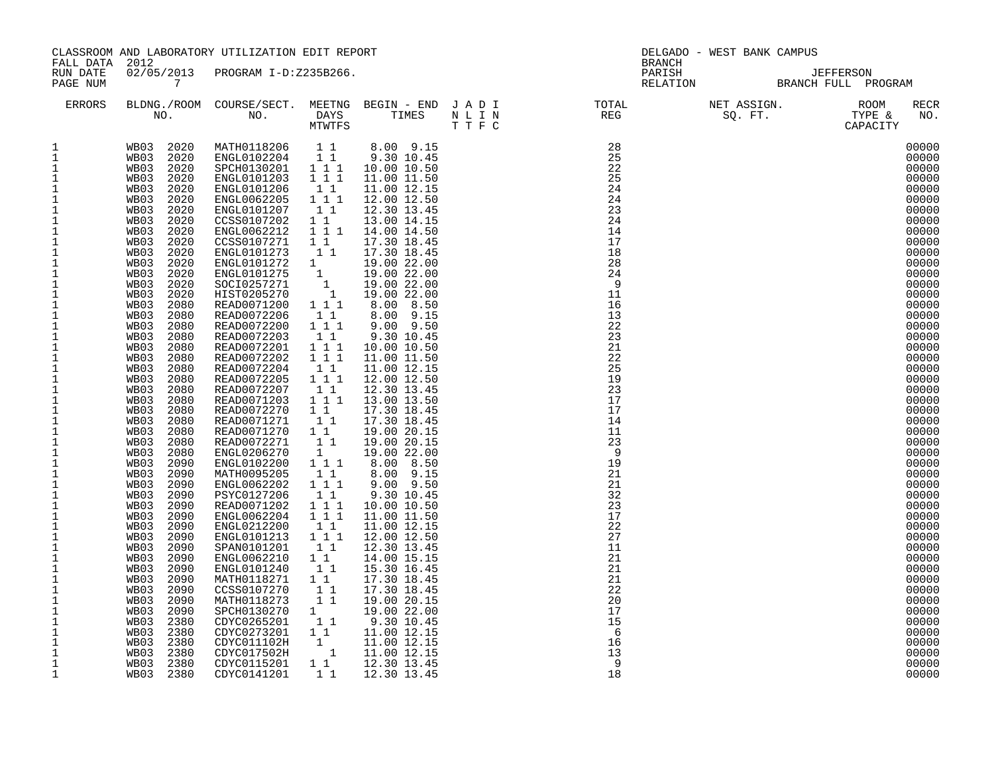| FALL DATA 2012                                                                                                                                                                                                                                                                                                                                                                                                                                                                                                                                                                                                                                                                                                                        |                                                                                                                                                                                                                                                                                                                                                                                                                                                                                                                                                                                                                                                                                                           | CLASSROOM AND LABORATORY UTILIZATION EDIT REPORT                                                                                                                                                                                                                                                                                                                                                                                                                                                                                                                                                                                                                                                                                                                                                                                                                                                                      |                                                                                                                                                                                                                                                                                                                                                                                                                                   |                                                                                                                                                                                                                                                                                                                                                                                                                                                                                                                                                                                                               | <b>BRANCH</b>                                                                                                                                                                                                                                                                                                                                                                        | DELGADO - WEST BANK CAMPUS |                                                                                                                                                                                                                                                                                                                                                                                                                                                                |
|---------------------------------------------------------------------------------------------------------------------------------------------------------------------------------------------------------------------------------------------------------------------------------------------------------------------------------------------------------------------------------------------------------------------------------------------------------------------------------------------------------------------------------------------------------------------------------------------------------------------------------------------------------------------------------------------------------------------------------------|-----------------------------------------------------------------------------------------------------------------------------------------------------------------------------------------------------------------------------------------------------------------------------------------------------------------------------------------------------------------------------------------------------------------------------------------------------------------------------------------------------------------------------------------------------------------------------------------------------------------------------------------------------------------------------------------------------------|-----------------------------------------------------------------------------------------------------------------------------------------------------------------------------------------------------------------------------------------------------------------------------------------------------------------------------------------------------------------------------------------------------------------------------------------------------------------------------------------------------------------------------------------------------------------------------------------------------------------------------------------------------------------------------------------------------------------------------------------------------------------------------------------------------------------------------------------------------------------------------------------------------------------------|-----------------------------------------------------------------------------------------------------------------------------------------------------------------------------------------------------------------------------------------------------------------------------------------------------------------------------------------------------------------------------------------------------------------------------------|---------------------------------------------------------------------------------------------------------------------------------------------------------------------------------------------------------------------------------------------------------------------------------------------------------------------------------------------------------------------------------------------------------------------------------------------------------------------------------------------------------------------------------------------------------------------------------------------------------------|--------------------------------------------------------------------------------------------------------------------------------------------------------------------------------------------------------------------------------------------------------------------------------------------------------------------------------------------------------------------------------------|----------------------------|----------------------------------------------------------------------------------------------------------------------------------------------------------------------------------------------------------------------------------------------------------------------------------------------------------------------------------------------------------------------------------------------------------------------------------------------------------------|
| RUN DATE<br>PAGE NUM                                                                                                                                                                                                                                                                                                                                                                                                                                                                                                                                                                                                                                                                                                                  | $\overline{7}$                                                                                                                                                                                                                                                                                                                                                                                                                                                                                                                                                                                                                                                                                            | 02/05/2013 PROGRAM I-D:Z235B266.                                                                                                                                                                                                                                                                                                                                                                                                                                                                                                                                                                                                                                                                                                                                                                                                                                                                                      |                                                                                                                                                                                                                                                                                                                                                                                                                                   |                                                                                                                                                                                                                                                                                                                                                                                                                                                                                                                                                                                                               |                                                                                                                                                                                                                                                                                                                                                                                      |                            | DARISH DARISH JEFFERSON<br>RELATION BRANCH FULL PROGRAM                                                                                                                                                                                                                                                                                                                                                                                                        |
| ERRORS                                                                                                                                                                                                                                                                                                                                                                                                                                                                                                                                                                                                                                                                                                                                |                                                                                                                                                                                                                                                                                                                                                                                                                                                                                                                                                                                                                                                                                                           |                                                                                                                                                                                                                                                                                                                                                                                                                                                                                                                                                                                                                                                                                                                                                                                                                                                                                                                       |                                                                                                                                                                                                                                                                                                                                                                                                                                   |                                                                                                                                                                                                                                                                                                                                                                                                                                                                                                                                                                                                               |                                                                                                                                                                                                                                                                                                                                                                                      |                            | <b>RECR</b><br>NO.                                                                                                                                                                                                                                                                                                                                                                                                                                             |
| 1<br>$\mathbf{1}$<br>$\mathbf{1}$<br>$\mathbf{1}$<br>$\mathbf{1}$<br>$\mathbf{1}$<br>$\mathbf 1$<br>$\mathbf{1}$<br>$\mathbf{1}$<br>$\mathbf{1}$<br>1<br>$\mathbf{1}$<br>$\mathbf{1}$<br>$\mathbf{1}$<br>1<br>$\mathbf{1}$<br>$\mathbf{1}$<br>$\mathbf{1}$<br>$\mathbf{1}$<br>$\mathbf{1}$<br>$1\,$<br>$\mathbf 1$<br>$\mathbf{1}$<br>$\mathbf{1}$<br>$\mathbf{1}$<br>$\mathbf{1}$<br>1<br>1<br>$\mathbf{1}$<br>$\mathbf{1}$<br>$\mathbf{1}$<br>$\mathbf{1}$<br>$\mathbf{1}$<br>$\mathbf{1}$<br>$\mathbf{1}$<br>$\mathbf{1}$<br>$\mathbf 1$<br>$\mathbf{1}$<br>$\mathbf{1}$<br>$\mathbf{1}$<br>$\mathbf{1}$<br>$\mathbf{1}$<br>1<br>$\mathbf{1}$<br>1<br>$\mathbf{1}$<br>$\mathbf{1}$<br>$\mathbf{1}$<br>$\mathbf{1}$<br>$\mathbf{1}$ | WB03 2020<br>WB03 2020<br>WB03 2020<br>WB03 2020<br>WB03 2020<br>WB03 2020<br>WB03 2020<br>WB03 2020<br>WB03 2020<br>WB03 2020<br>WB03 2020<br>WB03 2020<br>WB03 2020<br>WB03 2020<br>WB03 2080<br>WB03 2080<br>WB03 2080<br>WB03 2080<br>WB03 2080<br>WB03 2080<br>WB03<br>2080<br>WB03 2080<br>WB03 2080<br>WB03 2080<br>WB03 2080<br>WB03 2080<br>WB03 2080<br>WB03 2080<br>WB03 2080<br>WB03 2080<br>WB03 2080<br>WB03 2090<br>WB03 2090<br>WB03 2090<br>WB03 2090<br>WB03 2090<br>WB03 2090<br>WB03 2090<br>WB03 2090<br>WB03 2090<br>WB03 2090<br>WB03 2090<br>WB03 2090<br>WB03 2090<br>WB03 2090<br>WB03 2090<br>WB03 2090<br>WB03 2380<br>WB03<br>2380<br>WB03<br>2380<br>WB03 2380<br>WB03 2380 | WB03  2020  MATH0118206  11  8.00  9.15<br>WB03  2020  ENGL0102204  11  9.30  10.45<br>ENGL0101207<br>CCSS0107202<br>ENGL0062212<br>CCSS0107271<br>ENGL0101273<br>$\begin{tabular}{l c c c c c} \hline ENGL0101272 & 1 & 19.00 & 22.00 \\ ENGL0101275 & 1 & 19.00 & 22.00 \\ SOCl0257271 & 1 & 19.00 & 22.00 \\ HIST0205270 & 1 & 19.00 & 22.00 \\ \hline \end{tabular}$<br>READ0071200<br>READ0072206<br>READ0072200<br>READ0072203<br>READ0072201<br>READ0072202<br>READ0072204<br>READ0072205<br>READ0072207<br>READ0071203<br>READ0072270<br>READ0071271<br>READ0071270<br>READ0072271<br>ENGL0206270<br>ENGL0102200<br>MATH0095205<br>ENGL0062202<br>PSYC0127206<br>READ0071202<br>ENGL0062204<br>ENGL0212200<br>ENGL0101213<br>SPAN0101201<br>ENGL0062210<br>ENGL0101240<br>MATH0118271<br>CCSS0107270<br>MATH0118273<br>SPCH0130270<br>CDYC0265201<br>CDYC0273201<br>CDYC011102H<br>CDYC017502H<br>CDYC0115201 | 11<br>$1\quad1$<br>1 1 1<br>$1\quad1$<br>$1\quad1$<br>1 1 1<br>$1\quad1$<br>1 1 1<br>$1\quad1$<br>1 1 1<br>111<br>$1\quad1$<br>$1 1 1$<br>$1\quad1$<br>111<br>1 1<br>$1\quad1$<br>1 1<br>$1\overline{1}$<br>1<br>$1\ 1\ 1$<br>$1\quad1$<br>1 1 1<br>$1\quad1$<br>1 1 1<br>1 1 1<br>11<br>1 1 1<br>$1\quad1$<br>1 1<br>11<br>$1\quad1$<br>11<br>11<br>1<br>11<br>1 1<br>$\begin{smallmatrix}1&&\\&1\end{smallmatrix}$<br>$1\quad1$ | 12.30 13.45<br>13.00 14.15<br>14.00 14.50<br>17.30 18.45<br>17.30 18.45<br>8.00 8.50<br>8.00 9.15<br>$9.00$ $9.50$<br>9.30 10.45<br>10.00 10.50<br>11.00 11.50<br>11.00 12.15<br>12.00 12.50<br>12.30 13.45<br>13.00 13.50<br>17.30 18.45<br>17.30 18.45<br>19.00 20.15<br>19.00 20.15<br>19.00 22.00<br>8.00 8.50<br>8.00 9.15<br>$9.00$ $9.50$<br>9.30 10.45<br>10.00 10.50<br>11.00 11.50<br>11.00 12.15<br>12.00 12.50<br>12.30 13.45<br>14.00 15.15<br>15.30 16.45<br>17.30 18.45<br>17.30 18.45<br>19.00 20.15<br>19.00 22.00<br>9.30 10.45<br>11.00 12.15<br>11.00 12.15<br>11.00 12.15<br>12.30 13.45 | $\begin{tabular}{lcccccc} \tt{BLDNG./ROOM} & \tt{COURSE/SECT.} & \tt{MEETNG} & \tt{BEGIN} & - & \tt{END} & J & A & D & I & \tt{TOTAL} & & \tt{NET ASSIGN.} & \tt{ROM} \\ \tt{NO.} & \tt{NO.} & \tt{DAYS} & \tt{TIMES} & N & L & I & N & \tt{REG} & & \tt{SC.} & \tt{FT.} & \tt{TYPE} & \tt{CAPACITY} \\ \tt{WBO3 & 2020 & \tt{MATH0118206} & 1 & 8.00 & 9.15 & & 28 \\ \tt{WBO3 & 2$ |                            | 00000<br>00000<br>00000<br>00000<br>00000<br>00000<br>00000<br>00000<br>00000<br>00000<br>00000<br>00000<br>00000<br>00000<br>00000<br>00000<br>00000<br>00000<br>00000<br>00000<br>00000<br>00000<br>00000<br>00000<br>00000<br>00000<br>00000<br>00000<br>00000<br>00000<br>00000<br>00000<br>00000<br>00000<br>00000<br>00000<br>00000<br>00000<br>00000<br>00000<br>00000<br>00000<br>00000<br>00000<br>00000<br>00000<br>00000<br>00000<br>00000<br>00000 |
| $\mathbf{1}$                                                                                                                                                                                                                                                                                                                                                                                                                                                                                                                                                                                                                                                                                                                          | WB03 2380                                                                                                                                                                                                                                                                                                                                                                                                                                                                                                                                                                                                                                                                                                 | CDYC0141201                                                                                                                                                                                                                                                                                                                                                                                                                                                                                                                                                                                                                                                                                                                                                                                                                                                                                                           | $1\quad1$                                                                                                                                                                                                                                                                                                                                                                                                                         | 12.30 13.45                                                                                                                                                                                                                                                                                                                                                                                                                                                                                                                                                                                                   |                                                                                                                                                                                                                                                                                                                                                                                      |                            | 00000                                                                                                                                                                                                                                                                                                                                                                                                                                                          |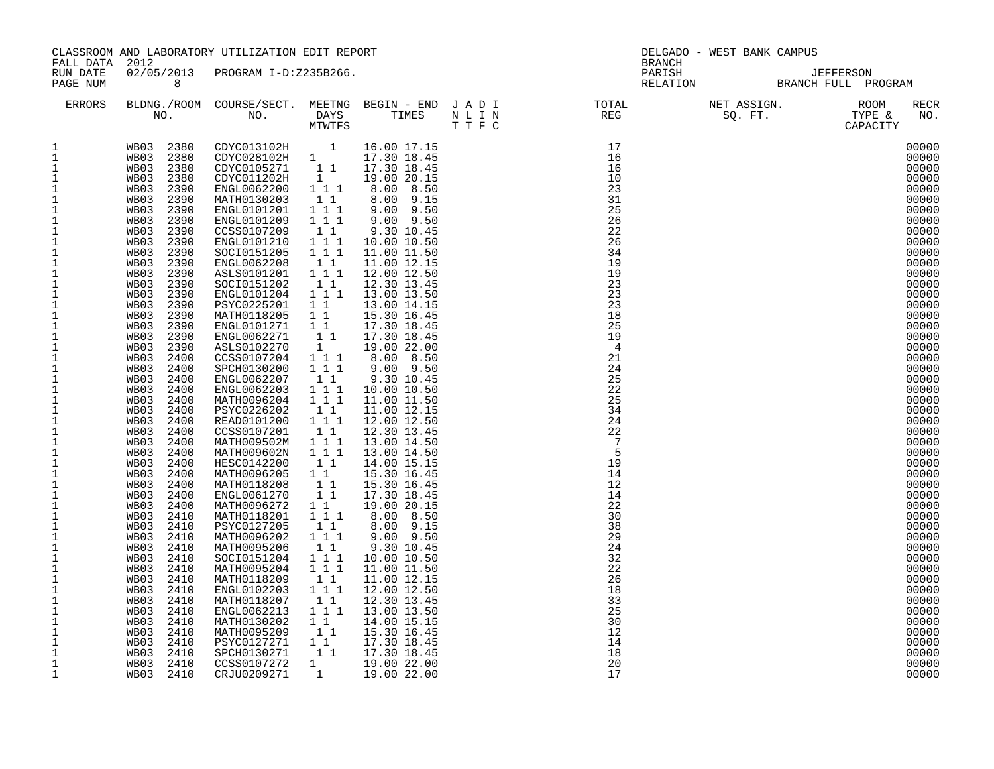| FALL DATA 2012                                                                                                                                                                                                                                                                                                                                                                                                                                                                                                                                                                                                                                                                                                                                                                              |                                                                                                                                                                                                                                                                                                                                                                                                                                                                                                                                                                                                                                  | CLASSROOM AND LABORATORY UTILIZATION EDIT REPORT                                                                                                                                                                                                                                                                                                                                                                                                                                                                                                                                                                                                                                                                                                                    |                                                                                                                                                                                                                                                                                                                                                                                                                                       | DELGADO - WEST BANK CAMPUS<br><b>BRANCH</b>                                                                                                                                                                                                                                                                                                                                                                                                                                                                                                                                                                                                                                            |  |  |  |  |  |                                                                                                                                                                                                                                                                                                                                                                                                                                                                         |
|---------------------------------------------------------------------------------------------------------------------------------------------------------------------------------------------------------------------------------------------------------------------------------------------------------------------------------------------------------------------------------------------------------------------------------------------------------------------------------------------------------------------------------------------------------------------------------------------------------------------------------------------------------------------------------------------------------------------------------------------------------------------------------------------|----------------------------------------------------------------------------------------------------------------------------------------------------------------------------------------------------------------------------------------------------------------------------------------------------------------------------------------------------------------------------------------------------------------------------------------------------------------------------------------------------------------------------------------------------------------------------------------------------------------------------------|---------------------------------------------------------------------------------------------------------------------------------------------------------------------------------------------------------------------------------------------------------------------------------------------------------------------------------------------------------------------------------------------------------------------------------------------------------------------------------------------------------------------------------------------------------------------------------------------------------------------------------------------------------------------------------------------------------------------------------------------------------------------|---------------------------------------------------------------------------------------------------------------------------------------------------------------------------------------------------------------------------------------------------------------------------------------------------------------------------------------------------------------------------------------------------------------------------------------|----------------------------------------------------------------------------------------------------------------------------------------------------------------------------------------------------------------------------------------------------------------------------------------------------------------------------------------------------------------------------------------------------------------------------------------------------------------------------------------------------------------------------------------------------------------------------------------------------------------------------------------------------------------------------------------|--|--|--|--|--|-------------------------------------------------------------------------------------------------------------------------------------------------------------------------------------------------------------------------------------------------------------------------------------------------------------------------------------------------------------------------------------------------------------------------------------------------------------------------|
| RUN DATE<br>PAGE NUM                                                                                                                                                                                                                                                                                                                                                                                                                                                                                                                                                                                                                                                                                                                                                                        | 8 <sup>8</sup>                                                                                                                                                                                                                                                                                                                                                                                                                                                                                                                                                                                                                   | 02/05/2013 PROGRAM I-D:Z235B266.                                                                                                                                                                                                                                                                                                                                                                                                                                                                                                                                                                                                                                                                                                                                    |                                                                                                                                                                                                                                                                                                                                                                                                                                       |                                                                                                                                                                                                                                                                                                                                                                                                                                                                                                                                                                                                                                                                                        |  |  |  |  |  |                                                                                                                                                                                                                                                                                                                                                                                                                                                                         |
| ERRORS                                                                                                                                                                                                                                                                                                                                                                                                                                                                                                                                                                                                                                                                                                                                                                                      |                                                                                                                                                                                                                                                                                                                                                                                                                                                                                                                                                                                                                                  |                                                                                                                                                                                                                                                                                                                                                                                                                                                                                                                                                                                                                                                                                                                                                                     |                                                                                                                                                                                                                                                                                                                                                                                                                                       |                                                                                                                                                                                                                                                                                                                                                                                                                                                                                                                                                                                                                                                                                        |  |  |  |  |  | RECR<br>NO.                                                                                                                                                                                                                                                                                                                                                                                                                                                             |
| $\mathbf{1}$<br>$\mathbf{1}$<br>$\mathbf{1}$<br>$\,1\,$<br>$\mathbf{1}$<br>$\,1\,$<br>$\mathbf 1$<br>$\,1\,$<br>$\,1\,$<br>$\mathbf{1}$<br>$\mathbf{1}$<br>$\mathbf{1}$<br>$\frac{1}{1}$<br>$\begin{smallmatrix}1\\1\\1\\1\end{smallmatrix}$<br>$\mathbf 1$<br>$\mathbf 1$<br>$\mathbf{1}$<br>$\frac{1}{1}$<br>$\,1\,$<br>$\ensuremath{\mathsf{1}}$<br>$\frac{1}{1}$<br>$\mathbf{1}$<br>$\mathbf{1}$<br>$\mathbf{1}$<br>$\ensuremath{\mathsf{1}}$<br>$\mathbf{1}$<br>$\overline{1}$<br>$\mathbf 1$<br>$\overline{1}$<br>$1$<br>$\,1\,$<br>$\mathbf{1}$<br>$\mathbf{1}$<br>$\mathbf 1$<br>$\mathbf 1$<br>$\ensuremath{\mathsf{1}}$<br>$\,1\,$<br>$\mathbf 1$<br>$\mathbf{1}$<br>$\mathbf{1}$<br>$\mathbf{1}$<br>$\mathbf{1}$<br>$\mathbf{1}$<br>$\mathbf{1}$<br>$\mathbf{1}$<br>$\mathbf{1}$ | WB03 2390<br>2390<br>WB03<br>2390<br>WB03<br>WB03 2390<br>WB03 2390<br>WB03 2390<br>2390<br>WB03<br>WB03 2390<br>WB03 2390<br>WB03<br>2390<br>2390<br>WB03<br>WB03 2390<br>WB03 2390<br>WB03 2390<br>WB03 2400<br>WB03 2400<br>WB03 2400<br>WB03 2400<br>WB03 2400<br>WB03 2400<br>WB03 2400<br>WB03 2400<br>WB03 2400<br>2400<br>WB03<br>WB03 2400<br>WB03 2400<br>WB03 2400<br>WB03<br>2400<br>WB03 2400<br>WB03 2410<br>WB03 2410<br>WB03 2410<br>WB03 2410<br>WB03 2410<br>WB03 2410<br>WB03 2410<br>WB03 2410<br>WB03 2410<br>WB03 2410<br>WB03<br>2410<br>2410<br>WB03<br>WB03 2410<br>WB03 2410<br>WB03 2410<br>WB03 2410 | WB03 2380 CDYC013102H 1<br>WB03 2380 CDYC028102H 1<br>ENGL0101201<br>ENGL0101209<br>CCSS0107209<br>ENGL0101210<br>SOCI0151205<br>ENGL0062208<br>ASLS0101201<br>SOCI0151202<br>ENGL0101204<br>PSYC0225201<br>MATH0118205<br>ENGL0101271<br>ENGL0062271<br>ASLS0102270<br>CCSS0107204 1 1 1<br>SPCH0130200<br>ENGL0062207<br>ENGL0062203<br>MATH0096204<br>PSYC0226202<br>READ0101200<br>CCSS0107201<br>MATH009502M<br>MATH009602N<br>HESC0142200<br>MATH0096205<br>MATH0118208<br>ENGL0061270<br>MATH0096272<br>MATH0118201 111<br>PSYC0127205<br>MATH0096202<br>MATH0095206<br>SOCI0151204<br>MATH0095204<br>MATH0118209<br>ENGL0102203<br>MATH0118207<br>ENGL0062213<br>MATH0130202<br>MATH0095209<br>PSYC0127271 1 1<br>SPCH0130271<br>CCSS0107272<br>CRJU0209271 | 1 1 1<br>1 1 1<br>11<br>1 1 1<br>111<br>$1\quad1$<br>1 1 1<br>11<br>1 1 1<br>1 1<br>11<br>1 1<br>11<br>1<br>111<br>11<br>1 1 1<br>1 1 1<br>11<br>1 1 1<br>$1\quad1$<br>1 1 1<br>111<br>$1\quad1$<br>$1\quad1$<br>$\begin{array}{rr} & 1 & 1 \\ & 1 & 1 \end{array}$<br>$1\quad1$<br>$1\quad1$<br>$1 1 1$<br>$1\;1$<br>1 1 1<br>1 1 1<br>$1\quad1$<br>111<br>$1\quad1$<br>1 1 1<br>$1\quad1$<br>11<br>$1\quad1$<br>1<br>$\overline{1}$ | $9.00$ $9.50$<br>$9.00$ $9.50$<br>9.30 10.45<br>10.00 10.50<br>11.00 11.50<br>11.00 12.15<br>12.00 12.50<br>12.30 13.45<br>13.00 13.50<br>13.00 14.15<br>15.30 16.45<br>17.30 18.45<br>17.30 18.45<br>19.00 22.00<br>8.00 8.50<br>9.00 9.50<br>9.30 10.45<br>10.00 10.50<br>11.00 11.50<br>11.00 12.15<br>12.00 12.50<br>12.30 13.45<br>13.00 14.50<br>13.00 14.50<br>14.00 15.15<br>15.30 16.45<br>15.30 16.45<br>17.30 18.45<br>19.00 20.15<br>8.00 8.50<br>8.00 9.15<br>9.00 9.50<br>9.30 10.45<br>10.00 10.50<br>11.00 11.50<br>11.00 12.15<br>12.00 12.50<br>12.30 13.45<br>13.00 13.50<br>14.00 15.15<br>15.30 16.45<br>17.30 18.45<br>17.30 18.45<br>19.00 22.00<br>19.00 22.00 |  |  |  |  |  | 00000<br>00000<br>00000<br>00000<br>00000<br>00000<br>00000<br>00000<br>00000<br>00000<br>00000<br>00000<br>00000<br>00000<br>00000<br>00000<br>00000<br>00000<br>00000<br>00000<br>00000<br>00000<br>00000<br>00000<br>00000<br>00000<br>00000<br>00000<br>00000<br>00000<br>00000<br>00000<br>00000<br>00000<br>00000<br>00000<br>00000<br>00000<br>00000<br>00000<br>00000<br>00000<br>00000<br>00000<br>00000<br>00000<br>00000<br>00000<br>00000<br>00000<br>00000 |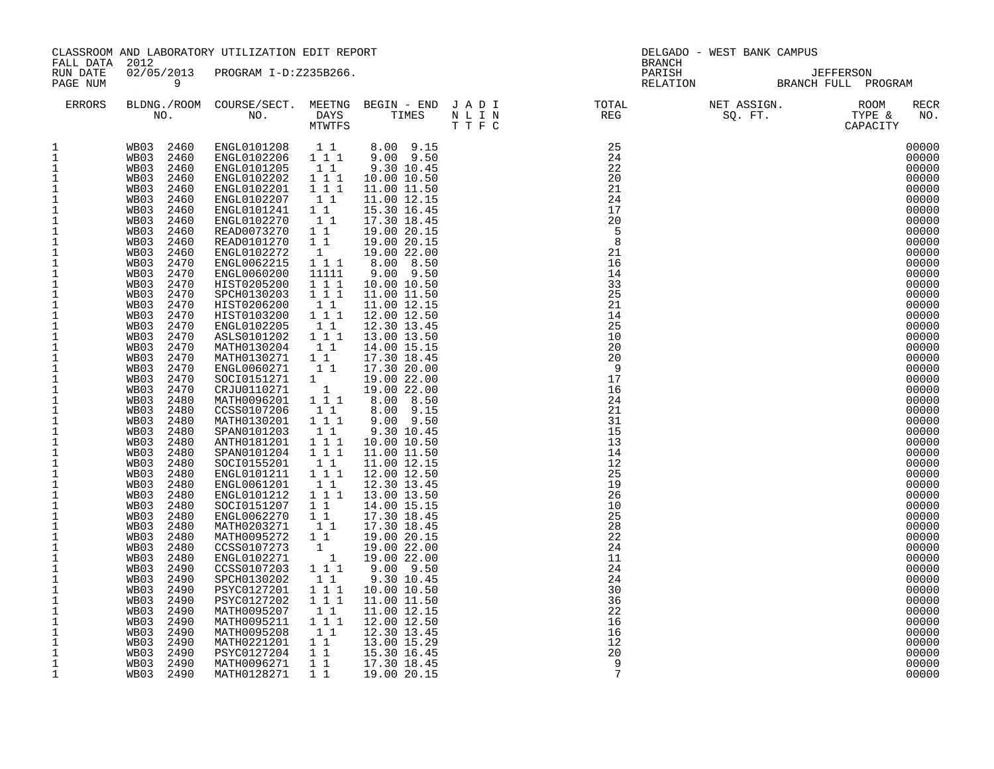| FALL DATA 2012                                                                                                                                                                                                                                                                                                                                                                                                                                                                                                                                                                                                                                                                                        | CLASSROOM AND LABORATORY UTILIZATION EDIT REPORT                                                                                                                                                                                                                                                                                                                                                                                                                                                                                                                                         |                                                                                                                                                                                                                                                                                                                                                                                                                                                                                                                                                                                                                                                                                                                                                                                                                          |                                                                                                                                                                                                                                                                                                                                   |                                                                                                                                                                                                                                                                                                                                                                                                                                                                                                                                                                                                                                                                        |  |                                                                                                                                                                                                                                                                                                                                                                                                                                           | DELGADO - WEST BANK CAMPUS<br><b>BRANCH</b> |                                                                                                                                                                                                                                                                                                                                                                                                                                                                         |  |  |
|-------------------------------------------------------------------------------------------------------------------------------------------------------------------------------------------------------------------------------------------------------------------------------------------------------------------------------------------------------------------------------------------------------------------------------------------------------------------------------------------------------------------------------------------------------------------------------------------------------------------------------------------------------------------------------------------------------|------------------------------------------------------------------------------------------------------------------------------------------------------------------------------------------------------------------------------------------------------------------------------------------------------------------------------------------------------------------------------------------------------------------------------------------------------------------------------------------------------------------------------------------------------------------------------------------|--------------------------------------------------------------------------------------------------------------------------------------------------------------------------------------------------------------------------------------------------------------------------------------------------------------------------------------------------------------------------------------------------------------------------------------------------------------------------------------------------------------------------------------------------------------------------------------------------------------------------------------------------------------------------------------------------------------------------------------------------------------------------------------------------------------------------|-----------------------------------------------------------------------------------------------------------------------------------------------------------------------------------------------------------------------------------------------------------------------------------------------------------------------------------|------------------------------------------------------------------------------------------------------------------------------------------------------------------------------------------------------------------------------------------------------------------------------------------------------------------------------------------------------------------------------------------------------------------------------------------------------------------------------------------------------------------------------------------------------------------------------------------------------------------------------------------------------------------------|--|-------------------------------------------------------------------------------------------------------------------------------------------------------------------------------------------------------------------------------------------------------------------------------------------------------------------------------------------------------------------------------------------------------------------------------------------|---------------------------------------------|-------------------------------------------------------------------------------------------------------------------------------------------------------------------------------------------------------------------------------------------------------------------------------------------------------------------------------------------------------------------------------------------------------------------------------------------------------------------------|--|--|
| RUN DATE<br>PAGE NUM                                                                                                                                                                                                                                                                                                                                                                                                                                                                                                                                                                                                                                                                                  | $\overline{9}$                                                                                                                                                                                                                                                                                                                                                                                                                                                                                                                                                                           | 02/05/2013 PROGRAM I-D:Z235B266.                                                                                                                                                                                                                                                                                                                                                                                                                                                                                                                                                                                                                                                                                                                                                                                         |                                                                                                                                                                                                                                                                                                                                   |                                                                                                                                                                                                                                                                                                                                                                                                                                                                                                                                                                                                                                                                        |  |                                                                                                                                                                                                                                                                                                                                                                                                                                           |                                             | DARISH DARISH JEFFERSON<br>RELATION BRANCH FULL PROGRAM                                                                                                                                                                                                                                                                                                                                                                                                                 |  |  |
| ERRORS                                                                                                                                                                                                                                                                                                                                                                                                                                                                                                                                                                                                                                                                                                |                                                                                                                                                                                                                                                                                                                                                                                                                                                                                                                                                                                          |                                                                                                                                                                                                                                                                                                                                                                                                                                                                                                                                                                                                                                                                                                                                                                                                                          |                                                                                                                                                                                                                                                                                                                                   |                                                                                                                                                                                                                                                                                                                                                                                                                                                                                                                                                                                                                                                                        |  |                                                                                                                                                                                                                                                                                                                                                                                                                                           |                                             | <b>RECR</b><br>NO.                                                                                                                                                                                                                                                                                                                                                                                                                                                      |  |  |
| 1<br>$\mathbf{1}$<br>$\mathbf{1}$<br>$\mathbf{1}$<br>$\mathbf{1}$<br>$\mathbf{1}$<br>$1\,$<br>$\mathbf{1}$<br>$\mathbf{1}$<br>1<br>$\mathbf{1}$<br>$\mathbf{1}$<br>$\mathbf{1}$<br>$\mathbf{1}$<br>$\mathbf{1}$<br>$1\,$<br>$\,1\,$<br>$\mathbf{1}$<br>$\mathbf 1$<br>$\mathbf 1$<br>$\frac{1}{1}$<br>$\mathbf{1}$<br>$\mathbf{1}$<br>$\mathbf{1}$<br>$1\,$<br>1<br>$\mathbf{1}$<br>$\mathbf{1}$<br>$\frac{1}{1}$<br>$\mathbf{1}$<br>$\mathbf{1}$<br>$\frac{1}{1}$<br>$\mathbf{1}$<br>$1\,$<br>$\mathbf{1}$<br>$\mathbf 1$<br>$\mathbf 1$<br>$\mathbf{1}$<br>$\mathbf{1}$<br>$\mathbf{1}$<br>1<br>$\mathbf{1}$<br>$\mathbf{1}$<br>$\mathbf 1$<br>$1\,$<br>$\mathbf 1$<br>$\mathbf{1}$<br>$\mathbf{1}$ | WB03 2460<br>WB03 2460<br>WB03 2460<br>WB03 2460<br>WB03 2470<br>WB03 2470<br>WB03 2470<br>WB03 2470<br>WB03 2470<br>WB03 2470<br>WB03 2470<br>WB03 2470<br>WB03 2470<br>WB03 2470<br>WB03 2470<br>WB03 2470<br>WB03 2470<br>WB03 2480<br>WB03 2480<br>WB03 2480<br>WB03 2480<br>WB03 2480<br>WB03 2480<br>WB03 2480<br>WB03 2480<br>WB03 2480<br>WB03 2480<br>WB03 2480<br>WB03 2480<br>WB03 2480<br>WB03 2480<br>WB03 2480<br>WB03 2480<br>WB03 2490<br>WB03 2490<br>WB03 2490<br>WB03 2490<br>WB03 2490<br>WB03 2490<br>WB03 2490<br>WB03 2490<br>WB03 2490<br>WB03 2490<br>WB03 2490 | WB03  2460  ENGL0101208  11  8.00  9.15<br>WB03  2460  ENGL0102206  111  9.00  9.50<br>ENGL0102270<br>READ0073270<br>READ0101270 1 1<br>ENGL0102272<br>ENGL0062215 1 1 1<br>ENGL0060200<br>HIST0205200<br>SPCH0130203<br>HIST0206200<br>HIST0103200<br>ENGL0102205<br>ASLS0101202<br>MATH0130204<br>MATH0130271 1 1<br>ENGL0060271<br>SOCI0151271 1<br>CRJU0110271<br>MATH0096201 111<br>CCSS0107206<br>MATH0130201<br>SPAN0101203<br>ANTH0181201<br>SPAN0101204<br>SOCI0155201<br>ENGL0101211 1 1 1<br>ENGL0061201<br>ENGL0101212<br>SOCI0151207<br>ENGL0062270 1 1<br>MATH0203271<br>MATH0095272 1 1<br>CCSS0107273<br>ENGL0102271<br>CCSS0107203 111<br>SPCH0130202<br>PSYC0127201<br>PSYC0127202<br>MATH0095207<br>MATH0095211<br>MATH0095208<br>MATH0221201 1 1<br>PSYC0127204 1 1<br>MATH0096271 11<br>MATH0128271 | 11<br>$1\quad1$<br>1<br>11111<br>1 1 1<br>1 1 1<br>$1\quad1$<br>1 1 1<br>$1\quad1$<br>111<br>11<br>$1\quad1$<br>$\overline{1}$<br>11<br>1 1 1<br>$1\quad1$<br>1 1 1<br>111<br>$1\quad1$<br>$1\quad1$<br>111<br>11<br>11<br>$\mathbf{1}$<br>$\overline{1}$<br>$1\quad1$<br>1 1 1<br>1 1 1<br>$1\quad1$<br>1 1 1<br>$1\quad1$<br>11 | 17.30 18.45<br>19.00 20.15<br>19.00 20.15<br>19.00 22.00<br>8.00 8.50<br>$9.00$ $9.50$<br>10.00 10.50<br>11.00 11.50<br>11.00 12.15<br>12.00 12.50<br>12.30 13.45<br>13.00 13.50<br>14.00 15.15<br>17.30 18.45<br>17.30 20.00<br>19.00 22.00<br>19.00 22.00<br>8.00 8.50<br>8.00 9.15<br>9.00 9.50<br>9.30 10.45<br>10.00 10.50<br>11.00 11.50<br>11.00 12.15<br>12.00 12.50<br>12.30 13.45<br>13.00 13.50<br>14.00 15.15<br>17.30 18.45<br>17.30 18.45<br>19.00 20.15<br>19.00 22.00<br>19.00 22.00<br>9.00 9.50<br>9.30 10.45<br>10.00 10.50<br>11.00 11.50<br>11.00 12.15<br>12.00 12.50<br>12.30 13.45<br>13.00 15.29<br>15.30 16.45<br>17.30 18.45<br>19.00 20.15 |  | $\begin{tabular}{l c c c c c} \text{BLDMG.} / \text{ROM} & \text{COURSE} / \text{SET} & \text{MESTNG} & \text{BEGIN} & - \text{ END} & \text{J A D I} & \text{TOTAL} & \text{NET ASSIGN.} & \text{ROM} \\ \text{NO.} & \text{NO.} & \text{DAYS} & \text{TIMES} & \text{N L I N} & \text{REG} & \text{SC. FT.} & \text{TYPE & \text{C} \\ & \text{MTWITS} & \text{T T F C} & \text{25} & \text{260} & \text{270} & \text{281} & \text{291$ |                                             | 00000<br>00000<br>00000<br>00000<br>00000<br>00000<br>00000<br>00000<br>00000<br>00000<br>00000<br>00000<br>00000<br>00000<br>00000<br>00000<br>00000<br>00000<br>00000<br>00000<br>00000<br>00000<br>00000<br>00000<br>00000<br>00000<br>00000<br>00000<br>00000<br>00000<br>00000<br>00000<br>00000<br>00000<br>00000<br>00000<br>00000<br>00000<br>00000<br>00000<br>00000<br>00000<br>00000<br>00000<br>00000<br>00000<br>00000<br>00000<br>00000<br>00000<br>00000 |  |  |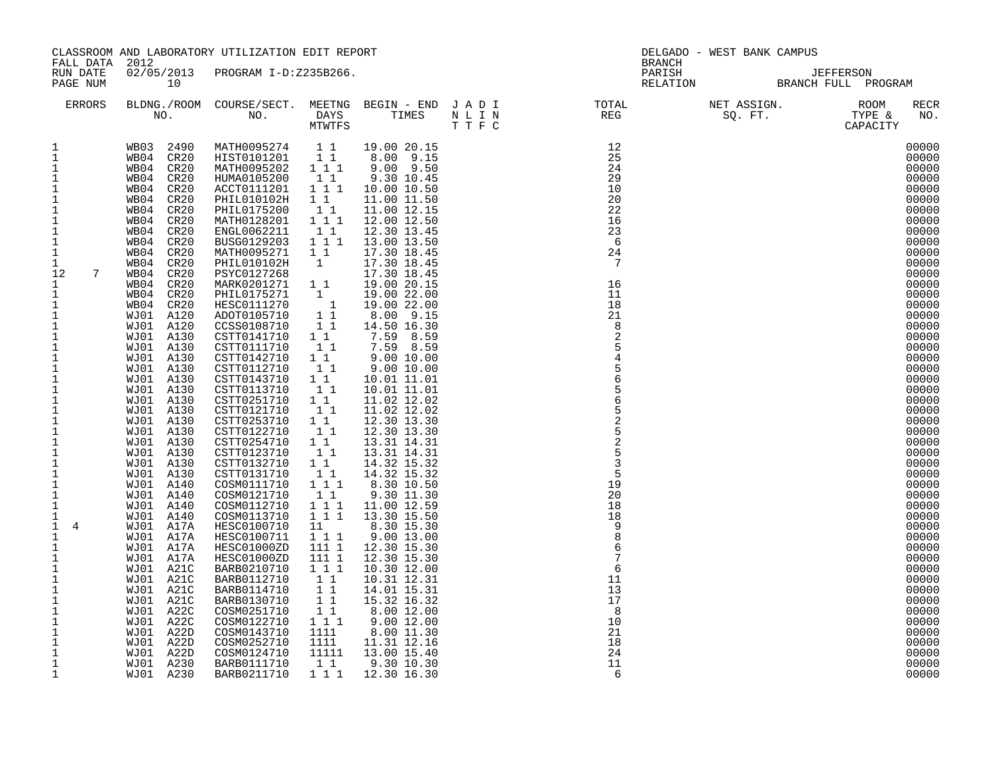| FALL DATA 2012                                                                                                                                                                                                                                                                                                                                                                                                                                                                                                                                                                                                                                                                                                                                                                                            |                                                                                                                                                                                                                                                                                                                                                                                                                                                                                                                                                                                                                                                                        | CLASSROOM AND LABORATORY UTILIZATION EDIT REPORT                                                                                                                                                                                                                                                                                                                                                                                                                                                                                                                                                                                                                                                                                                                                                                   |                                                                                                                                                                                                                                                                                                                                                                                                                                               |                                                                                                                                                                                                                                                                                                                                                                                                                                                                                                                                                                                                                                                                                                                                                                          | DELGADO - WEST BANK CAMPUS<br><b>BRANCH</b> |                                                                                                                                                                                                                                                                                                                                                                                                                                                |  |                                                                                                                                                                                                                                                                                                                                                                                                                                                                         |  |
|-----------------------------------------------------------------------------------------------------------------------------------------------------------------------------------------------------------------------------------------------------------------------------------------------------------------------------------------------------------------------------------------------------------------------------------------------------------------------------------------------------------------------------------------------------------------------------------------------------------------------------------------------------------------------------------------------------------------------------------------------------------------------------------------------------------|------------------------------------------------------------------------------------------------------------------------------------------------------------------------------------------------------------------------------------------------------------------------------------------------------------------------------------------------------------------------------------------------------------------------------------------------------------------------------------------------------------------------------------------------------------------------------------------------------------------------------------------------------------------------|--------------------------------------------------------------------------------------------------------------------------------------------------------------------------------------------------------------------------------------------------------------------------------------------------------------------------------------------------------------------------------------------------------------------------------------------------------------------------------------------------------------------------------------------------------------------------------------------------------------------------------------------------------------------------------------------------------------------------------------------------------------------------------------------------------------------|-----------------------------------------------------------------------------------------------------------------------------------------------------------------------------------------------------------------------------------------------------------------------------------------------------------------------------------------------------------------------------------------------------------------------------------------------|--------------------------------------------------------------------------------------------------------------------------------------------------------------------------------------------------------------------------------------------------------------------------------------------------------------------------------------------------------------------------------------------------------------------------------------------------------------------------------------------------------------------------------------------------------------------------------------------------------------------------------------------------------------------------------------------------------------------------------------------------------------------------|---------------------------------------------|------------------------------------------------------------------------------------------------------------------------------------------------------------------------------------------------------------------------------------------------------------------------------------------------------------------------------------------------------------------------------------------------------------------------------------------------|--|-------------------------------------------------------------------------------------------------------------------------------------------------------------------------------------------------------------------------------------------------------------------------------------------------------------------------------------------------------------------------------------------------------------------------------------------------------------------------|--|
| RUN DATE<br>PAGE NUM                                                                                                                                                                                                                                                                                                                                                                                                                                                                                                                                                                                                                                                                                                                                                                                      | 10                                                                                                                                                                                                                                                                                                                                                                                                                                                                                                                                                                                                                                                                     | 02/05/2013 PROGRAM I-D:Z235B266.                                                                                                                                                                                                                                                                                                                                                                                                                                                                                                                                                                                                                                                                                                                                                                                   |                                                                                                                                                                                                                                                                                                                                                                                                                                               |                                                                                                                                                                                                                                                                                                                                                                                                                                                                                                                                                                                                                                                                                                                                                                          |                                             |                                                                                                                                                                                                                                                                                                                                                                                                                                                |  |                                                                                                                                                                                                                                                                                                                                                                                                                                                                         |  |
| ERRORS                                                                                                                                                                                                                                                                                                                                                                                                                                                                                                                                                                                                                                                                                                                                                                                                    |                                                                                                                                                                                                                                                                                                                                                                                                                                                                                                                                                                                                                                                                        |                                                                                                                                                                                                                                                                                                                                                                                                                                                                                                                                                                                                                                                                                                                                                                                                                    |                                                                                                                                                                                                                                                                                                                                                                                                                                               |                                                                                                                                                                                                                                                                                                                                                                                                                                                                                                                                                                                                                                                                                                                                                                          |                                             | $\begin{tabular}{lllllllllllllllllllll} \textsc{BLONG.} \textsc{F100M.} & \textsc{COURSE/SECT.} & \textsc{MEETNG.} & \textsc{BEGIN - END.} & \textsc{J A D I} & \textsc{T0TAL} & \textsc{NET ASSIGN.} & \textsc{ROOM} \\ \textsc{NO.} & \textsc{NO.} & \textsc{DAYS} & \textsc{TIMES} & \textsc{N L I N} & \textsc{REG} & \textsc{SEG} & \textsc{ST.} & \textsc{STPE & \& \\ \textsc{MO.} & \textsc{NO.} & \textsc{MTWTFS} & \textsc{T F C} &$ |  | RECR<br>NO.                                                                                                                                                                                                                                                                                                                                                                                                                                                             |  |
| 1<br>$\mathbf{1}$<br>$\mathbf{1}$<br>$\mathbf{1}$<br>$\mathbf{1}$<br>$\mathbf{1}$<br>$\overline{1}$<br>$\mathbf 1$<br>$\mathbf 1$<br>$\mathbf{1}$<br>$\mathbf{1}$<br>$\mathbf{1}$<br>$\overline{7}$<br>12<br>$\mathbf{1}$<br>$\mathbf{1}$<br>$\mathbf{1}$<br>$\,1\,$<br>$\,1\,$<br>$\mathbf{1}$<br>$\mathbf{1}$<br>$\,1\,$<br>$\ensuremath{\mathsf{1}}$<br>$\mathbf{1}$<br>$\mathbf{1}$<br>$\begin{smallmatrix}1\\1\\1\end{smallmatrix}$<br>$\mathbf 1$<br>$\mathbf 1$<br>$\overline{1}$<br>$1$<br>$\mathbf{1}$<br>$\mathbf 1$<br>$\,1\,$<br>$\mathbf{1}$<br>$\mathbf{1}$<br>$\mathbf{1}$<br>4<br>$\mathbf{1}$<br>$\mathbf{1}$<br>$\mathbf{1}$<br>$\mathbf 1$<br>$\mathbf{1}$<br>$1\,$<br>$\mathbf{1}$<br>$\mathbf{1}$<br>$\mathbf{1}$<br>$\mathbf 1$<br>$\mathbf{1}$<br>$\mathbf 1$<br>$\mathbf{1}$<br>1 | WB04 CR20<br>WB04 CR20<br>WB04 CR20<br>WB04 CR20<br>WB04 CR20<br>WB04 CR20<br>WB04 CR20<br>WB04 CR20<br>WB04 CR20<br>WB04 CR20<br>WB04 CR20<br>WB04 CR20<br>WB04 CR20<br>WB04 CR20<br>WB04 CR20<br>WJ01 A120<br>WJ01 A120<br>WJ01 A130<br>WJ01 A130<br>WJ01 A130<br>WJ01 A130<br>WJ01 A130<br>WJ01 A130<br>WJ01 A130<br>WJ01 A130<br>WJ01 A130<br>WJ01 A130<br>WJ01 A130<br>WJ01 A130<br>WJ01 A130<br>WJ01 A130<br>WJ01 A140<br>WJ01 A140<br>WJ01 A140<br>WJ01 A140<br>WJ01 A17A<br>WJ01 A17A<br>WJ01 A17A<br>WJ01 A17A<br>WJ01 A21C<br>WJ01 A21C<br>WJ01 A21C<br>WJ01 A21C<br>WJ01 A22C<br>WJ01 A22C<br>WJ01 A22D<br>WJ01 A22D<br>WJ01 A22D<br>WJ01 A230<br>WJ01 A230 | WB03 2490 MATH0095274 11<br>HIST0101201 1 1<br>MATH0095202 111<br>HUMA0105200<br>ACCT0111201<br>PHIL010102H<br>PHIL0175200<br>MATH0128201<br>ENGL0062211<br>BUSG0129203<br>MATH0095271<br>PHIL010102H<br>PSYC0127268<br>MARK0201271 1 1<br>PHIL0175271<br>HESC0111270<br>ADOT0105710<br>CCSS0108710<br>CSTT0141710<br>CSTT0111710<br>CSTT0142710<br>CSTT0112710<br>CSTT0143710<br>CSTT0113710<br>CSTT0251710<br>CSTT0121710<br>CSTT0253710<br>CSTT0122710<br>CSTT0254710<br>CSTT0123710<br>CSTT0132710<br>CSTT0131710<br>COSM0111710<br>COSM0121710<br>COSM0112710<br>COSM0113710<br>HESC0100710<br>HESC0100711<br>HESC01000ZD<br>HESC01000ZD<br>BARB0210710<br>BARB0112710<br>BARB0114710<br>BARB0130710<br>COSM0251710<br>COSM0122710<br>COSM0143710<br>COSM0252710<br>COSM0124710<br>BARB0111710<br>BARB0211710 | $1\quad1$<br>1 1 1<br>1 1<br>11<br>1 1 1<br>11<br>1 1 1<br>11<br>$\mathbf{1}$<br>1<br>$\overline{1}$<br>$1\overline{1}$<br>11<br>$1\quad1$<br>$1\quad1$<br>$1\quad1$<br>$1\quad1$<br>$1\quad1$<br>11<br>$1\quad1$<br>11<br>$1\quad1$<br>11<br>1 1<br>11<br>1 1<br>$1\quad1$<br>1 1 1<br>11<br>1 1 1<br>1 1 1<br>11<br>$1 1 1$<br>111 1<br>111 1<br>1 1 1<br>11<br>$1\quad1$<br>11<br>11<br>1 1 1<br>1111<br>1111<br>11111<br>$1\quad1$<br>111 | 19.00 20.15<br>$8.00$ $9.15$<br>9.00 9.50<br>9.30 10.45<br>10.00 10.50<br>11.00 11.50<br>11.00 12.15<br>12.00 12.50<br>12.30 13.45<br>13.00 13.50<br>17.30 18.45<br>17.30 18.45<br>17.30 18.45<br>19.00 20.15<br>19.00 22.00<br>19.00 22.00<br>8.00 9.15<br>14.50 16.30<br>7.59 8.59<br>7.59 8.59<br>9.00 10.00<br>9.00 10.00<br>10.01 11.01<br>10.01 11.01<br>11.02 12.02<br>11.02 12.02<br>12.30 13.30<br>12.30 13.30<br>13.31 14.31<br>13.31 14.31<br>14.32 15.32<br>14.32 15.32<br>8.30 10.50<br>9.30 11.30<br>11.00 12.59<br>13.30 15.50<br>8.30 15.30<br>9.00 13.00<br>12.30 15.30<br>12.30 15.30<br>10.30 12.00<br>10.31 12.31<br>14.01 15.31<br>15.32 16.32<br>8.00 12.00<br>9.00 12.00<br>8.00 11.30<br>11.31 12.16<br>13.00 15.40<br>9.30 10.30<br>12.30 16.30 |                                             |                                                                                                                                                                                                                                                                                                                                                                                                                                                |  | 00000<br>00000<br>00000<br>00000<br>00000<br>00000<br>00000<br>00000<br>00000<br>00000<br>00000<br>00000<br>00000<br>00000<br>00000<br>00000<br>00000<br>00000<br>00000<br>00000<br>00000<br>00000<br>00000<br>00000<br>00000<br>00000<br>00000<br>00000<br>00000<br>00000<br>00000<br>00000<br>00000<br>00000<br>00000<br>00000<br>00000<br>00000<br>00000<br>00000<br>00000<br>00000<br>00000<br>00000<br>00000<br>00000<br>00000<br>00000<br>00000<br>00000<br>00000 |  |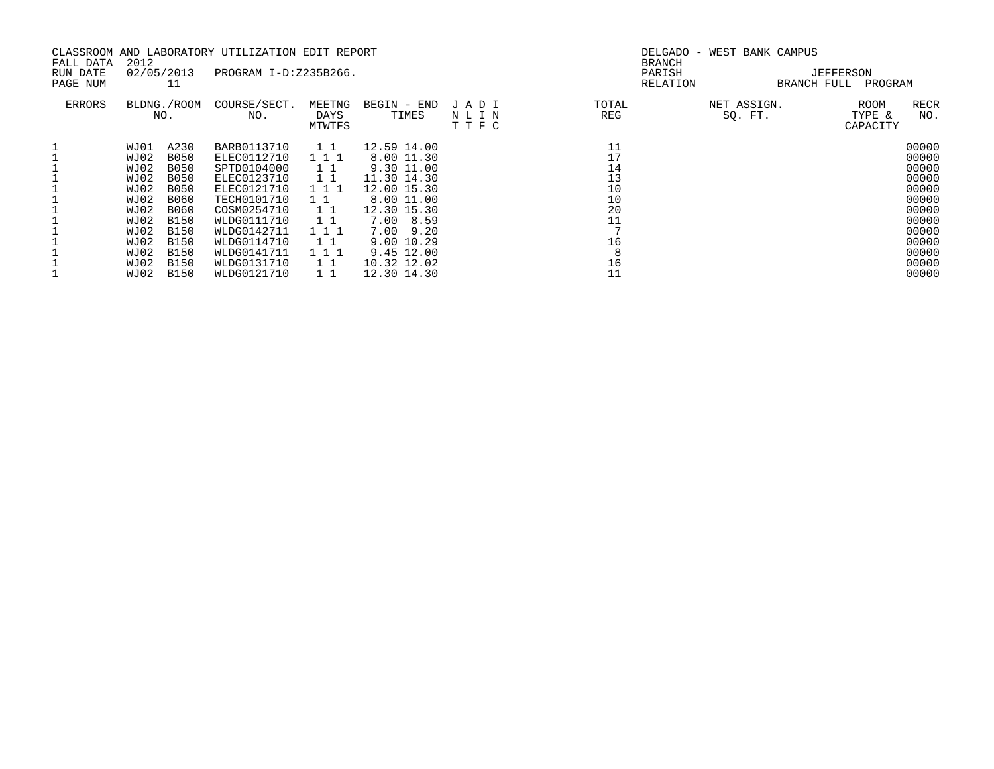| FALL DATA            | 2012 |                  | CLASSROOM AND LABORATORY UTILIZATION EDIT REPORT |                |              |              | DELGADO -<br><b>BRANCH</b> | WEST BANK CAMPUS |                      |             |
|----------------------|------|------------------|--------------------------------------------------|----------------|--------------|--------------|----------------------------|------------------|----------------------|-------------|
| RUN DATE<br>PAGE NUM |      | 02/05/2013<br>11 | PROGRAM I-D:Z235B266.                            |                |              |              | PARISH<br>RELATION         | BRANCH FULL      | JEFFERSON<br>PROGRAM |             |
|                      |      |                  |                                                  |                |              |              |                            |                  |                      |             |
| <b>ERRORS</b>        |      | BLDNG./ROOM      | COURSE/SECT.                                     | MEETNG         | BEGIN - END  | JADI         | TOTAL                      | NET ASSIGN.      | <b>ROOM</b>          | <b>RECR</b> |
|                      |      | NO.              | NO.                                              | DAYS<br>MTWTFS | TIMES        | NLIN<br>TTFC | REG                        | SO. FT.          | TYPE &<br>CAPACITY   | NO.         |
|                      | WJ01 | A230             | BARB0113710                                      | 1 1            | 12.59 14.00  |              | 11                         |                  |                      | 00000       |
|                      | WJ02 | <b>B050</b>      | ELEC0112710                                      | 111            | 8.00 11.30   |              | 17                         |                  |                      | 00000       |
|                      | WJ02 | <b>B050</b>      | SPTD0104000                                      | 11             | 9.30 11.00   |              | 14                         |                  |                      | 00000       |
|                      | WJ02 | <b>B050</b>      | ELEC0123710                                      | 1 1            | 11.30 14.30  |              | 13                         |                  |                      | 00000       |
|                      | WJ02 | <b>B050</b>      | ELEC0121710                                      | 111            | 12.00 15.30  |              | 10                         |                  |                      | 00000       |
|                      | WJ02 | B060             | TECH0101710                                      | 1 1            | 8.00 11.00   |              | 10                         |                  |                      | 00000       |
|                      | WJ02 | B060             | COSM0254710                                      | 1 1            | 12.30 15.30  |              | 20                         |                  |                      | 00000       |
|                      | WJ02 | B150             | WLDG0111710                                      | 11             | 7.00 8.59    |              | 11                         |                  |                      | 00000       |
|                      | WJ02 | B150             | WLDG0142711                                      | 111            | 7.00<br>9.20 |              |                            |                  |                      | 00000       |
|                      | WJ02 | <b>B150</b>      | WLDG0114710                                      | 11             | 9.00 10.29   |              | 16                         |                  |                      | 00000       |
|                      | WJ02 | B150             | WLDG0141711                                      | 111            | 9.45 12.00   |              |                            |                  |                      | 00000       |
|                      | WJ02 | B150             | WLDG0131710                                      | $1\quad1$      | 10.32 12.02  |              | 16                         |                  |                      | 00000       |
|                      | WJ02 | B150             | WLDG0121710                                      |                | 12.30 14.30  |              |                            |                  |                      | 00000       |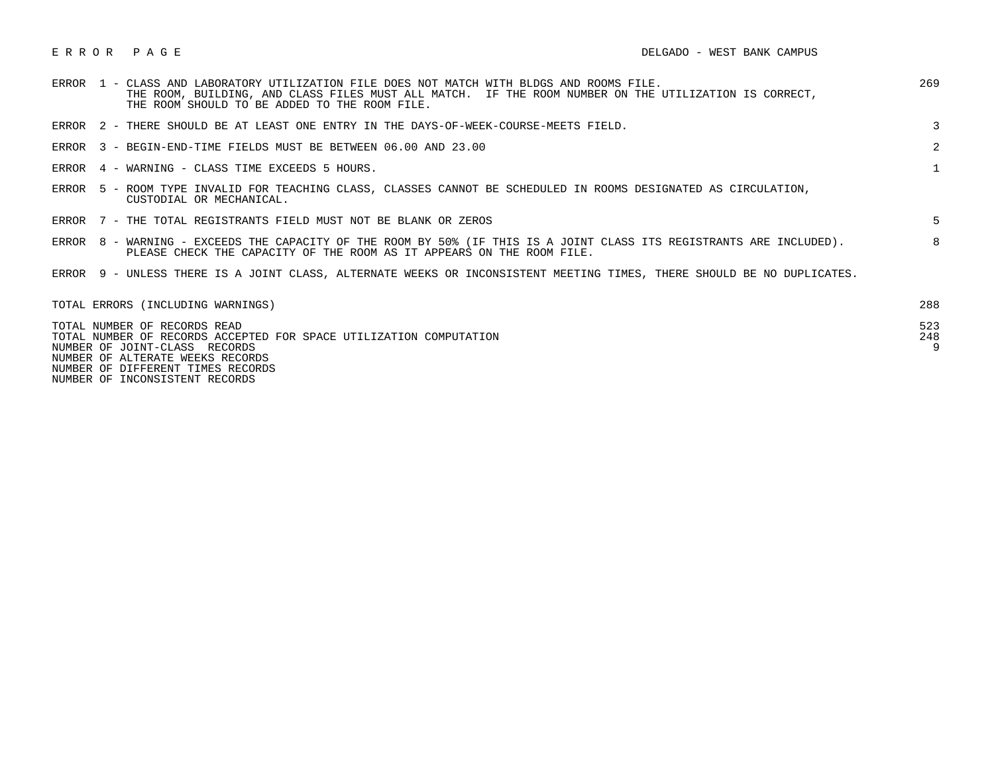|       | ERROR 1 - CLASS AND LABORATORY UTILIZATION FILE DOES NOT MATCH WITH BLDGS AND ROOMS FILE.<br>THE ROOM, BUILDING, AND CLASS FILES MUST ALL MATCH. IF THE ROOM NUMBER ON THE UTILIZATION IS CORRECT,<br>THE ROOM SHOULD TO BE ADDED TO THE ROOM FILE. | 269             |
|-------|-----------------------------------------------------------------------------------------------------------------------------------------------------------------------------------------------------------------------------------------------------|-----------------|
|       | ERROR 2 - THERE SHOULD BE AT LEAST ONE ENTRY IN THE DAYS-OF-WEEK-COURSE-MEETS FIELD.                                                                                                                                                                | 3               |
|       | ERROR 3 - BEGIN-END-TIME FIELDS MUST BE BETWEEN 06.00 AND 23.00                                                                                                                                                                                     | $\overline{2}$  |
|       | ERROR 4 - WARNING - CLASS TIME EXCEEDS 5 HOURS.                                                                                                                                                                                                     | $\mathbf{1}$    |
| ERROR | 5 - ROOM TYPE INVALID FOR TEACHING CLASS, CLASSES CANNOT BE SCHEDULED IN ROOMS DESIGNATED AS CIRCULATION,<br>CUSTODIAL OR MECHANICAL.                                                                                                               |                 |
|       | ERROR 7 - THE TOTAL REGISTRANTS FIELD MUST NOT BE BLANK OR ZEROS                                                                                                                                                                                    | 5.              |
|       | ERROR 8 - WARNING - EXCEEDS THE CAPACITY OF THE ROOM BY 50% (IF THIS IS A JOINT CLASS ITS REGISTRANTS ARE INCLUDED).<br>PLEASE CHECK THE CAPACITY OF THE ROOM AS IT APPEARS ON THE ROOM FILE.                                                       | 8               |
| ERROR | 9 - UNLESS THERE IS A JOINT CLASS, ALTERNATE WEEKS OR INCONSISTENT MEETING TIMES, THERE SHOULD BE NO DUPLICATES.                                                                                                                                    |                 |
|       | TOTAL ERRORS (INCLUDING WARNINGS)                                                                                                                                                                                                                   | 288             |
|       | TOTAL NUMBER OF RECORDS READ<br>TOTAL NUMBER OF RECORDS ACCEPTED FOR SPACE UTILIZATION COMPUTATION<br>NUMBER OF JOINT-CLASS RECORDS                                                                                                                 | 523<br>248<br>9 |

 NUMBER OF ALTERATE WEEKS RECORDS NUMBER OF DIFFERENT TIMES RECORDS

NUMBER OF INCONSISTENT RECORDS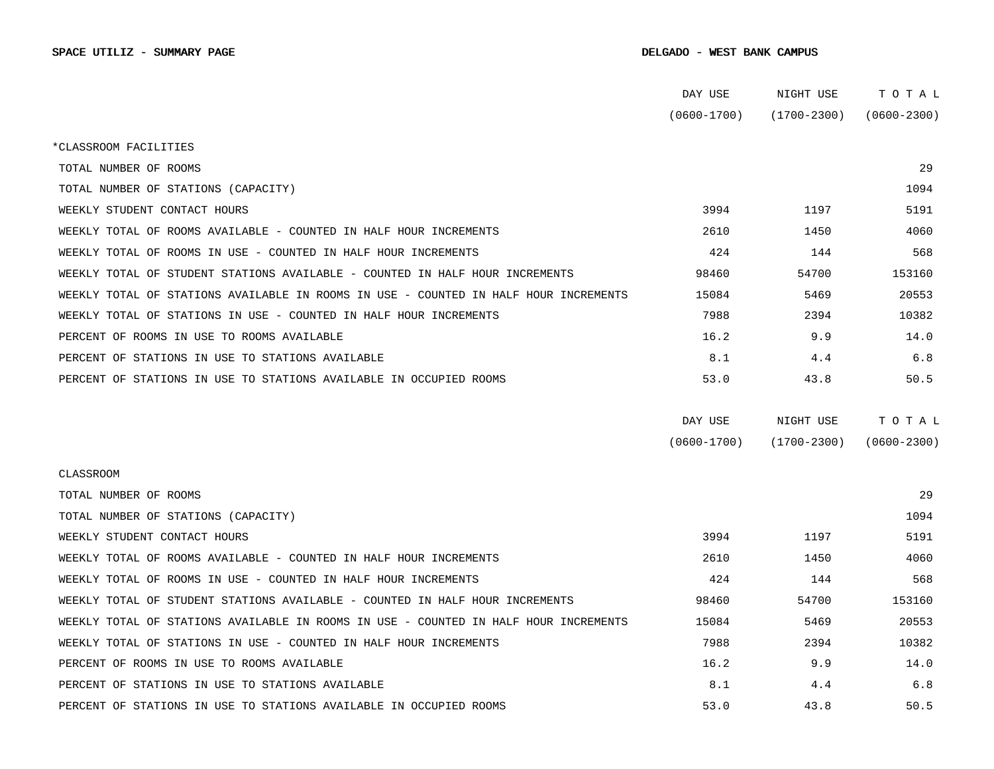|                                                                                      | DAY USE         | NIGHT USE       | TOTAL           |
|--------------------------------------------------------------------------------------|-----------------|-----------------|-----------------|
|                                                                                      | $(0600 - 1700)$ | $(1700 - 2300)$ | $(0600 - 2300)$ |
| *CLASSROOM FACILITIES                                                                |                 |                 |                 |
| TOTAL NUMBER OF ROOMS                                                                |                 |                 | 29              |
| TOTAL NUMBER OF STATIONS (CAPACITY)                                                  |                 |                 | 1094            |
| WEEKLY STUDENT CONTACT HOURS                                                         | 3994            | 1197            | 5191            |
| WEEKLY TOTAL OF ROOMS AVAILABLE - COUNTED IN HALF HOUR INCREMENTS                    | 2610            | 1450            | 4060            |
| WEEKLY TOTAL OF ROOMS IN USE - COUNTED IN HALF HOUR INCREMENTS                       | 424             | 144             | 568             |
| WEEKLY TOTAL OF STUDENT STATIONS AVAILABLE - COUNTED IN HALF HOUR INCREMENTS         | 98460           | 54700           | 153160          |
| WEEKLY TOTAL OF STATIONS AVAILABLE IN ROOMS IN USE - COUNTED IN HALF HOUR INCREMENTS | 15084           | 5469            | 20553           |
| WEEKLY TOTAL OF STATIONS IN USE - COUNTED IN HALF HOUR INCREMENTS                    | 7988            | 2394            | 10382           |
| PERCENT OF ROOMS IN USE TO ROOMS AVAILABLE                                           | 16.2            | 9.9             | 14.0            |
| PERCENT OF STATIONS IN USE TO STATIONS AVAILABLE                                     | 8.1             | 4.4             | 6.8             |
| PERCENT OF STATIONS IN USE TO STATIONS AVAILABLE IN OCCUPIED ROOMS                   | 53.0            | 43.8            | 50.5            |
|                                                                                      |                 |                 |                 |
|                                                                                      | DAY USE         | NIGHT USE       | TOTAL           |
|                                                                                      | $(0600 - 1700)$ | $(1700 - 2300)$ | $(0600 - 2300)$ |
| <b>CLASSROOM</b>                                                                     |                 |                 |                 |
| TOTAL NUMBER OF ROOMS                                                                |                 |                 | 29              |
| TOTAL NUMBER OF STATIONS (CAPACITY)                                                  |                 |                 | 1094            |
| WEEKLY STUDENT CONTACT HOURS                                                         | 3994            | 1197            | 5191            |
| WEEKLY TOTAL OF ROOMS AVAILABLE - COUNTED IN HALF HOUR INCREMENTS                    | 2610            | 1450            | 4060            |
| WEEKLY TOTAL OF ROOMS IN USE - COUNTED IN HALF HOUR INCREMENTS                       | 424             | 144             | 568             |
| WEEKLY TOTAL OF STUDENT STATIONS AVAILABLE - COUNTED IN HALF HOUR INCREMENTS         | 98460           | 54700           | 153160          |
| WEEKLY TOTAL OF STATIONS AVAILABLE IN ROOMS IN USE - COUNTED IN HALF HOUR INCREMENTS | 15084           | 5469            | 20553           |
| WEEKLY TOTAL OF STATIONS IN USE - COUNTED IN HALF HOUR INCREMENTS                    | 7988            | 2394            | 10382           |
| PERCENT OF ROOMS IN USE TO ROOMS AVAILABLE                                           | 16.2            | 9.9             | 14.0            |
| PERCENT OF STATIONS IN USE TO STATIONS AVAILABLE                                     | 8.1             | 4.4             | 6.8             |
| PERCENT OF STATIONS IN USE TO STATIONS AVAILABLE IN OCCUPIED ROOMS                   | 53.0            | 43.8            | 50.5            |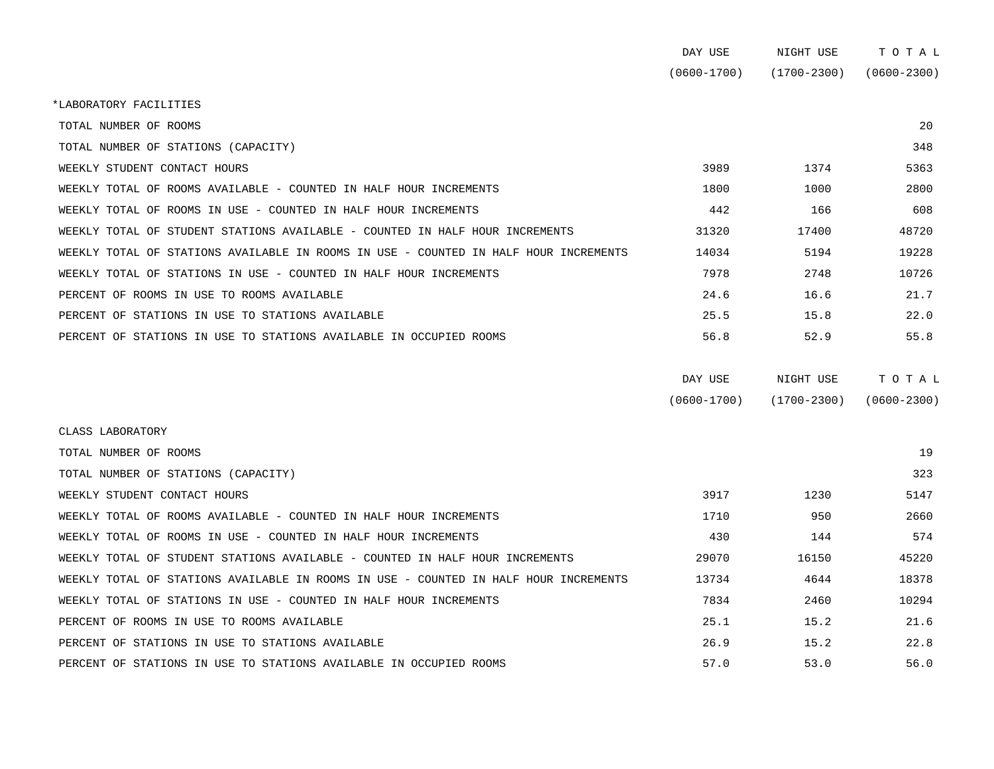| DAY USE         | NIGHT USE   | тотаг           |
|-----------------|-------------|-----------------|
| $(0600 - 1700)$ | (1700-2300) | $(0600 - 2300)$ |

\*LABORATORY FACILITIES

| TOTAL NUMBER OF ROOMS                                                                |       |       | 20    |
|--------------------------------------------------------------------------------------|-------|-------|-------|
| TOTAL NUMBER OF STATIONS (CAPACITY)                                                  |       |       | 348   |
| WEEKLY STUDENT CONTACT HOURS                                                         | 3989  | 1374  | 5363  |
| WEEKLY TOTAL OF ROOMS AVAILABLE - COUNTED IN HALF HOUR INCREMENTS                    | 1800  | 1000  | 2800  |
| WEEKLY TOTAL OF ROOMS IN USE - COUNTED IN HALF HOUR INCREMENTS                       | 442   | 166   | 608   |
| WEEKLY TOTAL OF STUDENT STATIONS AVAILABLE - COUNTED IN HALF HOUR INCREMENTS         | 31320 | 17400 | 48720 |
| WEEKLY TOTAL OF STATIONS AVAILABLE IN ROOMS IN USE - COUNTED IN HALF HOUR INCREMENTS | 14034 | 5194  | 19228 |
| WEEKLY TOTAL OF STATIONS IN USE - COUNTED IN HALF HOUR INCREMENTS                    | 7978  | 2748  | 10726 |
| PERCENT OF ROOMS IN USE TO ROOMS AVAILABLE                                           | 24.6  | 16.6  | 21.7  |
| PERCENT OF STATIONS IN USE TO STATIONS AVAILABLE                                     | 25.5  | 15.8  | 22.0  |
| PERCENT OF STATIONS IN USE TO STATIONS AVAILABLE IN OCCUPIED ROOMS                   | 56.8  | 52.9  | 55.8  |

| DAY USE         | NIGHT USE       | тотаь           |
|-----------------|-----------------|-----------------|
| $(0600 - 1700)$ | $(1700 - 2300)$ | $(0600 - 2300)$ |

| CLASS LABORATORY                                                                     |       |       |       |
|--------------------------------------------------------------------------------------|-------|-------|-------|
| TOTAL NUMBER OF ROOMS                                                                |       |       | 19    |
| TOTAL NUMBER OF STATIONS (CAPACITY)                                                  |       |       | 323   |
| WEEKLY STUDENT CONTACT HOURS                                                         | 3917  | 1230  | 5147  |
| WEEKLY TOTAL OF ROOMS AVAILABLE - COUNTED IN HALF HOUR INCREMENTS                    | 1710  | 950   | 2660  |
| WEEKLY TOTAL OF ROOMS IN USE - COUNTED IN HALF HOUR INCREMENTS                       | 430   | 144   | 574   |
| WEEKLY TOTAL OF STUDENT STATIONS AVAILABLE - COUNTED IN HALF HOUR INCREMENTS         | 29070 | 16150 | 45220 |
| WEEKLY TOTAL OF STATIONS AVAILABLE IN ROOMS IN USE - COUNTED IN HALF HOUR INCREMENTS | 13734 | 4644  | 18378 |
| WEEKLY TOTAL OF STATIONS IN USE - COUNTED IN HALF HOUR INCREMENTS                    | 7834  | 2460  | 10294 |
| PERCENT OF ROOMS IN USE TO ROOMS AVAILABLE                                           | 25.1  | 15.2  | 21.6  |
| PERCENT OF STATIONS IN USE TO STATIONS AVAILABLE                                     | 26.9  | 15.2  | 22.8  |
| PERCENT OF STATIONS IN USE TO STATIONS AVAILABLE IN OCCUPIED ROOMS                   | 57.0  | 53.0  | 56.0  |